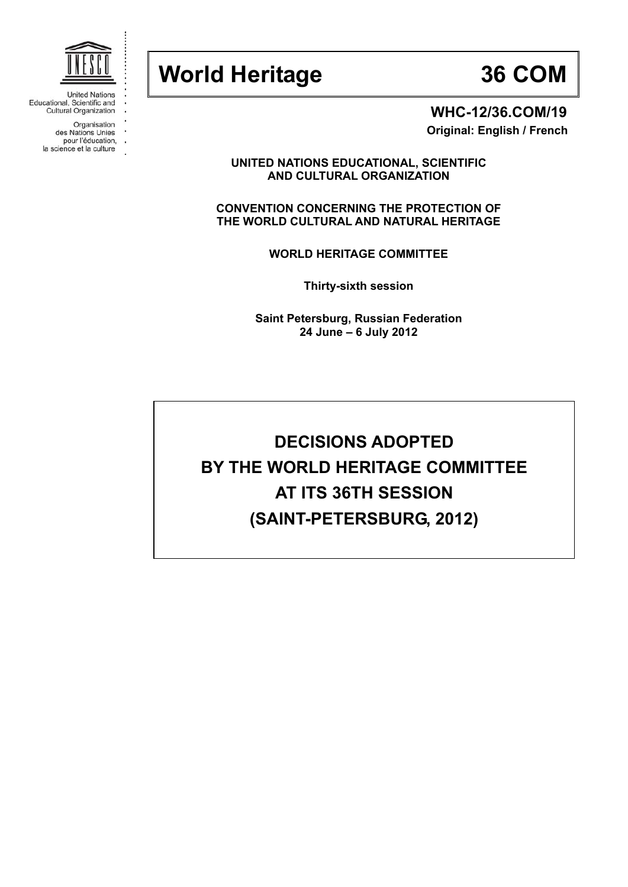

| <b>United Nations</b>        |
|------------------------------|
| Educational, Scientific and  |
| <b>Cultural Organization</b> |

- Organisation
- 
- des Nations Unies<br>pour l'éducation,<br>la science et la culture



 **WHC-12/36.COM/19 Original: English / French** 

**UNITED NATIONS EDUCATIONAL, SCIENTIFIC AND CULTURAL ORGANIZATION** 

**CONVENTION CONCERNING THE PROTECTION OF THE WORLD CULTURAL AND NATURAL HERITAGE** 

**WORLD HERITAGE COMMITTEE** 

**Thirty-sixth session** 

**Saint Petersburg, Russian Federation 24 June – 6 July 2012** 

# **DECISIONS ADOPTED BY THE WORLD HERITAGE COMMITTEE AT ITS 36TH SESSION (SAINT-PETERSBURG, 2012)**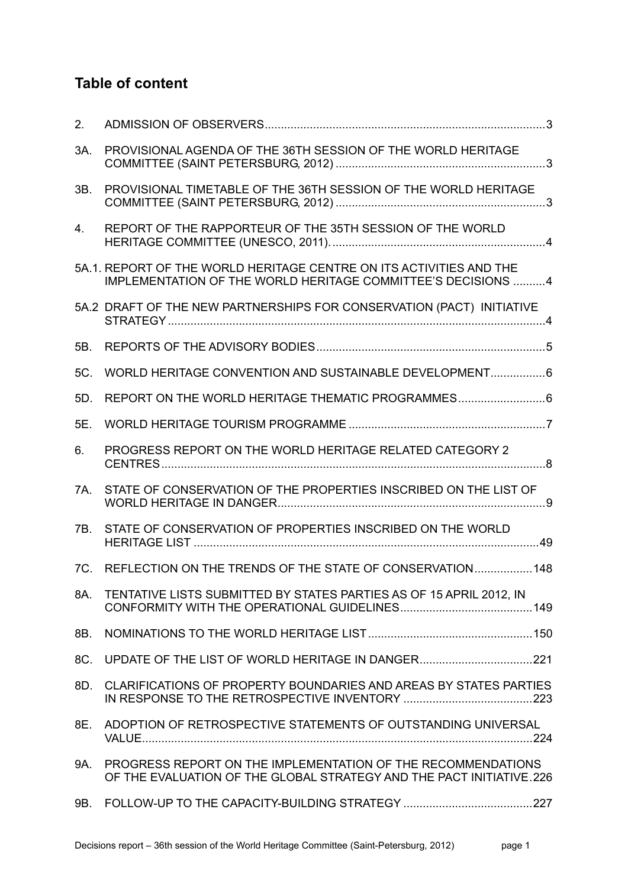## **Table of content**

| 2.  |                                                                                                                                      |
|-----|--------------------------------------------------------------------------------------------------------------------------------------|
| 3A. | PROVISIONAL AGENDA OF THE 36TH SESSION OF THE WORLD HERITAGE                                                                         |
| 3B. | PROVISIONAL TIMETABLE OF THE 36TH SESSION OF THE WORLD HERITAGE                                                                      |
| 4.  | REPORT OF THE RAPPORTEUR OF THE 35TH SESSION OF THE WORLD                                                                            |
|     | 5A.1. REPORT OF THE WORLD HERITAGE CENTRE ON ITS ACTIVITIES AND THE<br>IMPLEMENTATION OF THE WORLD HERITAGE COMMITTEE'S DECISIONS 4  |
|     | 5A.2 DRAFT OF THE NEW PARTNERSHIPS FOR CONSERVATION (PACT) INITIATIVE                                                                |
| 5B. |                                                                                                                                      |
| 5C. | WORLD HERITAGE CONVENTION AND SUSTAINABLE DEVELOPMENT 6                                                                              |
| 5D. | REPORT ON THE WORLD HERITAGE THEMATIC PROGRAMMES                                                                                     |
| 5E. |                                                                                                                                      |
| 6.  | PROGRESS REPORT ON THE WORLD HERITAGE RELATED CATEGORY 2                                                                             |
| 7A. | STATE OF CONSERVATION OF THE PROPERTIES INSCRIBED ON THE LIST OF                                                                     |
| 7B. | STATE OF CONSERVATION OF PROPERTIES INSCRIBED ON THE WORLD                                                                           |
| 7C. | REFLECTION ON THE TRENDS OF THE STATE OF CONSERVATION 148                                                                            |
| 8A. | TENTATIVE LISTS SUBMITTED BY STATES PARTIES AS OF 15 APRIL 2012, IN                                                                  |
| 8B. |                                                                                                                                      |
| 8C. |                                                                                                                                      |
|     | 8D. CLARIFICATIONS OF PROPERTY BOUNDARIES AND AREAS BY STATES PARTIES                                                                |
|     | 8E. ADOPTION OF RETROSPECTIVE STATEMENTS OF OUTSTANDING UNIVERSAL                                                                    |
| 9A. | PROGRESS REPORT ON THE IMPLEMENTATION OF THE RECOMMENDATIONS<br>OF THE EVALUATION OF THE GLOBAL STRATEGY AND THE PACT INITIATIVE.226 |
|     |                                                                                                                                      |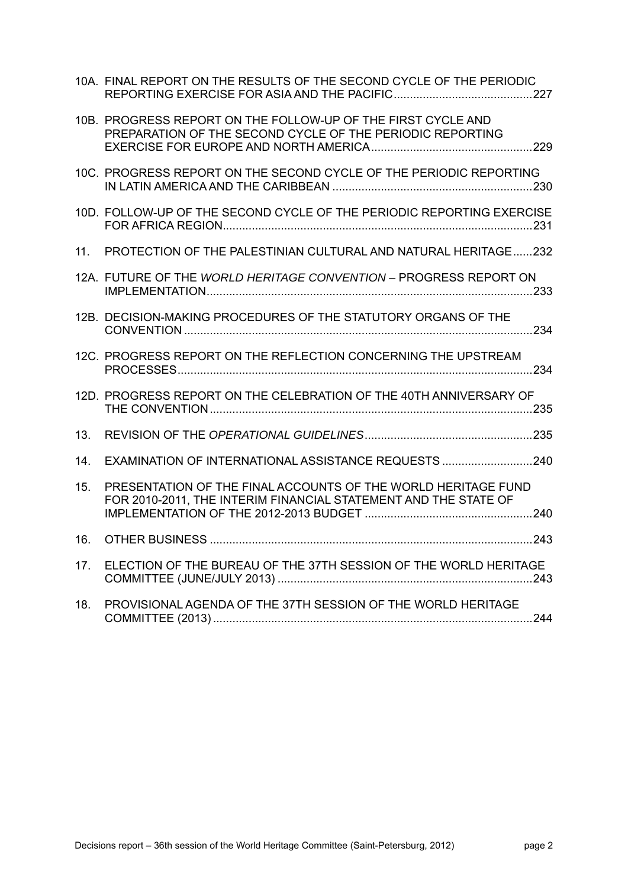|     | 10A. FINAL REPORT ON THE RESULTS OF THE SECOND CYCLE OF THE PERIODIC                                                             |
|-----|----------------------------------------------------------------------------------------------------------------------------------|
|     | 10B. PROGRESS REPORT ON THE FOLLOW-UP OF THE FIRST CYCLE AND<br>PREPARATION OF THE SECOND CYCLE OF THE PERIODIC REPORTING        |
|     | 10C. PROGRESS REPORT ON THE SECOND CYCLE OF THE PERIODIC REPORTING                                                               |
|     | 10D. FOLLOW-UP OF THE SECOND CYCLE OF THE PERIODIC REPORTING EXERCISE                                                            |
| 11. | PROTECTION OF THE PALESTINIAN CULTURAL AND NATURAL HERITAGE232                                                                   |
|     | 12A. FUTURE OF THE WORLD HERITAGE CONVENTION - PROGRESS REPORT ON                                                                |
|     | 12B. DECISION-MAKING PROCEDURES OF THE STATUTORY ORGANS OF THE                                                                   |
|     | 12C. PROGRESS REPORT ON THE REFLECTION CONCERNING THE UPSTREAM                                                                   |
|     | 12D. PROGRESS REPORT ON THE CELEBRATION OF THE 40TH ANNIVERSARY OF                                                               |
| 13. |                                                                                                                                  |
| 14. | EXAMINATION OF INTERNATIONAL ASSISTANCE REQUESTS 240                                                                             |
| 15. | PRESENTATION OF THE FINAL ACCOUNTS OF THE WORLD HERITAGE FUND<br>FOR 2010-2011, THE INTERIM FINANCIAL STATEMENT AND THE STATE OF |
| 16. |                                                                                                                                  |
| 17. | ELECTION OF THE BUREAU OF THE 37TH SESSION OF THE WORLD HERITAGE                                                                 |
| 18. | PROVISIONAL AGENDA OF THE 37TH SESSION OF THE WORLD HERITAGE                                                                     |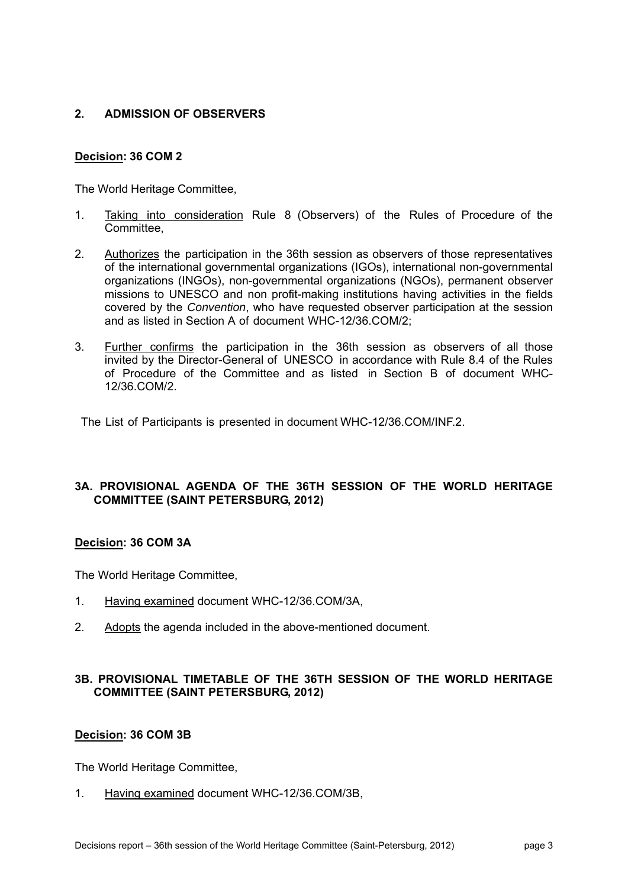#### **2. ADMISSION OF OBSERVERS**

#### **Decision: 36 COM 2**

The World Heritage Committee,

- 1. Taking into consideration Rule 8 (Observers) of the Rules of Procedure of the Committee,
- 2. Authorizes the participation in the 36th session as observers of those representatives of the international governmental organizations (IGOs), international non-governmental organizations (INGOs), non-governmental organizations (NGOs), permanent observer missions to UNESCO and non profit-making institutions having activities in the fields covered by the *Convention*, who have requested observer participation at the session and as listed in Section A of document WHC-12/36.COM/2;
- 3. Further confirms the participation in the 36th session as observers of all those invited by the Director-General of UNESCO in accordance with Rule 8.4 of the Rules of Procedure of the Committee and as listed in Section B of document WHC-12/36.COM/2.

The List of Participants is presented in document WHC-12/36.COM/INF.2.

#### **3A. PROVISIONAL AGENDA OF THE 36TH SESSION OF THE WORLD HERITAGE COMMITTEE (SAINT PETERSBURG, 2012)**

#### **Decision: 36 COM 3A**

The World Heritage Committee,

- 1. Having examined document WHC-12/36.COM/3A,
- 2. Adopts the agenda included in the above-mentioned document.

#### **3B. PROVISIONAL TIMETABLE OF THE 36TH SESSION OF THE WORLD HERITAGE COMMITTEE (SAINT PETERSBURG, 2012)**

#### **Decision: 36 COM 3B**

The World Heritage Committee,

1. Having examined document WHC-12/36.COM/3B,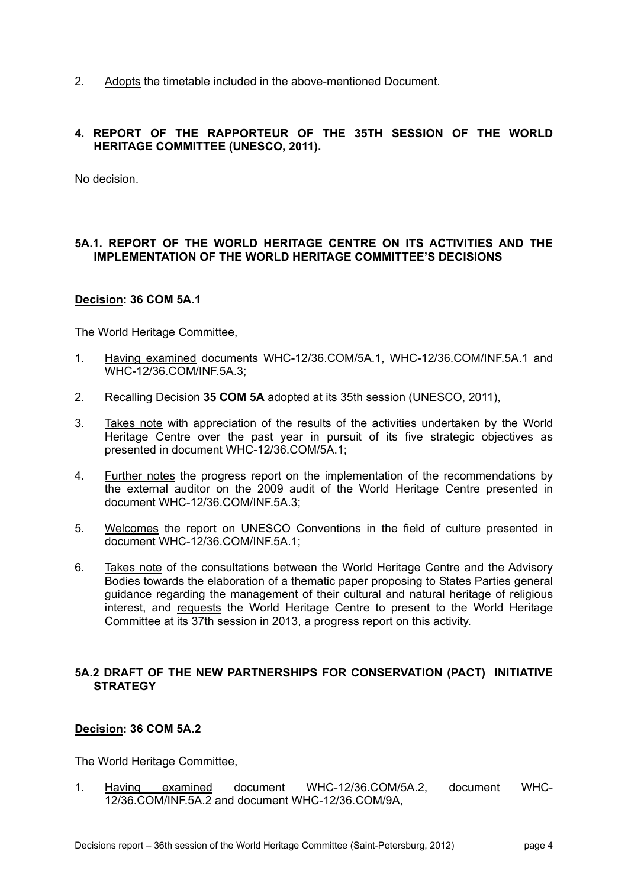2. Adopts the timetable included in the above-mentioned Document.

#### **4. REPORT OF THE RAPPORTEUR OF THE 35TH SESSION OF THE WORLD HERITAGE COMMITTEE (UNESCO, 2011).**

No decision.

#### **5A.1. REPORT OF THE WORLD HERITAGE CENTRE ON ITS ACTIVITIES AND THE IMPLEMENTATION OF THE WORLD HERITAGE COMMITTEE'S DECISIONS**

#### **Decision: 36 COM 5A.1**

The World Heritage Committee,

- 1. Having examined documents WHC-12/36.COM/5A.1, WHC-12/36.COM/INF.5A.1 and WHC-12/36.COM/INF.5A.3;
- 2. Recalling Decision **35 COM 5A** adopted at its 35th session (UNESCO, 2011),
- 3. Takes note with appreciation of the results of the activities undertaken by the World Heritage Centre over the past year in pursuit of its five strategic objectives as presented in document WHC-12/36.COM/5A.1;
- 4. Further notes the progress report on the implementation of the recommendations by the external auditor on the 2009 audit of the World Heritage Centre presented in document WHC-12/36.COM/INF.5A.3;
- 5. Welcomes the report on UNESCO Conventions in the field of culture presented in document WHC-12/36.COM/INF.5A.1;
- 6. Takes note of the consultations between the World Heritage Centre and the Advisory Bodies towards the elaboration of a thematic paper proposing to States Parties general guidance regarding the management of their cultural and natural heritage of religious interest, and requests the World Heritage Centre to present to the World Heritage Committee at its 37th session in 2013, a progress report on this activity.

#### **5A.2 DRAFT OF THE NEW PARTNERSHIPS FOR CONSERVATION (PACT) INITIATIVE STRATEGY**

#### **Decision: 36 COM 5A.2**

The World Heritage Committee,

1. Having examined document WHC-12/36.COM/5A.2, document WHC-12/36.COM/INF.5A.2 and document WHC-12/36.COM/9A,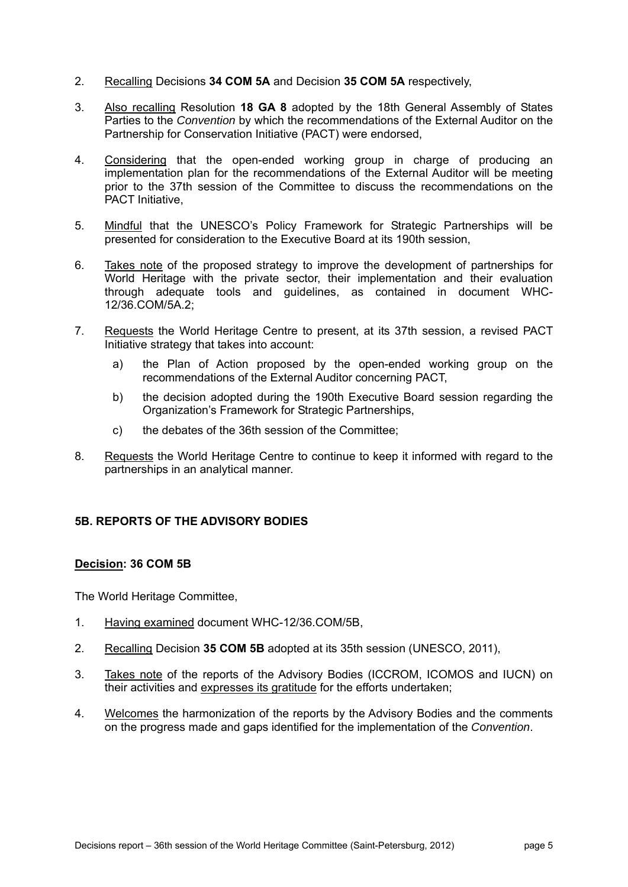- 2. Recalling Decisions **34 COM 5A** and Decision **35 COM 5A** respectively,
- 3. Also recalling Resolution **18 GA 8** adopted by the 18th General Assembly of States Parties to the *Convention* by which the recommendations of the External Auditor on the Partnership for Conservation Initiative (PACT) were endorsed,
- 4. Considering that the open-ended working group in charge of producing an implementation plan for the recommendations of the External Auditor will be meeting prior to the 37th session of the Committee to discuss the recommendations on the PACT Initiative,
- 5. Mindful that the UNESCO's Policy Framework for Strategic Partnerships will be presented for consideration to the Executive Board at its 190th session,
- 6. Takes note of the proposed strategy to improve the development of partnerships for World Heritage with the private sector, their implementation and their evaluation through adequate tools and guidelines, as contained in document WHC-12/36.COM/5A.2;
- 7. Requests the World Heritage Centre to present, at its 37th session, a revised PACT Initiative strategy that takes into account:
	- a) the Plan of Action proposed by the open-ended working group on the recommendations of the External Auditor concerning PACT,
	- b) the decision adopted during the 190th Executive Board session regarding the Organization's Framework for Strategic Partnerships,
	- c) the debates of the 36th session of the Committee;
- 8. Requests the World Heritage Centre to continue to keep it informed with regard to the partnerships in an analytical manner.

#### **5B. REPORTS OF THE ADVISORY BODIES**

#### **Decision: 36 COM 5B**

- 1. Having examined document WHC-12/36.COM/5B,
- 2. Recalling Decision **35 COM 5B** adopted at its 35th session (UNESCO, 2011),
- 3. Takes note of the reports of the Advisory Bodies (ICCROM, ICOMOS and IUCN) on their activities and expresses its gratitude for the efforts undertaken;
- 4. Welcomes the harmonization of the reports by the Advisory Bodies and the comments on the progress made and gaps identified for the implementation of the *Convention*.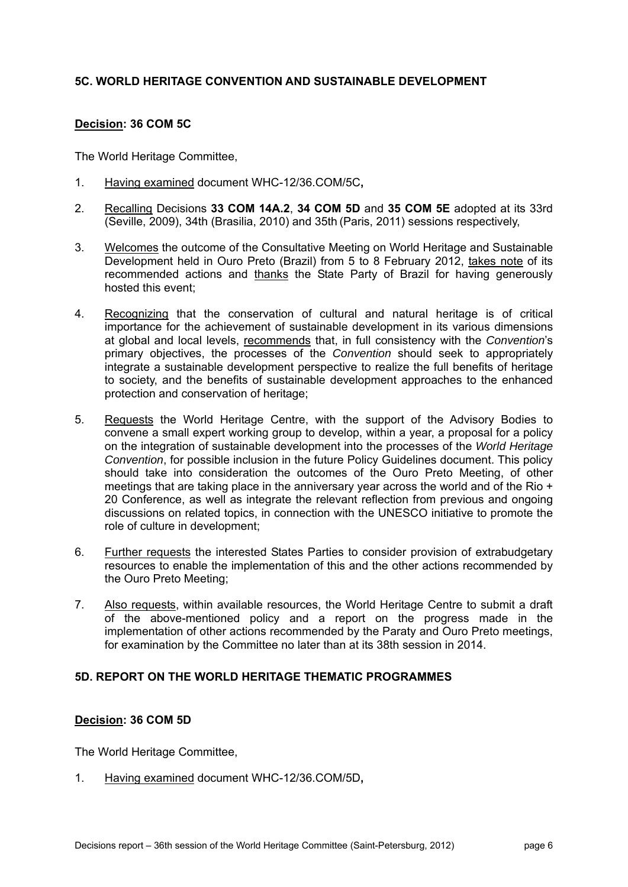#### **5C. WORLD HERITAGE CONVENTION AND SUSTAINABLE DEVELOPMENT**

#### **Decision: 36 COM 5C**

The World Heritage Committee,

- 1. Having examined document WHC-12/36.COM/5C**,**
- 2. Recalling Decisions **33 COM 14A.2**, **34 COM 5D** and **35 COM 5E** adopted at its 33rd (Seville, 2009), 34th (Brasilia, 2010) and 35th (Paris, 2011) sessions respectively,
- 3. Welcomes the outcome of the Consultative Meeting on World Heritage and Sustainable Development held in Ouro Preto (Brazil) from 5 to 8 February 2012, takes note of its recommended actions and thanks the State Party of Brazil for having generously hosted this event;
- 4. Recognizing that the conservation of cultural and natural heritage is of critical importance for the achievement of sustainable development in its various dimensions at global and local levels, recommends that, in full consistency with the *Convention*'s primary objectives, the processes of the *Convention* should seek to appropriately integrate a sustainable development perspective to realize the full benefits of heritage to society, and the benefits of sustainable development approaches to the enhanced protection and conservation of heritage;
- 5. Requests the World Heritage Centre, with the support of the Advisory Bodies to convene a small expert working group to develop, within a year, a proposal for a policy on the integration of sustainable development into the processes of the *World Heritage Convention*, for possible inclusion in the future Policy Guidelines document. This policy should take into consideration the outcomes of the Ouro Preto Meeting, of other meetings that are taking place in the anniversary year across the world and of the Rio + 20 Conference, as well as integrate the relevant reflection from previous and ongoing discussions on related topics, in connection with the UNESCO initiative to promote the role of culture in development;
- 6. Further requests the interested States Parties to consider provision of extrabudgetary resources to enable the implementation of this and the other actions recommended by the Ouro Preto Meeting;
- 7. Also requests, within available resources, the World Heritage Centre to submit a draft of the above-mentioned policy and a report on the progress made in the implementation of other actions recommended by the Paraty and Ouro Preto meetings, for examination by the Committee no later than at its 38th session in 2014.

#### **5D. REPORT ON THE WORLD HERITAGE THEMATIC PROGRAMMES**

#### **Decision: 36 COM 5D**

The World Heritage Committee,

1. Having examined document WHC-12/36.COM/5D**,**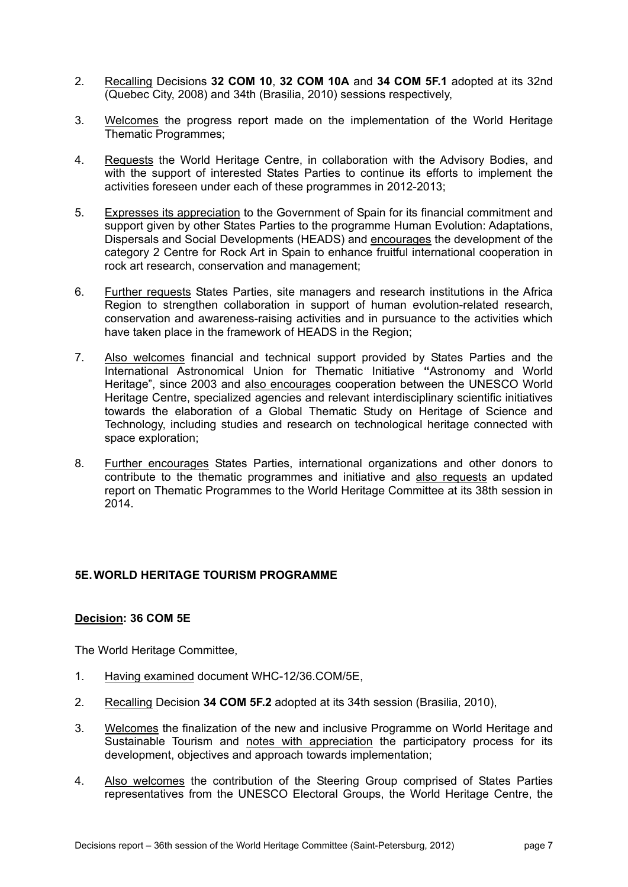- 2. Recalling Decisions **32 COM 10**, **32 COM 10A** and **34 COM 5F.1** adopted at its 32nd (Quebec City, 2008) and 34th (Brasilia, 2010) sessions respectively,
- 3. Welcomes the progress report made on the implementation of the World Heritage Thematic Programmes;
- 4. Requests the World Heritage Centre, in collaboration with the Advisory Bodies, and with the support of interested States Parties to continue its efforts to implement the activities foreseen under each of these programmes in 2012-2013;
- 5. Expresses its appreciation to the Government of Spain for its financial commitment and support given by other States Parties to the programme Human Evolution: Adaptations, Dispersals and Social Developments (HEADS) and encourages the development of the category 2 Centre for Rock Art in Spain to enhance fruitful international cooperation in rock art research, conservation and management;
- 6. Further requests States Parties, site managers and research institutions in the Africa Region to strengthen collaboration in support of human evolution-related research, conservation and awareness-raising activities and in pursuance to the activities which have taken place in the framework of HEADS in the Region;
- 7. Also welcomes financial and technical support provided by States Parties and the International Astronomical Union for Thematic Initiative **"**Astronomy and World Heritage", since 2003 and also encourages cooperation between the UNESCO World Heritage Centre, specialized agencies and relevant interdisciplinary scientific initiatives towards the elaboration of a Global Thematic Study on Heritage of Science and Technology, including studies and research on technological heritage connected with space exploration;
- 8. Further encourages States Parties, international organizations and other donors to contribute to the thematic programmes and initiative and also requests an updated report on Thematic Programmes to the World Heritage Committee at its 38th session in 2014.

#### **5E. WORLD HERITAGE TOURISM PROGRAMME**

#### **Decision: 36 COM 5E**

- 1. Having examined document WHC-12/36.COM/5E,
- 2. Recalling Decision **34 COM 5F.2** adopted at its 34th session (Brasilia, 2010),
- 3. Welcomes the finalization of the new and inclusive Programme on World Heritage and Sustainable Tourism and notes with appreciation the participatory process for its development, objectives and approach towards implementation;
- 4. Also welcomes the contribution of the Steering Group comprised of States Parties representatives from the UNESCO Electoral Groups, the World Heritage Centre, the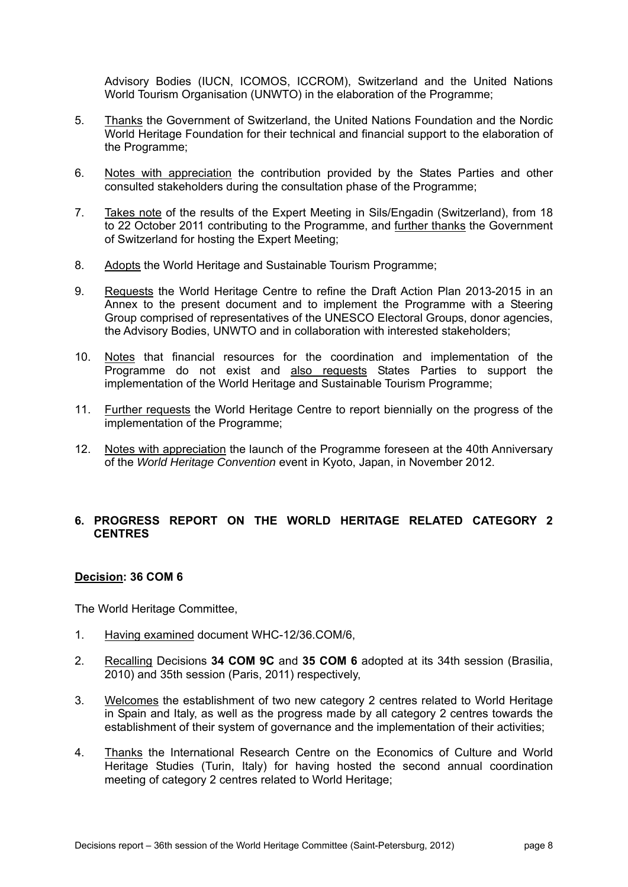Advisory Bodies (IUCN, ICOMOS, ICCROM), Switzerland and the United Nations World Tourism Organisation (UNWTO) in the elaboration of the Programme;

- 5. Thanks the Government of Switzerland, the United Nations Foundation and the Nordic World Heritage Foundation for their technical and financial support to the elaboration of the Programme;
- 6. Notes with appreciation the contribution provided by the States Parties and other consulted stakeholders during the consultation phase of the Programme;
- 7. Takes note of the results of the Expert Meeting in Sils/Engadin (Switzerland), from 18 to 22 October 2011 contributing to the Programme, and further thanks the Government of Switzerland for hosting the Expert Meeting;
- 8. Adopts the World Heritage and Sustainable Tourism Programme;
- 9. Requests the World Heritage Centre to refine the Draft Action Plan 2013-2015 in an Annex to the present document and to implement the Programme with a Steering Group comprised of representatives of the UNESCO Electoral Groups, donor agencies, the Advisory Bodies, UNWTO and in collaboration with interested stakeholders;
- 10. Notes that financial resources for the coordination and implementation of the Programme do not exist and also requests States Parties to support the implementation of the World Heritage and Sustainable Tourism Programme;
- 11. Further requests the World Heritage Centre to report biennially on the progress of the implementation of the Programme;
- 12. Notes with appreciation the launch of the Programme foreseen at the 40th Anniversary of the *World Heritage Convention* event in Kyoto, Japan, in November 2012.

#### **6. PROGRESS REPORT ON THE WORLD HERITAGE RELATED CATEGORY 2 CENTRES**

#### **Decision: 36 COM 6**

- 1. Having examined document WHC-12/36.COM/6,
- 2. Recalling Decisions **34 COM 9C** and **35 COM 6** adopted at its 34th session (Brasilia, 2010) and 35th session (Paris, 2011) respectively,
- 3. Welcomes the establishment of two new category 2 centres related to World Heritage in Spain and Italy, as well as the progress made by all category 2 centres towards the establishment of their system of governance and the implementation of their activities;
- 4. Thanks the International Research Centre on the Economics of Culture and World Heritage Studies (Turin, Italy) for having hosted the second annual coordination meeting of category 2 centres related to World Heritage;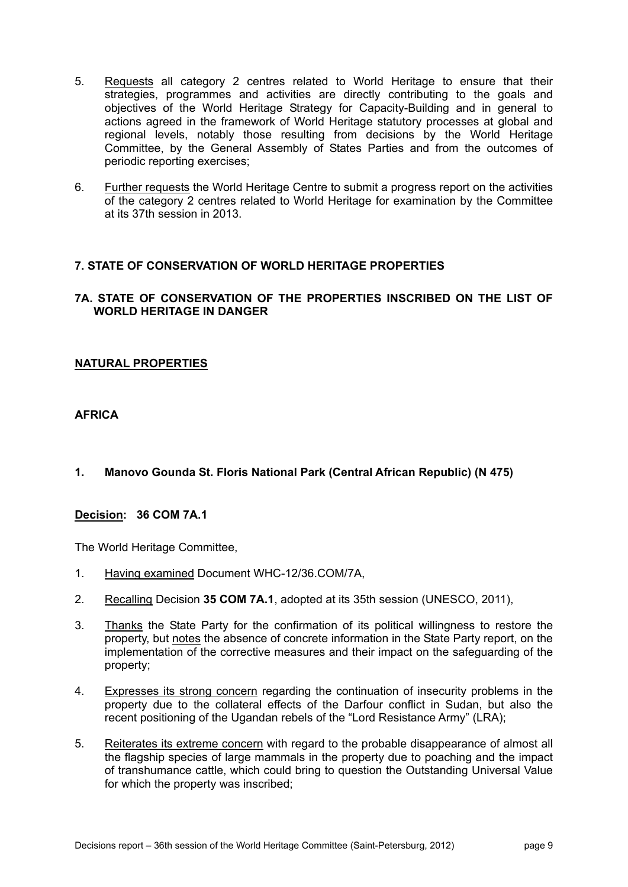- 5. Requests all category 2 centres related to World Heritage to ensure that their strategies, programmes and activities are directly contributing to the goals and objectives of the World Heritage Strategy for Capacity-Building and in general to actions agreed in the framework of World Heritage statutory processes at global and regional levels, notably those resulting from decisions by the World Heritage Committee, by the General Assembly of States Parties and from the outcomes of periodic reporting exercises;
- 6. Further requests the World Heritage Centre to submit a progress report on the activities of the category 2 centres related to World Heritage for examination by the Committee at its 37th session in 2013.

#### **7. STATE OF CONSERVATION OF WORLD HERITAGE PROPERTIES**

#### **7A. STATE OF CONSERVATION OF THE PROPERTIES INSCRIBED ON THE LIST OF WORLD HERITAGE IN DANGER**

#### **NATURAL PROPERTIES**

#### **AFRICA**

#### **1. Manovo Gounda St. Floris National Park (Central African Republic) (N 475)**

#### **Decision: 36 COM 7A.1**

- 1. Having examined Document WHC-12/36.COM/7A,
- 2. Recalling Decision **35 COM 7A.1**, adopted at its 35th session (UNESCO, 2011),
- 3. Thanks the State Party for the confirmation of its political willingness to restore the property, but notes the absence of concrete information in the State Party report, on the implementation of the corrective measures and their impact on the safeguarding of the property;
- 4. Expresses its strong concern regarding the continuation of insecurity problems in the property due to the collateral effects of the Darfour conflict in Sudan, but also the recent positioning of the Ugandan rebels of the "Lord Resistance Army" (LRA);
- 5. Reiterates its extreme concern with regard to the probable disappearance of almost all the flagship species of large mammals in the property due to poaching and the impact of transhumance cattle, which could bring to question the Outstanding Universal Value for which the property was inscribed;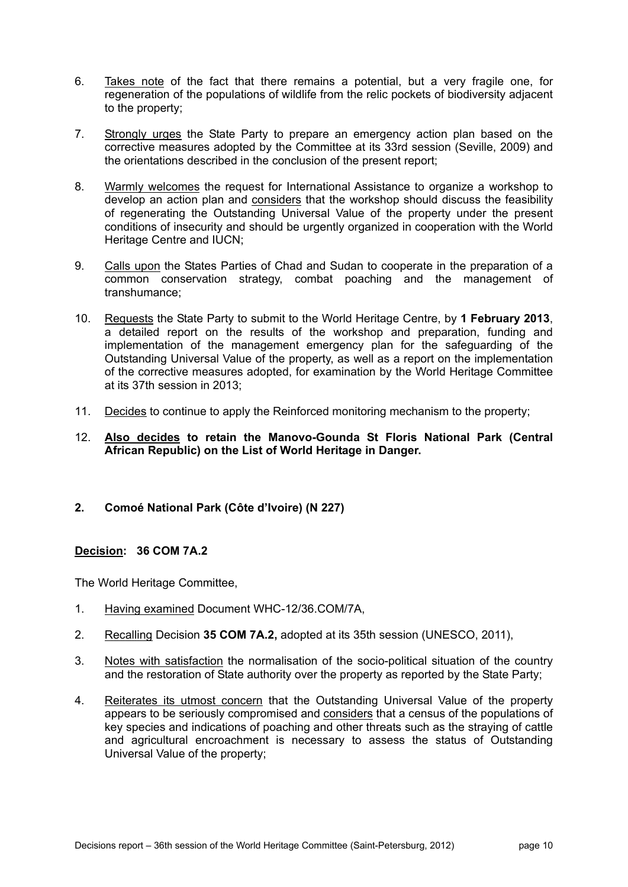- 6. Takes note of the fact that there remains a potential, but a very fragile one, for regeneration of the populations of wildlife from the relic pockets of biodiversity adjacent to the property;
- 7. Strongly urges the State Party to prepare an emergency action plan based on the corrective measures adopted by the Committee at its 33rd session (Seville, 2009) and the orientations described in the conclusion of the present report;
- 8. Warmly welcomes the request for International Assistance to organize a workshop to develop an action plan and considers that the workshop should discuss the feasibility of regenerating the Outstanding Universal Value of the property under the present conditions of insecurity and should be urgently organized in cooperation with the World Heritage Centre and IUCN;
- 9. Calls upon the States Parties of Chad and Sudan to cooperate in the preparation of a common conservation strategy, combat poaching and the management of transhumance;
- 10. Requests the State Party to submit to the World Heritage Centre, by **1 February 2013**, a detailed report on the results of the workshop and preparation, funding and implementation of the management emergency plan for the safeguarding of the Outstanding Universal Value of the property, as well as a report on the implementation of the corrective measures adopted, for examination by the World Heritage Committee at its 37th session in 2013;
- 11. Decides to continue to apply the Reinforced monitoring mechanism to the property;
- 12. **Also decides to retain the Manovo-Gounda St Floris National Park (Central African Republic) on the List of World Heritage in Danger.**
- **2. Comoé National Park (Côte d'Ivoire) (N 227)**

#### **Decision: 36 COM 7A.2**

- 1. Having examined Document WHC-12/36.COM/7A,
- 2. Recalling Decision **35 COM 7A.2,** adopted at its 35th session (UNESCO, 2011),
- 3. Notes with satisfaction the normalisation of the socio-political situation of the country and the restoration of State authority over the property as reported by the State Party;
- 4. Reiterates its utmost concern that the Outstanding Universal Value of the property appears to be seriously compromised and considers that a census of the populations of key species and indications of poaching and other threats such as the straying of cattle and agricultural encroachment is necessary to assess the status of Outstanding Universal Value of the property;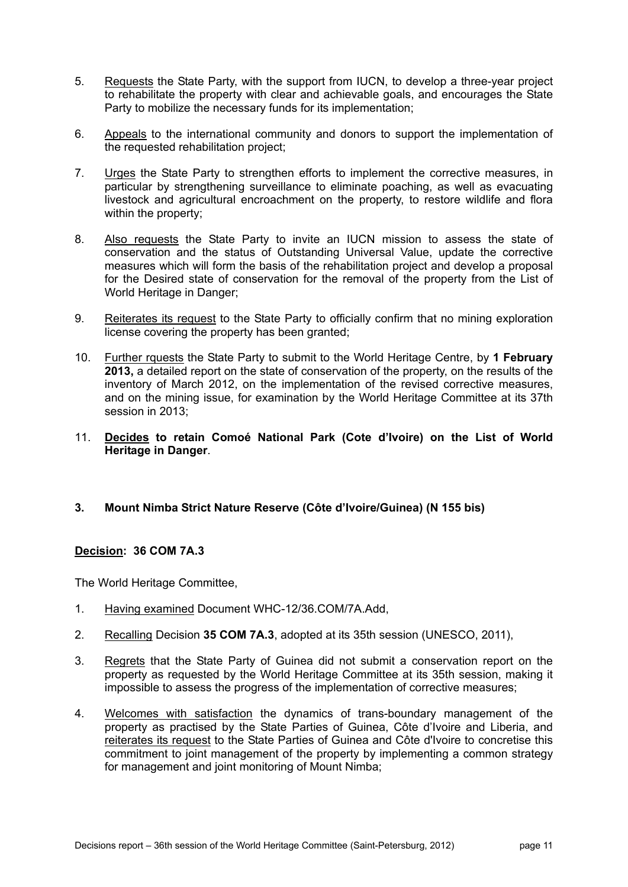- 5. Requests the State Party, with the support from IUCN, to develop a three-year project to rehabilitate the property with clear and achievable goals, and encourages the State Party to mobilize the necessary funds for its implementation;
- 6. Appeals to the international community and donors to support the implementation of the requested rehabilitation project;
- 7. Urges the State Party to strengthen efforts to implement the corrective measures, in particular by strengthening surveillance to eliminate poaching, as well as evacuating livestock and agricultural encroachment on the property, to restore wildlife and flora within the property;
- 8. Also requests the State Party to invite an IUCN mission to assess the state of conservation and the status of Outstanding Universal Value, update the corrective measures which will form the basis of the rehabilitation project and develop a proposal for the Desired state of conservation for the removal of the property from the List of World Heritage in Danger;
- 9. Reiterates its request to the State Party to officially confirm that no mining exploration license covering the property has been granted;
- 10. Further rquests the State Party to submit to the World Heritage Centre, by **1 February 2013,** a detailed report on the state of conservation of the property, on the results of the inventory of March 2012, on the implementation of the revised corrective measures, and on the mining issue, for examination by the World Heritage Committee at its 37th session in 2013;
- 11. **Decides to retain Comoé National Park (Cote d'Ivoire) on the List of World Heritage in Danger**.
- **3. Mount Nimba Strict Nature Reserve (Côte d'Ivoire/Guinea) (N 155 bis)**

#### **Decision: 36 COM 7A.3**

- 1. Having examined Document WHC-12/36.COM/7A.Add,
- 2. Recalling Decision **35 COM 7A.3**, adopted at its 35th session (UNESCO, 2011),
- 3. Regrets that the State Party of Guinea did not submit a conservation report on the property as requested by the World Heritage Committee at its 35th session, making it impossible to assess the progress of the implementation of corrective measures;
- 4. Welcomes with satisfaction the dynamics of trans-boundary management of the property as practised by the State Parties of Guinea, Côte d'Ivoire and Liberia, and reiterates its request to the State Parties of Guinea and Côte d'Ivoire to concretise this commitment to joint management of the property by implementing a common strategy for management and joint monitoring of Mount Nimba;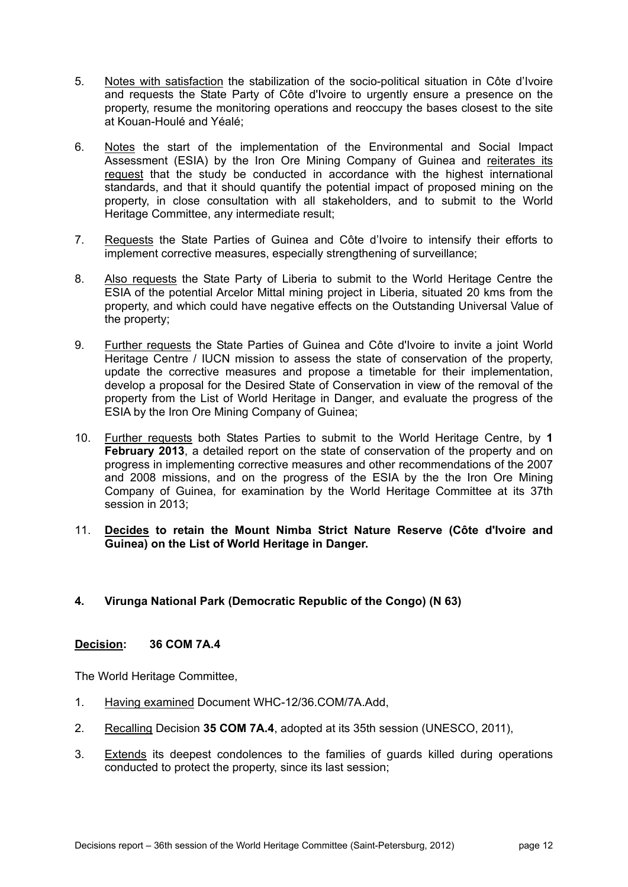- 5. Notes with satisfaction the stabilization of the socio-political situation in Côte d'Ivoire and requests the State Party of Côte d'Ivoire to urgently ensure a presence on the property, resume the monitoring operations and reoccupy the bases closest to the site at Kouan-Houlé and Yéalé;
- 6. Notes the start of the implementation of the Environmental and Social Impact Assessment (ESIA) by the Iron Ore Mining Company of Guinea and reiterates its request that the study be conducted in accordance with the highest international standards, and that it should quantify the potential impact of proposed mining on the property, in close consultation with all stakeholders, and to submit to the World Heritage Committee, any intermediate result;
- 7. Requests the State Parties of Guinea and Côte d'Ivoire to intensify their efforts to implement corrective measures, especially strengthening of surveillance;
- 8. Also requests the State Party of Liberia to submit to the World Heritage Centre the ESIA of the potential Arcelor Mittal mining project in Liberia, situated 20 kms from the property, and which could have negative effects on the Outstanding Universal Value of the property;
- 9. Further requests the State Parties of Guinea and Côte d'Ivoire to invite a joint World Heritage Centre / IUCN mission to assess the state of conservation of the property, update the corrective measures and propose a timetable for their implementation, develop a proposal for the Desired State of Conservation in view of the removal of the property from the List of World Heritage in Danger, and evaluate the progress of the ESIA by the Iron Ore Mining Company of Guinea;
- 10. Further requests both States Parties to submit to the World Heritage Centre, by **1 February 2013**, a detailed report on the state of conservation of the property and on progress in implementing corrective measures and other recommendations of the 2007 and 2008 missions, and on the progress of the ESIA by the the Iron Ore Mining Company of Guinea, for examination by the World Heritage Committee at its 37th session in 2013;
- 11. **Decides to retain the Mount Nimba Strict Nature Reserve (Côte d'Ivoire and Guinea) on the List of World Heritage in Danger.**

#### **4. Virunga National Park (Democratic Republic of the Congo) (N 63)**

#### **Decision: 36 COM 7A.4**

- 1. Having examined Document WHC-12/36.COM/7A.Add,
- 2. Recalling Decision **35 COM 7A.4**, adopted at its 35th session (UNESCO, 2011),
- 3. Extends its deepest condolences to the families of guards killed during operations conducted to protect the property, since its last session;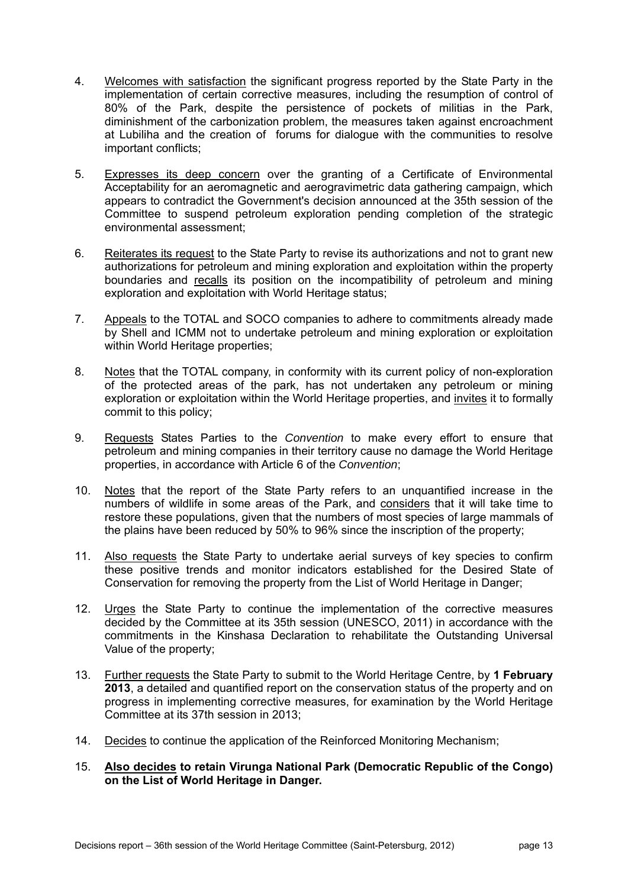- 4. Welcomes with satisfaction the significant progress reported by the State Party in the implementation of certain corrective measures, including the resumption of control of 80% of the Park, despite the persistence of pockets of militias in the Park, diminishment of the carbonization problem, the measures taken against encroachment at Lubiliha and the creation of forums for dialogue with the communities to resolve important conflicts;
- 5. Expresses its deep concern over the granting of a Certificate of Environmental Acceptability for an aeromagnetic and aerogravimetric data gathering campaign, which appears to contradict the Government's decision announced at the 35th session of the Committee to suspend petroleum exploration pending completion of the strategic environmental assessment;
- 6. Reiterates its request to the State Party to revise its authorizations and not to grant new authorizations for petroleum and mining exploration and exploitation within the property boundaries and recalls its position on the incompatibility of petroleum and mining exploration and exploitation with World Heritage status;
- 7. Appeals to the TOTAL and SOCO companies to adhere to commitments already made by Shell and ICMM not to undertake petroleum and mining exploration or exploitation within World Heritage properties;
- 8. Notes that the TOTAL company, in conformity with its current policy of non-exploration of the protected areas of the park, has not undertaken any petroleum or mining exploration or exploitation within the World Heritage properties, and *invites* it to formally commit to this policy;
- 9. Requests States Parties to the *Convention* to make every effort to ensure that petroleum and mining companies in their territory cause no damage the World Heritage properties, in accordance with Article 6 of the *Convention*;
- 10. Notes that the report of the State Party refers to an unquantified increase in the numbers of wildlife in some areas of the Park, and considers that it will take time to restore these populations, given that the numbers of most species of large mammals of the plains have been reduced by 50% to 96% since the inscription of the property;
- 11. Also requests the State Party to undertake aerial surveys of key species to confirm these positive trends and monitor indicators established for the Desired State of Conservation for removing the property from the List of World Heritage in Danger;
- 12. Urges the State Party to continue the implementation of the corrective measures decided by the Committee at its 35th session (UNESCO, 2011) in accordance with the commitments in the Kinshasa Declaration to rehabilitate the Outstanding Universal Value of the property;
- 13. Further requests the State Party to submit to the World Heritage Centre, by **1 February 2013**, a detailed and quantified report on the conservation status of the property and on progress in implementing corrective measures, for examination by the World Heritage Committee at its 37th session in 2013;
- 14. Decides to continue the application of the Reinforced Monitoring Mechanism;
- 15. **Also decides to retain Virunga National Park (Democratic Republic of the Congo) on the List of World Heritage in Danger.**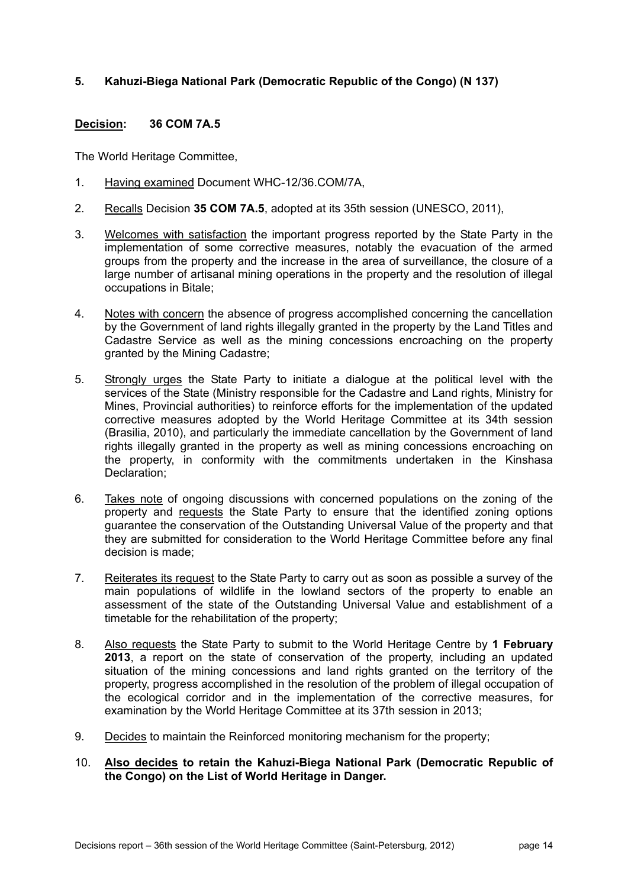#### **5. Kahuzi-Biega National Park (Democratic Republic of the Congo) (N 137)**

#### **Decision: 36 COM 7A.5**

- 1. Having examined Document WHC-12/36.COM/7A,
- 2. Recalls Decision **35 COM 7A.5**, adopted at its 35th session (UNESCO, 2011),
- 3. Welcomes with satisfaction the important progress reported by the State Party in the implementation of some corrective measures, notably the evacuation of the armed groups from the property and the increase in the area of surveillance, the closure of a large number of artisanal mining operations in the property and the resolution of illegal occupations in Bitale;
- 4. Notes with concern the absence of progress accomplished concerning the cancellation by the Government of land rights illegally granted in the property by the Land Titles and Cadastre Service as well as the mining concessions encroaching on the property granted by the Mining Cadastre;
- 5. Strongly urges the State Party to initiate a dialogue at the political level with the services of the State (Ministry responsible for the Cadastre and Land rights, Ministry for Mines, Provincial authorities) to reinforce efforts for the implementation of the updated corrective measures adopted by the World Heritage Committee at its 34th session (Brasilia, 2010), and particularly the immediate cancellation by the Government of land rights illegally granted in the property as well as mining concessions encroaching on the property, in conformity with the commitments undertaken in the Kinshasa Declaration;
- 6. Takes note of ongoing discussions with concerned populations on the zoning of the property and requests the State Party to ensure that the identified zoning options guarantee the conservation of the Outstanding Universal Value of the property and that they are submitted for consideration to the World Heritage Committee before any final decision is made;
- 7. Reiterates its request to the State Party to carry out as soon as possible a survey of the main populations of wildlife in the lowland sectors of the property to enable an assessment of the state of the Outstanding Universal Value and establishment of a timetable for the rehabilitation of the property;
- 8. Also requests the State Party to submit to the World Heritage Centre by **1 February 2013**, a report on the state of conservation of the property, including an updated situation of the mining concessions and land rights granted on the territory of the property, progress accomplished in the resolution of the problem of illegal occupation of the ecological corridor and in the implementation of the corrective measures, for examination by the World Heritage Committee at its 37th session in 2013;
- 9. Decides to maintain the Reinforced monitoring mechanism for the property;
- 10. **Also decides to retain the Kahuzi-Biega National Park (Democratic Republic of the Congo) on the List of World Heritage in Danger.**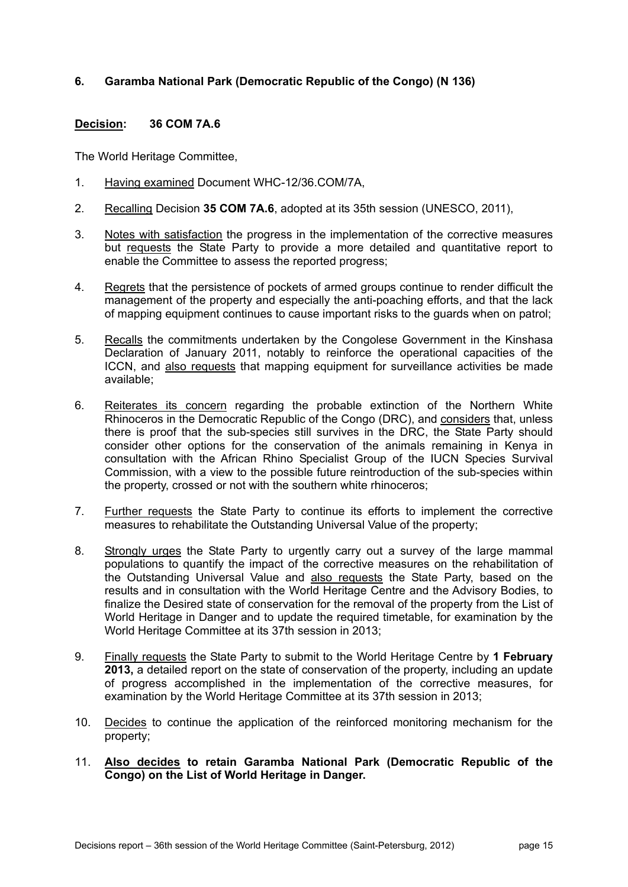#### **6. Garamba National Park (Democratic Republic of the Congo) (N 136)**

#### **Decision: 36 COM 7A.6**

- 1. Having examined Document WHC-12/36.COM/7A,
- 2. Recalling Decision **35 COM 7A.6**, adopted at its 35th session (UNESCO, 2011),
- 3. Notes with satisfaction the progress in the implementation of the corrective measures but requests the State Party to provide a more detailed and quantitative report to enable the Committee to assess the reported progress;
- 4. Regrets that the persistence of pockets of armed groups continue to render difficult the management of the property and especially the anti-poaching efforts, and that the lack of mapping equipment continues to cause important risks to the guards when on patrol;
- 5. Recalls the commitments undertaken by the Congolese Government in the Kinshasa Declaration of January 2011, notably to reinforce the operational capacities of the ICCN, and also requests that mapping equipment for surveillance activities be made available;
- 6. Reiterates its concern regarding the probable extinction of the Northern White Rhinoceros in the Democratic Republic of the Congo (DRC), and considers that, unless there is proof that the sub-species still survives in the DRC, the State Party should consider other options for the conservation of the animals remaining in Kenya in consultation with the African Rhino Specialist Group of the IUCN Species Survival Commission, with a view to the possible future reintroduction of the sub-species within the property, crossed or not with the southern white rhinoceros;
- 7. Further requests the State Party to continue its efforts to implement the corrective measures to rehabilitate the Outstanding Universal Value of the property;
- 8. Strongly urges the State Party to urgently carry out a survey of the large mammal populations to quantify the impact of the corrective measures on the rehabilitation of the Outstanding Universal Value and also requests the State Party, based on the results and in consultation with the World Heritage Centre and the Advisory Bodies, to finalize the Desired state of conservation for the removal of the property from the List of World Heritage in Danger and to update the required timetable, for examination by the World Heritage Committee at its 37th session in 2013;
- 9. Finally requests the State Party to submit to the World Heritage Centre by **1 February 2013,** a detailed report on the state of conservation of the property, including an update of progress accomplished in the implementation of the corrective measures, for examination by the World Heritage Committee at its 37th session in 2013;
- 10. Decides to continue the application of the reinforced monitoring mechanism for the property;
- 11. **Also decides to retain Garamba National Park (Democratic Republic of the Congo) on the List of World Heritage in Danger.**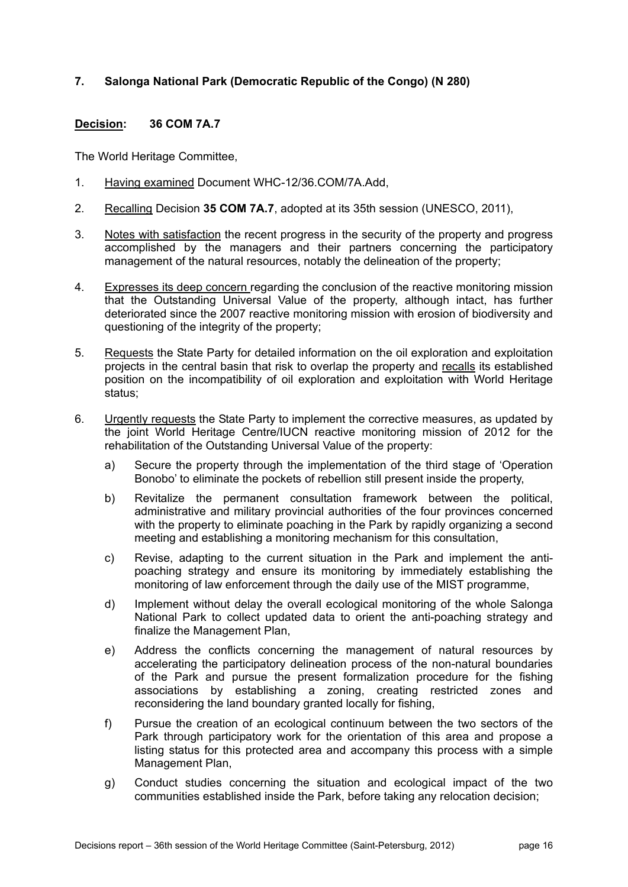#### **7. Salonga National Park (Democratic Republic of the Congo) (N 280)**

#### **Decision: 36 COM 7A.7**

- 1. Having examined Document WHC-12/36.COM/7A.Add,
- 2. Recalling Decision **35 COM 7A.7**, adopted at its 35th session (UNESCO, 2011),
- 3. Notes with satisfaction the recent progress in the security of the property and progress accomplished by the managers and their partners concerning the participatory management of the natural resources, notably the delineation of the property;
- 4. Expresses its deep concern regarding the conclusion of the reactive monitoring mission that the Outstanding Universal Value of the property, although intact, has further deteriorated since the 2007 reactive monitoring mission with erosion of biodiversity and questioning of the integrity of the property;
- 5. Requests the State Party for detailed information on the oil exploration and exploitation projects in the central basin that risk to overlap the property and recalls its established position on the incompatibility of oil exploration and exploitation with World Heritage status;
- 6. Urgently requests the State Party to implement the corrective measures, as updated by the joint World Heritage Centre/IUCN reactive monitoring mission of 2012 for the rehabilitation of the Outstanding Universal Value of the property:
	- a) Secure the property through the implementation of the third stage of 'Operation Bonobo' to eliminate the pockets of rebellion still present inside the property,
	- b) Revitalize the permanent consultation framework between the political, administrative and military provincial authorities of the four provinces concerned with the property to eliminate poaching in the Park by rapidly organizing a second meeting and establishing a monitoring mechanism for this consultation,
	- c) Revise, adapting to the current situation in the Park and implement the antipoaching strategy and ensure its monitoring by immediately establishing the monitoring of law enforcement through the daily use of the MIST programme,
	- d) Implement without delay the overall ecological monitoring of the whole Salonga National Park to collect updated data to orient the anti-poaching strategy and finalize the Management Plan,
	- e) Address the conflicts concerning the management of natural resources by accelerating the participatory delineation process of the non-natural boundaries of the Park and pursue the present formalization procedure for the fishing associations by establishing a zoning, creating restricted zones and reconsidering the land boundary granted locally for fishing,
	- f) Pursue the creation of an ecological continuum between the two sectors of the Park through participatory work for the orientation of this area and propose a listing status for this protected area and accompany this process with a simple Management Plan,
	- g) Conduct studies concerning the situation and ecological impact of the two communities established inside the Park, before taking any relocation decision;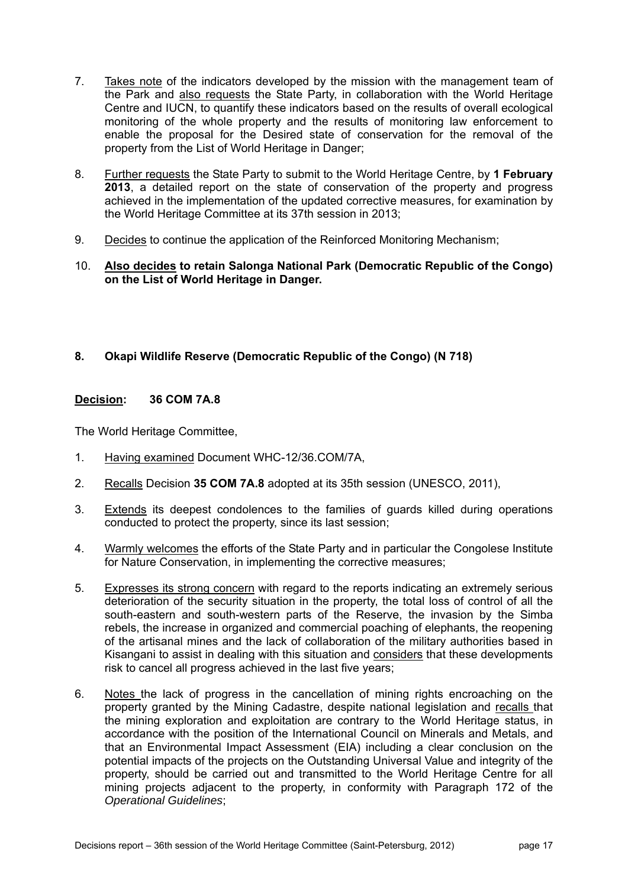- 7. Takes note of the indicators developed by the mission with the management team of the Park and also requests the State Party, in collaboration with the World Heritage Centre and IUCN, to quantify these indicators based on the results of overall ecological monitoring of the whole property and the results of monitoring law enforcement to enable the proposal for the Desired state of conservation for the removal of the property from the List of World Heritage in Danger;
- 8. Further requests the State Party to submit to the World Heritage Centre, by **1 February 2013**, a detailed report on the state of conservation of the property and progress achieved in the implementation of the updated corrective measures, for examination by the World Heritage Committee at its 37th session in 2013;
- 9. Decides to continue the application of the Reinforced Monitoring Mechanism;

#### 10. **Also decides to retain Salonga National Park (Democratic Republic of the Congo) on the List of World Heritage in Danger.**

### **8. Okapi Wildlife Reserve (Democratic Republic of the Congo) (N 718)**

#### **Decision: 36 COM 7A.8**

- 1. Having examined Document WHC-12/36.COM/7A,
- 2. Recalls Decision **35 COM 7A.8** adopted at its 35th session (UNESCO, 2011),
- 3. Extends its deepest condolences to the families of guards killed during operations conducted to protect the property, since its last session;
- 4. Warmly welcomes the efforts of the State Party and in particular the Congolese Institute for Nature Conservation, in implementing the corrective measures;
- 5. Expresses its strong concern with regard to the reports indicating an extremely serious deterioration of the security situation in the property, the total loss of control of all the south-eastern and south-western parts of the Reserve, the invasion by the Simba rebels, the increase in organized and commercial poaching of elephants, the reopening of the artisanal mines and the lack of collaboration of the military authorities based in Kisangani to assist in dealing with this situation and considers that these developments risk to cancel all progress achieved in the last five years;
- 6. Notes the lack of progress in the cancellation of mining rights encroaching on the property granted by the Mining Cadastre, despite national legislation and recalls that the mining exploration and exploitation are contrary to the World Heritage status, in accordance with the position of the International Council on Minerals and Metals, and that an Environmental Impact Assessment (EIA) including a clear conclusion on the potential impacts of the projects on the Outstanding Universal Value and integrity of the property, should be carried out and transmitted to the World Heritage Centre for all mining projects adjacent to the property, in conformity with Paragraph 172 of the *Operational Guidelines*;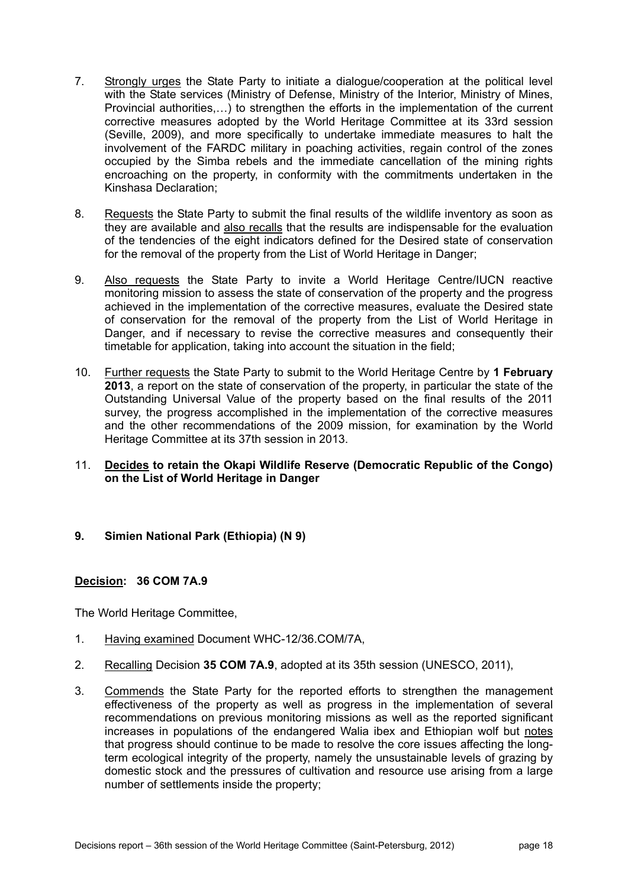- 7. Strongly urges the State Party to initiate a dialogue/cooperation at the political level with the State services (Ministry of Defense, Ministry of the Interior, Ministry of Mines, Provincial authorities,…) to strengthen the efforts in the implementation of the current corrective measures adopted by the World Heritage Committee at its 33rd session (Seville, 2009), and more specifically to undertake immediate measures to halt the involvement of the FARDC military in poaching activities, regain control of the zones occupied by the Simba rebels and the immediate cancellation of the mining rights encroaching on the property, in conformity with the commitments undertaken in the Kinshasa Declaration;
- 8. Requests the State Party to submit the final results of the wildlife inventory as soon as they are available and also recalls that the results are indispensable for the evaluation of the tendencies of the eight indicators defined for the Desired state of conservation for the removal of the property from the List of World Heritage in Danger;
- 9. Also requests the State Party to invite a World Heritage Centre/IUCN reactive monitoring mission to assess the state of conservation of the property and the progress achieved in the implementation of the corrective measures, evaluate the Desired state of conservation for the removal of the property from the List of World Heritage in Danger, and if necessary to revise the corrective measures and consequently their timetable for application, taking into account the situation in the field;
- 10. Further requests the State Party to submit to the World Heritage Centre by **1 February 2013**, a report on the state of conservation of the property, in particular the state of the Outstanding Universal Value of the property based on the final results of the 2011 survey, the progress accomplished in the implementation of the corrective measures and the other recommendations of the 2009 mission, for examination by the World Heritage Committee at its 37th session in 2013.
- 11. **Decides to retain the Okapi Wildlife Reserve (Democratic Republic of the Congo) on the List of World Heritage in Danger**
- **9. Simien National Park (Ethiopia) (N 9)**

#### **Decision: 36 COM 7A.9**

- 1. Having examined Document WHC-12/36.COM/7A,
- 2. Recalling Decision **35 COM 7A.9**, adopted at its 35th session (UNESCO, 2011),
- 3. Commends the State Party for the reported efforts to strengthen the management effectiveness of the property as well as progress in the implementation of several recommendations on previous monitoring missions as well as the reported significant increases in populations of the endangered Walia ibex and Ethiopian wolf but notes that progress should continue to be made to resolve the core issues affecting the longterm ecological integrity of the property, namely the unsustainable levels of grazing by domestic stock and the pressures of cultivation and resource use arising from a large number of settlements inside the property;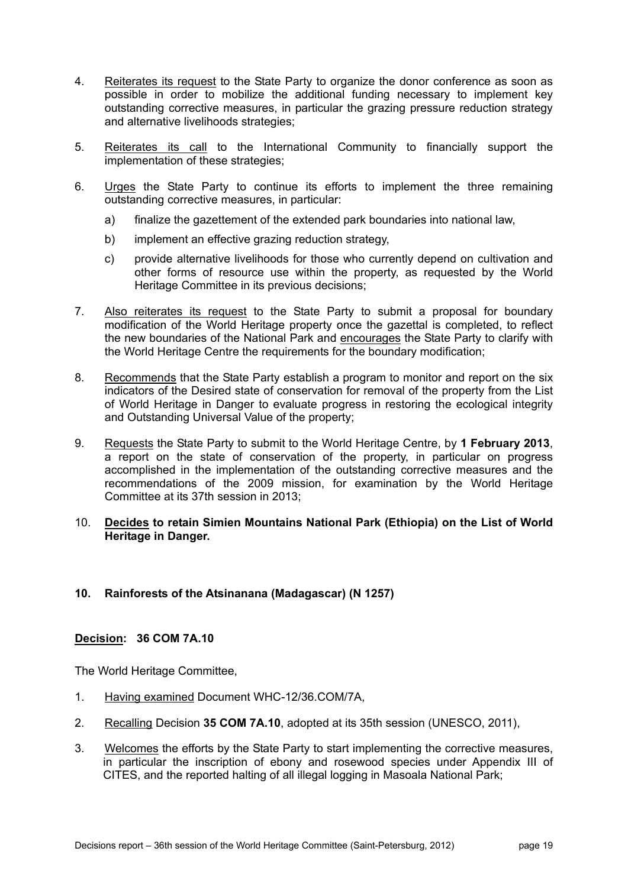- 4. Reiterates its request to the State Party to organize the donor conference as soon as possible in order to mobilize the additional funding necessary to implement key outstanding corrective measures, in particular the grazing pressure reduction strategy and alternative livelihoods strategies;
- 5. Reiterates its call to the International Community to financially support the implementation of these strategies;
- 6. Urges the State Party to continue its efforts to implement the three remaining outstanding corrective measures, in particular:
	- a) finalize the gazettement of the extended park boundaries into national law,
	- b) implement an effective grazing reduction strategy,
	- c) provide alternative livelihoods for those who currently depend on cultivation and other forms of resource use within the property, as requested by the World Heritage Committee in its previous decisions;
- 7. Also reiterates its request to the State Party to submit a proposal for boundary modification of the World Heritage property once the gazettal is completed, to reflect the new boundaries of the National Park and encourages the State Party to clarify with the World Heritage Centre the requirements for the boundary modification;
- 8. Recommends that the State Party establish a program to monitor and report on the six indicators of the Desired state of conservation for removal of the property from the List of World Heritage in Danger to evaluate progress in restoring the ecological integrity and Outstanding Universal Value of the property;
- 9. Requests the State Party to submit to the World Heritage Centre, by **1 February 2013**, a report on the state of conservation of the property, in particular on progress accomplished in the implementation of the outstanding corrective measures and the recommendations of the 2009 mission, for examination by the World Heritage Committee at its 37th session in 2013;
- 10. **Decides to retain Simien Mountains National Park (Ethiopia) on the List of World Heritage in Danger.**

#### **10. Rainforests of the Atsinanana (Madagascar) (N 1257)**

#### **Decision: 36 COM 7A.10**

- 1. Having examined Document WHC-12/36.COM/7A,
- 2. Recalling Decision **35 COM 7A.10**, adopted at its 35th session (UNESCO, 2011),
- 3. Welcomes the efforts by the State Party to start implementing the corrective measures, in particular the inscription of ebony and rosewood species under Appendix III of CITES, and the reported halting of all illegal logging in Masoala National Park;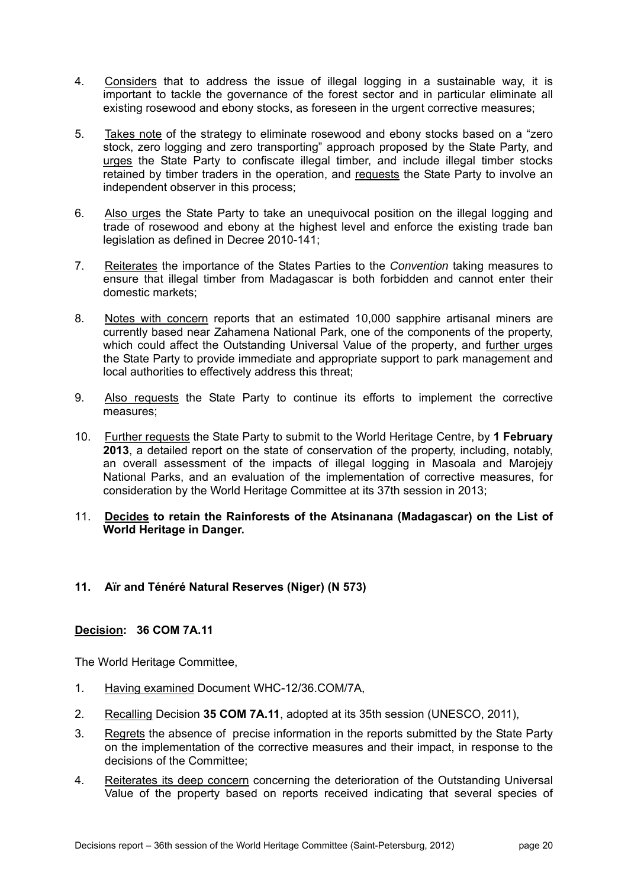- 4. Considers that to address the issue of illegal logging in a sustainable way, it is important to tackle the governance of the forest sector and in particular eliminate all existing rosewood and ebony stocks, as foreseen in the urgent corrective measures;
- 5. Takes note of the strategy to eliminate rosewood and ebony stocks based on a "zero stock, zero logging and zero transporting" approach proposed by the State Party, and urges the State Party to confiscate illegal timber, and include illegal timber stocks retained by timber traders in the operation, and requests the State Party to involve an independent observer in this process;
- 6. Also urges the State Party to take an unequivocal position on the illegal logging and trade of rosewood and ebony at the highest level and enforce the existing trade ban legislation as defined in Decree 2010-141;
- 7. Reiterates the importance of the States Parties to the *Convention* taking measures to ensure that illegal timber from Madagascar is both forbidden and cannot enter their domestic markets;
- 8. Notes with concern reports that an estimated 10,000 sapphire artisanal miners are currently based near Zahamena National Park, one of the components of the property, which could affect the Outstanding Universal Value of the property, and further urges the State Party to provide immediate and appropriate support to park management and local authorities to effectively address this threat;
- 9. Also requests the State Party to continue its efforts to implement the corrective measures;
- 10. Further requests the State Party to submit to the World Heritage Centre, by **1 February 2013**, a detailed report on the state of conservation of the property, including, notably, an overall assessment of the impacts of illegal logging in Masoala and Marojejy National Parks, and an evaluation of the implementation of corrective measures, for consideration by the World Heritage Committee at its 37th session in 2013;
- 11. **Decides to retain the Rainforests of the Atsinanana (Madagascar) on the List of World Heritage in Danger.**

#### **11. Aïr and Ténéré Natural Reserves (Niger) (N 573)**

#### **Decision: 36 COM 7A.11**

- 1. Having examined Document WHC-12/36.COM/7A,
- 2. Recalling Decision **35 COM 7A.11**, adopted at its 35th session (UNESCO, 2011),
- 3. Regrets the absence of precise information in the reports submitted by the State Party on the implementation of the corrective measures and their impact, in response to the decisions of the Committee;
- 4. Reiterates its deep concern concerning the deterioration of the Outstanding Universal Value of the property based on reports received indicating that several species of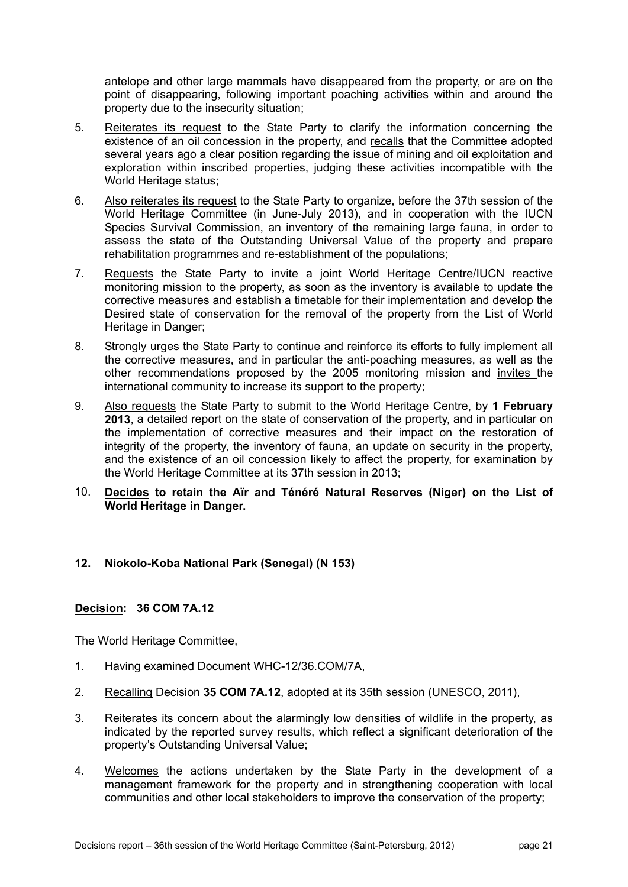antelope and other large mammals have disappeared from the property, or are on the point of disappearing, following important poaching activities within and around the property due to the insecurity situation;

- 5. Reiterates its request to the State Party to clarify the information concerning the existence of an oil concession in the property, and recalls that the Committee adopted several years ago a clear position regarding the issue of mining and oil exploitation and exploration within inscribed properties, judging these activities incompatible with the World Heritage status;
- 6. Also reiterates its request to the State Party to organize, before the 37th session of the World Heritage Committee (in June-July 2013), and in cooperation with the IUCN Species Survival Commission, an inventory of the remaining large fauna, in order to assess the state of the Outstanding Universal Value of the property and prepare rehabilitation programmes and re-establishment of the populations;
- 7. Requests the State Party to invite a joint World Heritage Centre/IUCN reactive monitoring mission to the property, as soon as the inventory is available to update the corrective measures and establish a timetable for their implementation and develop the Desired state of conservation for the removal of the property from the List of World Heritage in Danger;
- 8. Strongly urges the State Party to continue and reinforce its efforts to fully implement all the corrective measures, and in particular the anti-poaching measures, as well as the other recommendations proposed by the 2005 monitoring mission and invites the international community to increase its support to the property;
- 9. Also requests the State Party to submit to the World Heritage Centre, by **1 February 2013**, a detailed report on the state of conservation of the property, and in particular on the implementation of corrective measures and their impact on the restoration of integrity of the property, the inventory of fauna, an update on security in the property, and the existence of an oil concession likely to affect the property, for examination by the World Heritage Committee at its 37th session in 2013;
- 10. **Decides to retain the Aïr and Ténéré Natural Reserves (Niger) on the List of World Heritage in Danger.**

#### **12. Niokolo-Koba National Park (Senegal) (N 153)**

#### **Decision: 36 COM 7A.12**

- 1. Having examined Document WHC-12/36.COM/7A,
- 2. Recalling Decision **35 COM 7A.12**, adopted at its 35th session (UNESCO, 2011),
- 3. Reiterates its concern about the alarmingly low densities of wildlife in the property, as indicated by the reported survey results, which reflect a significant deterioration of the property's Outstanding Universal Value;
- 4. Welcomes the actions undertaken by the State Party in the development of a management framework for the property and in strengthening cooperation with local communities and other local stakeholders to improve the conservation of the property;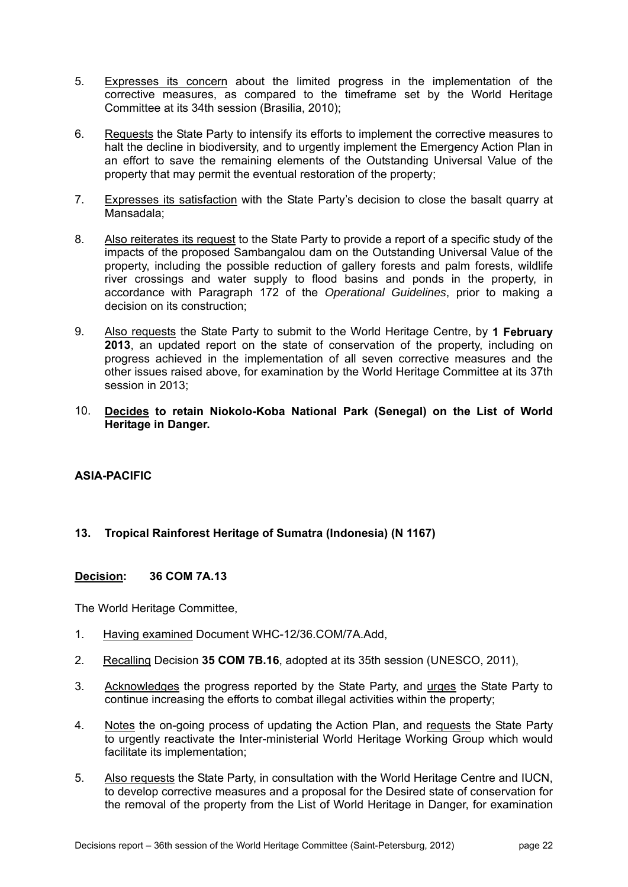- 5. Expresses its concern about the limited progress in the implementation of the corrective measures, as compared to the timeframe set by the World Heritage Committee at its 34th session (Brasilia, 2010);
- 6. Requests the State Party to intensify its efforts to implement the corrective measures to halt the decline in biodiversity, and to urgently implement the Emergency Action Plan in an effort to save the remaining elements of the Outstanding Universal Value of the property that may permit the eventual restoration of the property;
- 7. Expresses its satisfaction with the State Party's decision to close the basalt quarry at Mansadala;
- 8. Also reiterates its request to the State Party to provide a report of a specific study of the impacts of the proposed Sambangalou dam on the Outstanding Universal Value of the property, including the possible reduction of gallery forests and palm forests, wildlife river crossings and water supply to flood basins and ponds in the property, in accordance with Paragraph 172 of the *Operational Guidelines*, prior to making a decision on its construction;
- 9. Also requests the State Party to submit to the World Heritage Centre, by **1 February 2013**, an updated report on the state of conservation of the property, including on progress achieved in the implementation of all seven corrective measures and the other issues raised above, for examination by the World Heritage Committee at its 37th session in 2013;
- 10. **Decides to retain Niokolo-Koba National Park (Senegal) on the List of World Heritage in Danger.**

#### **ASIA-PACIFIC**

#### **13. Tropical Rainforest Heritage of Sumatra (Indonesia) (N 1167)**

#### **Decision: 36 COM 7A.13**

- 1. Having examined Document WHC-12/36.COM/7A.Add,
- 2. Recalling Decision **35 COM 7B.16**, adopted at its 35th session (UNESCO, 2011),
- 3. Acknowledges the progress reported by the State Party, and urges the State Party to continue increasing the efforts to combat illegal activities within the property;
- 4. Notes the on-going process of updating the Action Plan, and requests the State Party to urgently reactivate the Inter-ministerial World Heritage Working Group which would facilitate its implementation;
- 5. Also requests the State Party, in consultation with the World Heritage Centre and IUCN, to develop corrective measures and a proposal for the Desired state of conservation for the removal of the property from the List of World Heritage in Danger, for examination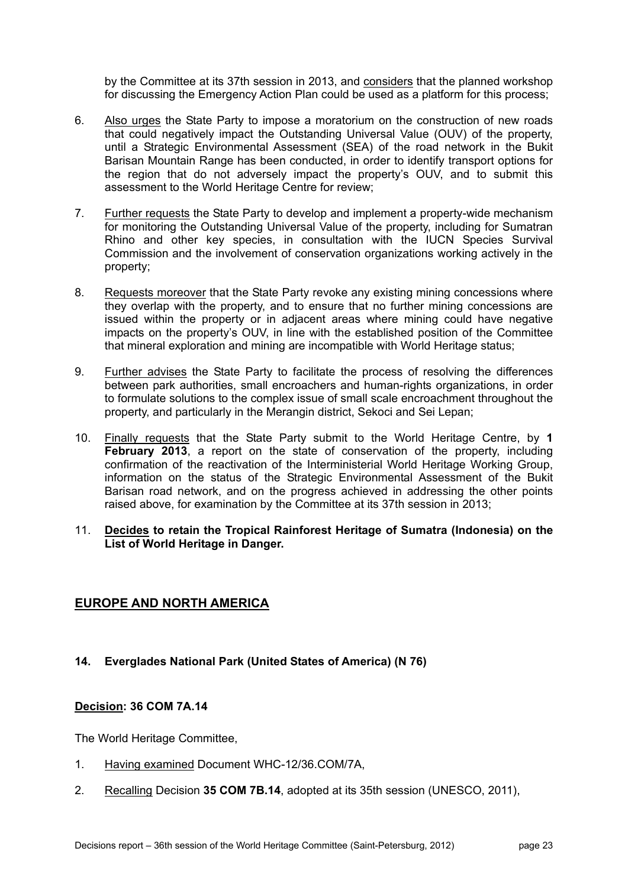by the Committee at its 37th session in 2013, and considers that the planned workshop for discussing the Emergency Action Plan could be used as a platform for this process;

- 6. Also urges the State Party to impose a moratorium on the construction of new roads that could negatively impact the Outstanding Universal Value (OUV) of the property, until a Strategic Environmental Assessment (SEA) of the road network in the Bukit Barisan Mountain Range has been conducted, in order to identify transport options for the region that do not adversely impact the property's OUV, and to submit this assessment to the World Heritage Centre for review;
- 7. Further requests the State Party to develop and implement a property-wide mechanism for monitoring the Outstanding Universal Value of the property, including for Sumatran Rhino and other key species, in consultation with the IUCN Species Survival Commission and the involvement of conservation organizations working actively in the property;
- 8. Requests moreover that the State Party revoke any existing mining concessions where they overlap with the property, and to ensure that no further mining concessions are issued within the property or in adjacent areas where mining could have negative impacts on the property's OUV, in line with the established position of the Committee that mineral exploration and mining are incompatible with World Heritage status;
- 9. Further advises the State Party to facilitate the process of resolving the differences between park authorities, small encroachers and human-rights organizations, in order to formulate solutions to the complex issue of small scale encroachment throughout the property, and particularly in the Merangin district, Sekoci and Sei Lepan;
- 10. Finally requests that the State Party submit to the World Heritage Centre, by **1 February 2013**, a report on the state of conservation of the property, including confirmation of the reactivation of the Interministerial World Heritage Working Group, information on the status of the Strategic Environmental Assessment of the Bukit Barisan road network, and on the progress achieved in addressing the other points raised above, for examination by the Committee at its 37th session in 2013;
- 11. **Decides to retain the Tropical Rainforest Heritage of Sumatra (Indonesia) on the List of World Heritage in Danger.**

### **EUROPE AND NORTH AMERICA**

#### **14. Everglades National Park (United States of America) (N 76)**

#### **Decision: 36 COM 7A.14**

- 1. Having examined Document WHC-12/36.COM/7A,
- 2. Recalling Decision **35 COM 7B.14**, adopted at its 35th session (UNESCO, 2011),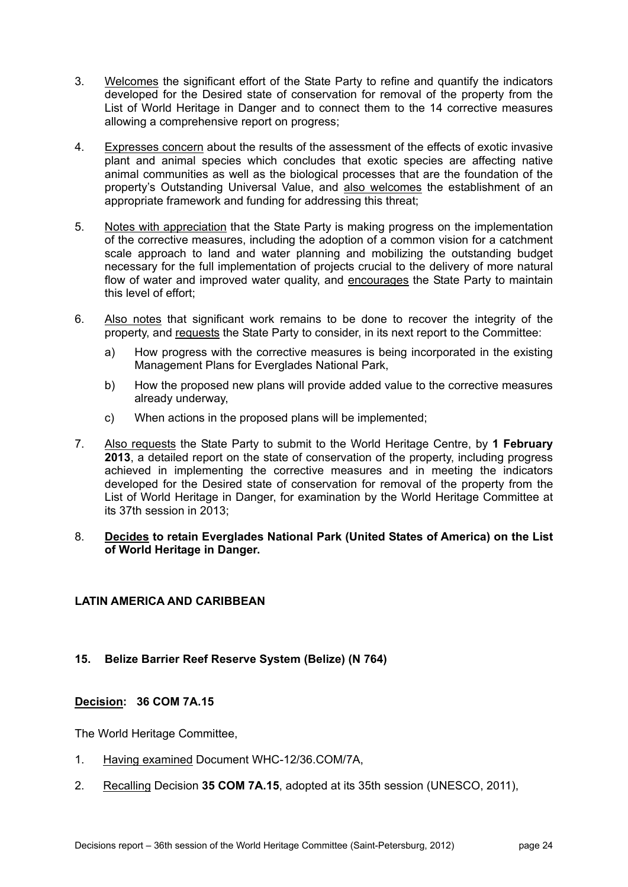- 3. Welcomes the significant effort of the State Party to refine and quantify the indicators developed for the Desired state of conservation for removal of the property from the List of World Heritage in Danger and to connect them to the 14 corrective measures allowing a comprehensive report on progress;
- 4. Expresses concern about the results of the assessment of the effects of exotic invasive plant and animal species which concludes that exotic species are affecting native animal communities as well as the biological processes that are the foundation of the property's Outstanding Universal Value, and also welcomes the establishment of an appropriate framework and funding for addressing this threat;
- 5. Notes with appreciation that the State Party is making progress on the implementation of the corrective measures, including the adoption of a common vision for a catchment scale approach to land and water planning and mobilizing the outstanding budget necessary for the full implementation of projects crucial to the delivery of more natural flow of water and improved water quality, and encourages the State Party to maintain this level of effort;
- 6. Also notes that significant work remains to be done to recover the integrity of the property, and requests the State Party to consider, in its next report to the Committee:
	- a) How progress with the corrective measures is being incorporated in the existing Management Plans for Everglades National Park,
	- b) How the proposed new plans will provide added value to the corrective measures already underway,
	- c) When actions in the proposed plans will be implemented;
- 7. Also requests the State Party to submit to the World Heritage Centre, by **1 February 2013**, a detailed report on the state of conservation of the property, including progress achieved in implementing the corrective measures and in meeting the indicators developed for the Desired state of conservation for removal of the property from the List of World Heritage in Danger, for examination by the World Heritage Committee at its 37th session in 2013;
- 8. **Decides to retain Everglades National Park (United States of America) on the List of World Heritage in Danger.**

#### **LATIN AMERICA AND CARIBBEAN**

#### **15. Belize Barrier Reef Reserve System (Belize) (N 764)**

#### **Decision: 36 COM 7A.15**

- 1. Having examined Document WHC-12/36.COM/7A,
- 2. Recalling Decision **35 COM 7A.15**, adopted at its 35th session (UNESCO, 2011),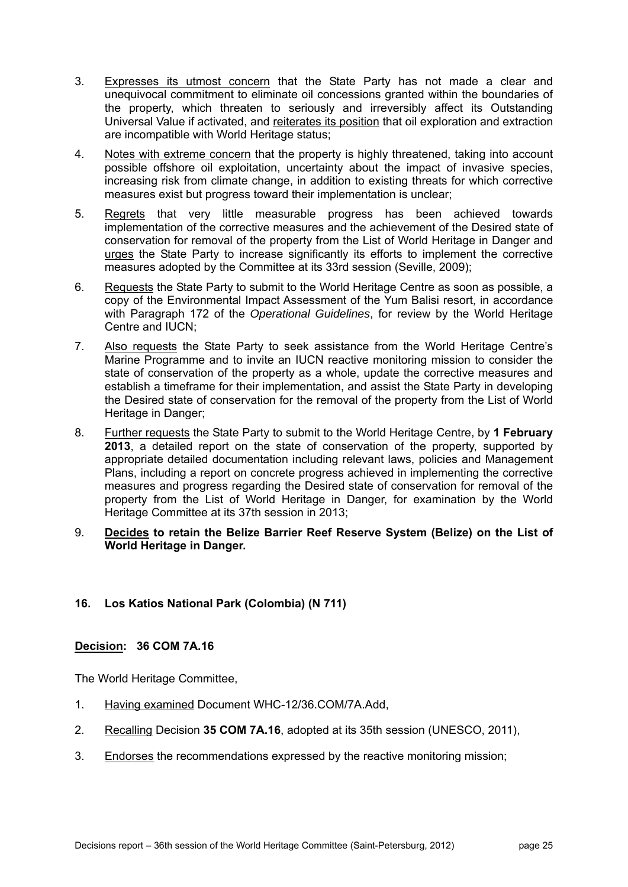- 3. Expresses its utmost concern that the State Party has not made a clear and unequivocal commitment to eliminate oil concessions granted within the boundaries of the property, which threaten to seriously and irreversibly affect its Outstanding Universal Value if activated, and reiterates its position that oil exploration and extraction are incompatible with World Heritage status;
- 4. Notes with extreme concern that the property is highly threatened, taking into account possible offshore oil exploitation, uncertainty about the impact of invasive species, increasing risk from climate change, in addition to existing threats for which corrective measures exist but progress toward their implementation is unclear;
- 5. Regrets that very little measurable progress has been achieved towards implementation of the corrective measures and the achievement of the Desired state of conservation for removal of the property from the List of World Heritage in Danger and urges the State Party to increase significantly its efforts to implement the corrective measures adopted by the Committee at its 33rd session (Seville, 2009);
- 6. Requests the State Party to submit to the World Heritage Centre as soon as possible, a copy of the Environmental Impact Assessment of the Yum Balisi resort, in accordance with Paragraph 172 of the *Operational Guidelines*, for review by the World Heritage Centre and IUCN;
- 7. Also requests the State Party to seek assistance from the World Heritage Centre's Marine Programme and to invite an IUCN reactive monitoring mission to consider the state of conservation of the property as a whole, update the corrective measures and establish a timeframe for their implementation, and assist the State Party in developing the Desired state of conservation for the removal of the property from the List of World Heritage in Danger;
- 8. Further requests the State Party to submit to the World Heritage Centre, by **1 February 2013**, a detailed report on the state of conservation of the property, supported by appropriate detailed documentation including relevant laws, policies and Management Plans, including a report on concrete progress achieved in implementing the corrective measures and progress regarding the Desired state of conservation for removal of the property from the List of World Heritage in Danger, for examination by the World Heritage Committee at its 37th session in 2013;
- 9. **Decides to retain the Belize Barrier Reef Reserve System (Belize) on the List of World Heritage in Danger.**

### **16. Los Katios National Park (Colombia) (N 711)**

#### **Decision: 36 COM 7A.16**

- 1. Having examined Document WHC-12/36.COM/7A.Add,
- 2. Recalling Decision **35 COM 7A.16**, adopted at its 35th session (UNESCO, 2011),
- 3. Endorses the recommendations expressed by the reactive monitoring mission;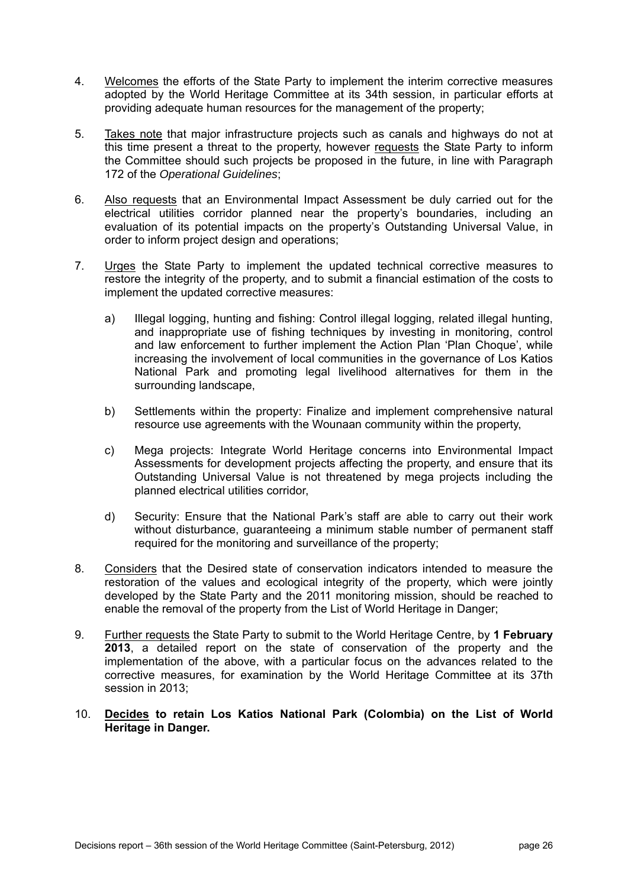- 4. Welcomes the efforts of the State Party to implement the interim corrective measures adopted by the World Heritage Committee at its 34th session, in particular efforts at providing adequate human resources for the management of the property;
- 5. Takes note that major infrastructure projects such as canals and highways do not at this time present a threat to the property, however requests the State Party to inform the Committee should such projects be proposed in the future, in line with Paragraph 172 of the *Operational Guidelines*;
- 6. Also requests that an Environmental Impact Assessment be duly carried out for the electrical utilities corridor planned near the property's boundaries, including an evaluation of its potential impacts on the property's Outstanding Universal Value, in order to inform project design and operations;
- 7. Urges the State Party to implement the updated technical corrective measures to restore the integrity of the property, and to submit a financial estimation of the costs to implement the updated corrective measures:
	- a) Illegal logging, hunting and fishing: Control illegal logging, related illegal hunting, and inappropriate use of fishing techniques by investing in monitoring, control and law enforcement to further implement the Action Plan 'Plan Choque', while increasing the involvement of local communities in the governance of Los Katios National Park and promoting legal livelihood alternatives for them in the surrounding landscape,
	- b) Settlements within the property: Finalize and implement comprehensive natural resource use agreements with the Wounaan community within the property,
	- c) Mega projects: Integrate World Heritage concerns into Environmental Impact Assessments for development projects affecting the property, and ensure that its Outstanding Universal Value is not threatened by mega projects including the planned electrical utilities corridor,
	- d) Security: Ensure that the National Park's staff are able to carry out their work without disturbance, guaranteeing a minimum stable number of permanent staff required for the monitoring and surveillance of the property;
- 8. Considers that the Desired state of conservation indicators intended to measure the restoration of the values and ecological integrity of the property, which were jointly developed by the State Party and the 2011 monitoring mission, should be reached to enable the removal of the property from the List of World Heritage in Danger;
- 9. Further requests the State Party to submit to the World Heritage Centre, by **1 February 2013**, a detailed report on the state of conservation of the property and the implementation of the above, with a particular focus on the advances related to the corrective measures, for examination by the World Heritage Committee at its 37th session in 2013;
- 10. **Decides to retain Los Katios National Park (Colombia) on the List of World Heritage in Danger.**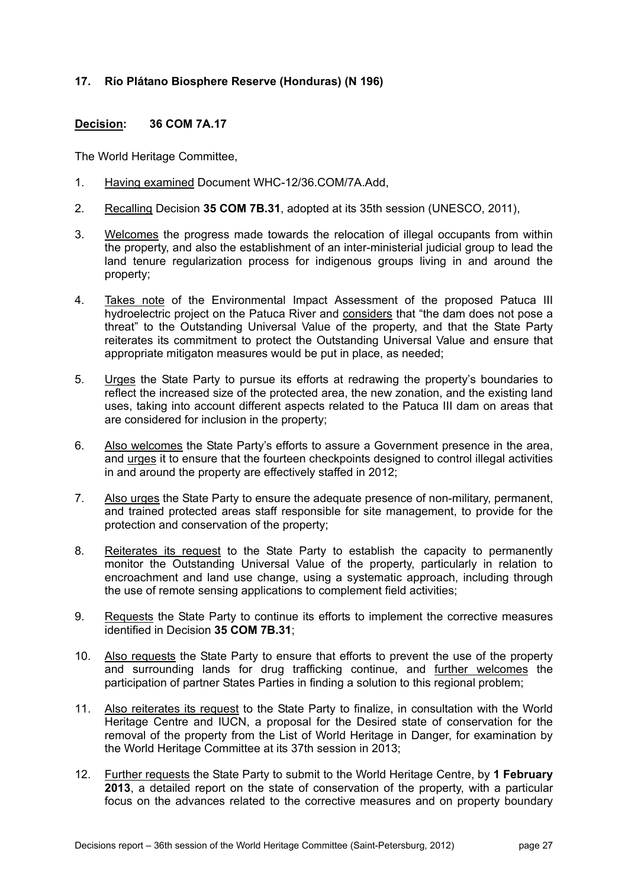#### **17. Río Plátano Biosphere Reserve (Honduras) (N 196)**

#### **Decision: 36 COM 7A.17**

- 1. Having examined Document WHC-12/36.COM/7A.Add,
- 2. Recalling Decision **35 COM 7B.31**, adopted at its 35th session (UNESCO, 2011),
- 3. Welcomes the progress made towards the relocation of illegal occupants from within the property, and also the establishment of an inter-ministerial judicial group to lead the land tenure regularization process for indigenous groups living in and around the property;
- 4. Takes note of the Environmental Impact Assessment of the proposed Patuca III hydroelectric project on the Patuca River and considers that "the dam does not pose a threat" to the Outstanding Universal Value of the property, and that the State Party reiterates its commitment to protect the Outstanding Universal Value and ensure that appropriate mitigaton measures would be put in place, as needed;
- 5. Urges the State Party to pursue its efforts at redrawing the property's boundaries to reflect the increased size of the protected area, the new zonation, and the existing land uses, taking into account different aspects related to the Patuca III dam on areas that are considered for inclusion in the property;
- 6. Also welcomes the State Party's efforts to assure a Government presence in the area, and urges it to ensure that the fourteen checkpoints designed to control illegal activities in and around the property are effectively staffed in 2012;
- 7. Also urges the State Party to ensure the adequate presence of non-military, permanent, and trained protected areas staff responsible for site management, to provide for the protection and conservation of the property;
- 8. Reiterates its request to the State Party to establish the capacity to permanently monitor the Outstanding Universal Value of the property, particularly in relation to encroachment and land use change, using a systematic approach, including through the use of remote sensing applications to complement field activities;
- 9. Requests the State Party to continue its efforts to implement the corrective measures identified in Decision **35 COM 7B.31**;
- 10. Also requests the State Party to ensure that efforts to prevent the use of the property and surrounding lands for drug trafficking continue, and further welcomes the participation of partner States Parties in finding a solution to this regional problem;
- 11. Also reiterates its request to the State Party to finalize, in consultation with the World Heritage Centre and IUCN, a proposal for the Desired state of conservation for the removal of the property from the List of World Heritage in Danger, for examination by the World Heritage Committee at its 37th session in 2013;
- 12. Further requests the State Party to submit to the World Heritage Centre, by **1 February 2013**, a detailed report on the state of conservation of the property, with a particular focus on the advances related to the corrective measures and on property boundary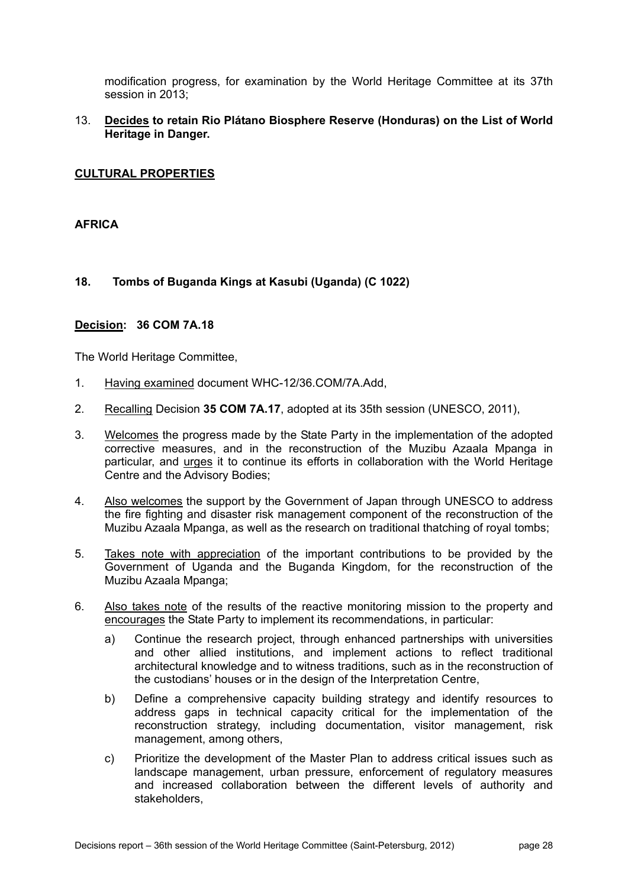modification progress, for examination by the World Heritage Committee at its 37th session in 2013;

#### 13. **Decides to retain Rio Plátano Biosphere Reserve (Honduras) on the List of World Heritage in Danger.**

#### **CULTURAL PROPERTIES**

#### **AFRICA**

#### **18. Tombs of Buganda Kings at Kasubi (Uganda) (C 1022)**

#### **Decision: 36 COM 7A.18**

- 1. Having examined document WHC-12/36.COM/7A.Add,
- 2. Recalling Decision **35 COM 7A.17**, adopted at its 35th session (UNESCO, 2011),
- 3. Welcomes the progress made by the State Party in the implementation of the adopted corrective measures, and in the reconstruction of the Muzibu Azaala Mpanga in particular, and *urges* it to continue its efforts in collaboration with the World Heritage Centre and the Advisory Bodies;
- 4. Also welcomes the support by the Government of Japan through UNESCO to address the fire fighting and disaster risk management component of the reconstruction of the Muzibu Azaala Mpanga, as well as the research on traditional thatching of royal tombs;
- 5. Takes note with appreciation of the important contributions to be provided by the Government of Uganda and the Buganda Kingdom, for the reconstruction of the Muzibu Azaala Mpanga;
- 6. Also takes note of the results of the reactive monitoring mission to the property and encourages the State Party to implement its recommendations, in particular:
	- a) Continue the research project, through enhanced partnerships with universities and other allied institutions, and implement actions to reflect traditional architectural knowledge and to witness traditions, such as in the reconstruction of the custodians' houses or in the design of the Interpretation Centre,
	- b) Define a comprehensive capacity building strategy and identify resources to address gaps in technical capacity critical for the implementation of the reconstruction strategy, including documentation, visitor management, risk management, among others,
	- c) Prioritize the development of the Master Plan to address critical issues such as landscape management, urban pressure, enforcement of regulatory measures and increased collaboration between the different levels of authority and stakeholders,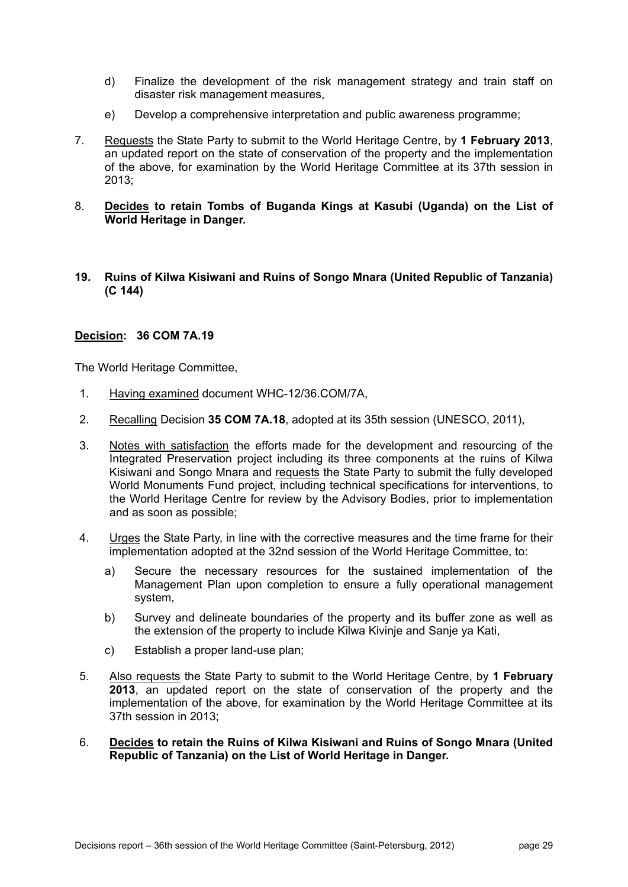- d) Finalize the development of the risk management strategy and train staff on disaster risk management measures,
- e) Develop a comprehensive interpretation and public awareness programme;
- 7. Requests the State Party to submit to the World Heritage Centre, by **1 February 2013**, an updated report on the state of conservation of the property and the implementation of the above, for examination by the World Heritage Committee at its 37th session in 2013;
- 8. **Decides to retain Tombs of Buganda Kings at Kasubi (Uganda) on the List of World Heritage in Danger.**
- **19. Ruins of Kilwa Kisiwani and Ruins of Songo Mnara (United Republic of Tanzania) (C 144)**

#### **Decision: 36 COM 7A.19**

- 1. Having examined document WHC-12/36.COM/7A,
- 2. Recalling Decision **35 COM 7A.18**, adopted at its 35th session (UNESCO, 2011),
- 3. Notes with satisfaction the efforts made for the development and resourcing of the Integrated Preservation project including its three components at the ruins of Kilwa Kisiwani and Songo Mnara and requests the State Party to submit the fully developed World Monuments Fund project, including technical specifications for interventions, to the World Heritage Centre for review by the Advisory Bodies, prior to implementation and as soon as possible;
- 4. Urges the State Party, in line with the corrective measures and the time frame for their implementation adopted at the 32nd session of the World Heritage Committee, to:
	- a) Secure the necessary resources for the sustained implementation of the Management Plan upon completion to ensure a fully operational management system,
	- b) Survey and delineate boundaries of the property and its buffer zone as well as the extension of the property to include Kilwa Kivinje and Sanje ya Kati,
	- c) Establish a proper land-use plan;
- 5. Also requests the State Party to submit to the World Heritage Centre, by **1 February 2013**, an updated report on the state of conservation of the property and the implementation of the above, for examination by the World Heritage Committee at its 37th session in 2013;
- 6. **Decides to retain the Ruins of Kilwa Kisiwani and Ruins of Songo Mnara (United Republic of Tanzania) on the List of World Heritage in Danger.**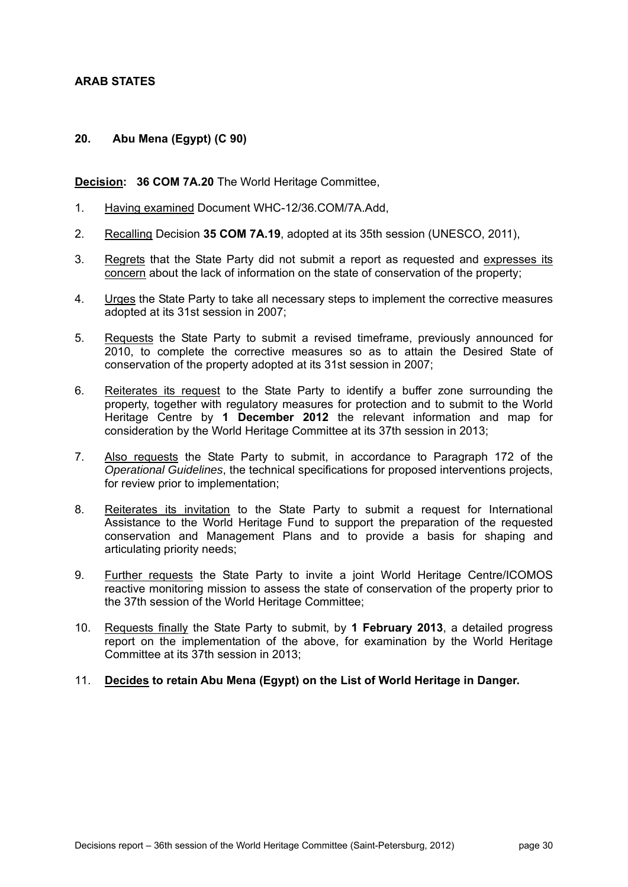#### **ARAB STATES**

#### **20. Abu Mena (Egypt) (C 90)**

#### **Decision: 36 COM 7A.20** The World Heritage Committee,

- 1. Having examined Document WHC-12/36.COM/7A.Add,
- 2. Recalling Decision **35 COM 7A.19**, adopted at its 35th session (UNESCO, 2011),
- 3. Regrets that the State Party did not submit a report as requested and expresses its concern about the lack of information on the state of conservation of the property;
- 4. Urges the State Party to take all necessary steps to implement the corrective measures adopted at its 31st session in 2007;
- 5. Requests the State Party to submit a revised timeframe, previously announced for 2010, to complete the corrective measures so as to attain the Desired State of conservation of the property adopted at its 31st session in 2007;
- 6. Reiterates its request to the State Party to identify a buffer zone surrounding the property, together with regulatory measures for protection and to submit to the World Heritage Centre by **1 December 2012** the relevant information and map for consideration by the World Heritage Committee at its 37th session in 2013;
- 7. Also requests the State Party to submit, in accordance to Paragraph 172 of the *Operational Guidelines*, the technical specifications for proposed interventions projects, for review prior to implementation;
- 8. Reiterates its invitation to the State Party to submit a request for International Assistance to the World Heritage Fund to support the preparation of the requested conservation and Management Plans and to provide a basis for shaping and articulating priority needs;
- 9. Further requests the State Party to invite a joint World Heritage Centre/ICOMOS reactive monitoring mission to assess the state of conservation of the property prior to the 37th session of the World Heritage Committee;
- 10. Requests finally the State Party to submit, by **1 February 2013**, a detailed progress report on the implementation of the above, for examination by the World Heritage Committee at its 37th session in 2013;
- 11. **Decides to retain Abu Mena (Egypt) on the List of World Heritage in Danger.**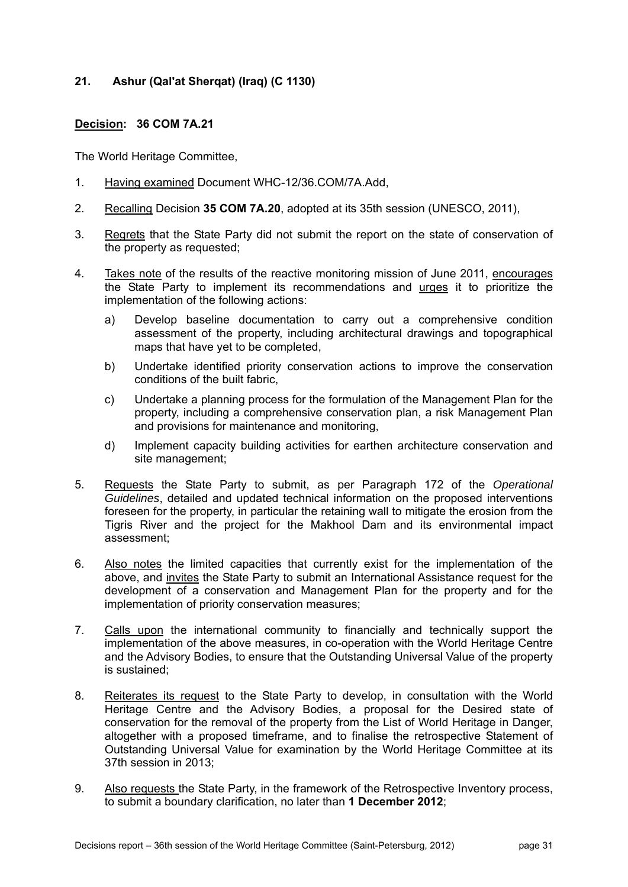#### **21. Ashur (Qal'at Sherqat) (Iraq) (C 1130)**

#### **Decision: 36 COM 7A.21**

- 1. Having examined Document WHC-12/36.COM/7A.Add,
- 2. Recalling Decision **35 COM 7A.20**, adopted at its 35th session (UNESCO, 2011),
- 3. Regrets that the State Party did not submit the report on the state of conservation of the property as requested;
- 4. Takes note of the results of the reactive monitoring mission of June 2011, encourages the State Party to implement its recommendations and urges it to prioritize the implementation of the following actions:
	- a) Develop baseline documentation to carry out a comprehensive condition assessment of the property, including architectural drawings and topographical maps that have yet to be completed,
	- b) Undertake identified priority conservation actions to improve the conservation conditions of the built fabric,
	- c) Undertake a planning process for the formulation of the Management Plan for the property, including a comprehensive conservation plan, a risk Management Plan and provisions for maintenance and monitoring,
	- d) Implement capacity building activities for earthen architecture conservation and site management;
- 5. Requests the State Party to submit, as per Paragraph 172 of the *Operational Guidelines*, detailed and updated technical information on the proposed interventions foreseen for the property, in particular the retaining wall to mitigate the erosion from the Tigris River and the project for the Makhool Dam and its environmental impact assessment;
- 6. Also notes the limited capacities that currently exist for the implementation of the above, and invites the State Party to submit an International Assistance request for the development of a conservation and Management Plan for the property and for the implementation of priority conservation measures;
- 7. Calls upon the international community to financially and technically support the implementation of the above measures, in co-operation with the World Heritage Centre and the Advisory Bodies, to ensure that the Outstanding Universal Value of the property is sustained;
- 8. Reiterates its request to the State Party to develop, in consultation with the World Heritage Centre and the Advisory Bodies, a proposal for the Desired state of conservation for the removal of the property from the List of World Heritage in Danger, altogether with a proposed timeframe, and to finalise the retrospective Statement of Outstanding Universal Value for examination by the World Heritage Committee at its 37th session in 2013;
- 9. Also requests the State Party, in the framework of the Retrospective Inventory process, to submit a boundary clarification, no later than **1 December 2012**;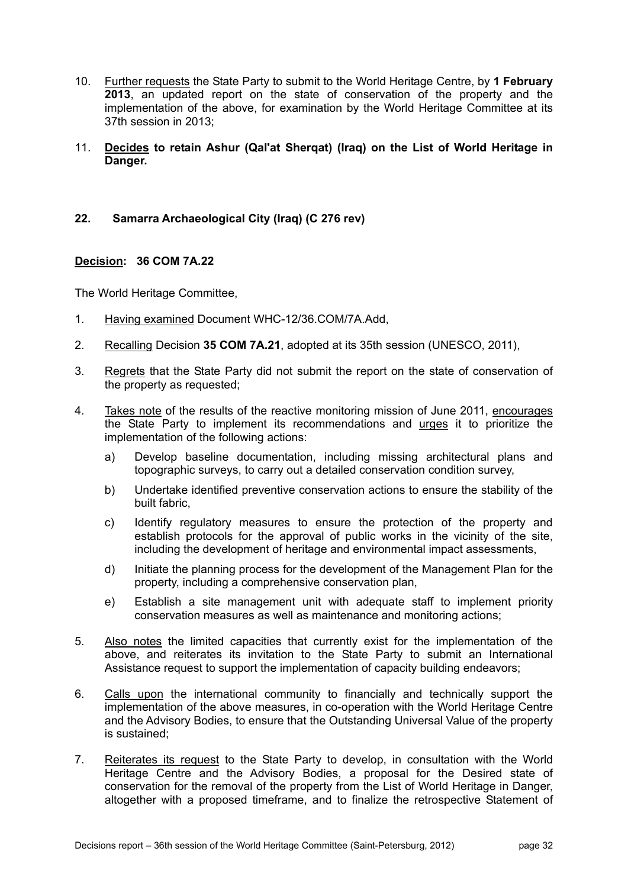- 10. Further requests the State Party to submit to the World Heritage Centre, by **1 February 2013**, an updated report on the state of conservation of the property and the implementation of the above, for examination by the World Heritage Committee at its 37th session in 2013;
- 11. **Decides to retain Ashur (Qal'at Sherqat) (Iraq) on the List of World Heritage in Danger.**

#### **22. Samarra Archaeological City (Iraq) (C 276 rev)**

#### **Decision: 36 COM 7A.22**

- 1. Having examined Document WHC-12/36.COM/7A.Add,
- 2. Recalling Decision **35 COM 7A.21**, adopted at its 35th session (UNESCO, 2011),
- 3. Regrets that the State Party did not submit the report on the state of conservation of the property as requested;
- 4. Takes note of the results of the reactive monitoring mission of June 2011, encourages the State Party to implement its recommendations and urges it to prioritize the implementation of the following actions:
	- a) Develop baseline documentation, including missing architectural plans and topographic surveys, to carry out a detailed conservation condition survey,
	- b) Undertake identified preventive conservation actions to ensure the stability of the built fabric,
	- c) Identify regulatory measures to ensure the protection of the property and establish protocols for the approval of public works in the vicinity of the site, including the development of heritage and environmental impact assessments,
	- d) Initiate the planning process for the development of the Management Plan for the property, including a comprehensive conservation plan,
	- e) Establish a site management unit with adequate staff to implement priority conservation measures as well as maintenance and monitoring actions;
- 5. Also notes the limited capacities that currently exist for the implementation of the above, and reiterates its invitation to the State Party to submit an International Assistance request to support the implementation of capacity building endeavors;
- 6. Calls upon the international community to financially and technically support the implementation of the above measures, in co-operation with the World Heritage Centre and the Advisory Bodies, to ensure that the Outstanding Universal Value of the property is sustained;
- 7. Reiterates its request to the State Party to develop, in consultation with the World Heritage Centre and the Advisory Bodies, a proposal for the Desired state of conservation for the removal of the property from the List of World Heritage in Danger, altogether with a proposed timeframe, and to finalize the retrospective Statement of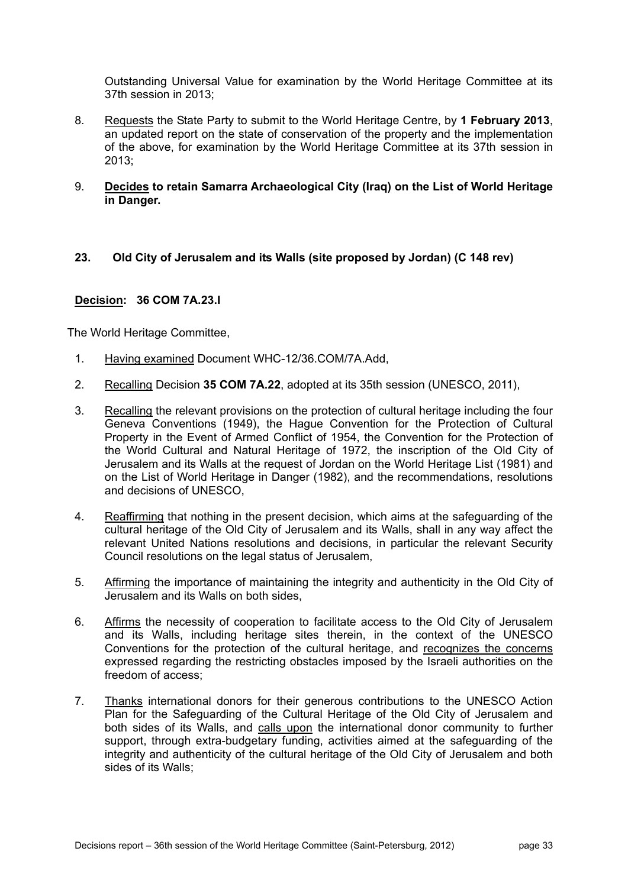Outstanding Universal Value for examination by the World Heritage Committee at its 37th session in 2013;

- 8. Requests the State Party to submit to the World Heritage Centre, by **1 February 2013**, an updated report on the state of conservation of the property and the implementation of the above, for examination by the World Heritage Committee at its 37th session in 2013;
- 9. **Decides to retain Samarra Archaeological City (Iraq) on the List of World Heritage in Danger.**

#### **23. Old City of Jerusalem and its Walls (site proposed by Jordan) (C 148 rev)**

#### **Decision: 36 COM 7A.23.I**

- 1. Having examined Document WHC-12/36.COM/7A.Add,
- 2. Recalling Decision **35 COM 7A.22**, adopted at its 35th session (UNESCO, 2011),
- 3. Recalling the relevant provisions on the protection of cultural heritage including the four Geneva Conventions (1949), the Hague Convention for the Protection of Cultural Property in the Event of Armed Conflict of 1954, the Convention for the Protection of the World Cultural and Natural Heritage of 1972, the inscription of the Old City of Jerusalem and its Walls at the request of Jordan on the World Heritage List (1981) and on the List of World Heritage in Danger (1982), and the recommendations, resolutions and decisions of UNESCO,
- 4. Reaffirming that nothing in the present decision, which aims at the safeguarding of the cultural heritage of the Old City of Jerusalem and its Walls, shall in any way affect the relevant United Nations resolutions and decisions, in particular the relevant Security Council resolutions on the legal status of Jerusalem,
- 5. Affirming the importance of maintaining the integrity and authenticity in the Old City of Jerusalem and its Walls on both sides,
- 6. Affirms the necessity of cooperation to facilitate access to the Old City of Jerusalem and its Walls, including heritage sites therein, in the context of the UNESCO Conventions for the protection of the cultural heritage, and recognizes the concerns expressed regarding the restricting obstacles imposed by the Israeli authorities on the freedom of access;
- 7. Thanks international donors for their generous contributions to the UNESCO Action Plan for the Safeguarding of the Cultural Heritage of the Old City of Jerusalem and both sides of its Walls, and calls upon the international donor community to further support, through extra-budgetary funding, activities aimed at the safeguarding of the integrity and authenticity of the cultural heritage of the Old City of Jerusalem and both sides of its Walls;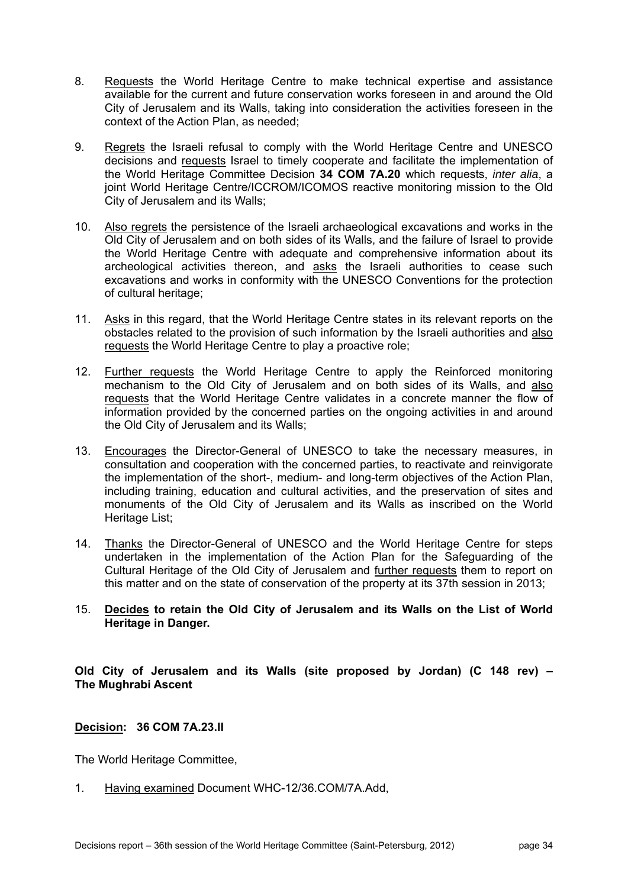- 8. Requests the World Heritage Centre to make technical expertise and assistance available for the current and future conservation works foreseen in and around the Old City of Jerusalem and its Walls, taking into consideration the activities foreseen in the context of the Action Plan, as needed;
- 9. Regrets the Israeli refusal to comply with the World Heritage Centre and UNESCO decisions and requests Israel to timely cooperate and facilitate the implementation of the World Heritage Committee Decision **34 COM 7A.20** which requests, *inter alia*, a joint World Heritage Centre/ICCROM/ICOMOS reactive monitoring mission to the Old City of Jerusalem and its Walls;
- 10. Also regrets the persistence of the Israeli archaeological excavations and works in the Old City of Jerusalem and on both sides of its Walls, and the failure of Israel to provide the World Heritage Centre with adequate and comprehensive information about its archeological activities thereon, and asks the Israeli authorities to cease such excavations and works in conformity with the UNESCO Conventions for the protection of cultural heritage;
- 11. Asks in this regard, that the World Heritage Centre states in its relevant reports on the obstacles related to the provision of such information by the Israeli authorities and also requests the World Heritage Centre to play a proactive role;
- 12. Further requests the World Heritage Centre to apply the Reinforced monitoring mechanism to the Old City of Jerusalem and on both sides of its Walls, and also requests that the World Heritage Centre validates in a concrete manner the flow of information provided by the concerned parties on the ongoing activities in and around the Old City of Jerusalem and its Walls;
- 13. Encourages the Director-General of UNESCO to take the necessary measures, in consultation and cooperation with the concerned parties, to reactivate and reinvigorate the implementation of the short-, medium- and long-term objectives of the Action Plan, including training, education and cultural activities, and the preservation of sites and monuments of the Old City of Jerusalem and its Walls as inscribed on the World Heritage List;
- 14. Thanks the Director-General of UNESCO and the World Heritage Centre for steps undertaken in the implementation of the Action Plan for the Safeguarding of the Cultural Heritage of the Old City of Jerusalem and further requests them to report on this matter and on the state of conservation of the property at its 37th session in 2013;

#### 15. **Decides to retain the Old City of Jerusalem and its Walls on the List of World Heritage in Danger.**

**Old City of Jerusalem and its Walls (site proposed by Jordan) (C 148 rev) – The Mughrabi Ascent** 

#### **Decision: 36 COM 7A.23.II**

The World Heritage Committee,

1. Having examined Document WHC-12/36.COM/7A.Add,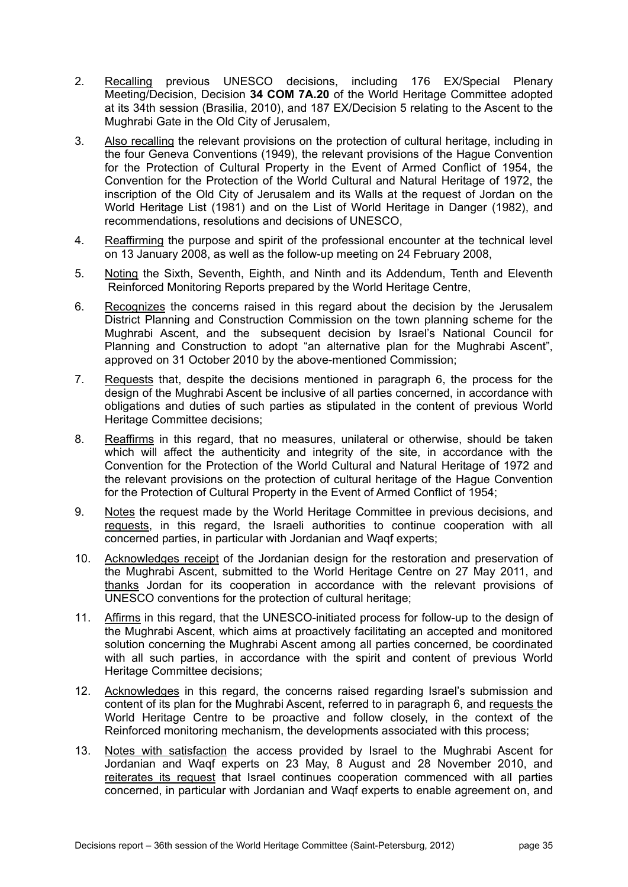- 2. Recalling previous UNESCO decisions, including 176 EX/Special Plenary Meeting/Decision, Decision **34 COM 7A.20** of the World Heritage Committee adopted at its 34th session (Brasilia, 2010), and 187 EX/Decision 5 relating to the Ascent to the Mughrabi Gate in the Old City of Jerusalem,
- 3. Also recalling the relevant provisions on the protection of cultural heritage, including in the four Geneva Conventions (1949), the relevant provisions of the Hague Convention for the Protection of Cultural Property in the Event of Armed Conflict of 1954, the Convention for the Protection of the World Cultural and Natural Heritage of 1972, the inscription of the Old City of Jerusalem and its Walls at the request of Jordan on the World Heritage List (1981) and on the List of World Heritage in Danger (1982), and recommendations, resolutions and decisions of UNESCO,
- 4. Reaffirming the purpose and spirit of the professional encounter at the technical level on 13 January 2008, as well as the follow-up meeting on 24 February 2008,
- 5. Noting the Sixth, Seventh, Eighth, and Ninth and its Addendum, Tenth and Eleventh Reinforced Monitoring Reports prepared by the World Heritage Centre,
- 6. Recognizes the concerns raised in this regard about the decision by the Jerusalem District Planning and Construction Commission on the town planning scheme for the Mughrabi Ascent, and the subsequent decision by Israel's National Council for Planning and Construction to adopt "an alternative plan for the Mughrabi Ascent", approved on 31 October 2010 by the above-mentioned Commission;
- 7. Requests that, despite the decisions mentioned in paragraph 6, the process for the design of the Mughrabi Ascent be inclusive of all parties concerned, in accordance with obligations and duties of such parties as stipulated in the content of previous World Heritage Committee decisions;
- 8. Reaffirms in this regard, that no measures, unilateral or otherwise, should be taken which will affect the authenticity and integrity of the site, in accordance with the Convention for the Protection of the World Cultural and Natural Heritage of 1972 and the relevant provisions on the protection of cultural heritage of the Hague Convention for the Protection of Cultural Property in the Event of Armed Conflict of 1954;
- 9. Notes the request made by the World Heritage Committee in previous decisions, and requests, in this regard, the Israeli authorities to continue cooperation with all concerned parties, in particular with Jordanian and Waqf experts;
- 10. Acknowledges receipt of the Jordanian design for the restoration and preservation of the Mughrabi Ascent, submitted to the World Heritage Centre on 27 May 2011, and thanks Jordan for its cooperation in accordance with the relevant provisions of UNESCO conventions for the protection of cultural heritage;
- 11. Affirms in this regard, that the UNESCO-initiated process for follow-up to the design of the Mughrabi Ascent, which aims at proactively facilitating an accepted and monitored solution concerning the Mughrabi Ascent among all parties concerned, be coordinated with all such parties, in accordance with the spirit and content of previous World Heritage Committee decisions;
- 12. Acknowledges in this regard, the concerns raised regarding Israel's submission and content of its plan for the Mughrabi Ascent, referred to in paragraph 6, and requests the World Heritage Centre to be proactive and follow closely, in the context of the Reinforced monitoring mechanism, the developments associated with this process;
- 13. Notes with satisfaction the access provided by Israel to the Mughrabi Ascent for Jordanian and Waqf experts on 23 May, 8 August and 28 November 2010, and reiterates its request that Israel continues cooperation commenced with all parties concerned, in particular with Jordanian and Waqf experts to enable agreement on, and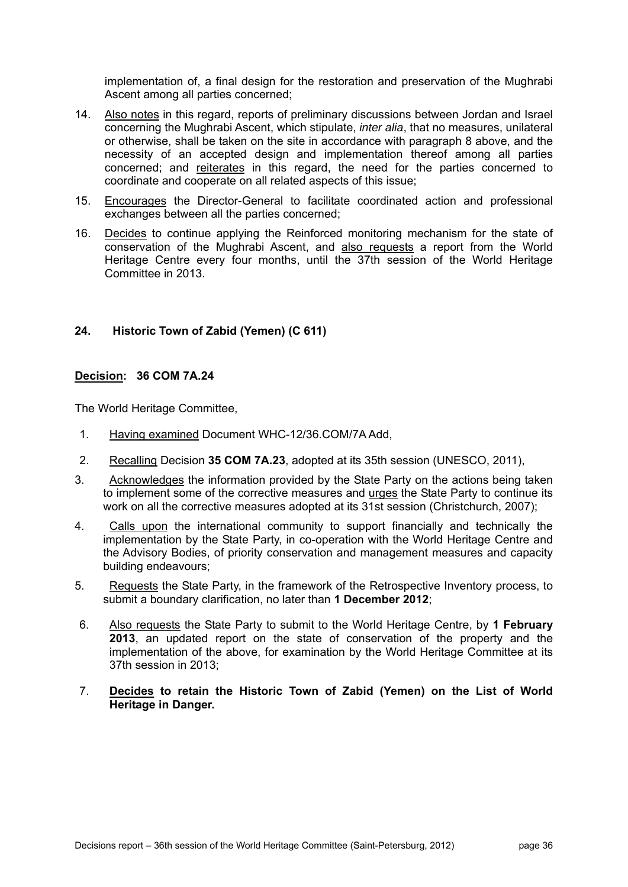implementation of, a final design for the restoration and preservation of the Mughrabi Ascent among all parties concerned;

- 14. Also notes in this regard, reports of preliminary discussions between Jordan and Israel concerning the Mughrabi Ascent, which stipulate, *inter alia*, that no measures, unilateral or otherwise, shall be taken on the site in accordance with paragraph 8 above, and the necessity of an accepted design and implementation thereof among all parties concerned; and reiterates in this regard, the need for the parties concerned to coordinate and cooperate on all related aspects of this issue;
- 15. Encourages the Director-General to facilitate coordinated action and professional exchanges between all the parties concerned;
- 16. Decides to continue applying the Reinforced monitoring mechanism for the state of conservation of the Mughrabi Ascent, and also requests a report from the World Heritage Centre every four months, until the 37th session of the World Heritage Committee in 2013.

# **24. Historic Town of Zabid (Yemen) (C 611)**

# **Decision: 36 COM 7A.24**

- 1. Having examined Document WHC-12/36.COM/7A Add,
- 2. Recalling Decision **35 COM 7A.23**, adopted at its 35th session (UNESCO, 2011),
- 3. Acknowledges the information provided by the State Party on the actions being taken to implement some of the corrective measures and urges the State Party to continue its work on all the corrective measures adopted at its 31st session (Christchurch, 2007);
- 4. Calls upon the international community to support financially and technically the implementation by the State Party, in co-operation with the World Heritage Centre and the Advisory Bodies, of priority conservation and management measures and capacity building endeavours;
- 5. Requests the State Party, in the framework of the Retrospective Inventory process, to submit a boundary clarification, no later than **1 December 2012**;
- 6. Also requests the State Party to submit to the World Heritage Centre, by **1 February 2013**, an updated report on the state of conservation of the property and the implementation of the above, for examination by the World Heritage Committee at its 37th session in 2013;
- 7. **Decides to retain the Historic Town of Zabid (Yemen) on the List of World Heritage in Danger.**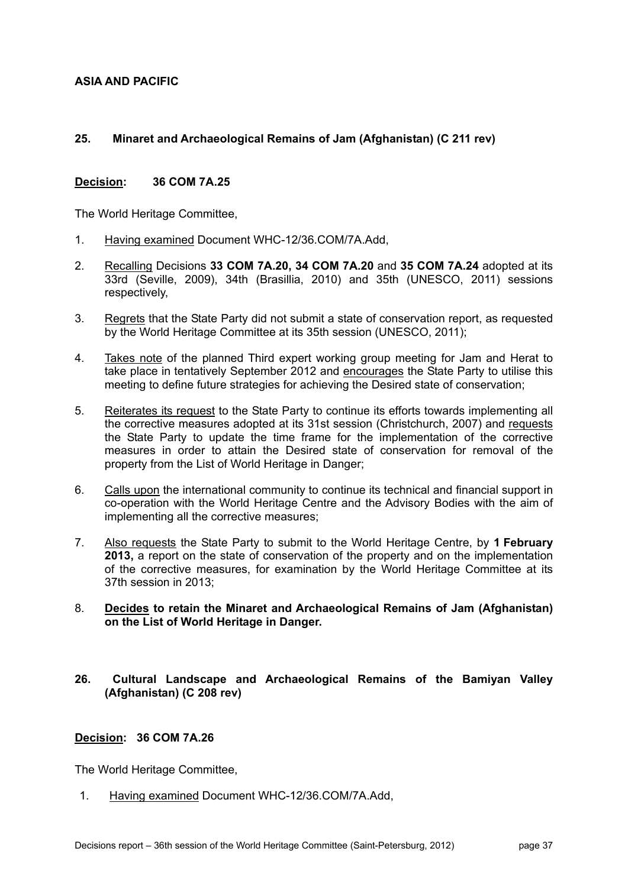**ASIA AND PACIFIC** 

### **25. Minaret and Archaeological Remains of Jam (Afghanistan) (C 211 rev)**

#### **Decision: 36 COM 7A.25**

The World Heritage Committee,

- 1. Having examined Document WHC-12/36.COM/7A.Add,
- 2. Recalling Decisions **33 COM 7A.20, 34 COM 7A.20** and **35 COM 7A.24** adopted at its 33rd (Seville, 2009), 34th (Brasillia, 2010) and 35th (UNESCO, 2011) sessions respectively,
- 3. Regrets that the State Party did not submit a state of conservation report, as requested by the World Heritage Committee at its 35th session (UNESCO, 2011);
- 4. Takes note of the planned Third expert working group meeting for Jam and Herat to take place in tentatively September 2012 and encourages the State Party to utilise this meeting to define future strategies for achieving the Desired state of conservation;
- 5. Reiterates its request to the State Party to continue its efforts towards implementing all the corrective measures adopted at its 31st session (Christchurch, 2007) and requests the State Party to update the time frame for the implementation of the corrective measures in order to attain the Desired state of conservation for removal of the property from the List of World Heritage in Danger;
- 6. Calls upon the international community to continue its technical and financial support in co-operation with the World Heritage Centre and the Advisory Bodies with the aim of implementing all the corrective measures;
- 7. Also requests the State Party to submit to the World Heritage Centre, by **1 February 2013,** a report on the state of conservation of the property and on the implementation of the corrective measures, for examination by the World Heritage Committee at its 37th session in 2013;
- 8. **Decides to retain the Minaret and Archaeological Remains of Jam (Afghanistan) on the List of World Heritage in Danger.**
- **26. Cultural Landscape and Archaeological Remains of the Bamiyan Valley (Afghanistan) (C 208 rev)**

#### **Decision: 36 COM 7A.26**

The World Heritage Committee,

1. Having examined Document WHC-12/36.COM/7A.Add,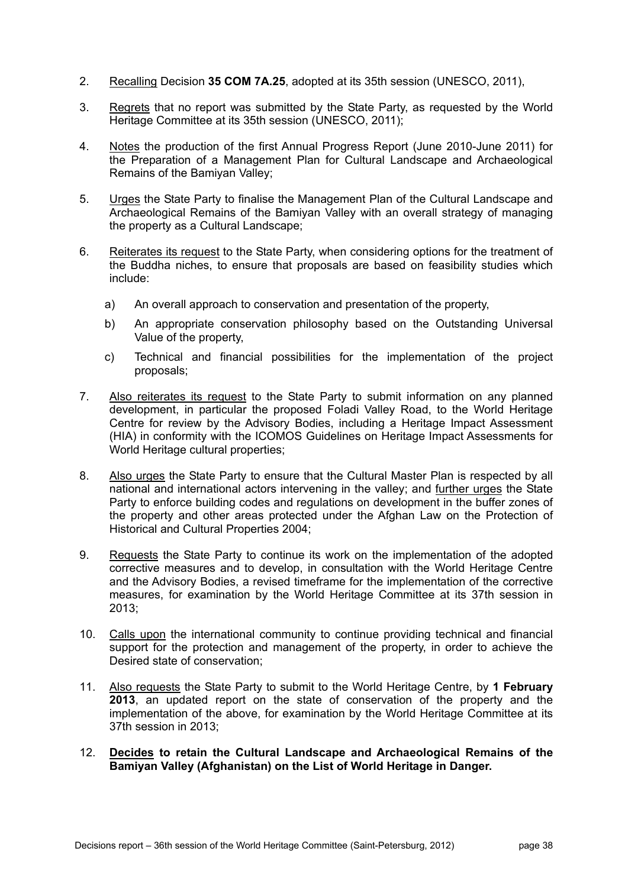- 2. Recalling Decision **35 COM 7A.25**, adopted at its 35th session (UNESCO, 2011),
- 3. Regrets that no report was submitted by the State Party, as requested by the World Heritage Committee at its 35th session (UNESCO, 2011);
- 4. Notes the production of the first Annual Progress Report (June 2010-June 2011) for the Preparation of a Management Plan for Cultural Landscape and Archaeological Remains of the Bamiyan Valley;
- 5. Urges the State Party to finalise the Management Plan of the Cultural Landscape and Archaeological Remains of the Bamiyan Valley with an overall strategy of managing the property as a Cultural Landscape;
- 6. Reiterates its request to the State Party, when considering options for the treatment of the Buddha niches, to ensure that proposals are based on feasibility studies which include:
	- a) An overall approach to conservation and presentation of the property,
	- b) An appropriate conservation philosophy based on the Outstanding Universal Value of the property,
	- c) Technical and financial possibilities for the implementation of the project proposals;
- 7. Also reiterates its request to the State Party to submit information on any planned development, in particular the proposed Foladi Valley Road, to the World Heritage Centre for review by the Advisory Bodies, including a Heritage Impact Assessment (HIA) in conformity with the ICOMOS Guidelines on Heritage Impact Assessments for World Heritage cultural properties;
- 8. Also urges the State Party to ensure that the Cultural Master Plan is respected by all national and international actors intervening in the valley; and further urges the State Party to enforce building codes and regulations on development in the buffer zones of the property and other areas protected under the Afghan Law on the Protection of Historical and Cultural Properties 2004;
- 9. Requests the State Party to continue its work on the implementation of the adopted corrective measures and to develop, in consultation with the World Heritage Centre and the Advisory Bodies, a revised timeframe for the implementation of the corrective measures, for examination by the World Heritage Committee at its 37th session in 2013;
- 10. Calls upon the international community to continue providing technical and financial support for the protection and management of the property, in order to achieve the Desired state of conservation;
- 11. Also requests the State Party to submit to the World Heritage Centre, by **1 February 2013**, an updated report on the state of conservation of the property and the implementation of the above, for examination by the World Heritage Committee at its 37th session in 2013;
- 12. **Decides to retain the Cultural Landscape and Archaeological Remains of the Bamiyan Valley (Afghanistan) on the List of World Heritage in Danger.**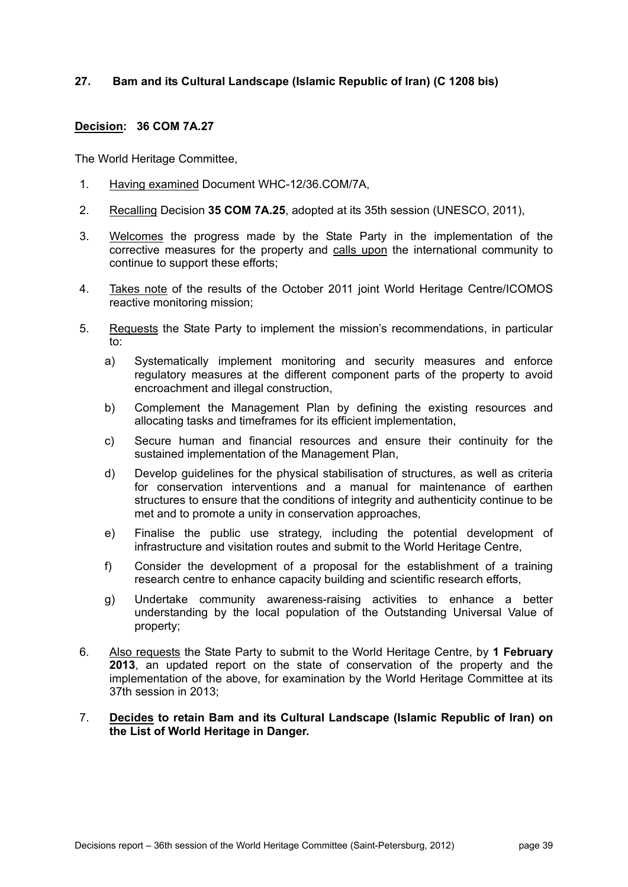## **27. Bam and its Cultural Landscape (Islamic Republic of Iran) (C 1208 bis)**

### **Decision: 36 COM 7A.27**

The World Heritage Committee,

- 1. Having examined Document WHC-12/36.COM/7A,
- 2. Recalling Decision **35 COM 7A.25**, adopted at its 35th session (UNESCO, 2011),
- 3. Welcomes the progress made by the State Party in the implementation of the corrective measures for the property and calls upon the international community to continue to support these efforts;
- 4. Takes note of the results of the October 2011 joint World Heritage Centre/ICOMOS reactive monitoring mission;
- 5. Requests the State Party to implement the mission's recommendations, in particular to:
	- a) Systematically implement monitoring and security measures and enforce regulatory measures at the different component parts of the property to avoid encroachment and illegal construction,
	- b) Complement the Management Plan by defining the existing resources and allocating tasks and timeframes for its efficient implementation,
	- c) Secure human and financial resources and ensure their continuity for the sustained implementation of the Management Plan,
	- d) Develop guidelines for the physical stabilisation of structures, as well as criteria for conservation interventions and a manual for maintenance of earthen structures to ensure that the conditions of integrity and authenticity continue to be met and to promote a unity in conservation approaches,
	- e) Finalise the public use strategy, including the potential development of infrastructure and visitation routes and submit to the World Heritage Centre,
	- f) Consider the development of a proposal for the establishment of a training research centre to enhance capacity building and scientific research efforts,
	- g) Undertake community awareness-raising activities to enhance a better understanding by the local population of the Outstanding Universal Value of property;
- 6. Also requests the State Party to submit to the World Heritage Centre, by **1 February 2013**, an updated report on the state of conservation of the property and the implementation of the above, for examination by the World Heritage Committee at its 37th session in 2013;

#### 7. **Decides to retain Bam and its Cultural Landscape (Islamic Republic of Iran) on the List of World Heritage in Danger.**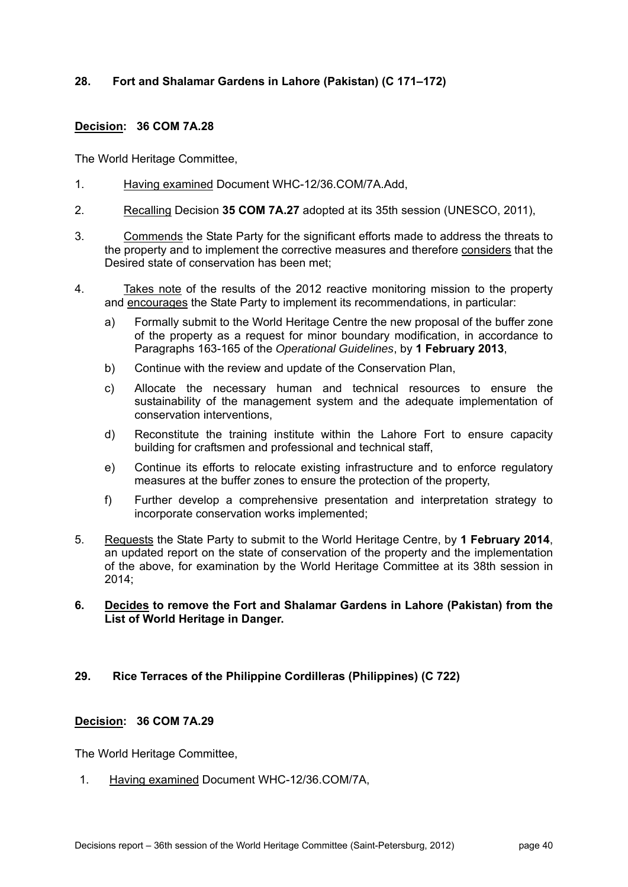# **28. Fort and Shalamar Gardens in Lahore (Pakistan) (C 171–172)**

# **Decision: 36 COM 7A.28**

The World Heritage Committee,

- 1. Having examined Document WHC-12/36.COM/7A.Add,
- 2. Recalling Decision **35 COM 7A.27** adopted at its 35th session (UNESCO, 2011),
- 3. Commends the State Party for the significant efforts made to address the threats to the property and to implement the corrective measures and therefore considers that the Desired state of conservation has been met;
- 4. Takes note of the results of the 2012 reactive monitoring mission to the property and encourages the State Party to implement its recommendations, in particular:
	- a) Formally submit to the World Heritage Centre the new proposal of the buffer zone of the property as a request for minor boundary modification, in accordance to Paragraphs 163-165 of the *Operational Guidelines*, by **1 February 2013**,
	- b) Continue with the review and update of the Conservation Plan,
	- c) Allocate the necessary human and technical resources to ensure the sustainability of the management system and the adequate implementation of conservation interventions,
	- d) Reconstitute the training institute within the Lahore Fort to ensure capacity building for craftsmen and professional and technical staff,
	- e) Continue its efforts to relocate existing infrastructure and to enforce regulatory measures at the buffer zones to ensure the protection of the property,
	- f) Further develop a comprehensive presentation and interpretation strategy to incorporate conservation works implemented;
- 5. Requests the State Party to submit to the World Heritage Centre, by **1 February 2014**, an updated report on the state of conservation of the property and the implementation of the above, for examination by the World Heritage Committee at its 38th session in 2014;

### **6. Decides to remove the Fort and Shalamar Gardens in Lahore (Pakistan) from the List of World Heritage in Danger.**

# **29. Rice Terraces of the Philippine Cordilleras (Philippines) (C 722)**

# **Decision: 36 COM 7A.29**

The World Heritage Committee,

1. Having examined Document WHC-12/36.COM/7A,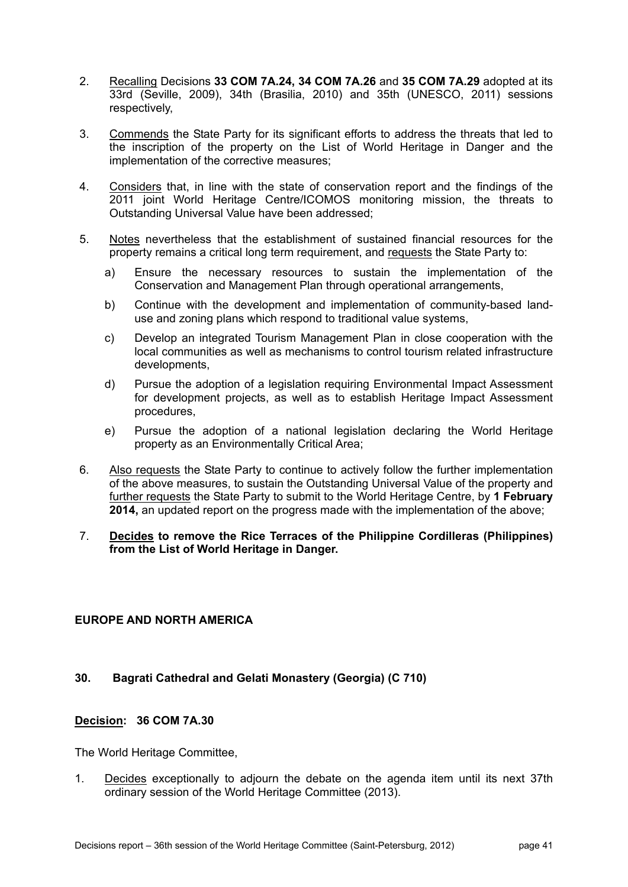- 2. Recalling Decisions **33 COM 7A.24, 34 COM 7A.26** and **35 COM 7A.29** adopted at its 33rd (Seville, 2009), 34th (Brasilia, 2010) and 35th (UNESCO, 2011) sessions respectively,
- 3. Commends the State Party for its significant efforts to address the threats that led to the inscription of the property on the List of World Heritage in Danger and the implementation of the corrective measures;
- 4. Considers that, in line with the state of conservation report and the findings of the 2011 joint World Heritage Centre/ICOMOS monitoring mission, the threats to Outstanding Universal Value have been addressed;
- 5. Notes nevertheless that the establishment of sustained financial resources for the property remains a critical long term requirement, and requests the State Party to:
	- a) Ensure the necessary resources to sustain the implementation of the Conservation and Management Plan through operational arrangements,
	- b) Continue with the development and implementation of community-based landuse and zoning plans which respond to traditional value systems,
	- c) Develop an integrated Tourism Management Plan in close cooperation with the local communities as well as mechanisms to control tourism related infrastructure developments,
	- d) Pursue the adoption of a legislation requiring Environmental Impact Assessment for development projects, as well as to establish Heritage Impact Assessment procedures,
	- e) Pursue the adoption of a national legislation declaring the World Heritage property as an Environmentally Critical Area;
- 6. Also requests the State Party to continue to actively follow the further implementation of the above measures, to sustain the Outstanding Universal Value of the property and further requests the State Party to submit to the World Heritage Centre, by **1 February 2014,** an updated report on the progress made with the implementation of the above;
- 7. **Decides to remove the Rice Terraces of the Philippine Cordilleras (Philippines) from the List of World Heritage in Danger.**

# **EUROPE AND NORTH AMERICA**

#### **30. Bagrati Cathedral and Gelati Monastery (Georgia) (C 710)**

#### **Decision: 36 COM 7A.30**

The World Heritage Committee,

1. Decides exceptionally to adjourn the debate on the agenda item until its next 37th ordinary session of the World Heritage Committee (2013).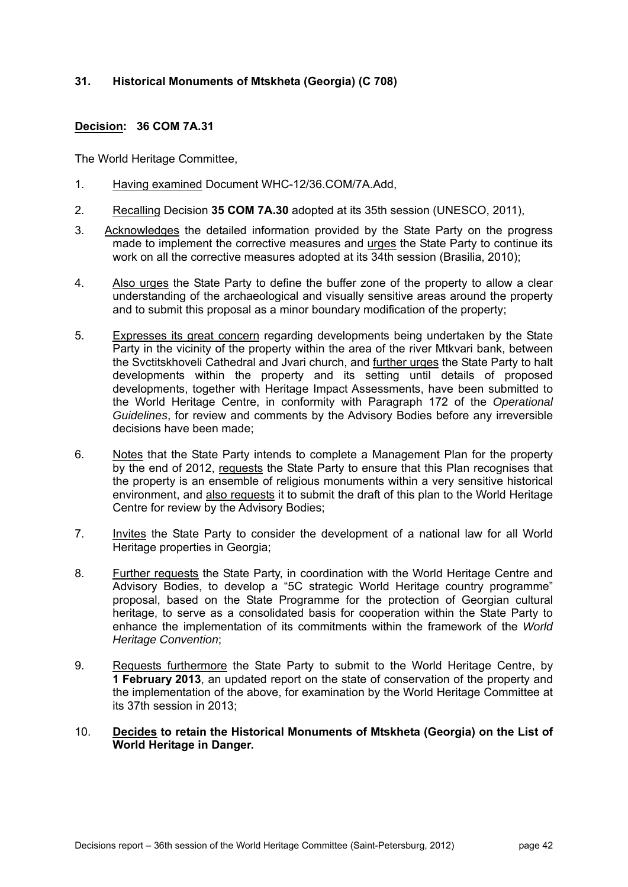# **31. Historical Monuments of Mtskheta (Georgia) (C 708)**

# **Decision: 36 COM 7A.31**

- 1. Having examined Document WHC-12/36.COM/7A.Add,
- 2. Recalling Decision **35 COM 7A.30** adopted at its 35th session (UNESCO, 2011),
- 3. Acknowledges the detailed information provided by the State Party on the progress made to implement the corrective measures and urges the State Party to continue its work on all the corrective measures adopted at its 34th session (Brasilia, 2010);
- 4. Also urges the State Party to define the buffer zone of the property to allow a clear understanding of the archaeological and visually sensitive areas around the property and to submit this proposal as a minor boundary modification of the property;
- 5. Expresses its great concern regarding developments being undertaken by the State Party in the vicinity of the property within the area of the river Mtkvari bank, between the Svctitskhoveli Cathedral and Jvari church, and further urges the State Party to halt developments within the property and its setting until details of proposed developments, together with Heritage Impact Assessments, have been submitted to the World Heritage Centre, in conformity with Paragraph 172 of the *Operational Guidelines*, for review and comments by the Advisory Bodies before any irreversible decisions have been made;
- 6. Notes that the State Party intends to complete a Management Plan for the property by the end of 2012, requests the State Party to ensure that this Plan recognises that the property is an ensemble of religious monuments within a very sensitive historical environment, and also requests it to submit the draft of this plan to the World Heritage Centre for review by the Advisory Bodies;
- 7. Invites the State Party to consider the development of a national law for all World Heritage properties in Georgia;
- 8. Further requests the State Party, in coordination with the World Heritage Centre and Advisory Bodies, to develop a "5C strategic World Heritage country programme" proposal, based on the State Programme for the protection of Georgian cultural heritage, to serve as a consolidated basis for cooperation within the State Party to enhance the implementation of its commitments within the framework of the *World Heritage Convention*;
- 9. Requests furthermore the State Party to submit to the World Heritage Centre, by **1 February 2013**, an updated report on the state of conservation of the property and the implementation of the above, for examination by the World Heritage Committee at its 37th session in 2013;
- 10. **Decides to retain the Historical Monuments of Mtskheta (Georgia) on the List of World Heritage in Danger.**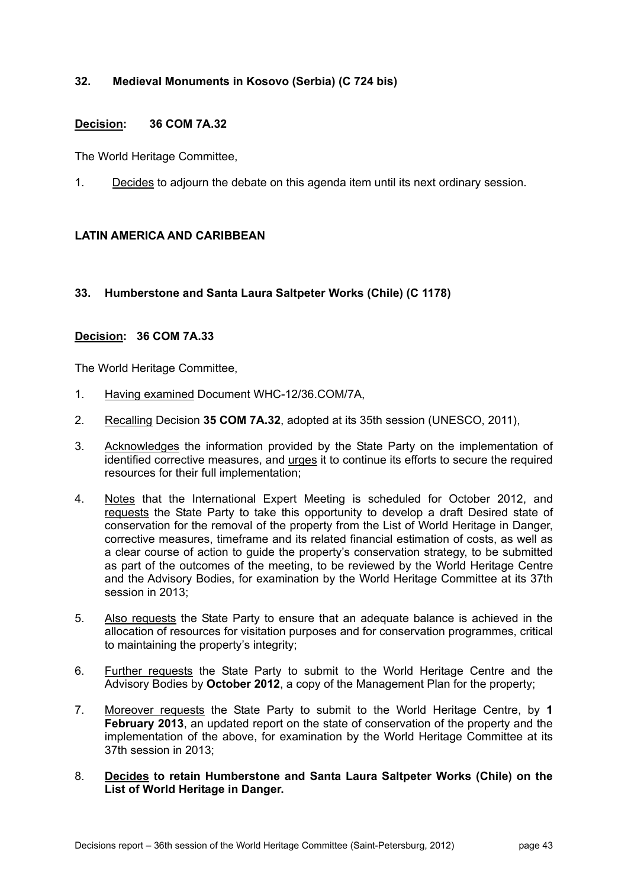# **32. Medieval Monuments in Kosovo (Serbia) (C 724 bis)**

### **Decision: 36 COM 7A.32**

The World Heritage Committee,

1. Decides to adjourn the debate on this agenda item until its next ordinary session.

# **LATIN AMERICA AND CARIBBEAN**

### **33. Humberstone and Santa Laura Saltpeter Works (Chile) (C 1178)**

### **Decision: 36 COM 7A.33**

- 1. Having examined Document WHC-12/36.COM/7A,
- 2. Recalling Decision **35 COM 7A.32**, adopted at its 35th session (UNESCO, 2011),
- 3. Acknowledges the information provided by the State Party on the implementation of identified corrective measures, and urges it to continue its efforts to secure the required resources for their full implementation;
- 4. Notes that the International Expert Meeting is scheduled for October 2012, and requests the State Party to take this opportunity to develop a draft Desired state of conservation for the removal of the property from the List of World Heritage in Danger, corrective measures, timeframe and its related financial estimation of costs, as well as a clear course of action to guide the property's conservation strategy, to be submitted as part of the outcomes of the meeting, to be reviewed by the World Heritage Centre and the Advisory Bodies, for examination by the World Heritage Committee at its 37th session in 2013;
- 5. Also requests the State Party to ensure that an adequate balance is achieved in the allocation of resources for visitation purposes and for conservation programmes, critical to maintaining the property's integrity;
- 6. Further requests the State Party to submit to the World Heritage Centre and the Advisory Bodies by **October 2012**, a copy of the Management Plan for the property;
- 7. Moreover requests the State Party to submit to the World Heritage Centre, by **1 February 2013**, an updated report on the state of conservation of the property and the implementation of the above, for examination by the World Heritage Committee at its 37th session in 2013;
- 8. **Decides to retain Humberstone and Santa Laura Saltpeter Works (Chile) on the List of World Heritage in Danger.**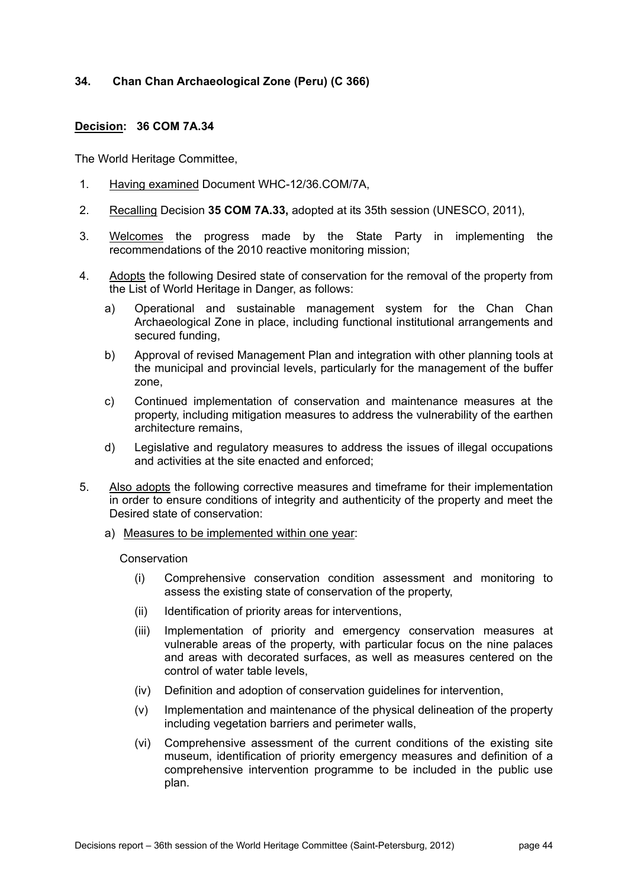## **34. Chan Chan Archaeological Zone (Peru) (C 366)**

### **Decision: 36 COM 7A.34**

The World Heritage Committee,

- 1. Having examined Document WHC-12/36.COM/7A,
- 2. Recalling Decision **35 COM 7A.33,** adopted at its 35th session (UNESCO, 2011),
- 3. Welcomes the progress made by the State Party in implementing the recommendations of the 2010 reactive monitoring mission;
- 4. Adopts the following Desired state of conservation for the removal of the property from the List of World Heritage in Danger, as follows:
	- a) Operational and sustainable management system for the Chan Chan Archaeological Zone in place, including functional institutional arrangements and secured funding,
	- b) Approval of revised Management Plan and integration with other planning tools at the municipal and provincial levels, particularly for the management of the buffer zone,
	- c) Continued implementation of conservation and maintenance measures at the property, including mitigation measures to address the vulnerability of the earthen architecture remains,
	- d) Legislative and regulatory measures to address the issues of illegal occupations and activities at the site enacted and enforced;
- 5. Also adopts the following corrective measures and timeframe for their implementation in order to ensure conditions of integrity and authenticity of the property and meet the Desired state of conservation:
	- a) Measures to be implemented within one year:

#### **Conservation**

- (i) Comprehensive conservation condition assessment and monitoring to assess the existing state of conservation of the property,
- (ii) Identification of priority areas for interventions,
- (iii) Implementation of priority and emergency conservation measures at vulnerable areas of the property, with particular focus on the nine palaces and areas with decorated surfaces, as well as measures centered on the control of water table levels,
- (iv) Definition and adoption of conservation guidelines for intervention,
- (v) Implementation and maintenance of the physical delineation of the property including vegetation barriers and perimeter walls,
- (vi) Comprehensive assessment of the current conditions of the existing site museum, identification of priority emergency measures and definition of a comprehensive intervention programme to be included in the public use plan.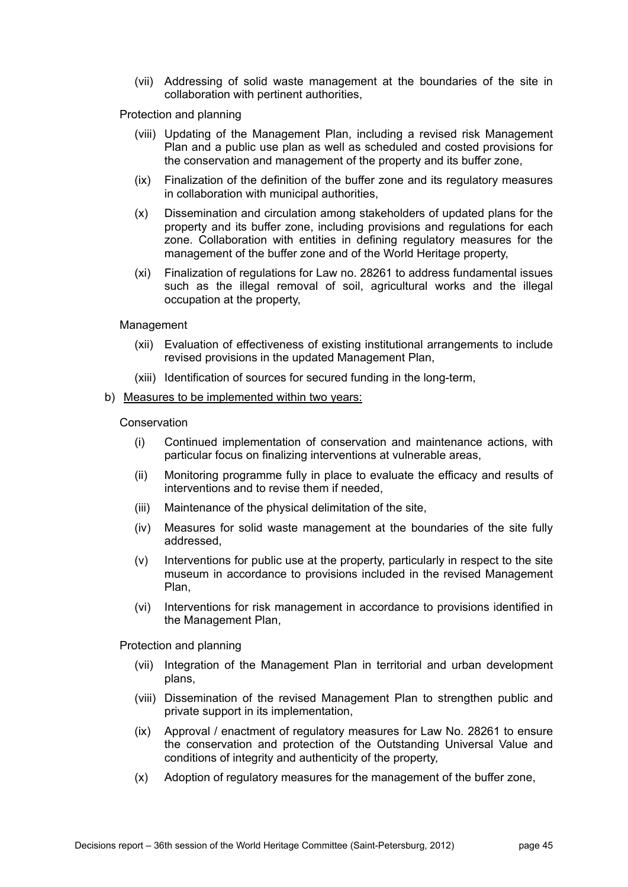(vii) Addressing of solid waste management at the boundaries of the site in collaboration with pertinent authorities,

Protection and planning

- (viii) Updating of the Management Plan, including a revised risk Management Plan and a public use plan as well as scheduled and costed provisions for the conservation and management of the property and its buffer zone,
- (ix) Finalization of the definition of the buffer zone and its regulatory measures in collaboration with municipal authorities,
- (x) Dissemination and circulation among stakeholders of updated plans for the property and its buffer zone, including provisions and regulations for each zone. Collaboration with entities in defining regulatory measures for the management of the buffer zone and of the World Heritage property,
- (xi) Finalization of regulations for Law no. 28261 to address fundamental issues such as the illegal removal of soil, agricultural works and the illegal occupation at the property,

Management

- (xii) Evaluation of effectiveness of existing institutional arrangements to include revised provisions in the updated Management Plan,
- (xiii) Identification of sources for secured funding in the long-term,
- b) Measures to be implemented within two years:

**Conservation** 

- (i) Continued implementation of conservation and maintenance actions, with particular focus on finalizing interventions at vulnerable areas,
- (ii) Monitoring programme fully in place to evaluate the efficacy and results of interventions and to revise them if needed,
- (iii) Maintenance of the physical delimitation of the site,
- (iv) Measures for solid waste management at the boundaries of the site fully addressed,
- (v) Interventions for public use at the property, particularly in respect to the site museum in accordance to provisions included in the revised Management Plan,
- (vi) Interventions for risk management in accordance to provisions identified in the Management Plan,

Protection and planning

- (vii) Integration of the Management Plan in territorial and urban development plans,
- (viii) Dissemination of the revised Management Plan to strengthen public and private support in its implementation,
- (ix) Approval / enactment of regulatory measures for Law No. 28261 to ensure the conservation and protection of the Outstanding Universal Value and conditions of integrity and authenticity of the property,
- (x) Adoption of regulatory measures for the management of the buffer zone,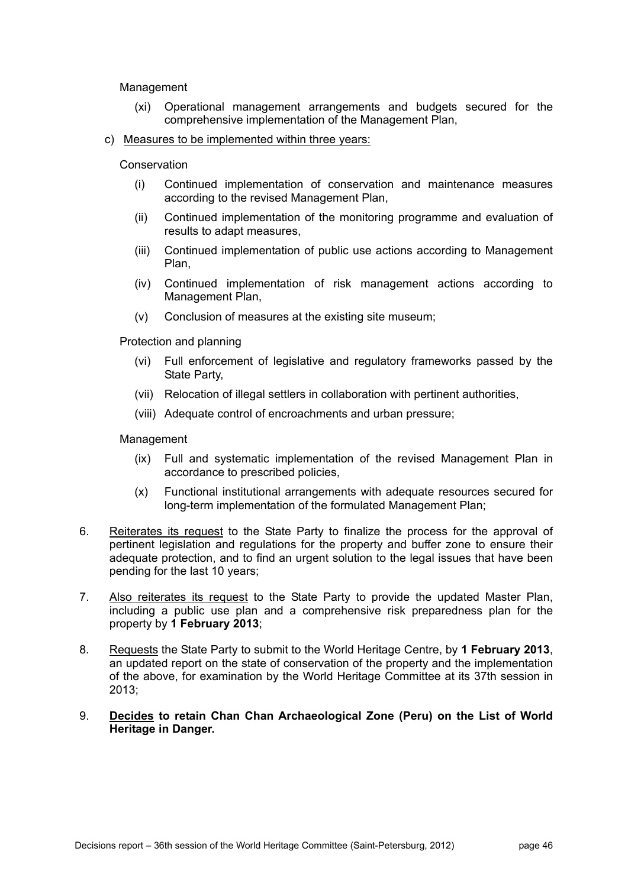Management

- (xi) Operational management arrangements and budgets secured for the comprehensive implementation of the Management Plan,
- c) Measures to be implemented within three years:

**Conservation** 

- (i) Continued implementation of conservation and maintenance measures according to the revised Management Plan,
- (ii) Continued implementation of the monitoring programme and evaluation of results to adapt measures,
- (iii) Continued implementation of public use actions according to Management Plan,
- (iv) Continued implementation of risk management actions according to Management Plan,
- (v) Conclusion of measures at the existing site museum;

Protection and planning

- (vi) Full enforcement of legislative and regulatory frameworks passed by the State Party,
- (vii) Relocation of illegal settlers in collaboration with pertinent authorities,
- (viii) Adequate control of encroachments and urban pressure;

**Management** 

- (ix) Full and systematic implementation of the revised Management Plan in accordance to prescribed policies,
- (x) Functional institutional arrangements with adequate resources secured for long-term implementation of the formulated Management Plan;
- 6. Reiterates its request to the State Party to finalize the process for the approval of pertinent legislation and regulations for the property and buffer zone to ensure their adequate protection, and to find an urgent solution to the legal issues that have been pending for the last 10 years;
- 7. Also reiterates its request to the State Party to provide the updated Master Plan, including a public use plan and a comprehensive risk preparedness plan for the property by **1 February 2013**;
- 8. Requests the State Party to submit to the World Heritage Centre, by **1 February 2013**, an updated report on the state of conservation of the property and the implementation of the above, for examination by the World Heritage Committee at its 37th session in 2013;
- 9. **Decides to retain Chan Chan Archaeological Zone (Peru) on the List of World Heritage in Danger.**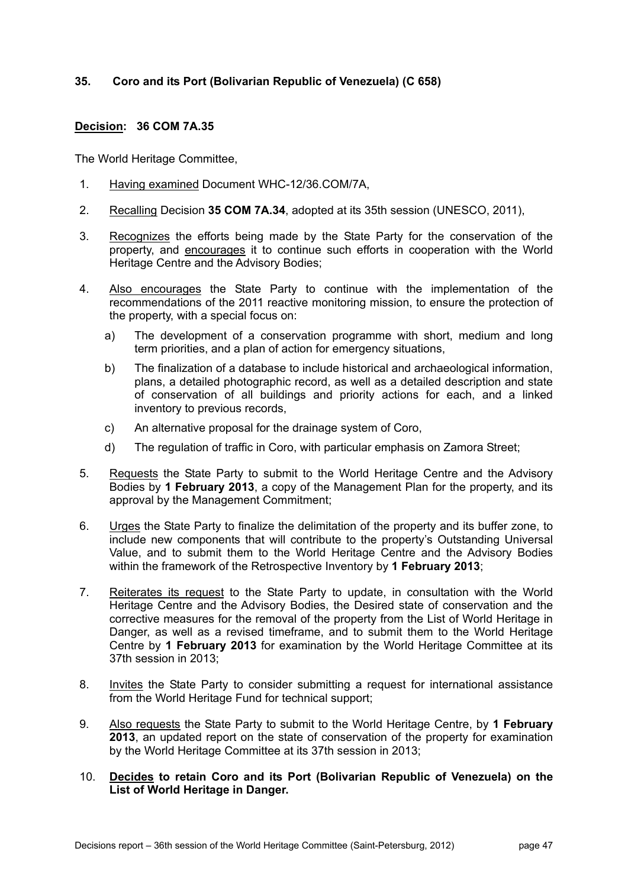# **35. Coro and its Port (Bolivarian Republic of Venezuela) (C 658)**

# **Decision: 36 COM 7A.35**

- 1. Having examined Document WHC-12/36.COM/7A,
- 2. Recalling Decision **35 COM 7A.34**, adopted at its 35th session (UNESCO, 2011),
- 3. Recognizes the efforts being made by the State Party for the conservation of the property, and encourages it to continue such efforts in cooperation with the World Heritage Centre and the Advisory Bodies;
- 4. Also encourages the State Party to continue with the implementation of the recommendations of the 2011 reactive monitoring mission, to ensure the protection of the property, with a special focus on:
	- a) The development of a conservation programme with short, medium and long term priorities, and a plan of action for emergency situations,
	- b) The finalization of a database to include historical and archaeological information, plans, a detailed photographic record, as well as a detailed description and state of conservation of all buildings and priority actions for each, and a linked inventory to previous records,
	- c) An alternative proposal for the drainage system of Coro,
	- d) The regulation of traffic in Coro, with particular emphasis on Zamora Street;
- 5. Requests the State Party to submit to the World Heritage Centre and the Advisory Bodies by **1 February 2013**, a copy of the Management Plan for the property, and its approval by the Management Commitment;
- 6. Urges the State Party to finalize the delimitation of the property and its buffer zone, to include new components that will contribute to the property's Outstanding Universal Value, and to submit them to the World Heritage Centre and the Advisory Bodies within the framework of the Retrospective Inventory by **1 February 2013**;
- 7. Reiterates its request to the State Party to update, in consultation with the World Heritage Centre and the Advisory Bodies, the Desired state of conservation and the corrective measures for the removal of the property from the List of World Heritage in Danger, as well as a revised timeframe, and to submit them to the World Heritage Centre by **1 February 2013** for examination by the World Heritage Committee at its 37th session in 2013;
- 8. Invites the State Party to consider submitting a request for international assistance from the World Heritage Fund for technical support;
- 9. Also requests the State Party to submit to the World Heritage Centre, by **1 February 2013**, an updated report on the state of conservation of the property for examination by the World Heritage Committee at its 37th session in 2013;
- 10. **Decides to retain Coro and its Port (Bolivarian Republic of Venezuela) on the List of World Heritage in Danger.**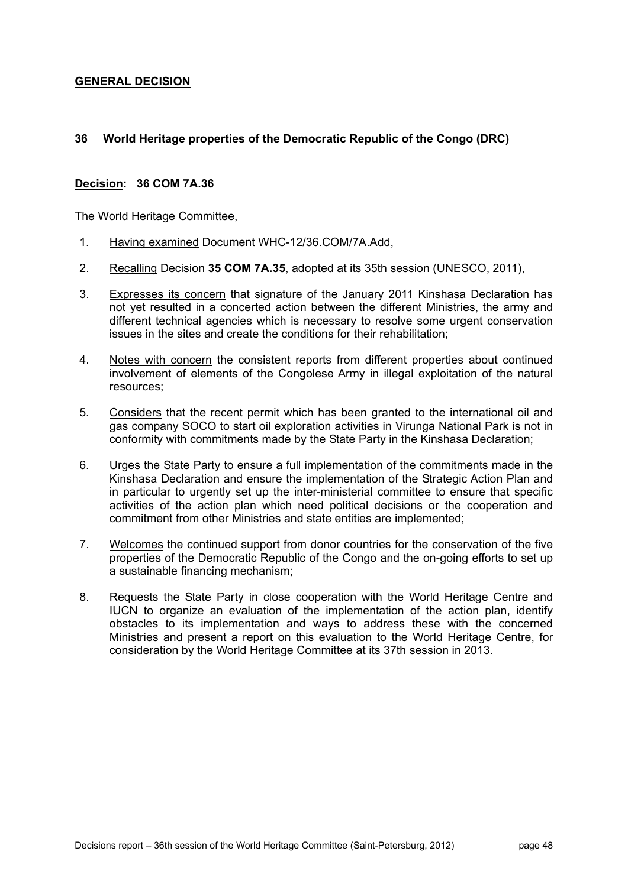# **GENERAL DECISION**

# **36 World Heritage properties of the Democratic Republic of the Congo (DRC)**

### **Decision: 36 COM 7A.36**

- 1. Having examined Document WHC-12/36.COM/7A.Add,
- 2. Recalling Decision **35 COM 7A.35**, adopted at its 35th session (UNESCO, 2011),
- 3. Expresses its concern that signature of the January 2011 Kinshasa Declaration has not yet resulted in a concerted action between the different Ministries, the army and different technical agencies which is necessary to resolve some urgent conservation issues in the sites and create the conditions for their rehabilitation;
- 4. Notes with concern the consistent reports from different properties about continued involvement of elements of the Congolese Army in illegal exploitation of the natural resources;
- 5. Considers that the recent permit which has been granted to the international oil and gas company SOCO to start oil exploration activities in Virunga National Park is not in conformity with commitments made by the State Party in the Kinshasa Declaration;
- 6. Urges the State Party to ensure a full implementation of the commitments made in the Kinshasa Declaration and ensure the implementation of the Strategic Action Plan and in particular to urgently set up the inter-ministerial committee to ensure that specific activities of the action plan which need political decisions or the cooperation and commitment from other Ministries and state entities are implemented;
- 7. Welcomes the continued support from donor countries for the conservation of the five properties of the Democratic Republic of the Congo and the on-going efforts to set up a sustainable financing mechanism;
- 8. Requests the State Party in close cooperation with the World Heritage Centre and IUCN to organize an evaluation of the implementation of the action plan, identify obstacles to its implementation and ways to address these with the concerned Ministries and present a report on this evaluation to the World Heritage Centre, for consideration by the World Heritage Committee at its 37th session in 2013.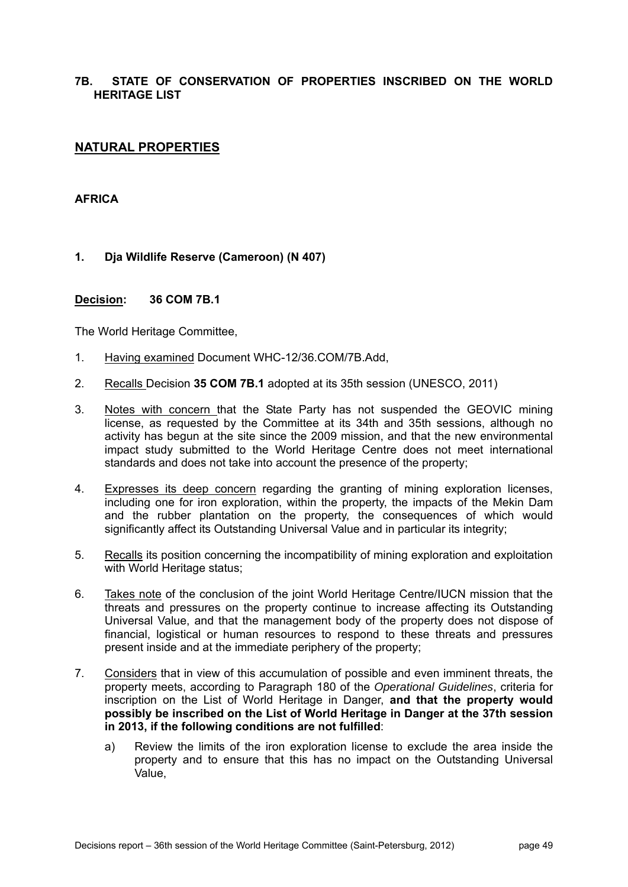# **7B. STATE OF CONSERVATION OF PROPERTIES INSCRIBED ON THE WORLD HERITAGE LIST**

# **NATURAL PROPERTIES**

# **AFRICA**

**1. Dja Wildlife Reserve (Cameroon) (N 407)** 

#### **Decision: 36 COM 7B.1**

- 1. Having examined Document WHC-12/36.COM/7B.Add,
- 2. Recalls Decision **35 COM 7B.1** adopted at its 35th session (UNESCO, 2011)
- 3. Notes with concern that the State Party has not suspended the GEOVIC mining license, as requested by the Committee at its 34th and 35th sessions, although no activity has begun at the site since the 2009 mission, and that the new environmental impact study submitted to the World Heritage Centre does not meet international standards and does not take into account the presence of the property;
- 4. Expresses its deep concern regarding the granting of mining exploration licenses, including one for iron exploration, within the property, the impacts of the Mekin Dam and the rubber plantation on the property, the consequences of which would significantly affect its Outstanding Universal Value and in particular its integrity;
- 5. Recalls its position concerning the incompatibility of mining exploration and exploitation with World Heritage status;
- 6. Takes note of the conclusion of the joint World Heritage Centre/IUCN mission that the threats and pressures on the property continue to increase affecting its Outstanding Universal Value, and that the management body of the property does not dispose of financial, logistical or human resources to respond to these threats and pressures present inside and at the immediate periphery of the property;
- 7. Considers that in view of this accumulation of possible and even imminent threats, the property meets, according to Paragraph 180 of the *Operational Guidelines*, criteria for inscription on the List of World Heritage in Danger, **and that the property would possibly be inscribed on the List of World Heritage in Danger at the 37th session in 2013, if the following conditions are not fulfilled**:
	- a) Review the limits of the iron exploration license to exclude the area inside the property and to ensure that this has no impact on the Outstanding Universal Value,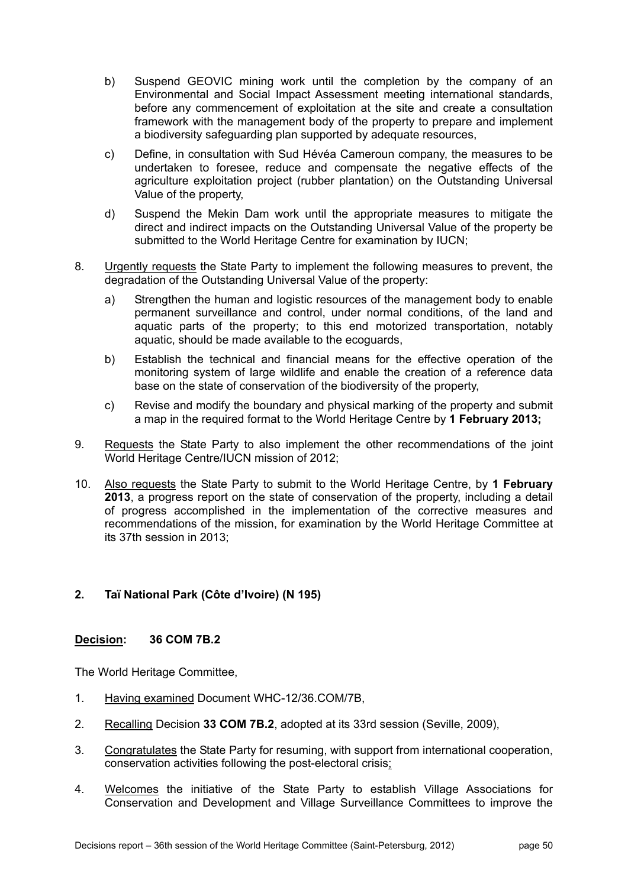- b) Suspend GEOVIC mining work until the completion by the company of an Environmental and Social Impact Assessment meeting international standards, before any commencement of exploitation at the site and create a consultation framework with the management body of the property to prepare and implement a biodiversity safeguarding plan supported by adequate resources,
- c) Define, in consultation with Sud Hévéa Cameroun company, the measures to be undertaken to foresee, reduce and compensate the negative effects of the agriculture exploitation project (rubber plantation) on the Outstanding Universal Value of the property,
- d) Suspend the Mekin Dam work until the appropriate measures to mitigate the direct and indirect impacts on the Outstanding Universal Value of the property be submitted to the World Heritage Centre for examination by IUCN;
- 8. Urgently requests the State Party to implement the following measures to prevent, the degradation of the Outstanding Universal Value of the property:
	- a) Strengthen the human and logistic resources of the management body to enable permanent surveillance and control, under normal conditions, of the land and aquatic parts of the property; to this end motorized transportation, notably aquatic, should be made available to the ecoguards,
	- b) Establish the technical and financial means for the effective operation of the monitoring system of large wildlife and enable the creation of a reference data base on the state of conservation of the biodiversity of the property,
	- c) Revise and modify the boundary and physical marking of the property and submit a map in the required format to the World Heritage Centre by **1 February 2013;**
- 9. Requests the State Party to also implement the other recommendations of the joint World Heritage Centre/IUCN mission of 2012;
- 10. Also requests the State Party to submit to the World Heritage Centre, by **1 February 2013**, a progress report on the state of conservation of the property, including a detail of progress accomplished in the implementation of the corrective measures and recommendations of the mission, for examination by the World Heritage Committee at its 37th session in 2013;

# **2. Taï National Park (Côte d'Ivoire) (N 195)**

# **Decision: 36 COM 7B.2**

- 1. Having examined Document WHC-12/36.COM/7B,
- 2. Recalling Decision **33 COM 7B.2**, adopted at its 33rd session (Seville, 2009),
- 3. Congratulates the State Party for resuming, with support from international cooperation, conservation activities following the post-electoral crisis;
- 4. Welcomes the initiative of the State Party to establish Village Associations for Conservation and Development and Village Surveillance Committees to improve the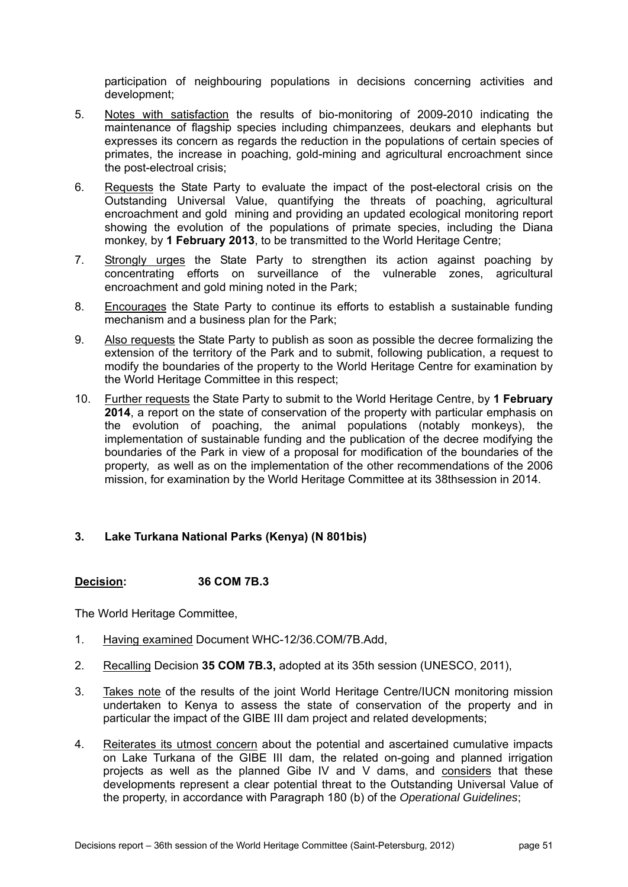participation of neighbouring populations in decisions concerning activities and development;

- 5. Notes with satisfaction the results of bio-monitoring of 2009-2010 indicating the maintenance of flagship species including chimpanzees, deukars and elephants but expresses its concern as regards the reduction in the populations of certain species of primates, the increase in poaching, gold-mining and agricultural encroachment since the post-electroal crisis;
- 6. Requests the State Party to evaluate the impact of the post-electoral crisis on the Outstanding Universal Value, quantifying the threats of poaching, agricultural encroachment and gold mining and providing an updated ecological monitoring report showing the evolution of the populations of primate species, including the Diana monkey, by **1 February 2013**, to be transmitted to the World Heritage Centre;
- 7. Strongly urges the State Party to strengthen its action against poaching by concentrating efforts on surveillance of the vulnerable zones, agricultural encroachment and gold mining noted in the Park;
- 8. Encourages the State Party to continue its efforts to establish a sustainable funding mechanism and a business plan for the Park;
- 9. Also requests the State Party to publish as soon as possible the decree formalizing the extension of the territory of the Park and to submit, following publication, a request to modify the boundaries of the property to the World Heritage Centre for examination by the World Heritage Committee in this respect;
- 10. Further requests the State Party to submit to the World Heritage Centre, by **1 February 2014**, a report on the state of conservation of the property with particular emphasis on the evolution of poaching, the animal populations (notably monkeys), the implementation of sustainable funding and the publication of the decree modifying the boundaries of the Park in view of a proposal for modification of the boundaries of the property, as well as on the implementation of the other recommendations of the 2006 mission, for examination by the World Heritage Committee at its 38thsession in 2014.

# **3. Lake Turkana National Parks (Kenya) (N 801bis)**

# **Decision: 36 COM 7B.3**

- 1. Having examined Document WHC-12/36.COM/7B.Add,
- 2. Recalling Decision **35 COM 7B.3,** adopted at its 35th session (UNESCO, 2011),
- 3. Takes note of the results of the joint World Heritage Centre/IUCN monitoring mission undertaken to Kenya to assess the state of conservation of the property and in particular the impact of the GIBE III dam project and related developments;
- 4. Reiterates its utmost concern about the potential and ascertained cumulative impacts on Lake Turkana of the GIBE III dam, the related on-going and planned irrigation projects as well as the planned Gibe IV and V dams, and considers that these developments represent a clear potential threat to the Outstanding Universal Value of the property, in accordance with Paragraph 180 (b) of the *Operational Guidelines*;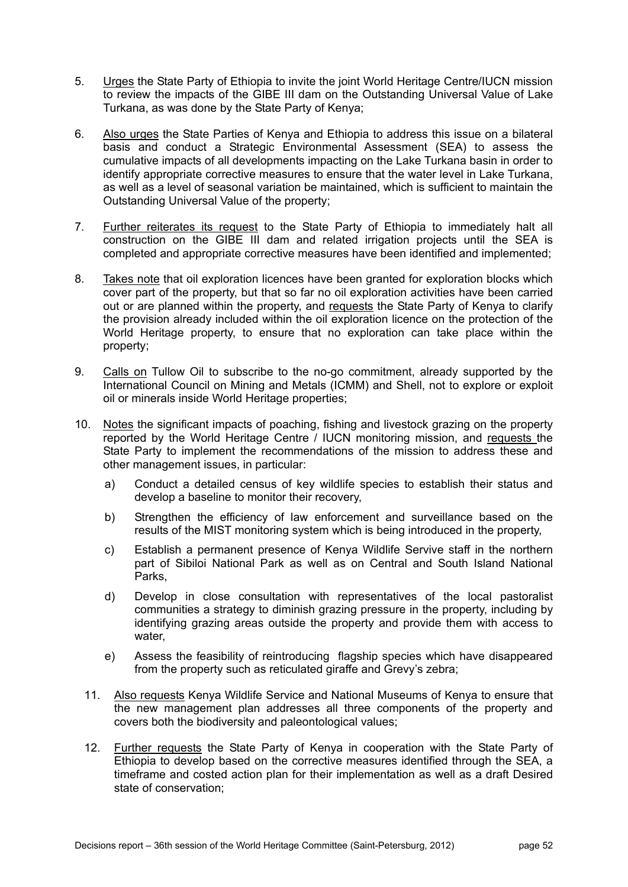- 5. Urges the State Party of Ethiopia to invite the joint World Heritage Centre/IUCN mission to review the impacts of the GIBE III dam on the Outstanding Universal Value of Lake Turkana, as was done by the State Party of Kenya;
- 6. Also urges the State Parties of Kenya and Ethiopia to address this issue on a bilateral basis and conduct a Strategic Environmental Assessment (SEA) to assess the cumulative impacts of all developments impacting on the Lake Turkana basin in order to identify appropriate corrective measures to ensure that the water level in Lake Turkana, as well as a level of seasonal variation be maintained, which is sufficient to maintain the Outstanding Universal Value of the property;
- 7. Further reiterates its request to the State Party of Ethiopia to immediately halt all construction on the GIBE III dam and related irrigation projects until the SEA is completed and appropriate corrective measures have been identified and implemented;
- 8. Takes note that oil exploration licences have been granted for exploration blocks which cover part of the property, but that so far no oil exploration activities have been carried out or are planned within the property, and requests the State Party of Kenya to clarify the provision already included within the oil exploration licence on the protection of the World Heritage property, to ensure that no exploration can take place within the property;
- 9. Calls on Tullow Oil to subscribe to the no-go commitment, already supported by the International Council on Mining and Metals (ICMM) and Shell, not to explore or exploit oil or minerals inside World Heritage properties;
- 10. Notes the significant impacts of poaching, fishing and livestock grazing on the property reported by the World Heritage Centre / IUCN monitoring mission, and requests the State Party to implement the recommendations of the mission to address these and other management issues, in particular:
	- a) Conduct a detailed census of key wildlife species to establish their status and develop a baseline to monitor their recovery,
	- b) Strengthen the efficiency of law enforcement and surveillance based on the results of the MIST monitoring system which is being introduced in the property,
	- c) Establish a permanent presence of Kenya Wildlife Servive staff in the northern part of Sibiloi National Park as well as on Central and South Island National Parks,
	- d) Develop in close consultation with representatives of the local pastoralist communities a strategy to diminish grazing pressure in the property, including by identifying grazing areas outside the property and provide them with access to water,
	- e) Assess the feasibility of reintroducing flagship species which have disappeared from the property such as reticulated giraffe and Grevy's zebra;
	- 11. Also requests Kenya Wildlife Service and National Museums of Kenya to ensure that the new management plan addresses all three components of the property and covers both the biodiversity and paleontological values;
	- 12. Further requests the State Party of Kenya in cooperation with the State Party of Ethiopia to develop based on the corrective measures identified through the SEA, a timeframe and costed action plan for their implementation as well as a draft Desired state of conservation;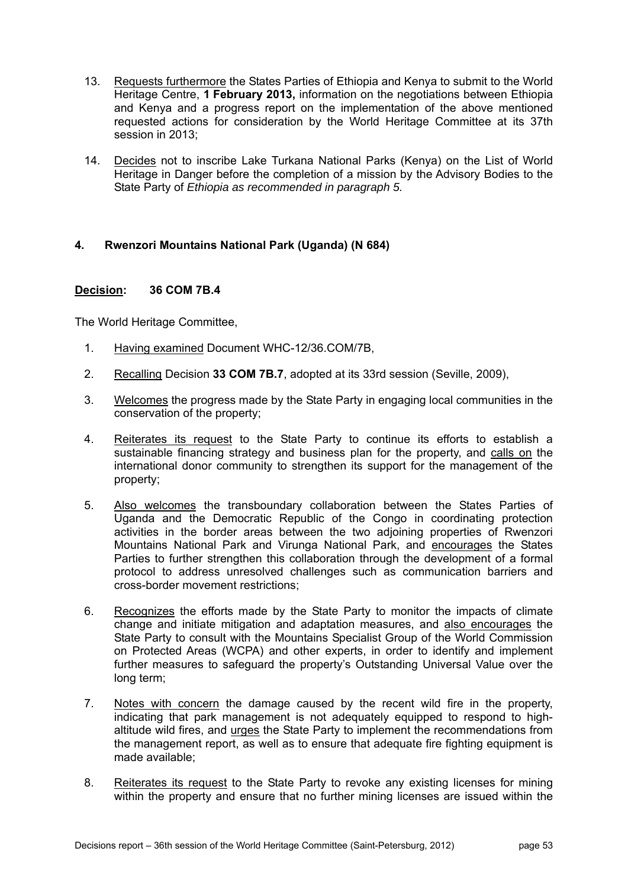- 13. Requests furthermore the States Parties of Ethiopia and Kenya to submit to the World Heritage Centre, **1 February 2013,** information on the negotiations between Ethiopia and Kenya and a progress report on the implementation of the above mentioned requested actions for consideration by the World Heritage Committee at its 37th session in 2013;
- 14. Decides not to inscribe Lake Turkana National Parks (Kenya) on the List of World Heritage in Danger before the completion of a mission by the Advisory Bodies to the State Party of *Ethiopia as recommended in paragraph 5.*

# **4. Rwenzori Mountains National Park (Uganda) (N 684)**

### **Decision: 36 COM 7B.4**

- 1. Having examined Document WHC-12/36.COM/7B,
- 2. Recalling Decision **33 COM 7B.7**, adopted at its 33rd session (Seville, 2009),
- 3. Welcomes the progress made by the State Party in engaging local communities in the conservation of the property;
- 4. Reiterates its request to the State Party to continue its efforts to establish a sustainable financing strategy and business plan for the property, and calls on the international donor community to strengthen its support for the management of the property;
- 5. Also welcomes the transboundary collaboration between the States Parties of Uganda and the Democratic Republic of the Congo in coordinating protection activities in the border areas between the two adjoining properties of Rwenzori Mountains National Park and Virunga National Park, and encourages the States Parties to further strengthen this collaboration through the development of a formal protocol to address unresolved challenges such as communication barriers and cross-border movement restrictions;
- 6. Recognizes the efforts made by the State Party to monitor the impacts of climate change and initiate mitigation and adaptation measures, and also encourages the State Party to consult with the Mountains Specialist Group of the World Commission on Protected Areas (WCPA) and other experts, in order to identify and implement further measures to safeguard the property's Outstanding Universal Value over the long term;
- 7. Notes with concern the damage caused by the recent wild fire in the property, indicating that park management is not adequately equipped to respond to highaltitude wild fires, and urges the State Party to implement the recommendations from the management report, as well as to ensure that adequate fire fighting equipment is made available;
- 8. Reiterates its request to the State Party to revoke any existing licenses for mining within the property and ensure that no further mining licenses are issued within the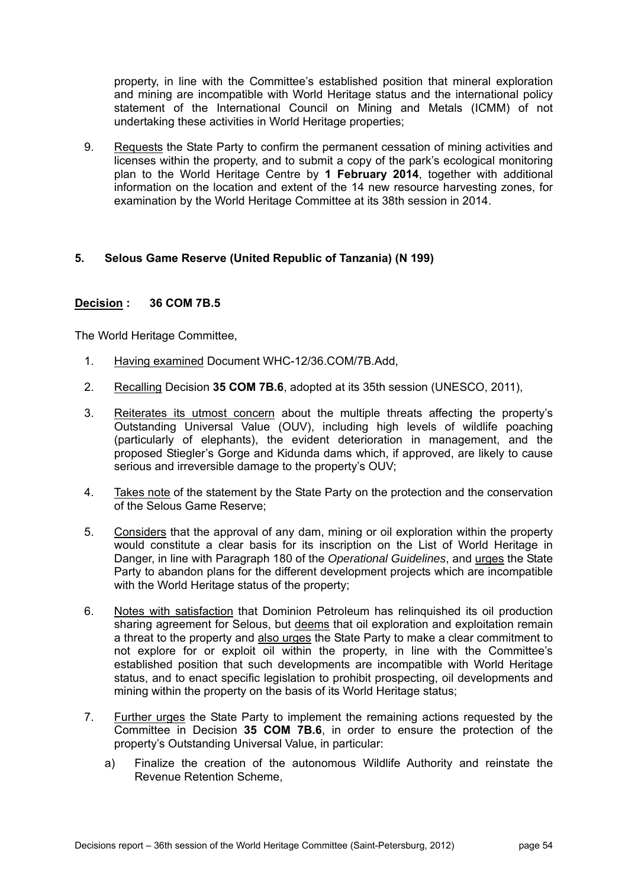property, in line with the Committee's established position that mineral exploration and mining are incompatible with World Heritage status and the international policy statement of the International Council on Mining and Metals (ICMM) of not undertaking these activities in World Heritage properties;

9. Requests the State Party to confirm the permanent cessation of mining activities and licenses within the property, and to submit a copy of the park's ecological monitoring plan to the World Heritage Centre by **1 February 2014**, together with additional information on the location and extent of the 14 new resource harvesting zones, for examination by the World Heritage Committee at its 38th session in 2014.

### **5. Selous Game Reserve (United Republic of Tanzania) (N 199)**

### **Decision : 36 COM 7B.5**

- 1. Having examined Document WHC-12/36.COM/7B.Add,
- 2. Recalling Decision **35 COM 7B.6**, adopted at its 35th session (UNESCO, 2011),
- 3. Reiterates its utmost concern about the multiple threats affecting the property's Outstanding Universal Value (OUV), including high levels of wildlife poaching (particularly of elephants), the evident deterioration in management, and the proposed Stiegler's Gorge and Kidunda dams which, if approved, are likely to cause serious and irreversible damage to the property's OUV;
- 4. Takes note of the statement by the State Party on the protection and the conservation of the Selous Game Reserve;
- 5. Considers that the approval of any dam, mining or oil exploration within the property would constitute a clear basis for its inscription on the List of World Heritage in Danger, in line with Paragraph 180 of the *Operational Guidelines*, and urges the State Party to abandon plans for the different development projects which are incompatible with the World Heritage status of the property;
- 6. Notes with satisfaction that Dominion Petroleum has relinquished its oil production sharing agreement for Selous, but deems that oil exploration and exploitation remain a threat to the property and also urges the State Party to make a clear commitment to not explore for or exploit oil within the property, in line with the Committee's established position that such developments are incompatible with World Heritage status, and to enact specific legislation to prohibit prospecting, oil developments and mining within the property on the basis of its World Heritage status;
- 7. Further urges the State Party to implement the remaining actions requested by the Committee in Decision **35 COM 7B.6**, in order to ensure the protection of the property's Outstanding Universal Value, in particular:
	- a) Finalize the creation of the autonomous Wildlife Authority and reinstate the Revenue Retention Scheme,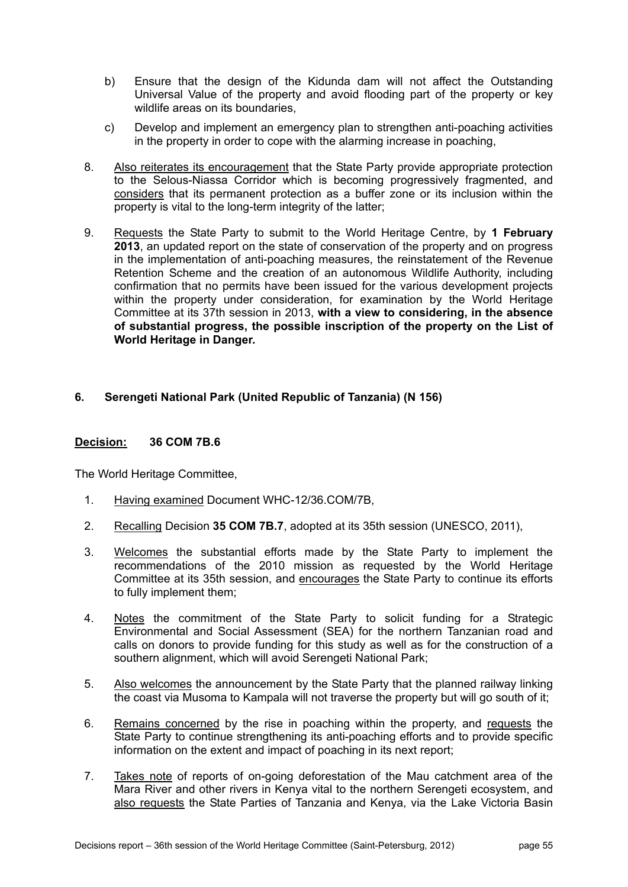- b) Ensure that the design of the Kidunda dam will not affect the Outstanding Universal Value of the property and avoid flooding part of the property or key wildlife areas on its boundaries,
- c) Develop and implement an emergency plan to strengthen anti-poaching activities in the property in order to cope with the alarming increase in poaching,
- 8. Also reiterates its encouragement that the State Party provide appropriate protection to the Selous-Niassa Corridor which is becoming progressively fragmented, and considers that its permanent protection as a buffer zone or its inclusion within the property is vital to the long-term integrity of the latter;
- 9. Requests the State Party to submit to the World Heritage Centre, by **1 February 2013**, an updated report on the state of conservation of the property and on progress in the implementation of anti-poaching measures, the reinstatement of the Revenue Retention Scheme and the creation of an autonomous Wildlife Authority, including confirmation that no permits have been issued for the various development projects within the property under consideration, for examination by the World Heritage Committee at its 37th session in 2013, **with a view to considering, in the absence of substantial progress, the possible inscription of the property on the List of World Heritage in Danger.**

# **6. Serengeti National Park (United Republic of Tanzania) (N 156)**

#### **Decision: 36 COM 7B.6**

- 1. Having examined Document WHC-12/36.COM/7B,
- 2. Recalling Decision **35 COM 7B.7**, adopted at its 35th session (UNESCO, 2011),
- 3. Welcomes the substantial efforts made by the State Party to implement the recommendations of the 2010 mission as requested by the World Heritage Committee at its 35th session, and encourages the State Party to continue its efforts to fully implement them;
- 4. Notes the commitment of the State Party to solicit funding for a Strategic Environmental and Social Assessment (SEA) for the northern Tanzanian road and calls on donors to provide funding for this study as well as for the construction of a southern alignment, which will avoid Serengeti National Park;
- 5. Also welcomes the announcement by the State Party that the planned railway linking the coast via Musoma to Kampala will not traverse the property but will go south of it;
- 6. Remains concerned by the rise in poaching within the property, and requests the State Party to continue strengthening its anti-poaching efforts and to provide specific information on the extent and impact of poaching in its next report;
- 7. Takes note of reports of on-going deforestation of the Mau catchment area of the Mara River and other rivers in Kenya vital to the northern Serengeti ecosystem, and also requests the State Parties of Tanzania and Kenya, via the Lake Victoria Basin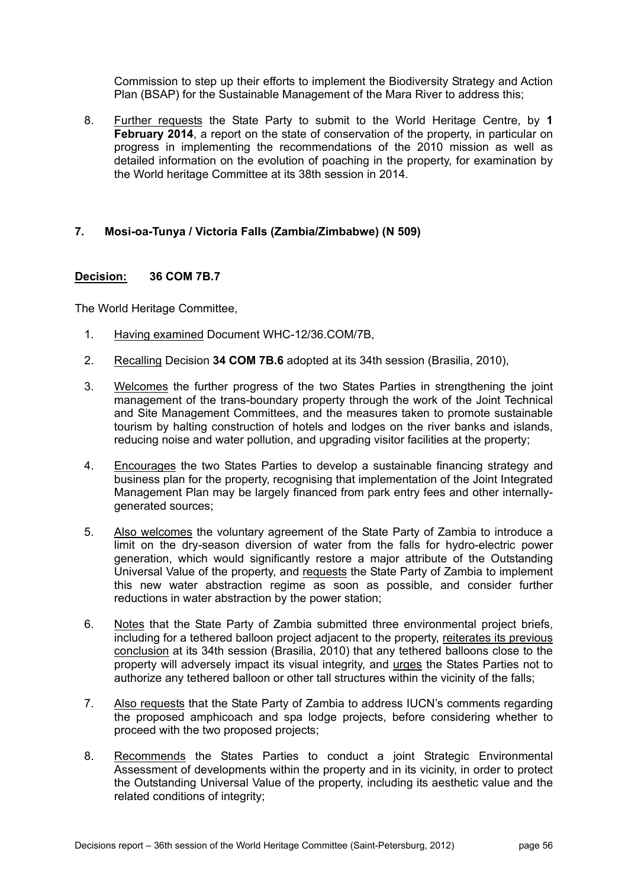Commission to step up their efforts to implement the Biodiversity Strategy and Action Plan (BSAP) for the Sustainable Management of the Mara River to address this;

8. Further requests the State Party to submit to the World Heritage Centre, by **1 February 2014**, a report on the state of conservation of the property, in particular on progress in implementing the recommendations of the 2010 mission as well as detailed information on the evolution of poaching in the property, for examination by the World heritage Committee at its 38th session in 2014.

# **7. Mosi-oa-Tunya / Victoria Falls (Zambia/Zimbabwe) (N 509)**

### **Decision: 36 COM 7B.7**

- 1. Having examined Document WHC-12/36.COM/7B,
- 2. Recalling Decision **34 COM 7B.6** adopted at its 34th session (Brasilia, 2010),
- 3. Welcomes the further progress of the two States Parties in strengthening the joint management of the trans-boundary property through the work of the Joint Technical and Site Management Committees, and the measures taken to promote sustainable tourism by halting construction of hotels and lodges on the river banks and islands, reducing noise and water pollution, and upgrading visitor facilities at the property;
- 4. Encourages the two States Parties to develop a sustainable financing strategy and business plan for the property, recognising that implementation of the Joint Integrated Management Plan may be largely financed from park entry fees and other internallygenerated sources;
- 5. Also welcomes the voluntary agreement of the State Party of Zambia to introduce a limit on the dry-season diversion of water from the falls for hydro-electric power generation, which would significantly restore a major attribute of the Outstanding Universal Value of the property, and requests the State Party of Zambia to implement this new water abstraction regime as soon as possible, and consider further reductions in water abstraction by the power station;
- 6. Notes that the State Party of Zambia submitted three environmental project briefs, including for a tethered balloon project adjacent to the property, reiterates its previous conclusion at its 34th session (Brasilia, 2010) that any tethered balloons close to the property will adversely impact its visual integrity, and urges the States Parties not to authorize any tethered balloon or other tall structures within the vicinity of the falls;
- 7. Also requests that the State Party of Zambia to address IUCN's comments regarding the proposed amphicoach and spa lodge projects, before considering whether to proceed with the two proposed projects;
- 8. Recommends the States Parties to conduct a joint Strategic Environmental Assessment of developments within the property and in its vicinity, in order to protect the Outstanding Universal Value of the property, including its aesthetic value and the related conditions of integrity;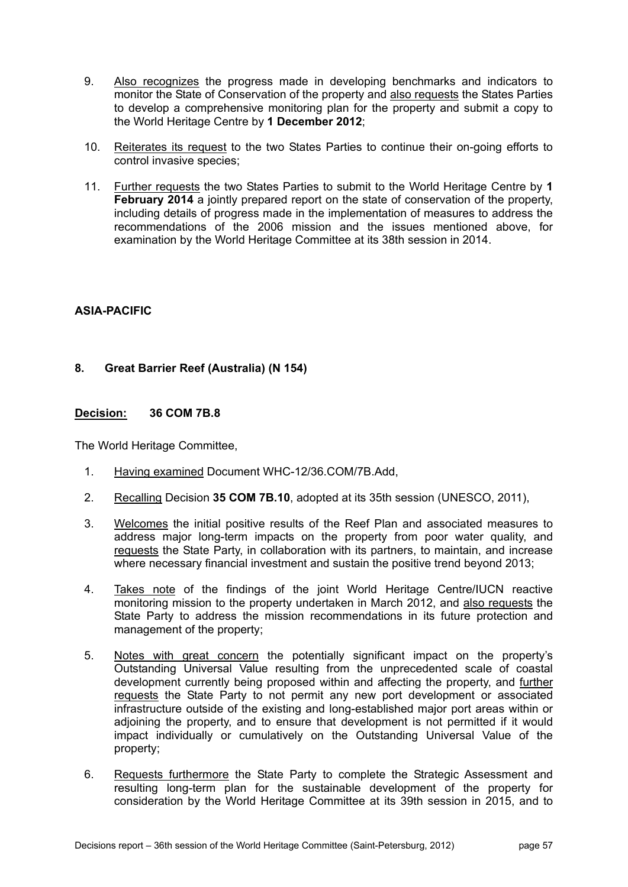- 9. Also recognizes the progress made in developing benchmarks and indicators to monitor the State of Conservation of the property and also requests the States Parties to develop a comprehensive monitoring plan for the property and submit a copy to the World Heritage Centre by **1 December 2012**;
- 10. Reiterates its request to the two States Parties to continue their on-going efforts to control invasive species;
- 11. Further requests the two States Parties to submit to the World Heritage Centre by **1 February 2014** a jointly prepared report on the state of conservation of the property, including details of progress made in the implementation of measures to address the recommendations of the 2006 mission and the issues mentioned above, for examination by the World Heritage Committee at its 38th session in 2014.

# **ASIA-PACIFIC**

# **8. Great Barrier Reef (Australia) (N 154)**

### **Decision: 36 COM 7B.8**

- 1. Having examined Document WHC-12/36.COM/7B.Add,
- 2. Recalling Decision **35 COM 7B.10**, adopted at its 35th session (UNESCO, 2011),
- 3. Welcomes the initial positive results of the Reef Plan and associated measures to address major long-term impacts on the property from poor water quality, and requests the State Party, in collaboration with its partners, to maintain, and increase where necessary financial investment and sustain the positive trend beyond 2013;
- 4. Takes note of the findings of the joint World Heritage Centre/IUCN reactive monitoring mission to the property undertaken in March 2012, and also requests the State Party to address the mission recommendations in its future protection and management of the property;
- 5. Notes with great concern the potentially significant impact on the property's Outstanding Universal Value resulting from the unprecedented scale of coastal development currently being proposed within and affecting the property, and further requests the State Party to not permit any new port development or associated infrastructure outside of the existing and long-established major port areas within or adjoining the property, and to ensure that development is not permitted if it would impact individually or cumulatively on the Outstanding Universal Value of the property;
- 6. Requests furthermore the State Party to complete the Strategic Assessment and resulting long-term plan for the sustainable development of the property for consideration by the World Heritage Committee at its 39th session in 2015, and to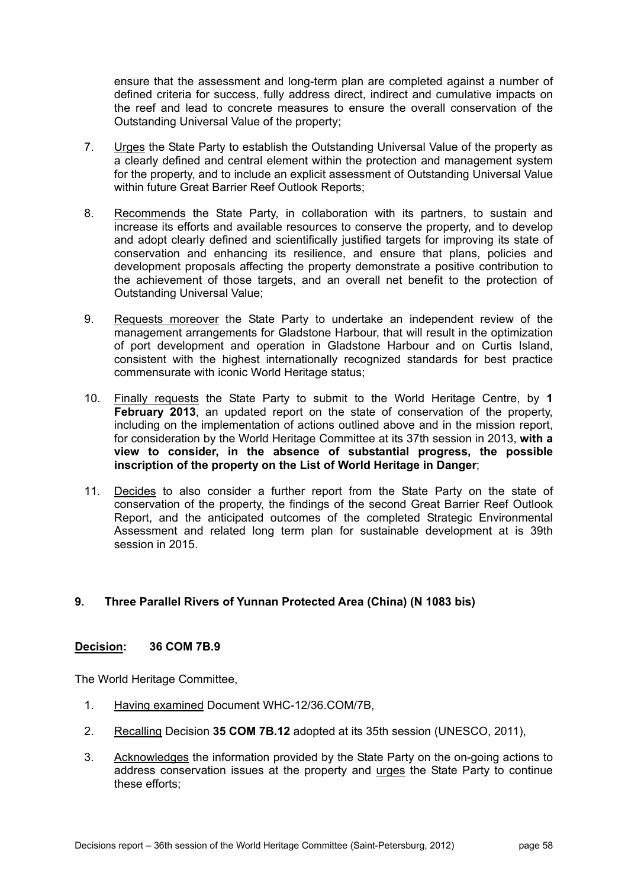ensure that the assessment and long-term plan are completed against a number of defined criteria for success, fully address direct, indirect and cumulative impacts on the reef and lead to concrete measures to ensure the overall conservation of the Outstanding Universal Value of the property;

- 7. Urges the State Party to establish the Outstanding Universal Value of the property as a clearly defined and central element within the protection and management system for the property, and to include an explicit assessment of Outstanding Universal Value within future Great Barrier Reef Outlook Reports;
- 8. Recommends the State Party, in collaboration with its partners, to sustain and increase its efforts and available resources to conserve the property, and to develop and adopt clearly defined and scientifically justified targets for improving its state of conservation and enhancing its resilience, and ensure that plans, policies and development proposals affecting the property demonstrate a positive contribution to the achievement of those targets, and an overall net benefit to the protection of Outstanding Universal Value;
- 9. Requests moreover the State Party to undertake an independent review of the management arrangements for Gladstone Harbour, that will result in the optimization of port development and operation in Gladstone Harbour and on Curtis Island, consistent with the highest internationally recognized standards for best practice commensurate with iconic World Heritage status;
- 10. Finally requests the State Party to submit to the World Heritage Centre, by **1 February 2013**, an updated report on the state of conservation of the property, including on the implementation of actions outlined above and in the mission report, for consideration by the World Heritage Committee at its 37th session in 2013, **with a view to consider, in the absence of substantial progress, the possible inscription of the property on the List of World Heritage in Danger**;
- 11. Decides to also consider a further report from the State Party on the state of conservation of the property, the findings of the second Great Barrier Reef Outlook Report, and the anticipated outcomes of the completed Strategic Environmental Assessment and related long term plan for sustainable development at is 39th session in 2015.

# **9. Three Parallel Rivers of Yunnan Protected Area (China) (N 1083 bis)**

#### **Decision: 36 COM 7B.9**

- 1. Having examined Document WHC-12/36.COM/7B,
- 2. Recalling Decision **35 COM 7B.12** adopted at its 35th session (UNESCO, 2011),
- 3. Acknowledges the information provided by the State Party on the on-going actions to address conservation issues at the property and urges the State Party to continue these efforts;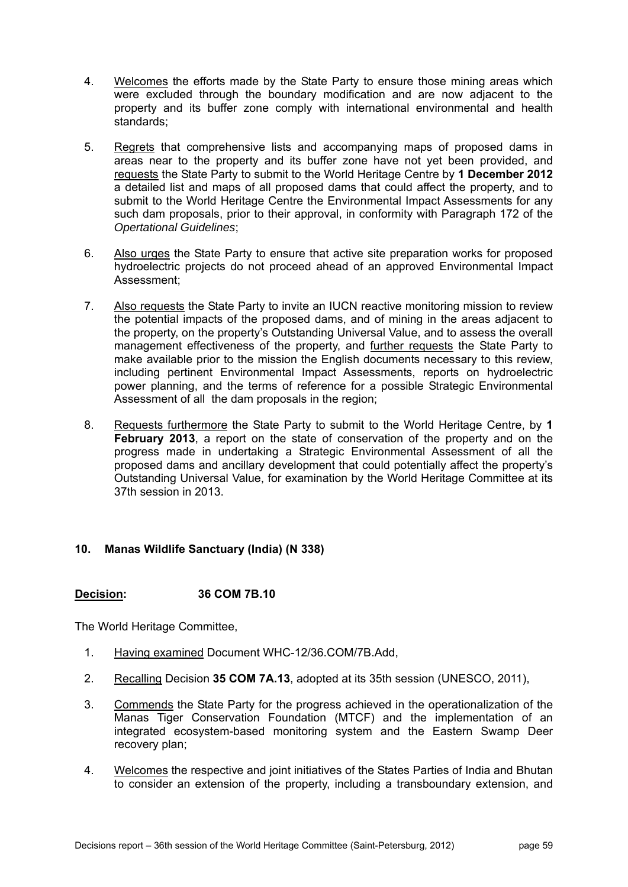- 4. Welcomes the efforts made by the State Party to ensure those mining areas which were excluded through the boundary modification and are now adjacent to the property and its buffer zone comply with international environmental and health standards;
- 5. Regrets that comprehensive lists and accompanying maps of proposed dams in areas near to the property and its buffer zone have not yet been provided, and requests the State Party to submit to the World Heritage Centre by **1 December 2012**  a detailed list and maps of all proposed dams that could affect the property, and to submit to the World Heritage Centre the Environmental Impact Assessments for any such dam proposals, prior to their approval, in conformity with Paragraph 172 of the *Opertational Guidelines*;
- 6. Also urges the State Party to ensure that active site preparation works for proposed hydroelectric projects do not proceed ahead of an approved Environmental Impact Assessment;
- 7. Also requests the State Party to invite an IUCN reactive monitoring mission to review the potential impacts of the proposed dams, and of mining in the areas adjacent to the property, on the property's Outstanding Universal Value, and to assess the overall management effectiveness of the property, and further requests the State Party to make available prior to the mission the English documents necessary to this review, including pertinent Environmental Impact Assessments, reports on hydroelectric power planning, and the terms of reference for a possible Strategic Environmental Assessment of all the dam proposals in the region;
- 8. Requests furthermore the State Party to submit to the World Heritage Centre, by **1 February 2013**, a report on the state of conservation of the property and on the progress made in undertaking a Strategic Environmental Assessment of all the proposed dams and ancillary development that could potentially affect the property's Outstanding Universal Value, for examination by the World Heritage Committee at its 37th session in 2013.

# **10. Manas Wildlife Sanctuary (India) (N 338)**

# **Decision: 36 COM 7B.10**

- 1. Having examined Document WHC-12/36.COM/7B.Add,
- 2. Recalling Decision **35 COM 7A.13**, adopted at its 35th session (UNESCO, 2011),
- 3. Commends the State Party for the progress achieved in the operationalization of the Manas Tiger Conservation Foundation (MTCF) and the implementation of an integrated ecosystem-based monitoring system and the Eastern Swamp Deer recovery plan;
- 4. Welcomes the respective and joint initiatives of the States Parties of India and Bhutan to consider an extension of the property, including a transboundary extension, and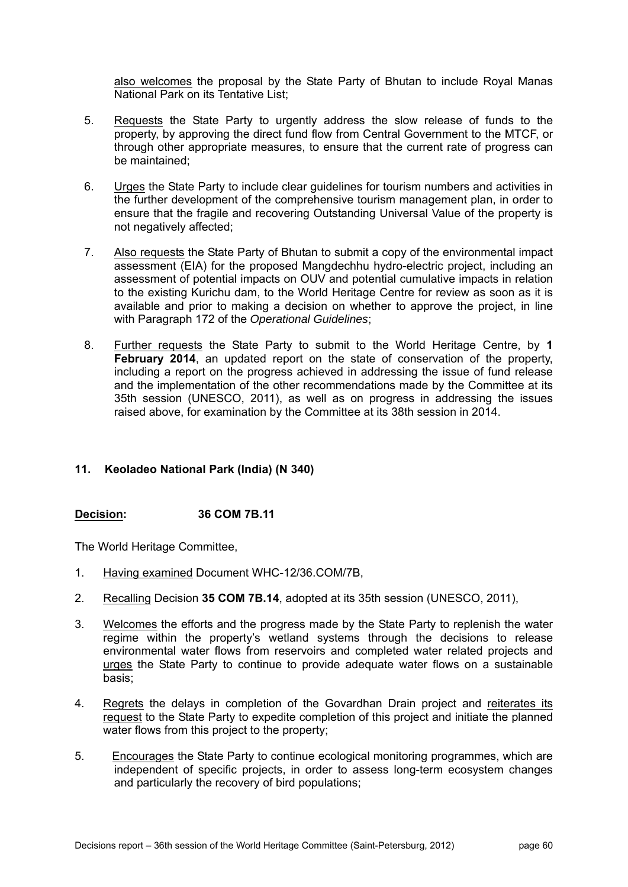also welcomes the proposal by the State Party of Bhutan to include Royal Manas National Park on its Tentative List;

- 5. Requests the State Party to urgently address the slow release of funds to the property, by approving the direct fund flow from Central Government to the MTCF, or through other appropriate measures, to ensure that the current rate of progress can be maintained;
- 6. Urges the State Party to include clear guidelines for tourism numbers and activities in the further development of the comprehensive tourism management plan, in order to ensure that the fragile and recovering Outstanding Universal Value of the property is not negatively affected;
- 7. Also requests the State Party of Bhutan to submit a copy of the environmental impact assessment (EIA) for the proposed Mangdechhu hydro-electric project, including an assessment of potential impacts on OUV and potential cumulative impacts in relation to the existing Kurichu dam, to the World Heritage Centre for review as soon as it is available and prior to making a decision on whether to approve the project, in line with Paragraph 172 of the *Operational Guidelines*;
- 8. Further requests the State Party to submit to the World Heritage Centre, by **1 February 2014**, an updated report on the state of conservation of the property, including a report on the progress achieved in addressing the issue of fund release and the implementation of the other recommendations made by the Committee at its 35th session (UNESCO, 2011), as well as on progress in addressing the issues raised above, for examination by the Committee at its 38th session in 2014.

# **11. Keoladeo National Park (India) (N 340)**

# **Decision: 36 COM 7B.11**

- 1. Having examined Document WHC-12/36.COM/7B,
- 2. Recalling Decision **35 COM 7B.14**, adopted at its 35th session (UNESCO, 2011),
- 3. Welcomes the efforts and the progress made by the State Party to replenish the water regime within the property's wetland systems through the decisions to release environmental water flows from reservoirs and completed water related projects and urges the State Party to continue to provide adequate water flows on a sustainable basis;
- 4. Regrets the delays in completion of the Govardhan Drain project and reiterates its request to the State Party to expedite completion of this project and initiate the planned water flows from this project to the property;
- 5. Encourages the State Party to continue ecological monitoring programmes, which are independent of specific projects, in order to assess long-term ecosystem changes and particularly the recovery of bird populations;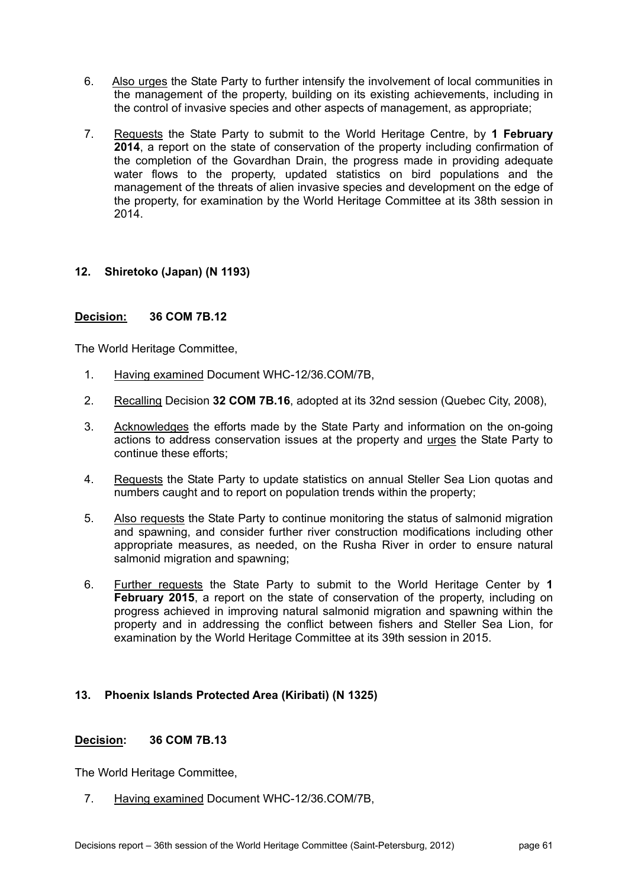- 6. Also urges the State Party to further intensify the involvement of local communities in the management of the property, building on its existing achievements, including in the control of invasive species and other aspects of management, as appropriate;
- 7. Requests the State Party to submit to the World Heritage Centre, by **1 February 2014**, a report on the state of conservation of the property including confirmation of the completion of the Govardhan Drain, the progress made in providing adequate water flows to the property, updated statistics on bird populations and the management of the threats of alien invasive species and development on the edge of the property, for examination by the World Heritage Committee at its 38th session in 2014.

# **12. Shiretoko (Japan) (N 1193)**

# **Decision: 36 COM 7B.12**

The World Heritage Committee,

- 1. Having examined Document WHC-12/36.COM/7B,
- 2. Recalling Decision **32 COM 7B.16**, adopted at its 32nd session (Quebec City, 2008),
- 3. Acknowledges the efforts made by the State Party and information on the on-going actions to address conservation issues at the property and urges the State Party to continue these efforts;
- 4. Requests the State Party to update statistics on annual Steller Sea Lion quotas and numbers caught and to report on population trends within the property;
- 5. Also requests the State Party to continue monitoring the status of salmonid migration and spawning, and consider further river construction modifications including other appropriate measures, as needed, on the Rusha River in order to ensure natural salmonid migration and spawning;
- 6. Further requests the State Party to submit to the World Heritage Center by **1 February 2015**, a report on the state of conservation of the property, including on progress achieved in improving natural salmonid migration and spawning within the property and in addressing the conflict between fishers and Steller Sea Lion, for examination by the World Heritage Committee at its 39th session in 2015.

# **13. Phoenix Islands Protected Area (Kiribati) (N 1325)**

#### **Decision: 36 COM 7B.13**

The World Heritage Committee,

7. Having examined Document WHC-12/36.COM/7B,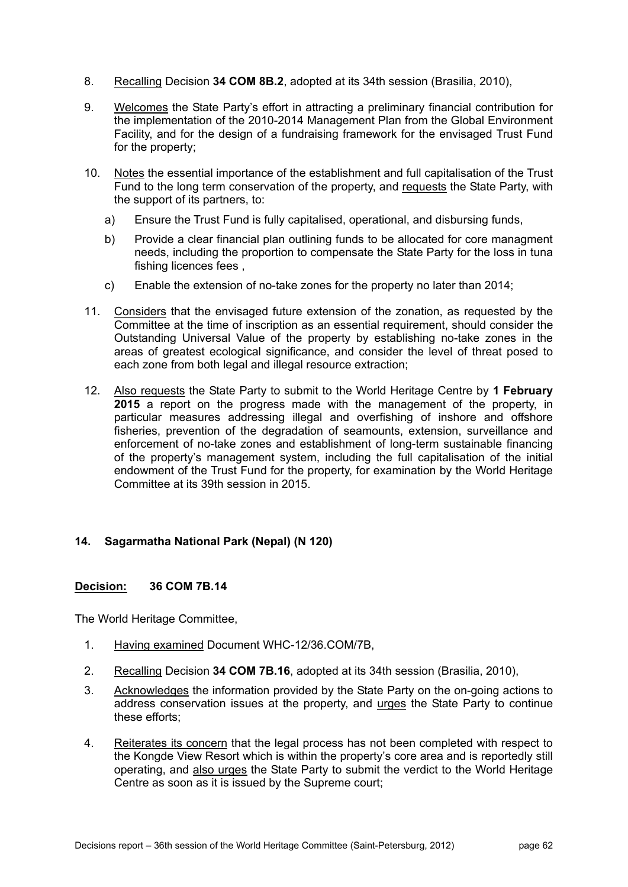- 8. Recalling Decision **34 COM 8B.2**, adopted at its 34th session (Brasilia, 2010),
- 9. Welcomes the State Party's effort in attracting a preliminary financial contribution for the implementation of the 2010-2014 Management Plan from the Global Environment Facility, and for the design of a fundraising framework for the envisaged Trust Fund for the property;
- 10. Notes the essential importance of the establishment and full capitalisation of the Trust Fund to the long term conservation of the property, and requests the State Party, with the support of its partners, to:
	- a) Ensure the Trust Fund is fully capitalised, operational, and disbursing funds,
	- b) Provide a clear financial plan outlining funds to be allocated for core managment needs, including the proportion to compensate the State Party for the loss in tuna fishing licences fees ,
	- c) Enable the extension of no-take zones for the property no later than 2014;
- 11. Considers that the envisaged future extension of the zonation, as requested by the Committee at the time of inscription as an essential requirement, should consider the Outstanding Universal Value of the property by establishing no-take zones in the areas of greatest ecological significance, and consider the level of threat posed to each zone from both legal and illegal resource extraction;
- 12. Also requests the State Party to submit to the World Heritage Centre by **1 February 2015** a report on the progress made with the management of the property, in particular measures addressing illegal and overfishing of inshore and offshore fisheries, prevention of the degradation of seamounts, extension, surveillance and enforcement of no-take zones and establishment of long-term sustainable financing of the property's management system, including the full capitalisation of the initial endowment of the Trust Fund for the property, for examination by the World Heritage Committee at its 39th session in 2015.

# **14. Sagarmatha National Park (Nepal) (N 120)**

#### **Decision: 36 COM 7B.14**

- 1. Having examined Document WHC-12/36.COM/7B,
- 2. Recalling Decision **34 COM 7B.16**, adopted at its 34th session (Brasilia, 2010),
- 3. Acknowledges the information provided by the State Party on the on-going actions to address conservation issues at the property, and urges the State Party to continue these efforts;
- 4. Reiterates its concern that the legal process has not been completed with respect to the Kongde View Resort which is within the property's core area and is reportedly still operating, and also urges the State Party to submit the verdict to the World Heritage Centre as soon as it is issued by the Supreme court;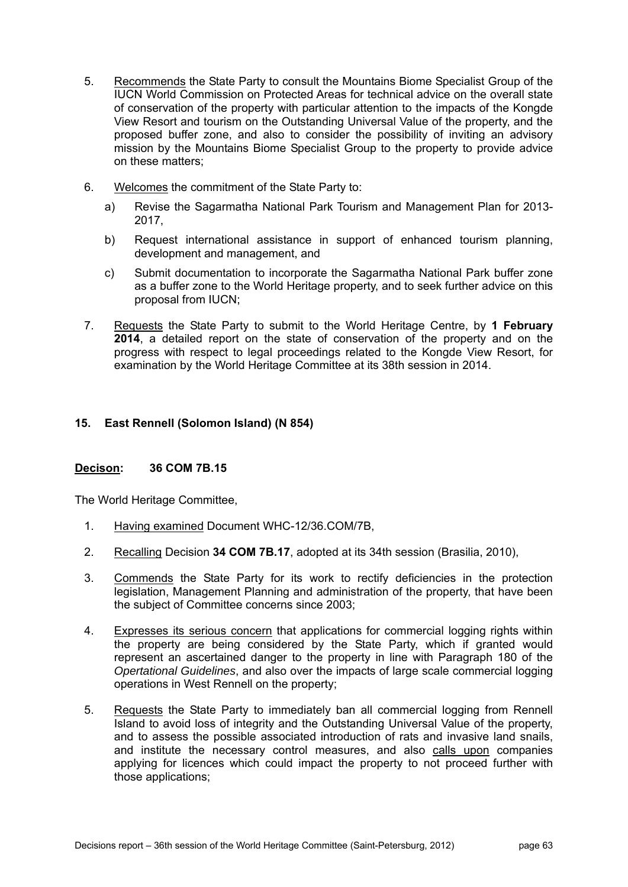- 5. Recommends the State Party to consult the Mountains Biome Specialist Group of the IUCN World Commission on Protected Areas for technical advice on the overall state of conservation of the property with particular attention to the impacts of the Kongde View Resort and tourism on the Outstanding Universal Value of the property, and the proposed buffer zone, and also to consider the possibility of inviting an advisory mission by the Mountains Biome Specialist Group to the property to provide advice on these matters;
- 6. Welcomes the commitment of the State Party to:
	- a) Revise the Sagarmatha National Park Tourism and Management Plan for 2013- 2017,
	- b) Request international assistance in support of enhanced tourism planning, development and management, and
	- c) Submit documentation to incorporate the Sagarmatha National Park buffer zone as a buffer zone to the World Heritage property, and to seek further advice on this proposal from IUCN;
- 7. Requests the State Party to submit to the World Heritage Centre, by **1 February 2014**, a detailed report on the state of conservation of the property and on the progress with respect to legal proceedings related to the Kongde View Resort, for examination by the World Heritage Committee at its 38th session in 2014.

# **15. East Rennell (Solomon Island) (N 854)**

# **Decison: 36 COM 7B.15**

- 1. Having examined Document WHC-12/36.COM/7B,
- 2. Recalling Decision **34 COM 7B.17**, adopted at its 34th session (Brasilia, 2010),
- 3. Commends the State Party for its work to rectify deficiencies in the protection legislation, Management Planning and administration of the property, that have been the subject of Committee concerns since 2003;
- 4. Expresses its serious concern that applications for commercial logging rights within the property are being considered by the State Party, which if granted would represent an ascertained danger to the property in line with Paragraph 180 of the *Opertational Guidelines*, and also over the impacts of large scale commercial logging operations in West Rennell on the property;
- 5. Requests the State Party to immediately ban all commercial logging from Rennell Island to avoid loss of integrity and the Outstanding Universal Value of the property, and to assess the possible associated introduction of rats and invasive land snails, and institute the necessary control measures, and also calls upon companies applying for licences which could impact the property to not proceed further with those applications;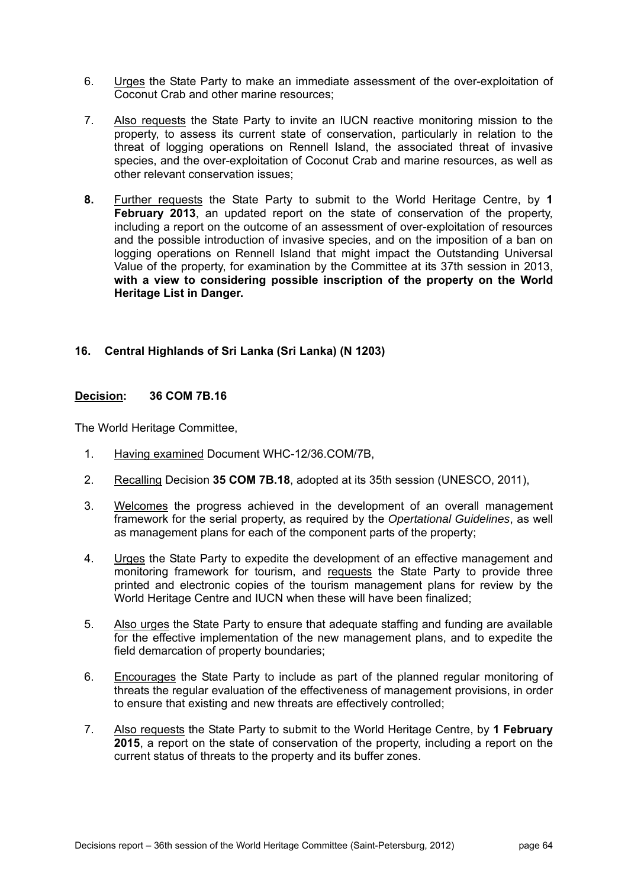- 6. Urges the State Party to make an immediate assessment of the over-exploitation of Coconut Crab and other marine resources;
- 7. Also requests the State Party to invite an IUCN reactive monitoring mission to the property, to assess its current state of conservation, particularly in relation to the threat of logging operations on Rennell Island, the associated threat of invasive species, and the over-exploitation of Coconut Crab and marine resources, as well as other relevant conservation issues;
- **8.** Further requests the State Party to submit to the World Heritage Centre, by **1 February 2013**, an updated report on the state of conservation of the property, including a report on the outcome of an assessment of over-exploitation of resources and the possible introduction of invasive species, and on the imposition of a ban on logging operations on Rennell Island that might impact the Outstanding Universal Value of the property, for examination by the Committee at its 37th session in 2013, **with a view to considering possible inscription of the property on the World Heritage List in Danger.**

# **16. Central Highlands of Sri Lanka (Sri Lanka) (N 1203)**

#### **Decision: 36 COM 7B.16**

- 1. Having examined Document WHC-12/36.COM/7B,
- 2. Recalling Decision **35 COM 7B.18**, adopted at its 35th session (UNESCO, 2011),
- 3. Welcomes the progress achieved in the development of an overall management framework for the serial property, as required by the *Opertational Guidelines*, as well as management plans for each of the component parts of the property;
- 4. Urges the State Party to expedite the development of an effective management and monitoring framework for tourism, and requests the State Party to provide three printed and electronic copies of the tourism management plans for review by the World Heritage Centre and IUCN when these will have been finalized;
- 5. Also urges the State Party to ensure that adequate staffing and funding are available for the effective implementation of the new management plans, and to expedite the field demarcation of property boundaries;
- 6. Encourages the State Party to include as part of the planned regular monitoring of threats the regular evaluation of the effectiveness of management provisions, in order to ensure that existing and new threats are effectively controlled;
- 7. Also requests the State Party to submit to the World Heritage Centre, by **1 February 2015**, a report on the state of conservation of the property, including a report on the current status of threats to the property and its buffer zones.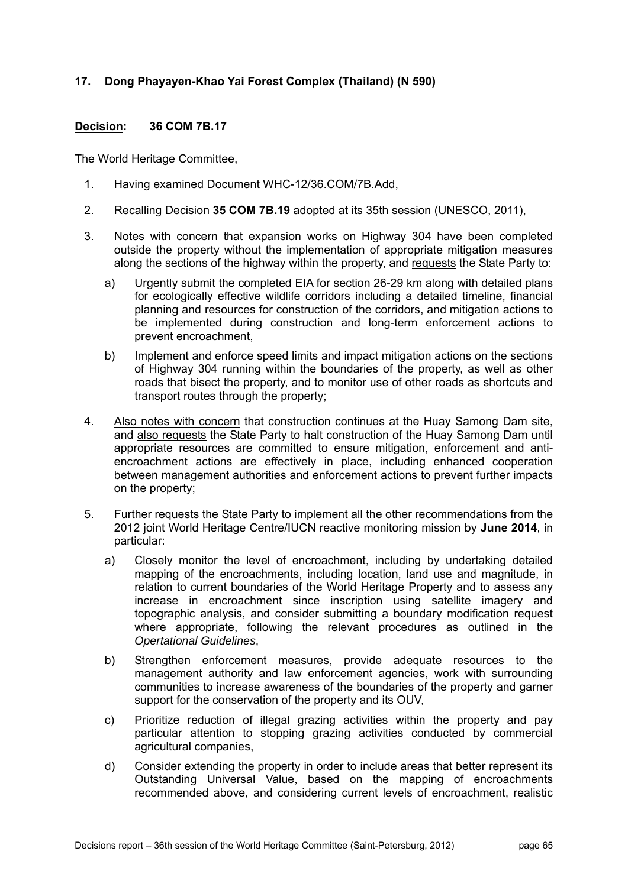# **17. Dong Phayayen-Khao Yai Forest Complex (Thailand) (N 590)**

### **Decision: 36 COM 7B.17**

- 1. Having examined Document WHC-12/36.COM/7B.Add,
- 2. Recalling Decision **35 COM 7B.19** adopted at its 35th session (UNESCO, 2011),
- 3. Notes with concern that expansion works on Highway 304 have been completed outside the property without the implementation of appropriate mitigation measures along the sections of the highway within the property, and requests the State Party to:
	- a) Urgently submit the completed EIA for section 26-29 km along with detailed plans for ecologically effective wildlife corridors including a detailed timeline, financial planning and resources for construction of the corridors, and mitigation actions to be implemented during construction and long-term enforcement actions to prevent encroachment,
	- b) Implement and enforce speed limits and impact mitigation actions on the sections of Highway 304 running within the boundaries of the property, as well as other roads that bisect the property, and to monitor use of other roads as shortcuts and transport routes through the property;
- 4. Also notes with concern that construction continues at the Huay Samong Dam site, and also requests the State Party to halt construction of the Huay Samong Dam until appropriate resources are committed to ensure mitigation, enforcement and antiencroachment actions are effectively in place, including enhanced cooperation between management authorities and enforcement actions to prevent further impacts on the property;
- 5. Further requests the State Party to implement all the other recommendations from the 2012 joint World Heritage Centre/IUCN reactive monitoring mission by **June 2014**, in particular:
	- a) Closely monitor the level of encroachment, including by undertaking detailed mapping of the encroachments, including location, land use and magnitude, in relation to current boundaries of the World Heritage Property and to assess any increase in encroachment since inscription using satellite imagery and topographic analysis, and consider submitting a boundary modification request where appropriate, following the relevant procedures as outlined in the *Opertational Guidelines*,
	- b) Strengthen enforcement measures, provide adequate resources to the management authority and law enforcement agencies, work with surrounding communities to increase awareness of the boundaries of the property and garner support for the conservation of the property and its OUV,
	- c) Prioritize reduction of illegal grazing activities within the property and pay particular attention to stopping grazing activities conducted by commercial agricultural companies,
	- d) Consider extending the property in order to include areas that better represent its Outstanding Universal Value, based on the mapping of encroachments recommended above, and considering current levels of encroachment, realistic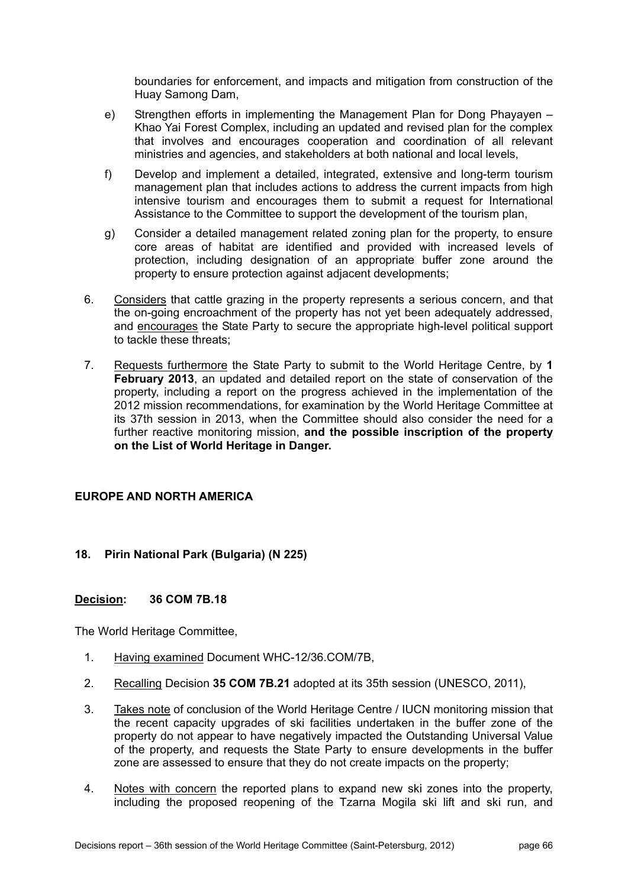boundaries for enforcement, and impacts and mitigation from construction of the Huay Samong Dam,

- e) Strengthen efforts in implementing the Management Plan for Dong Phayayen Khao Yai Forest Complex, including an updated and revised plan for the complex that involves and encourages cooperation and coordination of all relevant ministries and agencies, and stakeholders at both national and local levels,
- f) Develop and implement a detailed, integrated, extensive and long-term tourism management plan that includes actions to address the current impacts from high intensive tourism and encourages them to submit a request for International Assistance to the Committee to support the development of the tourism plan,
- g) Consider a detailed management related zoning plan for the property, to ensure core areas of habitat are identified and provided with increased levels of protection, including designation of an appropriate buffer zone around the property to ensure protection against adjacent developments;
- 6. Considers that cattle grazing in the property represents a serious concern, and that the on-going encroachment of the property has not yet been adequately addressed, and encourages the State Party to secure the appropriate high-level political support to tackle these threats;
- 7. Requests furthermore the State Party to submit to the World Heritage Centre, by **1 February 2013**, an updated and detailed report on the state of conservation of the property, including a report on the progress achieved in the implementation of the 2012 mission recommendations, for examination by the World Heritage Committee at its 37th session in 2013, when the Committee should also consider the need for a further reactive monitoring mission, **and the possible inscription of the property on the List of World Heritage in Danger.**

# **EUROPE AND NORTH AMERICA**

# **18. Pirin National Park (Bulgaria) (N 225)**

#### **Decision: 36 COM 7B.18**

- 1. Having examined Document WHC-12/36.COM/7B,
- 2. Recalling Decision **35 COM 7B.21** adopted at its 35th session (UNESCO, 2011),
- 3. Takes note of conclusion of the World Heritage Centre / IUCN monitoring mission that the recent capacity upgrades of ski facilities undertaken in the buffer zone of the property do not appear to have negatively impacted the Outstanding Universal Value of the property, and requests the State Party to ensure developments in the buffer zone are assessed to ensure that they do not create impacts on the property;
- 4. Notes with concern the reported plans to expand new ski zones into the property, including the proposed reopening of the Tzarna Mogila ski lift and ski run, and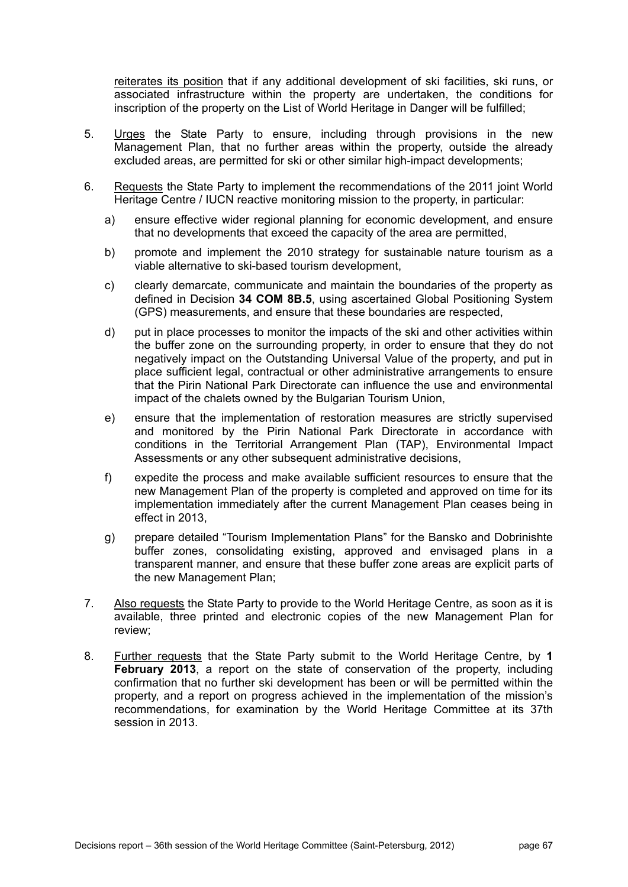reiterates its position that if any additional development of ski facilities, ski runs, or associated infrastructure within the property are undertaken, the conditions for inscription of the property on the List of World Heritage in Danger will be fulfilled;

- 5. Urges the State Party to ensure, including through provisions in the new Management Plan, that no further areas within the property, outside the already excluded areas, are permitted for ski or other similar high-impact developments;
- 6. Requests the State Party to implement the recommendations of the 2011 joint World Heritage Centre / IUCN reactive monitoring mission to the property, in particular:
	- a) ensure effective wider regional planning for economic development, and ensure that no developments that exceed the capacity of the area are permitted,
	- b) promote and implement the 2010 strategy for sustainable nature tourism as a viable alternative to ski-based tourism development,
	- c) clearly demarcate, communicate and maintain the boundaries of the property as defined in Decision **34 COM 8B.5**, using ascertained Global Positioning System (GPS) measurements, and ensure that these boundaries are respected,
	- d) put in place processes to monitor the impacts of the ski and other activities within the buffer zone on the surrounding property, in order to ensure that they do not negatively impact on the Outstanding Universal Value of the property, and put in place sufficient legal, contractual or other administrative arrangements to ensure that the Pirin National Park Directorate can influence the use and environmental impact of the chalets owned by the Bulgarian Tourism Union,
	- e) ensure that the implementation of restoration measures are strictly supervised and monitored by the Pirin National Park Directorate in accordance with conditions in the Territorial Arrangement Plan (TAP), Environmental Impact Assessments or any other subsequent administrative decisions,
	- f) expedite the process and make available sufficient resources to ensure that the new Management Plan of the property is completed and approved on time for its implementation immediately after the current Management Plan ceases being in effect in 2013,
	- g) prepare detailed "Tourism Implementation Plans" for the Bansko and Dobrinishte buffer zones, consolidating existing, approved and envisaged plans in a transparent manner, and ensure that these buffer zone areas are explicit parts of the new Management Plan;
- 7. Also requests the State Party to provide to the World Heritage Centre, as soon as it is available, three printed and electronic copies of the new Management Plan for review;
- 8. Further requests that the State Party submit to the World Heritage Centre, by **1 February 2013**, a report on the state of conservation of the property, including confirmation that no further ski development has been or will be permitted within the property, and a report on progress achieved in the implementation of the mission's recommendations, for examination by the World Heritage Committee at its 37th session in 2013.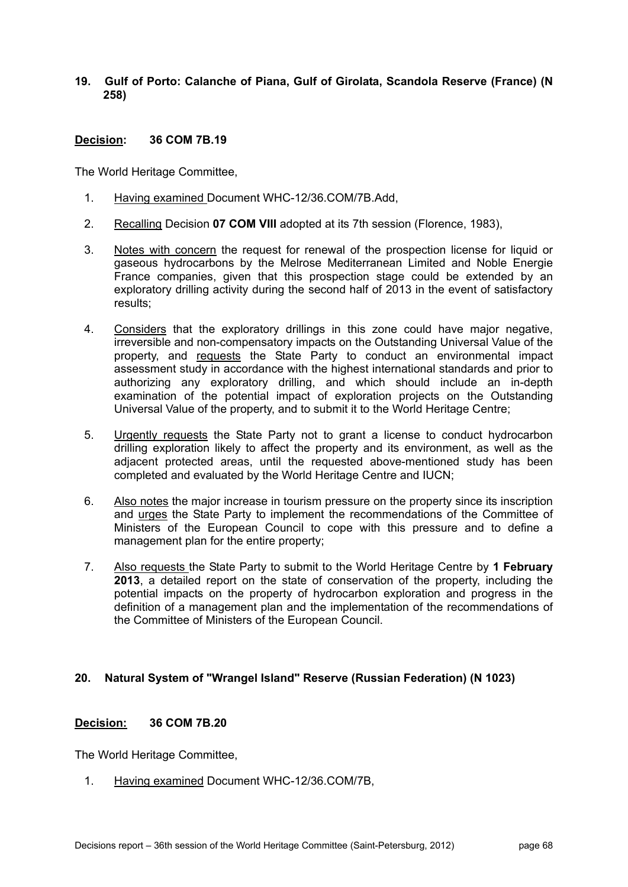**19. Gulf of Porto: Calanche of Piana, Gulf of Girolata, Scandola Reserve (France) (N 258)** 

## **Decision: 36 COM 7B.19**

The World Heritage Committee,

- 1. Having examined Document WHC-12/36.COM/7B.Add,
- 2. Recalling Decision **07 COM VIII** adopted at its 7th session (Florence, 1983),
- 3. Notes with concern the request for renewal of the prospection license for liquid or gaseous hydrocarbons by the Melrose Mediterranean Limited and Noble Energie France companies, given that this prospection stage could be extended by an exploratory drilling activity during the second half of 2013 in the event of satisfactory results;
- 4. Considers that the exploratory drillings in this zone could have major negative, irreversible and non-compensatory impacts on the Outstanding Universal Value of the property, and requests the State Party to conduct an environmental impact assessment study in accordance with the highest international standards and prior to authorizing any exploratory drilling, and which should include an in-depth examination of the potential impact of exploration projects on the Outstanding Universal Value of the property, and to submit it to the World Heritage Centre;
- 5. Urgently requests the State Party not to grant a license to conduct hydrocarbon drilling exploration likely to affect the property and its environment, as well as the adjacent protected areas, until the requested above-mentioned study has been completed and evaluated by the World Heritage Centre and IUCN;
- 6. Also notes the major increase in tourism pressure on the property since its inscription and urges the State Party to implement the recommendations of the Committee of Ministers of the European Council to cope with this pressure and to define a management plan for the entire property;
- 7. Also requests the State Party to submit to the World Heritage Centre by **1 February 2013**, a detailed report on the state of conservation of the property, including the potential impacts on the property of hydrocarbon exploration and progress in the definition of a management plan and the implementation of the recommendations of the Committee of Ministers of the European Council.

# **20. Natural System of "Wrangel Island" Reserve (Russian Federation) (N 1023)**

# **Decision: 36 COM 7B.20**

The World Heritage Committee,

1. Having examined Document WHC-12/36.COM/7B,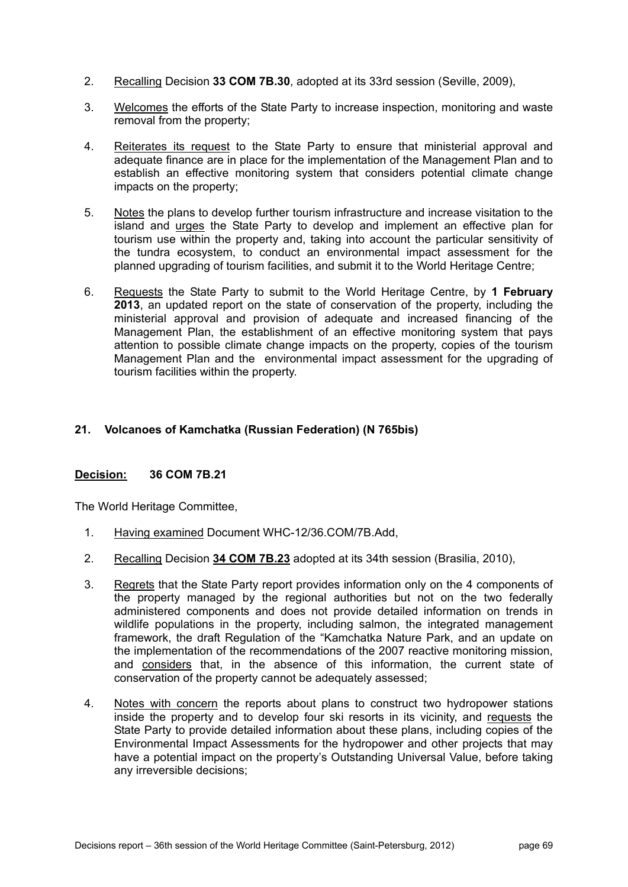- 2. Recalling Decision **33 COM 7B.30**, adopted at its 33rd session (Seville, 2009),
- 3. Welcomes the efforts of the State Party to increase inspection, monitoring and waste removal from the property;
- 4. Reiterates its request to the State Party to ensure that ministerial approval and adequate finance are in place for the implementation of the Management Plan and to establish an effective monitoring system that considers potential climate change impacts on the property;
- 5. Notes the plans to develop further tourism infrastructure and increase visitation to the island and urges the State Party to develop and implement an effective plan for tourism use within the property and, taking into account the particular sensitivity of the tundra ecosystem, to conduct an environmental impact assessment for the planned upgrading of tourism facilities, and submit it to the World Heritage Centre;
- 6. Requests the State Party to submit to the World Heritage Centre, by **1 February 2013**, an updated report on the state of conservation of the property, including the ministerial approval and provision of adequate and increased financing of the Management Plan, the establishment of an effective monitoring system that pays attention to possible climate change impacts on the property, copies of the tourism Management Plan and the environmental impact assessment for the upgrading of tourism facilities within the property.

# **21. Volcanoes of Kamchatka (Russian Federation) (N 765bis)**

#### **Decision: 36 COM 7B.21**

- 1. Having examined Document WHC-12/36.COM/7B.Add,
- 2. Recalling Decision **34 COM 7B.23** adopted at its 34th session (Brasilia, 2010),
- 3. Regrets that the State Party report provides information only on the 4 components of the property managed by the regional authorities but not on the two federally administered components and does not provide detailed information on trends in wildlife populations in the property, including salmon, the integrated management framework, the draft Regulation of the "Kamchatka Nature Park, and an update on the implementation of the recommendations of the 2007 reactive monitoring mission, and considers that, in the absence of this information, the current state of conservation of the property cannot be adequately assessed;
- 4. Notes with concern the reports about plans to construct two hydropower stations inside the property and to develop four ski resorts in its vicinity, and requests the State Party to provide detailed information about these plans, including copies of the Environmental Impact Assessments for the hydropower and other projects that may have a potential impact on the property's Outstanding Universal Value, before taking any irreversible decisions;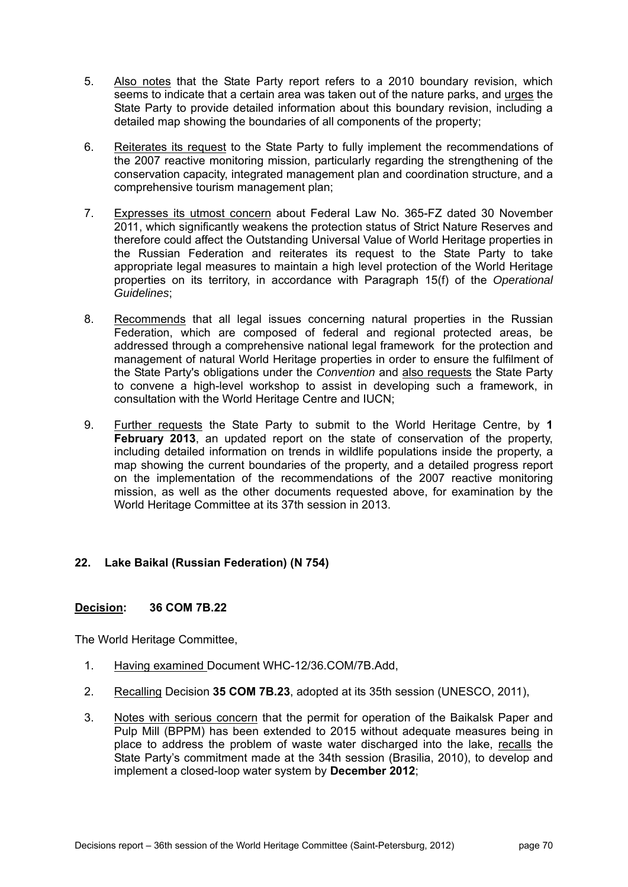- 5. Also notes that the State Party report refers to a 2010 boundary revision, which seems to indicate that a certain area was taken out of the nature parks, and urges the State Party to provide detailed information about this boundary revision, including a detailed map showing the boundaries of all components of the property;
- 6. Reiterates its request to the State Party to fully implement the recommendations of the 2007 reactive monitoring mission, particularly regarding the strengthening of the conservation capacity, integrated management plan and coordination structure, and a comprehensive tourism management plan;
- 7. Expresses its utmost concern about Federal Law No. 365-FZ dated 30 November 2011, which significantly weakens the protection status of Strict Nature Reserves and therefore could affect the Outstanding Universal Value of World Heritage properties in the Russian Federation and reiterates its request to the State Party to take appropriate legal measures to maintain a high level protection of the World Heritage properties on its territory, in accordance with Paragraph 15(f) of the *Operational Guidelines*;
- 8. Recommends that all legal issues concerning natural properties in the Russian Federation, which are composed of federal and regional protected areas, be addressed through a comprehensive national legal framework for the protection and management of natural World Heritage properties in order to ensure the fulfilment of the State Party's obligations under the *Convention* and also requests the State Party to convene a high-level workshop to assist in developing such a framework, in consultation with the World Heritage Centre and IUCN;
- 9. Further requests the State Party to submit to the World Heritage Centre, by **1 February 2013**, an updated report on the state of conservation of the property, including detailed information on trends in wildlife populations inside the property, a map showing the current boundaries of the property, and a detailed progress report on the implementation of the recommendations of the 2007 reactive monitoring mission, as well as the other documents requested above, for examination by the World Heritage Committee at its 37th session in 2013.

# **22. Lake Baikal (Russian Federation) (N 754)**

# **Decision: 36 COM 7B.22**

- 1. Having examined Document WHC-12/36.COM/7B.Add,
- 2. Recalling Decision **35 COM 7B.23**, adopted at its 35th session (UNESCO, 2011),
- 3. Notes with serious concern that the permit for operation of the Baikalsk Paper and Pulp Mill (BPPM) has been extended to 2015 without adequate measures being in place to address the problem of waste water discharged into the lake, recalls the State Party's commitment made at the 34th session (Brasilia, 2010), to develop and implement a closed-loop water system by **December 2012**;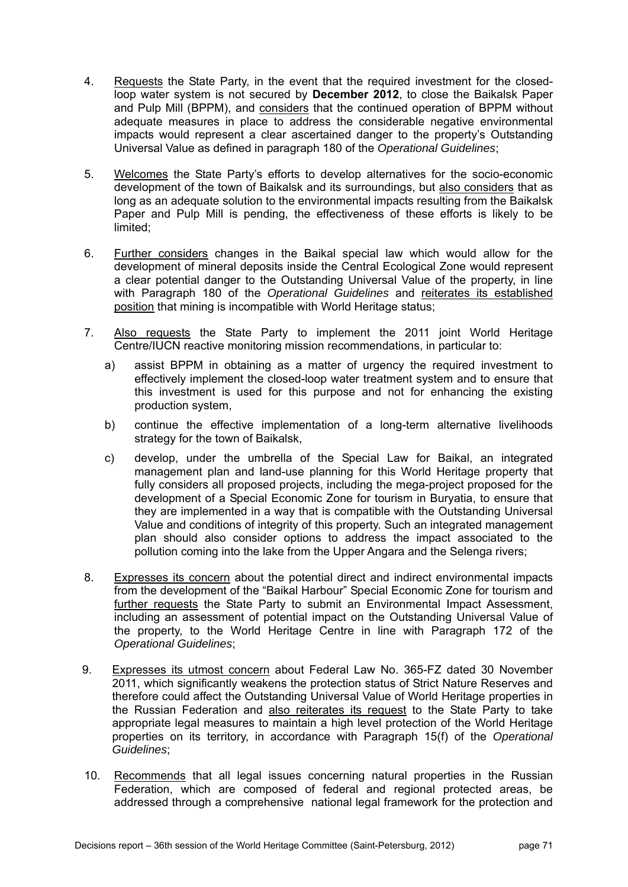- 4. Requests the State Party, in the event that the required investment for the closedloop water system is not secured by **December 2012**, to close the Baikalsk Paper and Pulp Mill (BPPM), and considers that the continued operation of BPPM without adequate measures in place to address the considerable negative environmental impacts would represent a clear ascertained danger to the property's Outstanding Universal Value as defined in paragraph 180 of the *Operational Guidelines*;
- 5. Welcomes the State Party's efforts to develop alternatives for the socio-economic development of the town of Baikalsk and its surroundings, but also considers that as long as an adequate solution to the environmental impacts resulting from the Baikalsk Paper and Pulp Mill is pending, the effectiveness of these efforts is likely to be limited;
- 6. Further considers changes in the Baikal special law which would allow for the development of mineral deposits inside the Central Ecological Zone would represent a clear potential danger to the Outstanding Universal Value of the property, in line with Paragraph 180 of the *Operational Guidelines* and reiterates its established position that mining is incompatible with World Heritage status;
- 7. Also requests the State Party to implement the 2011 joint World Heritage Centre/IUCN reactive monitoring mission recommendations, in particular to:
	- a) assist BPPM in obtaining as a matter of urgency the required investment to effectively implement the closed-loop water treatment system and to ensure that this investment is used for this purpose and not for enhancing the existing production system,
	- b) continue the effective implementation of a long-term alternative livelihoods strategy for the town of Baikalsk,
	- c) develop, under the umbrella of the Special Law for Baikal, an integrated management plan and land-use planning for this World Heritage property that fully considers all proposed projects, including the mega-project proposed for the development of a Special Economic Zone for tourism in Buryatia, to ensure that they are implemented in a way that is compatible with the Outstanding Universal Value and conditions of integrity of this property. Such an integrated management plan should also consider options to address the impact associated to the pollution coming into the lake from the Upper Angara and the Selenga rivers;
- 8. Expresses its concern about the potential direct and indirect environmental impacts from the development of the "Baikal Harbour" Special Economic Zone for tourism and further requests the State Party to submit an Environmental Impact Assessment, including an assessment of potential impact on the Outstanding Universal Value of the property, to the World Heritage Centre in line with Paragraph 172 of the *Operational Guidelines*;
- 9. Expresses its utmost concern about Federal Law No. 365-FZ dated 30 November 2011, which significantly weakens the protection status of Strict Nature Reserves and therefore could affect the Outstanding Universal Value of World Heritage properties in the Russian Federation and also reiterates its request to the State Party to take appropriate legal measures to maintain a high level protection of the World Heritage properties on its territory, in accordance with Paragraph 15(f) of the *Operational Guidelines*;
- 10. Recommends that all legal issues concerning natural properties in the Russian Federation, which are composed of federal and regional protected areas, be addressed through a comprehensive national legal framework for the protection and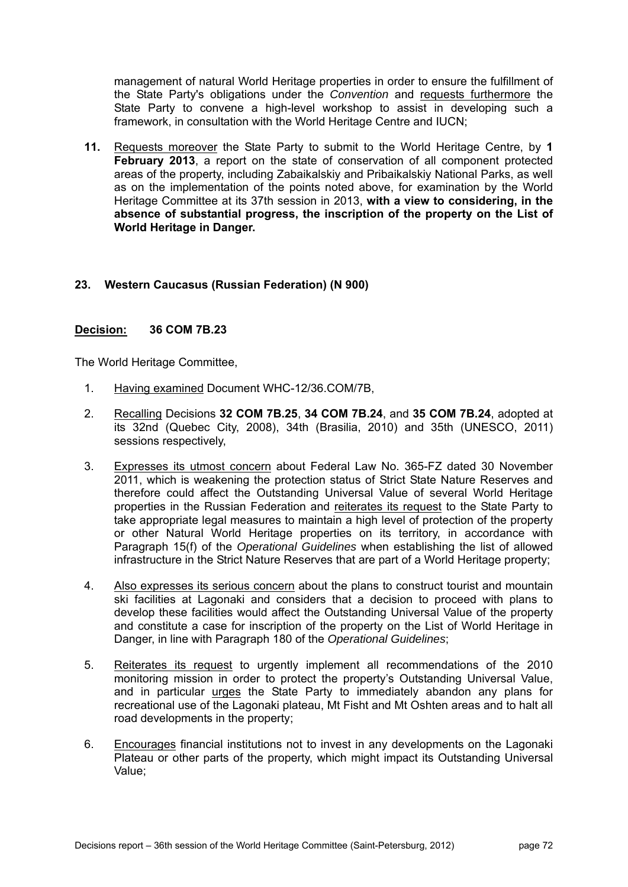management of natural World Heritage properties in order to ensure the fulfillment of the State Party's obligations under the *Convention* and requests furthermore the State Party to convene a high-level workshop to assist in developing such a framework, in consultation with the World Heritage Centre and IUCN;

**11.** Requests moreover the State Party to submit to the World Heritage Centre, by **1 February 2013**, a report on the state of conservation of all component protected areas of the property, including Zabaikalskiy and Pribaikalskiy National Parks, as well as on the implementation of the points noted above, for examination by the World Heritage Committee at its 37th session in 2013, **with a view to considering, in the absence of substantial progress, the inscription of the property on the List of World Heritage in Danger.** 

### **23. Western Caucasus (Russian Federation) (N 900)**

### **Decision: 36 COM 7B.23**

- 1. Having examined Document WHC-12/36.COM/7B,
- 2. Recalling Decisions **32 COM 7B.25**, **34 COM 7B.24**, and **35 COM 7B.24**, adopted at its 32nd (Quebec City, 2008), 34th (Brasilia, 2010) and 35th (UNESCO, 2011) sessions respectively,
- 3. Expresses its utmost concern about Federal Law No. 365-FZ dated 30 November 2011, which is weakening the protection status of Strict State Nature Reserves and therefore could affect the Outstanding Universal Value of several World Heritage properties in the Russian Federation and reiterates its request to the State Party to take appropriate legal measures to maintain a high level of protection of the property or other Natural World Heritage properties on its territory, in accordance with Paragraph 15(f) of the *Operational Guidelines* when establishing the list of allowed infrastructure in the Strict Nature Reserves that are part of a World Heritage property;
- 4. Also expresses its serious concern about the plans to construct tourist and mountain ski facilities at Lagonaki and considers that a decision to proceed with plans to develop these facilities would affect the Outstanding Universal Value of the property and constitute a case for inscription of the property on the List of World Heritage in Danger, in line with Paragraph 180 of the *Operational Guidelines*;
- 5. Reiterates its request to urgently implement all recommendations of the 2010 monitoring mission in order to protect the property's Outstanding Universal Value, and in particular urges the State Party to immediately abandon any plans for recreational use of the Lagonaki plateau, Mt Fisht and Mt Oshten areas and to halt all road developments in the property;
- 6. Encourages financial institutions not to invest in any developments on the Lagonaki Plateau or other parts of the property, which might impact its Outstanding Universal Value;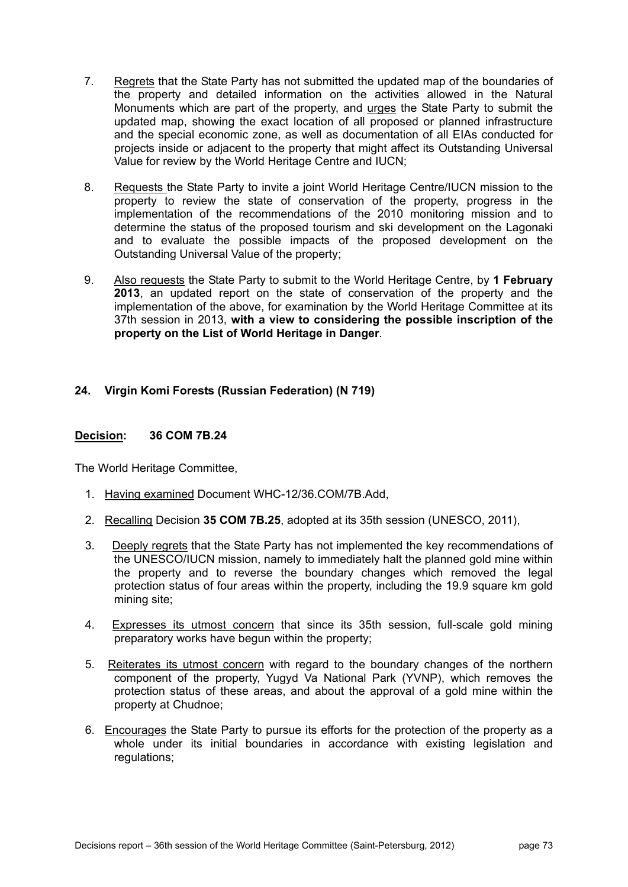- 7. Regrets that the State Party has not submitted the updated map of the boundaries of the property and detailed information on the activities allowed in the Natural Monuments which are part of the property, and urges the State Party to submit the updated map, showing the exact location of all proposed or planned infrastructure and the special economic zone, as well as documentation of all EIAs conducted for projects inside or adjacent to the property that might affect its Outstanding Universal Value for review by the World Heritage Centre and IUCN;
- 8. Requests the State Party to invite a joint World Heritage Centre/IUCN mission to the property to review the state of conservation of the property, progress in the implementation of the recommendations of the 2010 monitoring mission and to determine the status of the proposed tourism and ski development on the Lagonaki and to evaluate the possible impacts of the proposed development on the Outstanding Universal Value of the property;
- 9. Also requests the State Party to submit to the World Heritage Centre, by **1 February 2013**, an updated report on the state of conservation of the property and the implementation of the above, for examination by the World Heritage Committee at its 37th session in 2013, **with a view to considering the possible inscription of the property on the List of World Heritage in Danger**.

# **24. Virgin Komi Forests (Russian Federation) (N 719)**

### **Decision: 36 COM 7B.24**

- 1. Having examined Document WHC-12/36.COM/7B.Add,
- 2. Recalling Decision **35 COM 7B.25**, adopted at its 35th session (UNESCO, 2011),
- 3. Deeply regrets that the State Party has not implemented the key recommendations of the UNESCO/IUCN mission, namely to immediately halt the planned gold mine within the property and to reverse the boundary changes which removed the legal protection status of four areas within the property, including the 19.9 square km gold mining site;
- 4. Expresses its utmost concern that since its 35th session, full-scale gold mining preparatory works have begun within the property;
- 5. Reiterates its utmost concern with regard to the boundary changes of the northern component of the property, Yugyd Va National Park (YVNP), which removes the protection status of these areas, and about the approval of a gold mine within the property at Chudnoe;
- 6. Encourages the State Party to pursue its efforts for the protection of the property as a whole under its initial boundaries in accordance with existing legislation and regulations;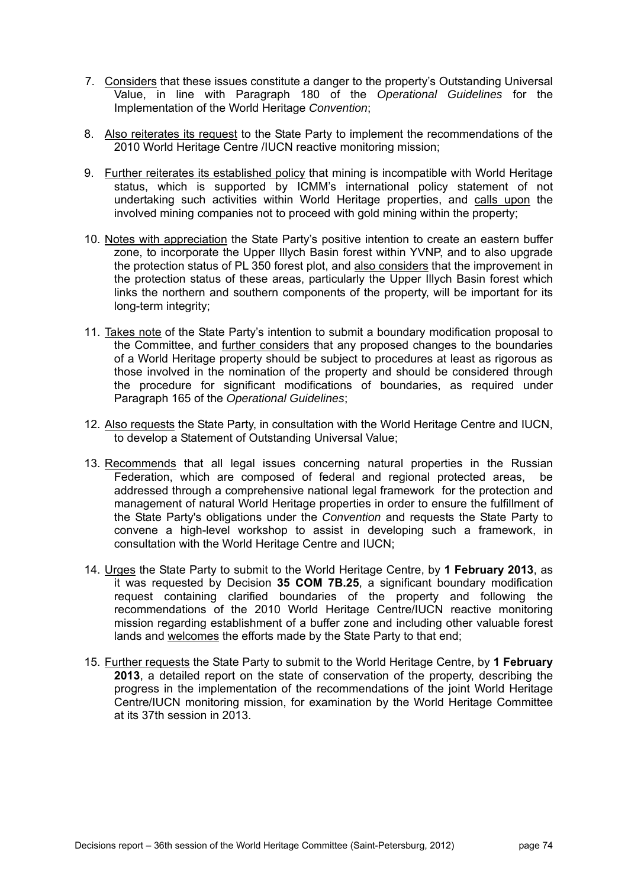- 7. Considers that these issues constitute a danger to the property's Outstanding Universal Value, in line with Paragraph 180 of the *Operational Guidelines* for the Implementation of the World Heritage *Convention*;
- 8. Also reiterates its request to the State Party to implement the recommendations of the 2010 World Heritage Centre /IUCN reactive monitoring mission;
- 9. Further reiterates its established policy that mining is incompatible with World Heritage status, which is supported by ICMM's international policy statement of not undertaking such activities within World Heritage properties, and calls upon the involved mining companies not to proceed with gold mining within the property;
- 10. Notes with appreciation the State Party's positive intention to create an eastern buffer zone, to incorporate the Upper Illych Basin forest within YVNP, and to also upgrade the protection status of PL 350 forest plot, and also considers that the improvement in the protection status of these areas, particularly the Upper Illych Basin forest which links the northern and southern components of the property, will be important for its long-term integrity;
- 11. Takes note of the State Party's intention to submit a boundary modification proposal to the Committee, and further considers that any proposed changes to the boundaries of a World Heritage property should be subject to procedures at least as rigorous as those involved in the nomination of the property and should be considered through the procedure for significant modifications of boundaries, as required under Paragraph 165 of the *Operational Guidelines*;
- 12. Also requests the State Party, in consultation with the World Heritage Centre and IUCN, to develop a Statement of Outstanding Universal Value;
- 13. Recommends that all legal issues concerning natural properties in the Russian Federation, which are composed of federal and regional protected areas, be addressed through a comprehensive national legal framework for the protection and management of natural World Heritage properties in order to ensure the fulfillment of the State Party's obligations under the *Convention* and requests the State Party to convene a high-level workshop to assist in developing such a framework, in consultation with the World Heritage Centre and IUCN;
- 14. Urges the State Party to submit to the World Heritage Centre, by **1 February 2013**, as it was requested by Decision **35 COM 7B.25**, a significant boundary modification request containing clarified boundaries of the property and following the recommendations of the 2010 World Heritage Centre/IUCN reactive monitoring mission regarding establishment of a buffer zone and including other valuable forest lands and welcomes the efforts made by the State Party to that end;
- 15. Further requests the State Party to submit to the World Heritage Centre, by **1 February 2013**, a detailed report on the state of conservation of the property, describing the progress in the implementation of the recommendations of the joint World Heritage Centre/IUCN monitoring mission, for examination by the World Heritage Committee at its 37th session in 2013.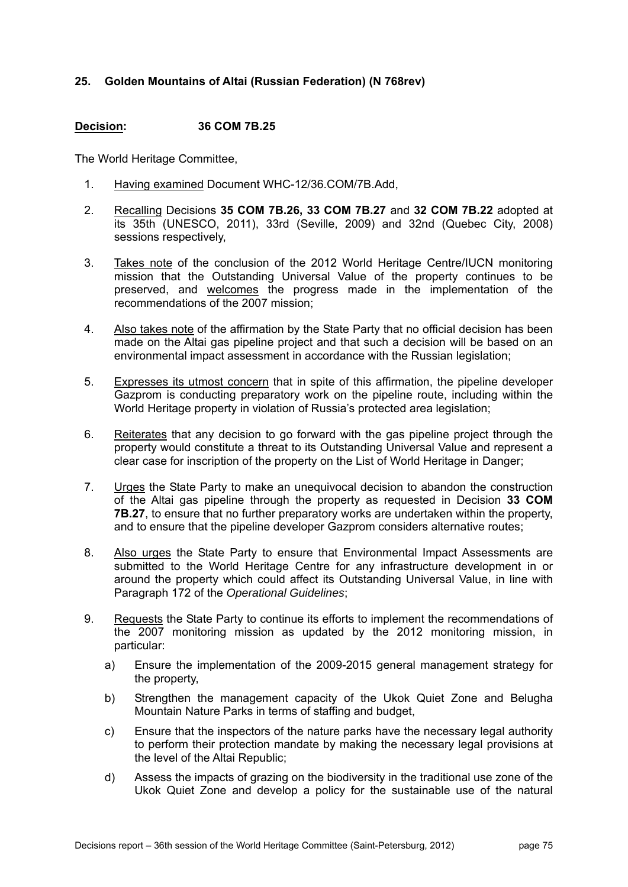# **25. Golden Mountains of Altai (Russian Federation) (N 768rev)**

### **Decision: 36 COM 7B.25**

- 1. Having examined Document WHC-12/36.COM/7B.Add,
- 2. Recalling Decisions **35 COM 7B.26, 33 COM 7B.27** and **32 COM 7B.22** adopted at its 35th (UNESCO, 2011), 33rd (Seville, 2009) and 32nd (Quebec City, 2008) sessions respectively,
- 3. Takes note of the conclusion of the 2012 World Heritage Centre/IUCN monitoring mission that the Outstanding Universal Value of the property continues to be preserved, and welcomes the progress made in the implementation of the recommendations of the 2007 mission;
- 4. Also takes note of the affirmation by the State Party that no official decision has been made on the Altai gas pipeline project and that such a decision will be based on an environmental impact assessment in accordance with the Russian legislation;
- 5. Expresses its utmost concern that in spite of this affirmation, the pipeline developer Gazprom is conducting preparatory work on the pipeline route, including within the World Heritage property in violation of Russia's protected area legislation;
- 6. Reiterates that any decision to go forward with the gas pipeline project through the property would constitute a threat to its Outstanding Universal Value and represent a clear case for inscription of the property on the List of World Heritage in Danger;
- 7. Urges the State Party to make an unequivocal decision to abandon the construction of the Altai gas pipeline through the property as requested in Decision **33 COM 7B.27**, to ensure that no further preparatory works are undertaken within the property. and to ensure that the pipeline developer Gazprom considers alternative routes;
- 8. Also urges the State Party to ensure that Environmental Impact Assessments are submitted to the World Heritage Centre for any infrastructure development in or around the property which could affect its Outstanding Universal Value, in line with Paragraph 172 of the *Operational Guidelines*;
- 9. Requests the State Party to continue its efforts to implement the recommendations of the 2007 monitoring mission as updated by the 2012 monitoring mission, in particular:
	- a) Ensure the implementation of the 2009-2015 general management strategy for the property,
	- b) Strengthen the management capacity of the Ukok Quiet Zone and Belugha Mountain Nature Parks in terms of staffing and budget,
	- c) Ensure that the inspectors of the nature parks have the necessary legal authority to perform their protection mandate by making the necessary legal provisions at the level of the Altai Republic;
	- d) Assess the impacts of grazing on the biodiversity in the traditional use zone of the Ukok Quiet Zone and develop a policy for the sustainable use of the natural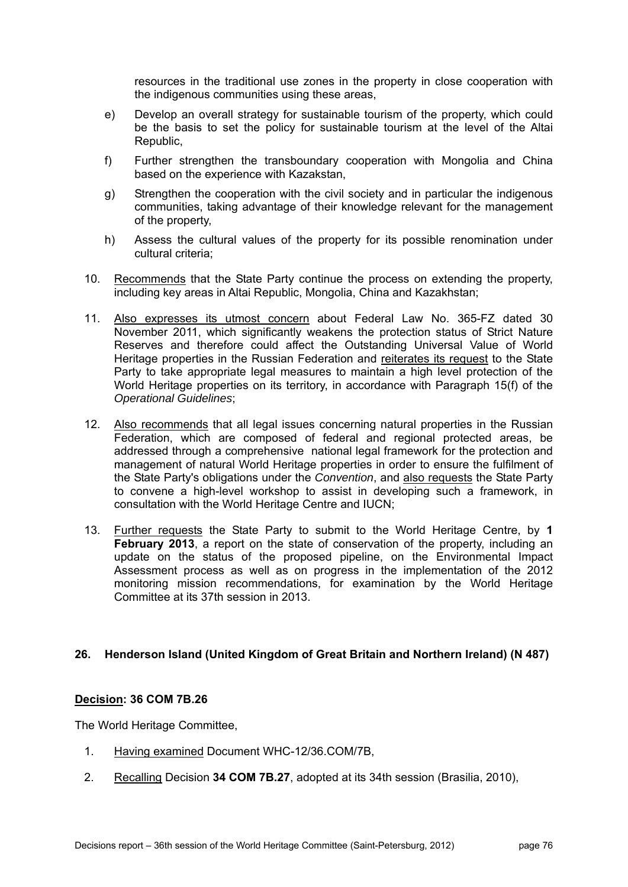resources in the traditional use zones in the property in close cooperation with the indigenous communities using these areas,

- e) Develop an overall strategy for sustainable tourism of the property, which could be the basis to set the policy for sustainable tourism at the level of the Altai Republic,
- f) Further strengthen the transboundary cooperation with Mongolia and China based on the experience with Kazakstan,
- g) Strengthen the cooperation with the civil society and in particular the indigenous communities, taking advantage of their knowledge relevant for the management of the property,
- h) Assess the cultural values of the property for its possible renomination under cultural criteria;
- 10. Recommends that the State Party continue the process on extending the property, including key areas in Altai Republic, Mongolia, China and Kazakhstan;
- 11. Also expresses its utmost concern about Federal Law No. 365-FZ dated 30 November 2011, which significantly weakens the protection status of Strict Nature Reserves and therefore could affect the Outstanding Universal Value of World Heritage properties in the Russian Federation and reiterates its request to the State Party to take appropriate legal measures to maintain a high level protection of the World Heritage properties on its territory, in accordance with Paragraph 15(f) of the *Operational Guidelines*;
- 12. Also recommends that all legal issues concerning natural properties in the Russian Federation, which are composed of federal and regional protected areas, be addressed through a comprehensive national legal framework for the protection and management of natural World Heritage properties in order to ensure the fulfilment of the State Party's obligations under the *Convention*, and also requests the State Party to convene a high-level workshop to assist in developing such a framework, in consultation with the World Heritage Centre and IUCN;
- 13. Further requests the State Party to submit to the World Heritage Centre, by **1 February 2013**, a report on the state of conservation of the property, including an update on the status of the proposed pipeline, on the Environmental Impact Assessment process as well as on progress in the implementation of the 2012 monitoring mission recommendations, for examination by the World Heritage Committee at its 37th session in 2013.

# **26. Henderson Island (United Kingdom of Great Britain and Northern Ireland) (N 487)**

# **Decision: 36 COM 7B.26**

- 1. Having examined Document WHC-12/36.COM/7B,
- 2. Recalling Decision **34 COM 7B.27**, adopted at its 34th session (Brasilia, 2010),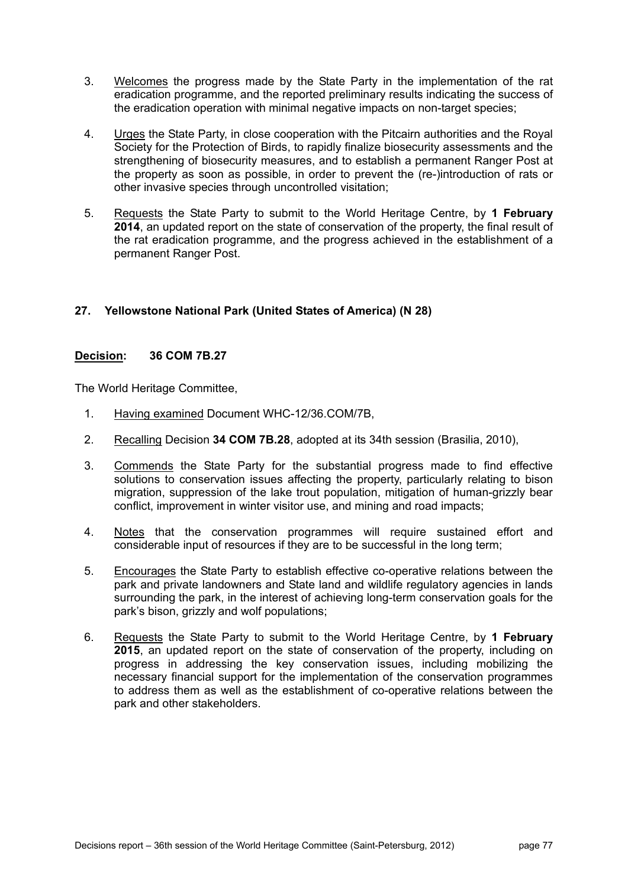- 3. Welcomes the progress made by the State Party in the implementation of the rat eradication programme, and the reported preliminary results indicating the success of the eradication operation with minimal negative impacts on non-target species;
- 4. Urges the State Party, in close cooperation with the Pitcairn authorities and the Royal Society for the Protection of Birds, to rapidly finalize biosecurity assessments and the strengthening of biosecurity measures, and to establish a permanent Ranger Post at the property as soon as possible, in order to prevent the (re-)introduction of rats or other invasive species through uncontrolled visitation;
- 5. Requests the State Party to submit to the World Heritage Centre, by **1 February 2014**, an updated report on the state of conservation of the property, the final result of the rat eradication programme, and the progress achieved in the establishment of a permanent Ranger Post.

# **27. Yellowstone National Park (United States of America) (N 28)**

### **Decision: 36 COM 7B.27**

- 1. Having examined Document WHC-12/36.COM/7B,
- 2. Recalling Decision **34 COM 7B.28**, adopted at its 34th session (Brasilia, 2010),
- 3. Commends the State Party for the substantial progress made to find effective solutions to conservation issues affecting the property, particularly relating to bison migration, suppression of the lake trout population, mitigation of human-grizzly bear conflict, improvement in winter visitor use, and mining and road impacts;
- 4. Notes that the conservation programmes will require sustained effort and considerable input of resources if they are to be successful in the long term;
- 5. Encourages the State Party to establish effective co-operative relations between the park and private landowners and State land and wildlife regulatory agencies in lands surrounding the park, in the interest of achieving long-term conservation goals for the park's bison, grizzly and wolf populations;
- 6. Requests the State Party to submit to the World Heritage Centre, by **1 February 2015**, an updated report on the state of conservation of the property, including on progress in addressing the key conservation issues, including mobilizing the necessary financial support for the implementation of the conservation programmes to address them as well as the establishment of co-operative relations between the park and other stakeholders.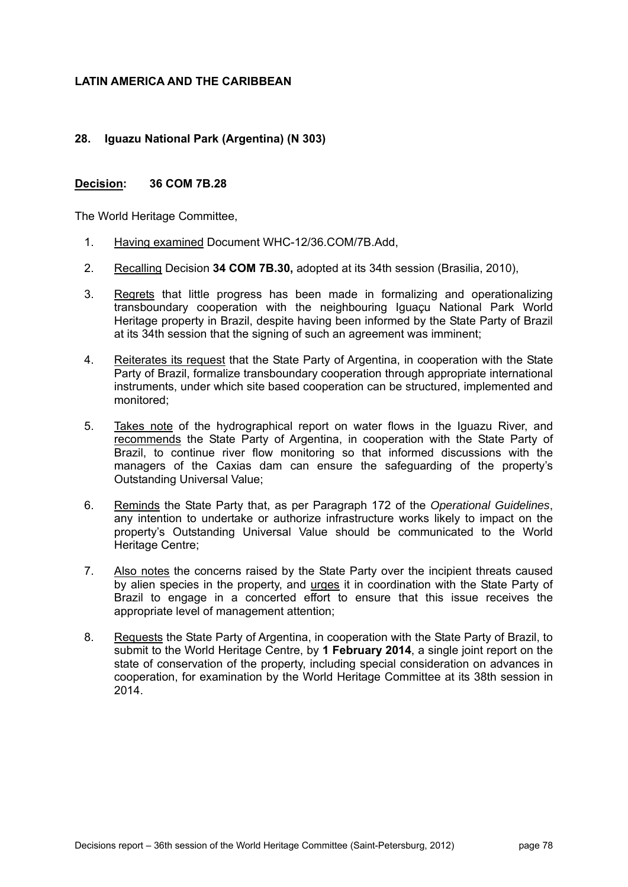# **LATIN AMERICA AND THE CARIBBEAN**

# **28. Iguazu National Park (Argentina) (N 303)**

### **Decision: 36 COM 7B.28**

- 1. Having examined Document WHC-12/36.COM/7B.Add,
- 2. Recalling Decision **34 COM 7B.30,** adopted at its 34th session (Brasilia, 2010),
- 3. Regrets that little progress has been made in formalizing and operationalizing transboundary cooperation with the neighbouring Iguaçu National Park World Heritage property in Brazil, despite having been informed by the State Party of Brazil at its 34th session that the signing of such an agreement was imminent;
- 4. Reiterates its request that the State Party of Argentina, in cooperation with the State Party of Brazil, formalize transboundary cooperation through appropriate international instruments, under which site based cooperation can be structured, implemented and monitored;
- 5. Takes note of the hydrographical report on water flows in the Iguazu River, and recommends the State Party of Argentina, in cooperation with the State Party of Brazil, to continue river flow monitoring so that informed discussions with the managers of the Caxias dam can ensure the safeguarding of the property's Outstanding Universal Value;
- 6. Reminds the State Party that, as per Paragraph 172 of the *Operational Guidelines*, any intention to undertake or authorize infrastructure works likely to impact on the property's Outstanding Universal Value should be communicated to the World Heritage Centre;
- 7. Also notes the concerns raised by the State Party over the incipient threats caused by alien species in the property, and urges it in coordination with the State Party of Brazil to engage in a concerted effort to ensure that this issue receives the appropriate level of management attention;
- 8. Requests the State Party of Argentina, in cooperation with the State Party of Brazil, to submit to the World Heritage Centre, by **1 February 2014**, a single joint report on the state of conservation of the property, including special consideration on advances in cooperation, for examination by the World Heritage Committee at its 38th session in 2014.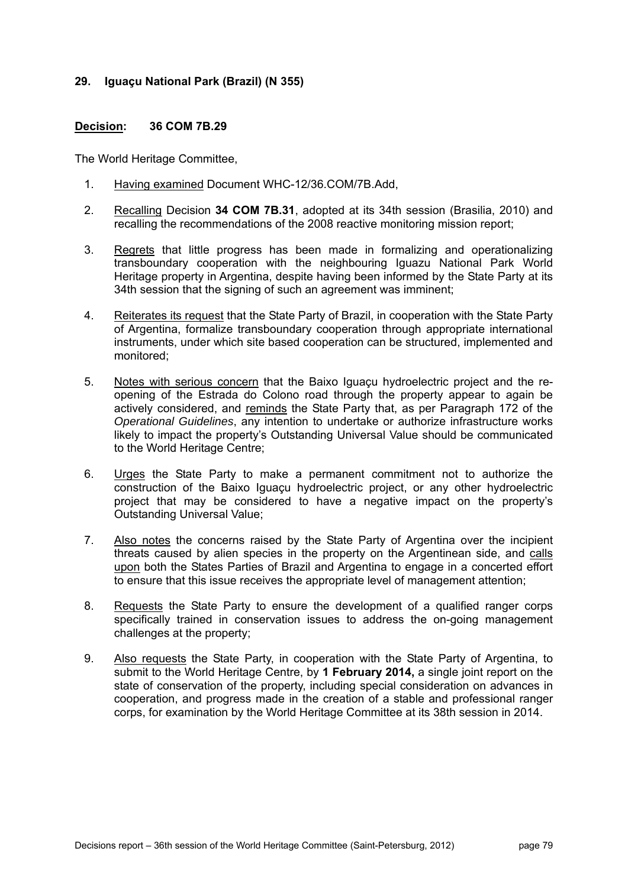### **29. Iguaçu National Park (Brazil) (N 355)**

### **Decision: 36 COM 7B.29**

- 1. Having examined Document WHC-12/36.COM/7B.Add,
- 2. Recalling Decision **34 COM 7B.31**, adopted at its 34th session (Brasilia, 2010) and recalling the recommendations of the 2008 reactive monitoring mission report;
- 3. Regrets that little progress has been made in formalizing and operationalizing transboundary cooperation with the neighbouring Iguazu National Park World Heritage property in Argentina, despite having been informed by the State Party at its 34th session that the signing of such an agreement was imminent;
- 4. Reiterates its request that the State Party of Brazil, in cooperation with the State Party of Argentina, formalize transboundary cooperation through appropriate international instruments, under which site based cooperation can be structured, implemented and monitored;
- 5. Notes with serious concern that the Baixo Iguaçu hydroelectric project and the reopening of the Estrada do Colono road through the property appear to again be actively considered, and reminds the State Party that, as per Paragraph 172 of the *Operational Guidelines*, any intention to undertake or authorize infrastructure works likely to impact the property's Outstanding Universal Value should be communicated to the World Heritage Centre;
- 6. Urges the State Party to make a permanent commitment not to authorize the construction of the Baixo Iguaçu hydroelectric project, or any other hydroelectric project that may be considered to have a negative impact on the property's Outstanding Universal Value;
- 7. Also notes the concerns raised by the State Party of Argentina over the incipient threats caused by alien species in the property on the Argentinean side, and calls upon both the States Parties of Brazil and Argentina to engage in a concerted effort to ensure that this issue receives the appropriate level of management attention;
- 8. Requests the State Party to ensure the development of a qualified ranger corps specifically trained in conservation issues to address the on-going management challenges at the property;
- 9. Also requests the State Party, in cooperation with the State Party of Argentina, to submit to the World Heritage Centre, by **1 February 2014,** a single joint report on the state of conservation of the property, including special consideration on advances in cooperation, and progress made in the creation of a stable and professional ranger corps, for examination by the World Heritage Committee at its 38th session in 2014.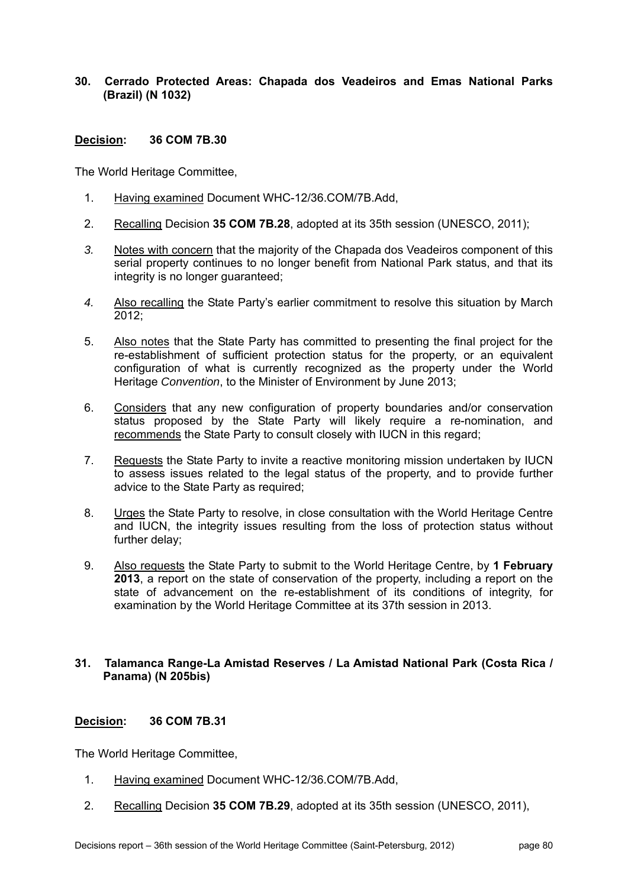### **30. Cerrado Protected Areas: Chapada dos Veadeiros and Emas National Parks (Brazil) (N 1032)**

# **Decision: 36 COM 7B.30**

The World Heritage Committee,

- 1. Having examined Document WHC-12/36.COM/7B.Add,
- 2. Recalling Decision **35 COM 7B.28**, adopted at its 35th session (UNESCO, 2011);
- *3.* Notes with concern that the majority of the Chapada dos Veadeiros component of this serial property continues to no longer benefit from National Park status, and that its integrity is no longer guaranteed;
- *4.* Also recalling the State Party's earlier commitment to resolve this situation by March 2012;
- 5. Also notes that the State Party has committed to presenting the final project for the re-establishment of sufficient protection status for the property, or an equivalent configuration of what is currently recognized as the property under the World Heritage *Convention*, to the Minister of Environment by June 2013;
- 6. Considers that any new configuration of property boundaries and/or conservation status proposed by the State Party will likely require a re-nomination, and recommends the State Party to consult closely with IUCN in this regard;
- 7. Requests the State Party to invite a reactive monitoring mission undertaken by IUCN to assess issues related to the legal status of the property, and to provide further advice to the State Party as required;
- 8. Urges the State Party to resolve, in close consultation with the World Heritage Centre and IUCN, the integrity issues resulting from the loss of protection status without further delay;
- 9. Also requests the State Party to submit to the World Heritage Centre, by **1 February 2013**, a report on the state of conservation of the property, including a report on the state of advancement on the re-establishment of its conditions of integrity, for examination by the World Heritage Committee at its 37th session in 2013.

### **31. Talamanca Range-La Amistad Reserves / La Amistad National Park (Costa Rica / Panama) (N 205bis)**

# **Decision: 36 COM 7B.31**

- 1. Having examined Document WHC-12/36.COM/7B.Add,
- 2. Recalling Decision **35 COM 7B.29**, adopted at its 35th session (UNESCO, 2011),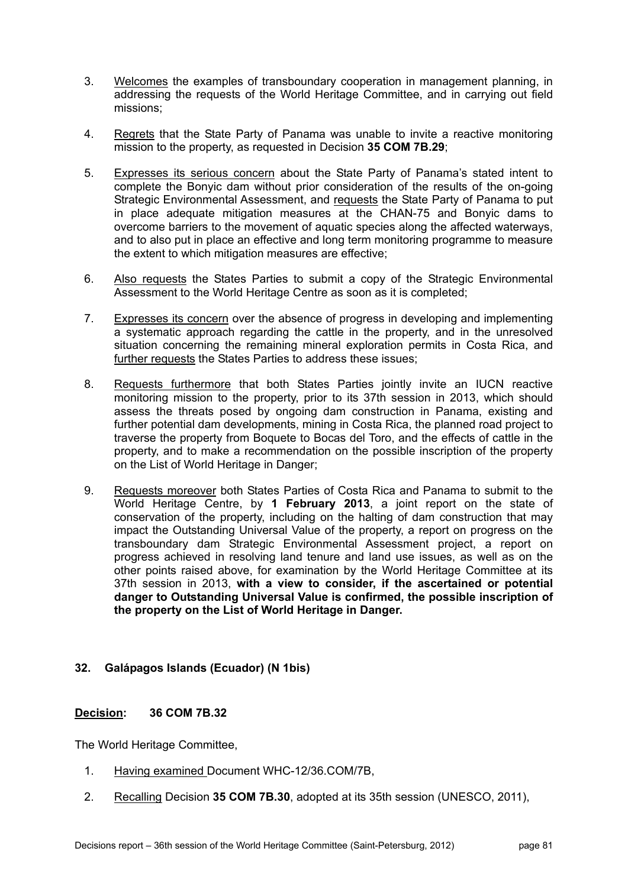- 3. Welcomes the examples of transboundary cooperation in management planning, in addressing the requests of the World Heritage Committee, and in carrying out field missions;
- 4. Regrets that the State Party of Panama was unable to invite a reactive monitoring mission to the property, as requested in Decision **35 COM 7B.29**;
- 5. Expresses its serious concern about the State Party of Panama's stated intent to complete the Bonyic dam without prior consideration of the results of the on-going Strategic Environmental Assessment, and requests the State Party of Panama to put in place adequate mitigation measures at the CHAN-75 and Bonyic dams to overcome barriers to the movement of aquatic species along the affected waterways, and to also put in place an effective and long term monitoring programme to measure the extent to which mitigation measures are effective;
- 6. Also requests the States Parties to submit a copy of the Strategic Environmental Assessment to the World Heritage Centre as soon as it is completed;
- 7. Expresses its concern over the absence of progress in developing and implementing a systematic approach regarding the cattle in the property, and in the unresolved situation concerning the remaining mineral exploration permits in Costa Rica, and further requests the States Parties to address these issues;
- 8. Requests furthermore that both States Parties jointly invite an IUCN reactive monitoring mission to the property, prior to its 37th session in 2013, which should assess the threats posed by ongoing dam construction in Panama, existing and further potential dam developments, mining in Costa Rica, the planned road project to traverse the property from Boquete to Bocas del Toro, and the effects of cattle in the property, and to make a recommendation on the possible inscription of the property on the List of World Heritage in Danger;
- 9. Requests moreover both States Parties of Costa Rica and Panama to submit to the World Heritage Centre, by **1 February 2013**, a joint report on the state of conservation of the property, including on the halting of dam construction that may impact the Outstanding Universal Value of the property, a report on progress on the transboundary dam Strategic Environmental Assessment project, a report on progress achieved in resolving land tenure and land use issues, as well as on the other points raised above, for examination by the World Heritage Committee at its 37th session in 2013, **with a view to consider, if the ascertained or potential danger to Outstanding Universal Value is confirmed, the possible inscription of the property on the List of World Heritage in Danger.**

# **32. Galápagos Islands (Ecuador) (N 1bis)**

# **Decision: 36 COM 7B.32**

- 1. Having examined Document WHC-12/36.COM/7B,
- 2. Recalling Decision **35 COM 7B.30**, adopted at its 35th session (UNESCO, 2011),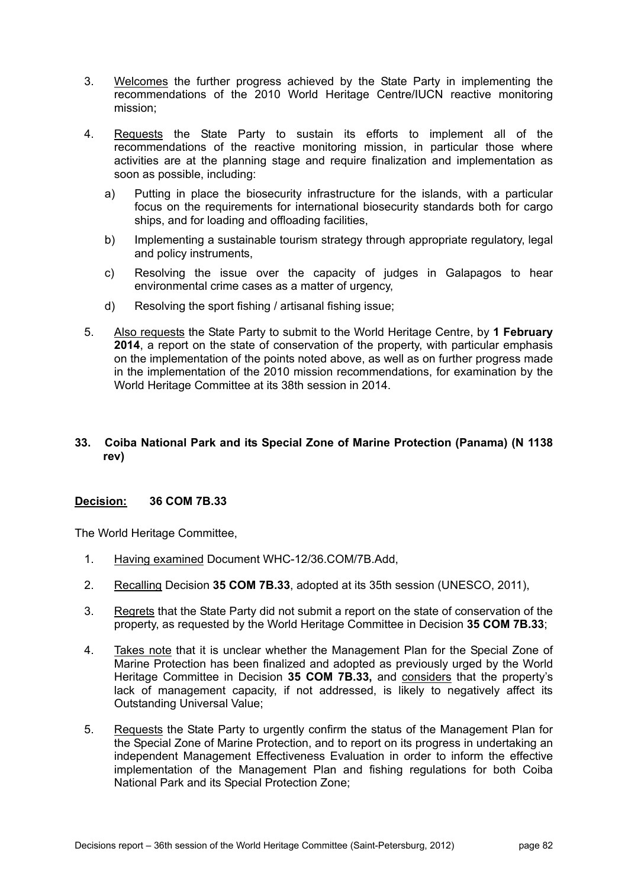- 3. Welcomes the further progress achieved by the State Party in implementing the recommendations of the 2010 World Heritage Centre/IUCN reactive monitoring mission;
- 4. Requests the State Party to sustain its efforts to implement all of the recommendations of the reactive monitoring mission, in particular those where activities are at the planning stage and require finalization and implementation as soon as possible, including:
	- a) Putting in place the biosecurity infrastructure for the islands, with a particular focus on the requirements for international biosecurity standards both for cargo ships, and for loading and offloading facilities,
	- b) Implementing a sustainable tourism strategy through appropriate regulatory, legal and policy instruments,
	- c) Resolving the issue over the capacity of judges in Galapagos to hear environmental crime cases as a matter of urgency.
	- d) Resolving the sport fishing / artisanal fishing issue;
- 5. Also requests the State Party to submit to the World Heritage Centre, by **1 February 2014**, a report on the state of conservation of the property, with particular emphasis on the implementation of the points noted above, as well as on further progress made in the implementation of the 2010 mission recommendations, for examination by the World Heritage Committee at its 38th session in 2014.

# **33. Coiba National Park and its Special Zone of Marine Protection (Panama) (N 1138 rev)**

# **Decision: 36 COM 7B.33**

- 1. Having examined Document WHC-12/36.COM/7B.Add,
- 2. Recalling Decision **35 COM 7B.33**, adopted at its 35th session (UNESCO, 2011),
- 3. Regrets that the State Party did not submit a report on the state of conservation of the property, as requested by the World Heritage Committee in Decision **35 COM 7B.33**;
- 4. Takes note that it is unclear whether the Management Plan for the Special Zone of Marine Protection has been finalized and adopted as previously urged by the World Heritage Committee in Decision **35 COM 7B.33,** and considers that the property's lack of management capacity, if not addressed, is likely to negatively affect its Outstanding Universal Value;
- 5. Requests the State Party to urgently confirm the status of the Management Plan for the Special Zone of Marine Protection, and to report on its progress in undertaking an independent Management Effectiveness Evaluation in order to inform the effective implementation of the Management Plan and fishing regulations for both Coiba National Park and its Special Protection Zone;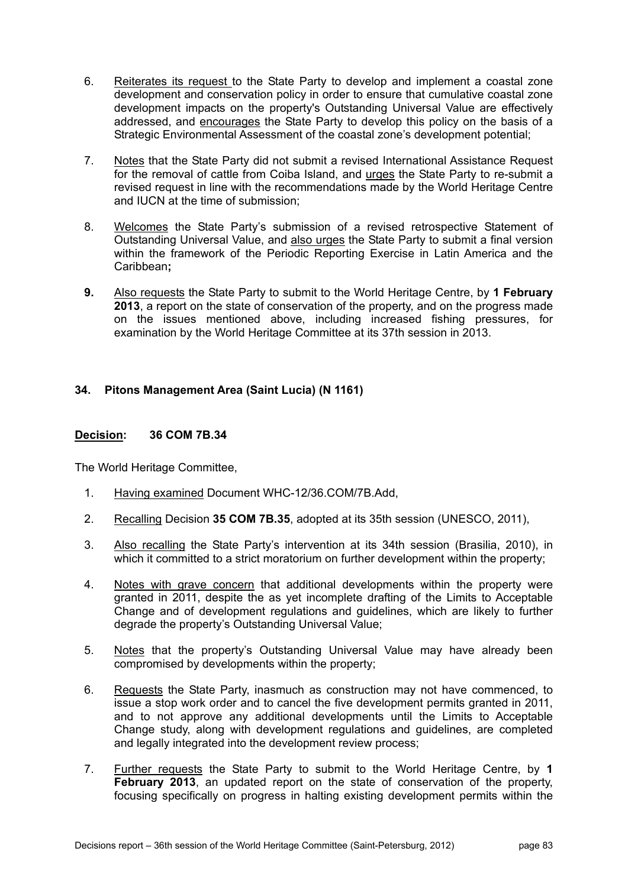- 6. Reiterates its request to the State Party to develop and implement a coastal zone development and conservation policy in order to ensure that cumulative coastal zone development impacts on the property's Outstanding Universal Value are effectively addressed, and encourages the State Party to develop this policy on the basis of a Strategic Environmental Assessment of the coastal zone's development potential;
- 7. Notes that the State Party did not submit a revised International Assistance Request for the removal of cattle from Coiba Island, and urges the State Party to re-submit a revised request in line with the recommendations made by the World Heritage Centre and IUCN at the time of submission;
- 8. Welcomes the State Party's submission of a revised retrospective Statement of Outstanding Universal Value, and also urges the State Party to submit a final version within the framework of the Periodic Reporting Exercise in Latin America and the Caribbean**;**
- **9.** Also requests the State Party to submit to the World Heritage Centre, by **1 February 2013**, a report on the state of conservation of the property, and on the progress made on the issues mentioned above, including increased fishing pressures, for examination by the World Heritage Committee at its 37th session in 2013.

# **34. Pitons Management Area (Saint Lucia) (N 1161)**

# **Decision: 36 COM 7B.34**

- 1. Having examined Document WHC-12/36.COM/7B.Add,
- 2. Recalling Decision **35 COM 7B.35**, adopted at its 35th session (UNESCO, 2011),
- 3. Also recalling the State Party's intervention at its 34th session (Brasilia, 2010), in which it committed to a strict moratorium on further development within the property;
- 4. Notes with grave concern that additional developments within the property were granted in 2011, despite the as yet incomplete drafting of the Limits to Acceptable Change and of development regulations and guidelines, which are likely to further degrade the property's Outstanding Universal Value;
- 5. Notes that the property's Outstanding Universal Value may have already been compromised by developments within the property;
- 6. Requests the State Party, inasmuch as construction may not have commenced, to issue a stop work order and to cancel the five development permits granted in 2011, and to not approve any additional developments until the Limits to Acceptable Change study, along with development regulations and guidelines, are completed and legally integrated into the development review process;
- 7. Further requests the State Party to submit to the World Heritage Centre, by **1 February 2013**, an updated report on the state of conservation of the property, focusing specifically on progress in halting existing development permits within the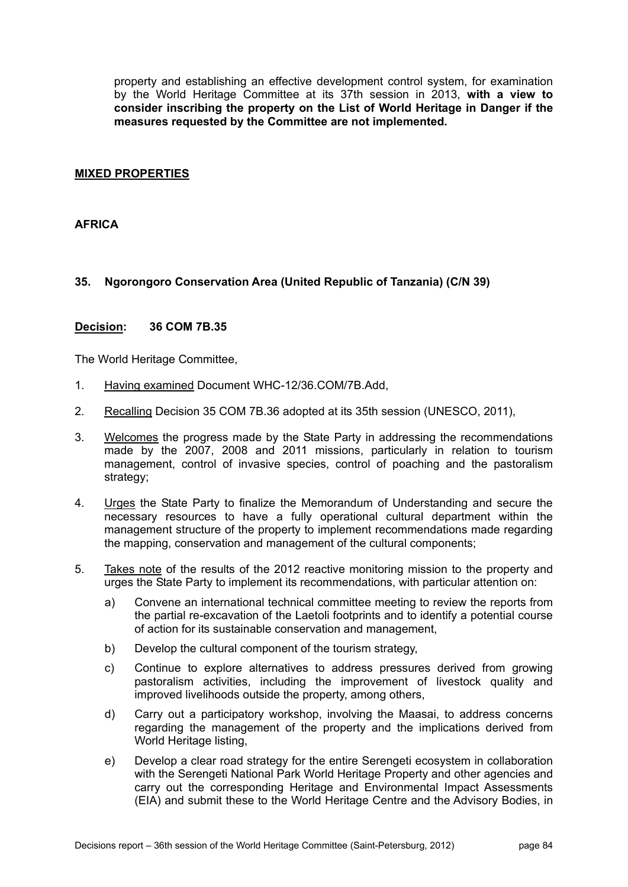property and establishing an effective development control system, for examination by the World Heritage Committee at its 37th session in 2013, **with a view to consider inscribing the property on the List of World Heritage in Danger if the measures requested by the Committee are not implemented.**

### **MIXED PROPERTIES**

### **AFRICA**

# **35. Ngorongoro Conservation Area (United Republic of Tanzania) (C/N 39)**

#### **Decision: 36 COM 7B.35**

- 1. Having examined Document WHC-12/36.COM/7B.Add,
- 2. Recalling Decision 35 COM 7B.36 adopted at its 35th session (UNESCO, 2011),
- 3. Welcomes the progress made by the State Party in addressing the recommendations made by the 2007, 2008 and 2011 missions, particularly in relation to tourism management, control of invasive species, control of poaching and the pastoralism strategy;
- 4. Urges the State Party to finalize the Memorandum of Understanding and secure the necessary resources to have a fully operational cultural department within the management structure of the property to implement recommendations made regarding the mapping, conservation and management of the cultural components;
- 5. Takes note of the results of the 2012 reactive monitoring mission to the property and urges the State Party to implement its recommendations, with particular attention on:
	- a) Convene an international technical committee meeting to review the reports from the partial re-excavation of the Laetoli footprints and to identify a potential course of action for its sustainable conservation and management,
	- b) Develop the cultural component of the tourism strategy,
	- c) Continue to explore alternatives to address pressures derived from growing pastoralism activities, including the improvement of livestock quality and improved livelihoods outside the property, among others,
	- d) Carry out a participatory workshop, involving the Maasai, to address concerns regarding the management of the property and the implications derived from World Heritage listing,
	- e) Develop a clear road strategy for the entire Serengeti ecosystem in collaboration with the Serengeti National Park World Heritage Property and other agencies and carry out the corresponding Heritage and Environmental Impact Assessments (EIA) and submit these to the World Heritage Centre and the Advisory Bodies, in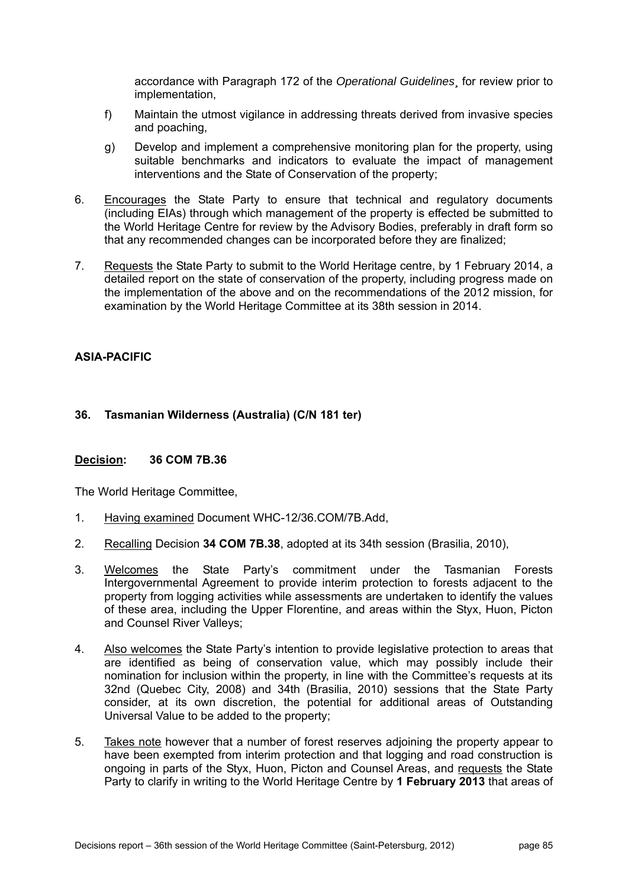accordance with Paragraph 172 of the *Operational Guidelines*¸ for review prior to implementation,

- f) Maintain the utmost vigilance in addressing threats derived from invasive species and poaching,
- g) Develop and implement a comprehensive monitoring plan for the property, using suitable benchmarks and indicators to evaluate the impact of management interventions and the State of Conservation of the property;
- 6. Encourages the State Party to ensure that technical and regulatory documents (including EIAs) through which management of the property is effected be submitted to the World Heritage Centre for review by the Advisory Bodies, preferably in draft form so that any recommended changes can be incorporated before they are finalized;
- 7. Requests the State Party to submit to the World Heritage centre, by 1 February 2014, a detailed report on the state of conservation of the property, including progress made on the implementation of the above and on the recommendations of the 2012 mission, for examination by the World Heritage Committee at its 38th session in 2014.

# **ASIA-PACIFIC**

# **36. Tasmanian Wilderness (Australia) (C/N 181 ter)**

# **Decision: 36 COM 7B.36**

- 1. Having examined Document WHC-12/36.COM/7B.Add,
- 2. Recalling Decision **34 COM 7B.38**, adopted at its 34th session (Brasilia, 2010),
- 3. Welcomes the State Party's commitment under the Tasmanian Forests Intergovernmental Agreement to provide interim protection to forests adjacent to the property from logging activities while assessments are undertaken to identify the values of these area, including the Upper Florentine, and areas within the Styx, Huon, Picton and Counsel River Valleys;
- 4. Also welcomes the State Party's intention to provide legislative protection to areas that are identified as being of conservation value, which may possibly include their nomination for inclusion within the property, in line with the Committee's requests at its 32nd (Quebec City, 2008) and 34th (Brasilia, 2010) sessions that the State Party consider, at its own discretion, the potential for additional areas of Outstanding Universal Value to be added to the property;
- 5. Takes note however that a number of forest reserves adjoining the property appear to have been exempted from interim protection and that logging and road construction is ongoing in parts of the Styx, Huon, Picton and Counsel Areas, and requests the State Party to clarify in writing to the World Heritage Centre by **1 February 2013** that areas of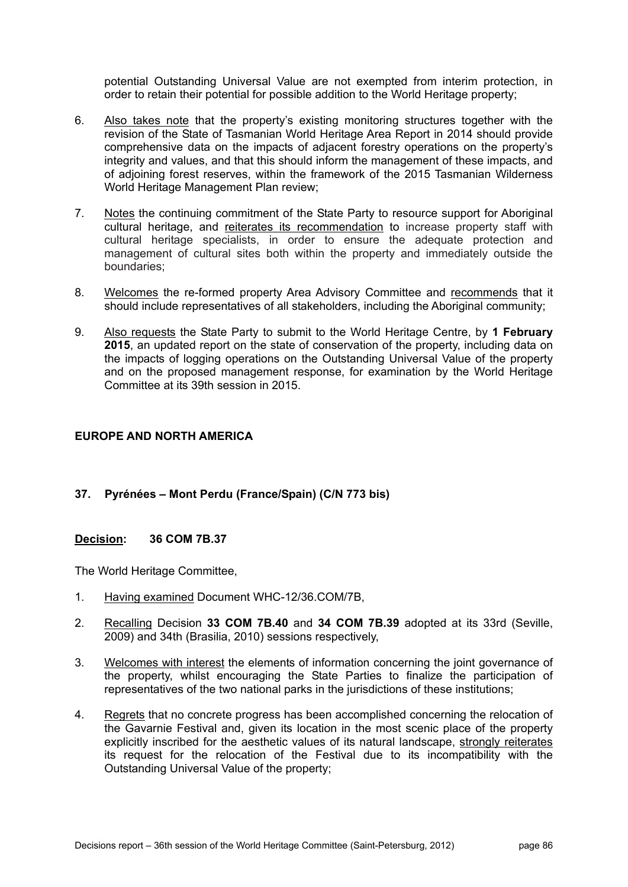potential Outstanding Universal Value are not exempted from interim protection, in order to retain their potential for possible addition to the World Heritage property;

- 6. Also takes note that the property's existing monitoring structures together with the revision of the State of Tasmanian World Heritage Area Report in 2014 should provide comprehensive data on the impacts of adjacent forestry operations on the property's integrity and values, and that this should inform the management of these impacts, and of adjoining forest reserves, within the framework of the 2015 Tasmanian Wilderness World Heritage Management Plan review;
- 7. Notes the continuing commitment of the State Party to resource support for Aboriginal cultural heritage, and reiterates its recommendation to increase property staff with cultural heritage specialists, in order to ensure the adequate protection and management of cultural sites both within the property and immediately outside the boundaries;
- 8. Welcomes the re-formed property Area Advisory Committee and recommends that it should include representatives of all stakeholders, including the Aboriginal community;
- 9. Also requests the State Party to submit to the World Heritage Centre, by **1 February 2015**, an updated report on the state of conservation of the property, including data on the impacts of logging operations on the Outstanding Universal Value of the property and on the proposed management response, for examination by the World Heritage Committee at its 39th session in 2015.

# **EUROPE AND NORTH AMERICA**

# **37. Pyrénées – Mont Perdu (France/Spain) (C/N 773 bis)**

# **Decision: 36 COM 7B.37**

- 1. Having examined Document WHC-12/36.COM/7B,
- 2. Recalling Decision **33 COM 7B.40** and **34 COM 7B.39** adopted at its 33rd (Seville, 2009) and 34th (Brasilia, 2010) sessions respectively,
- 3. Welcomes with interest the elements of information concerning the joint governance of the property, whilst encouraging the State Parties to finalize the participation of representatives of the two national parks in the jurisdictions of these institutions;
- 4. Regrets that no concrete progress has been accomplished concerning the relocation of the Gavarnie Festival and, given its location in the most scenic place of the property explicitly inscribed for the aesthetic values of its natural landscape, strongly reiterates its request for the relocation of the Festival due to its incompatibility with the Outstanding Universal Value of the property;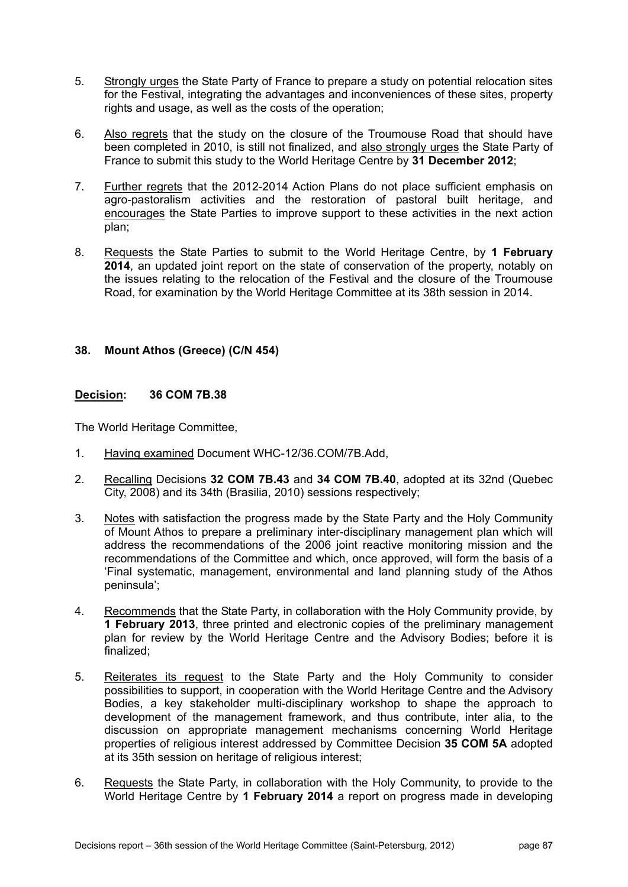- 5. Strongly urges the State Party of France to prepare a study on potential relocation sites for the Festival, integrating the advantages and inconveniences of these sites, property rights and usage, as well as the costs of the operation;
- 6. Also regrets that the study on the closure of the Troumouse Road that should have been completed in 2010, is still not finalized, and also strongly urges the State Party of France to submit this study to the World Heritage Centre by **31 December 2012**;
- 7. Further regrets that the 2012-2014 Action Plans do not place sufficient emphasis on agro-pastoralism activities and the restoration of pastoral built heritage, and encourages the State Parties to improve support to these activities in the next action plan;
- 8. Requests the State Parties to submit to the World Heritage Centre, by **1 February 2014**, an updated joint report on the state of conservation of the property, notably on the issues relating to the relocation of the Festival and the closure of the Troumouse Road, for examination by the World Heritage Committee at its 38th session in 2014.

# **38. Mount Athos (Greece) (C/N 454)**

# **Decision: 36 COM 7B.38**

- 1. Having examined Document WHC-12/36.COM/7B.Add,
- 2. Recalling Decisions **32 COM 7B.43** and **34 COM 7B.40**, adopted at its 32nd (Quebec City, 2008) and its 34th (Brasilia, 2010) sessions respectively;
- 3. Notes with satisfaction the progress made by the State Party and the Holy Community of Mount Athos to prepare a preliminary inter-disciplinary management plan which will address the recommendations of the 2006 joint reactive monitoring mission and the recommendations of the Committee and which, once approved, will form the basis of a 'Final systematic, management, environmental and land planning study of the Athos peninsula';
- 4. Recommends that the State Party, in collaboration with the Holy Community provide, by **1 February 2013**, three printed and electronic copies of the preliminary management plan for review by the World Heritage Centre and the Advisory Bodies; before it is finalized;
- 5. Reiterates its request to the State Party and the Holy Community to consider possibilities to support, in cooperation with the World Heritage Centre and the Advisory Bodies, a key stakeholder multi-disciplinary workshop to shape the approach to development of the management framework, and thus contribute, inter alia, to the discussion on appropriate management mechanisms concerning World Heritage properties of religious interest addressed by Committee Decision **35 COM 5A** adopted at its 35th session on heritage of religious interest;
- 6. Requests the State Party, in collaboration with the Holy Community, to provide to the World Heritage Centre by **1 February 2014** a report on progress made in developing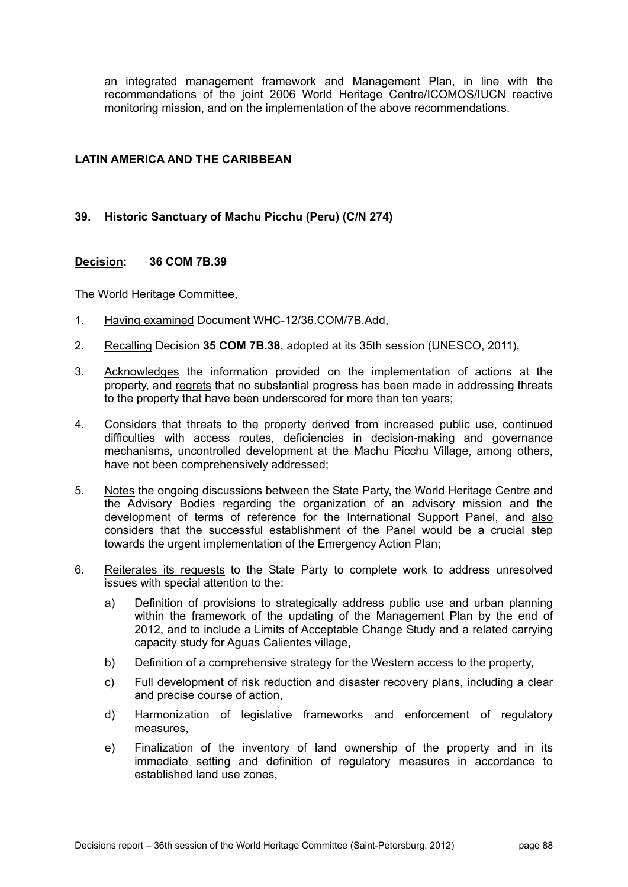an integrated management framework and Management Plan, in line with the recommendations of the joint 2006 World Heritage Centre/ICOMOS/IUCN reactive monitoring mission, and on the implementation of the above recommendations.

# **LATIN AMERICA AND THE CARIBBEAN**

# **39. Historic Sanctuary of Machu Picchu (Peru) (C/N 274)**

#### **Decision: 36 COM 7B.39**

- 1. Having examined Document WHC-12/36.COM/7B.Add,
- 2. Recalling Decision **35 COM 7B.38**, adopted at its 35th session (UNESCO, 2011),
- 3. Acknowledges the information provided on the implementation of actions at the property, and regrets that no substantial progress has been made in addressing threats to the property that have been underscored for more than ten years;
- 4. Considers that threats to the property derived from increased public use, continued difficulties with access routes, deficiencies in decision-making and governance mechanisms, uncontrolled development at the Machu Picchu Village, among others, have not been comprehensively addressed;
- 5. Notes the ongoing discussions between the State Party, the World Heritage Centre and the Advisory Bodies regarding the organization of an advisory mission and the development of terms of reference for the International Support Panel, and also considers that the successful establishment of the Panel would be a crucial step towards the urgent implementation of the Emergency Action Plan;
- 6. Reiterates its requests to the State Party to complete work to address unresolved issues with special attention to the:
	- a) Definition of provisions to strategically address public use and urban planning within the framework of the updating of the Management Plan by the end of 2012, and to include a Limits of Acceptable Change Study and a related carrying capacity study for Aguas Calientes village,
	- b) Definition of a comprehensive strategy for the Western access to the property,
	- c) Full development of risk reduction and disaster recovery plans, including a clear and precise course of action,
	- d) Harmonization of legislative frameworks and enforcement of regulatory measures,
	- e) Finalization of the inventory of land ownership of the property and in its immediate setting and definition of regulatory measures in accordance to established land use zones,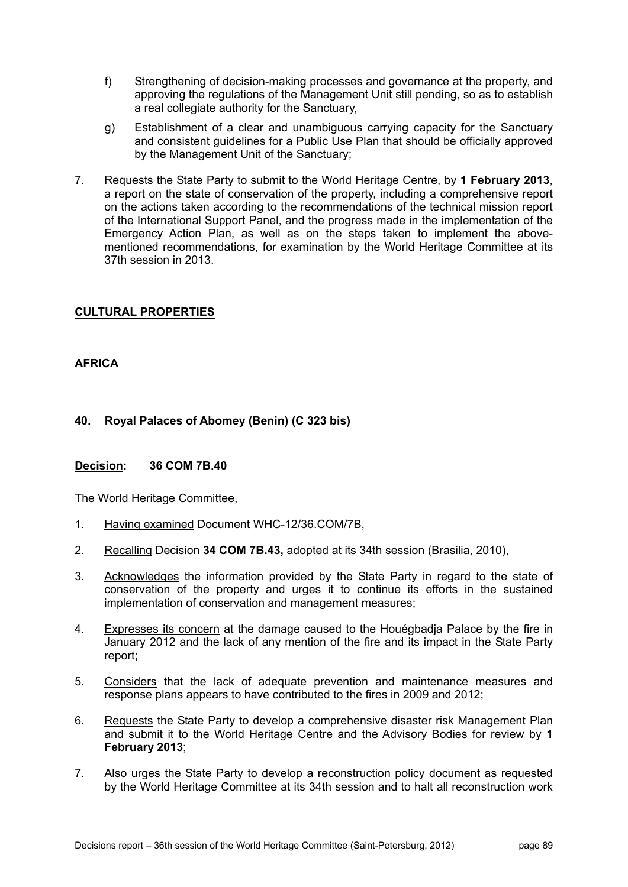- f) Strengthening of decision-making processes and governance at the property, and approving the regulations of the Management Unit still pending, so as to establish a real collegiate authority for the Sanctuary,
- g) Establishment of a clear and unambiguous carrying capacity for the Sanctuary and consistent guidelines for a Public Use Plan that should be officially approved by the Management Unit of the Sanctuary;
- 7. Requests the State Party to submit to the World Heritage Centre, by **1 February 2013**, a report on the state of conservation of the property, including a comprehensive report on the actions taken according to the recommendations of the technical mission report of the International Support Panel, and the progress made in the implementation of the Emergency Action Plan, as well as on the steps taken to implement the abovementioned recommendations, for examination by the World Heritage Committee at its 37th session in 2013.

# **CULTURAL PROPERTIES**

# **AFRICA**

# **40. Royal Palaces of Abomey (Benin) (C 323 bis)**

# **Decision: 36 COM 7B.40**

- 1. Having examined Document WHC-12/36.COM/7B,
- 2. Recalling Decision **34 COM 7B.43,** adopted at its 34th session (Brasilia, 2010),
- 3. Acknowledges the information provided by the State Party in regard to the state of conservation of the property and urges it to continue its efforts in the sustained implementation of conservation and management measures;
- 4. Expresses its concern at the damage caused to the Houégbadja Palace by the fire in January 2012 and the lack of any mention of the fire and its impact in the State Party report;
- 5. Considers that the lack of adequate prevention and maintenance measures and response plans appears to have contributed to the fires in 2009 and 2012;
- 6. Requests the State Party to develop a comprehensive disaster risk Management Plan and submit it to the World Heritage Centre and the Advisory Bodies for review by **1 February 2013**;
- 7. Also urges the State Party to develop a reconstruction policy document as requested by the World Heritage Committee at its 34th session and to halt all reconstruction work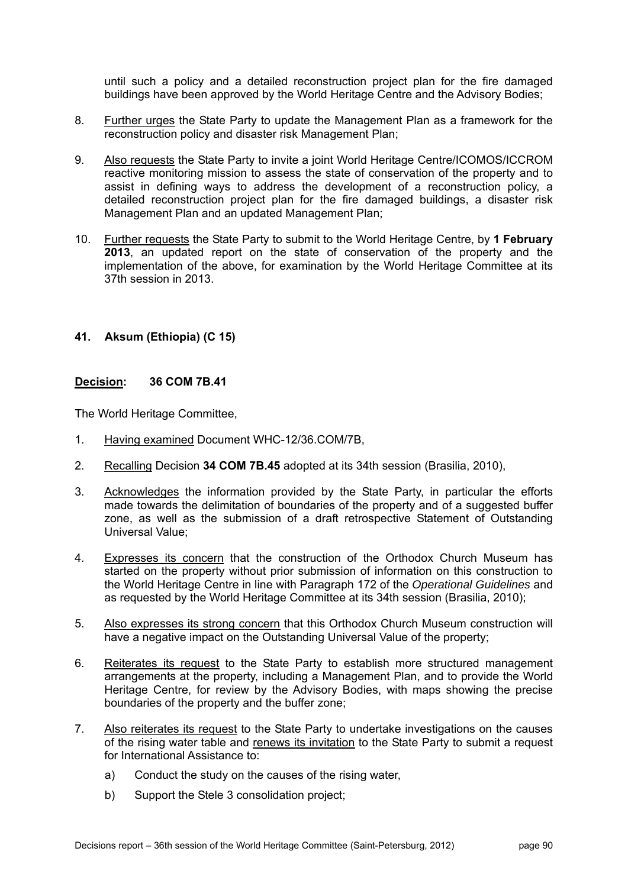until such a policy and a detailed reconstruction project plan for the fire damaged buildings have been approved by the World Heritage Centre and the Advisory Bodies;

- 8. Further urges the State Party to update the Management Plan as a framework for the reconstruction policy and disaster risk Management Plan;
- 9. Also requests the State Party to invite a joint World Heritage Centre/ICOMOS/ICCROM reactive monitoring mission to assess the state of conservation of the property and to assist in defining ways to address the development of a reconstruction policy, a detailed reconstruction project plan for the fire damaged buildings, a disaster risk Management Plan and an updated Management Plan;
- 10. Further requests the State Party to submit to the World Heritage Centre, by **1 February 2013**, an updated report on the state of conservation of the property and the implementation of the above, for examination by the World Heritage Committee at its 37th session in 2013.

# **41. Aksum (Ethiopia) (C 15)**

### **Decision: 36 COM 7B.41**

- 1. Having examined Document WHC-12/36.COM/7B,
- 2. Recalling Decision **34 COM 7B.45** adopted at its 34th session (Brasilia, 2010),
- 3. Acknowledges the information provided by the State Party, in particular the efforts made towards the delimitation of boundaries of the property and of a suggested buffer zone, as well as the submission of a draft retrospective Statement of Outstanding Universal Value;
- 4. Expresses its concern that the construction of the Orthodox Church Museum has started on the property without prior submission of information on this construction to the World Heritage Centre in line with Paragraph 172 of the *Operational Guidelines* and as requested by the World Heritage Committee at its 34th session (Brasilia, 2010);
- 5. Also expresses its strong concern that this Orthodox Church Museum construction will have a negative impact on the Outstanding Universal Value of the property;
- 6. Reiterates its request to the State Party to establish more structured management arrangements at the property, including a Management Plan, and to provide the World Heritage Centre, for review by the Advisory Bodies, with maps showing the precise boundaries of the property and the buffer zone;
- 7. Also reiterates its request to the State Party to undertake investigations on the causes of the rising water table and renews its invitation to the State Party to submit a request for International Assistance to:
	- a) Conduct the study on the causes of the rising water,
	- b) Support the Stele 3 consolidation project;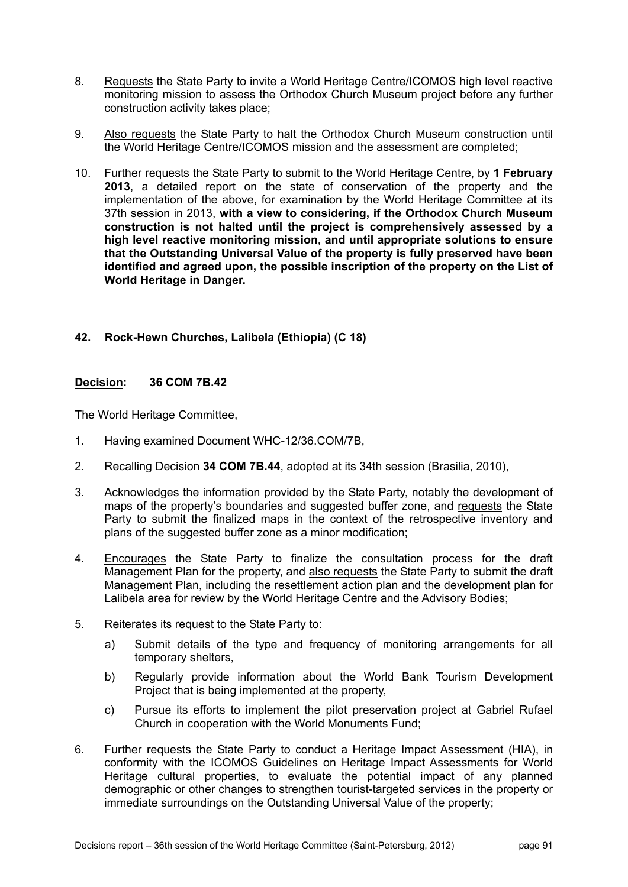- 8. Requests the State Party to invite a World Heritage Centre/ICOMOS high level reactive monitoring mission to assess the Orthodox Church Museum project before any further construction activity takes place;
- 9. Also requests the State Party to halt the Orthodox Church Museum construction until the World Heritage Centre/ICOMOS mission and the assessment are completed;
- 10. Further requests the State Party to submit to the World Heritage Centre, by **1 February 2013**, a detailed report on the state of conservation of the property and the implementation of the above, for examination by the World Heritage Committee at its 37th session in 2013, **with a view to considering, if the Orthodox Church Museum construction is not halted until the project is comprehensively assessed by a high level reactive monitoring mission, and until appropriate solutions to ensure that the Outstanding Universal Value of the property is fully preserved have been identified and agreed upon, the possible inscription of the property on the List of World Heritage in Danger.**

# **42. Rock-Hewn Churches, Lalibela (Ethiopia) (C 18)**

# **Decision: 36 COM 7B.42**

- 1. Having examined Document WHC-12/36.COM/7B,
- 2. Recalling Decision **34 COM 7B.44**, adopted at its 34th session (Brasilia, 2010),
- 3. Acknowledges the information provided by the State Party, notably the development of maps of the property's boundaries and suggested buffer zone, and requests the State Party to submit the finalized maps in the context of the retrospective inventory and plans of the suggested buffer zone as a minor modification;
- 4. Encourages the State Party to finalize the consultation process for the draft Management Plan for the property, and also requests the State Party to submit the draft Management Plan, including the resettlement action plan and the development plan for Lalibela area for review by the World Heritage Centre and the Advisory Bodies;
- 5. Reiterates its request to the State Party to:
	- a) Submit details of the type and frequency of monitoring arrangements for all temporary shelters,
	- b) Regularly provide information about the World Bank Tourism Development Project that is being implemented at the property,
	- c) Pursue its efforts to implement the pilot preservation project at Gabriel Rufael Church in cooperation with the World Monuments Fund;
- 6. Further requests the State Party to conduct a Heritage Impact Assessment (HIA), in conformity with the ICOMOS Guidelines on Heritage Impact Assessments for World Heritage cultural properties, to evaluate the potential impact of any planned demographic or other changes to strengthen tourist-targeted services in the property or immediate surroundings on the Outstanding Universal Value of the property;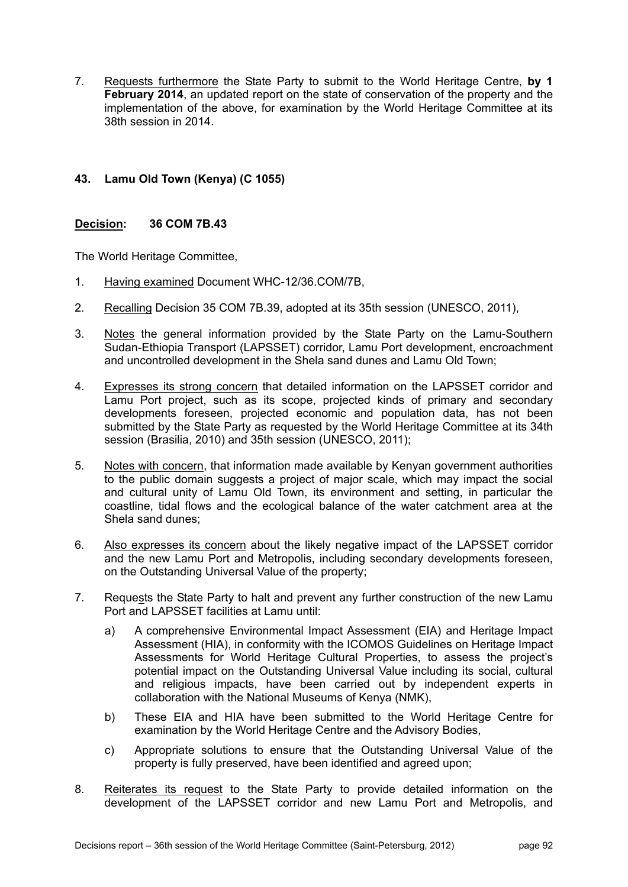7. Requests furthermore the State Party to submit to the World Heritage Centre, **by 1 February 2014**, an updated report on the state of conservation of the property and the implementation of the above, for examination by the World Heritage Committee at its 38th session in 2014.

# **43. Lamu Old Town (Kenya) (C 1055)**

# **Decision: 36 COM 7B.43**

- 1. Having examined Document WHC-12/36.COM/7B,
- 2. Recalling Decision 35 COM 7B.39, adopted at its 35th session (UNESCO, 2011),
- 3. Notes the general information provided by the State Party on the Lamu-Southern Sudan-Ethiopia Transport (LAPSSET) corridor, Lamu Port development, encroachment and uncontrolled development in the Shela sand dunes and Lamu Old Town;
- 4. Expresses its strong concern that detailed information on the LAPSSET corridor and Lamu Port project, such as its scope, projected kinds of primary and secondary developments foreseen, projected economic and population data, has not been submitted by the State Party as requested by the World Heritage Committee at its 34th session (Brasilia, 2010) and 35th session (UNESCO, 2011);
- 5. Notes with concern, that information made available by Kenyan government authorities to the public domain suggests a project of major scale, which may impact the social and cultural unity of Lamu Old Town, its environment and setting, in particular the coastline, tidal flows and the ecological balance of the water catchment area at the Shela sand dunes;
- 6. Also expresses its concern about the likely negative impact of the LAPSSET corridor and the new Lamu Port and Metropolis, including secondary developments foreseen, on the Outstanding Universal Value of the property;
- 7. Requests the State Party to halt and prevent any further construction of the new Lamu Port and LAPSSET facilities at Lamu until:
	- a) A comprehensive Environmental Impact Assessment (EIA) and Heritage Impact Assessment (HIA), in conformity with the ICOMOS Guidelines on Heritage Impact Assessments for World Heritage Cultural Properties, to assess the project's potential impact on the Outstanding Universal Value including its social, cultural and religious impacts, have been carried out by independent experts in collaboration with the National Museums of Kenya (NMK),
	- b) These EIA and HIA have been submitted to the World Heritage Centre for examination by the World Heritage Centre and the Advisory Bodies,
	- c) Appropriate solutions to ensure that the Outstanding Universal Value of the property is fully preserved, have been identified and agreed upon;
- 8. Reiterates its request to the State Party to provide detailed information on the development of the LAPSSET corridor and new Lamu Port and Metropolis, and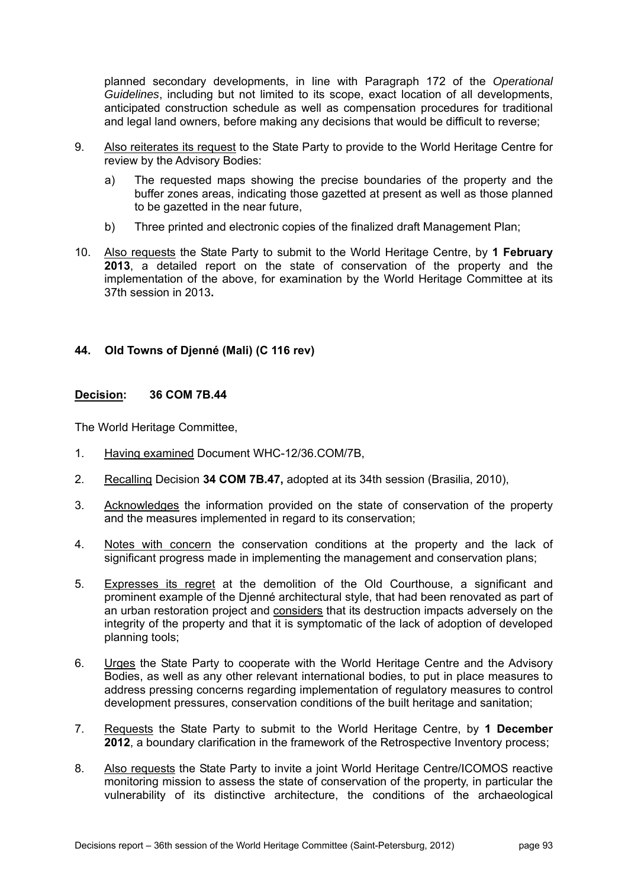planned secondary developments, in line with Paragraph 172 of the *Operational Guidelines*, including but not limited to its scope, exact location of all developments, anticipated construction schedule as well as compensation procedures for traditional and legal land owners, before making any decisions that would be difficult to reverse;

- 9. Also reiterates its request to the State Party to provide to the World Heritage Centre for review by the Advisory Bodies:
	- a) The requested maps showing the precise boundaries of the property and the buffer zones areas, indicating those gazetted at present as well as those planned to be gazetted in the near future,
	- b) Three printed and electronic copies of the finalized draft Management Plan;
- 10. Also requests the State Party to submit to the World Heritage Centre, by **1 February 2013**, a detailed report on the state of conservation of the property and the implementation of the above, for examination by the World Heritage Committee at its 37th session in 2013**.**

# **44. Old Towns of Djenné (Mali) (C 116 rev)**

#### **Decision: 36 COM 7B.44**

- 1. Having examined Document WHC-12/36.COM/7B,
- 2. Recalling Decision **34 COM 7B.47,** adopted at its 34th session (Brasilia, 2010),
- 3. Acknowledges the information provided on the state of conservation of the property and the measures implemented in regard to its conservation;
- 4. Notes with concern the conservation conditions at the property and the lack of significant progress made in implementing the management and conservation plans;
- 5. Expresses its regret at the demolition of the Old Courthouse, a significant and prominent example of the Djenné architectural style, that had been renovated as part of an urban restoration project and considers that its destruction impacts adversely on the integrity of the property and that it is symptomatic of the lack of adoption of developed planning tools;
- 6. Urges the State Party to cooperate with the World Heritage Centre and the Advisory Bodies, as well as any other relevant international bodies, to put in place measures to address pressing concerns regarding implementation of regulatory measures to control development pressures, conservation conditions of the built heritage and sanitation;
- 7. Requests the State Party to submit to the World Heritage Centre, by **1 December 2012**, a boundary clarification in the framework of the Retrospective Inventory process;
- 8. Also requests the State Party to invite a joint World Heritage Centre/ICOMOS reactive monitoring mission to assess the state of conservation of the property, in particular the vulnerability of its distinctive architecture, the conditions of the archaeological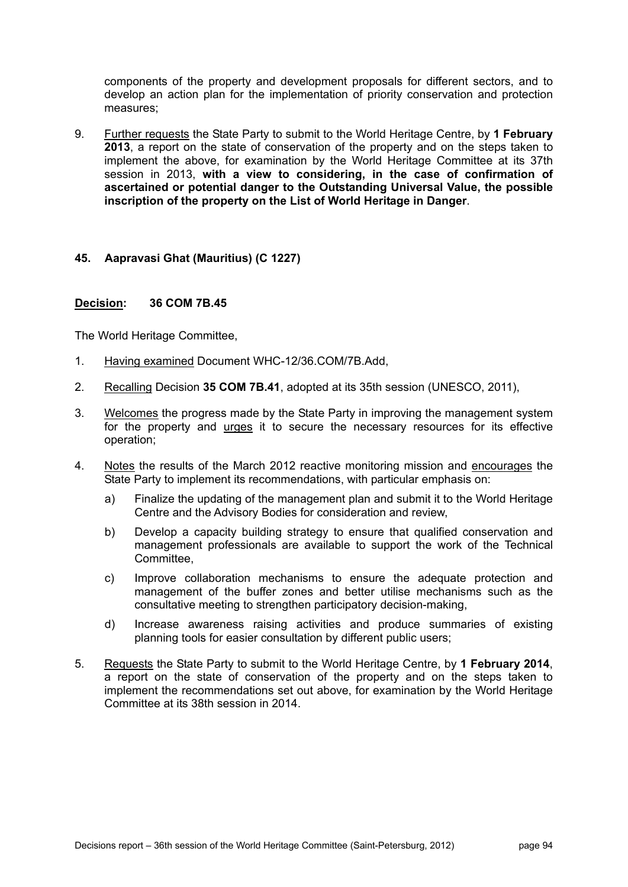components of the property and development proposals for different sectors, and to develop an action plan for the implementation of priority conservation and protection measures;

9. Further requests the State Party to submit to the World Heritage Centre, by **1 February 2013**, a report on the state of conservation of the property and on the steps taken to implement the above, for examination by the World Heritage Committee at its 37th session in 2013, **with a view to considering, in the case of confirmation of ascertained or potential danger to the Outstanding Universal Value, the possible inscription of the property on the List of World Heritage in Danger**.

### **45. Aapravasi Ghat (Mauritius) (C 1227)**

#### **Decision: 36 COM 7B.45**

- 1. Having examined Document WHC-12/36.COM/7B.Add,
- 2. Recalling Decision **35 COM 7B.41**, adopted at its 35th session (UNESCO, 2011),
- 3. Welcomes the progress made by the State Party in improving the management system for the property and urges it to secure the necessary resources for its effective operation;
- 4. Notes the results of the March 2012 reactive monitoring mission and encourages the State Party to implement its recommendations, with particular emphasis on:
	- a) Finalize the updating of the management plan and submit it to the World Heritage Centre and the Advisory Bodies for consideration and review,
	- b) Develop a capacity building strategy to ensure that qualified conservation and management professionals are available to support the work of the Technical Committee,
	- c) Improve collaboration mechanisms to ensure the adequate protection and management of the buffer zones and better utilise mechanisms such as the consultative meeting to strengthen participatory decision-making,
	- d) Increase awareness raising activities and produce summaries of existing planning tools for easier consultation by different public users;
- 5. Requests the State Party to submit to the World Heritage Centre, by **1 February 2014**, a report on the state of conservation of the property and on the steps taken to implement the recommendations set out above, for examination by the World Heritage Committee at its 38th session in 2014.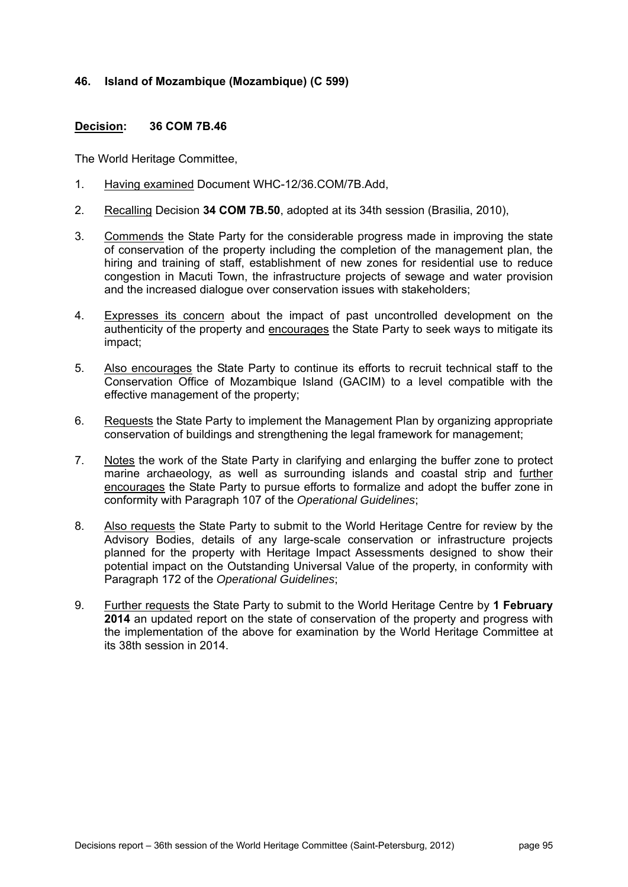# **46. Island of Mozambique (Mozambique) (C 599)**

### **Decision: 36 COM 7B.46**

- 1. Having examined Document WHC-12/36.COM/7B.Add,
- 2. Recalling Decision **34 COM 7B.50**, adopted at its 34th session (Brasilia, 2010),
- 3. Commends the State Party for the considerable progress made in improving the state of conservation of the property including the completion of the management plan, the hiring and training of staff, establishment of new zones for residential use to reduce congestion in Macuti Town, the infrastructure projects of sewage and water provision and the increased dialogue over conservation issues with stakeholders;
- 4. Expresses its concern about the impact of past uncontrolled development on the authenticity of the property and encourages the State Party to seek ways to mitigate its impact;
- 5. Also encourages the State Party to continue its efforts to recruit technical staff to the Conservation Office of Mozambique Island (GACIM) to a level compatible with the effective management of the property;
- 6. Requests the State Party to implement the Management Plan by organizing appropriate conservation of buildings and strengthening the legal framework for management;
- 7. Notes the work of the State Party in clarifying and enlarging the buffer zone to protect marine archaeology, as well as surrounding islands and coastal strip and further encourages the State Party to pursue efforts to formalize and adopt the buffer zone in conformity with Paragraph 107 of the *Operational Guidelines*;
- 8. Also requests the State Party to submit to the World Heritage Centre for review by the Advisory Bodies, details of any large-scale conservation or infrastructure projects planned for the property with Heritage Impact Assessments designed to show their potential impact on the Outstanding Universal Value of the property, in conformity with Paragraph 172 of the *Operational Guidelines*;
- 9. Further requests the State Party to submit to the World Heritage Centre by **1 February 2014** an updated report on the state of conservation of the property and progress with the implementation of the above for examination by the World Heritage Committee at its 38th session in 2014.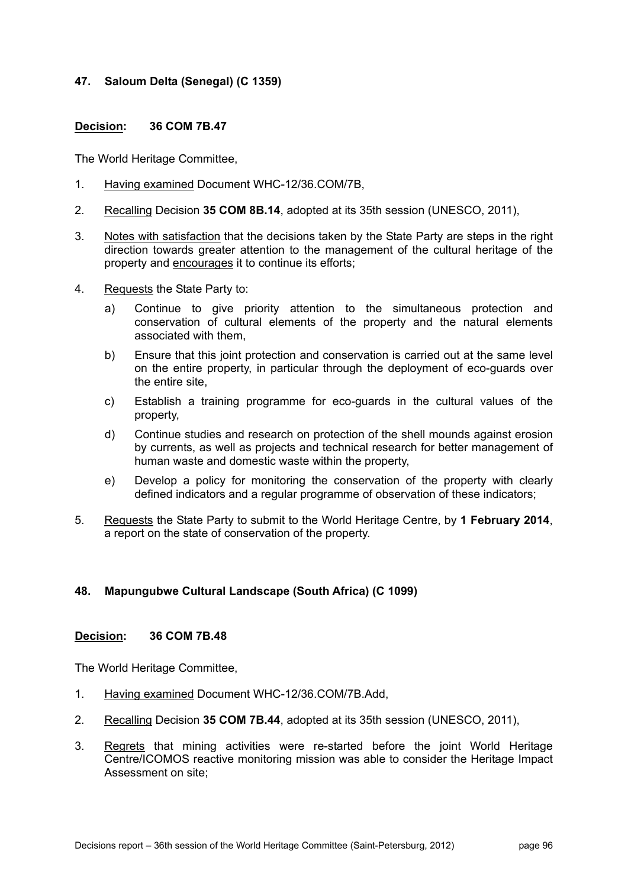# **47. Saloum Delta (Senegal) (C 1359)**

# **Decision: 36 COM 7B.47**

The World Heritage Committee,

- 1. Having examined Document WHC-12/36.COM/7B,
- 2. Recalling Decision **35 COM 8B.14**, adopted at its 35th session (UNESCO, 2011),
- 3. Notes with satisfaction that the decisions taken by the State Party are steps in the right direction towards greater attention to the management of the cultural heritage of the property and encourages it to continue its efforts;
- 4. Requests the State Party to:
	- a) Continue to give priority attention to the simultaneous protection and conservation of cultural elements of the property and the natural elements associated with them,
	- b) Ensure that this joint protection and conservation is carried out at the same level on the entire property, in particular through the deployment of eco-guards over the entire site,
	- c) Establish a training programme for eco-guards in the cultural values of the property,
	- d) Continue studies and research on protection of the shell mounds against erosion by currents, as well as projects and technical research for better management of human waste and domestic waste within the property,
	- e) Develop a policy for monitoring the conservation of the property with clearly defined indicators and a regular programme of observation of these indicators;
- 5. Requests the State Party to submit to the World Heritage Centre, by **1 February 2014**, a report on the state of conservation of the property.

# **48. Mapungubwe Cultural Landscape (South Africa) (C 1099)**

#### **Decision: 36 COM 7B.48**

- 1. Having examined Document WHC-12/36.COM/7B.Add,
- 2. Recalling Decision **35 COM 7B.44**, adopted at its 35th session (UNESCO, 2011),
- 3. Regrets that mining activities were re-started before the joint World Heritage Centre/ICOMOS reactive monitoring mission was able to consider the Heritage Impact Assessment on site;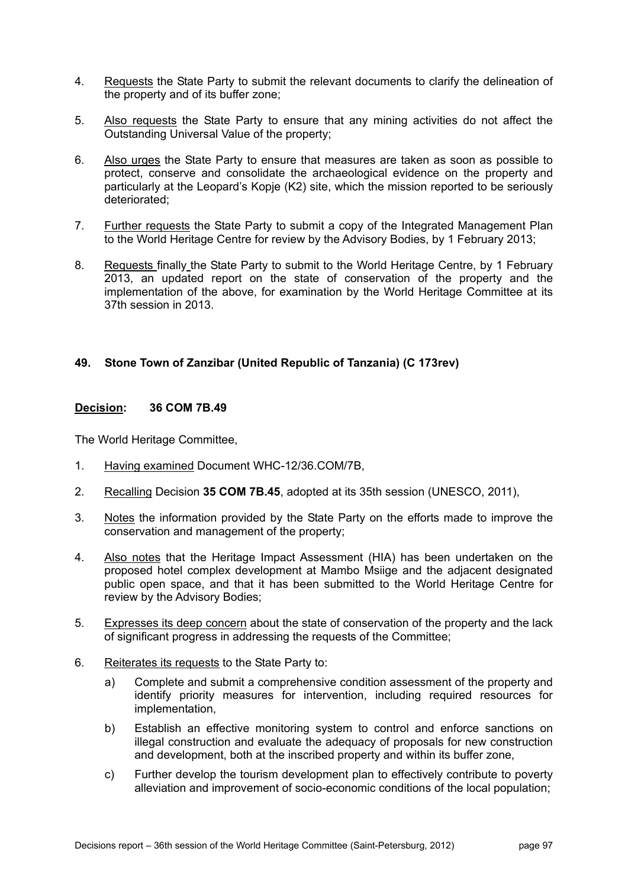- 4. Requests the State Party to submit the relevant documents to clarify the delineation of the property and of its buffer zone;
- 5. Also requests the State Party to ensure that any mining activities do not affect the Outstanding Universal Value of the property;
- 6. Also urges the State Party to ensure that measures are taken as soon as possible to protect, conserve and consolidate the archaeological evidence on the property and particularly at the Leopard's Kopje (K2) site, which the mission reported to be seriously deteriorated;
- 7. Further requests the State Party to submit a copy of the Integrated Management Plan to the World Heritage Centre for review by the Advisory Bodies, by 1 February 2013;
- 8. Requests finally the State Party to submit to the World Heritage Centre, by 1 February 2013, an updated report on the state of conservation of the property and the implementation of the above, for examination by the World Heritage Committee at its 37th session in 2013.

# **49. Stone Town of Zanzibar (United Republic of Tanzania) (C 173rev)**

#### **Decision: 36 COM 7B.49**

- 1. Having examined Document WHC-12/36.COM/7B,
- 2. Recalling Decision **35 COM 7B.45**, adopted at its 35th session (UNESCO, 2011),
- 3. Notes the information provided by the State Party on the efforts made to improve the conservation and management of the property;
- 4. Also notes that the Heritage Impact Assessment (HIA) has been undertaken on the proposed hotel complex development at Mambo Msiige and the adjacent designated public open space, and that it has been submitted to the World Heritage Centre for review by the Advisory Bodies;
- 5. Expresses its deep concern about the state of conservation of the property and the lack of significant progress in addressing the requests of the Committee;
- 6. Reiterates its requests to the State Party to:
	- a) Complete and submit a comprehensive condition assessment of the property and identify priority measures for intervention, including required resources for implementation,
	- b) Establish an effective monitoring system to control and enforce sanctions on illegal construction and evaluate the adequacy of proposals for new construction and development, both at the inscribed property and within its buffer zone,
	- c) Further develop the tourism development plan to effectively contribute to poverty alleviation and improvement of socio-economic conditions of the local population;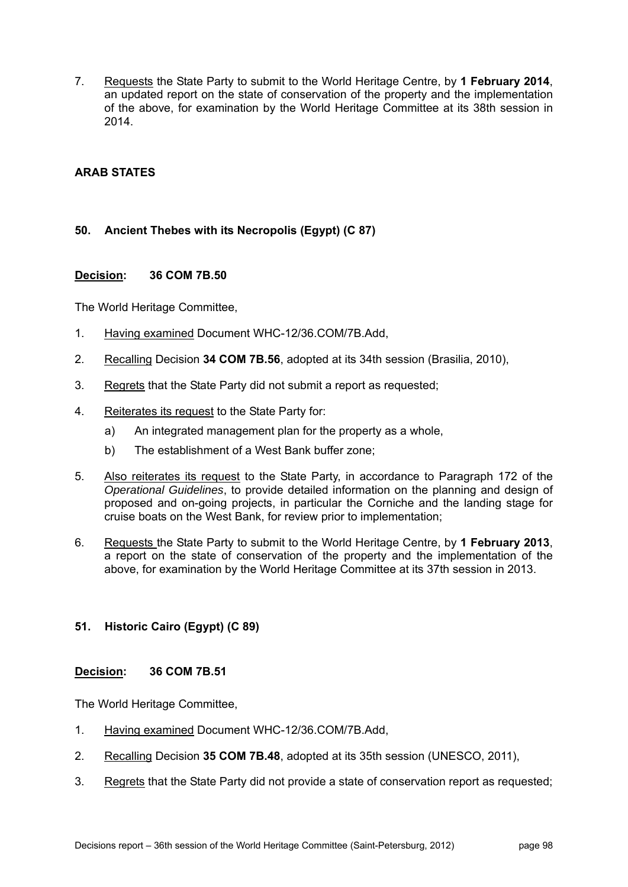7. Requests the State Party to submit to the World Heritage Centre, by **1 February 2014**, an updated report on the state of conservation of the property and the implementation of the above, for examination by the World Heritage Committee at its 38th session in 2014.

# **ARAB STATES**

# **50. Ancient Thebes with its Necropolis (Egypt) (C 87)**

### **Decision: 36 COM 7B.50**

The World Heritage Committee,

- 1. Having examined Document WHC-12/36.COM/7B.Add,
- 2. Recalling Decision **34 COM 7B.56**, adopted at its 34th session (Brasilia, 2010),
- 3. Regrets that the State Party did not submit a report as requested;
- 4. Reiterates its request to the State Party for:
	- a) An integrated management plan for the property as a whole,
	- b) The establishment of a West Bank buffer zone;
- 5. Also reiterates its request to the State Party, in accordance to Paragraph 172 of the *Operational Guidelines*, to provide detailed information on the planning and design of proposed and on-going projects, in particular the Corniche and the landing stage for cruise boats on the West Bank, for review prior to implementation;
- 6. Requests the State Party to submit to the World Heritage Centre, by **1 February 2013**, a report on the state of conservation of the property and the implementation of the above, for examination by the World Heritage Committee at its 37th session in 2013.

# **51. Historic Cairo (Egypt) (C 89)**

#### **Decision: 36 COM 7B.51**

- 1. Having examined Document WHC-12/36.COM/7B.Add,
- 2. Recalling Decision **35 COM 7B.48**, adopted at its 35th session (UNESCO, 2011),
- 3. Regrets that the State Party did not provide a state of conservation report as requested;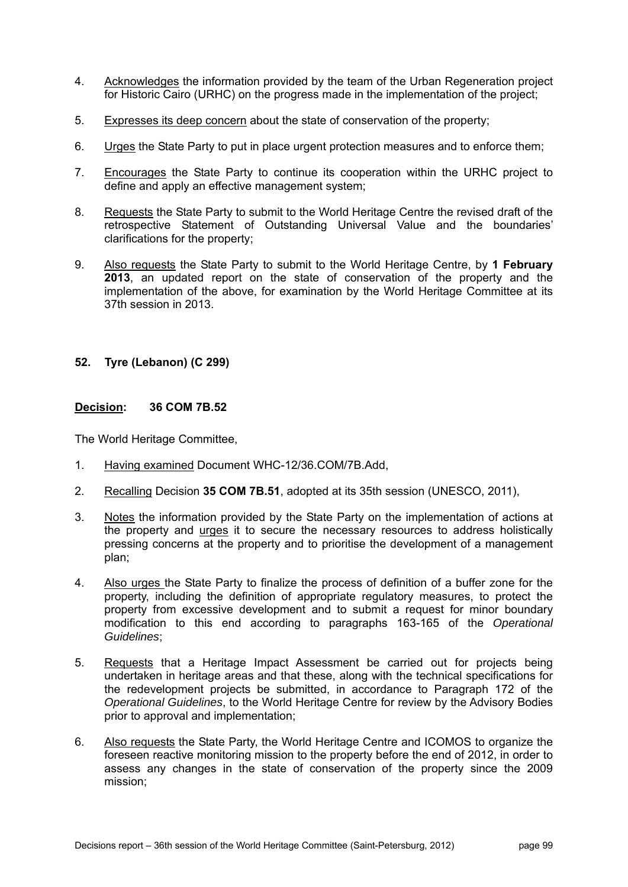- 4. Acknowledges the information provided by the team of the Urban Regeneration project for Historic Cairo (URHC) on the progress made in the implementation of the project;
- 5. Expresses its deep concern about the state of conservation of the property;
- 6. Urges the State Party to put in place urgent protection measures and to enforce them;
- 7. Encourages the State Party to continue its cooperation within the URHC project to define and apply an effective management system;
- 8. Requests the State Party to submit to the World Heritage Centre the revised draft of the retrospective Statement of Outstanding Universal Value and the boundaries' clarifications for the property;
- 9. Also requests the State Party to submit to the World Heritage Centre, by **1 February 2013**, an updated report on the state of conservation of the property and the implementation of the above, for examination by the World Heritage Committee at its 37th session in 2013.

# **52. Tyre (Lebanon) (C 299)**

#### **Decision: 36 COM 7B.52**

- 1. Having examined Document WHC-12/36.COM/7B.Add,
- 2. Recalling Decision **35 COM 7B.51**, adopted at its 35th session (UNESCO, 2011),
- 3. Notes the information provided by the State Party on the implementation of actions at the property and urges it to secure the necessary resources to address holistically pressing concerns at the property and to prioritise the development of a management plan;
- 4. Also urges the State Party to finalize the process of definition of a buffer zone for the property, including the definition of appropriate regulatory measures, to protect the property from excessive development and to submit a request for minor boundary modification to this end according to paragraphs 163-165 of the *Operational Guidelines*;
- 5. Requests that a Heritage Impact Assessment be carried out for projects being undertaken in heritage areas and that these, along with the technical specifications for the redevelopment projects be submitted, in accordance to Paragraph 172 of the *Operational Guidelines*, to the World Heritage Centre for review by the Advisory Bodies prior to approval and implementation;
- 6. Also requests the State Party, the World Heritage Centre and ICOMOS to organize the foreseen reactive monitoring mission to the property before the end of 2012, in order to assess any changes in the state of conservation of the property since the 2009 mission;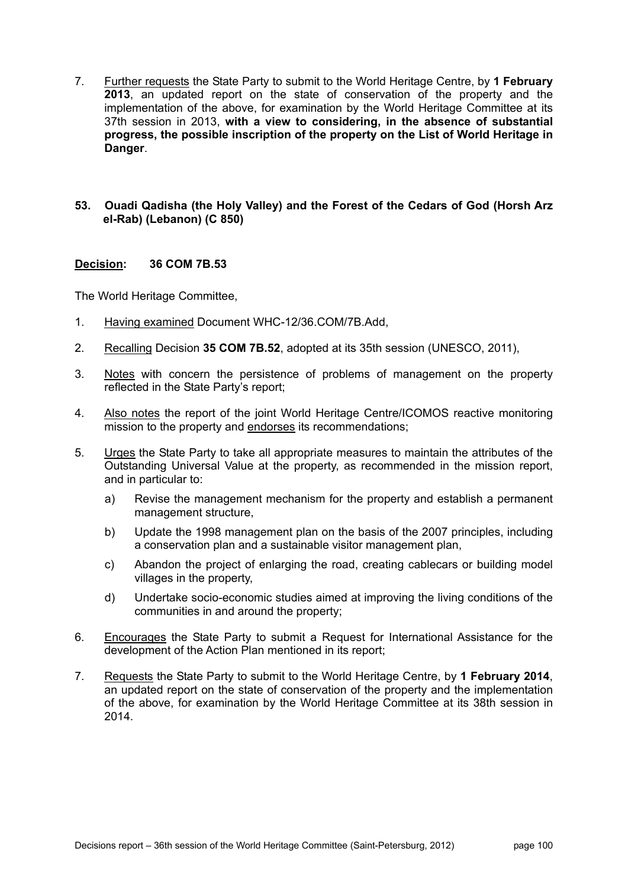7. Further requests the State Party to submit to the World Heritage Centre, by **1 February 2013**, an updated report on the state of conservation of the property and the implementation of the above, for examination by the World Heritage Committee at its 37th session in 2013, **with a view to considering, in the absence of substantial progress, the possible inscription of the property on the List of World Heritage in Danger**.

### **53. Ouadi Qadisha (the Holy Valley) and the Forest of the Cedars of God (Horsh Arz el-Rab) (Lebanon) (C 850)**

### **Decision: 36 COM 7B.53**

- 1. Having examined Document WHC-12/36.COM/7B.Add,
- 2. Recalling Decision **35 COM 7B.52**, adopted at its 35th session (UNESCO, 2011),
- 3. Notes with concern the persistence of problems of management on the property reflected in the State Party's report;
- 4. Also notes the report of the joint World Heritage Centre/ICOMOS reactive monitoring mission to the property and endorses its recommendations;
- 5. Urges the State Party to take all appropriate measures to maintain the attributes of the Outstanding Universal Value at the property, as recommended in the mission report, and in particular to:
	- a) Revise the management mechanism for the property and establish a permanent management structure,
	- b) Update the 1998 management plan on the basis of the 2007 principles, including a conservation plan and a sustainable visitor management plan,
	- c) Abandon the project of enlarging the road, creating cablecars or building model villages in the property,
	- d) Undertake socio-economic studies aimed at improving the living conditions of the communities in and around the property;
- 6. Encourages the State Party to submit a Request for International Assistance for the development of the Action Plan mentioned in its report;
- 7. Requests the State Party to submit to the World Heritage Centre, by **1 February 2014**, an updated report on the state of conservation of the property and the implementation of the above, for examination by the World Heritage Committee at its 38th session in 2014.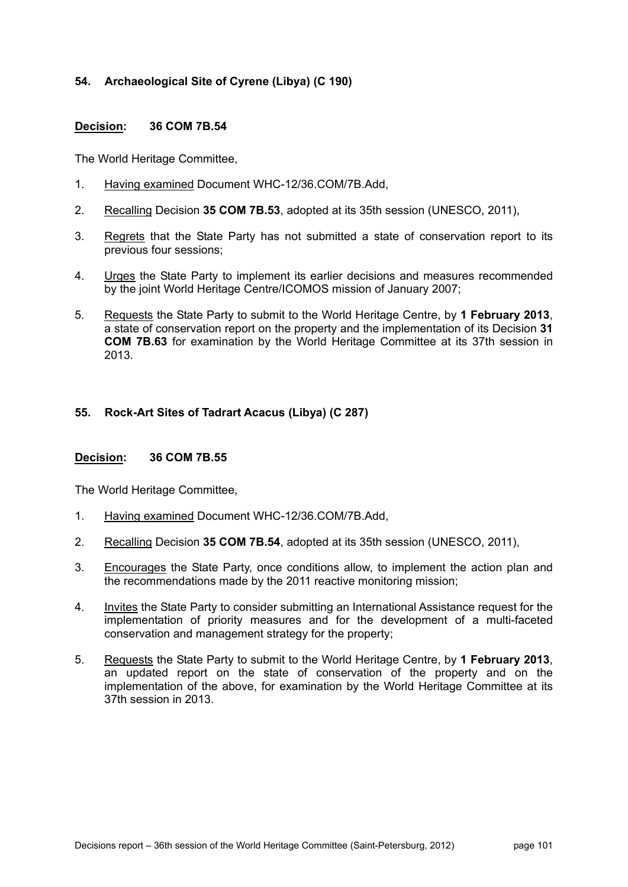# **54. Archaeological Site of Cyrene (Libya) (C 190)**

### **Decision: 36 COM 7B.54**

The World Heritage Committee,

- 1. Having examined Document WHC-12/36.COM/7B.Add,
- 2. Recalling Decision **35 COM 7B.53**, adopted at its 35th session (UNESCO, 2011),
- 3. Regrets that the State Party has not submitted a state of conservation report to its previous four sessions;
- 4. Urges the State Party to implement its earlier decisions and measures recommended by the joint World Heritage Centre/ICOMOS mission of January 2007;
- 5. Requests the State Party to submit to the World Heritage Centre, by **1 February 2013**, a state of conservation report on the property and the implementation of its Decision **31 COM 7B.63** for examination by the World Heritage Committee at its 37th session in 2013.

### **55. Rock-Art Sites of Tadrart Acacus (Libya) (C 287)**

#### **Decision: 36 COM 7B.55**

- 1. Having examined Document WHC-12/36.COM/7B.Add,
- 2. Recalling Decision **35 COM 7B.54**, adopted at its 35th session (UNESCO, 2011),
- 3. Encourages the State Party, once conditions allow, to implement the action plan and the recommendations made by the 2011 reactive monitoring mission;
- 4. Invites the State Party to consider submitting an International Assistance request for the implementation of priority measures and for the development of a multi-faceted conservation and management strategy for the property;
- 5. Requests the State Party to submit to the World Heritage Centre, by **1 February 2013**, an updated report on the state of conservation of the property and on the implementation of the above, for examination by the World Heritage Committee at its 37th session in 2013.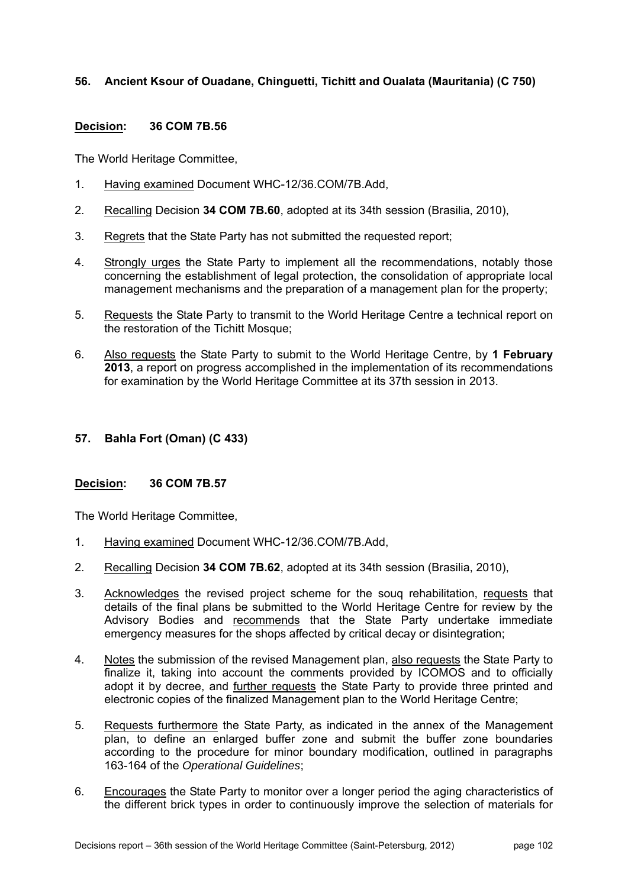# **56. Ancient Ksour of Ouadane, Chinguetti, Tichitt and Oualata (Mauritania) (C 750)**

### **Decision: 36 COM 7B.56**

The World Heritage Committee,

- 1. Having examined Document WHC-12/36.COM/7B.Add,
- 2. Recalling Decision **34 COM 7B.60**, adopted at its 34th session (Brasilia, 2010),
- 3. Regrets that the State Party has not submitted the requested report;
- 4. Strongly urges the State Party to implement all the recommendations, notably those concerning the establishment of legal protection, the consolidation of appropriate local management mechanisms and the preparation of a management plan for the property;
- 5. Requests the State Party to transmit to the World Heritage Centre a technical report on the restoration of the Tichitt Mosque;
- 6. Also requests the State Party to submit to the World Heritage Centre, by **1 February 2013**, a report on progress accomplished in the implementation of its recommendations for examination by the World Heritage Committee at its 37th session in 2013.

### **57. Bahla Fort (Oman) (C 433)**

#### **Decision: 36 COM 7B.57**

- 1. Having examined Document WHC-12/36.COM/7B.Add,
- 2. Recalling Decision **34 COM 7B.62**, adopted at its 34th session (Brasilia, 2010),
- 3. Acknowledges the revised project scheme for the souq rehabilitation, requests that details of the final plans be submitted to the World Heritage Centre for review by the Advisory Bodies and recommends that the State Party undertake immediate emergency measures for the shops affected by critical decay or disintegration;
- 4. Notes the submission of the revised Management plan, also requests the State Party to finalize it, taking into account the comments provided by ICOMOS and to officially adopt it by decree, and further requests the State Party to provide three printed and electronic copies of the finalized Management plan to the World Heritage Centre;
- 5. Requests furthermore the State Party, as indicated in the annex of the Management plan, to define an enlarged buffer zone and submit the buffer zone boundaries according to the procedure for minor boundary modification, outlined in paragraphs 163-164 of the *Operational Guidelines*;
- 6. Encourages the State Party to monitor over a longer period the aging characteristics of the different brick types in order to continuously improve the selection of materials for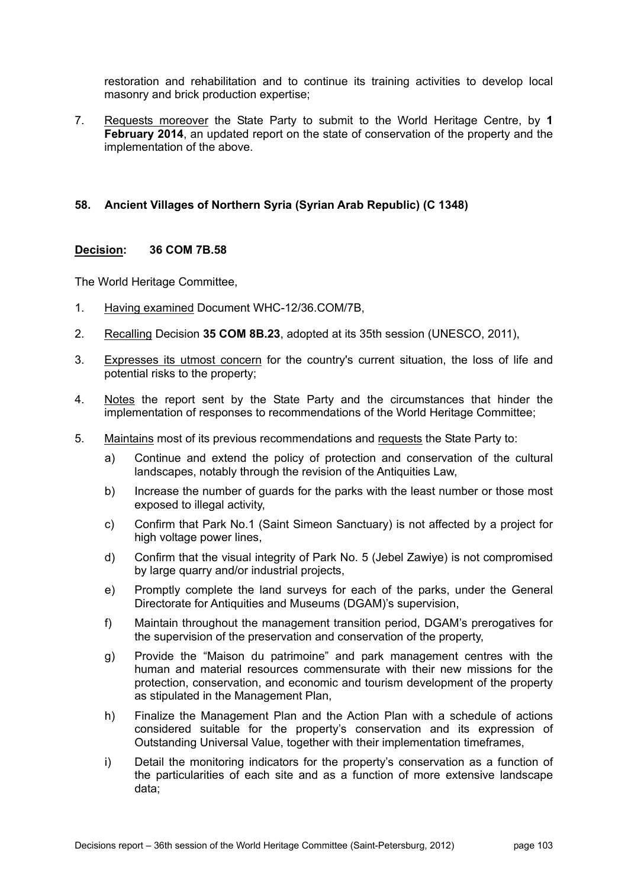restoration and rehabilitation and to continue its training activities to develop local masonry and brick production expertise;

7. Requests moreover the State Party to submit to the World Heritage Centre, by **1 February 2014**, an updated report on the state of conservation of the property and the implementation of the above.

# **58. Ancient Villages of Northern Syria (Syrian Arab Republic) (C 1348)**

### **Decision: 36 COM 7B.58**

- 1. Having examined Document WHC-12/36.COM/7B,
- 2. Recalling Decision **35 COM 8B.23**, adopted at its 35th session (UNESCO, 2011),
- 3. Expresses its utmost concern for the country's current situation, the loss of life and potential risks to the property;
- 4. Notes the report sent by the State Party and the circumstances that hinder the implementation of responses to recommendations of the World Heritage Committee;
- 5. Maintains most of its previous recommendations and requests the State Party to:
	- a) Continue and extend the policy of protection and conservation of the cultural landscapes, notably through the revision of the Antiquities Law,
	- b) Increase the number of guards for the parks with the least number or those most exposed to illegal activity,
	- c) Confirm that Park No.1 (Saint Simeon Sanctuary) is not affected by a project for high voltage power lines.
	- d) Confirm that the visual integrity of Park No. 5 (Jebel Zawiye) is not compromised by large quarry and/or industrial projects,
	- e) Promptly complete the land surveys for each of the parks, under the General Directorate for Antiquities and Museums (DGAM)'s supervision,
	- f) Maintain throughout the management transition period, DGAM's prerogatives for the supervision of the preservation and conservation of the property,
	- g) Provide the "Maison du patrimoine" and park management centres with the human and material resources commensurate with their new missions for the protection, conservation, and economic and tourism development of the property as stipulated in the Management Plan,
	- h) Finalize the Management Plan and the Action Plan with a schedule of actions considered suitable for the property's conservation and its expression of Outstanding Universal Value, together with their implementation timeframes,
	- i) Detail the monitoring indicators for the property's conservation as a function of the particularities of each site and as a function of more extensive landscape data;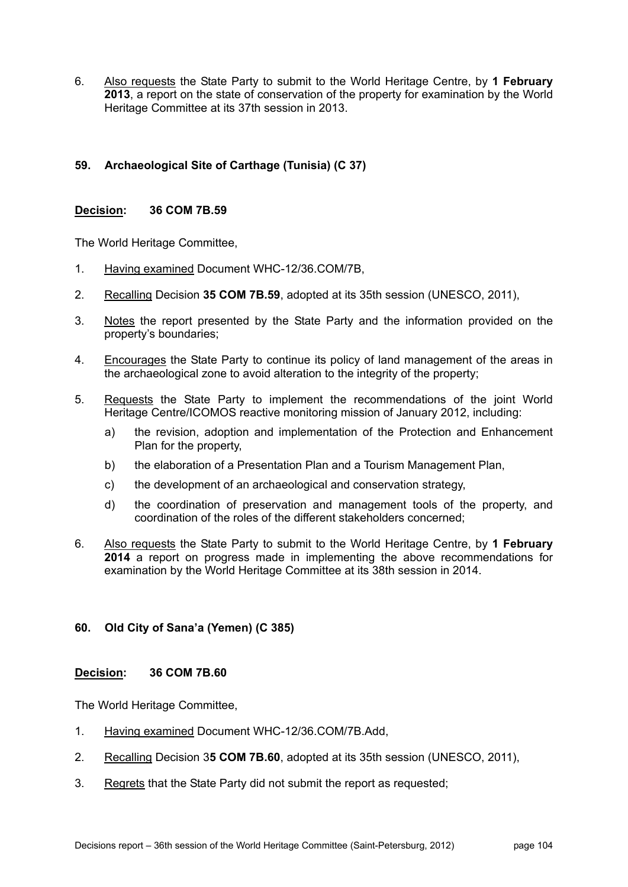6. Also requests the State Party to submit to the World Heritage Centre, by **1 February 2013**, a report on the state of conservation of the property for examination by the World Heritage Committee at its 37th session in 2013.

# **59. Archaeological Site of Carthage (Tunisia) (C 37)**

### **Decision: 36 COM 7B.59**

The World Heritage Committee,

- 1. Having examined Document WHC-12/36.COM/7B,
- 2. Recalling Decision **35 COM 7B.59**, adopted at its 35th session (UNESCO, 2011),
- 3. Notes the report presented by the State Party and the information provided on the property's boundaries;
- 4. Encourages the State Party to continue its policy of land management of the areas in the archaeological zone to avoid alteration to the integrity of the property;
- 5. Requests the State Party to implement the recommendations of the joint World Heritage Centre/ICOMOS reactive monitoring mission of January 2012, including:
	- a) the revision, adoption and implementation of the Protection and Enhancement Plan for the property,
	- b) the elaboration of a Presentation Plan and a Tourism Management Plan,
	- c) the development of an archaeological and conservation strategy,
	- d) the coordination of preservation and management tools of the property, and coordination of the roles of the different stakeholders concerned;
- 6. Also requests the State Party to submit to the World Heritage Centre, by **1 February 2014** a report on progress made in implementing the above recommendations for examination by the World Heritage Committee at its 38th session in 2014.

# **60. Old City of Sana'a (Yemen) (C 385)**

#### **Decision: 36 COM 7B.60**

- 1. Having examined Document WHC-12/36.COM/7B.Add,
- 2. Recalling Decision 3**5 COM 7B.60**, adopted at its 35th session (UNESCO, 2011),
- 3. Regrets that the State Party did not submit the report as requested;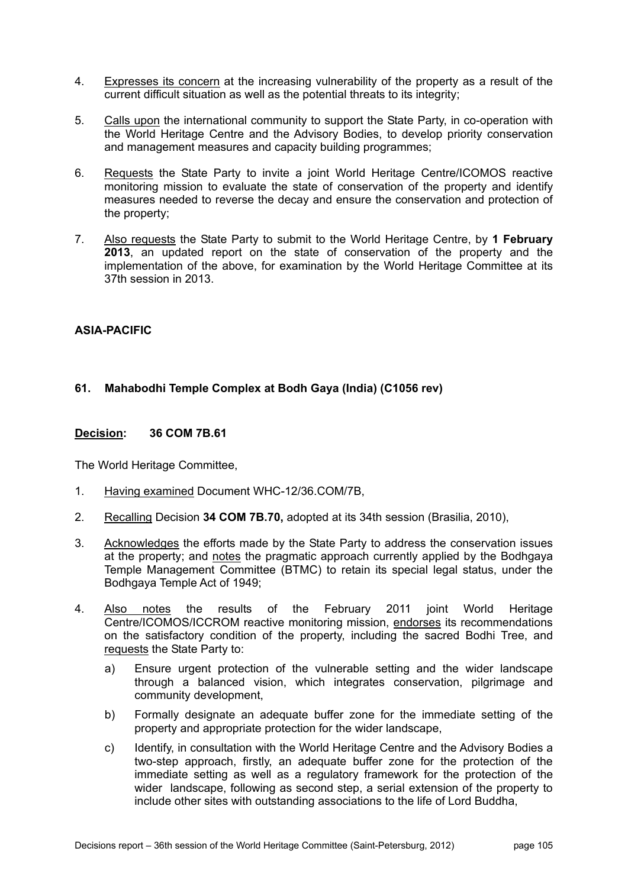- 4. Expresses its concern at the increasing vulnerability of the property as a result of the current difficult situation as well as the potential threats to its integrity;
- 5. Calls upon the international community to support the State Party, in co-operation with the World Heritage Centre and the Advisory Bodies, to develop priority conservation and management measures and capacity building programmes;
- 6. Requests the State Party to invite a joint World Heritage Centre/ICOMOS reactive monitoring mission to evaluate the state of conservation of the property and identify measures needed to reverse the decay and ensure the conservation and protection of the property;
- 7. Also requests the State Party to submit to the World Heritage Centre, by **1 February 2013**, an updated report on the state of conservation of the property and the implementation of the above, for examination by the World Heritage Committee at its 37th session in 2013.

# **ASIA-PACIFIC**

# **61. Mahabodhi Temple Complex at Bodh Gaya (India) (C1056 rev)**

### **Decision: 36 COM 7B.61**

- 1. Having examined Document WHC-12/36.COM/7B,
- 2. Recalling Decision **34 COM 7B.70,** adopted at its 34th session (Brasilia, 2010),
- 3. Acknowledges the efforts made by the State Party to address the conservation issues at the property; and notes the pragmatic approach currently applied by the Bodhgaya Temple Management Committee (BTMC) to retain its special legal status, under the Bodhgaya Temple Act of 1949;
- 4. Also notes the results of the February 2011 joint World Heritage Centre/ICOMOS/ICCROM reactive monitoring mission, endorses its recommendations on the satisfactory condition of the property, including the sacred Bodhi Tree, and requests the State Party to:
	- a) Ensure urgent protection of the vulnerable setting and the wider landscape through a balanced vision, which integrates conservation, pilgrimage and community development,
	- b) Formally designate an adequate buffer zone for the immediate setting of the property and appropriate protection for the wider landscape,
	- c) Identify, in consultation with the World Heritage Centre and the Advisory Bodies a two-step approach, firstly, an adequate buffer zone for the protection of the immediate setting as well as a regulatory framework for the protection of the wider landscape, following as second step, a serial extension of the property to include other sites with outstanding associations to the life of Lord Buddha,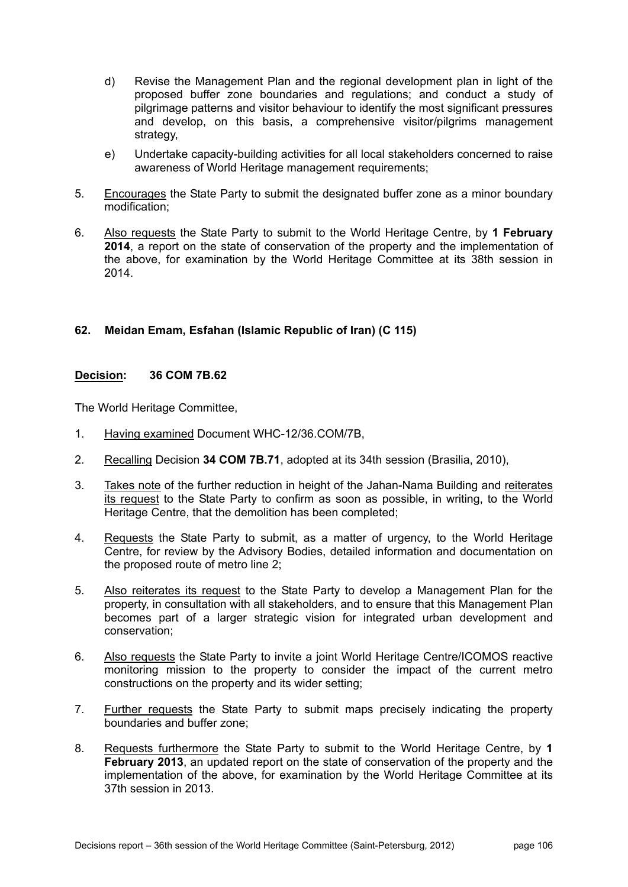- d) Revise the Management Plan and the regional development plan in light of the proposed buffer zone boundaries and regulations; and conduct a study of pilgrimage patterns and visitor behaviour to identify the most significant pressures and develop, on this basis, a comprehensive visitor/pilgrims management strategy,
- e) Undertake capacity-building activities for all local stakeholders concerned to raise awareness of World Heritage management requirements;
- 5. Encourages the State Party to submit the designated buffer zone as a minor boundary modification;
- 6. Also requests the State Party to submit to the World Heritage Centre, by **1 February 2014**, a report on the state of conservation of the property and the implementation of the above, for examination by the World Heritage Committee at its 38th session in 2014.

# **62. Meidan Emam, Esfahan (Islamic Republic of Iran) (C 115)**

#### **Decision: 36 COM 7B.62**

- 1. Having examined Document WHC-12/36.COM/7B,
- 2. Recalling Decision **34 COM 7B.71**, adopted at its 34th session (Brasilia, 2010),
- 3. Takes note of the further reduction in height of the Jahan-Nama Building and reiterates its request to the State Party to confirm as soon as possible, in writing, to the World Heritage Centre, that the demolition has been completed;
- 4. Requests the State Party to submit, as a matter of urgency, to the World Heritage Centre, for review by the Advisory Bodies, detailed information and documentation on the proposed route of metro line 2;
- 5. Also reiterates its request to the State Party to develop a Management Plan for the property, in consultation with all stakeholders, and to ensure that this Management Plan becomes part of a larger strategic vision for integrated urban development and conservation;
- 6. Also requests the State Party to invite a joint World Heritage Centre/ICOMOS reactive monitoring mission to the property to consider the impact of the current metro constructions on the property and its wider setting;
- 7. Further requests the State Party to submit maps precisely indicating the property boundaries and buffer zone;
- 8. Requests furthermore the State Party to submit to the World Heritage Centre, by **1 February 2013**, an updated report on the state of conservation of the property and the implementation of the above, for examination by the World Heritage Committee at its 37th session in 2013.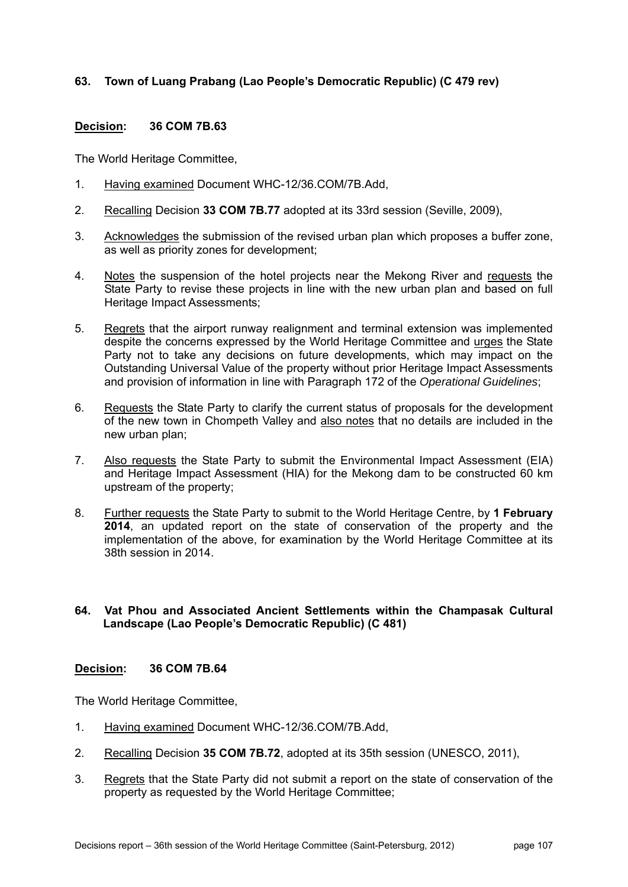# **63. Town of Luang Prabang (Lao People's Democratic Republic) (C 479 rev)**

### **Decision: 36 COM 7B.63**

The World Heritage Committee,

- 1. Having examined Document WHC-12/36.COM/7B.Add,
- 2. Recalling Decision **33 COM 7B.77** adopted at its 33rd session (Seville, 2009),
- 3. Acknowledges the submission of the revised urban plan which proposes a buffer zone, as well as priority zones for development;
- 4. Notes the suspension of the hotel projects near the Mekong River and requests the State Party to revise these projects in line with the new urban plan and based on full Heritage Impact Assessments;
- 5. Regrets that the airport runway realignment and terminal extension was implemented despite the concerns expressed by the World Heritage Committee and urges the State Party not to take any decisions on future developments, which may impact on the Outstanding Universal Value of the property without prior Heritage Impact Assessments and provision of information in line with Paragraph 172 of the *Operational Guidelines*;
- 6. Requests the State Party to clarify the current status of proposals for the development of the new town in Chompeth Valley and also notes that no details are included in the new urban plan;
- 7. Also requests the State Party to submit the Environmental Impact Assessment (EIA) and Heritage Impact Assessment (HIA) for the Mekong dam to be constructed 60 km upstream of the property;
- 8. Further requests the State Party to submit to the World Heritage Centre, by **1 February 2014**, an updated report on the state of conservation of the property and the implementation of the above, for examination by the World Heritage Committee at its 38th session in 2014.

### **64. Vat Phou and Associated Ancient Settlements within the Champasak Cultural Landscape (Lao People's Democratic Republic) (C 481)**

### **Decision: 36 COM 7B.64**

- 1. Having examined Document WHC-12/36.COM/7B.Add,
- 2. Recalling Decision **35 COM 7B.72**, adopted at its 35th session (UNESCO, 2011),
- 3. Regrets that the State Party did not submit a report on the state of conservation of the property as requested by the World Heritage Committee;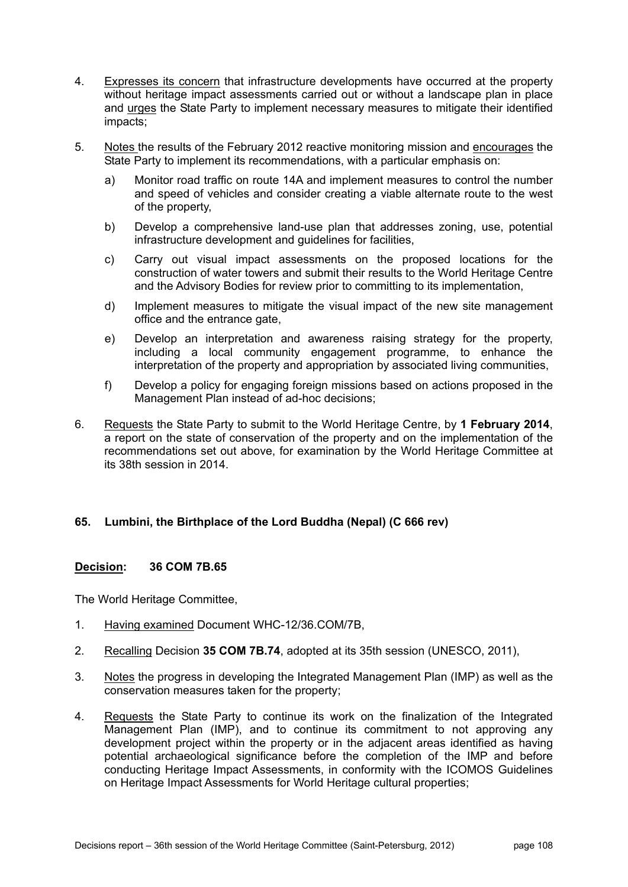- 4. Expresses its concern that infrastructure developments have occurred at the property without heritage impact assessments carried out or without a landscape plan in place and urges the State Party to implement necessary measures to mitigate their identified impacts;
- 5. Notes the results of the February 2012 reactive monitoring mission and encourages the State Party to implement its recommendations, with a particular emphasis on:
	- a) Monitor road traffic on route 14A and implement measures to control the number and speed of vehicles and consider creating a viable alternate route to the west of the property,
	- b) Develop a comprehensive land-use plan that addresses zoning, use, potential infrastructure development and guidelines for facilities,
	- c) Carry out visual impact assessments on the proposed locations for the construction of water towers and submit their results to the World Heritage Centre and the Advisory Bodies for review prior to committing to its implementation,
	- d) Implement measures to mitigate the visual impact of the new site management office and the entrance gate,
	- e) Develop an interpretation and awareness raising strategy for the property, including a local community engagement programme, to enhance the interpretation of the property and appropriation by associated living communities,
	- f) Develop a policy for engaging foreign missions based on actions proposed in the Management Plan instead of ad-hoc decisions;
- 6. Requests the State Party to submit to the World Heritage Centre, by **1 February 2014**, a report on the state of conservation of the property and on the implementation of the recommendations set out above, for examination by the World Heritage Committee at its 38th session in 2014.

## **65. Lumbini, the Birthplace of the Lord Buddha (Nepal) (C 666 rev)**

#### **Decision: 36 COM 7B.65**

- 1. Having examined Document WHC-12/36.COM/7B,
- 2. Recalling Decision **35 COM 7B.74**, adopted at its 35th session (UNESCO, 2011),
- 3. Notes the progress in developing the Integrated Management Plan (IMP) as well as the conservation measures taken for the property;
- 4. Requests the State Party to continue its work on the finalization of the Integrated Management Plan (IMP), and to continue its commitment to not approving any development project within the property or in the adjacent areas identified as having potential archaeological significance before the completion of the IMP and before conducting Heritage Impact Assessments, in conformity with the ICOMOS Guidelines on Heritage Impact Assessments for World Heritage cultural properties;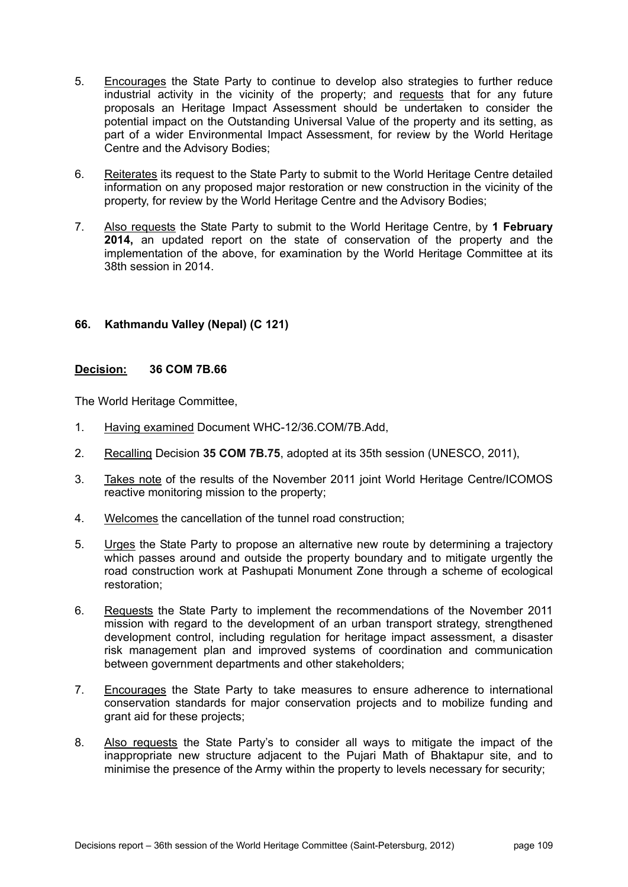- 5. Encourages the State Party to continue to develop also strategies to further reduce industrial activity in the vicinity of the property; and requests that for any future proposals an Heritage Impact Assessment should be undertaken to consider the potential impact on the Outstanding Universal Value of the property and its setting, as part of a wider Environmental Impact Assessment, for review by the World Heritage Centre and the Advisory Bodies;
- 6. Reiterates its request to the State Party to submit to the World Heritage Centre detailed information on any proposed major restoration or new construction in the vicinity of the property, for review by the World Heritage Centre and the Advisory Bodies;
- 7. Also requests the State Party to submit to the World Heritage Centre, by **1 February 2014,** an updated report on the state of conservation of the property and the implementation of the above, for examination by the World Heritage Committee at its 38th session in 2014.

## **66. Kathmandu Valley (Nepal) (C 121)**

## **Decision: 36 COM 7B.66**

- 1. Having examined Document WHC-12/36.COM/7B.Add,
- 2. Recalling Decision **35 COM 7B.75**, adopted at its 35th session (UNESCO, 2011),
- 3. Takes note of the results of the November 2011 joint World Heritage Centre/ICOMOS reactive monitoring mission to the property;
- 4. Welcomes the cancellation of the tunnel road construction;
- 5. Urges the State Party to propose an alternative new route by determining a trajectory which passes around and outside the property boundary and to mitigate urgently the road construction work at Pashupati Monument Zone through a scheme of ecological restoration;
- 6. Requests the State Party to implement the recommendations of the November 2011 mission with regard to the development of an urban transport strategy, strengthened development control, including regulation for heritage impact assessment, a disaster risk management plan and improved systems of coordination and communication between government departments and other stakeholders;
- 7. Encourages the State Party to take measures to ensure adherence to international conservation standards for major conservation projects and to mobilize funding and grant aid for these projects;
- 8. Also requests the State Party's to consider all ways to mitigate the impact of the inappropriate new structure adjacent to the Pujari Math of Bhaktapur site, and to minimise the presence of the Army within the property to levels necessary for security;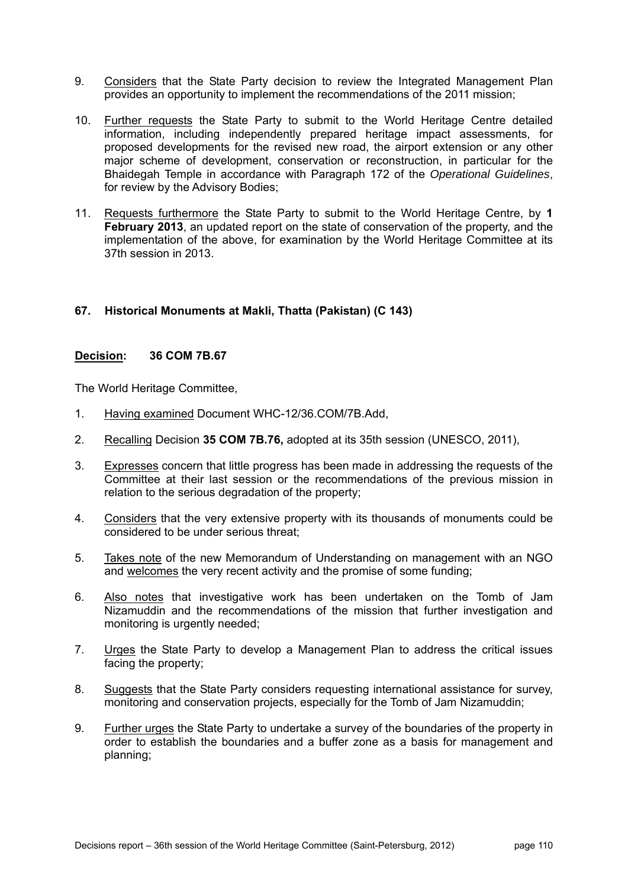- 9. Considers that the State Party decision to review the Integrated Management Plan provides an opportunity to implement the recommendations of the 2011 mission;
- 10. Further requests the State Party to submit to the World Heritage Centre detailed information, including independently prepared heritage impact assessments, for proposed developments for the revised new road, the airport extension or any other major scheme of development, conservation or reconstruction, in particular for the Bhaidegah Temple in accordance with Paragraph 172 of the *Operational Guidelines*, for review by the Advisory Bodies;
- 11. Requests furthermore the State Party to submit to the World Heritage Centre, by **1 February 2013**, an updated report on the state of conservation of the property, and the implementation of the above, for examination by the World Heritage Committee at its 37th session in 2013.

## **67. Historical Monuments at Makli, Thatta (Pakistan) (C 143)**

#### **Decision: 36 COM 7B.67**

- 1. Having examined Document WHC-12/36.COM/7B.Add,
- 2. Recalling Decision **35 COM 7B.76,** adopted at its 35th session (UNESCO, 2011),
- 3. Expresses concern that little progress has been made in addressing the requests of the Committee at their last session or the recommendations of the previous mission in relation to the serious degradation of the property;
- 4. Considers that the very extensive property with its thousands of monuments could be considered to be under serious threat;
- 5. Takes note of the new Memorandum of Understanding on management with an NGO and welcomes the very recent activity and the promise of some funding;
- 6. Also notes that investigative work has been undertaken on the Tomb of Jam Nizamuddin and the recommendations of the mission that further investigation and monitoring is urgently needed;
- 7. Urges the State Party to develop a Management Plan to address the critical issues facing the property;
- 8. Suggests that the State Party considers requesting international assistance for survey, monitoring and conservation projects, especially for the Tomb of Jam Nizamuddin;
- 9. Further urges the State Party to undertake a survey of the boundaries of the property in order to establish the boundaries and a buffer zone as a basis for management and planning;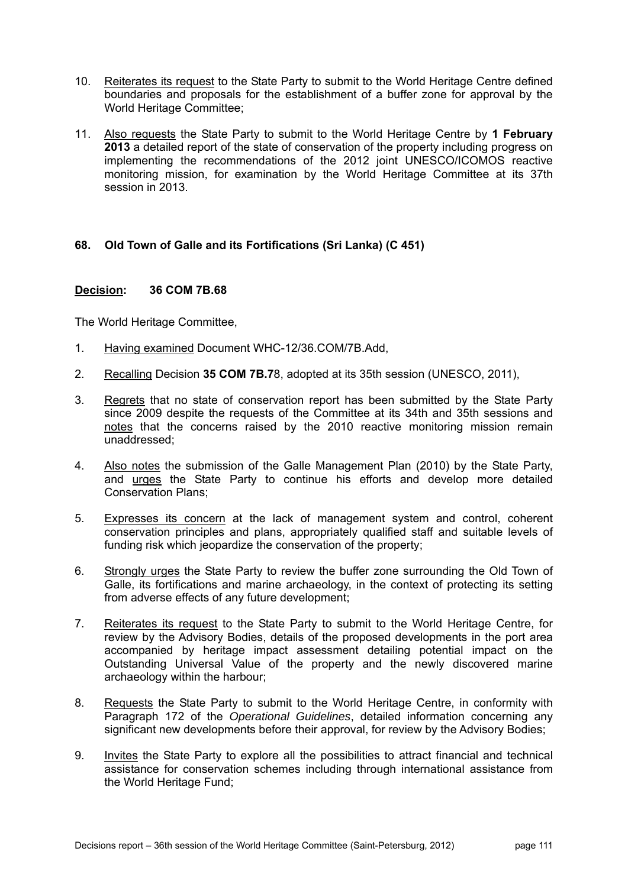- 10. Reiterates its request to the State Party to submit to the World Heritage Centre defined boundaries and proposals for the establishment of a buffer zone for approval by the World Heritage Committee;
- 11. Also requests the State Party to submit to the World Heritage Centre by **1 February 2013** a detailed report of the state of conservation of the property including progress on implementing the recommendations of the 2012 joint UNESCO/ICOMOS reactive monitoring mission, for examination by the World Heritage Committee at its 37th session in 2013.

## **68. Old Town of Galle and its Fortifications (Sri Lanka) (C 451)**

### **Decision: 36 COM 7B.68**

- 1. Having examined Document WHC-12/36.COM/7B.Add,
- 2. Recalling Decision **35 COM 7B.7**8, adopted at its 35th session (UNESCO, 2011),
- 3. Regrets that no state of conservation report has been submitted by the State Party since 2009 despite the requests of the Committee at its 34th and 35th sessions and notes that the concerns raised by the 2010 reactive monitoring mission remain unaddressed;
- 4. Also notes the submission of the Galle Management Plan (2010) by the State Party, and urges the State Party to continue his efforts and develop more detailed Conservation Plans;
- 5. Expresses its concern at the lack of management system and control, coherent conservation principles and plans, appropriately qualified staff and suitable levels of funding risk which jeopardize the conservation of the property;
- 6. Strongly urges the State Party to review the buffer zone surrounding the Old Town of Galle, its fortifications and marine archaeology, in the context of protecting its setting from adverse effects of any future development;
- 7. Reiterates its request to the State Party to submit to the World Heritage Centre, for review by the Advisory Bodies, details of the proposed developments in the port area accompanied by heritage impact assessment detailing potential impact on the Outstanding Universal Value of the property and the newly discovered marine archaeology within the harbour;
- 8. Requests the State Party to submit to the World Heritage Centre, in conformity with Paragraph 172 of the *Operational Guidelines*, detailed information concerning any significant new developments before their approval, for review by the Advisory Bodies;
- 9. Invites the State Party to explore all the possibilities to attract financial and technical assistance for conservation schemes including through international assistance from the World Heritage Fund;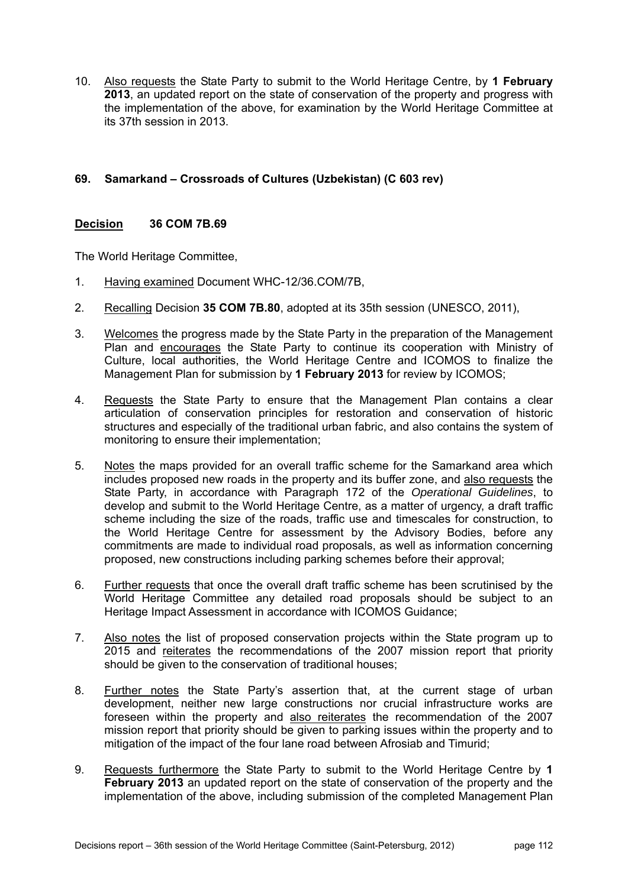10. Also requests the State Party to submit to the World Heritage Centre, by **1 February 2013**, an updated report on the state of conservation of the property and progress with the implementation of the above, for examination by the World Heritage Committee at its 37th session in 2013.

# **69. Samarkand – Crossroads of Cultures (Uzbekistan) (C 603 rev)**

## **Decision 36 COM 7B.69**

- 1. Having examined Document WHC-12/36.COM/7B,
- 2. Recalling Decision **35 COM 7B.80**, adopted at its 35th session (UNESCO, 2011),
- 3. Welcomes the progress made by the State Party in the preparation of the Management Plan and encourages the State Party to continue its cooperation with Ministry of Culture, local authorities, the World Heritage Centre and ICOMOS to finalize the Management Plan for submission by **1 February 2013** for review by ICOMOS;
- 4. Requests the State Party to ensure that the Management Plan contains a clear articulation of conservation principles for restoration and conservation of historic structures and especially of the traditional urban fabric, and also contains the system of monitoring to ensure their implementation;
- 5. Notes the maps provided for an overall traffic scheme for the Samarkand area which includes proposed new roads in the property and its buffer zone, and also requests the State Party, in accordance with Paragraph 172 of the *Operational Guidelines*, to develop and submit to the World Heritage Centre, as a matter of urgency, a draft traffic scheme including the size of the roads, traffic use and timescales for construction, to the World Heritage Centre for assessment by the Advisory Bodies, before any commitments are made to individual road proposals, as well as information concerning proposed, new constructions including parking schemes before their approval;
- 6. Further requests that once the overall draft traffic scheme has been scrutinised by the World Heritage Committee any detailed road proposals should be subject to an Heritage Impact Assessment in accordance with ICOMOS Guidance;
- 7. Also notes the list of proposed conservation projects within the State program up to 2015 and reiterates the recommendations of the 2007 mission report that priority should be given to the conservation of traditional houses;
- 8. Further notes the State Party's assertion that, at the current stage of urban development, neither new large constructions nor crucial infrastructure works are foreseen within the property and also reiterates the recommendation of the 2007 mission report that priority should be given to parking issues within the property and to mitigation of the impact of the four lane road between Afrosiab and Timurid;
- 9. Requests furthermore the State Party to submit to the World Heritage Centre by **1 February 2013** an updated report on the state of conservation of the property and the implementation of the above, including submission of the completed Management Plan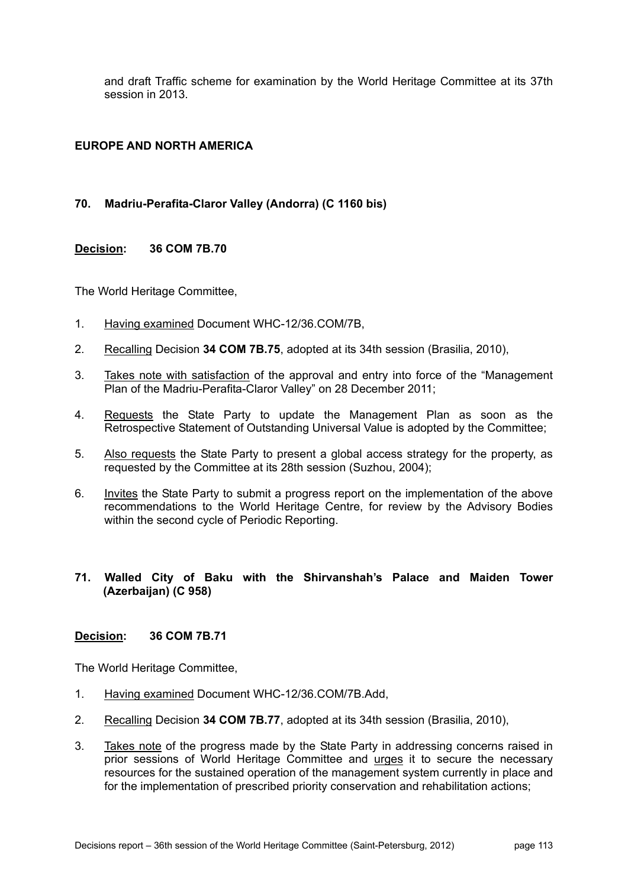and draft Traffic scheme for examination by the World Heritage Committee at its 37th session in 2013.

# **EUROPE AND NORTH AMERICA**

# **70. Madriu-Perafita-Claror Valley (Andorra) (C 1160 bis)**

### **Decision: 36 COM 7B.70**

The World Heritage Committee,

- 1. Having examined Document WHC-12/36.COM/7B,
- 2. Recalling Decision **34 COM 7B.75**, adopted at its 34th session (Brasilia, 2010),
- 3. Takes note with satisfaction of the approval and entry into force of the "Management Plan of the Madriu-Perafita-Claror Valley" on 28 December 2011;
- 4. Requests the State Party to update the Management Plan as soon as the Retrospective Statement of Outstanding Universal Value is adopted by the Committee;
- 5. Also requests the State Party to present a global access strategy for the property, as requested by the Committee at its 28th session (Suzhou, 2004);
- 6. Invites the State Party to submit a progress report on the implementation of the above recommendations to the World Heritage Centre, for review by the Advisory Bodies within the second cycle of Periodic Reporting.

### **71. Walled City of Baku with the Shirvanshah's Palace and Maiden Tower (Azerbaijan) (C 958)**

#### **Decision: 36 COM 7B.71**

- 1. Having examined Document WHC-12/36.COM/7B.Add,
- 2. Recalling Decision **34 COM 7B.77**, adopted at its 34th session (Brasilia, 2010),
- 3. Takes note of the progress made by the State Party in addressing concerns raised in prior sessions of World Heritage Committee and urges it to secure the necessary resources for the sustained operation of the management system currently in place and for the implementation of prescribed priority conservation and rehabilitation actions;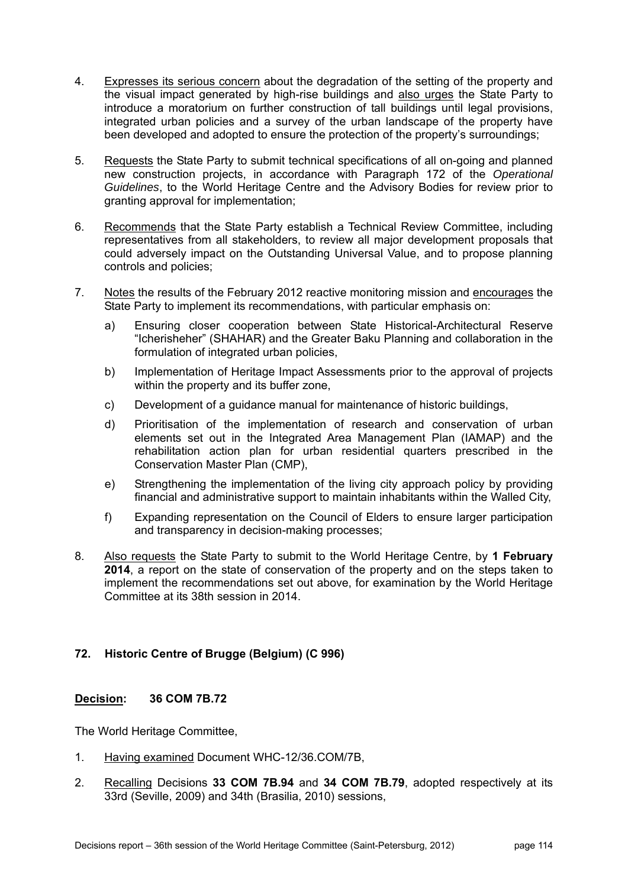- 4. Expresses its serious concern about the degradation of the setting of the property and the visual impact generated by high-rise buildings and also urges the State Party to introduce a moratorium on further construction of tall buildings until legal provisions, integrated urban policies and a survey of the urban landscape of the property have been developed and adopted to ensure the protection of the property's surroundings;
- 5. Requests the State Party to submit technical specifications of all on-going and planned new construction projects, in accordance with Paragraph 172 of the *Operational Guidelines*, to the World Heritage Centre and the Advisory Bodies for review prior to granting approval for implementation;
- 6. Recommends that the State Party establish a Technical Review Committee, including representatives from all stakeholders, to review all major development proposals that could adversely impact on the Outstanding Universal Value, and to propose planning controls and policies;
- 7. Notes the results of the February 2012 reactive monitoring mission and encourages the State Party to implement its recommendations, with particular emphasis on:
	- a) Ensuring closer cooperation between State Historical-Architectural Reserve "Icherisheher" (SHAHAR) and the Greater Baku Planning and collaboration in the formulation of integrated urban policies,
	- b) Implementation of Heritage Impact Assessments prior to the approval of projects within the property and its buffer zone,
	- c) Development of a guidance manual for maintenance of historic buildings,
	- d) Prioritisation of the implementation of research and conservation of urban elements set out in the Integrated Area Management Plan (IAMAP) and the rehabilitation action plan for urban residential quarters prescribed in the Conservation Master Plan (CMP),
	- e) Strengthening the implementation of the living city approach policy by providing financial and administrative support to maintain inhabitants within the Walled City,
	- f) Expanding representation on the Council of Elders to ensure larger participation and transparency in decision-making processes;
- 8. Also requests the State Party to submit to the World Heritage Centre, by **1 February 2014**, a report on the state of conservation of the property and on the steps taken to implement the recommendations set out above, for examination by the World Heritage Committee at its 38th session in 2014.

# **72. Historic Centre of Brugge (Belgium) (C 996)**

## **Decision: 36 COM 7B.72**

- 1. Having examined Document WHC-12/36.COM/7B,
- 2. Recalling Decisions **33 COM 7B.94** and **34 COM 7B.79**, adopted respectively at its 33rd (Seville, 2009) and 34th (Brasilia, 2010) sessions,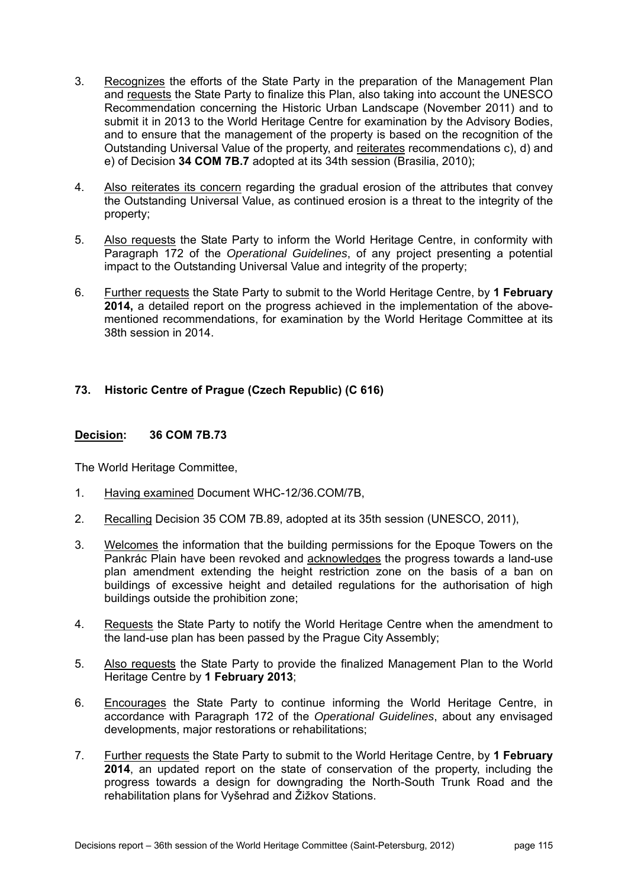- 3. Recognizes the efforts of the State Party in the preparation of the Management Plan and requests the State Party to finalize this Plan, also taking into account the UNESCO Recommendation concerning the Historic Urban Landscape (November 2011) and to submit it in 2013 to the World Heritage Centre for examination by the Advisory Bodies, and to ensure that the management of the property is based on the recognition of the Outstanding Universal Value of the property, and reiterates recommendations c), d) and e) of Decision **34 COM 7B.7** adopted at its 34th session (Brasilia, 2010);
- 4. Also reiterates its concern regarding the gradual erosion of the attributes that convey the Outstanding Universal Value, as continued erosion is a threat to the integrity of the property;
- 5. Also requests the State Party to inform the World Heritage Centre, in conformity with Paragraph 172 of the *Operational Guidelines*, of any project presenting a potential impact to the Outstanding Universal Value and integrity of the property;
- 6. Further requests the State Party to submit to the World Heritage Centre, by **1 February 2014,** a detailed report on the progress achieved in the implementation of the abovementioned recommendations, for examination by the World Heritage Committee at its 38th session in 2014.

# **73. Historic Centre of Prague (Czech Republic) (C 616)**

### **Decision: 36 COM 7B.73**

- 1. Having examined Document WHC-12/36.COM/7B,
- 2. Recalling Decision 35 COM 7B.89, adopted at its 35th session (UNESCO, 2011),
- 3. Welcomes the information that the building permissions for the Epoque Towers on the Pankrác Plain have been revoked and acknowledges the progress towards a land-use plan amendment extending the height restriction zone on the basis of a ban on buildings of excessive height and detailed regulations for the authorisation of high buildings outside the prohibition zone;
- 4. Requests the State Party to notify the World Heritage Centre when the amendment to the land-use plan has been passed by the Prague City Assembly;
- 5. Also requests the State Party to provide the finalized Management Plan to the World Heritage Centre by **1 February 2013**;
- 6. Encourages the State Party to continue informing the World Heritage Centre, in accordance with Paragraph 172 of the *Operational Guidelines*, about any envisaged developments, major restorations or rehabilitations;
- 7. Further requests the State Party to submit to the World Heritage Centre, by **1 February 2014**, an updated report on the state of conservation of the property, including the progress towards a design for downgrading the North-South Trunk Road and the rehabilitation plans for Vyšehrad and Žižkov Stations.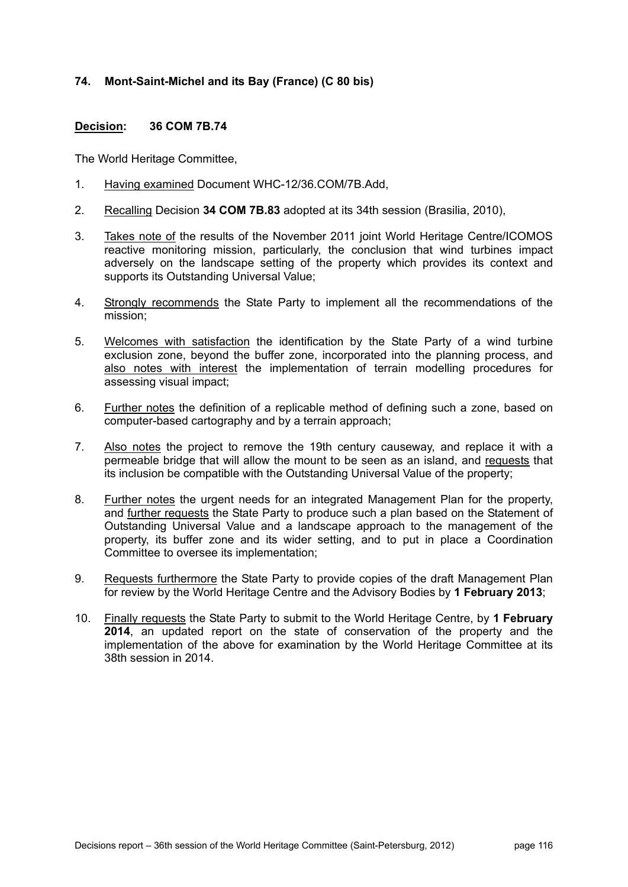# **74. Mont-Saint-Michel and its Bay (France) (C 80 bis)**

## **Decision: 36 COM 7B.74**

- 1. Having examined Document WHC-12/36.COM/7B.Add,
- 2. Recalling Decision **34 COM 7B.83** adopted at its 34th session (Brasilia, 2010),
- 3. Takes note of the results of the November 2011 joint World Heritage Centre/ICOMOS reactive monitoring mission, particularly, the conclusion that wind turbines impact adversely on the landscape setting of the property which provides its context and supports its Outstanding Universal Value;
- 4. Strongly recommends the State Party to implement all the recommendations of the mission;
- 5. Welcomes with satisfaction the identification by the State Party of a wind turbine exclusion zone, beyond the buffer zone, incorporated into the planning process, and also notes with interest the implementation of terrain modelling procedures for assessing visual impact;
- 6. Further notes the definition of a replicable method of defining such a zone, based on computer-based cartography and by a terrain approach;
- 7. Also notes the project to remove the 19th century causeway, and replace it with a permeable bridge that will allow the mount to be seen as an island, and requests that its inclusion be compatible with the Outstanding Universal Value of the property;
- 8. Further notes the urgent needs for an integrated Management Plan for the property, and further requests the State Party to produce such a plan based on the Statement of Outstanding Universal Value and a landscape approach to the management of the property, its buffer zone and its wider setting, and to put in place a Coordination Committee to oversee its implementation;
- 9. Requests furthermore the State Party to provide copies of the draft Management Plan for review by the World Heritage Centre and the Advisory Bodies by **1 February 2013**;
- 10. Finally requests the State Party to submit to the World Heritage Centre, by **1 February 2014**, an updated report on the state of conservation of the property and the implementation of the above for examination by the World Heritage Committee at its 38th session in 2014.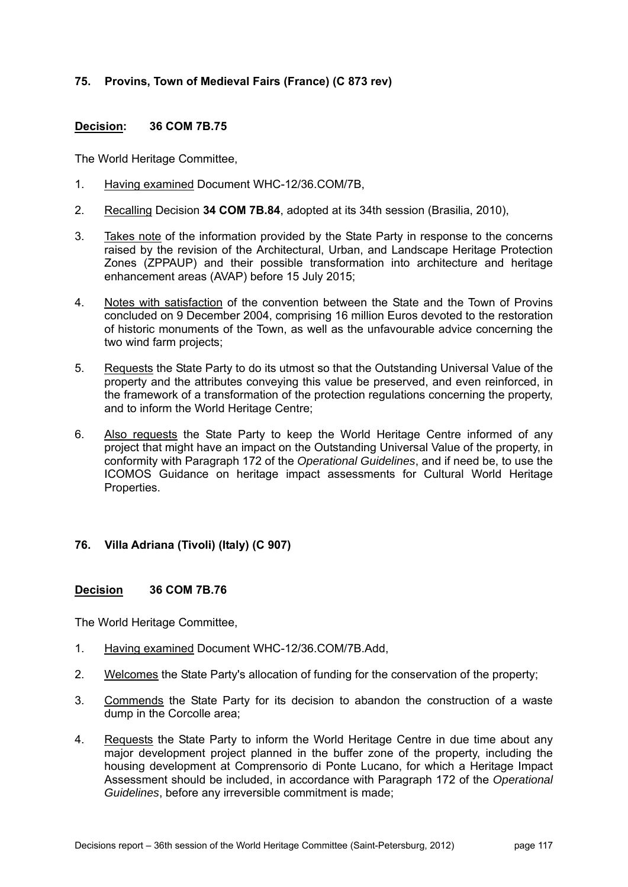# **75. Provins, Town of Medieval Fairs (France) (C 873 rev)**

## **Decision: 36 COM 7B.75**

The World Heritage Committee,

- 1. Having examined Document WHC-12/36.COM/7B,
- 2. Recalling Decision **34 COM 7B.84**, adopted at its 34th session (Brasilia, 2010),
- 3. Takes note of the information provided by the State Party in response to the concerns raised by the revision of the Architectural, Urban, and Landscape Heritage Protection Zones (ZPPAUP) and their possible transformation into architecture and heritage enhancement areas (AVAP) before 15 July 2015;
- 4. Notes with satisfaction of the convention between the State and the Town of Provins concluded on 9 December 2004, comprising 16 million Euros devoted to the restoration of historic monuments of the Town, as well as the unfavourable advice concerning the two wind farm projects;
- 5. Requests the State Party to do its utmost so that the Outstanding Universal Value of the property and the attributes conveying this value be preserved, and even reinforced, in the framework of a transformation of the protection regulations concerning the property, and to inform the World Heritage Centre;
- 6. Also requests the State Party to keep the World Heritage Centre informed of any project that might have an impact on the Outstanding Universal Value of the property, in conformity with Paragraph 172 of the *Operational Guidelines*, and if need be, to use the ICOMOS Guidance on heritage impact assessments for Cultural World Heritage Properties.

## **76. Villa Adriana (Tivoli) (Italy) (C 907)**

### **Decision 36 COM 7B.76**

- 1. Having examined Document WHC-12/36.COM/7B.Add,
- 2. Welcomes the State Party's allocation of funding for the conservation of the property;
- 3. Commends the State Party for its decision to abandon the construction of a waste dump in the Corcolle area;
- 4. Requests the State Party to inform the World Heritage Centre in due time about any major development project planned in the buffer zone of the property, including the housing development at Comprensorio di Ponte Lucano, for which a Heritage Impact Assessment should be included, in accordance with Paragraph 172 of the *Operational Guidelines*, before any irreversible commitment is made;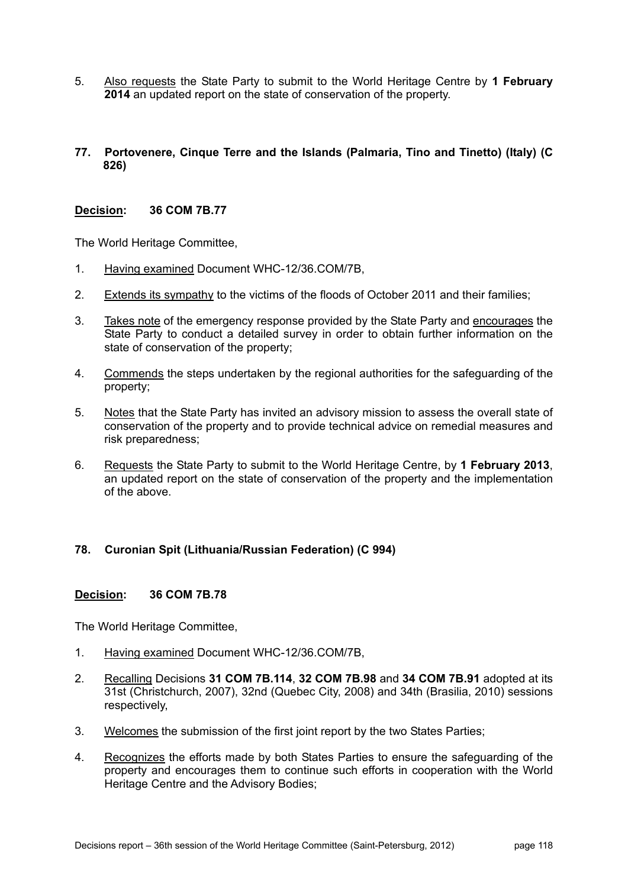- 5. Also requests the State Party to submit to the World Heritage Centre by **1 February 2014** an updated report on the state of conservation of the property.
- **77. Portovenere, Cinque Terre and the Islands (Palmaria, Tino and Tinetto) (Italy) (C 826)**

### **Decision: 36 COM 7B.77**

The World Heritage Committee,

- 1. Having examined Document WHC-12/36.COM/7B,
- 2. Extends its sympathy to the victims of the floods of October 2011 and their families;
- 3. Takes note of the emergency response provided by the State Party and encourages the State Party to conduct a detailed survey in order to obtain further information on the state of conservation of the property;
- 4. Commends the steps undertaken by the regional authorities for the safeguarding of the property;
- 5. Notes that the State Party has invited an advisory mission to assess the overall state of conservation of the property and to provide technical advice on remedial measures and risk preparedness;
- 6. Requests the State Party to submit to the World Heritage Centre, by **1 February 2013**, an updated report on the state of conservation of the property and the implementation of the above.

## **78. Curonian Spit (Lithuania/Russian Federation) (C 994)**

#### **Decision: 36 COM 7B.78**

- 1. Having examined Document WHC-12/36.COM/7B,
- 2. Recalling Decisions **31 COM 7B.114**, **32 COM 7B.98** and **34 COM 7B.91** adopted at its 31st (Christchurch, 2007), 32nd (Quebec City, 2008) and 34th (Brasilia, 2010) sessions respectively,
- 3. Welcomes the submission of the first joint report by the two States Parties;
- 4. Recognizes the efforts made by both States Parties to ensure the safeguarding of the property and encourages them to continue such efforts in cooperation with the World Heritage Centre and the Advisory Bodies;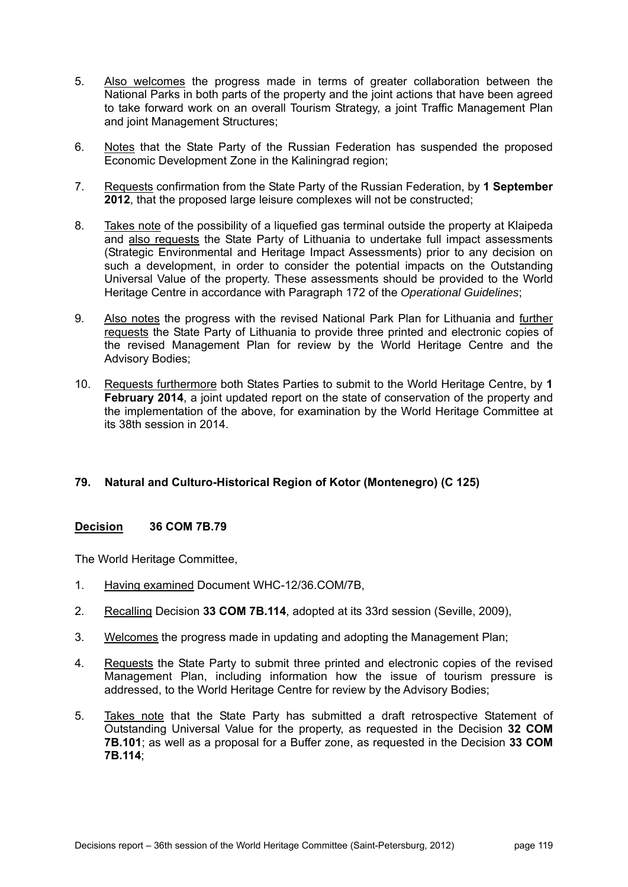- 5. Also welcomes the progress made in terms of greater collaboration between the National Parks in both parts of the property and the joint actions that have been agreed to take forward work on an overall Tourism Strategy, a joint Traffic Management Plan and joint Management Structures;
- 6. Notes that the State Party of the Russian Federation has suspended the proposed Economic Development Zone in the Kaliningrad region;
- 7. Requests confirmation from the State Party of the Russian Federation, by **1 September 2012**, that the proposed large leisure complexes will not be constructed;
- 8. Takes note of the possibility of a liquefied gas terminal outside the property at Klaipeda and also requests the State Party of Lithuania to undertake full impact assessments (Strategic Environmental and Heritage Impact Assessments) prior to any decision on such a development, in order to consider the potential impacts on the Outstanding Universal Value of the property. These assessments should be provided to the World Heritage Centre in accordance with Paragraph 172 of the *Operational Guidelines*;
- 9. Also notes the progress with the revised National Park Plan for Lithuania and further requests the State Party of Lithuania to provide three printed and electronic copies of the revised Management Plan for review by the World Heritage Centre and the Advisory Bodies;
- 10. Requests furthermore both States Parties to submit to the World Heritage Centre, by **1 February 2014**, a joint updated report on the state of conservation of the property and the implementation of the above, for examination by the World Heritage Committee at its 38th session in 2014.

## **79. Natural and Culturo-Historical Region of Kotor (Montenegro) (C 125)**

## **Decision 36 COM 7B.79**

- 1. Having examined Document WHC-12/36.COM/7B,
- 2. Recalling Decision **33 COM 7B.114**, adopted at its 33rd session (Seville, 2009),
- 3. Welcomes the progress made in updating and adopting the Management Plan;
- 4. Requests the State Party to submit three printed and electronic copies of the revised Management Plan, including information how the issue of tourism pressure is addressed, to the World Heritage Centre for review by the Advisory Bodies;
- 5. Takes note that the State Party has submitted a draft retrospective Statement of Outstanding Universal Value for the property, as requested in the Decision **32 COM 7B.101**; as well as a proposal for a Buffer zone, as requested in the Decision **33 COM 7B.114**;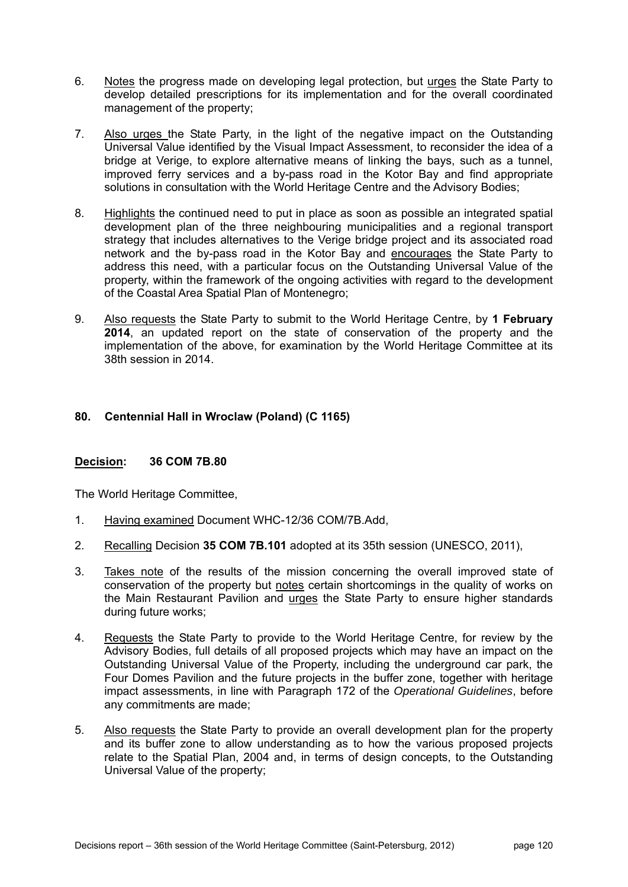- 6. Notes the progress made on developing legal protection, but urges the State Party to develop detailed prescriptions for its implementation and for the overall coordinated management of the property;
- 7. Also urges the State Party, in the light of the negative impact on the Outstanding Universal Value identified by the Visual Impact Assessment, to reconsider the idea of a bridge at Verige, to explore alternative means of linking the bays, such as a tunnel, improved ferry services and a by-pass road in the Kotor Bay and find appropriate solutions in consultation with the World Heritage Centre and the Advisory Bodies;
- 8. Highlights the continued need to put in place as soon as possible an integrated spatial development plan of the three neighbouring municipalities and a regional transport strategy that includes alternatives to the Verige bridge project and its associated road network and the by-pass road in the Kotor Bay and encourages the State Party to address this need, with a particular focus on the Outstanding Universal Value of the property, within the framework of the ongoing activities with regard to the development of the Coastal Area Spatial Plan of Montenegro;
- 9. Also requests the State Party to submit to the World Heritage Centre, by **1 February 2014**, an updated report on the state of conservation of the property and the implementation of the above, for examination by the World Heritage Committee at its 38th session in 2014.

# **80. Centennial Hall in Wroclaw (Poland) (C 1165)**

## **Decision: 36 COM 7B.80**

- 1. Having examined Document WHC-12/36 COM/7B.Add,
- 2. Recalling Decision **35 COM 7B.101** adopted at its 35th session (UNESCO, 2011),
- 3. Takes note of the results of the mission concerning the overall improved state of conservation of the property but notes certain shortcomings in the quality of works on the Main Restaurant Pavilion and urges the State Party to ensure higher standards during future works;
- 4. Requests the State Party to provide to the World Heritage Centre, for review by the Advisory Bodies, full details of all proposed projects which may have an impact on the Outstanding Universal Value of the Property, including the underground car park, the Four Domes Pavilion and the future projects in the buffer zone, together with heritage impact assessments, in line with Paragraph 172 of the *Operational Guidelines*, before any commitments are made;
- 5. Also requests the State Party to provide an overall development plan for the property and its buffer zone to allow understanding as to how the various proposed projects relate to the Spatial Plan, 2004 and, in terms of design concepts, to the Outstanding Universal Value of the property;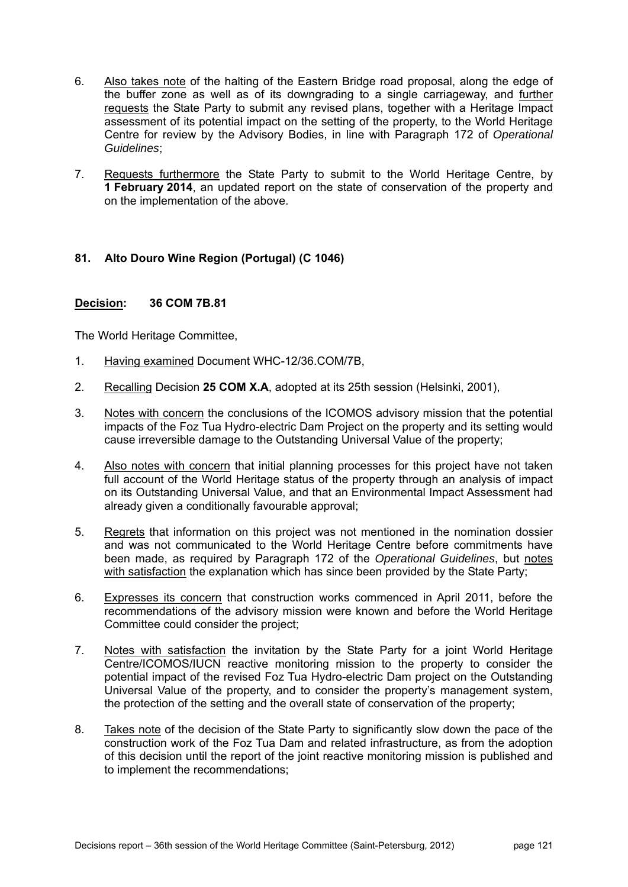- 6. Also takes note of the halting of the Eastern Bridge road proposal, along the edge of the buffer zone as well as of its downgrading to a single carriageway, and further requests the State Party to submit any revised plans, together with a Heritage Impact assessment of its potential impact on the setting of the property, to the World Heritage Centre for review by the Advisory Bodies, in line with Paragraph 172 of *Operational Guidelines*;
- 7. Requests furthermore the State Party to submit to the World Heritage Centre, by **1 February 2014**, an updated report on the state of conservation of the property and on the implementation of the above.

## **81. Alto Douro Wine Region (Portugal) (C 1046)**

### **Decision: 36 COM 7B.81**

- 1. Having examined Document WHC-12/36.COM/7B,
- 2. Recalling Decision **25 COM X.A**, adopted at its 25th session (Helsinki, 2001),
- 3. Notes with concern the conclusions of the ICOMOS advisory mission that the potential impacts of the Foz Tua Hydro-electric Dam Project on the property and its setting would cause irreversible damage to the Outstanding Universal Value of the property;
- 4. Also notes with concern that initial planning processes for this project have not taken full account of the World Heritage status of the property through an analysis of impact on its Outstanding Universal Value, and that an Environmental Impact Assessment had already given a conditionally favourable approval;
- 5. Regrets that information on this project was not mentioned in the nomination dossier and was not communicated to the World Heritage Centre before commitments have been made, as required by Paragraph 172 of the *Operational Guidelines*, but notes with satisfaction the explanation which has since been provided by the State Party;
- 6. Expresses its concern that construction works commenced in April 2011, before the recommendations of the advisory mission were known and before the World Heritage Committee could consider the project;
- 7. Notes with satisfaction the invitation by the State Party for a joint World Heritage Centre/ICOMOS/IUCN reactive monitoring mission to the property to consider the potential impact of the revised Foz Tua Hydro-electric Dam project on the Outstanding Universal Value of the property, and to consider the property's management system, the protection of the setting and the overall state of conservation of the property;
- 8. Takes note of the decision of the State Party to significantly slow down the pace of the construction work of the Foz Tua Dam and related infrastructure, as from the adoption of this decision until the report of the joint reactive monitoring mission is published and to implement the recommendations;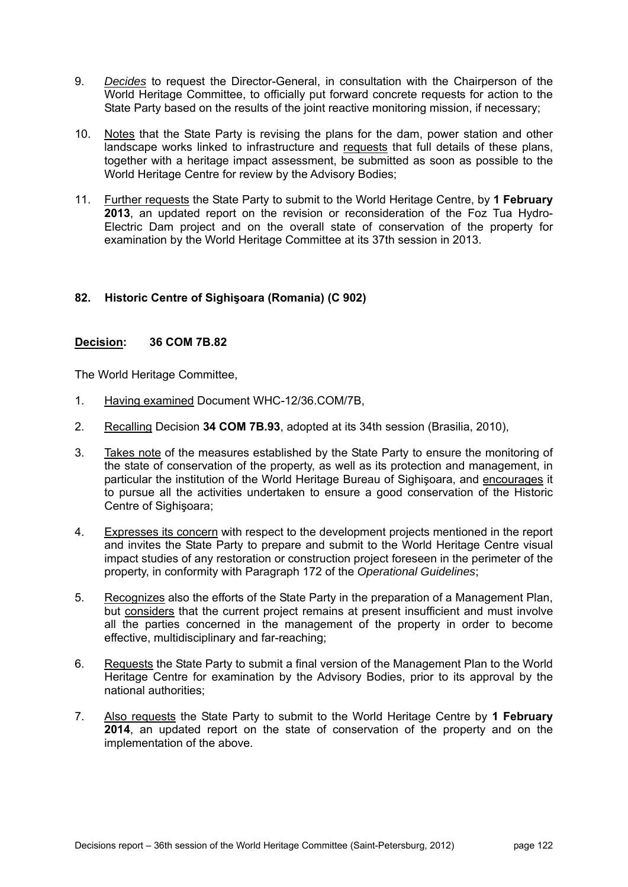- 9. *Decides* to request the Director-General, in consultation with the Chairperson of the World Heritage Committee, to officially put forward concrete requests for action to the State Party based on the results of the joint reactive monitoring mission, if necessary;
- 10. Notes that the State Party is revising the plans for the dam, power station and other landscape works linked to infrastructure and requests that full details of these plans, together with a heritage impact assessment, be submitted as soon as possible to the World Heritage Centre for review by the Advisory Bodies;
- 11. Further requests the State Party to submit to the World Heritage Centre, by **1 February 2013**, an updated report on the revision or reconsideration of the Foz Tua Hydro-Electric Dam project and on the overall state of conservation of the property for examination by the World Heritage Committee at its 37th session in 2013.

# **82. Historic Centre of Sighişoara (Romania) (C 902)**

### **Decision: 36 COM 7B.82**

- 1. Having examined Document WHC-12/36.COM/7B,
- 2. Recalling Decision **34 COM 7B.93**, adopted at its 34th session (Brasilia, 2010),
- 3. Takes note of the measures established by the State Party to ensure the monitoring of the state of conservation of the property, as well as its protection and management, in particular the institution of the World Heritage Bureau of Sighişoara, and encourages it to pursue all the activities undertaken to ensure a good conservation of the Historic Centre of Sighişoara;
- 4. Expresses its concern with respect to the development projects mentioned in the report and invites the State Party to prepare and submit to the World Heritage Centre visual impact studies of any restoration or construction project foreseen in the perimeter of the property, in conformity with Paragraph 172 of the *Operational Guidelines*;
- 5. Recognizes also the efforts of the State Party in the preparation of a Management Plan, but considers that the current project remains at present insufficient and must involve all the parties concerned in the management of the property in order to become effective, multidisciplinary and far-reaching;
- 6. Requests the State Party to submit a final version of the Management Plan to the World Heritage Centre for examination by the Advisory Bodies, prior to its approval by the national authorities;
- 7. Also requests the State Party to submit to the World Heritage Centre by **1 February 2014**, an updated report on the state of conservation of the property and on the implementation of the above.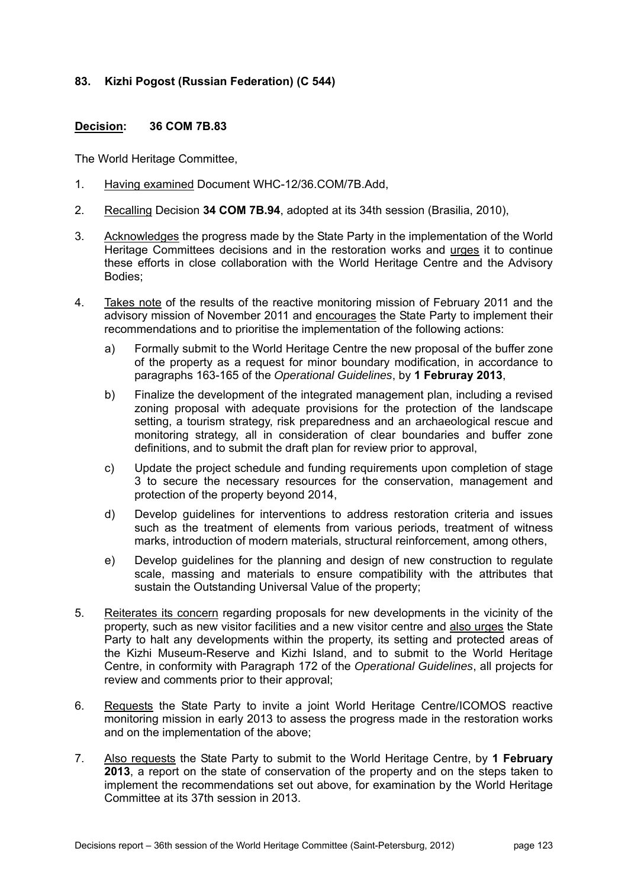## **83. Kizhi Pogost (Russian Federation) (C 544)**

### **Decision: 36 COM 7B.83**

- 1. Having examined Document WHC-12/36.COM/7B.Add,
- 2. Recalling Decision **34 COM 7B.94**, adopted at its 34th session (Brasilia, 2010),
- 3. Acknowledges the progress made by the State Party in the implementation of the World Heritage Committees decisions and in the restoration works and urges it to continue these efforts in close collaboration with the World Heritage Centre and the Advisory Bodies;
- 4. Takes note of the results of the reactive monitoring mission of February 2011 and the advisory mission of November 2011 and encourages the State Party to implement their recommendations and to prioritise the implementation of the following actions:
	- a) Formally submit to the World Heritage Centre the new proposal of the buffer zone of the property as a request for minor boundary modification, in accordance to paragraphs 163-165 of the *Operational Guidelines*, by **1 Februray 2013**,
	- b) Finalize the development of the integrated management plan, including a revised zoning proposal with adequate provisions for the protection of the landscape setting, a tourism strategy, risk preparedness and an archaeological rescue and monitoring strategy, all in consideration of clear boundaries and buffer zone definitions, and to submit the draft plan for review prior to approval,
	- c) Update the project schedule and funding requirements upon completion of stage 3 to secure the necessary resources for the conservation, management and protection of the property beyond 2014,
	- d) Develop guidelines for interventions to address restoration criteria and issues such as the treatment of elements from various periods, treatment of witness marks, introduction of modern materials, structural reinforcement, among others,
	- e) Develop guidelines for the planning and design of new construction to regulate scale, massing and materials to ensure compatibility with the attributes that sustain the Outstanding Universal Value of the property;
- 5. Reiterates its concern regarding proposals for new developments in the vicinity of the property, such as new visitor facilities and a new visitor centre and also urges the State Party to halt any developments within the property, its setting and protected areas of the Kizhi Museum-Reserve and Kizhi Island, and to submit to the World Heritage Centre, in conformity with Paragraph 172 of the *Operational Guidelines*, all projects for review and comments prior to their approval;
- 6. Requests the State Party to invite a joint World Heritage Centre/ICOMOS reactive monitoring mission in early 2013 to assess the progress made in the restoration works and on the implementation of the above;
- 7. Also requests the State Party to submit to the World Heritage Centre, by **1 February 2013**, a report on the state of conservation of the property and on the steps taken to implement the recommendations set out above, for examination by the World Heritage Committee at its 37th session in 2013.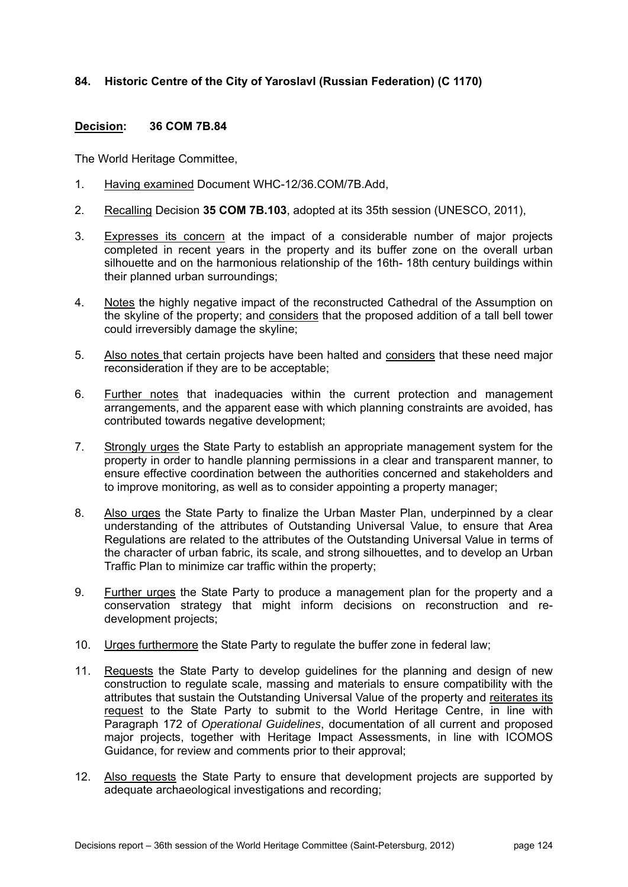# **84. Historic Centre of the City of Yaroslavl (Russian Federation) (C 1170)**

### **Decision: 36 COM 7B.84**

- 1. Having examined Document WHC-12/36.COM/7B.Add,
- 2. Recalling Decision **35 COM 7B.103**, adopted at its 35th session (UNESCO, 2011),
- 3. Expresses its concern at the impact of a considerable number of major projects completed in recent years in the property and its buffer zone on the overall urban silhouette and on the harmonious relationship of the 16th- 18th century buildings within their planned urban surroundings;
- 4. Notes the highly negative impact of the reconstructed Cathedral of the Assumption on the skyline of the property; and considers that the proposed addition of a tall bell tower could irreversibly damage the skyline;
- 5. Also notes that certain projects have been halted and considers that these need major reconsideration if they are to be acceptable;
- 6. Further notes that inadequacies within the current protection and management arrangements, and the apparent ease with which planning constraints are avoided, has contributed towards negative development;
- 7. Strongly urges the State Party to establish an appropriate management system for the property in order to handle planning permissions in a clear and transparent manner, to ensure effective coordination between the authorities concerned and stakeholders and to improve monitoring, as well as to consider appointing a property manager;
- 8. Also urges the State Party to finalize the Urban Master Plan, underpinned by a clear understanding of the attributes of Outstanding Universal Value, to ensure that Area Regulations are related to the attributes of the Outstanding Universal Value in terms of the character of urban fabric, its scale, and strong silhouettes, and to develop an Urban Traffic Plan to minimize car traffic within the property;
- 9. Eurther urges the State Party to produce a management plan for the property and a conservation strategy that might inform decisions on reconstruction and redevelopment projects;
- 10. Urges furthermore the State Party to regulate the buffer zone in federal law;
- 11. Requests the State Party to develop guidelines for the planning and design of new construction to regulate scale, massing and materials to ensure compatibility with the attributes that sustain the Outstanding Universal Value of the property and reiterates its request to the State Party to submit to the World Heritage Centre, in line with Paragraph 172 of *Operational Guidelines*, documentation of all current and proposed major projects, together with Heritage Impact Assessments, in line with ICOMOS Guidance, for review and comments prior to their approval;
- 12. Also requests the State Party to ensure that development projects are supported by adequate archaeological investigations and recording;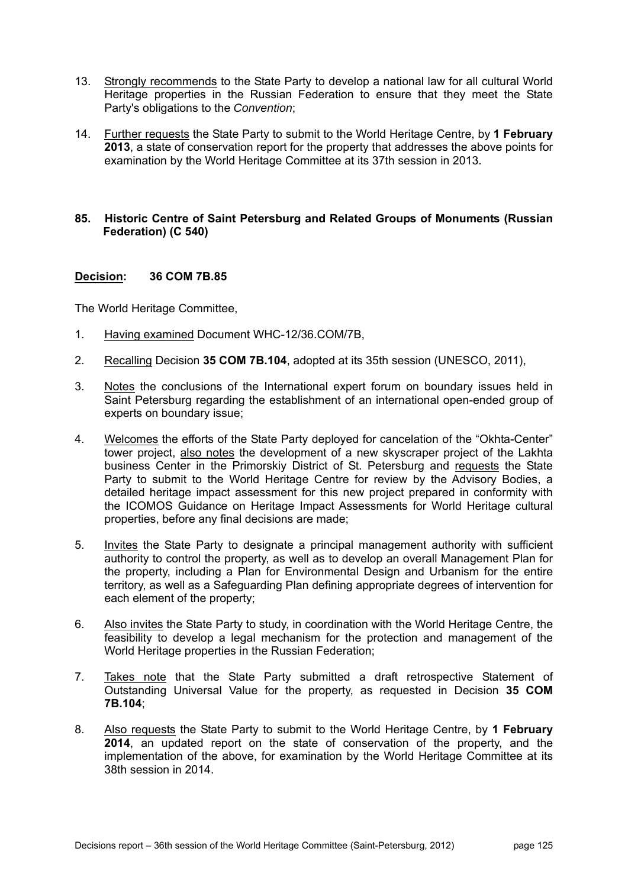- 13. Strongly recommends to the State Party to develop a national law for all cultural World Heritage properties in the Russian Federation to ensure that they meet the State Party's obligations to the *Convention*;
- 14. Further requests the State Party to submit to the World Heritage Centre, by **1 February 2013**, a state of conservation report for the property that addresses the above points for examination by the World Heritage Committee at its 37th session in 2013.

### **85. Historic Centre of Saint Petersburg and Related Groups of Monuments (Russian Federation) (C 540)**

## **Decision: 36 COM 7B.85**

- 1. Having examined Document WHC-12/36.COM/7B,
- 2. Recalling Decision **35 COM 7B.104**, adopted at its 35th session (UNESCO, 2011),
- 3. Notes the conclusions of the International expert forum on boundary issues held in Saint Petersburg regarding the establishment of an international open-ended group of experts on boundary issue;
- 4. Welcomes the efforts of the State Party deployed for cancelation of the "Okhta-Center" tower project, also notes the development of a new skyscraper project of the Lakhta business Center in the Primorskiy District of St. Petersburg and requests the State Party to submit to the World Heritage Centre for review by the Advisory Bodies, a detailed heritage impact assessment for this new project prepared in conformity with the ICOMOS Guidance on Heritage Impact Assessments for World Heritage cultural properties, before any final decisions are made;
- 5. Invites the State Party to designate a principal management authority with sufficient authority to control the property, as well as to develop an overall Management Plan for the property, including a Plan for Environmental Design and Urbanism for the entire territory, as well as a Safeguarding Plan defining appropriate degrees of intervention for each element of the property;
- 6. Also invites the State Party to study, in coordination with the World Heritage Centre, the feasibility to develop a legal mechanism for the protection and management of the World Heritage properties in the Russian Federation;
- 7. Takes note that the State Party submitted a draft retrospective Statement of Outstanding Universal Value for the property, as requested in Decision **35 COM 7B.104**;
- 8. Also requests the State Party to submit to the World Heritage Centre, by **1 February 2014**, an updated report on the state of conservation of the property, and the implementation of the above, for examination by the World Heritage Committee at its 38th session in 2014.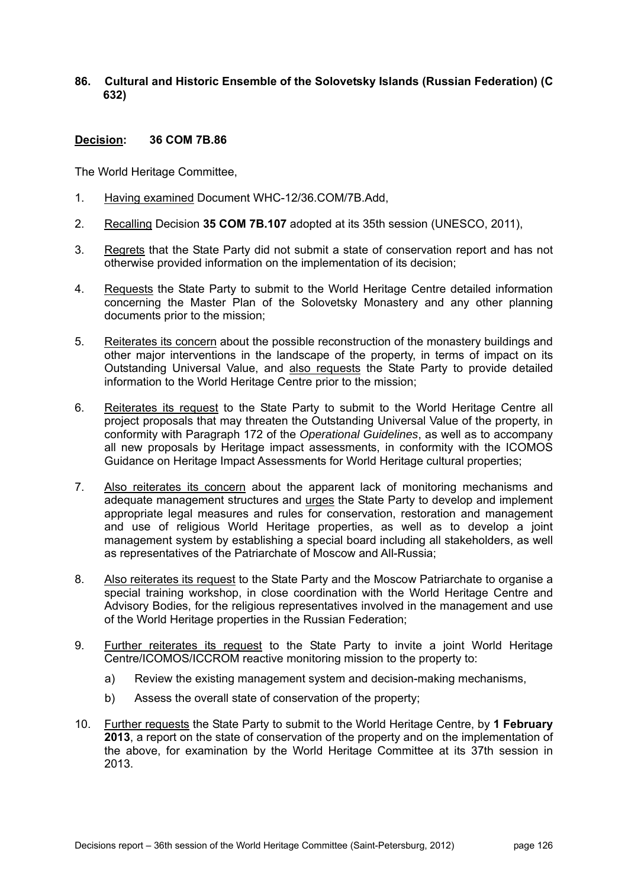# **86. Cultural and Historic Ensemble of the Solovetsky Islands (Russian Federation) (C 632)**

### **Decision: 36 COM 7B.86**

- 1. Having examined Document WHC-12/36.COM/7B.Add,
- 2. Recalling Decision **35 COM 7B.107** adopted at its 35th session (UNESCO, 2011),
- 3. Regrets that the State Party did not submit a state of conservation report and has not otherwise provided information on the implementation of its decision;
- 4. Requests the State Party to submit to the World Heritage Centre detailed information concerning the Master Plan of the Solovetsky Monastery and any other planning documents prior to the mission;
- 5. Reiterates its concern about the possible reconstruction of the monastery buildings and other major interventions in the landscape of the property, in terms of impact on its Outstanding Universal Value, and also requests the State Party to provide detailed information to the World Heritage Centre prior to the mission;
- 6. Reiterates its request to the State Party to submit to the World Heritage Centre all project proposals that may threaten the Outstanding Universal Value of the property, in conformity with Paragraph 172 of the *Operational Guidelines*, as well as to accompany all new proposals by Heritage impact assessments, in conformity with the ICOMOS Guidance on Heritage Impact Assessments for World Heritage cultural properties;
- 7. Also reiterates its concern about the apparent lack of monitoring mechanisms and adequate management structures and urges the State Party to develop and implement appropriate legal measures and rules for conservation, restoration and management and use of religious World Heritage properties, as well as to develop a joint management system by establishing a special board including all stakeholders, as well as representatives of the Patriarchate of Moscow and All-Russia;
- 8. Also reiterates its request to the State Party and the Moscow Patriarchate to organise a special training workshop, in close coordination with the World Heritage Centre and Advisory Bodies, for the religious representatives involved in the management and use of the World Heritage properties in the Russian Federation;
- 9. Further reiterates its request to the State Party to invite a joint World Heritage Centre/ICOMOS/ICCROM reactive monitoring mission to the property to:
	- a) Review the existing management system and decision-making mechanisms,
	- b) Assess the overall state of conservation of the property;
- 10. Further requests the State Party to submit to the World Heritage Centre, by **1 February 2013**, a report on the state of conservation of the property and on the implementation of the above, for examination by the World Heritage Committee at its 37th session in 2013.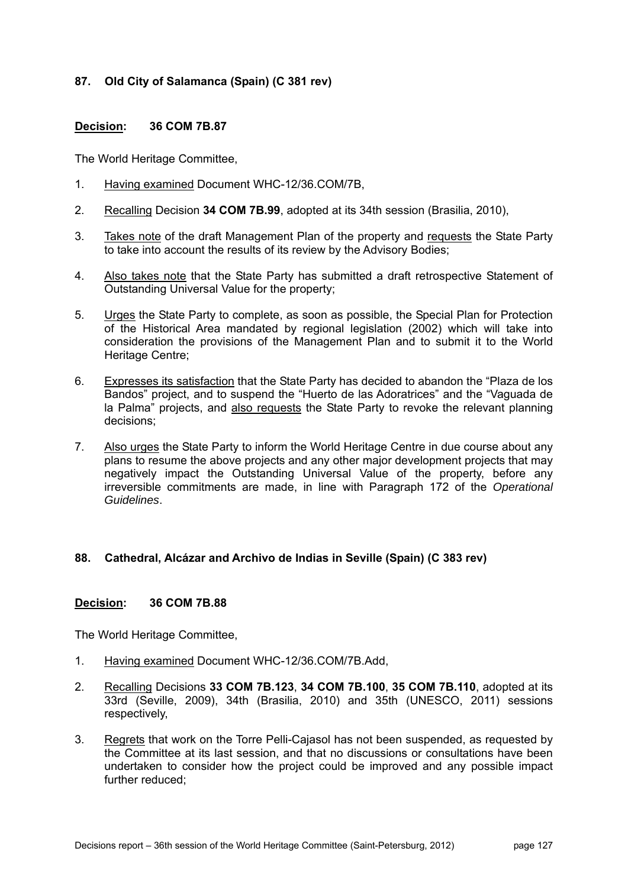# **87. Old City of Salamanca (Spain) (C 381 rev)**

## **Decision: 36 COM 7B.87**

The World Heritage Committee,

- 1. Having examined Document WHC-12/36.COM/7B,
- 2. Recalling Decision **34 COM 7B.99**, adopted at its 34th session (Brasilia, 2010),
- 3. Takes note of the draft Management Plan of the property and requests the State Party to take into account the results of its review by the Advisory Bodies;
- 4. Also takes note that the State Party has submitted a draft retrospective Statement of Outstanding Universal Value for the property;
- 5. Urges the State Party to complete, as soon as possible, the Special Plan for Protection of the Historical Area mandated by regional legislation (2002) which will take into consideration the provisions of the Management Plan and to submit it to the World Heritage Centre;
- 6. Expresses its satisfaction that the State Party has decided to abandon the "Plaza de los Bandos" project, and to suspend the "Huerto de las Adoratrices" and the "Vaguada de la Palma" projects, and also requests the State Party to revoke the relevant planning decisions;
- 7. Also urges the State Party to inform the World Heritage Centre in due course about any plans to resume the above projects and any other major development projects that may negatively impact the Outstanding Universal Value of the property, before any irreversible commitments are made, in line with Paragraph 172 of the *Operational Guidelines*.

#### **88. Cathedral, Alcázar and Archivo de Indias in Seville (Spain) (C 383 rev)**

#### **Decision: 36 COM 7B.88**

- 1. Having examined Document WHC-12/36.COM/7B.Add,
- 2. Recalling Decisions **33 COM 7B.123**, **34 COM 7B.100**, **35 COM 7B.110**, adopted at its 33rd (Seville, 2009), 34th (Brasilia, 2010) and 35th (UNESCO, 2011) sessions respectively,
- 3. Regrets that work on the Torre Pelli-Cajasol has not been suspended, as requested by the Committee at its last session, and that no discussions or consultations have been undertaken to consider how the project could be improved and any possible impact further reduced;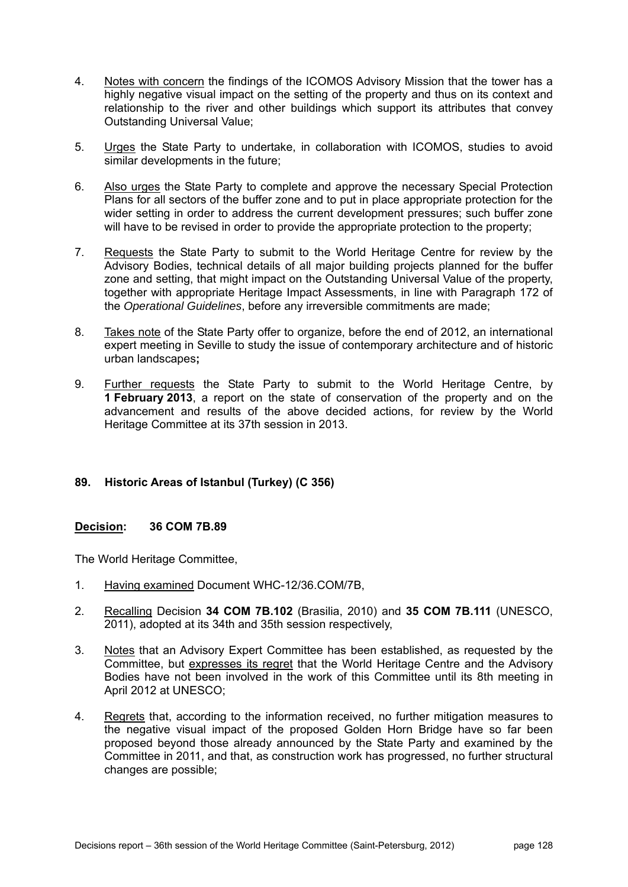- 4. Notes with concern the findings of the ICOMOS Advisory Mission that the tower has a highly negative visual impact on the setting of the property and thus on its context and relationship to the river and other buildings which support its attributes that convey Outstanding Universal Value;
- 5. Urges the State Party to undertake, in collaboration with ICOMOS, studies to avoid similar developments in the future;
- 6. Also urges the State Party to complete and approve the necessary Special Protection Plans for all sectors of the buffer zone and to put in place appropriate protection for the wider setting in order to address the current development pressures; such buffer zone will have to be revised in order to provide the appropriate protection to the property;
- 7. Requests the State Party to submit to the World Heritage Centre for review by the Advisory Bodies, technical details of all major building projects planned for the buffer zone and setting, that might impact on the Outstanding Universal Value of the property, together with appropriate Heritage Impact Assessments, in line with Paragraph 172 of the *Operational Guidelines*, before any irreversible commitments are made;
- 8. Takes note of the State Party offer to organize, before the end of 2012, an international expert meeting in Seville to study the issue of contemporary architecture and of historic urban landscapes**;**
- 9. **Further requests** the State Party to submit to the World Heritage Centre, by **1 February 2013**, a report on the state of conservation of the property and on the advancement and results of the above decided actions, for review by the World Heritage Committee at its 37th session in 2013.

## **89. Historic Areas of Istanbul (Turkey) (C 356)**

## **Decision: 36 COM 7B.89**

- 1. Having examined Document WHC-12/36.COM/7B,
- 2. Recalling Decision **34 COM 7B.102** (Brasilia, 2010) and **35 COM 7B.111** (UNESCO, 2011), adopted at its 34th and 35th session respectively,
- 3. Notes that an Advisory Expert Committee has been established, as requested by the Committee, but expresses its regret that the World Heritage Centre and the Advisory Bodies have not been involved in the work of this Committee until its 8th meeting in April 2012 at UNESCO;
- 4. Regrets that, according to the information received, no further mitigation measures to the negative visual impact of the proposed Golden Horn Bridge have so far been proposed beyond those already announced by the State Party and examined by the Committee in 2011, and that, as construction work has progressed, no further structural changes are possible;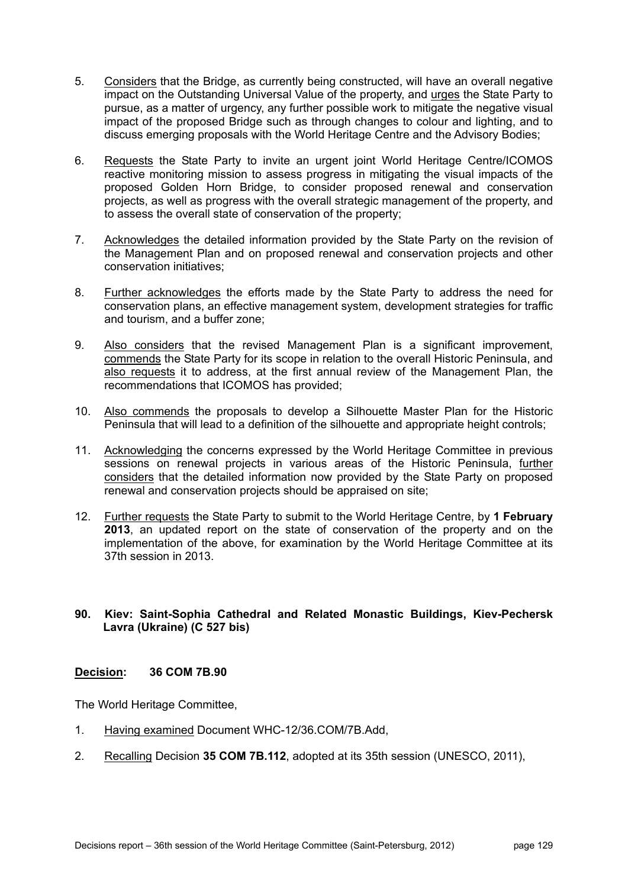- 5. Considers that the Bridge, as currently being constructed, will have an overall negative impact on the Outstanding Universal Value of the property, and urges the State Party to pursue, as a matter of urgency, any further possible work to mitigate the negative visual impact of the proposed Bridge such as through changes to colour and lighting, and to discuss emerging proposals with the World Heritage Centre and the Advisory Bodies;
- 6. Requests the State Party to invite an urgent joint World Heritage Centre/ICOMOS reactive monitoring mission to assess progress in mitigating the visual impacts of the proposed Golden Horn Bridge, to consider proposed renewal and conservation projects, as well as progress with the overall strategic management of the property, and to assess the overall state of conservation of the property;
- 7. Acknowledges the detailed information provided by the State Party on the revision of the Management Plan and on proposed renewal and conservation projects and other conservation initiatives;
- 8. Further acknowledges the efforts made by the State Party to address the need for conservation plans, an effective management system, development strategies for traffic and tourism, and a buffer zone;
- 9. Also considers that the revised Management Plan is a significant improvement, commends the State Party for its scope in relation to the overall Historic Peninsula, and also requests it to address, at the first annual review of the Management Plan, the recommendations that ICOMOS has provided;
- 10. Also commends the proposals to develop a Silhouette Master Plan for the Historic Peninsula that will lead to a definition of the silhouette and appropriate height controls;
- 11. Acknowledging the concerns expressed by the World Heritage Committee in previous sessions on renewal projects in various areas of the Historic Peninsula, further considers that the detailed information now provided by the State Party on proposed renewal and conservation projects should be appraised on site;
- 12. Further requests the State Party to submit to the World Heritage Centre, by **1 February 2013**, an updated report on the state of conservation of the property and on the implementation of the above, for examination by the World Heritage Committee at its 37th session in 2013.

## **90. Kiev: Saint-Sophia Cathedral and Related Monastic Buildings, Kiev-Pechersk Lavra (Ukraine) (C 527 bis)**

## **Decision: 36 COM 7B.90**

- 1. Having examined Document WHC-12/36.COM/7B.Add,
- 2. Recalling Decision **35 COM 7B.112**, adopted at its 35th session (UNESCO, 2011),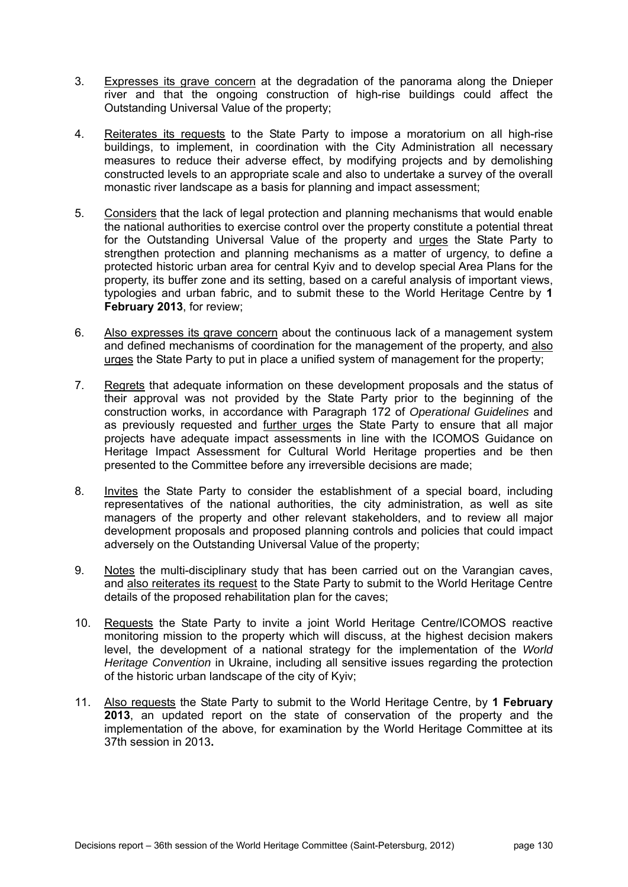- 3. Expresses its grave concern at the degradation of the panorama along the Dnieper river and that the ongoing construction of high-rise buildings could affect the Outstanding Universal Value of the property;
- 4. Reiterates its requests to the State Party to impose a moratorium on all high-rise buildings, to implement, in coordination with the City Administration all necessary measures to reduce their adverse effect, by modifying projects and by demolishing constructed levels to an appropriate scale and also to undertake a survey of the overall monastic river landscape as a basis for planning and impact assessment;
- 5. Considers that the lack of legal protection and planning mechanisms that would enable the national authorities to exercise control over the property constitute a potential threat for the Outstanding Universal Value of the property and urges the State Party to strengthen protection and planning mechanisms as a matter of urgency, to define a protected historic urban area for central Kyiv and to develop special Area Plans for the property, its buffer zone and its setting, based on a careful analysis of important views, typologies and urban fabric, and to submit these to the World Heritage Centre by **1 February 2013**, for review;
- 6. Also expresses its grave concern about the continuous lack of a management system and defined mechanisms of coordination for the management of the property, and also urges the State Party to put in place a unified system of management for the property;
- 7. Regrets that adequate information on these development proposals and the status of their approval was not provided by the State Party prior to the beginning of the construction works, in accordance with Paragraph 172 of *Operational Guidelines* and as previously requested and further urges the State Party to ensure that all major projects have adequate impact assessments in line with the ICOMOS Guidance on Heritage Impact Assessment for Cultural World Heritage properties and be then presented to the Committee before any irreversible decisions are made;
- 8. Invites the State Party to consider the establishment of a special board, including representatives of the national authorities, the city administration, as well as site managers of the property and other relevant stakeholders, and to review all major development proposals and proposed planning controls and policies that could impact adversely on the Outstanding Universal Value of the property;
- 9. Notes the multi-disciplinary study that has been carried out on the Varangian caves, and also reiterates its request to the State Party to submit to the World Heritage Centre details of the proposed rehabilitation plan for the caves;
- 10. Requests the State Party to invite a joint World Heritage Centre/ICOMOS reactive monitoring mission to the property which will discuss, at the highest decision makers level, the development of a national strategy for the implementation of the *World Heritage Convention* in Ukraine, including all sensitive issues regarding the protection of the historic urban landscape of the city of Kyiv;
- 11. Also requests the State Party to submit to the World Heritage Centre, by **1 February 2013**, an updated report on the state of conservation of the property and the implementation of the above, for examination by the World Heritage Committee at its 37th session in 2013**.**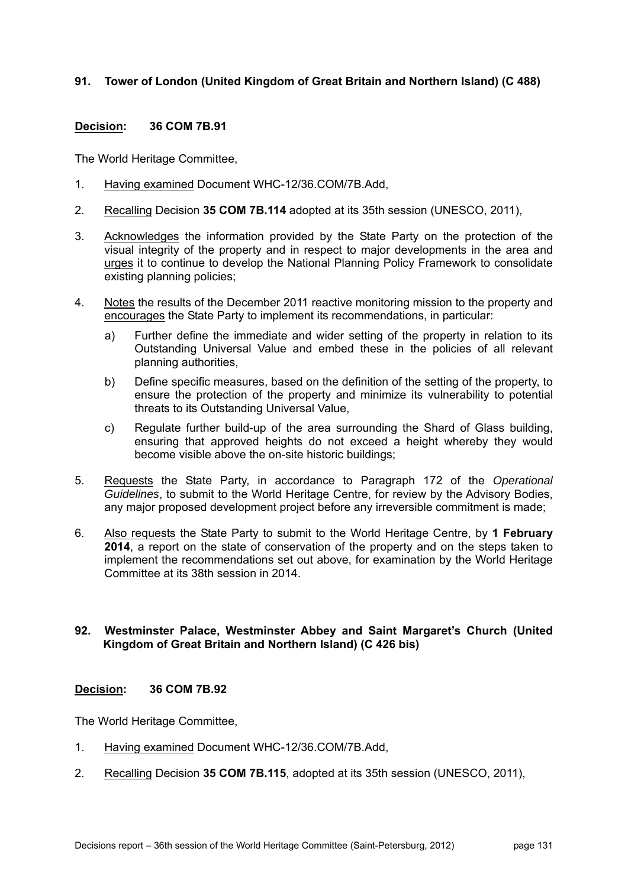# **91. Tower of London (United Kingdom of Great Britain and Northern Island) (C 488)**

## **Decision: 36 COM 7B.91**

The World Heritage Committee,

- 1. Having examined Document WHC-12/36.COM/7B.Add,
- 2. Recalling Decision **35 COM 7B.114** adopted at its 35th session (UNESCO, 2011),
- 3. Acknowledges the information provided by the State Party on the protection of the visual integrity of the property and in respect to major developments in the area and urges it to continue to develop the National Planning Policy Framework to consolidate existing planning policies;
- 4. Notes the results of the December 2011 reactive monitoring mission to the property and encourages the State Party to implement its recommendations, in particular:
	- a) Further define the immediate and wider setting of the property in relation to its Outstanding Universal Value and embed these in the policies of all relevant planning authorities,
	- b) Define specific measures, based on the definition of the setting of the property, to ensure the protection of the property and minimize its vulnerability to potential threats to its Outstanding Universal Value,
	- c) Regulate further build-up of the area surrounding the Shard of Glass building, ensuring that approved heights do not exceed a height whereby they would become visible above the on-site historic buildings;
- 5. Requests the State Party, in accordance to Paragraph 172 of the *Operational Guidelines*, to submit to the World Heritage Centre, for review by the Advisory Bodies, any major proposed development project before any irreversible commitment is made;
- 6. Also requests the State Party to submit to the World Heritage Centre, by **1 February 2014**, a report on the state of conservation of the property and on the steps taken to implement the recommendations set out above, for examination by the World Heritage Committee at its 38th session in 2014.

## **92. Westminster Palace, Westminster Abbey and Saint Margaret's Church (United Kingdom of Great Britain and Northern Island) (C 426 bis)**

#### **Decision: 36 COM 7B.92**

- 1. Having examined Document WHC-12/36.COM/7B.Add,
- 2. Recalling Decision **35 COM 7B.115**, adopted at its 35th session (UNESCO, 2011),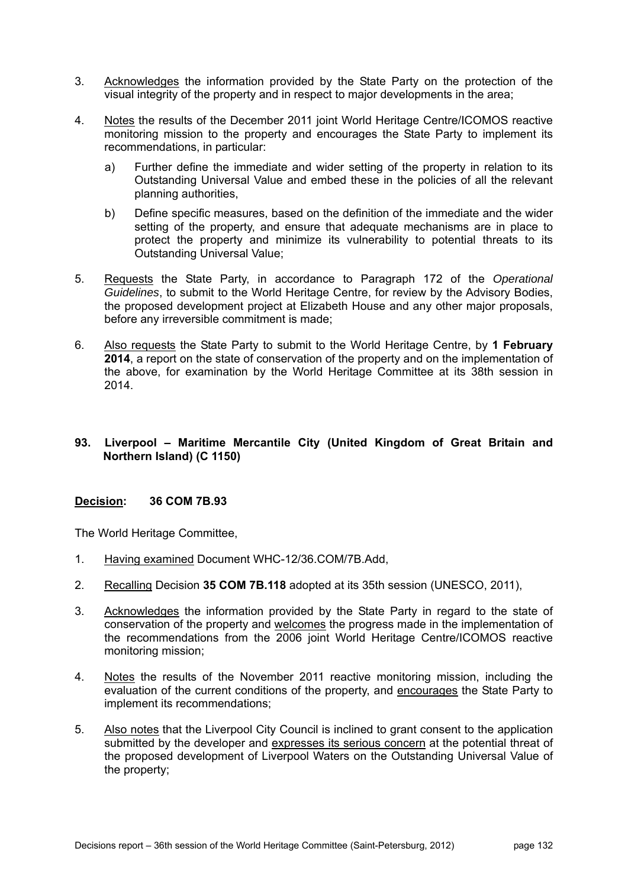- 3. Acknowledges the information provided by the State Party on the protection of the visual integrity of the property and in respect to major developments in the area;
- 4. Notes the results of the December 2011 joint World Heritage Centre/ICOMOS reactive monitoring mission to the property and encourages the State Party to implement its recommendations, in particular:
	- a) Further define the immediate and wider setting of the property in relation to its Outstanding Universal Value and embed these in the policies of all the relevant planning authorities,
	- b) Define specific measures, based on the definition of the immediate and the wider setting of the property, and ensure that adequate mechanisms are in place to protect the property and minimize its vulnerability to potential threats to its Outstanding Universal Value;
- 5. Requests the State Party, in accordance to Paragraph 172 of the *Operational Guidelines*, to submit to the World Heritage Centre, for review by the Advisory Bodies, the proposed development project at Elizabeth House and any other major proposals, before any irreversible commitment is made;
- 6. Also requests the State Party to submit to the World Heritage Centre, by **1 February 2014**, a report on the state of conservation of the property and on the implementation of the above, for examination by the World Heritage Committee at its 38th session in 2014.

## **93. Liverpool – Maritime Mercantile City (United Kingdom of Great Britain and Northern Island) (C 1150)**

## **Decision: 36 COM 7B.93**

- 1. Having examined Document WHC-12/36.COM/7B.Add,
- 2. Recalling Decision **35 COM 7B.118** adopted at its 35th session (UNESCO, 2011),
- 3. Acknowledges the information provided by the State Party in regard to the state of conservation of the property and welcomes the progress made in the implementation of the recommendations from the 2006 joint World Heritage Centre/ICOMOS reactive monitoring mission;
- 4. Notes the results of the November 2011 reactive monitoring mission, including the evaluation of the current conditions of the property, and encourages the State Party to implement its recommendations;
- 5. Also notes that the Liverpool City Council is inclined to grant consent to the application submitted by the developer and expresses its serious concern at the potential threat of the proposed development of Liverpool Waters on the Outstanding Universal Value of the property;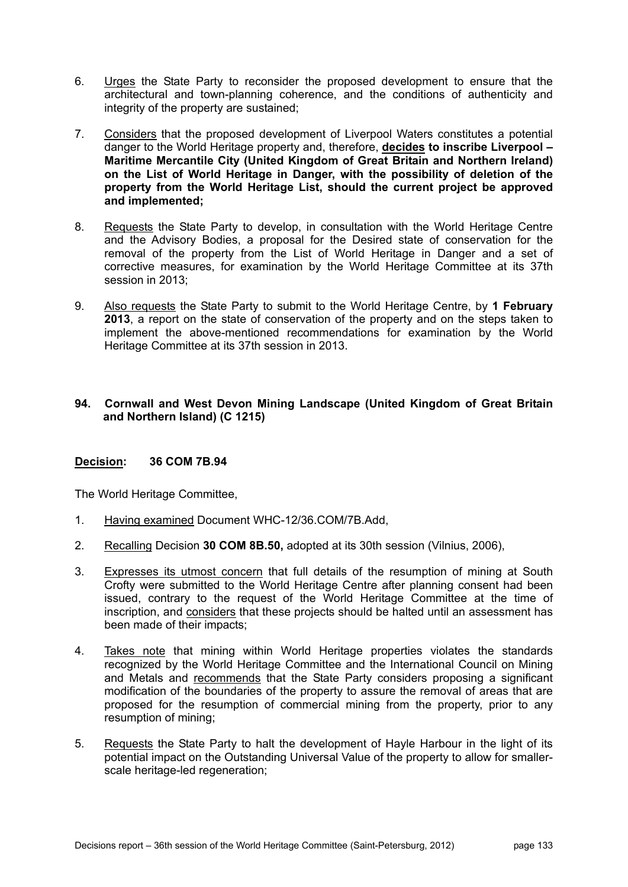- 6. Urges the State Party to reconsider the proposed development to ensure that the architectural and town-planning coherence, and the conditions of authenticity and integrity of the property are sustained;
- 7. Considers that the proposed development of Liverpool Waters constitutes a potential danger to the World Heritage property and, therefore, **decides to inscribe Liverpool – Maritime Mercantile City (United Kingdom of Great Britain and Northern Ireland) on the List of World Heritage in Danger, with the possibility of deletion of the property from the World Heritage List, should the current project be approved and implemented;**
- 8. Requests the State Party to develop, in consultation with the World Heritage Centre and the Advisory Bodies, a proposal for the Desired state of conservation for the removal of the property from the List of World Heritage in Danger and a set of corrective measures, for examination by the World Heritage Committee at its 37th session in 2013;
- 9. Also requests the State Party to submit to the World Heritage Centre, by **1 February 2013**, a report on the state of conservation of the property and on the steps taken to implement the above-mentioned recommendations for examination by the World Heritage Committee at its 37th session in 2013.

## **94. Cornwall and West Devon Mining Landscape (United Kingdom of Great Britain and Northern Island) (C 1215)**

## **Decision: 36 COM 7B.94**

- 1. Having examined Document WHC-12/36.COM/7B.Add,
- 2. Recalling Decision **30 COM 8B.50,** adopted at its 30th session (Vilnius, 2006),
- 3. Expresses its utmost concern that full details of the resumption of mining at South Crofty were submitted to the World Heritage Centre after planning consent had been issued, contrary to the request of the World Heritage Committee at the time of inscription, and considers that these projects should be halted until an assessment has been made of their impacts;
- 4. Takes note that mining within World Heritage properties violates the standards recognized by the World Heritage Committee and the International Council on Mining and Metals and recommends that the State Party considers proposing a significant modification of the boundaries of the property to assure the removal of areas that are proposed for the resumption of commercial mining from the property, prior to any resumption of mining;
- 5. Requests the State Party to halt the development of Hayle Harbour in the light of its potential impact on the Outstanding Universal Value of the property to allow for smallerscale heritage-led regeneration;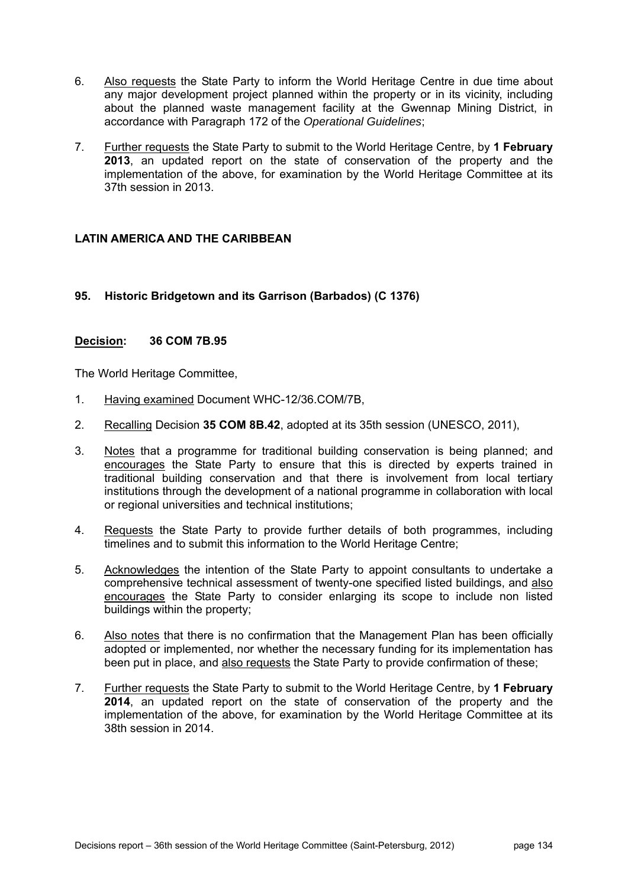- 6. Also requests the State Party to inform the World Heritage Centre in due time about any major development project planned within the property or in its vicinity, including about the planned waste management facility at the Gwennap Mining District, in accordance with Paragraph 172 of the *Operational Guidelines*;
- 7. Further requests the State Party to submit to the World Heritage Centre, by **1 February 2013**, an updated report on the state of conservation of the property and the implementation of the above, for examination by the World Heritage Committee at its 37th session in 2013.

# **LATIN AMERICA AND THE CARIBBEAN**

# **95. Historic Bridgetown and its Garrison (Barbados) (C 1376)**

## **Decision: 36 COM 7B.95**

- 1. Having examined Document WHC-12/36.COM/7B,
- 2. Recalling Decision **35 COM 8B.42**, adopted at its 35th session (UNESCO, 2011),
- 3. Notes that a programme for traditional building conservation is being planned; and encourages the State Party to ensure that this is directed by experts trained in traditional building conservation and that there is involvement from local tertiary institutions through the development of a national programme in collaboration with local or regional universities and technical institutions;
- 4. Requests the State Party to provide further details of both programmes, including timelines and to submit this information to the World Heritage Centre;
- 5. Acknowledges the intention of the State Party to appoint consultants to undertake a comprehensive technical assessment of twenty-one specified listed buildings, and also encourages the State Party to consider enlarging its scope to include non listed buildings within the property;
- 6. Also notes that there is no confirmation that the Management Plan has been officially adopted or implemented, nor whether the necessary funding for its implementation has been put in place, and also requests the State Party to provide confirmation of these;
- 7. Further requests the State Party to submit to the World Heritage Centre, by **1 February 2014**, an updated report on the state of conservation of the property and the implementation of the above, for examination by the World Heritage Committee at its 38th session in 2014.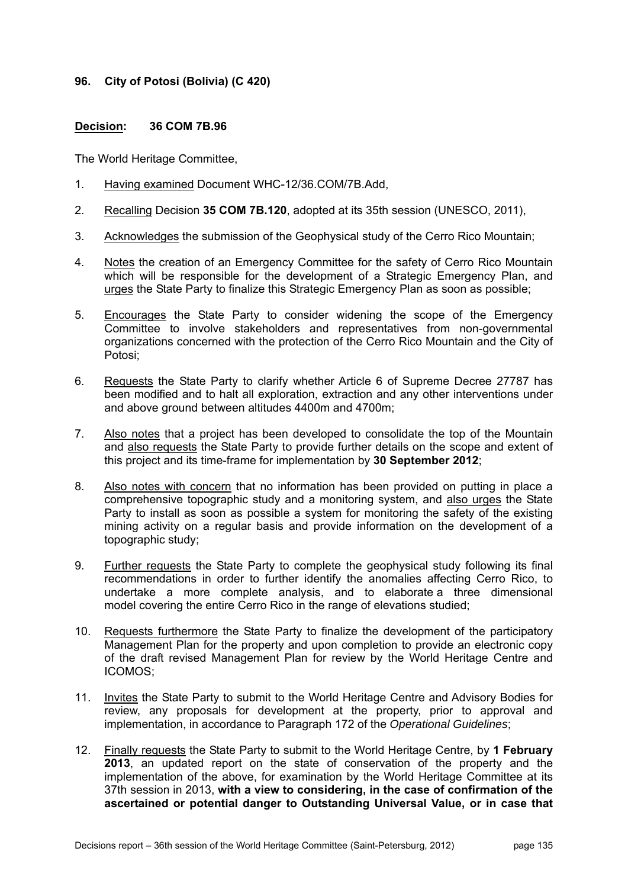## **96. City of Potosi (Bolivia) (C 420)**

### **Decision: 36 COM 7B.96**

- 1. Having examined Document WHC-12/36.COM/7B.Add,
- 2. Recalling Decision **35 COM 7B.120**, adopted at its 35th session (UNESCO, 2011),
- 3. Acknowledges the submission of the Geophysical study of the Cerro Rico Mountain;
- 4. Notes the creation of an Emergency Committee for the safety of Cerro Rico Mountain which will be responsible for the development of a Strategic Emergency Plan, and urges the State Party to finalize this Strategic Emergency Plan as soon as possible;
- 5. Encourages the State Party to consider widening the scope of the Emergency Committee to involve stakeholders and representatives from non-governmental organizations concerned with the protection of the Cerro Rico Mountain and the City of Potosi;
- 6. Requests the State Party to clarify whether Article 6 of Supreme Decree 27787 has been modified and to halt all exploration, extraction and any other interventions under and above ground between altitudes 4400m and 4700m;
- 7. Also notes that a project has been developed to consolidate the top of the Mountain and also requests the State Party to provide further details on the scope and extent of this project and its time-frame for implementation by **30 September 2012**;
- 8. Also notes with concern that no information has been provided on putting in place a comprehensive topographic study and a monitoring system, and also urges the State Party to install as soon as possible a system for monitoring the safety of the existing mining activity on a regular basis and provide information on the development of a topographic study;
- 9. Further requests the State Party to complete the geophysical study following its final recommendations in order to further identify the anomalies affecting Cerro Rico, to undertake a more complete analysis, and to elaborate a three dimensional model covering the entire Cerro Rico in the range of elevations studied;
- 10. Requests furthermore the State Party to finalize the development of the participatory Management Plan for the property and upon completion to provide an electronic copy of the draft revised Management Plan for review by the World Heritage Centre and ICOMOS;
- 11. Invites the State Party to submit to the World Heritage Centre and Advisory Bodies for review, any proposals for development at the property, prior to approval and implementation, in accordance to Paragraph 172 of the *Operational Guidelines*;
- 12. Finally requests the State Party to submit to the World Heritage Centre, by **1 February 2013**, an updated report on the state of conservation of the property and the implementation of the above, for examination by the World Heritage Committee at its 37th session in 2013, **with a view to considering, in the case of confirmation of the ascertained or potential danger to Outstanding Universal Value, or in case that**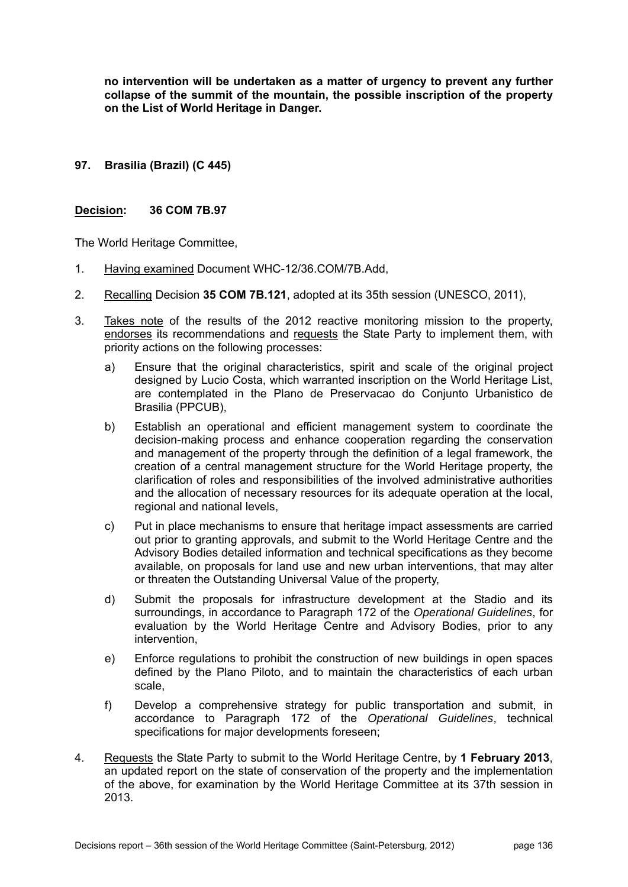**no intervention will be undertaken as a matter of urgency to prevent any further collapse of the summit of the mountain, the possible inscription of the property on the List of World Heritage in Danger.**

**97. Brasilia (Brazil) (C 445)** 

### **Decision: 36 COM 7B.97**

- 1. Having examined Document WHC-12/36.COM/7B.Add,
- 2. Recalling Decision **35 COM 7B.121**, adopted at its 35th session (UNESCO, 2011),
- 3. Takes note of the results of the 2012 reactive monitoring mission to the property, endorses its recommendations and requests the State Party to implement them, with priority actions on the following processes:
	- a) Ensure that the original characteristics, spirit and scale of the original project designed by Lucio Costa, which warranted inscription on the World Heritage List, are contemplated in the Plano de Preservacao do Conjunto Urbanistico de Brasilia (PPCUB),
	- b) Establish an operational and efficient management system to coordinate the decision-making process and enhance cooperation regarding the conservation and management of the property through the definition of a legal framework, the creation of a central management structure for the World Heritage property, the clarification of roles and responsibilities of the involved administrative authorities and the allocation of necessary resources for its adequate operation at the local, regional and national levels,
	- c) Put in place mechanisms to ensure that heritage impact assessments are carried out prior to granting approvals, and submit to the World Heritage Centre and the Advisory Bodies detailed information and technical specifications as they become available, on proposals for land use and new urban interventions, that may alter or threaten the Outstanding Universal Value of the property,
	- d) Submit the proposals for infrastructure development at the Stadio and its surroundings, in accordance to Paragraph 172 of the *Operational Guidelines*, for evaluation by the World Heritage Centre and Advisory Bodies, prior to any intervention,
	- e) Enforce regulations to prohibit the construction of new buildings in open spaces defined by the Plano Piloto, and to maintain the characteristics of each urban scale,
	- f) Develop a comprehensive strategy for public transportation and submit, in accordance to Paragraph 172 of the *Operational Guidelines*, technical specifications for major developments foreseen;
- 4. Requests the State Party to submit to the World Heritage Centre, by **1 February 2013**, an updated report on the state of conservation of the property and the implementation of the above, for examination by the World Heritage Committee at its 37th session in 2013.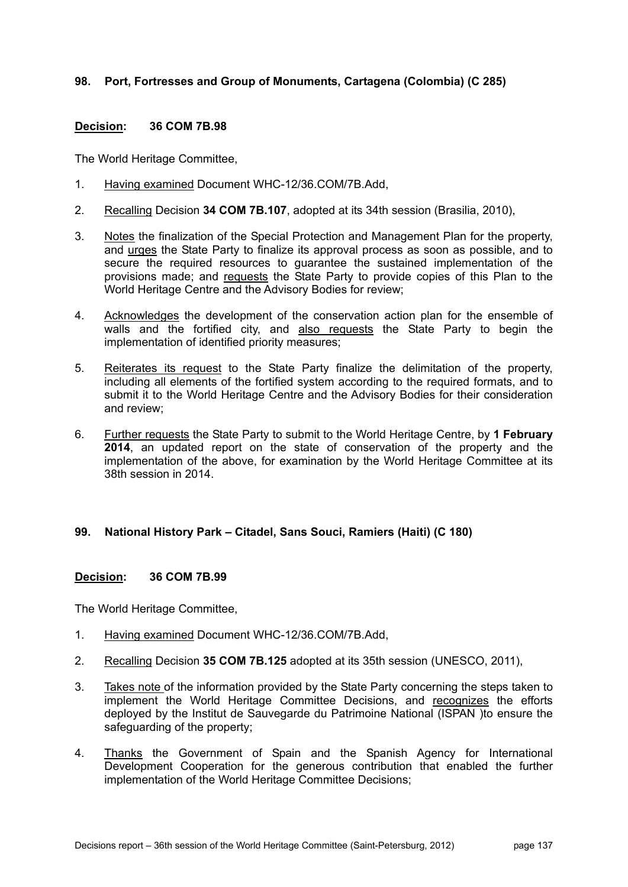## **98. Port, Fortresses and Group of Monuments, Cartagena (Colombia) (C 285)**

### **Decision: 36 COM 7B.98**

The World Heritage Committee,

- 1. Having examined Document WHC-12/36.COM/7B.Add,
- 2. Recalling Decision **34 COM 7B.107**, adopted at its 34th session (Brasilia, 2010),
- 3. Notes the finalization of the Special Protection and Management Plan for the property, and urges the State Party to finalize its approval process as soon as possible, and to secure the required resources to guarantee the sustained implementation of the provisions made; and requests the State Party to provide copies of this Plan to the World Heritage Centre and the Advisory Bodies for review;
- 4. Acknowledges the development of the conservation action plan for the ensemble of walls and the fortified city, and also requests the State Party to begin the implementation of identified priority measures;
- 5. Reiterates its request to the State Party finalize the delimitation of the property, including all elements of the fortified system according to the required formats, and to submit it to the World Heritage Centre and the Advisory Bodies for their consideration and review;
- 6. Further requests the State Party to submit to the World Heritage Centre, by **1 February 2014**, an updated report on the state of conservation of the property and the implementation of the above, for examination by the World Heritage Committee at its 38th session in 2014.

#### **99. National History Park – Citadel, Sans Souci, Ramiers (Haiti) (C 180)**

#### **Decision: 36 COM 7B.99**

- 1. Having examined Document WHC-12/36.COM/7B.Add,
- 2. Recalling Decision **35 COM 7B.125** adopted at its 35th session (UNESCO, 2011),
- 3. Takes note of the information provided by the State Party concerning the steps taken to implement the World Heritage Committee Decisions, and recognizes the efforts deployed by the Institut de Sauvegarde du Patrimoine National (ISPAN )to ensure the safeguarding of the property;
- 4. Thanks the Government of Spain and the Spanish Agency for International Development Cooperation for the generous contribution that enabled the further implementation of the World Heritage Committee Decisions;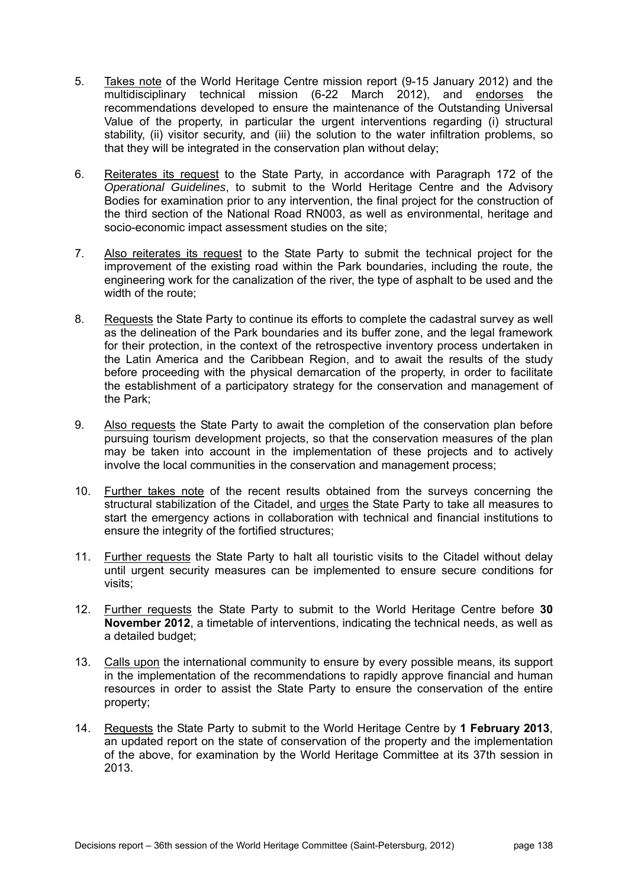- 5. Takes note of the World Heritage Centre mission report (9-15 January 2012) and the multidisciplinary technical mission (6-22 March 2012), and endorses the recommendations developed to ensure the maintenance of the Outstanding Universal Value of the property, in particular the urgent interventions regarding (i) structural stability, (ii) visitor security, and (iii) the solution to the water infiltration problems, so that they will be integrated in the conservation plan without delay;
- 6. Reiterates its request to the State Party, in accordance with Paragraph 172 of the *Operational Guidelines*, to submit to the World Heritage Centre and the Advisory Bodies for examination prior to any intervention, the final project for the construction of the third section of the National Road RN003, as well as environmental, heritage and socio-economic impact assessment studies on the site;
- 7. Also reiterates its request to the State Party to submit the technical project for the improvement of the existing road within the Park boundaries, including the route, the engineering work for the canalization of the river, the type of asphalt to be used and the width of the route;
- 8. Requests the State Party to continue its efforts to complete the cadastral survey as well as the delineation of the Park boundaries and its buffer zone, and the legal framework for their protection, in the context of the retrospective inventory process undertaken in the Latin America and the Caribbean Region, and to await the results of the study before proceeding with the physical demarcation of the property, in order to facilitate the establishment of a participatory strategy for the conservation and management of the Park;
- 9. Also requests the State Party to await the completion of the conservation plan before pursuing tourism development projects, so that the conservation measures of the plan may be taken into account in the implementation of these projects and to actively involve the local communities in the conservation and management process;
- 10. Further takes note of the recent results obtained from the surveys concerning the structural stabilization of the Citadel, and urges the State Party to take all measures to start the emergency actions in collaboration with technical and financial institutions to ensure the integrity of the fortified structures;
- 11. Further requests the State Party to halt all touristic visits to the Citadel without delay until urgent security measures can be implemented to ensure secure conditions for visits;
- 12. Further requests the State Party to submit to the World Heritage Centre before **30 November 2012**, a timetable of interventions, indicating the technical needs, as well as a detailed budget;
- 13. Calls upon the international community to ensure by every possible means, its support in the implementation of the recommendations to rapidly approve financial and human resources in order to assist the State Party to ensure the conservation of the entire property;
- 14. Requests the State Party to submit to the World Heritage Centre by **1 February 2013**, an updated report on the state of conservation of the property and the implementation of the above, for examination by the World Heritage Committee at its 37th session in 2013.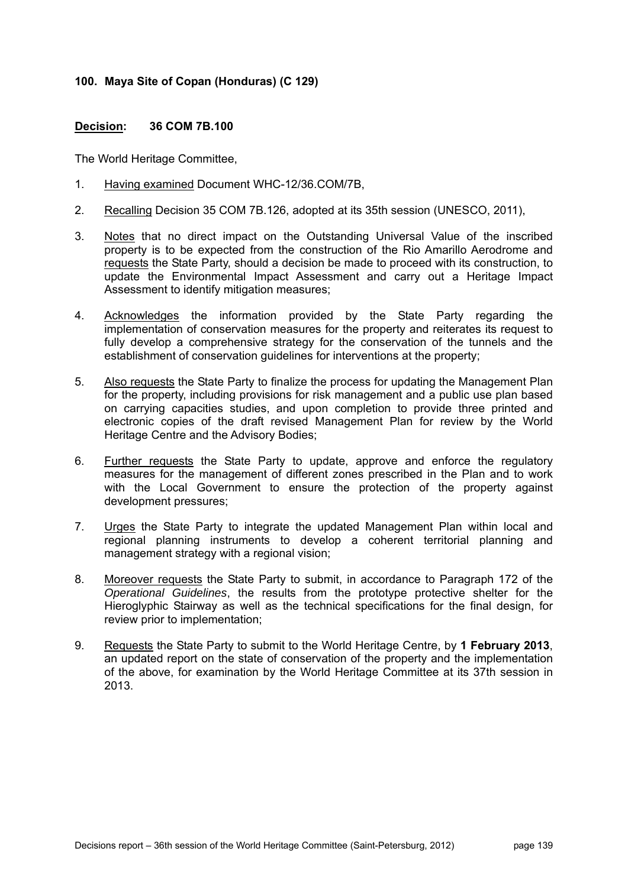## **100. Maya Site of Copan (Honduras) (C 129)**

### **Decision: 36 COM 7B.100**

- 1. Having examined Document WHC-12/36.COM/7B,
- 2. Recalling Decision 35 COM 7B.126, adopted at its 35th session (UNESCO, 2011),
- 3. Notes that no direct impact on the Outstanding Universal Value of the inscribed property is to be expected from the construction of the Rio Amarillo Aerodrome and requests the State Party, should a decision be made to proceed with its construction, to update the Environmental Impact Assessment and carry out a Heritage Impact Assessment to identify mitigation measures;
- 4. Acknowledges the information provided by the State Party regarding the implementation of conservation measures for the property and reiterates its request to fully develop a comprehensive strategy for the conservation of the tunnels and the establishment of conservation guidelines for interventions at the property;
- 5. Also requests the State Party to finalize the process for updating the Management Plan for the property, including provisions for risk management and a public use plan based on carrying capacities studies, and upon completion to provide three printed and electronic copies of the draft revised Management Plan for review by the World Heritage Centre and the Advisory Bodies;
- 6. Further requests the State Party to update, approve and enforce the regulatory measures for the management of different zones prescribed in the Plan and to work with the Local Government to ensure the protection of the property against development pressures;
- 7. Urges the State Party to integrate the updated Management Plan within local and regional planning instruments to develop a coherent territorial planning and management strategy with a regional vision;
- 8. Moreover requests the State Party to submit, in accordance to Paragraph 172 of the *Operational Guidelines*, the results from the prototype protective shelter for the Hieroglyphic Stairway as well as the technical specifications for the final design, for review prior to implementation;
- 9. Requests the State Party to submit to the World Heritage Centre, by **1 February 2013**, an updated report on the state of conservation of the property and the implementation of the above, for examination by the World Heritage Committee at its 37th session in 2013.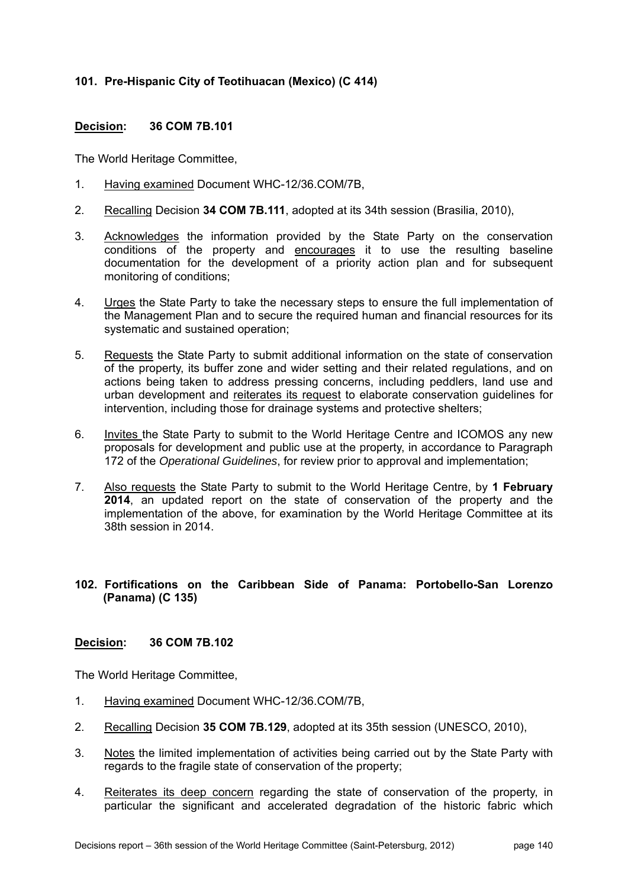# **101. Pre-Hispanic City of Teotihuacan (Mexico) (C 414)**

## **Decision: 36 COM 7B.101**

The World Heritage Committee,

- 1. Having examined Document WHC-12/36.COM/7B,
- 2. Recalling Decision **34 COM 7B.111**, adopted at its 34th session (Brasilia, 2010),
- 3. Acknowledges the information provided by the State Party on the conservation conditions of the property and encourages it to use the resulting baseline documentation for the development of a priority action plan and for subsequent monitoring of conditions;
- 4. Urges the State Party to take the necessary steps to ensure the full implementation of the Management Plan and to secure the required human and financial resources for its systematic and sustained operation;
- 5. Requests the State Party to submit additional information on the state of conservation of the property, its buffer zone and wider setting and their related regulations, and on actions being taken to address pressing concerns, including peddlers, land use and urban development and reiterates its request to elaborate conservation guidelines for intervention, including those for drainage systems and protective shelters;
- 6. Invites the State Party to submit to the World Heritage Centre and ICOMOS any new proposals for development and public use at the property, in accordance to Paragraph 172 of the *Operational Guidelines*, for review prior to approval and implementation;
- 7. Also requests the State Party to submit to the World Heritage Centre, by **1 February 2014**, an updated report on the state of conservation of the property and the implementation of the above, for examination by the World Heritage Committee at its 38th session in 2014.

## **102. Fortifications on the Caribbean Side of Panama: Portobello-San Lorenzo (Panama) (C 135)**

#### **Decision: 36 COM 7B.102**

- 1. Having examined Document WHC-12/36.COM/7B,
- 2. Recalling Decision **35 COM 7B.129**, adopted at its 35th session (UNESCO, 2010),
- 3. Notes the limited implementation of activities being carried out by the State Party with regards to the fragile state of conservation of the property;
- 4. Reiterates its deep concern regarding the state of conservation of the property, in particular the significant and accelerated degradation of the historic fabric which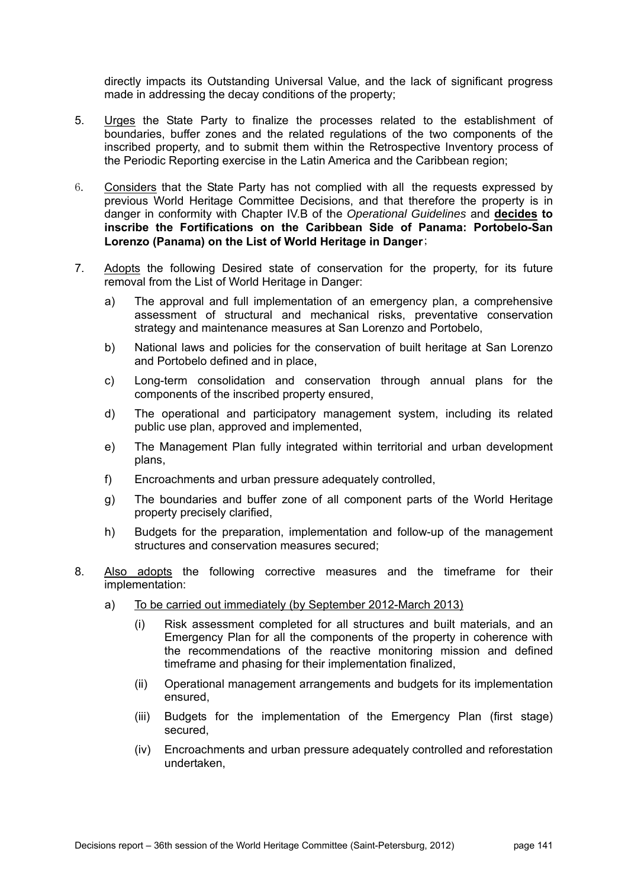directly impacts its Outstanding Universal Value, and the lack of significant progress made in addressing the decay conditions of the property;

- 5. Urges the State Party to finalize the processes related to the establishment of boundaries, buffer zones and the related regulations of the two components of the inscribed property, and to submit them within the Retrospective Inventory process of the Periodic Reporting exercise in the Latin America and the Caribbean region;
- 6. Considers that the State Party has not complied with all the requests expressed by previous World Heritage Committee Decisions, and that therefore the property is in danger in conformity with Chapter IV.B of the *Operational Guidelines* and **decides to inscribe the Fortifications on the Caribbean Side of Panama: Portobelo-San Lorenzo (Panama) on the List of World Heritage in Danger**;
- 7. Adopts the following Desired state of conservation for the property, for its future removal from the List of World Heritage in Danger:
	- a) The approval and full implementation of an emergency plan, a comprehensive assessment of structural and mechanical risks, preventative conservation strategy and maintenance measures at San Lorenzo and Portobelo,
	- b) National laws and policies for the conservation of built heritage at San Lorenzo and Portobelo defined and in place,
	- c) Long-term consolidation and conservation through annual plans for the components of the inscribed property ensured,
	- d) The operational and participatory management system, including its related public use plan, approved and implemented,
	- e) The Management Plan fully integrated within territorial and urban development plans,
	- f) Encroachments and urban pressure adequately controlled,
	- g) The boundaries and buffer zone of all component parts of the World Heritage property precisely clarified,
	- h) Budgets for the preparation, implementation and follow-up of the management structures and conservation measures secured;
- 8. Also adopts the following corrective measures and the timeframe for their implementation:
	- a) To be carried out immediately (by September 2012-March 2013)
		- (i) Risk assessment completed for all structures and built materials, and an Emergency Plan for all the components of the property in coherence with the recommendations of the reactive monitoring mission and defined timeframe and phasing for their implementation finalized,
		- (ii) Operational management arrangements and budgets for its implementation ensured,
		- (iii) Budgets for the implementation of the Emergency Plan (first stage) secured,
		- (iv) Encroachments and urban pressure adequately controlled and reforestation undertaken,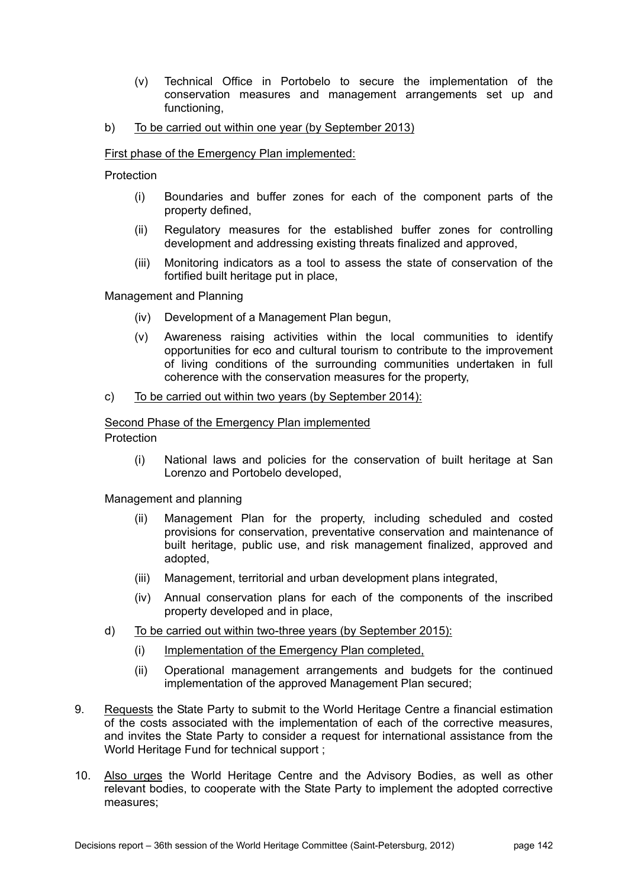- (v) Technical Office in Portobelo to secure the implementation of the conservation measures and management arrangements set up and functioning,
- b) To be carried out within one year (by September 2013)

### First phase of the Emergency Plan implemented:

Protection

- (i) Boundaries and buffer zones for each of the component parts of the property defined,
- (ii) Regulatory measures for the established buffer zones for controlling development and addressing existing threats finalized and approved,
- (iii) Monitoring indicators as a tool to assess the state of conservation of the fortified built heritage put in place,

Management and Planning

- (iv) Development of a Management Plan begun,
- (v) Awareness raising activities within the local communities to identify opportunities for eco and cultural tourism to contribute to the improvement of living conditions of the surrounding communities undertaken in full coherence with the conservation measures for the property,

#### c) To be carried out within two years (by September 2014):

## Second Phase of the Emergency Plan implemented

Protection

(i) National laws and policies for the conservation of built heritage at San Lorenzo and Portobelo developed,

Management and planning

- (ii) Management Plan for the property, including scheduled and costed provisions for conservation, preventative conservation and maintenance of built heritage, public use, and risk management finalized, approved and adopted,
- (iii) Management, territorial and urban development plans integrated,
- (iv) Annual conservation plans for each of the components of the inscribed property developed and in place,
- d) To be carried out within two-three years (by September 2015):
	- (i) Implementation of the Emergency Plan completed,
	- (ii) Operational management arrangements and budgets for the continued implementation of the approved Management Plan secured;
- 9. Requests the State Party to submit to the World Heritage Centre a financial estimation of the costs associated with the implementation of each of the corrective measures, and invites the State Party to consider a request for international assistance from the World Heritage Fund for technical support ;
- 10. Also urges the World Heritage Centre and the Advisory Bodies, as well as other relevant bodies, to cooperate with the State Party to implement the adopted corrective measures;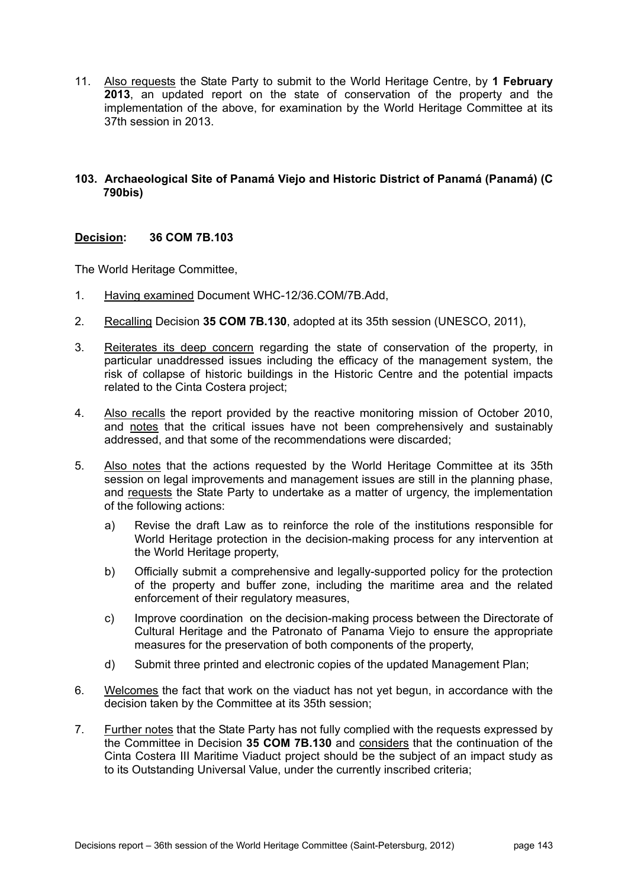11. Also requests the State Party to submit to the World Heritage Centre, by **1 February 2013**, an updated report on the state of conservation of the property and the implementation of the above, for examination by the World Heritage Committee at its 37th session in 2013.

## **103. Archaeological Site of Panamá Viejo and Historic District of Panamá (Panamá) (C 790bis)**

# **Decision: 36 COM 7B.103**

- 1. Having examined Document WHC-12/36.COM/7B.Add,
- 2. Recalling Decision **35 COM 7B.130**, adopted at its 35th session (UNESCO, 2011),
- 3. Reiterates its deep concern regarding the state of conservation of the property, in particular unaddressed issues including the efficacy of the management system, the risk of collapse of historic buildings in the Historic Centre and the potential impacts related to the Cinta Costera project;
- 4. Also recalls the report provided by the reactive monitoring mission of October 2010, and notes that the critical issues have not been comprehensively and sustainably addressed, and that some of the recommendations were discarded;
- 5. Also notes that the actions requested by the World Heritage Committee at its 35th session on legal improvements and management issues are still in the planning phase, and requests the State Party to undertake as a matter of urgency, the implementation of the following actions:
	- a) Revise the draft Law as to reinforce the role of the institutions responsible for World Heritage protection in the decision-making process for any intervention at the World Heritage property,
	- b) Officially submit a comprehensive and legally-supported policy for the protection of the property and buffer zone, including the maritime area and the related enforcement of their regulatory measures,
	- c) Improve coordination on the decision-making process between the Directorate of Cultural Heritage and the Patronato of Panama Viejo to ensure the appropriate measures for the preservation of both components of the property,
	- d) Submit three printed and electronic copies of the updated Management Plan;
- 6. Welcomes the fact that work on the viaduct has not yet begun, in accordance with the decision taken by the Committee at its 35th session;
- 7. Further notes that the State Party has not fully complied with the requests expressed by the Committee in Decision **35 COM 7B.130** and considers that the continuation of the Cinta Costera III Maritime Viaduct project should be the subject of an impact study as to its Outstanding Universal Value, under the currently inscribed criteria;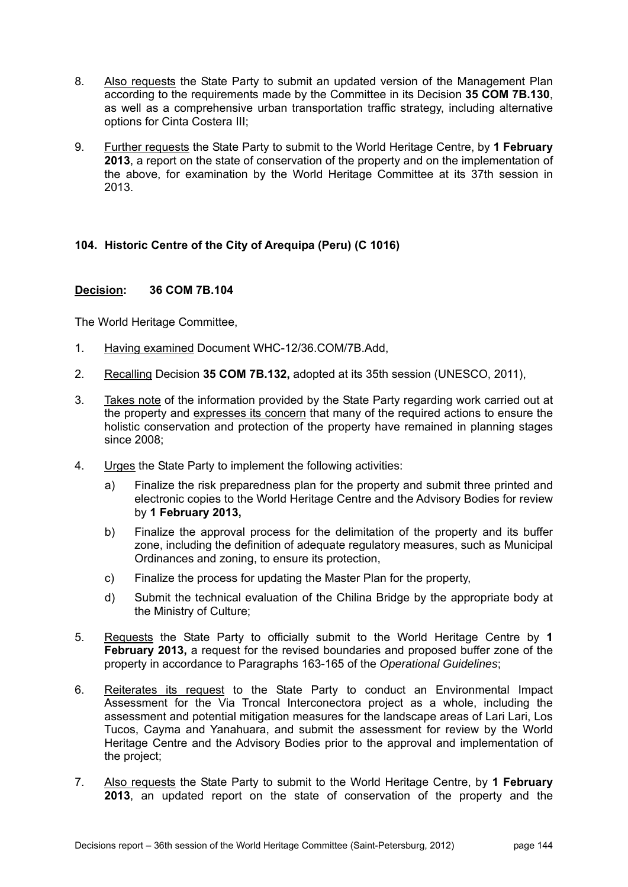- 8. Also requests the State Party to submit an updated version of the Management Plan according to the requirements made by the Committee in its Decision **35 COM 7B.130**, as well as a comprehensive urban transportation traffic strategy, including alternative options for Cinta Costera III;
- 9. Further requests the State Party to submit to the World Heritage Centre, by **1 February 2013**, a report on the state of conservation of the property and on the implementation of the above, for examination by the World Heritage Committee at its 37th session in 2013.

## **104. Historic Centre of the City of Arequipa (Peru) (C 1016)**

## **Decision: 36 COM 7B.104**

The World Heritage Committee,

- 1. Having examined Document WHC-12/36.COM/7B.Add,
- 2. Recalling Decision **35 COM 7B.132,** adopted at its 35th session (UNESCO, 2011),
- 3. Takes note of the information provided by the State Party regarding work carried out at the property and expresses its concern that many of the required actions to ensure the holistic conservation and protection of the property have remained in planning stages since 2008;
- 4. Urges the State Party to implement the following activities:
	- a) Finalize the risk preparedness plan for the property and submit three printed and electronic copies to the World Heritage Centre and the Advisory Bodies for review by **1 February 2013,**
	- b) Finalize the approval process for the delimitation of the property and its buffer zone, including the definition of adequate regulatory measures, such as Municipal Ordinances and zoning, to ensure its protection,
	- c) Finalize the process for updating the Master Plan for the property,
	- d) Submit the technical evaluation of the Chilina Bridge by the appropriate body at the Ministry of Culture;
- 5. Requests the State Party to officially submit to the World Heritage Centre by **1 February 2013,** a request for the revised boundaries and proposed buffer zone of the property in accordance to Paragraphs 163-165 of the *Operational Guidelines*;
- 6. Reiterates its request to the State Party to conduct an Environmental Impact Assessment for the Via Troncal Interconectora project as a whole, including the assessment and potential mitigation measures for the landscape areas of Lari Lari, Los Tucos, Cayma and Yanahuara, and submit the assessment for review by the World Heritage Centre and the Advisory Bodies prior to the approval and implementation of the project;
- 7. Also requests the State Party to submit to the World Heritage Centre, by **1 February 2013**, an updated report on the state of conservation of the property and the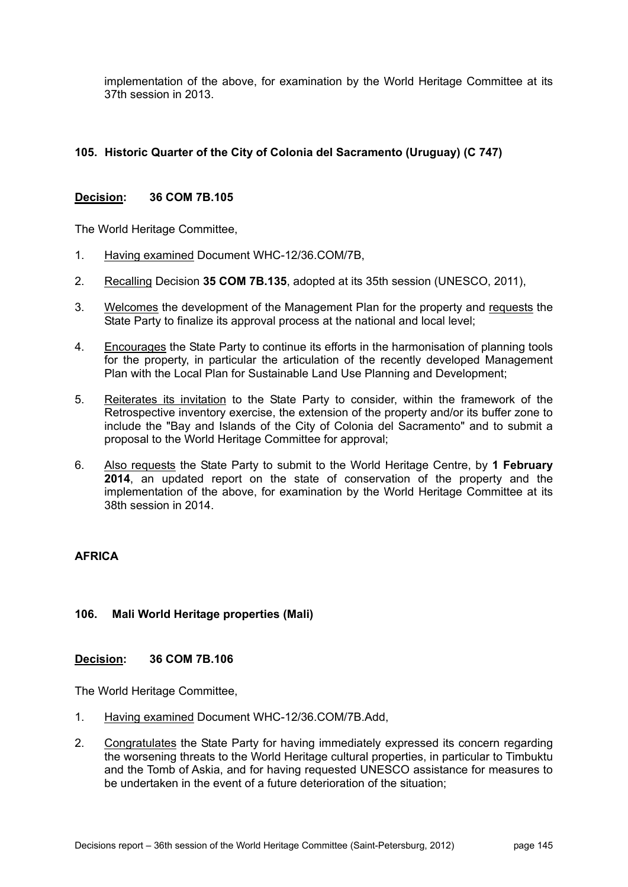implementation of the above, for examination by the World Heritage Committee at its 37th session in 2013.

# **105. Historic Quarter of the City of Colonia del Sacramento (Uruguay) (C 747)**

### **Decision: 36 COM 7B.105**

The World Heritage Committee,

- 1. Having examined Document WHC-12/36.COM/7B,
- 2. Recalling Decision **35 COM 7B.135**, adopted at its 35th session (UNESCO, 2011),
- 3. Welcomes the development of the Management Plan for the property and requests the State Party to finalize its approval process at the national and local level;
- 4. Encourages the State Party to continue its efforts in the harmonisation of planning tools for the property, in particular the articulation of the recently developed Management Plan with the Local Plan for Sustainable Land Use Planning and Development;
- 5. Reiterates its invitation to the State Party to consider, within the framework of the Retrospective inventory exercise, the extension of the property and/or its buffer zone to include the "Bay and Islands of the City of Colonia del Sacramento" and to submit a proposal to the World Heritage Committee for approval;
- 6. Also requests the State Party to submit to the World Heritage Centre, by **1 February 2014**, an updated report on the state of conservation of the property and the implementation of the above, for examination by the World Heritage Committee at its 38th session in 2014.

## **AFRICA**

## **106. Mali World Heritage properties (Mali)**

#### **Decision: 36 COM 7B.106**

The World Heritage Committee,

- 1. Having examined Document WHC-12/36.COM/7B.Add,
- 2. Congratulates the State Party for having immediately expressed its concern regarding the worsening threats to the World Heritage cultural properties, in particular to Timbuktu and the Tomb of Askia, and for having requested UNESCO assistance for measures to be undertaken in the event of a future deterioration of the situation;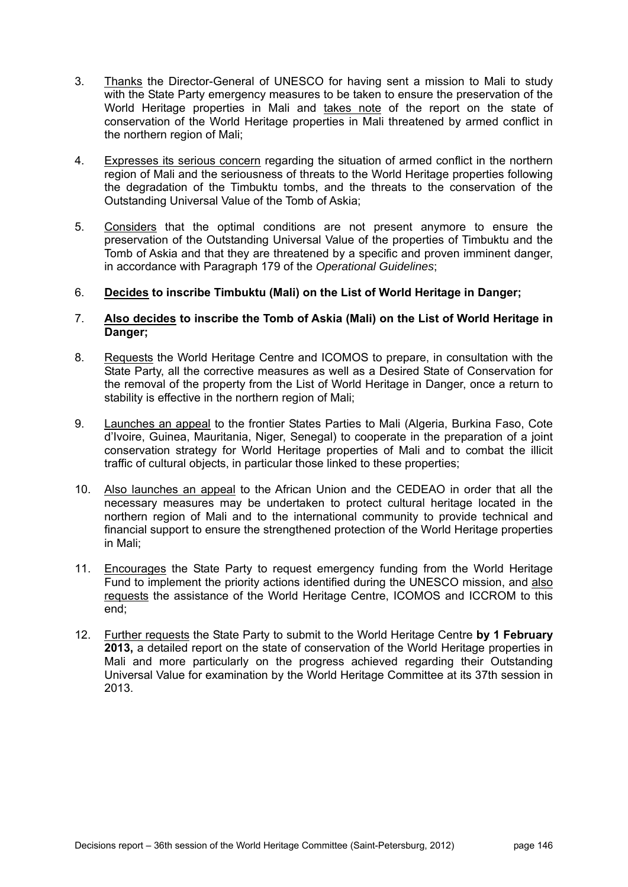- 3. Thanks the Director-General of UNESCO for having sent a mission to Mali to study with the State Party emergency measures to be taken to ensure the preservation of the World Heritage properties in Mali and takes note of the report on the state of conservation of the World Heritage properties in Mali threatened by armed conflict in the northern region of Mali;
- 4. Expresses its serious concern regarding the situation of armed conflict in the northern region of Mali and the seriousness of threats to the World Heritage properties following the degradation of the Timbuktu tombs, and the threats to the conservation of the Outstanding Universal Value of the Tomb of Askia;
- 5. Considers that the optimal conditions are not present anymore to ensure the preservation of the Outstanding Universal Value of the properties of Timbuktu and the Tomb of Askia and that they are threatened by a specific and proven imminent danger, in accordance with Paragraph 179 of the *Operational Guidelines*;
- 6. **Decides to inscribe Timbuktu (Mali) on the List of World Heritage in Danger;**
- 7. **Also decides to inscribe the Tomb of Askia (Mali) on the List of World Heritage in Danger;**
- 8. Requests the World Heritage Centre and ICOMOS to prepare, in consultation with the State Party, all the corrective measures as well as a Desired State of Conservation for the removal of the property from the List of World Heritage in Danger, once a return to stability is effective in the northern region of Mali;
- 9. Launches an appeal to the frontier States Parties to Mali (Algeria, Burkina Faso, Cote d'Ivoire, Guinea, Mauritania, Niger, Senegal) to cooperate in the preparation of a joint conservation strategy for World Heritage properties of Mali and to combat the illicit traffic of cultural objects, in particular those linked to these properties;
- 10. Also launches an appeal to the African Union and the CEDEAO in order that all the necessary measures may be undertaken to protect cultural heritage located in the northern region of Mali and to the international community to provide technical and financial support to ensure the strengthened protection of the World Heritage properties in Mali;
- 11. Encourages the State Party to request emergency funding from the World Heritage Fund to implement the priority actions identified during the UNESCO mission, and also requests the assistance of the World Heritage Centre, ICOMOS and ICCROM to this end;
- 12. Further requests the State Party to submit to the World Heritage Centre **by 1 February 2013,** a detailed report on the state of conservation of the World Heritage properties in Mali and more particularly on the progress achieved regarding their Outstanding Universal Value for examination by the World Heritage Committee at its 37th session in 2013.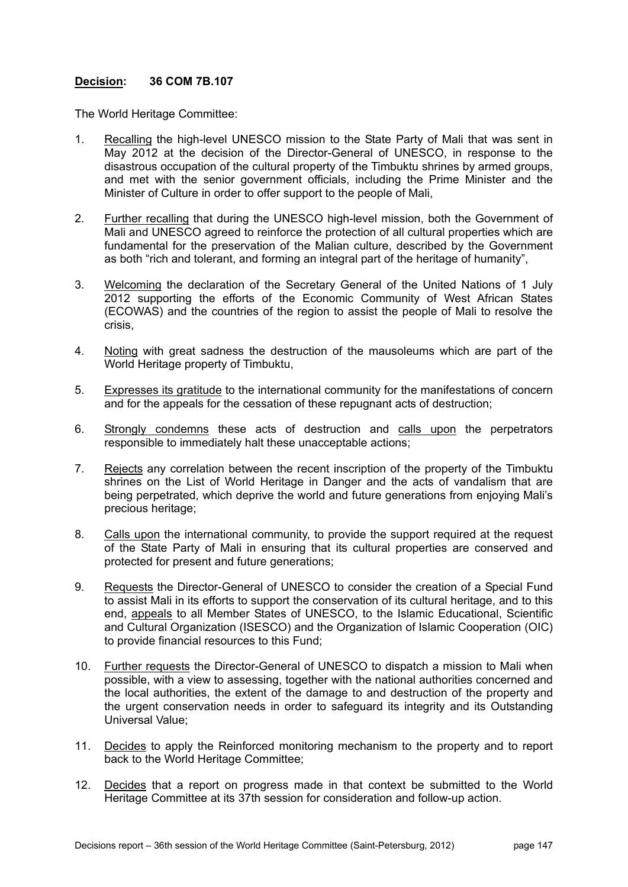The World Heritage Committee:

- 1. Recalling the high-level UNESCO mission to the State Party of Mali that was sent in May 2012 at the decision of the Director-General of UNESCO, in response to the disastrous occupation of the cultural property of the Timbuktu shrines by armed groups, and met with the senior government officials, including the Prime Minister and the Minister of Culture in order to offer support to the people of Mali,
- 2. Further recalling that during the UNESCO high-level mission, both the Government of Mali and UNESCO agreed to reinforce the protection of all cultural properties which are fundamental for the preservation of the Malian culture, described by the Government as both "rich and tolerant, and forming an integral part of the heritage of humanity",
- 3. Welcoming the declaration of the Secretary General of the United Nations of 1 July 2012 supporting the efforts of the Economic Community of West African States (ECOWAS) and the countries of the region to assist the people of Mali to resolve the crisis,
- 4. Noting with great sadness the destruction of the mausoleums which are part of the World Heritage property of Timbuktu,
- 5. Expresses its gratitude to the international community for the manifestations of concern and for the appeals for the cessation of these repugnant acts of destruction;
- 6. Strongly condemns these acts of destruction and calls upon the perpetrators responsible to immediately halt these unacceptable actions;
- 7. Rejects any correlation between the recent inscription of the property of the Timbuktu shrines on the List of World Heritage in Danger and the acts of vandalism that are being perpetrated, which deprive the world and future generations from enjoying Mali's precious heritage;
- 8. Calls upon the international community, to provide the support required at the request of the State Party of Mali in ensuring that its cultural properties are conserved and protected for present and future generations;
- 9. Requests the Director-General of UNESCO to consider the creation of a Special Fund to assist Mali in its efforts to support the conservation of its cultural heritage, and to this end, appeals to all Member States of UNESCO, to the Islamic Educational, Scientific and Cultural Organization (ISESCO) and the Organization of Islamic Cooperation (OIC) to provide financial resources to this Fund;
- 10. Further requests the Director-General of UNESCO to dispatch a mission to Mali when possible, with a view to assessing, together with the national authorities concerned and the local authorities, the extent of the damage to and destruction of the property and the urgent conservation needs in order to safeguard its integrity and its Outstanding Universal Value;
- 11. Decides to apply the Reinforced monitoring mechanism to the property and to report back to the World Heritage Committee;
- 12. Decides that a report on progress made in that context be submitted to the World Heritage Committee at its 37th session for consideration and follow-up action.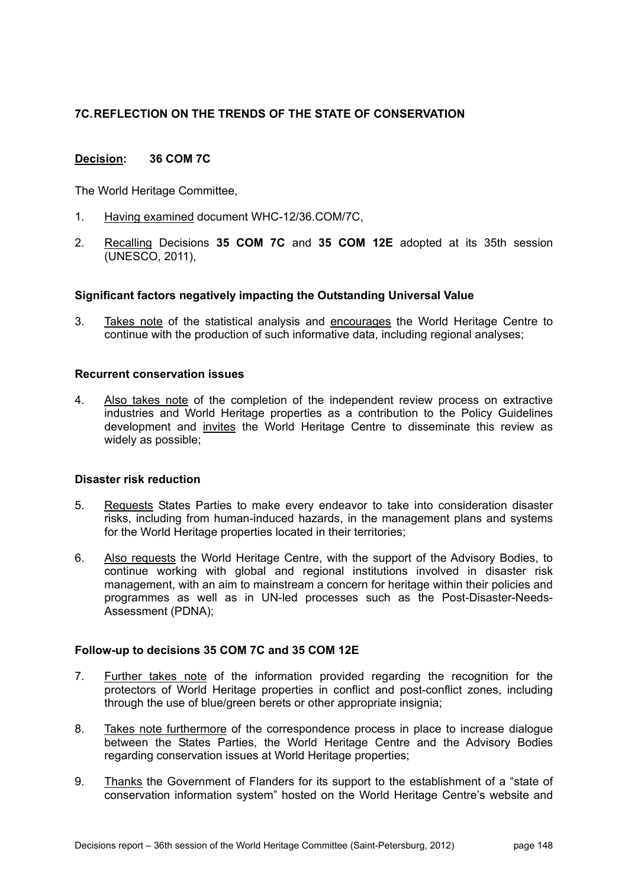# **7C. REFLECTION ON THE TRENDS OF THE STATE OF CONSERVATION**

# **Decision: 36 COM 7C**

The World Heritage Committee,

- 1. Having examined document WHC-12/36.COM/7C,
- 2. Recalling Decisions **35 COM 7C** and **35 COM 12E** adopted at its 35th session (UNESCO, 2011),

#### **Significant factors negatively impacting the Outstanding Universal Value**

3. Takes note of the statistical analysis and encourages the World Heritage Centre to continue with the production of such informative data, including regional analyses;

### **Recurrent conservation issues**

4. Also takes note of the completion of the independent review process on extractive industries and World Heritage properties as a contribution to the Policy Guidelines development and invites the World Heritage Centre to disseminate this review as widely as possible;

### **Disaster risk reduction**

- 5. Requests States Parties to make every endeavor to take into consideration disaster risks, including from human-induced hazards, in the management plans and systems for the World Heritage properties located in their territories;
- 6. Also requests the World Heritage Centre, with the support of the Advisory Bodies, to continue working with global and regional institutions involved in disaster risk management, with an aim to mainstream a concern for heritage within their policies and programmes as well as in UN-led processes such as the Post-Disaster-Needs-Assessment (PDNA);

#### **Follow-up to decisions 35 COM 7C and 35 COM 12E**

- 7. Further takes note of the information provided regarding the recognition for the protectors of World Heritage properties in conflict and post-conflict zones, including through the use of blue/green berets or other appropriate insignia;
- 8. Takes note furthermore of the correspondence process in place to increase dialogue between the States Parties, the World Heritage Centre and the Advisory Bodies regarding conservation issues at World Heritage properties;
- 9. Thanks the Government of Flanders for its support to the establishment of a "state of conservation information system" hosted on the World Heritage Centre's website and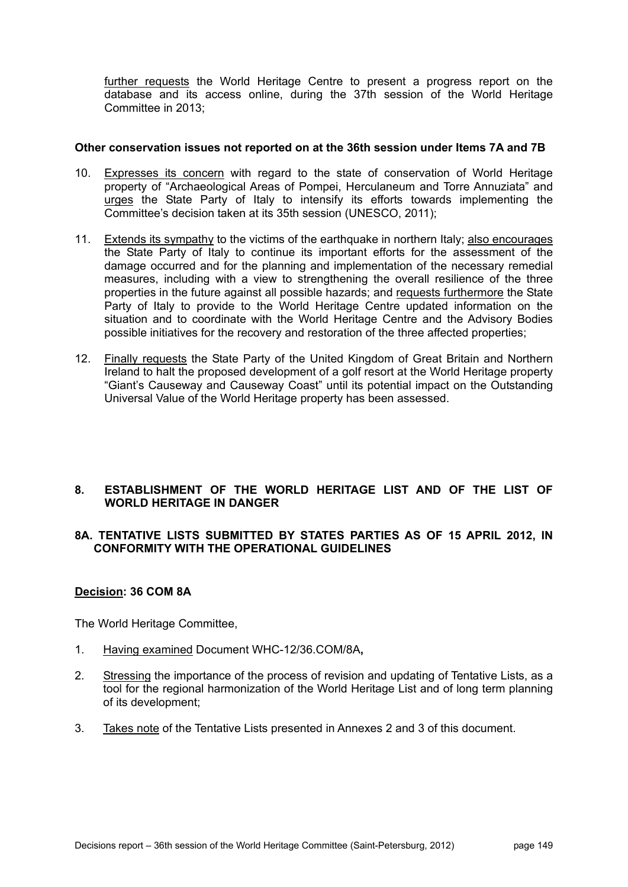further requests the World Heritage Centre to present a progress report on the database and its access online, during the 37th session of the World Heritage Committee in 2013;

### **Other conservation issues not reported on at the 36th session under Items 7A and 7B**

- 10. Expresses its concern with regard to the state of conservation of World Heritage property of "Archaeological Areas of Pompei, Herculaneum and Torre Annuziata" and urges the State Party of Italy to intensify its efforts towards implementing the Committee's decision taken at its 35th session (UNESCO, 2011);
- 11. Extends its sympathy to the victims of the earthquake in northern Italy; also encourages the State Party of Italy to continue its important efforts for the assessment of the damage occurred and for the planning and implementation of the necessary remedial measures, including with a view to strengthening the overall resilience of the three properties in the future against all possible hazards; and requests furthermore the State Party of Italy to provide to the World Heritage Centre updated information on the situation and to coordinate with the World Heritage Centre and the Advisory Bodies possible initiatives for the recovery and restoration of the three affected properties;
- 12. Finally requests the State Party of the United Kingdom of Great Britain and Northern Ireland to halt the proposed development of a golf resort at the World Heritage property "Giant's Causeway and Causeway Coast" until its potential impact on the Outstanding Universal Value of the World Heritage property has been assessed.

## **8. ESTABLISHMENT OF THE WORLD HERITAGE LIST AND OF THE LIST OF WORLD HERITAGE IN DANGER**

## **8A. TENTATIVE LISTS SUBMITTED BY STATES PARTIES AS OF 15 APRIL 2012, IN CONFORMITY WITH THE OPERATIONAL GUIDELINES**

## **Decision: 36 COM 8A**

The World Heritage Committee,

- 1. Having examined Document WHC-12/36.COM/8A**,**
- 2. Stressing the importance of the process of revision and updating of Tentative Lists, as a tool for the regional harmonization of the World Heritage List and of long term planning of its development;
- 3. Takes note of the Tentative Lists presented in Annexes 2 and 3 of this document.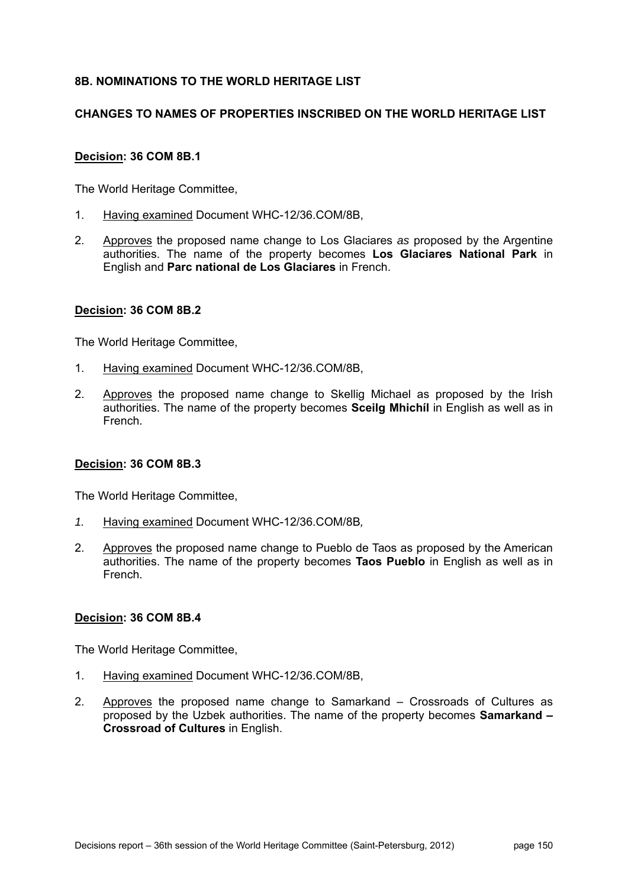# **8B. NOMINATIONS TO THE WORLD HERITAGE LIST**

## **CHANGES TO NAMES OF PROPERTIES INSCRIBED ON THE WORLD HERITAGE LIST**

## **Decision: 36 COM 8B.1**

The World Heritage Committee,

- 1. Having examined Document WHC-12/36.COM/8B,
- 2. Approves the proposed name change to Los Glaciares *as* proposed by the Argentine authorities. The name of the property becomes **Los Glaciares National Park** in English and **Parc national de Los Glaciares** in French.

### **Decision: 36 COM 8B.2**

The World Heritage Committee,

- 1. Having examined Document WHC-12/36.COM/8B,
- 2. Approves the proposed name change to Skellig Michael as proposed by the Irish authorities. The name of the property becomes **Sceilg Mhichíl** in English as well as in French.

## **Decision: 36 COM 8B.3**

The World Heritage Committee,

- *1.* Having examined Document WHC-12/36.COM/8B*,*
- 2. Approves the proposed name change to Pueblo de Taos as proposed by the American authorities. The name of the property becomes **Taos Pueblo** in English as well as in French.

#### **Decision: 36 COM 8B.4**

The World Heritage Committee,

- 1. Having examined Document WHC-12/36.COM/8B,
- 2. Approves the proposed name change to Samarkand Crossroads of Cultures as proposed by the Uzbek authorities. The name of the property becomes **Samarkand – Crossroad of Cultures** in English.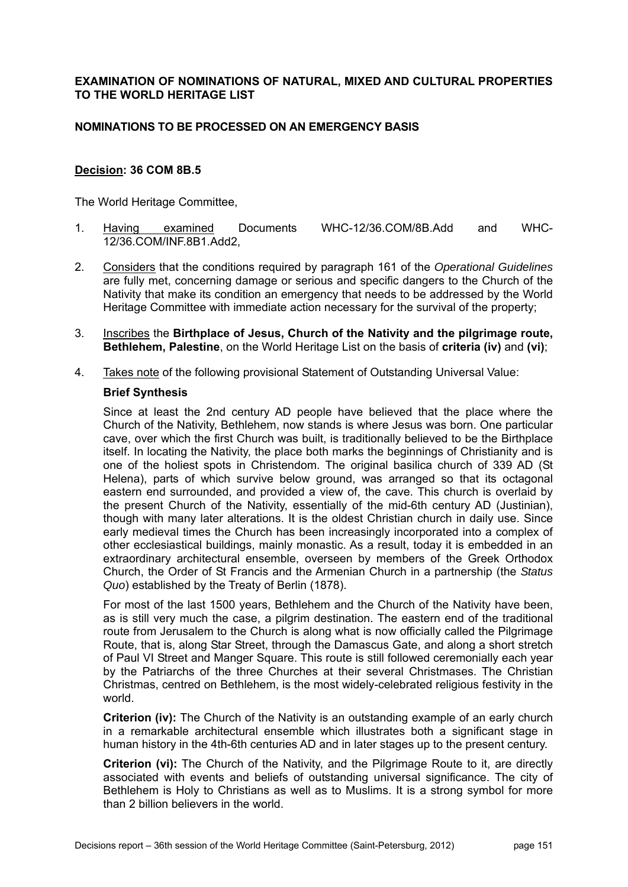### **EXAMINATION OF NOMINATIONS OF NATURAL, MIXED AND CULTURAL PROPERTIES TO THE WORLD HERITAGE LIST**

## **NOMINATIONS TO BE PROCESSED ON AN EMERGENCY BASIS**

### **Decision: 36 COM 8B.5**

The World Heritage Committee,

- 1. Having examined Documents WHC-12/36.COM/8B.Add and WHC-12/36.COM/INF.8B1.Add2,
- 2. Considers that the conditions required by paragraph 161 of the *Operational Guidelines* are fully met, concerning damage or serious and specific dangers to the Church of the Nativity that make its condition an emergency that needs to be addressed by the World Heritage Committee with immediate action necessary for the survival of the property;
- 3. Inscribes the **Birthplace of Jesus, Church of the Nativity and the pilgrimage route, Bethlehem, Palestine**, on the World Heritage List on the basis of **criteria (iv)** and **(vi)**;
- 4. Takes note of the following provisional Statement of Outstanding Universal Value:

#### **Brief Synthesis**

Since at least the 2nd century AD people have believed that the place where the Church of the Nativity, Bethlehem, now stands is where Jesus was born. One particular cave, over which the first Church was built, is traditionally believed to be the Birthplace itself. In locating the Nativity, the place both marks the beginnings of Christianity and is one of the holiest spots in Christendom. The original basilica church of 339 AD (St Helena), parts of which survive below ground, was arranged so that its octagonal eastern end surrounded, and provided a view of, the cave. This church is overlaid by the present Church of the Nativity, essentially of the mid-6th century AD (Justinian), though with many later alterations. It is the oldest Christian church in daily use. Since early medieval times the Church has been increasingly incorporated into a complex of other ecclesiastical buildings, mainly monastic. As a result, today it is embedded in an extraordinary architectural ensemble, overseen by members of the Greek Orthodox Church, the Order of St Francis and the Armenian Church in a partnership (the *Status Quo*) established by the Treaty of Berlin (1878).

For most of the last 1500 years, Bethlehem and the Church of the Nativity have been, as is still very much the case, a pilgrim destination. The eastern end of the traditional route from Jerusalem to the Church is along what is now officially called the Pilgrimage Route, that is, along Star Street, through the Damascus Gate, and along a short stretch of Paul VI Street and Manger Square. This route is still followed ceremonially each year by the Patriarchs of the three Churches at their several Christmases. The Christian Christmas, centred on Bethlehem, is the most widely-celebrated religious festivity in the world.

**Criterion (iv):** The Church of the Nativity is an outstanding example of an early church in a remarkable architectural ensemble which illustrates both a significant stage in human history in the 4th-6th centuries AD and in later stages up to the present century.

**Criterion (vi):** The Church of the Nativity, and the Pilgrimage Route to it, are directly associated with events and beliefs of outstanding universal significance. The city of Bethlehem is Holy to Christians as well as to Muslims. It is a strong symbol for more than 2 billion believers in the world.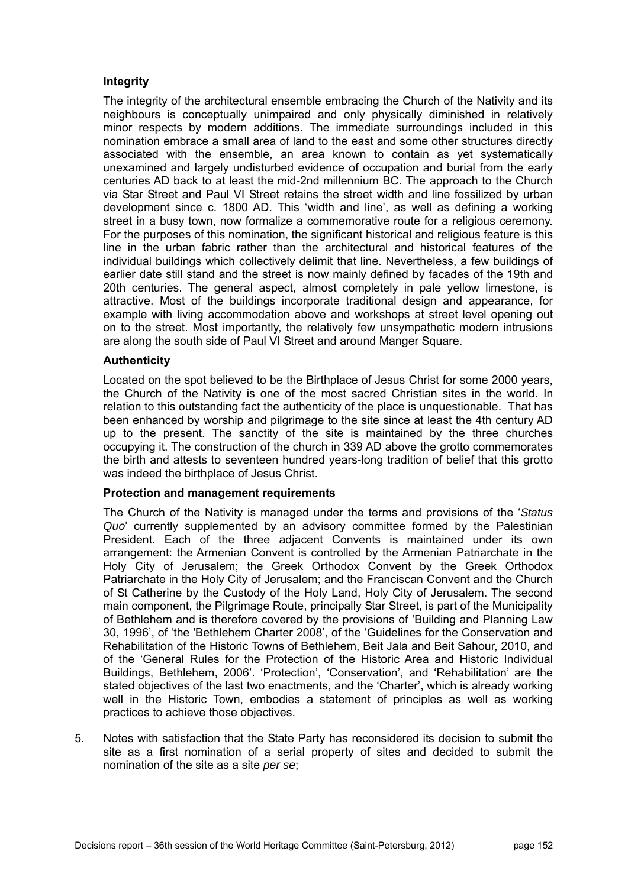## **Integrity**

The integrity of the architectural ensemble embracing the Church of the Nativity and its neighbours is conceptually unimpaired and only physically diminished in relatively minor respects by modern additions. The immediate surroundings included in this nomination embrace a small area of land to the east and some other structures directly associated with the ensemble, an area known to contain as yet systematically unexamined and largely undisturbed evidence of occupation and burial from the early centuries AD back to at least the mid-2nd millennium BC. The approach to the Church via Star Street and Paul VI Street retains the street width and line fossilized by urban development since c. 1800 AD. This 'width and line', as well as defining a working street in a busy town, now formalize a commemorative route for a religious ceremony. For the purposes of this nomination, the significant historical and religious feature is this line in the urban fabric rather than the architectural and historical features of the individual buildings which collectively delimit that line. Nevertheless, a few buildings of earlier date still stand and the street is now mainly defined by facades of the 19th and 20th centuries. The general aspect, almost completely in pale yellow limestone, is attractive. Most of the buildings incorporate traditional design and appearance, for example with living accommodation above and workshops at street level opening out on to the street. Most importantly, the relatively few unsympathetic modern intrusions are along the south side of Paul VI Street and around Manger Square.

## **Authenticity**

Located on the spot believed to be the Birthplace of Jesus Christ for some 2000 years, the Church of the Nativity is one of the most sacred Christian sites in the world. In relation to this outstanding fact the authenticity of the place is unquestionable. That has been enhanced by worship and pilgrimage to the site since at least the 4th century AD up to the present. The sanctity of the site is maintained by the three churches occupying it. The construction of the church in 339 AD above the grotto commemorates the birth and attests to seventeen hundred years-long tradition of belief that this grotto was indeed the birthplace of Jesus Christ.

#### **Protection and management requirements**

The Church of the Nativity is managed under the terms and provisions of the '*Status Quo*' currently supplemented by an advisory committee formed by the Palestinian President. Each of the three adjacent Convents is maintained under its own arrangement: the Armenian Convent is controlled by the Armenian Patriarchate in the Holy City of Jerusalem; the Greek Orthodox Convent by the Greek Orthodox Patriarchate in the Holy City of Jerusalem; and the Franciscan Convent and the Church of St Catherine by the Custody of the Holy Land, Holy City of Jerusalem. The second main component, the Pilgrimage Route, principally Star Street, is part of the Municipality of Bethlehem and is therefore covered by the provisions of 'Building and Planning Law 30, 1996', of 'the 'Bethlehem Charter 2008', of the 'Guidelines for the Conservation and Rehabilitation of the Historic Towns of Bethlehem, Beit Jala and Beit Sahour, 2010, and of the 'General Rules for the Protection of the Historic Area and Historic Individual Buildings, Bethlehem, 2006'. 'Protection', 'Conservation', and 'Rehabilitation' are the stated objectives of the last two enactments, and the 'Charter', which is already working well in the Historic Town, embodies a statement of principles as well as working practices to achieve those objectives.

5. Notes with satisfaction that the State Party has reconsidered its decision to submit the site as a first nomination of a serial property of sites and decided to submit the nomination of the site as a site *per se*;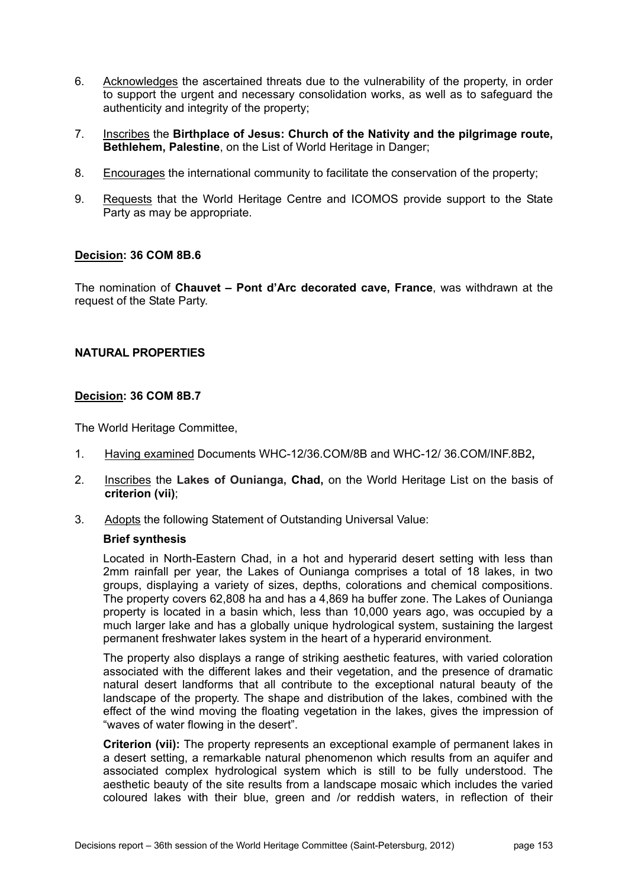- 6. Acknowledges the ascertained threats due to the vulnerability of the property, in order to support the urgent and necessary consolidation works, as well as to safeguard the authenticity and integrity of the property;
- 7. Inscribes the **Birthplace of Jesus: Church of the Nativity and the pilgrimage route, Bethlehem, Palestine**, on the List of World Heritage in Danger;
- 8. Encourages the international community to facilitate the conservation of the property;
- 9. Requests that the World Heritage Centre and ICOMOS provide support to the State Party as may be appropriate.

The nomination of **Chauvet – Pont d'Arc decorated cave, France**, was withdrawn at the request of the State Party.

### **NATURAL PROPERTIES**

### **Decision: 36 COM 8B.7**

The World Heritage Committee,

- 1. Having examined Documents WHC-12/36.COM/8B and WHC-12/ 36.COM/INF.8B2**,**
- 2. Inscribes the **Lakes of Ounianga, Chad,** on the World Heritage List on the basis of **criterion (vii)**;
- 3. Adopts the following Statement of Outstanding Universal Value:

#### **Brief synthesis**

Located in North-Eastern Chad, in a hot and hyperarid desert setting with less than 2mm rainfall per year, the Lakes of Ounianga comprises a total of 18 lakes, in two groups, displaying a variety of sizes, depths, colorations and chemical compositions. The property covers 62,808 ha and has a 4,869 ha buffer zone. The Lakes of Ounianga property is located in a basin which, less than 10,000 years ago, was occupied by a much larger lake and has a globally unique hydrological system, sustaining the largest permanent freshwater lakes system in the heart of a hyperarid environment.

The property also displays a range of striking aesthetic features, with varied coloration associated with the different lakes and their vegetation, and the presence of dramatic natural desert landforms that all contribute to the exceptional natural beauty of the landscape of the property. The shape and distribution of the lakes, combined with the effect of the wind moving the floating vegetation in the lakes, gives the impression of "waves of water flowing in the desert".

**Criterion (vii):** The property represents an exceptional example of permanent lakes in a desert setting, a remarkable natural phenomenon which results from an aquifer and associated complex hydrological system which is still to be fully understood. The aesthetic beauty of the site results from a landscape mosaic which includes the varied coloured lakes with their blue, green and /or reddish waters, in reflection of their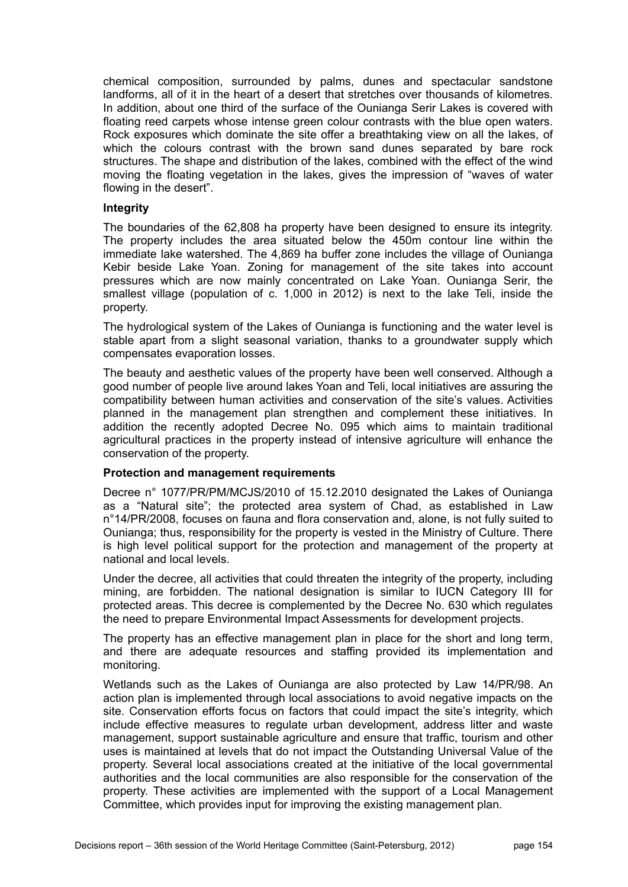chemical composition, surrounded by palms, dunes and spectacular sandstone landforms, all of it in the heart of a desert that stretches over thousands of kilometres. In addition, about one third of the surface of the Ounianga Serir Lakes is covered with floating reed carpets whose intense green colour contrasts with the blue open waters. Rock exposures which dominate the site offer a breathtaking view on all the lakes, of which the colours contrast with the brown sand dunes separated by bare rock structures. The shape and distribution of the lakes, combined with the effect of the wind moving the floating vegetation in the lakes, gives the impression of "waves of water flowing in the desert".

#### **Integrity**

The boundaries of the 62,808 ha property have been designed to ensure its integrity. The property includes the area situated below the 450m contour line within the immediate lake watershed. The 4,869 ha buffer zone includes the village of Ounianga Kebir beside Lake Yoan. Zoning for management of the site takes into account pressures which are now mainly concentrated on Lake Yoan. Ounianga Serir, the smallest village (population of c. 1,000 in 2012) is next to the lake Teli, inside the property.

The hydrological system of the Lakes of Ounianga is functioning and the water level is stable apart from a slight seasonal variation, thanks to a groundwater supply which compensates evaporation losses.

The beauty and aesthetic values of the property have been well conserved. Although a good number of people live around lakes Yoan and Teli, local initiatives are assuring the compatibility between human activities and conservation of the site's values. Activities planned in the management plan strengthen and complement these initiatives. In addition the recently adopted Decree No. 095 which aims to maintain traditional agricultural practices in the property instead of intensive agriculture will enhance the conservation of the property.

#### **Protection and management requirements**

Decree n° 1077/PR/PM/MCJS/2010 of 15.12.2010 designated the Lakes of Ounianga as a "Natural site"; the protected area system of Chad, as established in Law n°14/PR/2008, focuses on fauna and flora conservation and, alone, is not fully suited to Ounianga; thus, responsibility for the property is vested in the Ministry of Culture. There is high level political support for the protection and management of the property at national and local levels.

Under the decree, all activities that could threaten the integrity of the property, including mining, are forbidden. The national designation is similar to IUCN Category III for protected areas. This decree is complemented by the Decree No. 630 which regulates the need to prepare Environmental Impact Assessments for development projects.

The property has an effective management plan in place for the short and long term, and there are adequate resources and staffing provided its implementation and monitoring.

Wetlands such as the Lakes of Ounianga are also protected by Law 14/PR/98. An action plan is implemented through local associations to avoid negative impacts on the site. Conservation efforts focus on factors that could impact the site's integrity, which include effective measures to regulate urban development, address litter and waste management, support sustainable agriculture and ensure that traffic, tourism and other uses is maintained at levels that do not impact the Outstanding Universal Value of the property. Several local associations created at the initiative of the local governmental authorities and the local communities are also responsible for the conservation of the property. These activities are implemented with the support of a Local Management Committee, which provides input for improving the existing management plan.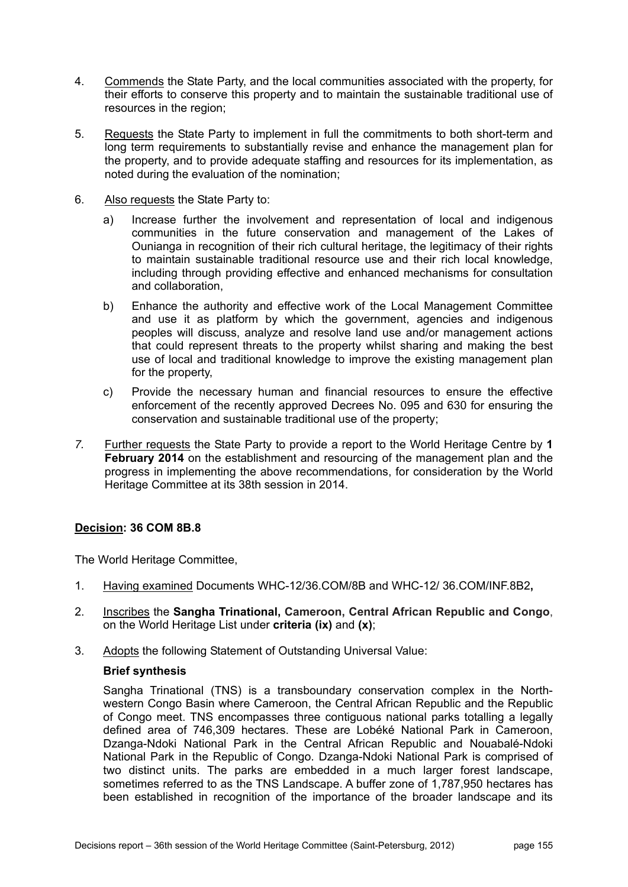- 4. Commends the State Party, and the local communities associated with the property, for their efforts to conserve this property and to maintain the sustainable traditional use of resources in the region;
- 5. Requests the State Party to implement in full the commitments to both short-term and long term requirements to substantially revise and enhance the management plan for the property, and to provide adequate staffing and resources for its implementation, as noted during the evaluation of the nomination;
- 6. Also requests the State Party to:
	- a) Increase further the involvement and representation of local and indigenous communities in the future conservation and management of the Lakes of Ounianga in recognition of their rich cultural heritage, the legitimacy of their rights to maintain sustainable traditional resource use and their rich local knowledge, including through providing effective and enhanced mechanisms for consultation and collaboration,
	- b) Enhance the authority and effective work of the Local Management Committee and use it as platform by which the government, agencies and indigenous peoples will discuss, analyze and resolve land use and/or management actions that could represent threats to the property whilst sharing and making the best use of local and traditional knowledge to improve the existing management plan for the property,
	- c) Provide the necessary human and financial resources to ensure the effective enforcement of the recently approved Decrees No. 095 and 630 for ensuring the conservation and sustainable traditional use of the property;
- *7.* Further requests the State Party to provide a report to the World Heritage Centre by **1 February 2014** on the establishment and resourcing of the management plan and the progress in implementing the above recommendations, for consideration by the World Heritage Committee at its 38th session in 2014.

The World Heritage Committee,

- 1. Having examined Documents WHC-12/36.COM/8B and WHC-12/ 36.COM/INF.8B2**,**
- 2. Inscribes the **Sangha Trinational, Cameroon, Central African Republic and Congo**, on the World Heritage List under **criteria (ix)** and **(x)**;
- 3. Adopts the following Statement of Outstanding Universal Value:

## **Brief synthesis**

Sangha Trinational (TNS) is a transboundary conservation complex in the Northwestern Congo Basin where Cameroon, the Central African Republic and the Republic of Congo meet. TNS encompasses three contiguous national parks totalling a legally defined area of 746,309 hectares. These are Lobéké National Park in Cameroon, Dzanga-Ndoki National Park in the Central African Republic and Nouabalé-Ndoki National Park in the Republic of Congo. Dzanga-Ndoki National Park is comprised of two distinct units. The parks are embedded in a much larger forest landscape, sometimes referred to as the TNS Landscape. A buffer zone of 1,787,950 hectares has been established in recognition of the importance of the broader landscape and its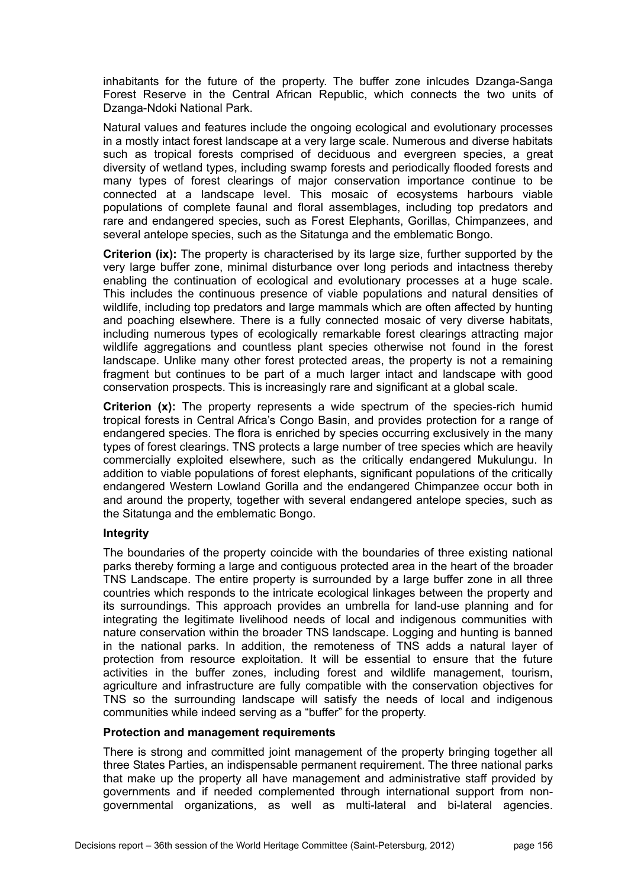inhabitants for the future of the property. The buffer zone inlcudes Dzanga-Sanga Forest Reserve in the Central African Republic, which connects the two units of Dzanga-Ndoki National Park.

Natural values and features include the ongoing ecological and evolutionary processes in a mostly intact forest landscape at a very large scale. Numerous and diverse habitats such as tropical forests comprised of deciduous and evergreen species, a great diversity of wetland types, including swamp forests and periodically flooded forests and many types of forest clearings of major conservation importance continue to be connected at a landscape level. This mosaic of ecosystems harbours viable populations of complete faunal and floral assemblages, including top predators and rare and endangered species, such as Forest Elephants, Gorillas, Chimpanzees, and several antelope species, such as the Sitatunga and the emblematic Bongo.

**Criterion (ix):** The property is characterised by its large size, further supported by the very large buffer zone, minimal disturbance over long periods and intactness thereby enabling the continuation of ecological and evolutionary processes at a huge scale. This includes the continuous presence of viable populations and natural densities of wildlife, including top predators and large mammals which are often affected by hunting and poaching elsewhere. There is a fully connected mosaic of very diverse habitats, including numerous types of ecologically remarkable forest clearings attracting major wildlife aggregations and countless plant species otherwise not found in the forest landscape. Unlike many other forest protected areas, the property is not a remaining fragment but continues to be part of a much larger intact and landscape with good conservation prospects. This is increasingly rare and significant at a global scale.

**Criterion (x):** The property represents a wide spectrum of the species-rich humid tropical forests in Central Africa's Congo Basin, and provides protection for a range of endangered species. The flora is enriched by species occurring exclusively in the many types of forest clearings. TNS protects a large number of tree species which are heavily commercially exploited elsewhere, such as the critically endangered Mukulungu. In addition to viable populations of forest elephants, significant populations of the critically endangered Western Lowland Gorilla and the endangered Chimpanzee occur both in and around the property, together with several endangered antelope species, such as the Sitatunga and the emblematic Bongo.

## **Integrity**

The boundaries of the property coincide with the boundaries of three existing national parks thereby forming a large and contiguous protected area in the heart of the broader TNS Landscape. The entire property is surrounded by a large buffer zone in all three countries which responds to the intricate ecological linkages between the property and its surroundings. This approach provides an umbrella for land-use planning and for integrating the legitimate livelihood needs of local and indigenous communities with nature conservation within the broader TNS landscape. Logging and hunting is banned in the national parks. In addition, the remoteness of TNS adds a natural layer of protection from resource exploitation. It will be essential to ensure that the future activities in the buffer zones, including forest and wildlife management, tourism, agriculture and infrastructure are fully compatible with the conservation objectives for TNS so the surrounding landscape will satisfy the needs of local and indigenous communities while indeed serving as a "buffer" for the property.

#### **Protection and management requirements**

There is strong and committed joint management of the property bringing together all three States Parties, an indispensable permanent requirement. The three national parks that make up the property all have management and administrative staff provided by governments and if needed complemented through international support from nongovernmental organizations, as well as multi-lateral and bi-lateral agencies.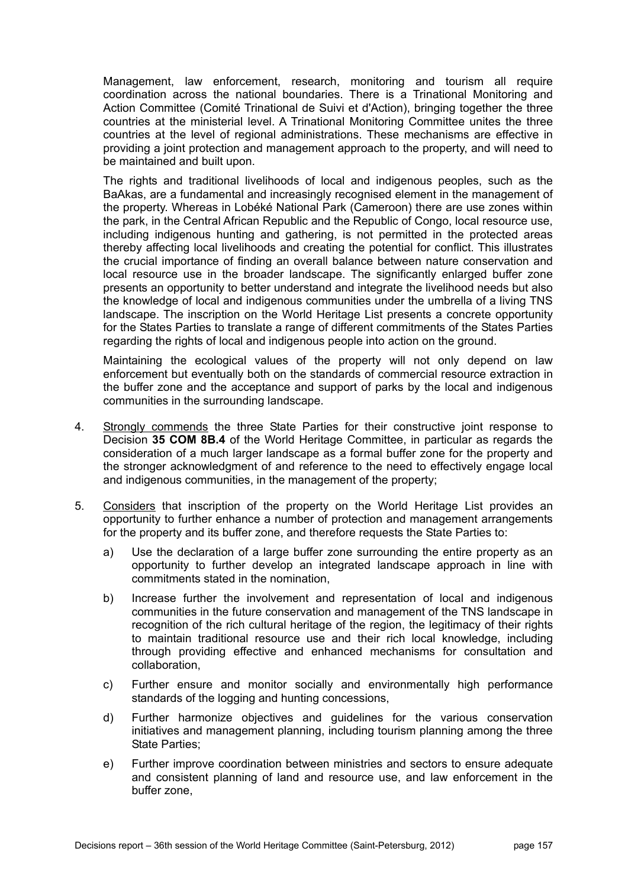Management, law enforcement, research, monitoring and tourism all require coordination across the national boundaries. There is a Trinational Monitoring and Action Committee (Comité Trinational de Suivi et d'Action), bringing together the three countries at the ministerial level. A Trinational Monitoring Committee unites the three countries at the level of regional administrations. These mechanisms are effective in providing a joint protection and management approach to the property, and will need to be maintained and built upon.

The rights and traditional livelihoods of local and indigenous peoples, such as the BaAkas, are a fundamental and increasingly recognised element in the management of the property. Whereas in Lobéké National Park (Cameroon) there are use zones within the park, in the Central African Republic and the Republic of Congo, local resource use, including indigenous hunting and gathering, is not permitted in the protected areas thereby affecting local livelihoods and creating the potential for conflict. This illustrates the crucial importance of finding an overall balance between nature conservation and local resource use in the broader landscape. The significantly enlarged buffer zone presents an opportunity to better understand and integrate the livelihood needs but also the knowledge of local and indigenous communities under the umbrella of a living TNS landscape. The inscription on the World Heritage List presents a concrete opportunity for the States Parties to translate a range of different commitments of the States Parties regarding the rights of local and indigenous people into action on the ground.

Maintaining the ecological values of the property will not only depend on law enforcement but eventually both on the standards of commercial resource extraction in the buffer zone and the acceptance and support of parks by the local and indigenous communities in the surrounding landscape.

- 4. Strongly commends the three State Parties for their constructive joint response to Decision **35 COM 8B.4** of the World Heritage Committee, in particular as regards the consideration of a much larger landscape as a formal buffer zone for the property and the stronger acknowledgment of and reference to the need to effectively engage local and indigenous communities, in the management of the property;
- 5. Considers that inscription of the property on the World Heritage List provides an opportunity to further enhance a number of protection and management arrangements for the property and its buffer zone, and therefore requests the State Parties to:
	- a) Use the declaration of a large buffer zone surrounding the entire property as an opportunity to further develop an integrated landscape approach in line with commitments stated in the nomination,
	- b) Increase further the involvement and representation of local and indigenous communities in the future conservation and management of the TNS landscape in recognition of the rich cultural heritage of the region, the legitimacy of their rights to maintain traditional resource use and their rich local knowledge, including through providing effective and enhanced mechanisms for consultation and collaboration,
	- c) Further ensure and monitor socially and environmentally high performance standards of the logging and hunting concessions,
	- d) Further harmonize objectives and guidelines for the various conservation initiatives and management planning, including tourism planning among the three State Parties;
	- e) Further improve coordination between ministries and sectors to ensure adequate and consistent planning of land and resource use, and law enforcement in the buffer zone,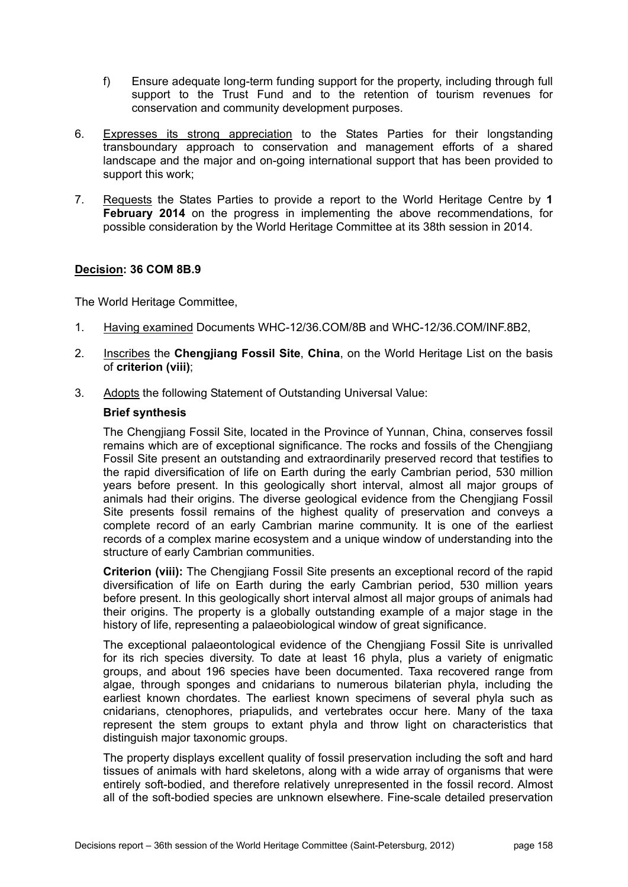- f) Ensure adequate long-term funding support for the property, including through full support to the Trust Fund and to the retention of tourism revenues for conservation and community development purposes.
- 6. Expresses its strong appreciation to the States Parties for their longstanding transboundary approach to conservation and management efforts of a shared landscape and the major and on-going international support that has been provided to support this work;
- 7. Requests the States Parties to provide a report to the World Heritage Centre by **1 February 2014** on the progress in implementing the above recommendations, for possible consideration by the World Heritage Committee at its 38th session in 2014.

The World Heritage Committee,

- 1. Having examined Documents WHC-12/36.COM/8B and WHC-12/36.COM/INF.8B2,
- 2. Inscribes the **Chengjiang Fossil Site**, **China**, on the World Heritage List on the basis of **criterion (viii)**;
- 3. Adopts the following Statement of Outstanding Universal Value:

# **Brief synthesis**

The Chengjiang Fossil Site, located in the Province of Yunnan, China, conserves fossil remains which are of exceptional significance. The rocks and fossils of the Chengjiang Fossil Site present an outstanding and extraordinarily preserved record that testifies to the rapid diversification of life on Earth during the early Cambrian period, 530 million years before present. In this geologically short interval, almost all major groups of animals had their origins. The diverse geological evidence from the Chengjiang Fossil Site presents fossil remains of the highest quality of preservation and conveys a complete record of an early Cambrian marine community. It is one of the earliest records of a complex marine ecosystem and a unique window of understanding into the structure of early Cambrian communities.

**Criterion (viii):** The Chengjiang Fossil Site presents an exceptional record of the rapid diversification of life on Earth during the early Cambrian period, 530 million years before present. In this geologically short interval almost all major groups of animals had their origins. The property is a globally outstanding example of a major stage in the history of life, representing a palaeobiological window of great significance.

The exceptional palaeontological evidence of the Chengjiang Fossil Site is unrivalled for its rich species diversity. To date at least 16 phyla, plus a variety of enigmatic groups, and about 196 species have been documented. Taxa recovered range from algae, through sponges and cnidarians to numerous bilaterian phyla, including the earliest known chordates. The earliest known specimens of several phyla such as cnidarians, ctenophores, priapulids, and vertebrates occur here. Many of the taxa represent the stem groups to extant phyla and throw light on characteristics that distinguish major taxonomic groups.

The property displays excellent quality of fossil preservation including the soft and hard tissues of animals with hard skeletons, along with a wide array of organisms that were entirely soft-bodied, and therefore relatively unrepresented in the fossil record. Almost all of the soft-bodied species are unknown elsewhere. Fine-scale detailed preservation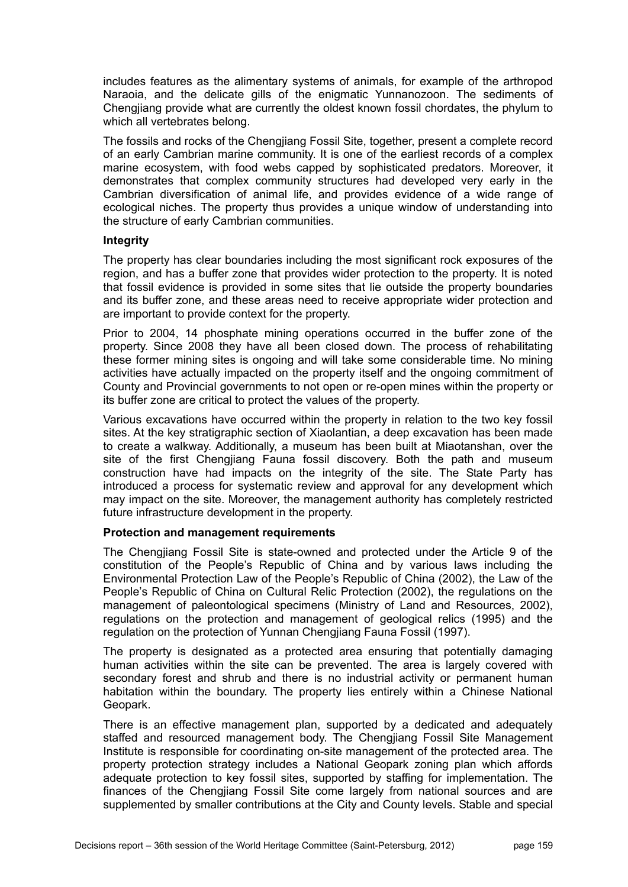includes features as the alimentary systems of animals, for example of the arthropod Naraoia, and the delicate gills of the enigmatic Yunnanozoon. The sediments of Chengjiang provide what are currently the oldest known fossil chordates, the phylum to which all vertebrates belong.

The fossils and rocks of the Chengjiang Fossil Site, together, present a complete record of an early Cambrian marine community. It is one of the earliest records of a complex marine ecosystem, with food webs capped by sophisticated predators. Moreover, it demonstrates that complex community structures had developed very early in the Cambrian diversification of animal life, and provides evidence of a wide range of ecological niches. The property thus provides a unique window of understanding into the structure of early Cambrian communities.

#### **Integrity**

The property has clear boundaries including the most significant rock exposures of the region, and has a buffer zone that provides wider protection to the property. It is noted that fossil evidence is provided in some sites that lie outside the property boundaries and its buffer zone, and these areas need to receive appropriate wider protection and are important to provide context for the property.

Prior to 2004, 14 phosphate mining operations occurred in the buffer zone of the property. Since 2008 they have all been closed down. The process of rehabilitating these former mining sites is ongoing and will take some considerable time. No mining activities have actually impacted on the property itself and the ongoing commitment of County and Provincial governments to not open or re-open mines within the property or its buffer zone are critical to protect the values of the property.

Various excavations have occurred within the property in relation to the two key fossil sites. At the key stratigraphic section of Xiaolantian, a deep excavation has been made to create a walkway. Additionally, a museum has been built at Miaotanshan, over the site of the first Chengjiang Fauna fossil discovery. Both the path and museum construction have had impacts on the integrity of the site. The State Party has introduced a process for systematic review and approval for any development which may impact on the site. Moreover, the management authority has completely restricted future infrastructure development in the property.

## **Protection and management requirements**

The Chengjiang Fossil Site is state-owned and protected under the Article 9 of the constitution of the People's Republic of China and by various laws including the Environmental Protection Law of the People's Republic of China (2002), the Law of the People's Republic of China on Cultural Relic Protection (2002), the regulations on the management of paleontological specimens (Ministry of Land and Resources, 2002), regulations on the protection and management of geological relics (1995) and the regulation on the protection of Yunnan Chengiiang Fauna Fossil (1997).

The property is designated as a protected area ensuring that potentially damaging human activities within the site can be prevented. The area is largely covered with secondary forest and shrub and there is no industrial activity or permanent human habitation within the boundary. The property lies entirely within a Chinese National Geopark.

There is an effective management plan, supported by a dedicated and adequately staffed and resourced management body. The Chengjiang Fossil Site Management Institute is responsible for coordinating on-site management of the protected area. The property protection strategy includes a National Geopark zoning plan which affords adequate protection to key fossil sites, supported by staffing for implementation. The finances of the Chengjiang Fossil Site come largely from national sources and are supplemented by smaller contributions at the City and County levels. Stable and special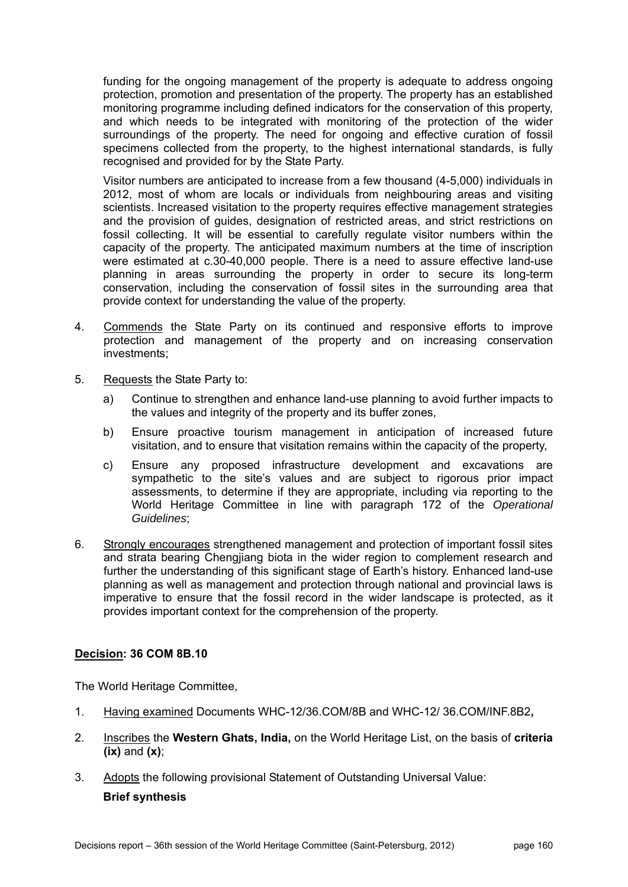funding for the ongoing management of the property is adequate to address ongoing protection, promotion and presentation of the property. The property has an established monitoring programme including defined indicators for the conservation of this property, and which needs to be integrated with monitoring of the protection of the wider surroundings of the property. The need for ongoing and effective curation of fossil specimens collected from the property, to the highest international standards, is fully recognised and provided for by the State Party.

Visitor numbers are anticipated to increase from a few thousand (4-5,000) individuals in 2012, most of whom are locals or individuals from neighbouring areas and visiting scientists. Increased visitation to the property requires effective management strategies and the provision of guides, designation of restricted areas, and strict restrictions on fossil collecting. It will be essential to carefully regulate visitor numbers within the capacity of the property. The anticipated maximum numbers at the time of inscription were estimated at c.30-40,000 people. There is a need to assure effective land-use planning in areas surrounding the property in order to secure its long-term conservation, including the conservation of fossil sites in the surrounding area that provide context for understanding the value of the property.

- 4. Commends the State Party on its continued and responsive efforts to improve protection and management of the property and on increasing conservation investments;
- 5. Requests the State Party to:
	- a) Continue to strengthen and enhance land-use planning to avoid further impacts to the values and integrity of the property and its buffer zones,
	- b) Ensure proactive tourism management in anticipation of increased future visitation, and to ensure that visitation remains within the capacity of the property,
	- c) Ensure any proposed infrastructure development and excavations are sympathetic to the site's values and are subject to rigorous prior impact assessments, to determine if they are appropriate, including via reporting to the World Heritage Committee in line with paragraph 172 of the *Operational Guidelines*;
- 6. Strongly encourages strengthened management and protection of important fossil sites and strata bearing Chengjiang biota in the wider region to complement research and further the understanding of this significant stage of Earth's history. Enhanced land-use planning as well as management and protection through national and provincial laws is imperative to ensure that the fossil record in the wider landscape is protected, as it provides important context for the comprehension of the property.

# **Decision: 36 COM 8B.10**

The World Heritage Committee,

- 1. Having examined Documents WHC-12/36.COM/8B and WHC-12/ 36.COM/INF.8B2**,**
- 2. Inscribes the **Western Ghats, India,** on the World Heritage List, on the basis of **criteria (ix)** and **(x)**;
- 3. Adopts the following provisional Statement of Outstanding Universal Value:

## **Brief synthesis**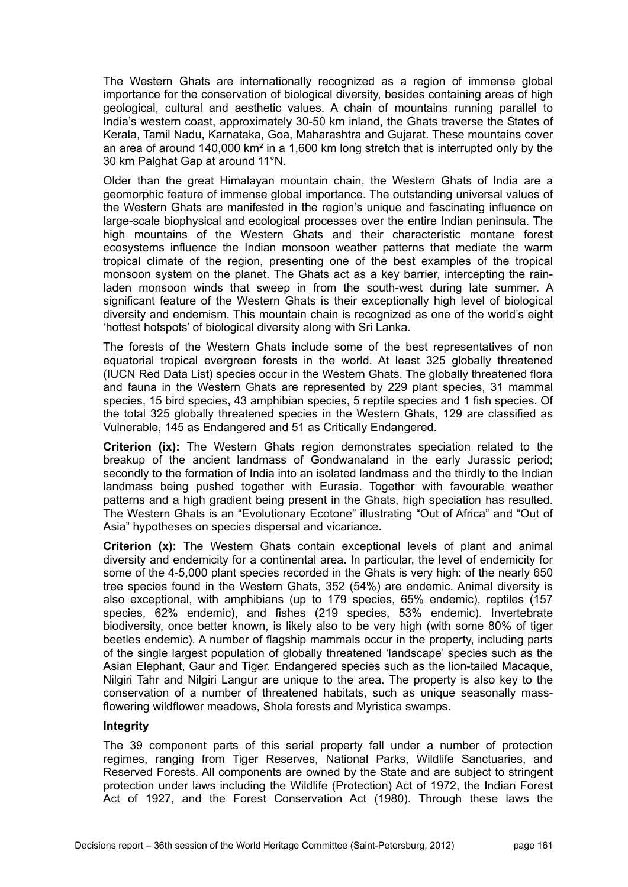The Western Ghats are internationally recognized as a region of immense global importance for the conservation of biological diversity, besides containing areas of high geological, cultural and aesthetic values. A chain of mountains running parallel to India's western coast, approximately 30-50 km inland, the Ghats traverse the States of Kerala, Tamil Nadu, Karnataka, Goa, Maharashtra and Gujarat. These mountains cover an area of around 140,000 km² in a 1,600 km long stretch that is interrupted only by the 30 km Palghat Gap at around 11°N.

Older than the great Himalayan mountain chain, the Western Ghats of India are a geomorphic feature of immense global importance. The outstanding universal values of the Western Ghats are manifested in the region's unique and fascinating influence on large-scale biophysical and ecological processes over the entire Indian peninsula. The high mountains of the Western Ghats and their characteristic montane forest ecosystems influence the Indian monsoon weather patterns that mediate the warm tropical climate of the region, presenting one of the best examples of the tropical monsoon system on the planet. The Ghats act as a key barrier, intercepting the rainladen monsoon winds that sweep in from the south-west during late summer. A significant feature of the Western Ghats is their exceptionally high level of biological diversity and endemism. This mountain chain is recognized as one of the world's eight 'hottest hotspots' of biological diversity along with Sri Lanka.

The forests of the Western Ghats include some of the best representatives of non equatorial tropical evergreen forests in the world. At least 325 globally threatened (IUCN Red Data List) species occur in the Western Ghats. The globally threatened flora and fauna in the Western Ghats are represented by 229 plant species, 31 mammal species, 15 bird species, 43 amphibian species, 5 reptile species and 1 fish species. Of the total 325 globally threatened species in the Western Ghats, 129 are classified as Vulnerable, 145 as Endangered and 51 as Critically Endangered.

**Criterion (ix):** The Western Ghats region demonstrates speciation related to the breakup of the ancient landmass of Gondwanaland in the early Jurassic period; secondly to the formation of India into an isolated landmass and the thirdly to the Indian landmass being pushed together with Eurasia. Together with favourable weather patterns and a high gradient being present in the Ghats, high speciation has resulted. The Western Ghats is an "Evolutionary Ecotone" illustrating "Out of Africa" and "Out of Asia" hypotheses on species dispersal and vicariance**.** 

**Criterion (x):** The Western Ghats contain exceptional levels of plant and animal diversity and endemicity for a continental area. In particular, the level of endemicity for some of the 4-5,000 plant species recorded in the Ghats is very high: of the nearly 650 tree species found in the Western Ghats, 352 (54%) are endemic. Animal diversity is also exceptional, with amphibians (up to 179 species, 65% endemic), reptiles (157 species, 62% endemic), and fishes (219 species, 53% endemic). Invertebrate biodiversity, once better known, is likely also to be very high (with some 80% of tiger beetles endemic). A number of flagship mammals occur in the property, including parts of the single largest population of globally threatened 'landscape' species such as the Asian Elephant, Gaur and Tiger. Endangered species such as the lion-tailed Macaque, Nilgiri Tahr and Nilgiri Langur are unique to the area. The property is also key to the conservation of a number of threatened habitats, such as unique seasonally massflowering wildflower meadows, Shola forests and Myristica swamps.

## **Integrity**

The 39 component parts of this serial property fall under a number of protection regimes, ranging from Tiger Reserves, National Parks, Wildlife Sanctuaries, and Reserved Forests. All components are owned by the State and are subject to stringent protection under laws including the Wildlife (Protection) Act of 1972, the Indian Forest Act of 1927, and the Forest Conservation Act (1980). Through these laws the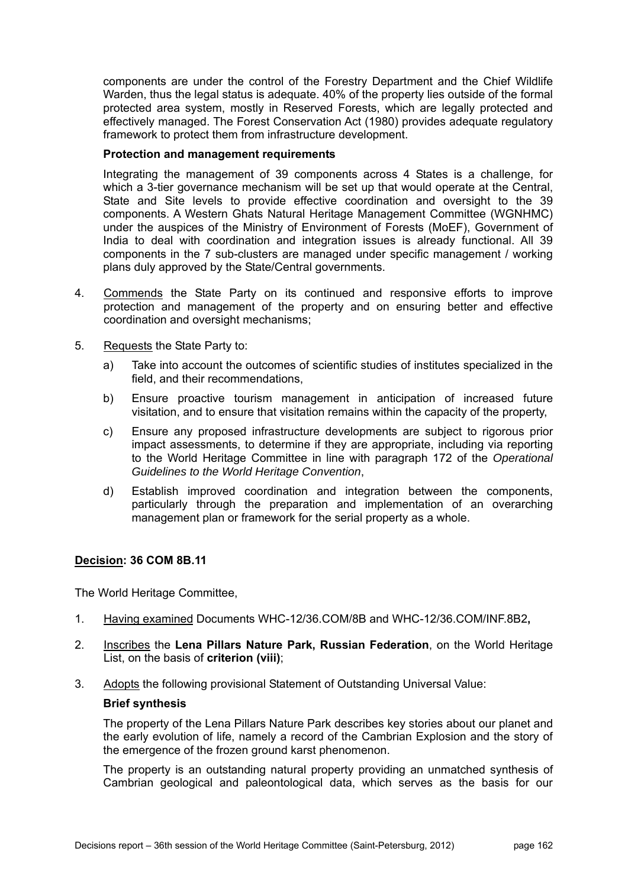components are under the control of the Forestry Department and the Chief Wildlife Warden, thus the legal status is adequate. 40% of the property lies outside of the formal protected area system, mostly in Reserved Forests, which are legally protected and effectively managed. The Forest Conservation Act (1980) provides adequate regulatory framework to protect them from infrastructure development.

## **Protection and management requirements**

Integrating the management of 39 components across 4 States is a challenge, for which a 3-tier governance mechanism will be set up that would operate at the Central, State and Site levels to provide effective coordination and oversight to the 39 components. A Western Ghats Natural Heritage Management Committee (WGNHMC) under the auspices of the Ministry of Environment of Forests (MoEF), Government of India to deal with coordination and integration issues is already functional. All 39 components in the 7 sub-clusters are managed under specific management / working plans duly approved by the State/Central governments.

- 4. Commends the State Party on its continued and responsive efforts to improve protection and management of the property and on ensuring better and effective coordination and oversight mechanisms;
- 5. Requests the State Party to:
	- a) Take into account the outcomes of scientific studies of institutes specialized in the field, and their recommendations,
	- b) Ensure proactive tourism management in anticipation of increased future visitation, and to ensure that visitation remains within the capacity of the property,
	- c) Ensure any proposed infrastructure developments are subject to rigorous prior impact assessments, to determine if they are appropriate, including via reporting to the World Heritage Committee in line with paragraph 172 of the *Operational Guidelines to the World Heritage Convention*,
	- d) Establish improved coordination and integration between the components, particularly through the preparation and implementation of an overarching management plan or framework for the serial property as a whole.

## **Decision: 36 COM 8B.11**

The World Heritage Committee,

- 1. Having examined Documents WHC-12/36.COM/8B and WHC-12/36.COM/INF.8B2**,**
- 2. Inscribes the **Lena Pillars Nature Park, Russian Federation**, on the World Heritage List, on the basis of **criterion (viii)**;
- 3. Adopts the following provisional Statement of Outstanding Universal Value:

## **Brief synthesis**

The property of the Lena Pillars Nature Park describes key stories about our planet and the early evolution of life, namely a record of the Cambrian Explosion and the story of the emergence of the frozen ground karst phenomenon.

The property is an outstanding natural property providing an unmatched synthesis of Cambrian geological and paleontological data, which serves as the basis for our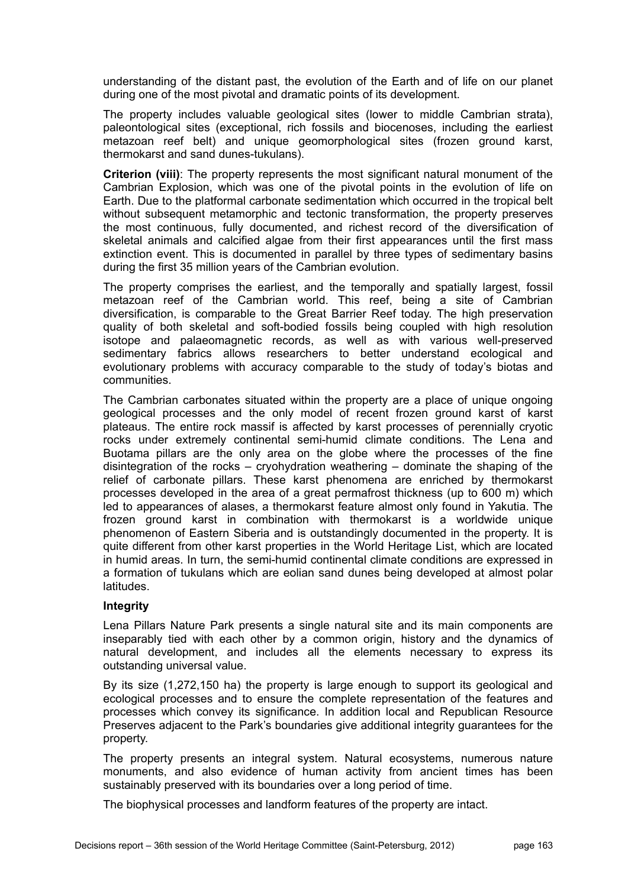understanding of the distant past, the evolution of the Earth and of life on our planet during one of the most pivotal and dramatic points of its development.

The property includes valuable geological sites (lower to middle Cambrian strata), paleontological sites (exceptional, rich fossils and biocenoses, including the earliest metazoan reef belt) and unique geomorphological sites (frozen ground karst, thermokarst and sand dunes-tukulans).

**Criterion (viii)**: The property represents the most significant natural monument of the Cambrian Explosion, which was one of the pivotal points in the evolution of life on Earth. Due to the platformal carbonate sedimentation which occurred in the tropical belt without subsequent metamorphic and tectonic transformation, the property preserves the most continuous, fully documented, and richest record of the diversification of skeletal animals and calcified algae from their first appearances until the first mass extinction event. This is documented in parallel by three types of sedimentary basins during the first 35 million years of the Cambrian evolution.

The property comprises the earliest, and the temporally and spatially largest, fossil metazoan reef of the Cambrian world. This reef, being a site of Cambrian diversification, is comparable to the Great Barrier Reef today. The high preservation quality of both skeletal and soft-bodied fossils being coupled with high resolution isotope and palaeomagnetic records, as well as with various well-preserved sedimentary fabrics allows researchers to better understand ecological and evolutionary problems with accuracy comparable to the study of today's biotas and communities.

The Cambrian carbonates situated within the property are a place of unique ongoing geological processes and the only model of recent frozen ground karst of karst plateaus. The entire rock massif is affected by karst processes of perennially cryotic rocks under extremely continental semi-humid climate conditions. The Lena and Buotama pillars are the only area on the globe where the processes of the fine disintegration of the rocks – cryohydration weathering – dominate the shaping of the relief of carbonate pillars. These karst phenomena are enriched by thermokarst processes developed in the area of a great permafrost thickness (up to 600 m) which led to appearances of alases, a thermokarst feature almost only found in Yakutia. The frozen ground karst in combination with thermokarst is a worldwide unique phenomenon of Eastern Siberia and is outstandingly documented in the property. It is quite different from other karst properties in the World Heritage List, which are located in humid areas. In turn, the semi-humid continental climate conditions are expressed in a formation of tukulans which are eolian sand dunes being developed at almost polar latitudes.

## **Integrity**

Lena Pillars Nature Park presents a single natural site and its main components are inseparably tied with each other by a common origin, history and the dynamics of natural development, and includes all the elements necessary to express its outstanding universal value.

By its size (1,272,150 ha) the property is large enough to support its geological and ecological processes and to ensure the complete representation of the features and processes which convey its significance. In addition local and Republican Resource Preserves adjacent to the Park's boundaries give additional integrity guarantees for the property.

The property presents an integral system. Natural ecosystems, numerous nature monuments, and also evidence of human activity from ancient times has been sustainably preserved with its boundaries over a long period of time.

The biophysical processes and landform features of the property are intact.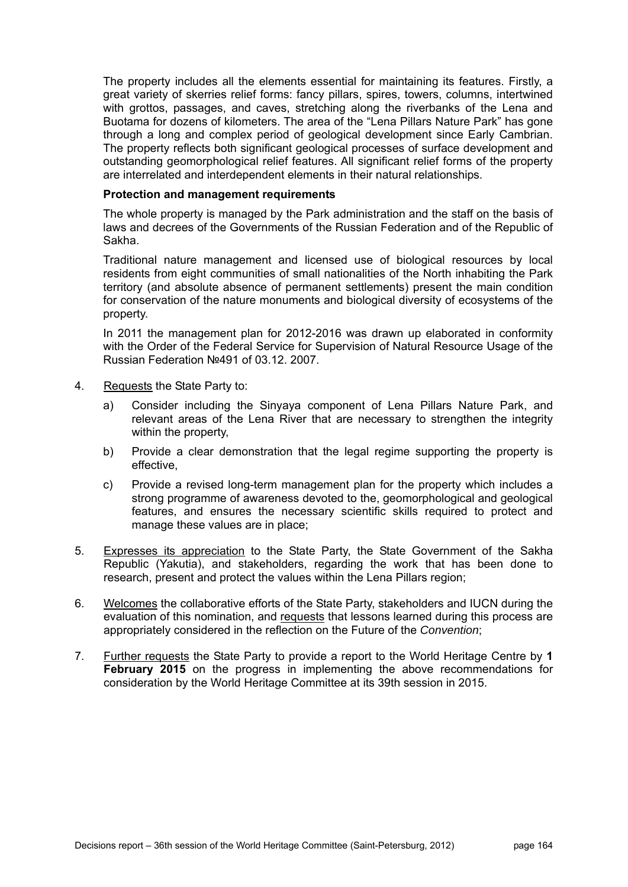The property includes all the elements essential for maintaining its features. Firstly, a great variety of skerries relief forms: fancy pillars, spires, towers, columns, intertwined with grottos, passages, and caves, stretching along the riverbanks of the Lena and Buotama for dozens of kilometers. The area of the "Lena Pillars Nature Park" has gone through a long and complex period of geological development since Early Cambrian. The property reflects both significant geological processes of surface development and outstanding geomorphological relief features. All significant relief forms of the property are interrelated and interdependent elements in their natural relationships.

#### **Protection and management requirements**

The whole property is managed by the Park administration and the staff on the basis of laws and decrees of the Governments of the Russian Federation and of the Republic of Sakha.

Traditional nature management and licensed use of biological resources by local residents from eight communities of small nationalities of the North inhabiting the Park territory (and absolute absence of permanent settlements) present the main condition for conservation of the nature monuments and biological diversity of ecosystems of the property.

In 2011 the management plan for 2012-2016 was drawn up elaborated in conformity with the Order of the Federal Service for Supervision of Natural Resource Usage of the Russian Federation №491 of 03.12. 2007.

- 4. Requests the State Party to:
	- a) Consider including the Sinyaya component of Lena Pillars Nature Park, and relevant areas of the Lena River that are necessary to strengthen the integrity within the property,
	- b) Provide a clear demonstration that the legal regime supporting the property is effective,
	- c) Provide a revised long-term management plan for the property which includes a strong programme of awareness devoted to the, geomorphological and geological features, and ensures the necessary scientific skills required to protect and manage these values are in place;
- 5. Expresses its appreciation to the State Party, the State Government of the Sakha Republic (Yakutia), and stakeholders, regarding the work that has been done to research, present and protect the values within the Lena Pillars region;
- 6. Welcomes the collaborative efforts of the State Party, stakeholders and IUCN during the evaluation of this nomination, and requests that lessons learned during this process are appropriately considered in the reflection on the Future of the *Convention*;
- 7. Further requests the State Party to provide a report to the World Heritage Centre by **1 February 2015** on the progress in implementing the above recommendations for consideration by the World Heritage Committee at its 39th session in 2015.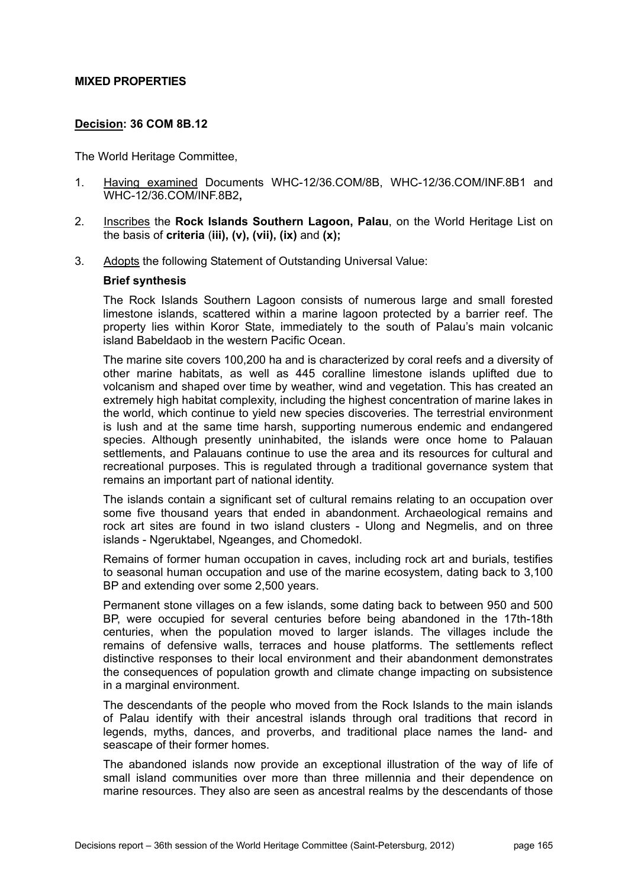### **MIXED PROPERTIES**

## **Decision: 36 COM 8B.12**

The World Heritage Committee,

- 1. Having examined Documents WHC-12/36.COM/8B, WHC-12/36.COM/INF.8B1 and WHC-12/36.COM/INF.8B2**,**
- 2. Inscribes the **Rock Islands Southern Lagoon, Palau**, on the World Heritage List on the basis of **criteria** (**iii), (v), (vii), (ix)** and **(x);**
- 3. Adopts the following Statement of Outstanding Universal Value:

### **Brief synthesis**

The Rock Islands Southern Lagoon consists of numerous large and small forested limestone islands, scattered within a marine lagoon protected by a barrier reef. The property lies within Koror State, immediately to the south of Palau's main volcanic island Babeldaob in the western Pacific Ocean.

The marine site covers 100,200 ha and is characterized by coral reefs and a diversity of other marine habitats, as well as 445 coralline limestone islands uplifted due to volcanism and shaped over time by weather, wind and vegetation. This has created an extremely high habitat complexity, including the highest concentration of marine lakes in the world, which continue to yield new species discoveries. The terrestrial environment is lush and at the same time harsh, supporting numerous endemic and endangered species. Although presently uninhabited, the islands were once home to Palauan settlements, and Palauans continue to use the area and its resources for cultural and recreational purposes. This is regulated through a traditional governance system that remains an important part of national identity.

The islands contain a significant set of cultural remains relating to an occupation over some five thousand years that ended in abandonment. Archaeological remains and rock art sites are found in two island clusters - Ulong and Negmelis, and on three islands - Ngeruktabel, Ngeanges, and Chomedokl.

Remains of former human occupation in caves, including rock art and burials, testifies to seasonal human occupation and use of the marine ecosystem, dating back to 3,100 BP and extending over some 2,500 years.

Permanent stone villages on a few islands, some dating back to between 950 and 500 BP, were occupied for several centuries before being abandoned in the 17th-18th centuries, when the population moved to larger islands. The villages include the remains of defensive walls, terraces and house platforms. The settlements reflect distinctive responses to their local environment and their abandonment demonstrates the consequences of population growth and climate change impacting on subsistence in a marginal environment.

The descendants of the people who moved from the Rock Islands to the main islands of Palau identify with their ancestral islands through oral traditions that record in legends, myths, dances, and proverbs, and traditional place names the land- and seascape of their former homes.

The abandoned islands now provide an exceptional illustration of the way of life of small island communities over more than three millennia and their dependence on marine resources. They also are seen as ancestral realms by the descendants of those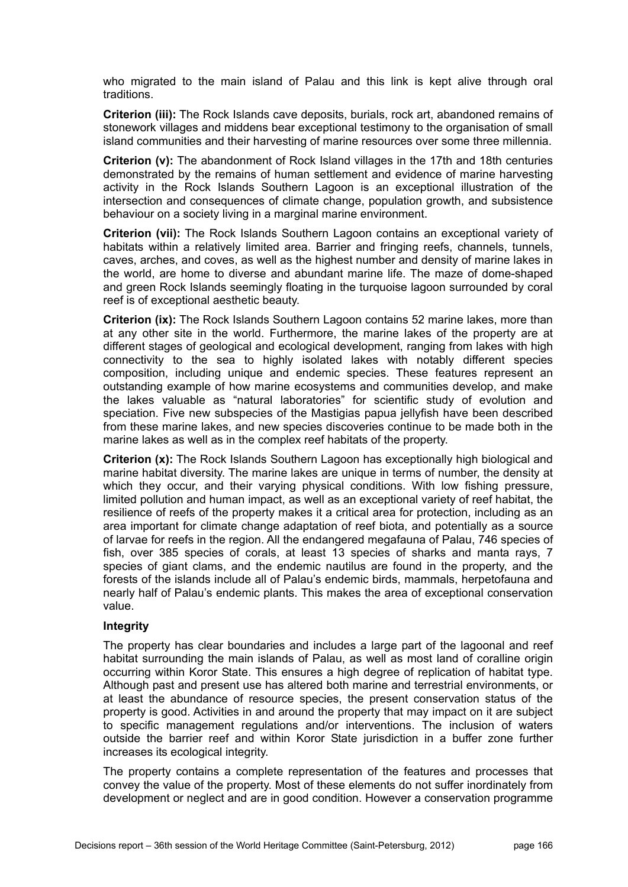who migrated to the main island of Palau and this link is kept alive through oral traditions.

**Criterion (iii):** The Rock Islands cave deposits, burials, rock art, abandoned remains of stonework villages and middens bear exceptional testimony to the organisation of small island communities and their harvesting of marine resources over some three millennia.

**Criterion (v):** The abandonment of Rock Island villages in the 17th and 18th centuries demonstrated by the remains of human settlement and evidence of marine harvesting activity in the Rock Islands Southern Lagoon is an exceptional illustration of the intersection and consequences of climate change, population growth, and subsistence behaviour on a society living in a marginal marine environment.

**Criterion (vii):** The Rock Islands Southern Lagoon contains an exceptional variety of habitats within a relatively limited area. Barrier and fringing reefs, channels, tunnels, caves, arches, and coves, as well as the highest number and density of marine lakes in the world, are home to diverse and abundant marine life. The maze of dome-shaped and green Rock Islands seemingly floating in the turquoise lagoon surrounded by coral reef is of exceptional aesthetic beauty.

**Criterion (ix):** The Rock Islands Southern Lagoon contains 52 marine lakes, more than at any other site in the world. Furthermore, the marine lakes of the property are at different stages of geological and ecological development, ranging from lakes with high connectivity to the sea to highly isolated lakes with notably different species composition, including unique and endemic species. These features represent an outstanding example of how marine ecosystems and communities develop, and make the lakes valuable as "natural laboratories" for scientific study of evolution and speciation. Five new subspecies of the Mastigias papua jellyfish have been described from these marine lakes, and new species discoveries continue to be made both in the marine lakes as well as in the complex reef habitats of the property.

**Criterion (x):** The Rock Islands Southern Lagoon has exceptionally high biological and marine habitat diversity. The marine lakes are unique in terms of number, the density at which they occur, and their varying physical conditions. With low fishing pressure, limited pollution and human impact, as well as an exceptional variety of reef habitat, the resilience of reefs of the property makes it a critical area for protection, including as an area important for climate change adaptation of reef biota, and potentially as a source of larvae for reefs in the region. All the endangered megafauna of Palau, 746 species of fish, over 385 species of corals, at least 13 species of sharks and manta rays, 7 species of giant clams, and the endemic nautilus are found in the property, and the forests of the islands include all of Palau's endemic birds, mammals, herpetofauna and nearly half of Palau's endemic plants. This makes the area of exceptional conservation value.

#### **Integrity**

The property has clear boundaries and includes a large part of the lagoonal and reef habitat surrounding the main islands of Palau, as well as most land of coralline origin occurring within Koror State. This ensures a high degree of replication of habitat type. Although past and present use has altered both marine and terrestrial environments, or at least the abundance of resource species, the present conservation status of the property is good. Activities in and around the property that may impact on it are subject to specific management regulations and/or interventions. The inclusion of waters outside the barrier reef and within Koror State jurisdiction in a buffer zone further increases its ecological integrity.

The property contains a complete representation of the features and processes that convey the value of the property. Most of these elements do not suffer inordinately from development or neglect and are in good condition. However a conservation programme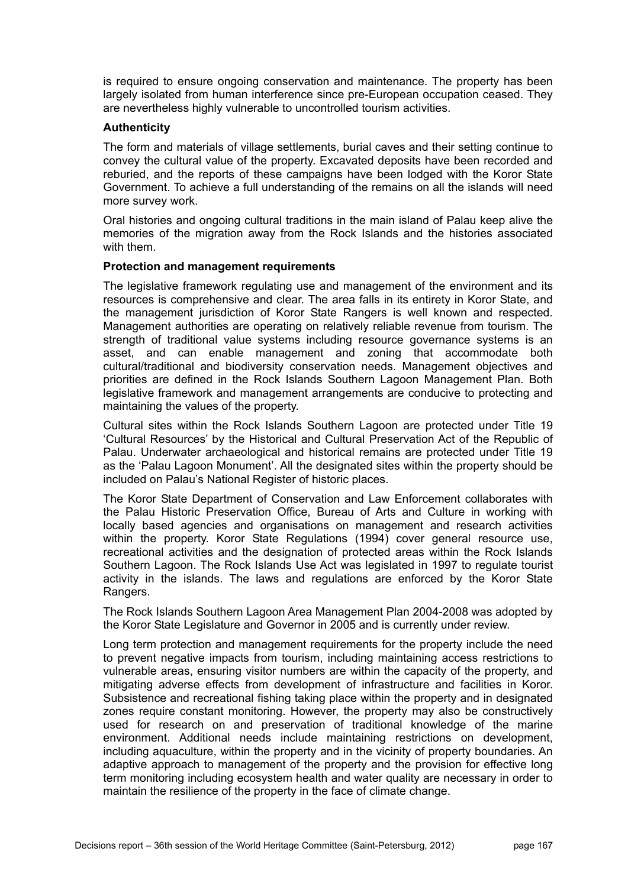is required to ensure ongoing conservation and maintenance. The property has been largely isolated from human interference since pre-European occupation ceased. They are nevertheless highly vulnerable to uncontrolled tourism activities.

### **Authenticity**

The form and materials of village settlements, burial caves and their setting continue to convey the cultural value of the property. Excavated deposits have been recorded and reburied, and the reports of these campaigns have been lodged with the Koror State Government. To achieve a full understanding of the remains on all the islands will need more survey work.

Oral histories and ongoing cultural traditions in the main island of Palau keep alive the memories of the migration away from the Rock Islands and the histories associated with them.

### **Protection and management requirements**

The legislative framework regulating use and management of the environment and its resources is comprehensive and clear. The area falls in its entirety in Koror State, and the management jurisdiction of Koror State Rangers is well known and respected. Management authorities are operating on relatively reliable revenue from tourism. The strength of traditional value systems including resource governance systems is an asset, and can enable management and zoning that accommodate both cultural/traditional and biodiversity conservation needs. Management objectives and priorities are defined in the Rock Islands Southern Lagoon Management Plan. Both legislative framework and management arrangements are conducive to protecting and maintaining the values of the property.

Cultural sites within the Rock Islands Southern Lagoon are protected under Title 19 'Cultural Resources' by the Historical and Cultural Preservation Act of the Republic of Palau. Underwater archaeological and historical remains are protected under Title 19 as the 'Palau Lagoon Monument'. All the designated sites within the property should be included on Palau's National Register of historic places.

The Koror State Department of Conservation and Law Enforcement collaborates with the Palau Historic Preservation Office, Bureau of Arts and Culture in working with locally based agencies and organisations on management and research activities within the property. Koror State Regulations (1994) cover general resource use, recreational activities and the designation of protected areas within the Rock Islands Southern Lagoon. The Rock Islands Use Act was legislated in 1997 to regulate tourist activity in the islands. The laws and regulations are enforced by the Koror State Rangers.

The Rock Islands Southern Lagoon Area Management Plan 2004-2008 was adopted by the Koror State Legislature and Governor in 2005 and is currently under review.

Long term protection and management requirements for the property include the need to prevent negative impacts from tourism, including maintaining access restrictions to vulnerable areas, ensuring visitor numbers are within the capacity of the property, and mitigating adverse effects from development of infrastructure and facilities in Koror. Subsistence and recreational fishing taking place within the property and in designated zones require constant monitoring. However, the property may also be constructively used for research on and preservation of traditional knowledge of the marine environment. Additional needs include maintaining restrictions on development, including aquaculture, within the property and in the vicinity of property boundaries. An adaptive approach to management of the property and the provision for effective long term monitoring including ecosystem health and water quality are necessary in order to maintain the resilience of the property in the face of climate change.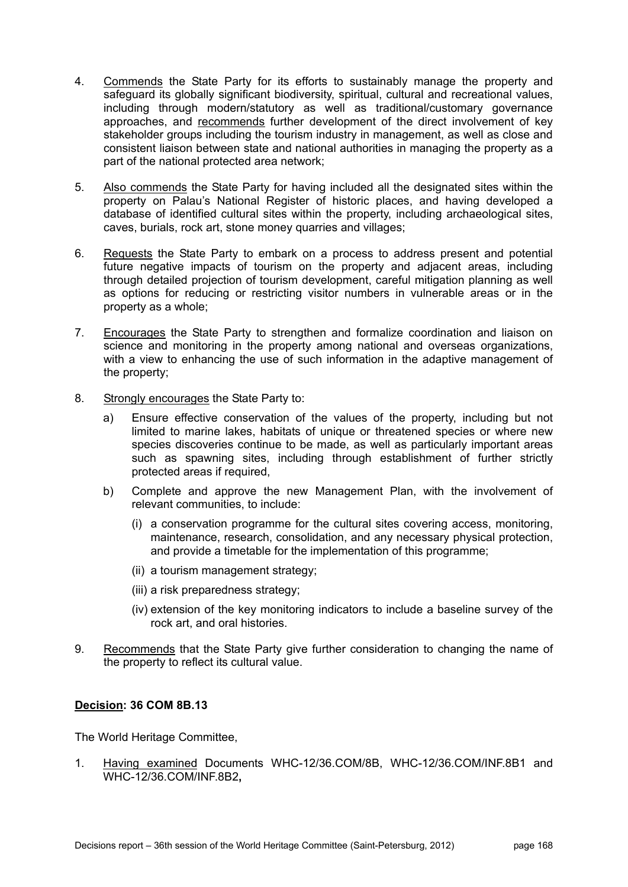- 4. Commends the State Party for its efforts to sustainably manage the property and safeguard its globally significant biodiversity, spiritual, cultural and recreational values, including through modern/statutory as well as traditional/customary governance approaches, and recommends further development of the direct involvement of key stakeholder groups including the tourism industry in management, as well as close and consistent liaison between state and national authorities in managing the property as a part of the national protected area network;
- 5. Also commends the State Party for having included all the designated sites within the property on Palau's National Register of historic places, and having developed a database of identified cultural sites within the property, including archaeological sites, caves, burials, rock art, stone money quarries and villages;
- 6. Requests the State Party to embark on a process to address present and potential future negative impacts of tourism on the property and adjacent areas, including through detailed projection of tourism development, careful mitigation planning as well as options for reducing or restricting visitor numbers in vulnerable areas or in the property as a whole;
- 7. Encourages the State Party to strengthen and formalize coordination and liaison on science and monitoring in the property among national and overseas organizations, with a view to enhancing the use of such information in the adaptive management of the property;
- 8. Strongly encourages the State Party to:
	- a) Ensure effective conservation of the values of the property, including but not limited to marine lakes, habitats of unique or threatened species or where new species discoveries continue to be made, as well as particularly important areas such as spawning sites, including through establishment of further strictly protected areas if required,
	- b) Complete and approve the new Management Plan, with the involvement of relevant communities, to include:
		- (i) a conservation programme for the cultural sites covering access, monitoring, maintenance, research, consolidation, and any necessary physical protection, and provide a timetable for the implementation of this programme;
		- (ii) a tourism management strategy;
		- (iii) a risk preparedness strategy;
		- (iv) extension of the key monitoring indicators to include a baseline survey of the rock art, and oral histories.
- 9. Recommends that the State Party give further consideration to changing the name of the property to reflect its cultural value.

The World Heritage Committee,

1. Having examined Documents WHC-12/36.COM/8B, WHC-12/36.COM/INF.8B1 and WHC-12/36.COM/INF.8B2**,**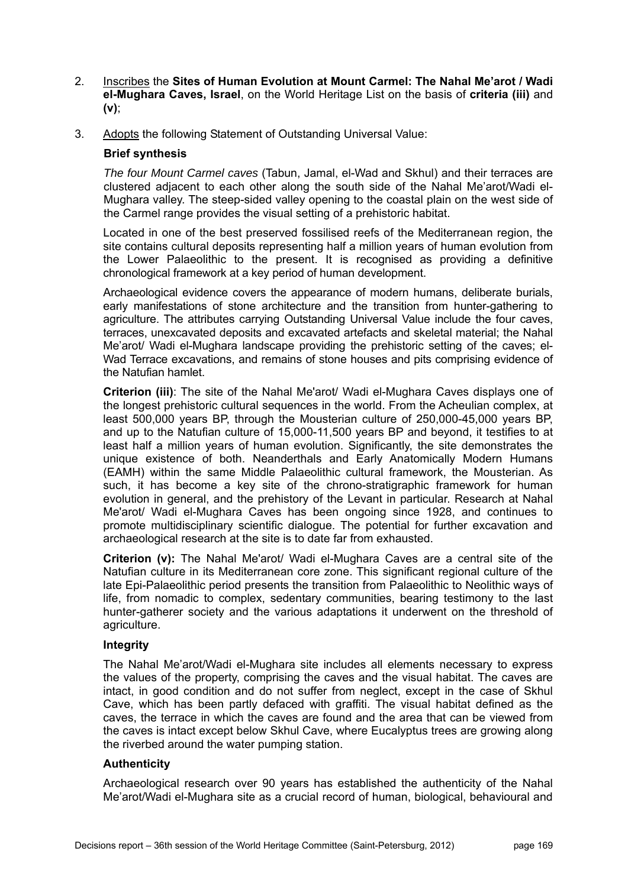- 2. Inscribes the **Sites of Human Evolution at Mount Carmel: The Nahal Me'arot / Wadi el-Mughara Caves, Israel**, on the World Heritage List on the basis of **criteria (iii)** and **(v)**;
- 3. Adopts the following Statement of Outstanding Universal Value:

## **Brief synthesis**

*The four Mount Carmel caves* (Tabun, Jamal, el-Wad and Skhul) and their terraces are clustered adjacent to each other along the south side of the Nahal Me'arot/Wadi el-Mughara valley. The steep-sided valley opening to the coastal plain on the west side of the Carmel range provides the visual setting of a prehistoric habitat.

Located in one of the best preserved fossilised reefs of the Mediterranean region, the site contains cultural deposits representing half a million years of human evolution from the Lower Palaeolithic to the present. It is recognised as providing a definitive chronological framework at a key period of human development.

Archaeological evidence covers the appearance of modern humans, deliberate burials, early manifestations of stone architecture and the transition from hunter-gathering to agriculture. The attributes carrying Outstanding Universal Value include the four caves, terraces, unexcavated deposits and excavated artefacts and skeletal material; the Nahal Me'arot/ Wadi el-Mughara landscape providing the prehistoric setting of the caves; el-Wad Terrace excavations, and remains of stone houses and pits comprising evidence of the Natufian hamlet.

**Criterion (iii)**: The site of the Nahal Me'arot/ Wadi el-Mughara Caves displays one of the longest prehistoric cultural sequences in the world. From the Acheulian complex, at least 500,000 years BP, through the Mousterian culture of 250,000-45,000 years BP, and up to the Natufian culture of 15,000-11,500 years BP and beyond, it testifies to at least half a million years of human evolution. Significantly, the site demonstrates the unique existence of both. Neanderthals and Early Anatomically Modern Humans (EAMH) within the same Middle Palaeolithic cultural framework, the Mousterian. As such, it has become a key site of the chrono-stratigraphic framework for human evolution in general, and the prehistory of the Levant in particular. Research at Nahal Me'arot/ Wadi el-Mughara Caves has been ongoing since 1928, and continues to promote multidisciplinary scientific dialogue. The potential for further excavation and archaeological research at the site is to date far from exhausted.

**Criterion (v):** The Nahal Me'arot/ Wadi el-Mughara Caves are a central site of the Natufian culture in its Mediterranean core zone. This significant regional culture of the late Epi-Palaeolithic period presents the transition from Palaeolithic to Neolithic ways of life, from nomadic to complex, sedentary communities, bearing testimony to the last hunter-gatherer society and the various adaptations it underwent on the threshold of agriculture.

## **Integrity**

The Nahal Me'arot/Wadi el-Mughara site includes all elements necessary to express the values of the property, comprising the caves and the visual habitat. The caves are intact, in good condition and do not suffer from neglect, except in the case of Skhul Cave, which has been partly defaced with graffiti. The visual habitat defined as the caves, the terrace in which the caves are found and the area that can be viewed from the caves is intact except below Skhul Cave, where Eucalyptus trees are growing along the riverbed around the water pumping station.

## **Authenticity**

Archaeological research over 90 years has established the authenticity of the Nahal Me'arot/Wadi el-Mughara site as a crucial record of human, biological, behavioural and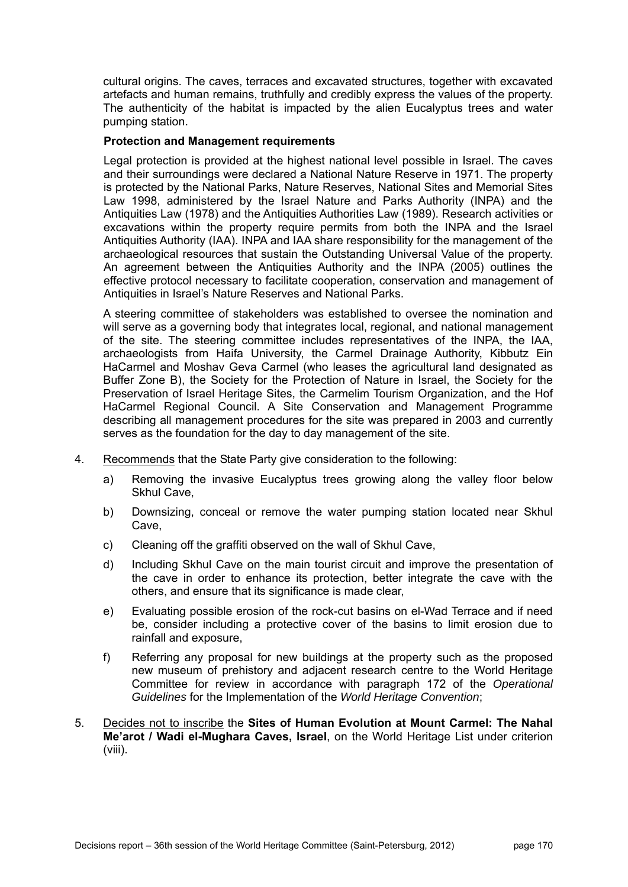cultural origins. The caves, terraces and excavated structures, together with excavated artefacts and human remains, truthfully and credibly express the values of the property. The authenticity of the habitat is impacted by the alien Eucalyptus trees and water pumping station.

## **Protection and Management requirements**

Legal protection is provided at the highest national level possible in Israel. The caves and their surroundings were declared a National Nature Reserve in 1971. The property is protected by the National Parks, Nature Reserves, National Sites and Memorial Sites Law 1998, administered by the Israel Nature and Parks Authority (INPA) and the Antiquities Law (1978) and the Antiquities Authorities Law (1989). Research activities or excavations within the property require permits from both the INPA and the Israel Antiquities Authority (IAA). INPA and IAA share responsibility for the management of the archaeological resources that sustain the Outstanding Universal Value of the property. An agreement between the Antiquities Authority and the INPA (2005) outlines the effective protocol necessary to facilitate cooperation, conservation and management of Antiquities in Israel's Nature Reserves and National Parks.

A steering committee of stakeholders was established to oversee the nomination and will serve as a governing body that integrates local, regional, and national management of the site. The steering committee includes representatives of the INPA, the IAA, archaeologists from Haifa University, the Carmel Drainage Authority, Kibbutz Ein HaCarmel and Moshav Geva Carmel (who leases the agricultural land designated as Buffer Zone B), the Society for the Protection of Nature in Israel, the Society for the Preservation of Israel Heritage Sites, the Carmelim Tourism Organization, and the Hof HaCarmel Regional Council. A Site Conservation and Management Programme describing all management procedures for the site was prepared in 2003 and currently serves as the foundation for the day to day management of the site.

- 4. Recommends that the State Party give consideration to the following:
	- a) Removing the invasive Eucalyptus trees growing along the valley floor below Skhul Cave,
	- b) Downsizing, conceal or remove the water pumping station located near Skhul Cave,
	- c) Cleaning off the graffiti observed on the wall of Skhul Cave,
	- d) Including Skhul Cave on the main tourist circuit and improve the presentation of the cave in order to enhance its protection, better integrate the cave with the others, and ensure that its significance is made clear,
	- e) Evaluating possible erosion of the rock-cut basins on el-Wad Terrace and if need be, consider including a protective cover of the basins to limit erosion due to rainfall and exposure,
	- f) Referring any proposal for new buildings at the property such as the proposed new museum of prehistory and adjacent research centre to the World Heritage Committee for review in accordance with paragraph 172 of the *Operational Guidelines* for the Implementation of the *World Heritage Convention*;
- 5. Decides not to inscribe the **Sites of Human Evolution at Mount Carmel: The Nahal Me'arot / Wadi el-Mughara Caves, Israel**, on the World Heritage List under criterion (viii).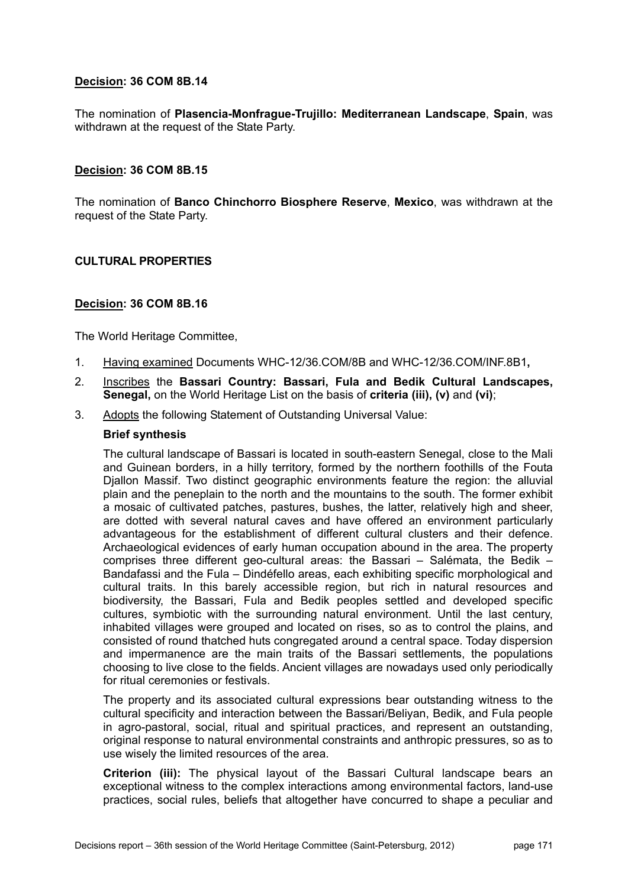The nomination of **Plasencia-Monfrague-Trujillo: Mediterranean Landscape**, **Spain**, was withdrawn at the request of the State Party.

## **Decision: 36 COM 8B.15**

The nomination of **Banco Chinchorro Biosphere Reserve**, **Mexico**, was withdrawn at the request of the State Party.

### **CULTURAL PROPERTIES**

### **Decision: 36 COM 8B.16**

The World Heritage Committee,

- 1. Having examined Documents WHC-12/36.COM/8B and WHC-12/36.COM/INF.8B1**,**
- 2. Inscribes the **Bassari Country: Bassari, Fula and Bedik Cultural Landscapes, Senegal,** on the World Heritage List on the basis of **criteria (iii), (v)** and **(vi)**;
- 3. Adopts the following Statement of Outstanding Universal Value:

#### **Brief synthesis**

The cultural landscape of Bassari is located in south-eastern Senegal, close to the Mali and Guinean borders, in a hilly territory, formed by the northern foothills of the Fouta Djallon Massif. Two distinct geographic environments feature the region: the alluvial plain and the peneplain to the north and the mountains to the south. The former exhibit a mosaic of cultivated patches, pastures, bushes, the latter, relatively high and sheer, are dotted with several natural caves and have offered an environment particularly advantageous for the establishment of different cultural clusters and their defence. Archaeological evidences of early human occupation abound in the area. The property comprises three different geo-cultural areas: the Bassari – Salémata, the Bedik – Bandafassi and the Fula – Dindéfello areas, each exhibiting specific morphological and cultural traits. In this barely accessible region, but rich in natural resources and biodiversity, the Bassari, Fula and Bedik peoples settled and developed specific cultures, symbiotic with the surrounding natural environment. Until the last century, inhabited villages were grouped and located on rises, so as to control the plains, and consisted of round thatched huts congregated around a central space. Today dispersion and impermanence are the main traits of the Bassari settlements, the populations choosing to live close to the fields. Ancient villages are nowadays used only periodically for ritual ceremonies or festivals.

The property and its associated cultural expressions bear outstanding witness to the cultural specificity and interaction between the Bassari/Beliyan, Bedik, and Fula people in agro-pastoral, social, ritual and spiritual practices, and represent an outstanding, original response to natural environmental constraints and anthropic pressures, so as to use wisely the limited resources of the area.

**Criterion (iii):** The physical layout of the Bassari Cultural landscape bears an exceptional witness to the complex interactions among environmental factors, land-use practices, social rules, beliefs that altogether have concurred to shape a peculiar and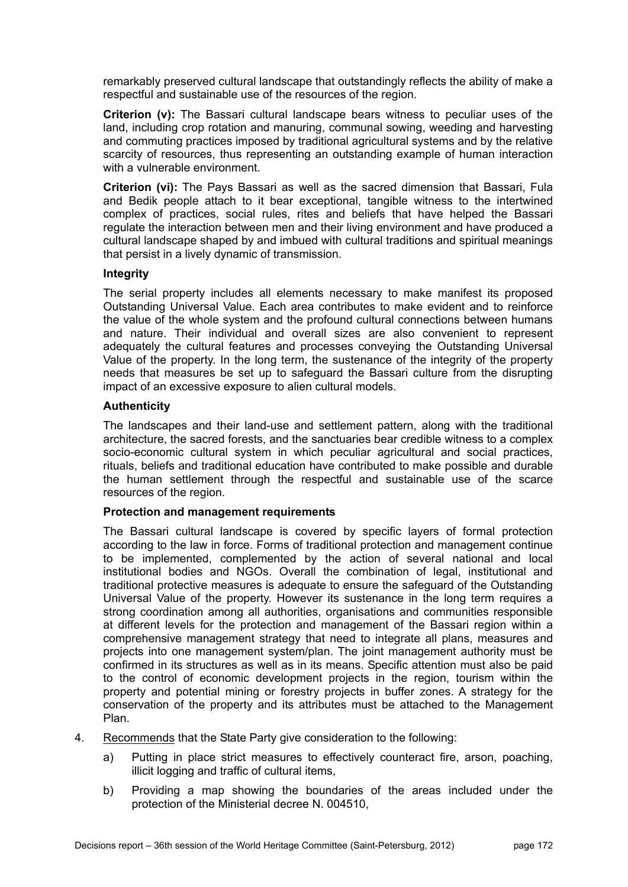remarkably preserved cultural landscape that outstandingly reflects the ability of make a respectful and sustainable use of the resources of the region.

**Criterion (v):** The Bassari cultural landscape bears witness to peculiar uses of the land, including crop rotation and manuring, communal sowing, weeding and harvesting and commuting practices imposed by traditional agricultural systems and by the relative scarcity of resources, thus representing an outstanding example of human interaction with a vulnerable environment.

**Criterion (vi):** The Pays Bassari as well as the sacred dimension that Bassari, Fula and Bedik people attach to it bear exceptional, tangible witness to the intertwined complex of practices, social rules, rites and beliefs that have helped the Bassari regulate the interaction between men and their living environment and have produced a cultural landscape shaped by and imbued with cultural traditions and spiritual meanings that persist in a lively dynamic of transmission.

## **Integrity**

The serial property includes all elements necessary to make manifest its proposed Outstanding Universal Value. Each area contributes to make evident and to reinforce the value of the whole system and the profound cultural connections between humans and nature. Their individual and overall sizes are also convenient to represent adequately the cultural features and processes conveying the Outstanding Universal Value of the property. In the long term, the sustenance of the integrity of the property needs that measures be set up to safeguard the Bassari culture from the disrupting impact of an excessive exposure to alien cultural models.

## **Authenticity**

The landscapes and their land-use and settlement pattern, along with the traditional architecture, the sacred forests, and the sanctuaries bear credible witness to a complex socio-economic cultural system in which peculiar agricultural and social practices, rituals, beliefs and traditional education have contributed to make possible and durable the human settlement through the respectful and sustainable use of the scarce resources of the region.

## **Protection and management requirements**

The Bassari cultural landscape is covered by specific layers of formal protection according to the law in force. Forms of traditional protection and management continue to be implemented, complemented by the action of several national and local institutional bodies and NGOs. Overall the combination of legal, institutional and traditional protective measures is adequate to ensure the safeguard of the Outstanding Universal Value of the property. However its sustenance in the long term requires a strong coordination among all authorities, organisations and communities responsible at different levels for the protection and management of the Bassari region within a comprehensive management strategy that need to integrate all plans, measures and projects into one management system/plan. The joint management authority must be confirmed in its structures as well as in its means. Specific attention must also be paid to the control of economic development projects in the region, tourism within the property and potential mining or forestry projects in buffer zones. A strategy for the conservation of the property and its attributes must be attached to the Management Plan.

- 4. Recommends that the State Party give consideration to the following:
	- a) Putting in place strict measures to effectively counteract fire, arson, poaching, illicit logging and traffic of cultural items,
	- b) Providing a map showing the boundaries of the areas included under the protection of the Ministerial decree N. 004510,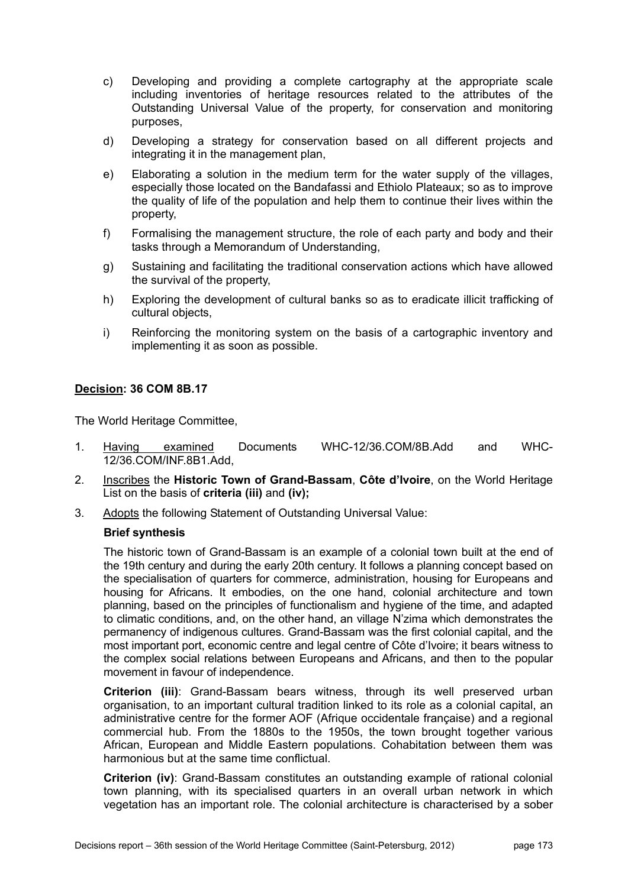- c) Developing and providing a complete cartography at the appropriate scale including inventories of heritage resources related to the attributes of the Outstanding Universal Value of the property, for conservation and monitoring purposes,
- d) Developing a strategy for conservation based on all different projects and integrating it in the management plan,
- e) Elaborating a solution in the medium term for the water supply of the villages, especially those located on the Bandafassi and Ethiolo Plateaux; so as to improve the quality of life of the population and help them to continue their lives within the property,
- f) Formalising the management structure, the role of each party and body and their tasks through a Memorandum of Understanding,
- g) Sustaining and facilitating the traditional conservation actions which have allowed the survival of the property,
- h) Exploring the development of cultural banks so as to eradicate illicit trafficking of cultural objects,
- i) Reinforcing the monitoring system on the basis of a cartographic inventory and implementing it as soon as possible.

The World Heritage Committee,

- 1. Having examined Documents WHC-12/36.COM/8B.Add and WHC-12/36.COM/INF.8B1.Add,
- 2. Inscribes the **Historic Town of Grand-Bassam**, **Côte d'Ivoire**, on the World Heritage List on the basis of **criteria (iii)** and **(iv);**
- 3. Adopts the following Statement of Outstanding Universal Value:

#### **Brief synthesis**

The historic town of Grand-Bassam is an example of a colonial town built at the end of the 19th century and during the early 20th century. It follows a planning concept based on the specialisation of quarters for commerce, administration, housing for Europeans and housing for Africans. It embodies, on the one hand, colonial architecture and town planning, based on the principles of functionalism and hygiene of the time, and adapted to climatic conditions, and, on the other hand, an village N'zima which demonstrates the permanency of indigenous cultures. Grand-Bassam was the first colonial capital, and the most important port, economic centre and legal centre of Côte d'Ivoire; it bears witness to the complex social relations between Europeans and Africans, and then to the popular movement in favour of independence.

**Criterion (iii)**: Grand-Bassam bears witness, through its well preserved urban organisation, to an important cultural tradition linked to its role as a colonial capital, an administrative centre for the former AOF (Afrique occidentale française) and a regional commercial hub. From the 1880s to the 1950s, the town brought together various African, European and Middle Eastern populations. Cohabitation between them was harmonious but at the same time conflictual.

**Criterion (iv)**: Grand-Bassam constitutes an outstanding example of rational colonial town planning, with its specialised quarters in an overall urban network in which vegetation has an important role. The colonial architecture is characterised by a sober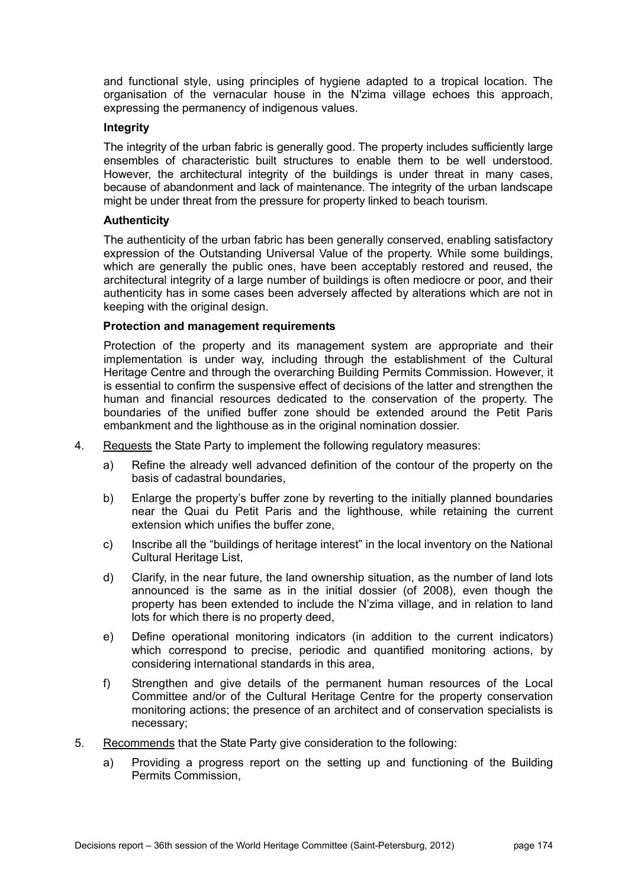and functional style, using principles of hygiene adapted to a tropical location. The organisation of the vernacular house in the N'zima village echoes this approach, expressing the permanency of indigenous values.

#### **Integrity**

The integrity of the urban fabric is generally good. The property includes sufficiently large ensembles of characteristic built structures to enable them to be well understood. However, the architectural integrity of the buildings is under threat in many cases, because of abandonment and lack of maintenance. The integrity of the urban landscape might be under threat from the pressure for property linked to beach tourism.

### **Authenticity**

The authenticity of the urban fabric has been generally conserved, enabling satisfactory expression of the Outstanding Universal Value of the property. While some buildings, which are generally the public ones, have been acceptably restored and reused, the architectural integrity of a large number of buildings is often mediocre or poor, and their authenticity has in some cases been adversely affected by alterations which are not in keeping with the original design.

### **Protection and management requirements**

Protection of the property and its management system are appropriate and their implementation is under way, including through the establishment of the Cultural Heritage Centre and through the overarching Building Permits Commission. However, it is essential to confirm the suspensive effect of decisions of the latter and strengthen the human and financial resources dedicated to the conservation of the property. The boundaries of the unified buffer zone should be extended around the Petit Paris embankment and the lighthouse as in the original nomination dossier.

- 4. Requests the State Party to implement the following regulatory measures:
	- a) Refine the already well advanced definition of the contour of the property on the basis of cadastral boundaries,
	- b) Enlarge the property's buffer zone by reverting to the initially planned boundaries near the Quai du Petit Paris and the lighthouse, while retaining the current extension which unifies the buffer zone,
	- c) Inscribe all the "buildings of heritage interest" in the local inventory on the National Cultural Heritage List,
	- d) Clarify, in the near future, the land ownership situation, as the number of land lots announced is the same as in the initial dossier (of 2008), even though the property has been extended to include the N'zima village, and in relation to land lots for which there is no property deed,
	- e) Define operational monitoring indicators (in addition to the current indicators) which correspond to precise, periodic and quantified monitoring actions, by considering international standards in this area,
	- f) Strengthen and give details of the permanent human resources of the Local Committee and/or of the Cultural Heritage Centre for the property conservation monitoring actions; the presence of an architect and of conservation specialists is necessary;
- 5. Recommends that the State Party give consideration to the following:
	- a) Providing a progress report on the setting up and functioning of the Building Permits Commission,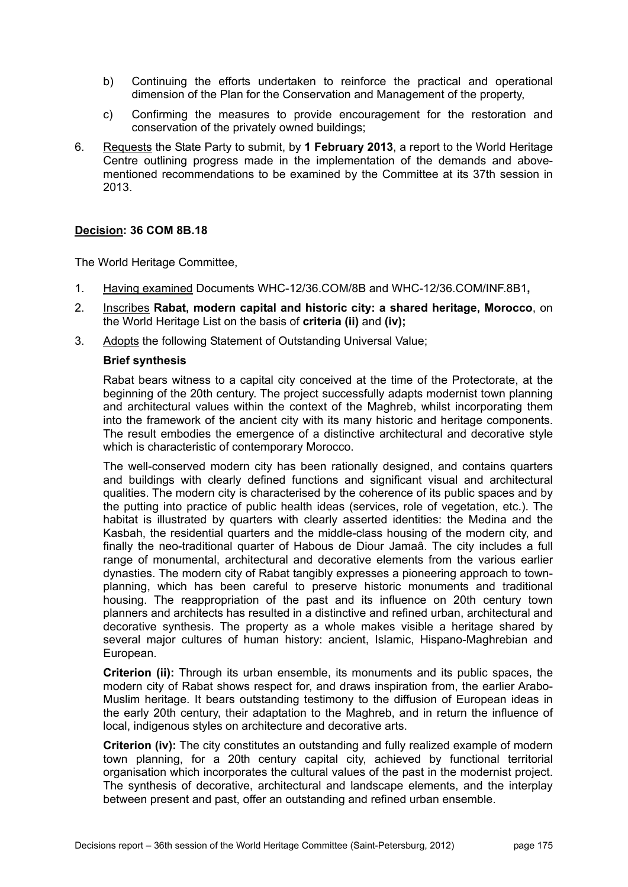- b) Continuing the efforts undertaken to reinforce the practical and operational dimension of the Plan for the Conservation and Management of the property,
- c) Confirming the measures to provide encouragement for the restoration and conservation of the privately owned buildings;
- 6. Requests the State Party to submit, by **1 February 2013**, a report to the World Heritage Centre outlining progress made in the implementation of the demands and abovementioned recommendations to be examined by the Committee at its 37th session in 2013.

The World Heritage Committee,

- 1. Having examined Documents WHC-12/36.COM/8B and WHC-12/36.COM/INF.8B1**,**
- 2. Inscribes **Rabat, modern capital and historic city: a shared heritage, Morocco**, on the World Heritage List on the basis of **criteria (ii)** and **(iv);**
- 3. Adopts the following Statement of Outstanding Universal Value;

#### **Brief synthesis**

Rabat bears witness to a capital city conceived at the time of the Protectorate, at the beginning of the 20th century. The project successfully adapts modernist town planning and architectural values within the context of the Maghreb, whilst incorporating them into the framework of the ancient city with its many historic and heritage components. The result embodies the emergence of a distinctive architectural and decorative style which is characteristic of contemporary Morocco.

The well-conserved modern city has been rationally designed, and contains quarters and buildings with clearly defined functions and significant visual and architectural qualities. The modern city is characterised by the coherence of its public spaces and by the putting into practice of public health ideas (services, role of vegetation, etc.). The habitat is illustrated by quarters with clearly asserted identities: the Medina and the Kasbah, the residential quarters and the middle-class housing of the modern city, and finally the neo-traditional quarter of Habous de Diour Jamaâ. The city includes a full range of monumental, architectural and decorative elements from the various earlier dynasties. The modern city of Rabat tangibly expresses a pioneering approach to townplanning, which has been careful to preserve historic monuments and traditional housing. The reappropriation of the past and its influence on 20th century town planners and architects has resulted in a distinctive and refined urban, architectural and decorative synthesis. The property as a whole makes visible a heritage shared by several major cultures of human history: ancient, Islamic, Hispano-Maghrebian and European.

**Criterion (ii):** Through its urban ensemble, its monuments and its public spaces, the modern city of Rabat shows respect for, and draws inspiration from, the earlier Arabo-Muslim heritage. It bears outstanding testimony to the diffusion of European ideas in the early 20th century, their adaptation to the Maghreb, and in return the influence of local, indigenous styles on architecture and decorative arts.

**Criterion (iv):** The city constitutes an outstanding and fully realized example of modern town planning, for a 20th century capital city, achieved by functional territorial organisation which incorporates the cultural values of the past in the modernist project. The synthesis of decorative, architectural and landscape elements, and the interplay between present and past, offer an outstanding and refined urban ensemble.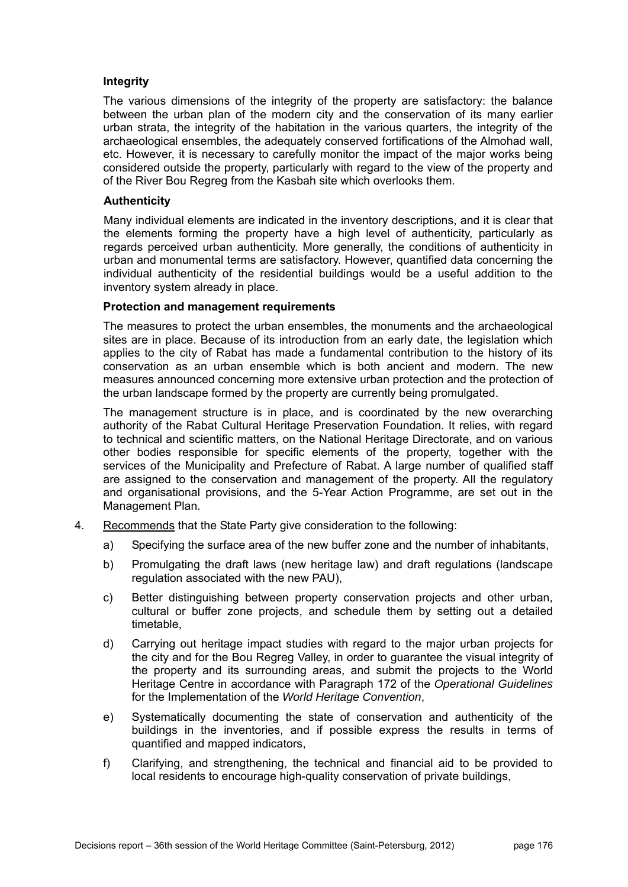## **Integrity**

The various dimensions of the integrity of the property are satisfactory: the balance between the urban plan of the modern city and the conservation of its many earlier urban strata, the integrity of the habitation in the various quarters, the integrity of the archaeological ensembles, the adequately conserved fortifications of the Almohad wall, etc. However, it is necessary to carefully monitor the impact of the major works being considered outside the property, particularly with regard to the view of the property and of the River Bou Regreg from the Kasbah site which overlooks them.

### **Authenticity**

Many individual elements are indicated in the inventory descriptions, and it is clear that the elements forming the property have a high level of authenticity, particularly as regards perceived urban authenticity. More generally, the conditions of authenticity in urban and monumental terms are satisfactory. However, quantified data concerning the individual authenticity of the residential buildings would be a useful addition to the inventory system already in place.

### **Protection and management requirements**

The measures to protect the urban ensembles, the monuments and the archaeological sites are in place. Because of its introduction from an early date, the legislation which applies to the city of Rabat has made a fundamental contribution to the history of its conservation as an urban ensemble which is both ancient and modern. The new measures announced concerning more extensive urban protection and the protection of the urban landscape formed by the property are currently being promulgated.

The management structure is in place, and is coordinated by the new overarching authority of the Rabat Cultural Heritage Preservation Foundation. It relies, with regard to technical and scientific matters, on the National Heritage Directorate, and on various other bodies responsible for specific elements of the property, together with the services of the Municipality and Prefecture of Rabat. A large number of qualified staff are assigned to the conservation and management of the property. All the regulatory and organisational provisions, and the 5-Year Action Programme, are set out in the Management Plan.

- 4. Recommends that the State Party give consideration to the following:
	- a) Specifying the surface area of the new buffer zone and the number of inhabitants,
	- b) Promulgating the draft laws (new heritage law) and draft regulations (landscape regulation associated with the new PAU),
	- c) Better distinguishing between property conservation projects and other urban, cultural or buffer zone projects, and schedule them by setting out a detailed timetable,
	- d) Carrying out heritage impact studies with regard to the major urban projects for the city and for the Bou Regreg Valley, in order to guarantee the visual integrity of the property and its surrounding areas, and submit the projects to the World Heritage Centre in accordance with Paragraph 172 of the *Operational Guidelines* for the Implementation of the *World Heritage Convention*,
	- e) Systematically documenting the state of conservation and authenticity of the buildings in the inventories, and if possible express the results in terms of quantified and mapped indicators,
	- f) Clarifying, and strengthening, the technical and financial aid to be provided to local residents to encourage high-quality conservation of private buildings,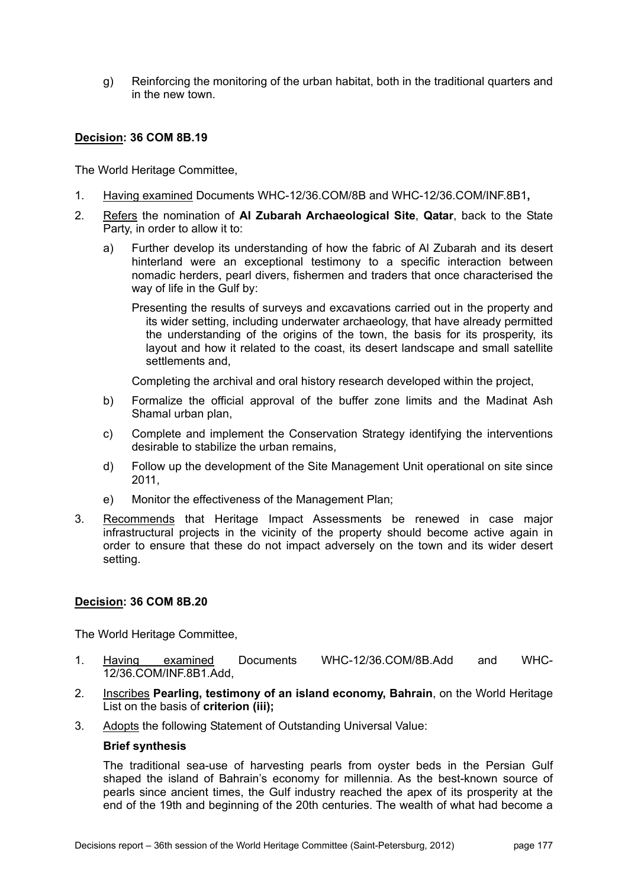g) Reinforcing the monitoring of the urban habitat, both in the traditional quarters and in the new town.

## **Decision: 36 COM 8B.19**

The World Heritage Committee,

- 1. Having examined Documents WHC-12/36.COM/8B and WHC-12/36.COM/INF.8B1**,**
- 2. Refers the nomination of **Al Zubarah Archaeological Site**, **Qatar**, back to the State Party, in order to allow it to:
	- a) Further develop its understanding of how the fabric of Al Zubarah and its desert hinterland were an exceptional testimony to a specific interaction between nomadic herders, pearl divers, fishermen and traders that once characterised the way of life in the Gulf by:

Presenting the results of surveys and excavations carried out in the property and its wider setting, including underwater archaeology, that have already permitted the understanding of the origins of the town, the basis for its prosperity, its layout and how it related to the coast, its desert landscape and small satellite settlements and,

Completing the archival and oral history research developed within the project,

- b) Formalize the official approval of the buffer zone limits and the Madinat Ash Shamal urban plan,
- c) Complete and implement the Conservation Strategy identifying the interventions desirable to stabilize the urban remains,
- d) Follow up the development of the Site Management Unit operational on site since 2011,
- e) Monitor the effectiveness of the Management Plan;
- 3. Recommends that Heritage Impact Assessments be renewed in case major infrastructural projects in the vicinity of the property should become active again in order to ensure that these do not impact adversely on the town and its wider desert setting.

## **Decision: 36 COM 8B.20**

The World Heritage Committee,

- 1. Having examined Documents WHC-12/36.COM/8B.Add and WHC-12/36.COM/INF.8B1.Add,
- 2. Inscribes **Pearling, testimony of an island economy, Bahrain**, on the World Heritage List on the basis of **criterion (iii);**
- 3. Adopts the following Statement of Outstanding Universal Value:

#### **Brief synthesis**

The traditional sea-use of harvesting pearls from oyster beds in the Persian Gulf shaped the island of Bahrain's economy for millennia. As the best-known source of pearls since ancient times, the Gulf industry reached the apex of its prosperity at the end of the 19th and beginning of the 20th centuries. The wealth of what had become a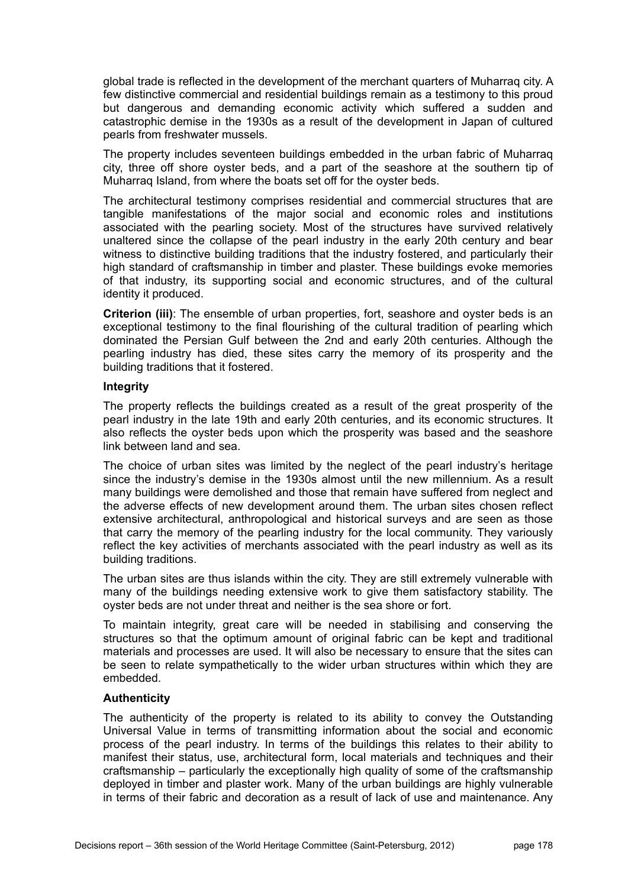global trade is reflected in the development of the merchant quarters of Muharraq city. A few distinctive commercial and residential buildings remain as a testimony to this proud but dangerous and demanding economic activity which suffered a sudden and catastrophic demise in the 1930s as a result of the development in Japan of cultured pearls from freshwater mussels.

The property includes seventeen buildings embedded in the urban fabric of Muharraq city, three off shore oyster beds, and a part of the seashore at the southern tip of Muharraq Island, from where the boats set off for the oyster beds.

The architectural testimony comprises residential and commercial structures that are tangible manifestations of the major social and economic roles and institutions associated with the pearling society. Most of the structures have survived relatively unaltered since the collapse of the pearl industry in the early 20th century and bear witness to distinctive building traditions that the industry fostered, and particularly their high standard of craftsmanship in timber and plaster. These buildings evoke memories of that industry, its supporting social and economic structures, and of the cultural identity it produced.

**Criterion (iii)**: The ensemble of urban properties, fort, seashore and oyster beds is an exceptional testimony to the final flourishing of the cultural tradition of pearling which dominated the Persian Gulf between the 2nd and early 20th centuries. Although the pearling industry has died, these sites carry the memory of its prosperity and the building traditions that it fostered.

### **Integrity**

The property reflects the buildings created as a result of the great prosperity of the pearl industry in the late 19th and early 20th centuries, and its economic structures. It also reflects the oyster beds upon which the prosperity was based and the seashore link between land and sea.

The choice of urban sites was limited by the neglect of the pearl industry's heritage since the industry's demise in the 1930s almost until the new millennium. As a result many buildings were demolished and those that remain have suffered from neglect and the adverse effects of new development around them. The urban sites chosen reflect extensive architectural, anthropological and historical surveys and are seen as those that carry the memory of the pearling industry for the local community. They variously reflect the key activities of merchants associated with the pearl industry as well as its building traditions.

The urban sites are thus islands within the city. They are still extremely vulnerable with many of the buildings needing extensive work to give them satisfactory stability. The oyster beds are not under threat and neither is the sea shore or fort.

To maintain integrity, great care will be needed in stabilising and conserving the structures so that the optimum amount of original fabric can be kept and traditional materials and processes are used. It will also be necessary to ensure that the sites can be seen to relate sympathetically to the wider urban structures within which they are embedded.

## **Authenticity**

The authenticity of the property is related to its ability to convey the Outstanding Universal Value in terms of transmitting information about the social and economic process of the pearl industry. In terms of the buildings this relates to their ability to manifest their status, use, architectural form, local materials and techniques and their craftsmanship – particularly the exceptionally high quality of some of the craftsmanship deployed in timber and plaster work. Many of the urban buildings are highly vulnerable in terms of their fabric and decoration as a result of lack of use and maintenance. Any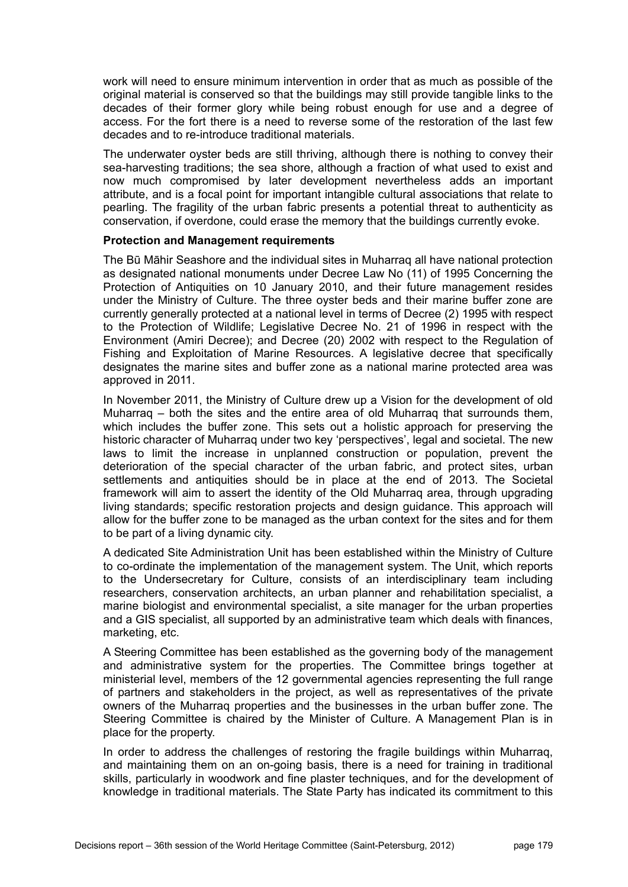work will need to ensure minimum intervention in order that as much as possible of the original material is conserved so that the buildings may still provide tangible links to the decades of their former glory while being robust enough for use and a degree of access. For the fort there is a need to reverse some of the restoration of the last few decades and to re-introduce traditional materials.

The underwater oyster beds are still thriving, although there is nothing to convey their sea-harvesting traditions; the sea shore, although a fraction of what used to exist and now much compromised by later development nevertheless adds an important attribute, and is a focal point for important intangible cultural associations that relate to pearling. The fragility of the urban fabric presents a potential threat to authenticity as conservation, if overdone, could erase the memory that the buildings currently evoke.

#### **Protection and Management requirements**

The Bū Māhir Seashore and the individual sites in Muharraq all have national protection as designated national monuments under Decree Law No (11) of 1995 Concerning the Protection of Antiquities on 10 January 2010, and their future management resides under the Ministry of Culture. The three oyster beds and their marine buffer zone are currently generally protected at a national level in terms of Decree (2) 1995 with respect to the Protection of Wildlife; Legislative Decree No. 21 of 1996 in respect with the Environment (Amiri Decree); and Decree (20) 2002 with respect to the Regulation of Fishing and Exploitation of Marine Resources. A legislative decree that specifically designates the marine sites and buffer zone as a national marine protected area was approved in 2011.

In November 2011, the Ministry of Culture drew up a Vision for the development of old Muharraq – both the sites and the entire area of old Muharraq that surrounds them, which includes the buffer zone. This sets out a holistic approach for preserving the historic character of Muharraq under two key 'perspectives', legal and societal. The new laws to limit the increase in unplanned construction or population, prevent the deterioration of the special character of the urban fabric, and protect sites, urban settlements and antiquities should be in place at the end of 2013. The Societal framework will aim to assert the identity of the Old Muharraq area, through upgrading living standards; specific restoration projects and design guidance. This approach will allow for the buffer zone to be managed as the urban context for the sites and for them to be part of a living dynamic city.

A dedicated Site Administration Unit has been established within the Ministry of Culture to co-ordinate the implementation of the management system. The Unit, which reports to the Undersecretary for Culture, consists of an interdisciplinary team including researchers, conservation architects, an urban planner and rehabilitation specialist, a marine biologist and environmental specialist, a site manager for the urban properties and a GIS specialist, all supported by an administrative team which deals with finances, marketing, etc.

A Steering Committee has been established as the governing body of the management and administrative system for the properties. The Committee brings together at ministerial level, members of the 12 governmental agencies representing the full range of partners and stakeholders in the project, as well as representatives of the private owners of the Muharraq properties and the businesses in the urban buffer zone. The Steering Committee is chaired by the Minister of Culture. A Management Plan is in place for the property.

In order to address the challenges of restoring the fragile buildings within Muharraq, and maintaining them on an on-going basis, there is a need for training in traditional skills, particularly in woodwork and fine plaster techniques, and for the development of knowledge in traditional materials. The State Party has indicated its commitment to this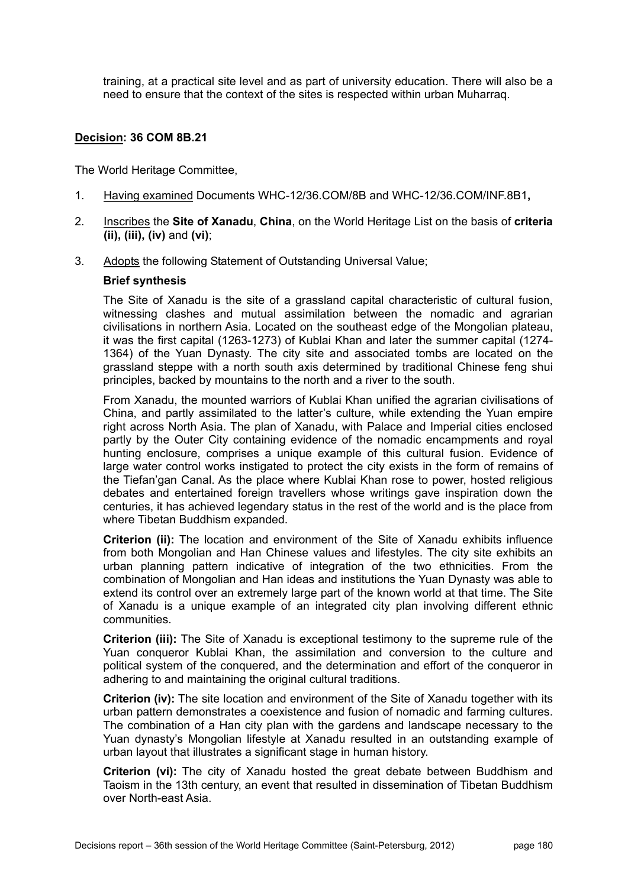training, at a practical site level and as part of university education. There will also be a need to ensure that the context of the sites is respected within urban Muharraq.

# **Decision: 36 COM 8B.21**

The World Heritage Committee,

- 1. Having examined Documents WHC-12/36.COM/8B and WHC-12/36.COM/INF.8B1**,**
- 2. Inscribes the **Site of Xanadu**, **China**, on the World Heritage List on the basis of **criteria (ii), (iii), (iv)** and **(vi)**;
- 3. Adopts the following Statement of Outstanding Universal Value;

# **Brief synthesis**

The Site of Xanadu is the site of a grassland capital characteristic of cultural fusion, witnessing clashes and mutual assimilation between the nomadic and agrarian civilisations in northern Asia. Located on the southeast edge of the Mongolian plateau, it was the first capital (1263-1273) of Kublai Khan and later the summer capital (1274- 1364) of the Yuan Dynasty. The city site and associated tombs are located on the grassland steppe with a north south axis determined by traditional Chinese feng shui principles, backed by mountains to the north and a river to the south.

From Xanadu, the mounted warriors of Kublai Khan unified the agrarian civilisations of China, and partly assimilated to the latter's culture, while extending the Yuan empire right across North Asia. The plan of Xanadu, with Palace and Imperial cities enclosed partly by the Outer City containing evidence of the nomadic encampments and royal hunting enclosure, comprises a unique example of this cultural fusion. Evidence of large water control works instigated to protect the city exists in the form of remains of the Tiefan'gan Canal. As the place where Kublai Khan rose to power, hosted religious debates and entertained foreign travellers whose writings gave inspiration down the centuries, it has achieved legendary status in the rest of the world and is the place from where Tibetan Buddhism expanded.

**Criterion (ii):** The location and environment of the Site of Xanadu exhibits influence from both Mongolian and Han Chinese values and lifestyles. The city site exhibits an urban planning pattern indicative of integration of the two ethnicities. From the combination of Mongolian and Han ideas and institutions the Yuan Dynasty was able to extend its control over an extremely large part of the known world at that time. The Site of Xanadu is a unique example of an integrated city plan involving different ethnic communities.

**Criterion (iii):** The Site of Xanadu is exceptional testimony to the supreme rule of the Yuan conqueror Kublai Khan, the assimilation and conversion to the culture and political system of the conquered, and the determination and effort of the conqueror in adhering to and maintaining the original cultural traditions.

**Criterion (iv):** The site location and environment of the Site of Xanadu together with its urban pattern demonstrates a coexistence and fusion of nomadic and farming cultures. The combination of a Han city plan with the gardens and landscape necessary to the Yuan dynasty's Mongolian lifestyle at Xanadu resulted in an outstanding example of urban layout that illustrates a significant stage in human history.

**Criterion (vi):** The city of Xanadu hosted the great debate between Buddhism and Taoism in the 13th century, an event that resulted in dissemination of Tibetan Buddhism over North-east Asia.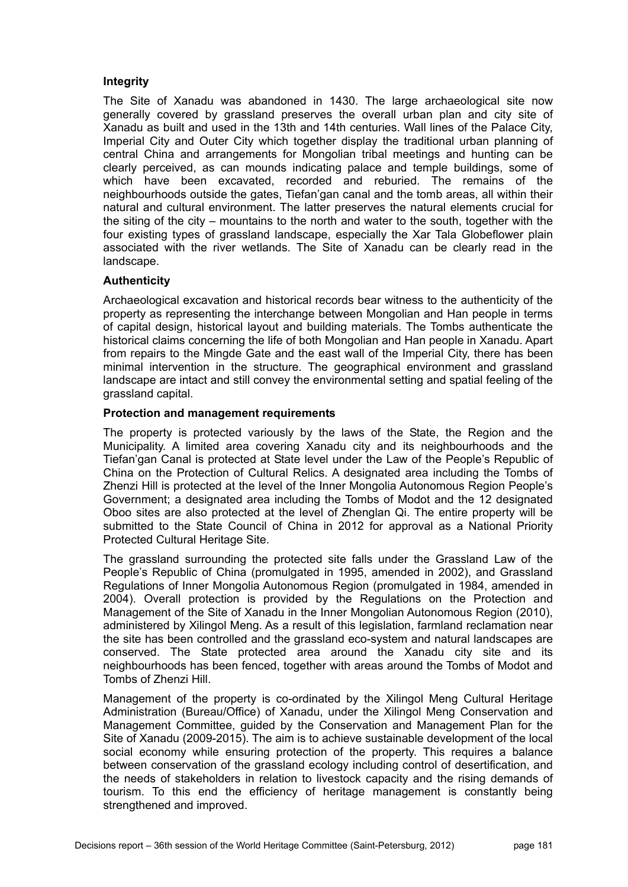# **Integrity**

The Site of Xanadu was abandoned in 1430. The large archaeological site now generally covered by grassland preserves the overall urban plan and city site of Xanadu as built and used in the 13th and 14th centuries. Wall lines of the Palace City, Imperial City and Outer City which together display the traditional urban planning of central China and arrangements for Mongolian tribal meetings and hunting can be clearly perceived, as can mounds indicating palace and temple buildings, some of which have been excavated, recorded and reburied. The remains of the neighbourhoods outside the gates, Tiefan'gan canal and the tomb areas, all within their natural and cultural environment. The latter preserves the natural elements crucial for the siting of the city – mountains to the north and water to the south, together with the four existing types of grassland landscape, especially the Xar Tala Globeflower plain associated with the river wetlands. The Site of Xanadu can be clearly read in the landscape.

## **Authenticity**

Archaeological excavation and historical records bear witness to the authenticity of the property as representing the interchange between Mongolian and Han people in terms of capital design, historical layout and building materials. The Tombs authenticate the historical claims concerning the life of both Mongolian and Han people in Xanadu. Apart from repairs to the Mingde Gate and the east wall of the Imperial City, there has been minimal intervention in the structure. The geographical environment and grassland landscape are intact and still convey the environmental setting and spatial feeling of the grassland capital.

#### **Protection and management requirements**

The property is protected variously by the laws of the State, the Region and the Municipality. A limited area covering Xanadu city and its neighbourhoods and the Tiefan'gan Canal is protected at State level under the Law of the People's Republic of China on the Protection of Cultural Relics. A designated area including the Tombs of Zhenzi Hill is protected at the level of the Inner Mongolia Autonomous Region People's Government; a designated area including the Tombs of Modot and the 12 designated Oboo sites are also protected at the level of Zhenglan Qi. The entire property will be submitted to the State Council of China in 2012 for approval as a National Priority Protected Cultural Heritage Site.

The grassland surrounding the protected site falls under the Grassland Law of the People's Republic of China (promulgated in 1995, amended in 2002), and Grassland Regulations of Inner Mongolia Autonomous Region (promulgated in 1984, amended in 2004). Overall protection is provided by the Regulations on the Protection and Management of the Site of Xanadu in the Inner Mongolian Autonomous Region (2010), administered by Xilingol Meng. As a result of this legislation, farmland reclamation near the site has been controlled and the grassland eco-system and natural landscapes are conserved. The State protected area around the Xanadu city site and its neighbourhoods has been fenced, together with areas around the Tombs of Modot and Tombs of Zhenzi Hill.

Management of the property is co-ordinated by the Xilingol Meng Cultural Heritage Administration (Bureau/Office) of Xanadu, under the Xilingol Meng Conservation and Management Committee, guided by the Conservation and Management Plan for the Site of Xanadu (2009-2015). The aim is to achieve sustainable development of the local social economy while ensuring protection of the property. This requires a balance between conservation of the grassland ecology including control of desertification, and the needs of stakeholders in relation to livestock capacity and the rising demands of tourism. To this end the efficiency of heritage management is constantly being strengthened and improved.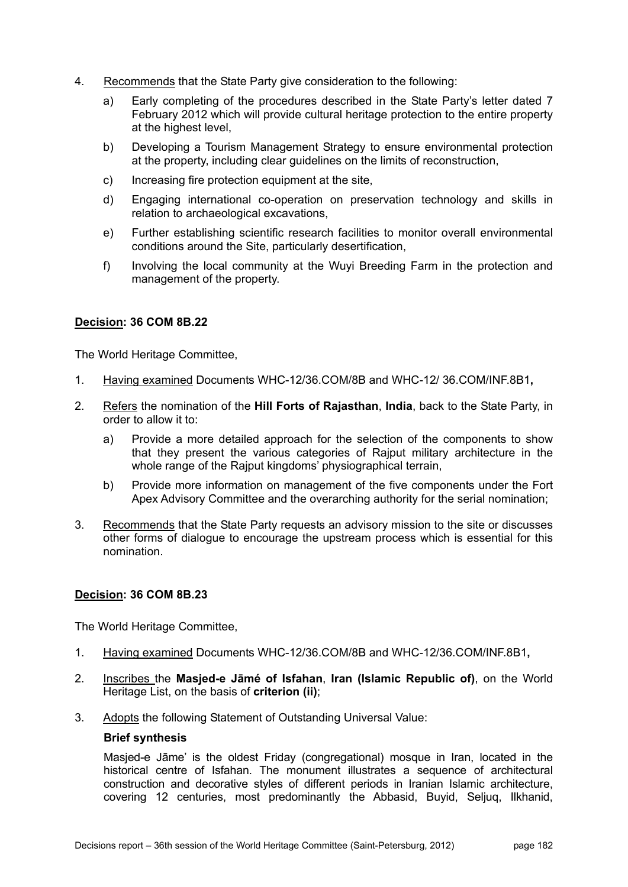- 4. Recommends that the State Party give consideration to the following:
	- a) Early completing of the procedures described in the State Party's letter dated 7 February 2012 which will provide cultural heritage protection to the entire property at the highest level,
	- b) Developing a Tourism Management Strategy to ensure environmental protection at the property, including clear guidelines on the limits of reconstruction,
	- c) Increasing fire protection equipment at the site,
	- d) Engaging international co-operation on preservation technology and skills in relation to archaeological excavations,
	- e) Further establishing scientific research facilities to monitor overall environmental conditions around the Site, particularly desertification,
	- f) Involving the local community at the Wuyi Breeding Farm in the protection and management of the property.

The World Heritage Committee,

- 1. Having examined Documents WHC-12/36.COM/8B and WHC-12/ 36.COM/INF.8B1**,**
- 2. Refers the nomination of the **Hill Forts of Rajasthan**, **India**, back to the State Party, in order to allow it to:
	- a) Provide a more detailed approach for the selection of the components to show that they present the various categories of Rajput military architecture in the whole range of the Rajput kingdoms' physiographical terrain,
	- b) Provide more information on management of the five components under the Fort Apex Advisory Committee and the overarching authority for the serial nomination;
- 3. Recommends that the State Party requests an advisory mission to the site or discusses other forms of dialogue to encourage the upstream process which is essential for this nomination.

#### **Decision: 36 COM 8B.23**

The World Heritage Committee,

- 1. Having examined Documents WHC-12/36.COM/8B and WHC-12/36.COM/INF.8B1**,**
- 2. Inscribes the **Masjed-e Jāmé of Isfahan**, **Iran (Islamic Republic of)**, on the World Heritage List, on the basis of **criterion (ii)**;
- 3. Adopts the following Statement of Outstanding Universal Value:

#### **Brief synthesis**

Masjed-e Jāme' is the oldest Friday (congregational) mosque in Iran, located in the historical centre of Isfahan. The monument illustrates a sequence of architectural construction and decorative styles of different periods in Iranian Islamic architecture, covering 12 centuries, most predominantly the Abbasid, Buyid, Seljuq, Ilkhanid,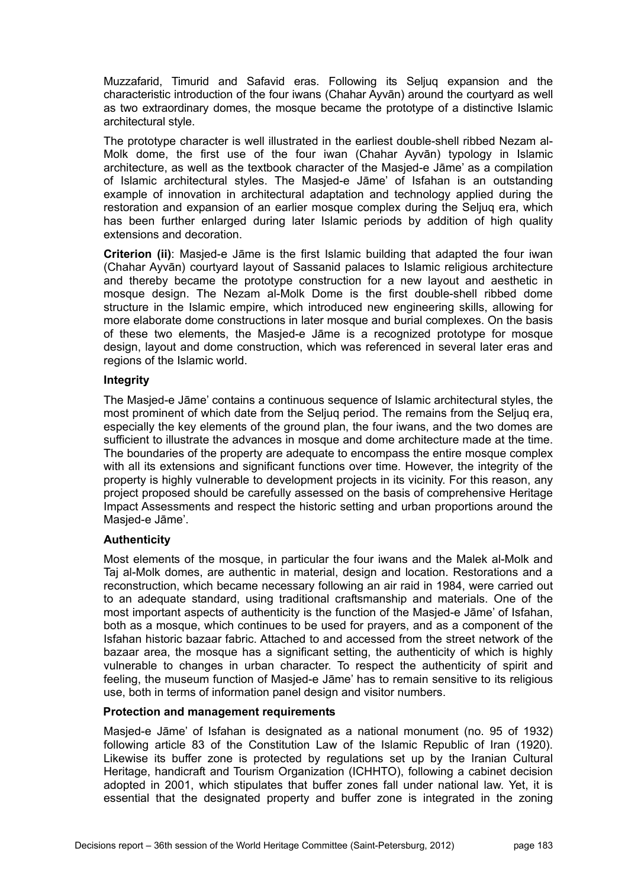Muzzafarid, Timurid and Safavid eras. Following its Seljuq expansion and the characteristic introduction of the four iwans (Chahar Ayvān) around the courtyard as well as two extraordinary domes, the mosque became the prototype of a distinctive Islamic architectural style.

The prototype character is well illustrated in the earliest double-shell ribbed Nezam al-Molk dome, the first use of the four iwan (Chahar Ayvān) typology in Islamic architecture, as well as the textbook character of the Masjed-e Jāme' as a compilation of Islamic architectural styles. The Masjed-e Jāme' of Isfahan is an outstanding example of innovation in architectural adaptation and technology applied during the restoration and expansion of an earlier mosque complex during the Seljuq era, which has been further enlarged during later Islamic periods by addition of high quality extensions and decoration.

**Criterion (ii)**: Masjed-e Jāme is the first Islamic building that adapted the four iwan (Chahar Ayvān) courtyard layout of Sassanid palaces to Islamic religious architecture and thereby became the prototype construction for a new layout and aesthetic in mosque design. The Nezam al-Molk Dome is the first double-shell ribbed dome structure in the Islamic empire, which introduced new engineering skills, allowing for more elaborate dome constructions in later mosque and burial complexes. On the basis of these two elements, the Masjed-e Jāme is a recognized prototype for mosque design, layout and dome construction, which was referenced in several later eras and regions of the Islamic world.

## **Integrity**

The Masjed-e Jāme' contains a continuous sequence of Islamic architectural styles, the most prominent of which date from the Seljuq period. The remains from the Seljuq era, especially the key elements of the ground plan, the four iwans, and the two domes are sufficient to illustrate the advances in mosque and dome architecture made at the time. The boundaries of the property are adequate to encompass the entire mosque complex with all its extensions and significant functions over time. However, the integrity of the property is highly vulnerable to development projects in its vicinity. For this reason, any project proposed should be carefully assessed on the basis of comprehensive Heritage Impact Assessments and respect the historic setting and urban proportions around the Masjed-e Jāme'.

# **Authenticity**

Most elements of the mosque, in particular the four iwans and the Malek al-Molk and Taj al-Molk domes, are authentic in material, design and location. Restorations and a reconstruction, which became necessary following an air raid in 1984, were carried out to an adequate standard, using traditional craftsmanship and materials. One of the most important aspects of authenticity is the function of the Masjed-e Jāme' of Isfahan, both as a mosque, which continues to be used for prayers, and as a component of the Isfahan historic bazaar fabric. Attached to and accessed from the street network of the bazaar area, the mosque has a significant setting, the authenticity of which is highly vulnerable to changes in urban character. To respect the authenticity of spirit and feeling, the museum function of Masjed-e Jāme' has to remain sensitive to its religious use, both in terms of information panel design and visitor numbers.

# **Protection and management requirements**

Masjed-e Jāme' of Isfahan is designated as a national monument (no. 95 of 1932) following article 83 of the Constitution Law of the Islamic Republic of Iran (1920). Likewise its buffer zone is protected by regulations set up by the Iranian Cultural Heritage, handicraft and Tourism Organization (ICHHTO), following a cabinet decision adopted in 2001, which stipulates that buffer zones fall under national law. Yet, it is essential that the designated property and buffer zone is integrated in the zoning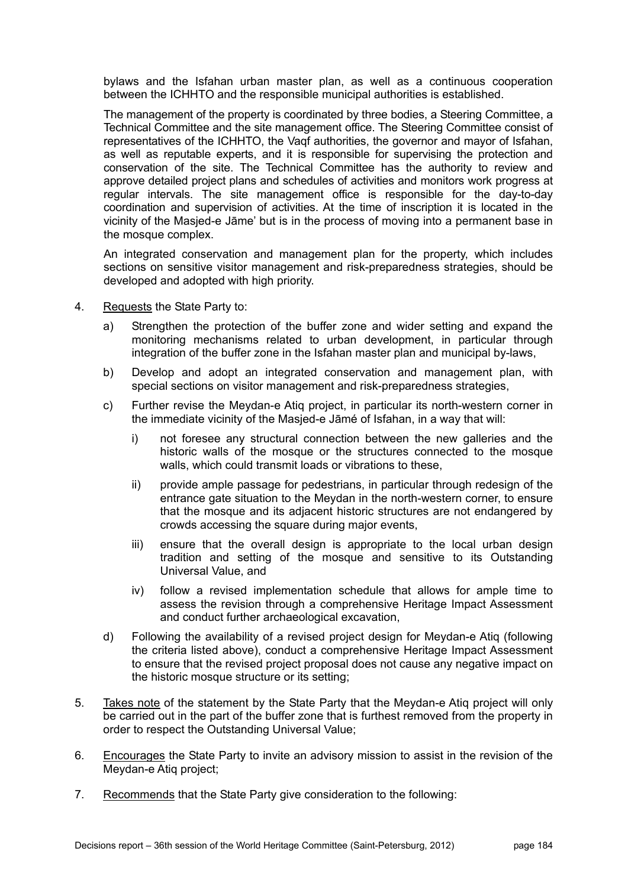bylaws and the Isfahan urban master plan, as well as a continuous cooperation between the ICHHTO and the responsible municipal authorities is established.

The management of the property is coordinated by three bodies, a Steering Committee, a Technical Committee and the site management office. The Steering Committee consist of representatives of the ICHHTO, the Vaqf authorities, the governor and mayor of Isfahan, as well as reputable experts, and it is responsible for supervising the protection and conservation of the site. The Technical Committee has the authority to review and approve detailed project plans and schedules of activities and monitors work progress at regular intervals. The site management office is responsible for the day-to-day coordination and supervision of activities. At the time of inscription it is located in the vicinity of the Masjed-e Jāme' but is in the process of moving into a permanent base in the mosque complex.

An integrated conservation and management plan for the property, which includes sections on sensitive visitor management and risk-preparedness strategies, should be developed and adopted with high priority.

- 4. Requests the State Party to:
	- a) Strengthen the protection of the buffer zone and wider setting and expand the monitoring mechanisms related to urban development, in particular through integration of the buffer zone in the Isfahan master plan and municipal by-laws,
	- b) Develop and adopt an integrated conservation and management plan, with special sections on visitor management and risk-preparedness strategies,
	- c) Further revise the Meydan-e Atiq project, in particular its north-western corner in the immediate vicinity of the Masjed-e Jāmé of Isfahan, in a way that will:
		- i) not foresee any structural connection between the new galleries and the historic walls of the mosque or the structures connected to the mosque walls, which could transmit loads or vibrations to these,
		- ii) provide ample passage for pedestrians, in particular through redesign of the entrance gate situation to the Meydan in the north-western corner, to ensure that the mosque and its adjacent historic structures are not endangered by crowds accessing the square during major events,
		- iii) ensure that the overall design is appropriate to the local urban design tradition and setting of the mosque and sensitive to its Outstanding Universal Value, and
		- iv) follow a revised implementation schedule that allows for ample time to assess the revision through a comprehensive Heritage Impact Assessment and conduct further archaeological excavation,
	- d) Following the availability of a revised project design for Meydan-e Atiq (following the criteria listed above), conduct a comprehensive Heritage Impact Assessment to ensure that the revised project proposal does not cause any negative impact on the historic mosque structure or its setting;
- 5. Takes note of the statement by the State Party that the Meydan-e Atiq project will only be carried out in the part of the buffer zone that is furthest removed from the property in order to respect the Outstanding Universal Value;
- 6. Encourages the State Party to invite an advisory mission to assist in the revision of the Meydan-e Atiq project;
- 7. Recommends that the State Party give consideration to the following: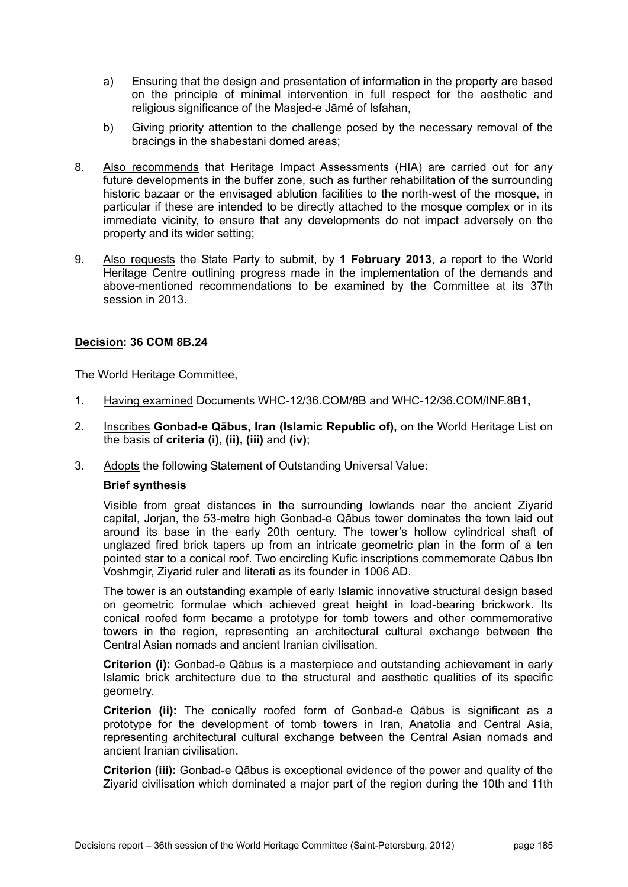- a) Ensuring that the design and presentation of information in the property are based on the principle of minimal intervention in full respect for the aesthetic and religious significance of the Masjed-e Jāmé of Isfahan,
- b) Giving priority attention to the challenge posed by the necessary removal of the bracings in the shabestani domed areas;
- 8. Also recommends that Heritage Impact Assessments (HIA) are carried out for any future developments in the buffer zone, such as further rehabilitation of the surrounding historic bazaar or the envisaged ablution facilities to the north-west of the mosque, in particular if these are intended to be directly attached to the mosque complex or in its immediate vicinity, to ensure that any developments do not impact adversely on the property and its wider setting;
- 9. Also requests the State Party to submit, by **1 February 2013**, a report to the World Heritage Centre outlining progress made in the implementation of the demands and above-mentioned recommendations to be examined by the Committee at its 37th session in 2013.

The World Heritage Committee,

- 1. Having examined Documents WHC-12/36.COM/8B and WHC-12/36.COM/INF.8B1**,**
- 2. Inscribes **Gonbad-e Qābus, Iran (Islamic Republic of),** on the World Heritage List on the basis of **criteria (i), (ii), (iii)** and **(iv)**;
- 3. Adopts the following Statement of Outstanding Universal Value:

#### **Brief synthesis**

Visible from great distances in the surrounding lowlands near the ancient Ziyarid capital, Jorjan, the 53-metre high Gonbad-e Qābus tower dominates the town laid out around its base in the early 20th century. The tower's hollow cylindrical shaft of unglazed fired brick tapers up from an intricate geometric plan in the form of a ten pointed star to a conical roof. Two encircling Kufic inscriptions commemorate Qābus Ibn Voshmgir, Ziyarid ruler and literati as its founder in 1006 AD.

The tower is an outstanding example of early Islamic innovative structural design based on geometric formulae which achieved great height in load-bearing brickwork. Its conical roofed form became a prototype for tomb towers and other commemorative towers in the region, representing an architectural cultural exchange between the Central Asian nomads and ancient Iranian civilisation.

**Criterion (i):** Gonbad-e Qābus is a masterpiece and outstanding achievement in early Islamic brick architecture due to the structural and aesthetic qualities of its specific geometry.

**Criterion (ii):** The conically roofed form of Gonbad-e Qābus is significant as a prototype for the development of tomb towers in Iran, Anatolia and Central Asia, representing architectural cultural exchange between the Central Asian nomads and ancient Iranian civilisation.

**Criterion (iii):** Gonbad-e Qābus is exceptional evidence of the power and quality of the Ziyarid civilisation which dominated a major part of the region during the 10th and 11th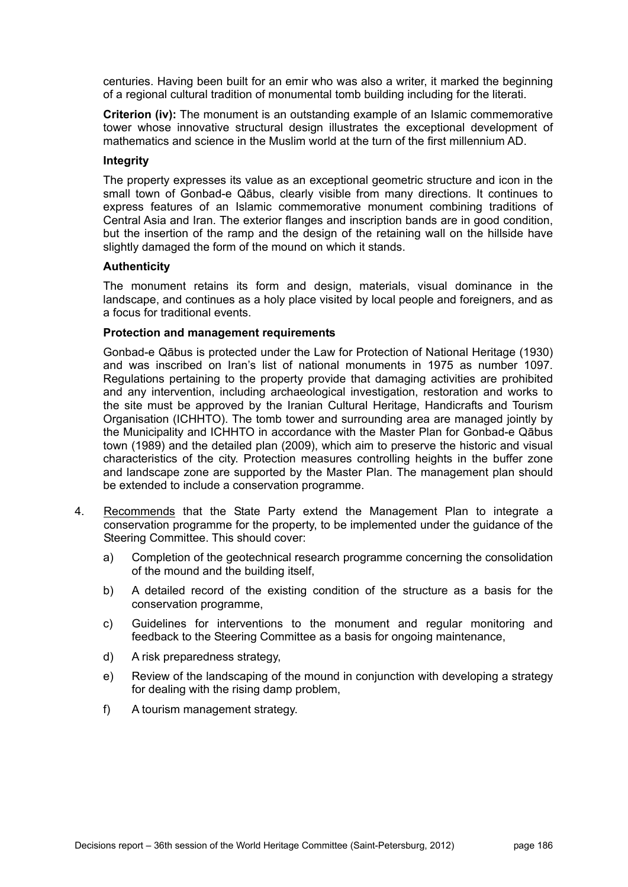centuries. Having been built for an emir who was also a writer, it marked the beginning of a regional cultural tradition of monumental tomb building including for the literati.

**Criterion (iv):** The monument is an outstanding example of an Islamic commemorative tower whose innovative structural design illustrates the exceptional development of mathematics and science in the Muslim world at the turn of the first millennium AD.

## **Integrity**

The property expresses its value as an exceptional geometric structure and icon in the small town of Gonbad-e Qābus, clearly visible from many directions. It continues to express features of an Islamic commemorative monument combining traditions of Central Asia and Iran. The exterior flanges and inscription bands are in good condition, but the insertion of the ramp and the design of the retaining wall on the hillside have slightly damaged the form of the mound on which it stands.

## **Authenticity**

The monument retains its form and design, materials, visual dominance in the landscape, and continues as a holy place visited by local people and foreigners, and as a focus for traditional events.

#### **Protection and management requirements**

Gonbad-e Qābus is protected under the Law for Protection of National Heritage (1930) and was inscribed on Iran's list of national monuments in 1975 as number 1097. Regulations pertaining to the property provide that damaging activities are prohibited and any intervention, including archaeological investigation, restoration and works to the site must be approved by the Iranian Cultural Heritage, Handicrafts and Tourism Organisation (ICHHTO). The tomb tower and surrounding area are managed jointly by the Municipality and ICHHTO in accordance with the Master Plan for Gonbad-e Qābus town (1989) and the detailed plan (2009), which aim to preserve the historic and visual characteristics of the city. Protection measures controlling heights in the buffer zone and landscape zone are supported by the Master Plan. The management plan should be extended to include a conservation programme.

- 4. Recommends that the State Party extend the Management Plan to integrate a conservation programme for the property, to be implemented under the guidance of the Steering Committee. This should cover:
	- a) Completion of the geotechnical research programme concerning the consolidation of the mound and the building itself,
	- b) A detailed record of the existing condition of the structure as a basis for the conservation programme,
	- c) Guidelines for interventions to the monument and regular monitoring and feedback to the Steering Committee as a basis for ongoing maintenance,
	- d) A risk preparedness strategy,
	- e) Review of the landscaping of the mound in conjunction with developing a strategy for dealing with the rising damp problem,
	- f) A tourism management strategy.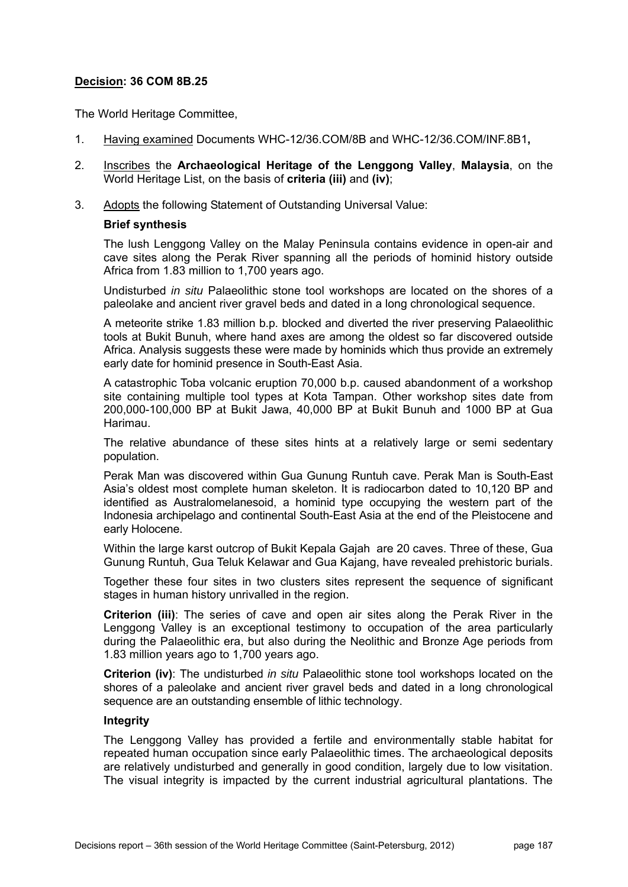The World Heritage Committee,

- 1. Having examined Documents WHC-12/36.COM/8B and WHC-12/36.COM/INF.8B1**,**
- 2. Inscribes the **Archaeological Heritage of the Lenggong Valley**, **Malaysia**, on the World Heritage List, on the basis of **criteria (iii)** and **(iv)**;
- 3. Adopts the following Statement of Outstanding Universal Value:

## **Brief synthesis**

The lush Lenggong Valley on the Malay Peninsula contains evidence in open-air and cave sites along the Perak River spanning all the periods of hominid history outside Africa from 1.83 million to 1,700 years ago.

Undisturbed *in situ* Palaeolithic stone tool workshops are located on the shores of a paleolake and ancient river gravel beds and dated in a long chronological sequence.

A meteorite strike 1.83 million b.p. blocked and diverted the river preserving Palaeolithic tools at Bukit Bunuh, where hand axes are among the oldest so far discovered outside Africa. Analysis suggests these were made by hominids which thus provide an extremely early date for hominid presence in South-East Asia.

A catastrophic Toba volcanic eruption 70,000 b.p. caused abandonment of a workshop site containing multiple tool types at Kota Tampan. Other workshop sites date from 200,000-100,000 BP at Bukit Jawa, 40,000 BP at Bukit Bunuh and 1000 BP at Gua Harimau.

The relative abundance of these sites hints at a relatively large or semi sedentary population.

Perak Man was discovered within Gua Gunung Runtuh cave. Perak Man is South-East Asia's oldest most complete human skeleton. It is radiocarbon dated to 10,120 BP and identified as Australomelanesoid, a hominid type occupying the western part of the Indonesia archipelago and continental South-East Asia at the end of the Pleistocene and early Holocene.

Within the large karst outcrop of Bukit Kepala Gajah are 20 caves. Three of these, Gua Gunung Runtuh, Gua Teluk Kelawar and Gua Kajang, have revealed prehistoric burials.

Together these four sites in two clusters sites represent the sequence of significant stages in human history unrivalled in the region.

**Criterion (iii)**: The series of cave and open air sites along the Perak River in the Lenggong Valley is an exceptional testimony to occupation of the area particularly during the Palaeolithic era, but also during the Neolithic and Bronze Age periods from 1.83 million years ago to 1,700 years ago.

**Criterion (iv)**: The undisturbed *in situ* Palaeolithic stone tool workshops located on the shores of a paleolake and ancient river gravel beds and dated in a long chronological sequence are an outstanding ensemble of lithic technology.

#### **Integrity**

The Lenggong Valley has provided a fertile and environmentally stable habitat for repeated human occupation since early Palaeolithic times. The archaeological deposits are relatively undisturbed and generally in good condition, largely due to low visitation. The visual integrity is impacted by the current industrial agricultural plantations. The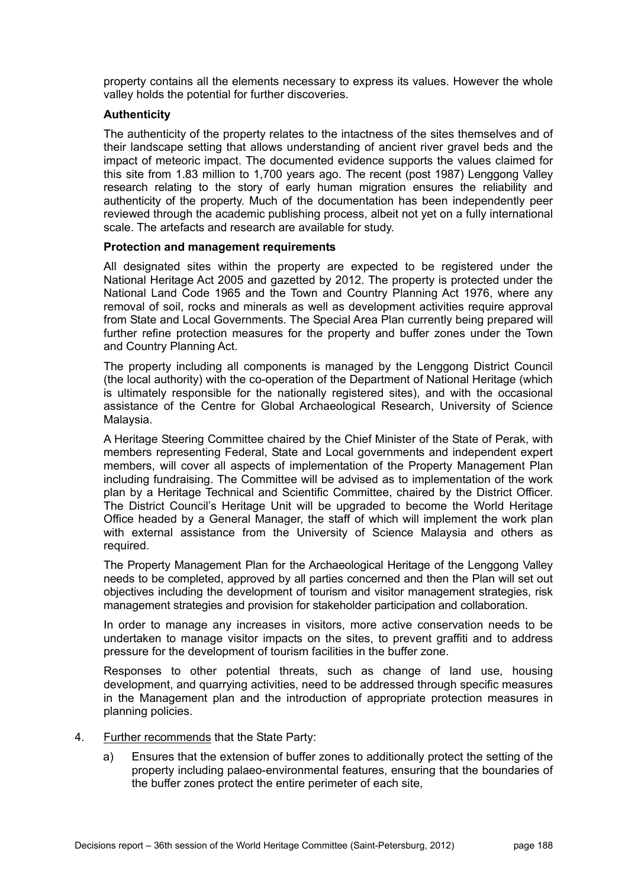property contains all the elements necessary to express its values. However the whole valley holds the potential for further discoveries.

## **Authenticity**

The authenticity of the property relates to the intactness of the sites themselves and of their landscape setting that allows understanding of ancient river gravel beds and the impact of meteoric impact. The documented evidence supports the values claimed for this site from 1.83 million to 1,700 years ago. The recent (post 1987) Lenggong Valley research relating to the story of early human migration ensures the reliability and authenticity of the property. Much of the documentation has been independently peer reviewed through the academic publishing process, albeit not yet on a fully international scale. The artefacts and research are available for study.

#### **Protection and management requirements**

All designated sites within the property are expected to be registered under the National Heritage Act 2005 and gazetted by 2012. The property is protected under the National Land Code 1965 and the Town and Country Planning Act 1976, where any removal of soil, rocks and minerals as well as development activities require approval from State and Local Governments. The Special Area Plan currently being prepared will further refine protection measures for the property and buffer zones under the Town and Country Planning Act.

The property including all components is managed by the Lenggong District Council (the local authority) with the co-operation of the Department of National Heritage (which is ultimately responsible for the nationally registered sites), and with the occasional assistance of the Centre for Global Archaeological Research, University of Science Malaysia.

A Heritage Steering Committee chaired by the Chief Minister of the State of Perak, with members representing Federal, State and Local governments and independent expert members, will cover all aspects of implementation of the Property Management Plan including fundraising. The Committee will be advised as to implementation of the work plan by a Heritage Technical and Scientific Committee, chaired by the District Officer. The District Council's Heritage Unit will be upgraded to become the World Heritage Office headed by a General Manager, the staff of which will implement the work plan with external assistance from the University of Science Malaysia and others as required.

The Property Management Plan for the Archaeological Heritage of the Lenggong Valley needs to be completed, approved by all parties concerned and then the Plan will set out objectives including the development of tourism and visitor management strategies, risk management strategies and provision for stakeholder participation and collaboration.

In order to manage any increases in visitors, more active conservation needs to be undertaken to manage visitor impacts on the sites, to prevent graffiti and to address pressure for the development of tourism facilities in the buffer zone.

Responses to other potential threats, such as change of land use, housing development, and quarrying activities, need to be addressed through specific measures in the Management plan and the introduction of appropriate protection measures in planning policies.

- 4. Further recommends that the State Party:
	- a) Ensures that the extension of buffer zones to additionally protect the setting of the property including palaeo-environmental features, ensuring that the boundaries of the buffer zones protect the entire perimeter of each site,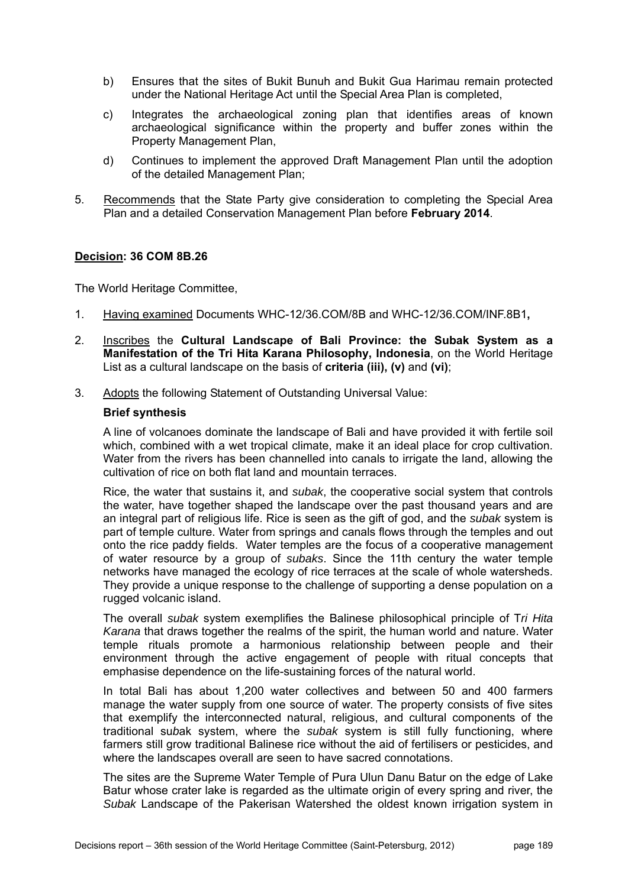- b) Ensures that the sites of Bukit Bunuh and Bukit Gua Harimau remain protected under the National Heritage Act until the Special Area Plan is completed,
- c) Integrates the archaeological zoning plan that identifies areas of known archaeological significance within the property and buffer zones within the Property Management Plan,
- d) Continues to implement the approved Draft Management Plan until the adoption of the detailed Management Plan;
- 5. Recommends that the State Party give consideration to completing the Special Area Plan and a detailed Conservation Management Plan before **February 2014**.

The World Heritage Committee,

- 1. Having examined Documents WHC-12/36.COM/8B and WHC-12/36.COM/INF.8B1**,**
- 2. Inscribes the **Cultural Landscape of Bali Province: the Subak System as a Manifestation of the Tri Hita Karana Philosophy, Indonesia**, on the World Heritage List as a cultural landscape on the basis of **criteria (iii), (v)** and **(vi)**;
- 3. Adopts the following Statement of Outstanding Universal Value:

## **Brief synthesis**

A line of volcanoes dominate the landscape of Bali and have provided it with fertile soil which, combined with a wet tropical climate, make it an ideal place for crop cultivation. Water from the rivers has been channelled into canals to irrigate the land, allowing the cultivation of rice on both flat land and mountain terraces.

Rice, the water that sustains it, and *subak*, the cooperative social system that controls the water, have together shaped the landscape over the past thousand years and are an integral part of religious life. Rice is seen as the gift of god, and the *subak* system is part of temple culture. Water from springs and canals flows through the temples and out onto the rice paddy fields. Water temples are the focus of a cooperative management of water resource by a group of *subaks*. Since the 11th century the water temple networks have managed the ecology of rice terraces at the scale of whole watersheds. They provide a unique response to the challenge of supporting a dense population on a rugged volcanic island.

The overall *subak* system exemplifies the Balinese philosophical principle of T*ri Hita Karana* that draws together the realms of the spirit, the human world and nature. Water temple rituals promote a harmonious relationship between people and their environment through the active engagement of people with ritual concepts that emphasise dependence on the life-sustaining forces of the natural world.

In total Bali has about 1,200 water collectives and between 50 and 400 farmers manage the water supply from one source of water. The property consists of five sites that exemplify the interconnected natural, religious, and cultural components of the traditional su*b*ak system, where the *subak* system is still fully functioning, where farmers still grow traditional Balinese rice without the aid of fertilisers or pesticides, and where the landscapes overall are seen to have sacred connotations.

The sites are the Supreme Water Temple of Pura Ulun Danu Batur on the edge of Lake Batur whose crater lake is regarded as the ultimate origin of every spring and river, the *Subak* Landscape of the Pakerisan Watershed the oldest known irrigation system in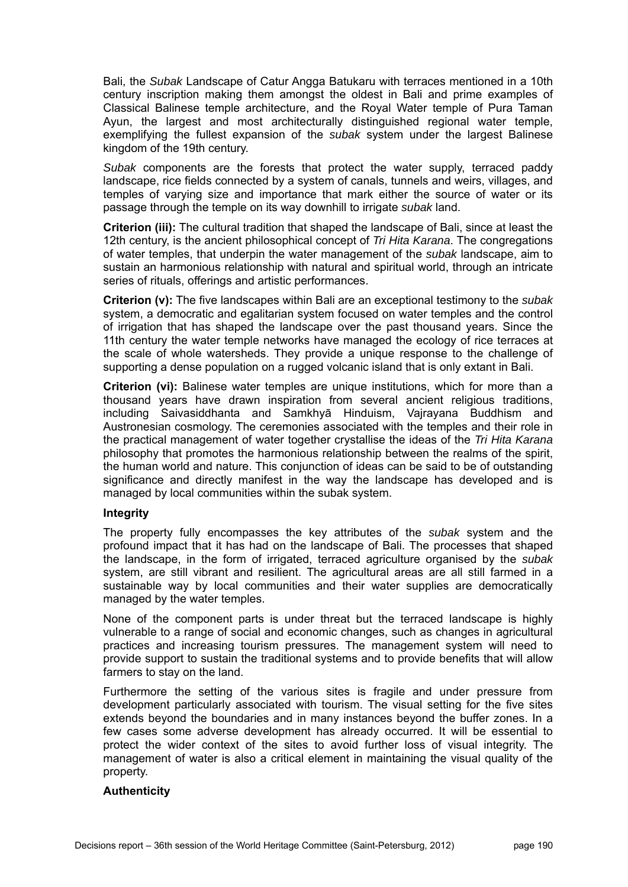Bali, the *Subak* Landscape of Catur Angga Batukaru with terraces mentioned in a 10th century inscription making them amongst the oldest in Bali and prime examples of Classical Balinese temple architecture, and the Royal Water temple of Pura Taman Ayun, the largest and most architecturally distinguished regional water temple, exemplifying the fullest expansion of the *subak* system under the largest Balinese kingdom of the 19th century.

*Subak* components are the forests that protect the water supply, terraced paddy landscape, rice fields connected by a system of canals, tunnels and weirs, villages, and temples of varying size and importance that mark either the source of water or its passage through the temple on its way downhill to irrigate *subak* land.

**Criterion (iii):** The cultural tradition that shaped the landscape of Bali, since at least the 12th century, is the ancient philosophical concept of *Tri Hita Karana*. The congregations of water temples, that underpin the water management of the *subak* landscape, aim to sustain an harmonious relationship with natural and spiritual world, through an intricate series of rituals, offerings and artistic performances.

**Criterion (v):** The five landscapes within Bali are an exceptional testimony to the *subak* system, a democratic and egalitarian system focused on water temples and the control of irrigation that has shaped the landscape over the past thousand years. Since the 11th century the water temple networks have managed the ecology of rice terraces at the scale of whole watersheds. They provide a unique response to the challenge of supporting a dense population on a rugged volcanic island that is only extant in Bali.

**Criterion (vi):** Balinese water temples are unique institutions, which for more than a thousand years have drawn inspiration from several ancient religious traditions, including Saivasiddhanta and Samkhyā Hinduism, Vajrayana Buddhism and Austronesian cosmology. The ceremonies associated with the temples and their role in the practical management of water together crystallise the ideas of the *Tri Hita Karana* philosophy that promotes the harmonious relationship between the realms of the spirit, the human world and nature. This conjunction of ideas can be said to be of outstanding significance and directly manifest in the way the landscape has developed and is managed by local communities within the subak system.

#### **Integrity**

The property fully encompasses the key attributes of the *subak* system and the profound impact that it has had on the landscape of Bali. The processes that shaped the landscape, in the form of irrigated, terraced agriculture organised by the *subak* system, are still vibrant and resilient. The agricultural areas are all still farmed in a sustainable way by local communities and their water supplies are democratically managed by the water temples.

None of the component parts is under threat but the terraced landscape is highly vulnerable to a range of social and economic changes, such as changes in agricultural practices and increasing tourism pressures. The management system will need to provide support to sustain the traditional systems and to provide benefits that will allow farmers to stay on the land.

Furthermore the setting of the various sites is fragile and under pressure from development particularly associated with tourism. The visual setting for the five sites extends beyond the boundaries and in many instances beyond the buffer zones. In a few cases some adverse development has already occurred. It will be essential to protect the wider context of the sites to avoid further loss of visual integrity. The management of water is also a critical element in maintaining the visual quality of the property.

# **Authenticity**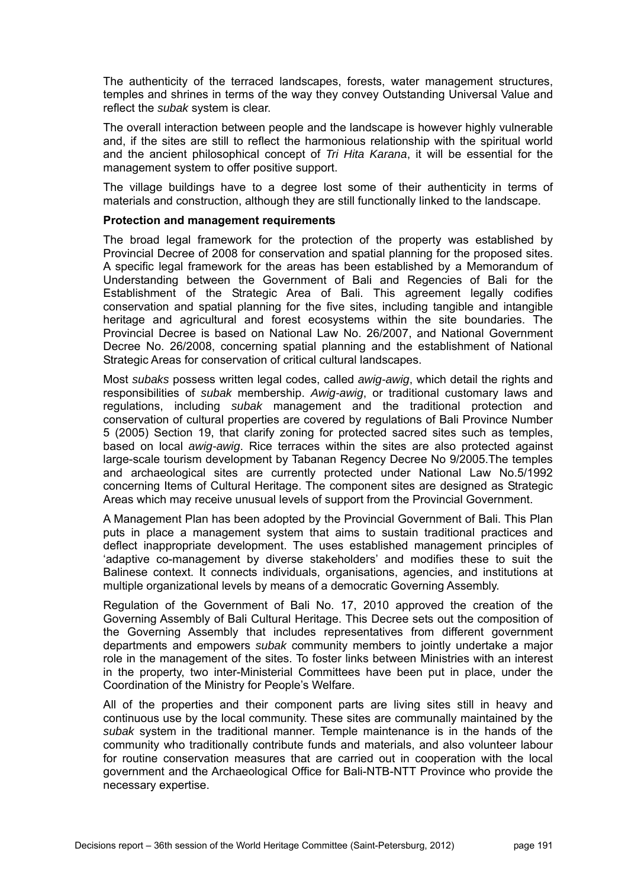The authenticity of the terraced landscapes, forests, water management structures, temples and shrines in terms of the way they convey Outstanding Universal Value and reflect the *subak* system is clear.

The overall interaction between people and the landscape is however highly vulnerable and, if the sites are still to reflect the harmonious relationship with the spiritual world and the ancient philosophical concept of *Tri Hita Karana*, it will be essential for the management system to offer positive support.

The village buildings have to a degree lost some of their authenticity in terms of materials and construction, although they are still functionally linked to the landscape.

#### **Protection and management requirements**

The broad legal framework for the protection of the property was established by Provincial Decree of 2008 for conservation and spatial planning for the proposed sites. A specific legal framework for the areas has been established by a Memorandum of Understanding between the Government of Bali and Regencies of Bali for the Establishment of the Strategic Area of Bali. This agreement legally codifies conservation and spatial planning for the five sites, including tangible and intangible heritage and agricultural and forest ecosystems within the site boundaries. The Provincial Decree is based on National Law No. 26/2007, and National Government Decree No. 26/2008, concerning spatial planning and the establishment of National Strategic Areas for conservation of critical cultural landscapes.

Most *subaks* possess written legal codes, called *awig-awig*, which detail the rights and responsibilities of *subak* membership. *Awig-awig*, or traditional customary laws and regulations, including *subak* management and the traditional protection and conservation of cultural properties are covered by regulations of Bali Province Number 5 (2005) Section 19, that clarify zoning for protected sacred sites such as temples, based on local *awig-awig*. Rice terraces within the sites are also protected against large-scale tourism development by Tabanan Regency Decree No 9/2005.The temples and archaeological sites are currently protected under National Law No.5/1992 concerning Items of Cultural Heritage. The component sites are designed as Strategic Areas which may receive unusual levels of support from the Provincial Government.

A Management Plan has been adopted by the Provincial Government of Bali. This Plan puts in place a management system that aims to sustain traditional practices and deflect inappropriate development. The uses established management principles of 'adaptive co-management by diverse stakeholders' and modifies these to suit the Balinese context. It connects individuals, organisations, agencies, and institutions at multiple organizational levels by means of a democratic Governing Assembly.

Regulation of the Government of Bali No. 17, 2010 approved the creation of the Governing Assembly of Bali Cultural Heritage. This Decree sets out the composition of the Governing Assembly that includes representatives from different government departments and empowers *subak* community members to jointly undertake a major role in the management of the sites. To foster links between Ministries with an interest in the property, two inter-Ministerial Committees have been put in place, under the Coordination of the Ministry for People's Welfare.

All of the properties and their component parts are living sites still in heavy and continuous use by the local community. These sites are communally maintained by the *subak* system in the traditional manner. Temple maintenance is in the hands of the community who traditionally contribute funds and materials, and also volunteer labour for routine conservation measures that are carried out in cooperation with the local government and the Archaeological Office for Bali-NTB-NTT Province who provide the necessary expertise.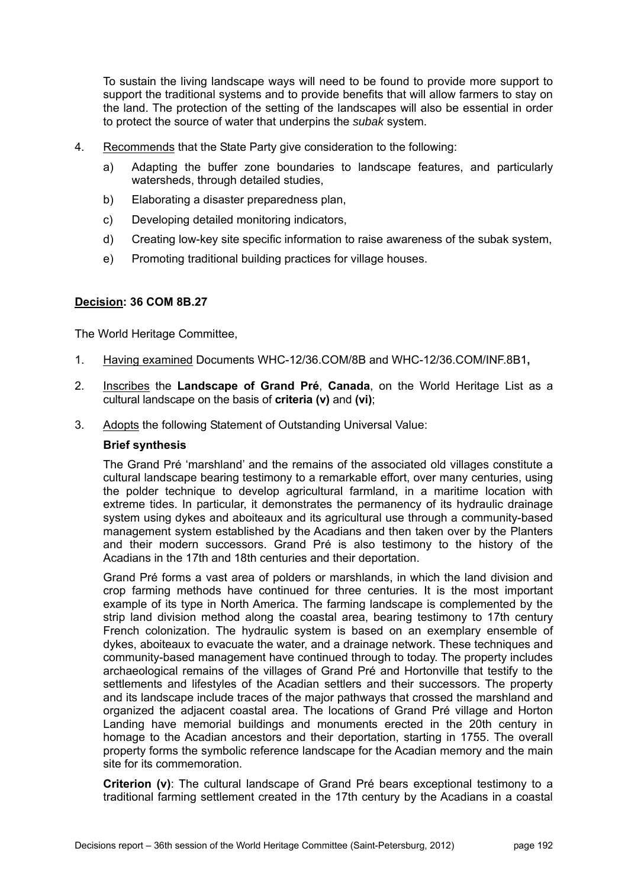To sustain the living landscape ways will need to be found to provide more support to support the traditional systems and to provide benefits that will allow farmers to stay on the land. The protection of the setting of the landscapes will also be essential in order to protect the source of water that underpins the *subak* system.

- 4. Recommends that the State Party give consideration to the following:
	- a) Adapting the buffer zone boundaries to landscape features, and particularly watersheds, through detailed studies.
	- b) Elaborating a disaster preparedness plan,
	- c) Developing detailed monitoring indicators,
	- d) Creating low-key site specific information to raise awareness of the subak system,
	- e) Promoting traditional building practices for village houses.

# **Decision: 36 COM 8B.27**

The World Heritage Committee,

- 1. Having examined Documents WHC-12/36.COM/8B and WHC-12/36.COM/INF.8B1**,**
- 2. Inscribes the **Landscape of Grand Pré**, **Canada**, on the World Heritage List as a cultural landscape on the basis of **criteria (v)** and **(vi)**;
- 3. Adopts the following Statement of Outstanding Universal Value:

### **Brief synthesis**

The Grand Pré 'marshland' and the remains of the associated old villages constitute a cultural landscape bearing testimony to a remarkable effort, over many centuries, using the polder technique to develop agricultural farmland, in a maritime location with extreme tides. In particular, it demonstrates the permanency of its hydraulic drainage system using dykes and aboiteaux and its agricultural use through a community-based management system established by the Acadians and then taken over by the Planters and their modern successors. Grand Pré is also testimony to the history of the Acadians in the 17th and 18th centuries and their deportation.

Grand Pré forms a vast area of polders or marshlands, in which the land division and crop farming methods have continued for three centuries. It is the most important example of its type in North America. The farming landscape is complemented by the strip land division method along the coastal area, bearing testimony to 17th century French colonization. The hydraulic system is based on an exemplary ensemble of dykes, aboiteaux to evacuate the water, and a drainage network. These techniques and community-based management have continued through to today. The property includes archaeological remains of the villages of Grand Pré and Hortonville that testify to the settlements and lifestyles of the Acadian settlers and their successors. The property and its landscape include traces of the major pathways that crossed the marshland and organized the adjacent coastal area. The locations of Grand Pré village and Horton Landing have memorial buildings and monuments erected in the 20th century in homage to the Acadian ancestors and their deportation, starting in 1755. The overall property forms the symbolic reference landscape for the Acadian memory and the main site for its commemoration.

**Criterion (v)**: The cultural landscape of Grand Pré bears exceptional testimony to a traditional farming settlement created in the 17th century by the Acadians in a coastal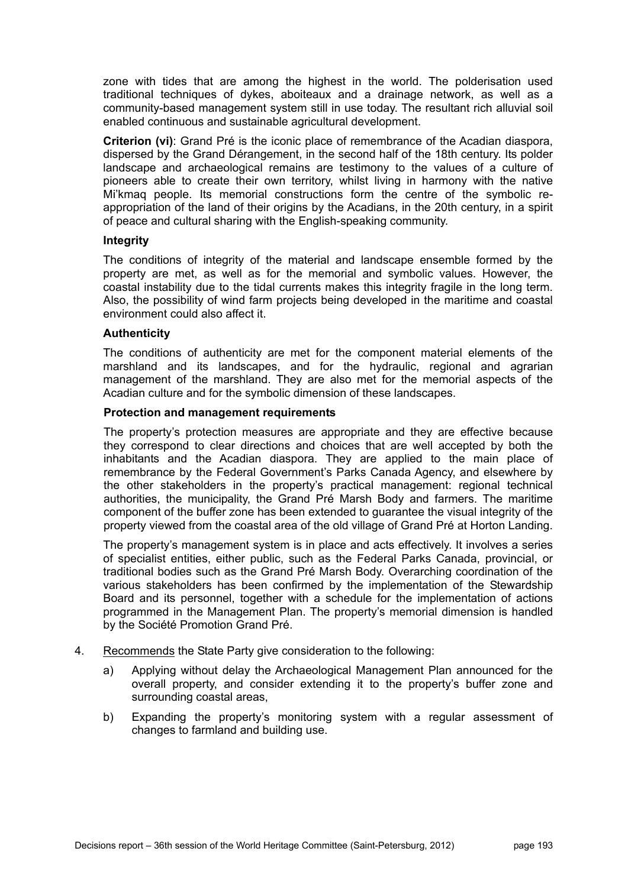zone with tides that are among the highest in the world. The polderisation used traditional techniques of dykes, aboiteaux and a drainage network, as well as a community-based management system still in use today. The resultant rich alluvial soil enabled continuous and sustainable agricultural development.

**Criterion (vi)**: Grand Pré is the iconic place of remembrance of the Acadian diaspora, dispersed by the Grand Dérangement, in the second half of the 18th century. Its polder landscape and archaeological remains are testimony to the values of a culture of pioneers able to create their own territory, whilst living in harmony with the native Mi'kmaq people. Its memorial constructions form the centre of the symbolic reappropriation of the land of their origins by the Acadians, in the 20th century, in a spirit of peace and cultural sharing with the English-speaking community.

#### **Integrity**

The conditions of integrity of the material and landscape ensemble formed by the property are met, as well as for the memorial and symbolic values. However, the coastal instability due to the tidal currents makes this integrity fragile in the long term. Also, the possibility of wind farm projects being developed in the maritime and coastal environment could also affect it.

## **Authenticity**

The conditions of authenticity are met for the component material elements of the marshland and its landscapes, and for the hydraulic, regional and agrarian management of the marshland. They are also met for the memorial aspects of the Acadian culture and for the symbolic dimension of these landscapes.

#### **Protection and management requirements**

The property's protection measures are appropriate and they are effective because they correspond to clear directions and choices that are well accepted by both the inhabitants and the Acadian diaspora. They are applied to the main place of remembrance by the Federal Government's Parks Canada Agency, and elsewhere by the other stakeholders in the property's practical management: regional technical authorities, the municipality, the Grand Pré Marsh Body and farmers. The maritime component of the buffer zone has been extended to guarantee the visual integrity of the property viewed from the coastal area of the old village of Grand Pré at Horton Landing.

The property's management system is in place and acts effectively. It involves a series of specialist entities, either public, such as the Federal Parks Canada, provincial, or traditional bodies such as the Grand Pré Marsh Body. Overarching coordination of the various stakeholders has been confirmed by the implementation of the Stewardship Board and its personnel, together with a schedule for the implementation of actions programmed in the Management Plan. The property's memorial dimension is handled by the Société Promotion Grand Pré.

- 4. Recommends the State Party give consideration to the following:
	- a) Applying without delay the Archaeological Management Plan announced for the overall property, and consider extending it to the property's buffer zone and surrounding coastal areas,
	- b) Expanding the property's monitoring system with a regular assessment of changes to farmland and building use.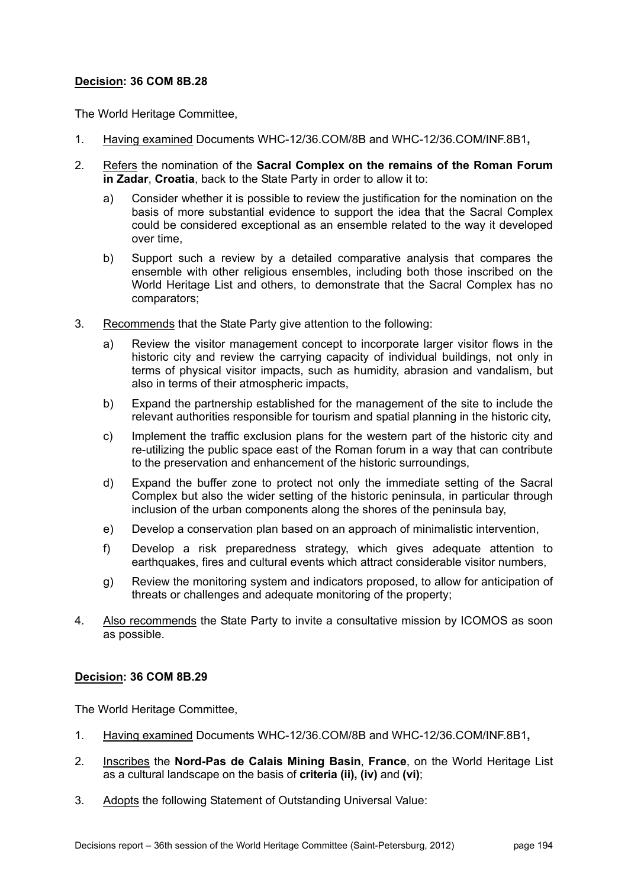The World Heritage Committee,

- 1. Having examined Documents WHC-12/36.COM/8B and WHC-12/36.COM/INF.8B1**,**
- 2. Refers the nomination of the **Sacral Complex on the remains of the Roman Forum in Zadar**, **Croatia**, back to the State Party in order to allow it to:
	- a) Consider whether it is possible to review the justification for the nomination on the basis of more substantial evidence to support the idea that the Sacral Complex could be considered exceptional as an ensemble related to the way it developed over time,
	- b) Support such a review by a detailed comparative analysis that compares the ensemble with other religious ensembles, including both those inscribed on the World Heritage List and others, to demonstrate that the Sacral Complex has no comparators;
- 3. Recommends that the State Party give attention to the following:
	- a) Review the visitor management concept to incorporate larger visitor flows in the historic city and review the carrying capacity of individual buildings, not only in terms of physical visitor impacts, such as humidity, abrasion and vandalism, but also in terms of their atmospheric impacts,
	- b) Expand the partnership established for the management of the site to include the relevant authorities responsible for tourism and spatial planning in the historic city,
	- c) Implement the traffic exclusion plans for the western part of the historic city and re-utilizing the public space east of the Roman forum in a way that can contribute to the preservation and enhancement of the historic surroundings,
	- d) Expand the buffer zone to protect not only the immediate setting of the Sacral Complex but also the wider setting of the historic peninsula, in particular through inclusion of the urban components along the shores of the peninsula bay,
	- e) Develop a conservation plan based on an approach of minimalistic intervention,
	- f) Develop a risk preparedness strategy, which gives adequate attention to earthquakes, fires and cultural events which attract considerable visitor numbers,
	- g) Review the monitoring system and indicators proposed, to allow for anticipation of threats or challenges and adequate monitoring of the property;
- 4. Also recommends the State Party to invite a consultative mission by ICOMOS as soon as possible.

# **Decision: 36 COM 8B.29**

The World Heritage Committee,

- 1. Having examined Documents WHC-12/36.COM/8B and WHC-12/36.COM/INF.8B1**,**
- 2. Inscribes the **Nord-Pas de Calais Mining Basin**, **France**, on the World Heritage List as a cultural landscape on the basis of **criteria (ii), (iv)** and **(vi)**;
- 3. Adopts the following Statement of Outstanding Universal Value: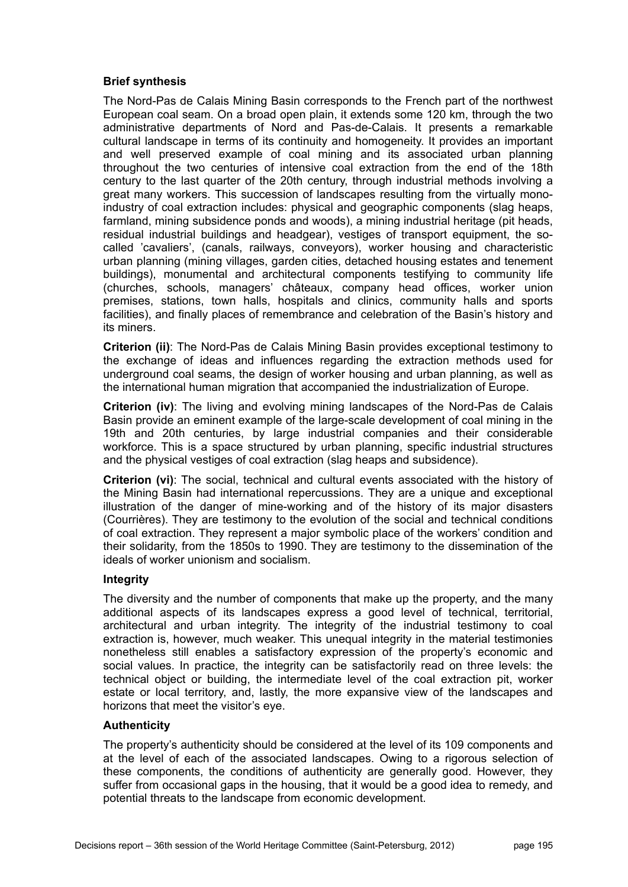## **Brief synthesis**

The Nord-Pas de Calais Mining Basin corresponds to the French part of the northwest European coal seam. On a broad open plain, it extends some 120 km, through the two administrative departments of Nord and Pas-de-Calais. It presents a remarkable cultural landscape in terms of its continuity and homogeneity. It provides an important and well preserved example of coal mining and its associated urban planning throughout the two centuries of intensive coal extraction from the end of the 18th century to the last quarter of the 20th century, through industrial methods involving a great many workers. This succession of landscapes resulting from the virtually monoindustry of coal extraction includes: physical and geographic components (slag heaps, farmland, mining subsidence ponds and woods), a mining industrial heritage (pit heads, residual industrial buildings and headgear), vestiges of transport equipment, the socalled 'cavaliers', (canals, railways, conveyors), worker housing and characteristic urban planning (mining villages, garden cities, detached housing estates and tenement buildings), monumental and architectural components testifying to community life (churches, schools, managers' châteaux, company head offices, worker union premises, stations, town halls, hospitals and clinics, community halls and sports facilities), and finally places of remembrance and celebration of the Basin's history and its miners.

**Criterion (ii)**: The Nord-Pas de Calais Mining Basin provides exceptional testimony to the exchange of ideas and influences regarding the extraction methods used for underground coal seams, the design of worker housing and urban planning, as well as the international human migration that accompanied the industrialization of Europe.

**Criterion (iv)**: The living and evolving mining landscapes of the Nord-Pas de Calais Basin provide an eminent example of the large-scale development of coal mining in the 19th and 20th centuries, by large industrial companies and their considerable workforce. This is a space structured by urban planning, specific industrial structures and the physical vestiges of coal extraction (slag heaps and subsidence).

**Criterion (vi)**: The social, technical and cultural events associated with the history of the Mining Basin had international repercussions. They are a unique and exceptional illustration of the danger of mine-working and of the history of its major disasters (Courrières). They are testimony to the evolution of the social and technical conditions of coal extraction. They represent a major symbolic place of the workers' condition and their solidarity, from the 1850s to 1990. They are testimony to the dissemination of the ideals of worker unionism and socialism.

#### **Integrity**

The diversity and the number of components that make up the property, and the many additional aspects of its landscapes express a good level of technical, territorial, architectural and urban integrity. The integrity of the industrial testimony to coal extraction is, however, much weaker. This unequal integrity in the material testimonies nonetheless still enables a satisfactory expression of the property's economic and social values. In practice, the integrity can be satisfactorily read on three levels: the technical object or building, the intermediate level of the coal extraction pit, worker estate or local territory, and, lastly, the more expansive view of the landscapes and horizons that meet the visitor's eye.

#### **Authenticity**

The property's authenticity should be considered at the level of its 109 components and at the level of each of the associated landscapes. Owing to a rigorous selection of these components, the conditions of authenticity are generally good. However, they suffer from occasional gaps in the housing, that it would be a good idea to remedy, and potential threats to the landscape from economic development.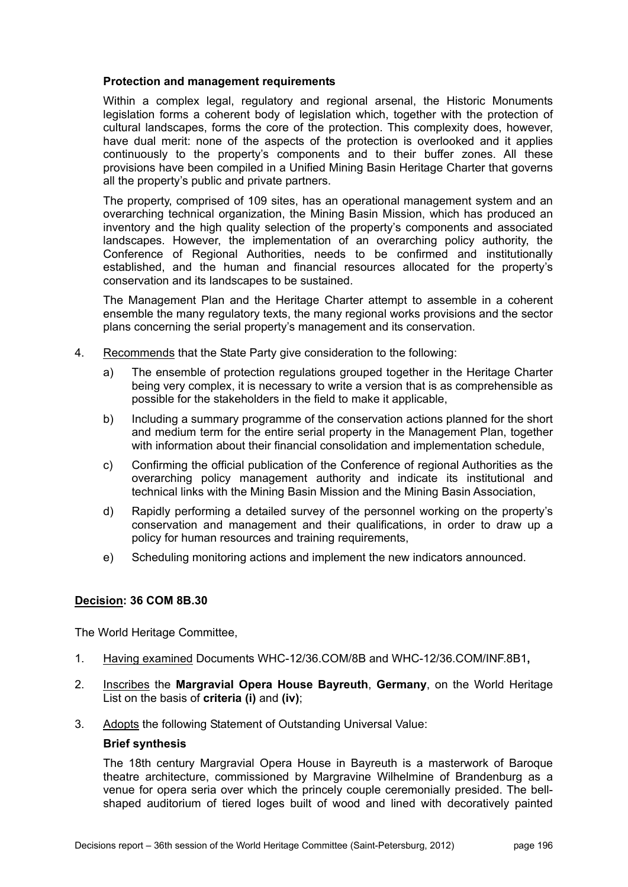### **Protection and management requirements**

Within a complex legal, regulatory and regional arsenal, the Historic Monuments legislation forms a coherent body of legislation which, together with the protection of cultural landscapes, forms the core of the protection. This complexity does, however, have dual merit: none of the aspects of the protection is overlooked and it applies continuously to the property's components and to their buffer zones. All these provisions have been compiled in a Unified Mining Basin Heritage Charter that governs all the property's public and private partners.

The property, comprised of 109 sites, has an operational management system and an overarching technical organization, the Mining Basin Mission, which has produced an inventory and the high quality selection of the property's components and associated landscapes. However, the implementation of an overarching policy authority, the Conference of Regional Authorities, needs to be confirmed and institutionally established, and the human and financial resources allocated for the property's conservation and its landscapes to be sustained.

The Management Plan and the Heritage Charter attempt to assemble in a coherent ensemble the many regulatory texts, the many regional works provisions and the sector plans concerning the serial property's management and its conservation.

- 4. Recommends that the State Party give consideration to the following:
	- a) The ensemble of protection regulations grouped together in the Heritage Charter being very complex, it is necessary to write a version that is as comprehensible as possible for the stakeholders in the field to make it applicable,
	- b) Including a summary programme of the conservation actions planned for the short and medium term for the entire serial property in the Management Plan, together with information about their financial consolidation and implementation schedule,
	- c) Confirming the official publication of the Conference of regional Authorities as the overarching policy management authority and indicate its institutional and technical links with the Mining Basin Mission and the Mining Basin Association,
	- d) Rapidly performing a detailed survey of the personnel working on the property's conservation and management and their qualifications, in order to draw up a policy for human resources and training requirements,
	- e) Scheduling monitoring actions and implement the new indicators announced.

# **Decision: 36 COM 8B.30**

The World Heritage Committee,

- 1. Having examined Documents WHC-12/36.COM/8B and WHC-12/36.COM/INF.8B1**,**
- 2. Inscribes the **Margravial Opera House Bayreuth**, **Germany**, on the World Heritage List on the basis of **criteria (i)** and **(iv)**;
- 3. Adopts the following Statement of Outstanding Universal Value:

#### **Brief synthesis**

The 18th century Margravial Opera House in Bayreuth is a masterwork of Baroque theatre architecture, commissioned by Margravine Wilhelmine of Brandenburg as a venue for opera seria over which the princely couple ceremonially presided. The bellshaped auditorium of tiered loges built of wood and lined with decoratively painted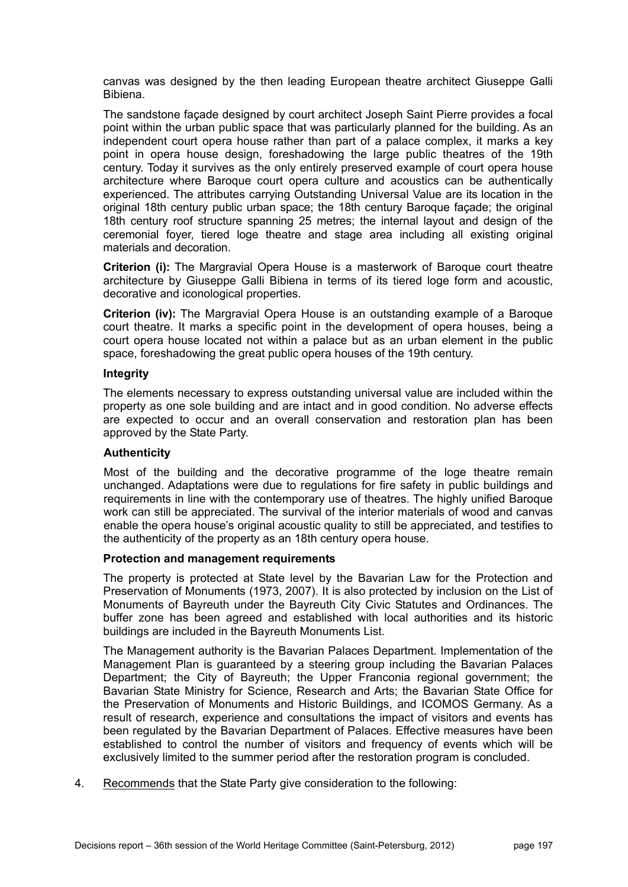canvas was designed by the then leading European theatre architect Giuseppe Galli Bibiena.

The sandstone façade designed by court architect Joseph Saint Pierre provides a focal point within the urban public space that was particularly planned for the building. As an independent court opera house rather than part of a palace complex, it marks a key point in opera house design, foreshadowing the large public theatres of the 19th century. Today it survives as the only entirely preserved example of court opera house architecture where Baroque court opera culture and acoustics can be authentically experienced. The attributes carrying Outstanding Universal Value are its location in the original 18th century public urban space; the 18th century Baroque façade; the original 18th century roof structure spanning 25 metres; the internal layout and design of the ceremonial foyer, tiered loge theatre and stage area including all existing original materials and decoration.

**Criterion (i):** The Margravial Opera House is a masterwork of Baroque court theatre architecture by Giuseppe Galli Bibiena in terms of its tiered loge form and acoustic, decorative and iconological properties.

**Criterion (iv):** The Margravial Opera House is an outstanding example of a Baroque court theatre. It marks a specific point in the development of opera houses, being a court opera house located not within a palace but as an urban element in the public space, foreshadowing the great public opera houses of the 19th century.

## **Integrity**

The elements necessary to express outstanding universal value are included within the property as one sole building and are intact and in good condition. No adverse effects are expected to occur and an overall conservation and restoration plan has been approved by the State Party.

# **Authenticity**

Most of the building and the decorative programme of the loge theatre remain unchanged. Adaptations were due to regulations for fire safety in public buildings and requirements in line with the contemporary use of theatres. The highly unified Baroque work can still be appreciated. The survival of the interior materials of wood and canvas enable the opera house's original acoustic quality to still be appreciated, and testifies to the authenticity of the property as an 18th century opera house.

# **Protection and management requirements**

The property is protected at State level by the Bavarian Law for the Protection and Preservation of Monuments (1973, 2007). It is also protected by inclusion on the List of Monuments of Bayreuth under the Bayreuth City Civic Statutes and Ordinances. The buffer zone has been agreed and established with local authorities and its historic buildings are included in the Bayreuth Monuments List.

The Management authority is the Bavarian Palaces Department. Implementation of the Management Plan is guaranteed by a steering group including the Bavarian Palaces Department; the City of Bayreuth; the Upper Franconia regional government; the Bavarian State Ministry for Science, Research and Arts; the Bavarian State Office for the Preservation of Monuments and Historic Buildings, and ICOMOS Germany. As a result of research, experience and consultations the impact of visitors and events has been regulated by the Bavarian Department of Palaces. Effective measures have been established to control the number of visitors and frequency of events which will be exclusively limited to the summer period after the restoration program is concluded.

4. Recommends that the State Party give consideration to the following: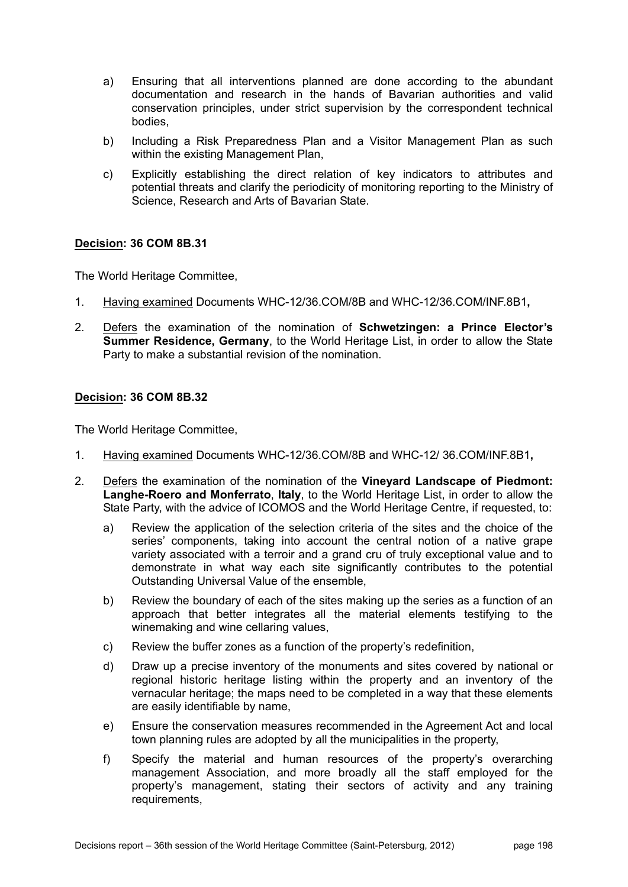- a) Ensuring that all interventions planned are done according to the abundant documentation and research in the hands of Bavarian authorities and valid conservation principles, under strict supervision by the correspondent technical bodies,
- b) Including a Risk Preparedness Plan and a Visitor Management Plan as such within the existing Management Plan,
- c) Explicitly establishing the direct relation of key indicators to attributes and potential threats and clarify the periodicity of monitoring reporting to the Ministry of Science, Research and Arts of Bavarian State.

The World Heritage Committee,

- 1. Having examined Documents WHC-12/36.COM/8B and WHC-12/36.COM/INF.8B1**,**
- 2. Defers the examination of the nomination of **Schwetzingen: a Prince Elector's Summer Residence, Germany**, to the World Heritage List, in order to allow the State Party to make a substantial revision of the nomination.

## **Decision: 36 COM 8B.32**

The World Heritage Committee,

- 1. Having examined Documents WHC-12/36.COM/8B and WHC-12/ 36.COM/INF.8B1**,**
- 2. Defers the examination of the nomination of the **Vineyard Landscape of Piedmont: Langhe-Roero and Monferrato**, **Italy**, to the World Heritage List, in order to allow the State Party, with the advice of ICOMOS and the World Heritage Centre, if requested, to:
	- a) Review the application of the selection criteria of the sites and the choice of the series' components, taking into account the central notion of a native grape variety associated with a terroir and a grand cru of truly exceptional value and to demonstrate in what way each site significantly contributes to the potential Outstanding Universal Value of the ensemble,
	- b) Review the boundary of each of the sites making up the series as a function of an approach that better integrates all the material elements testifying to the winemaking and wine cellaring values,
	- c) Review the buffer zones as a function of the property's redefinition,
	- d) Draw up a precise inventory of the monuments and sites covered by national or regional historic heritage listing within the property and an inventory of the vernacular heritage; the maps need to be completed in a way that these elements are easily identifiable by name,
	- e) Ensure the conservation measures recommended in the Agreement Act and local town planning rules are adopted by all the municipalities in the property,
	- f) Specify the material and human resources of the property's overarching management Association, and more broadly all the staff employed for the property's management, stating their sectors of activity and any training requirements,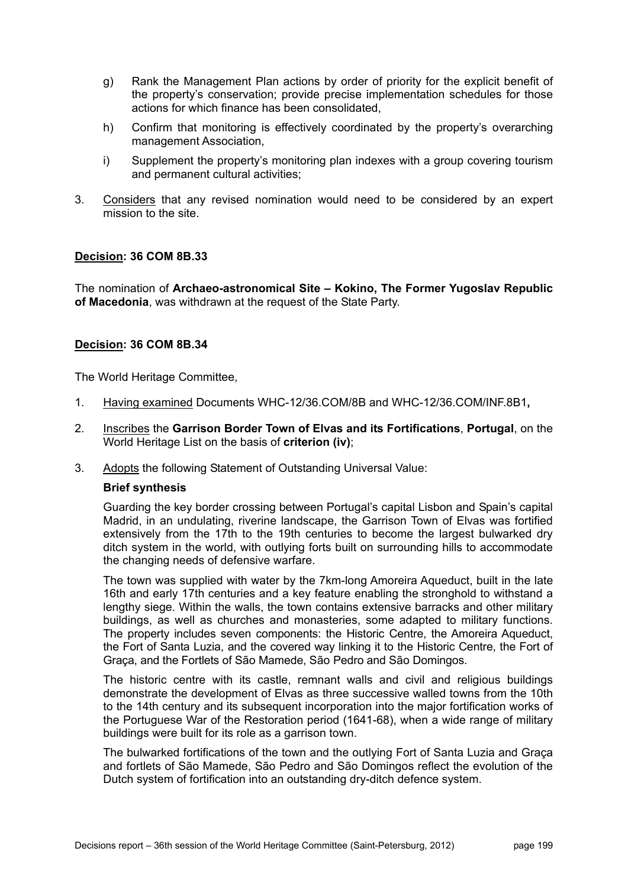- g) Rank the Management Plan actions by order of priority for the explicit benefit of the property's conservation; provide precise implementation schedules for those actions for which finance has been consolidated,
- h) Confirm that monitoring is effectively coordinated by the property's overarching management Association,
- i) Supplement the property's monitoring plan indexes with a group covering tourism and permanent cultural activities;
- 3. Considers that any revised nomination would need to be considered by an expert mission to the site.

The nomination of **Archaeo-astronomical Site – Kokino, The Former Yugoslav Republic of Macedonia**, was withdrawn at the request of the State Party.

# **Decision: 36 COM 8B.34**

The World Heritage Committee,

- 1. Having examined Documents WHC-12/36.COM/8B and WHC-12/36.COM/INF.8B1**,**
- 2. Inscribes the **Garrison Border Town of Elvas and its Fortifications**, **Portugal**, on the World Heritage List on the basis of **criterion (iv)**;
- 3. Adopts the following Statement of Outstanding Universal Value:

#### **Brief synthesis**

Guarding the key border crossing between Portugal's capital Lisbon and Spain's capital Madrid, in an undulating, riverine landscape, the Garrison Town of Elvas was fortified extensively from the 17th to the 19th centuries to become the largest bulwarked dry ditch system in the world, with outlying forts built on surrounding hills to accommodate the changing needs of defensive warfare.

The town was supplied with water by the 7km-long Amoreira Aqueduct, built in the late 16th and early 17th centuries and a key feature enabling the stronghold to withstand a lengthy siege. Within the walls, the town contains extensive barracks and other military buildings, as well as churches and monasteries, some adapted to military functions. The property includes seven components: the Historic Centre, the Amoreira Aqueduct, the Fort of Santa Luzia, and the covered way linking it to the Historic Centre, the Fort of Graça, and the Fortlets of São Mamede, São Pedro and São Domingos.

The historic centre with its castle, remnant walls and civil and religious buildings demonstrate the development of Elvas as three successive walled towns from the 10th to the 14th century and its subsequent incorporation into the major fortification works of the Portuguese War of the Restoration period (1641-68), when a wide range of military buildings were built for its role as a garrison town.

The bulwarked fortifications of the town and the outlying Fort of Santa Luzia and Graça and fortlets of São Mamede, São Pedro and São Domingos reflect the evolution of the Dutch system of fortification into an outstanding dry-ditch defence system.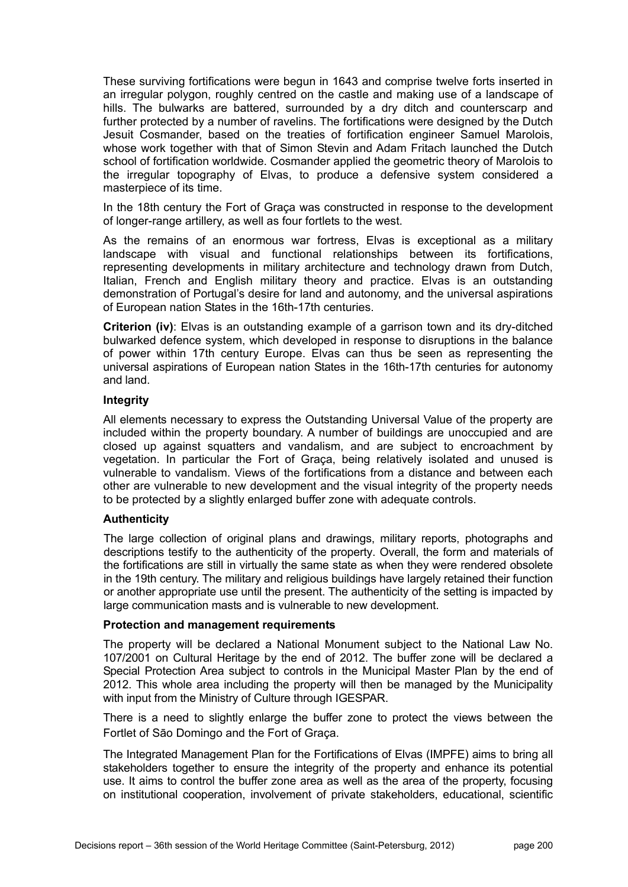These surviving fortifications were begun in 1643 and comprise twelve forts inserted in an irregular polygon, roughly centred on the castle and making use of a landscape of hills. The bulwarks are battered, surrounded by a dry ditch and counterscarp and further protected by a number of ravelins. The fortifications were designed by the Dutch Jesuit Cosmander, based on the treaties of fortification engineer Samuel Marolois, whose work together with that of Simon Stevin and Adam Fritach launched the Dutch school of fortification worldwide. Cosmander applied the geometric theory of Marolois to the irregular topography of Elvas, to produce a defensive system considered a masterpiece of its time.

In the 18th century the Fort of Graça was constructed in response to the development of longer-range artillery, as well as four fortlets to the west.

As the remains of an enormous war fortress, Elvas is exceptional as a military landscape with visual and functional relationships between its fortifications, representing developments in military architecture and technology drawn from Dutch, Italian, French and English military theory and practice. Elvas is an outstanding demonstration of Portugal's desire for land and autonomy, and the universal aspirations of European nation States in the 16th-17th centuries.

**Criterion (iv)**: Elvas is an outstanding example of a garrison town and its dry-ditched bulwarked defence system, which developed in response to disruptions in the balance of power within 17th century Europe. Elvas can thus be seen as representing the universal aspirations of European nation States in the 16th-17th centuries for autonomy and land.

## **Integrity**

All elements necessary to express the Outstanding Universal Value of the property are included within the property boundary. A number of buildings are unoccupied and are closed up against squatters and vandalism, and are subject to encroachment by vegetation. In particular the Fort of Graça, being relatively isolated and unused is vulnerable to vandalism. Views of the fortifications from a distance and between each other are vulnerable to new development and the visual integrity of the property needs to be protected by a slightly enlarged buffer zone with adequate controls.

#### **Authenticity**

The large collection of original plans and drawings, military reports, photographs and descriptions testify to the authenticity of the property. Overall, the form and materials of the fortifications are still in virtually the same state as when they were rendered obsolete in the 19th century. The military and religious buildings have largely retained their function or another appropriate use until the present. The authenticity of the setting is impacted by large communication masts and is vulnerable to new development.

#### **Protection and management requirements**

The property will be declared a National Monument subject to the National Law No. 107/2001 on Cultural Heritage by the end of 2012. The buffer zone will be declared a Special Protection Area subject to controls in the Municipal Master Plan by the end of 2012. This whole area including the property will then be managed by the Municipality with input from the Ministry of Culture through IGESPAR.

There is a need to slightly enlarge the buffer zone to protect the views between the Fortlet of Sāo Domingo and the Fort of Graça.

The Integrated Management Plan for the Fortifications of Elvas (IMPFE) aims to bring all stakeholders together to ensure the integrity of the property and enhance its potential use. It aims to control the buffer zone area as well as the area of the property, focusing on institutional cooperation, involvement of private stakeholders, educational, scientific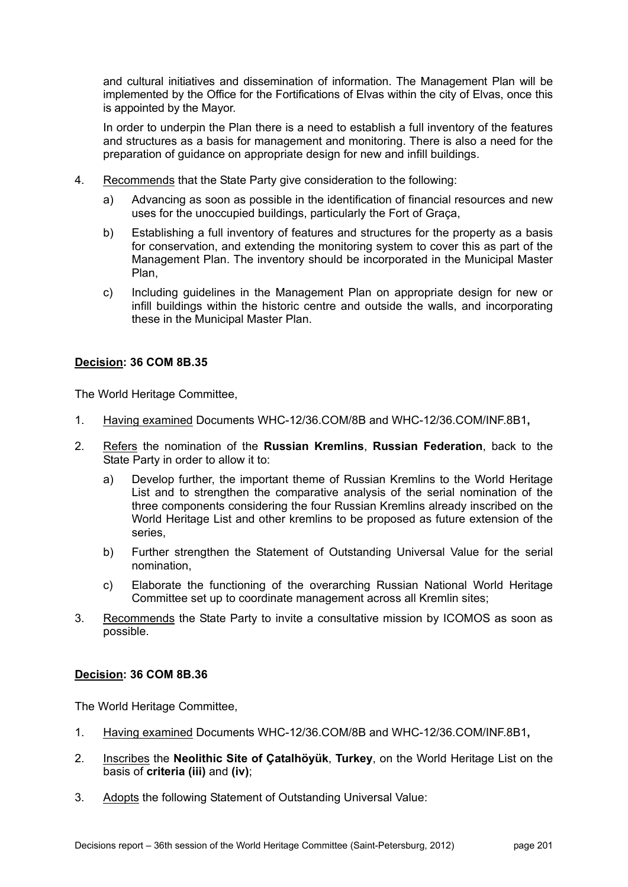and cultural initiatives and dissemination of information. The Management Plan will be implemented by the Office for the Fortifications of Elvas within the city of Elvas, once this is appointed by the Mayor.

In order to underpin the Plan there is a need to establish a full inventory of the features and structures as a basis for management and monitoring. There is also a need for the preparation of guidance on appropriate design for new and infill buildings.

- 4. Recommends that the State Party give consideration to the following:
	- a) Advancing as soon as possible in the identification of financial resources and new uses for the unoccupied buildings, particularly the Fort of Graça,
	- b) Establishing a full inventory of features and structures for the property as a basis for conservation, and extending the monitoring system to cover this as part of the Management Plan. The inventory should be incorporated in the Municipal Master Plan,
	- c) Including guidelines in the Management Plan on appropriate design for new or infill buildings within the historic centre and outside the walls, and incorporating these in the Municipal Master Plan.

# **Decision: 36 COM 8B.35**

The World Heritage Committee,

- 1. Having examined Documents WHC-12/36.COM/8B and WHC-12/36.COM/INF.8B1**,**
- 2. Refers the nomination of the **Russian Kremlins**, **Russian Federation**, back to the State Party in order to allow it to:
	- a) Develop further, the important theme of Russian Kremlins to the World Heritage List and to strengthen the comparative analysis of the serial nomination of the three components considering the four Russian Kremlins already inscribed on the World Heritage List and other kremlins to be proposed as future extension of the series,
	- b) Further strengthen the Statement of Outstanding Universal Value for the serial nomination,
	- c) Elaborate the functioning of the overarching Russian National World Heritage Committee set up to coordinate management across all Kremlin sites;
- 3. Recommends the State Party to invite a consultative mission by ICOMOS as soon as possible.

# **Decision: 36 COM 8B.36**

The World Heritage Committee,

- 1. Having examined Documents WHC-12/36.COM/8B and WHC-12/36.COM/INF.8B1**,**
- 2. Inscribes the **Neolithic Site of Çatalhöyük**, **Turkey**, on the World Heritage List on the basis of **criteria (iii)** and **(iv)**;
- 3. Adopts the following Statement of Outstanding Universal Value: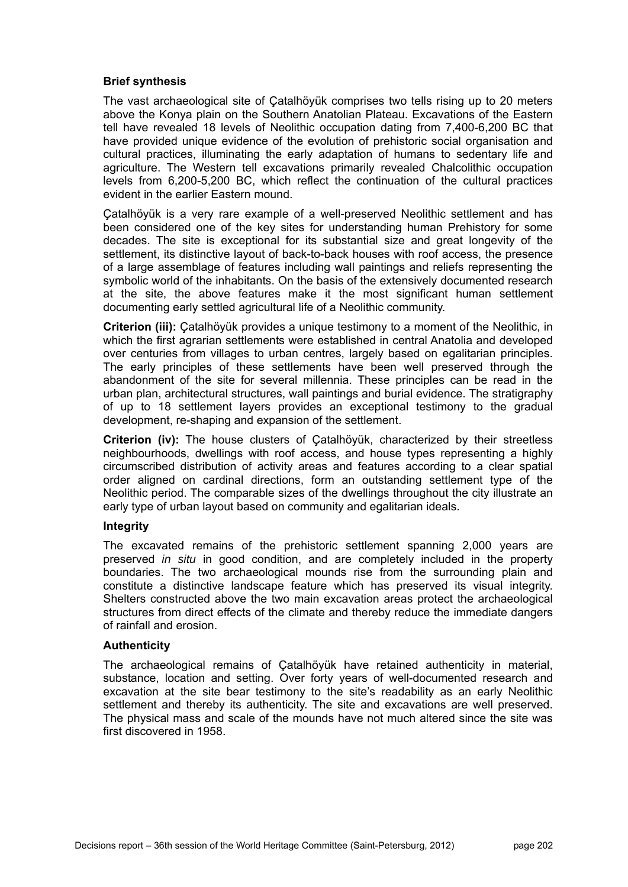## **Brief synthesis**

The vast archaeological site of Çatalhöyük comprises two tells rising up to 20 meters above the Konya plain on the Southern Anatolian Plateau. Excavations of the Eastern tell have revealed 18 levels of Neolithic occupation dating from 7,400-6,200 BC that have provided unique evidence of the evolution of prehistoric social organisation and cultural practices, illuminating the early adaptation of humans to sedentary life and agriculture. The Western tell excavations primarily revealed Chalcolithic occupation levels from 6,200-5,200 BC, which reflect the continuation of the cultural practices evident in the earlier Eastern mound.

Çatalhöyük is a very rare example of a well-preserved Neolithic settlement and has been considered one of the key sites for understanding human Prehistory for some decades. The site is exceptional for its substantial size and great longevity of the settlement, its distinctive layout of back-to-back houses with roof access, the presence of a large assemblage of features including wall paintings and reliefs representing the symbolic world of the inhabitants. On the basis of the extensively documented research at the site, the above features make it the most significant human settlement documenting early settled agricultural life of a Neolithic community.

**Criterion (iii):** Çatalhöyük provides a unique testimony to a moment of the Neolithic, in which the first agrarian settlements were established in central Anatolia and developed over centuries from villages to urban centres, largely based on egalitarian principles. The early principles of these settlements have been well preserved through the abandonment of the site for several millennia. These principles can be read in the urban plan, architectural structures, wall paintings and burial evidence. The stratigraphy of up to 18 settlement layers provides an exceptional testimony to the gradual development, re-shaping and expansion of the settlement.

**Criterion (iv):** The house clusters of Çatalhöyük, characterized by their streetless neighbourhoods, dwellings with roof access, and house types representing a highly circumscribed distribution of activity areas and features according to a clear spatial order aligned on cardinal directions, form an outstanding settlement type of the Neolithic period. The comparable sizes of the dwellings throughout the city illustrate an early type of urban layout based on community and egalitarian ideals.

#### **Integrity**

The excavated remains of the prehistoric settlement spanning 2,000 years are preserved *in situ* in good condition, and are completely included in the property boundaries. The two archaeological mounds rise from the surrounding plain and constitute a distinctive landscape feature which has preserved its visual integrity. Shelters constructed above the two main excavation areas protect the archaeological structures from direct effects of the climate and thereby reduce the immediate dangers of rainfall and erosion.

### **Authenticity**

The archaeological remains of Çatalhöyük have retained authenticity in material, substance, location and setting. Over forty years of well-documented research and excavation at the site bear testimony to the site's readability as an early Neolithic settlement and thereby its authenticity. The site and excavations are well preserved. The physical mass and scale of the mounds have not much altered since the site was first discovered in 1958.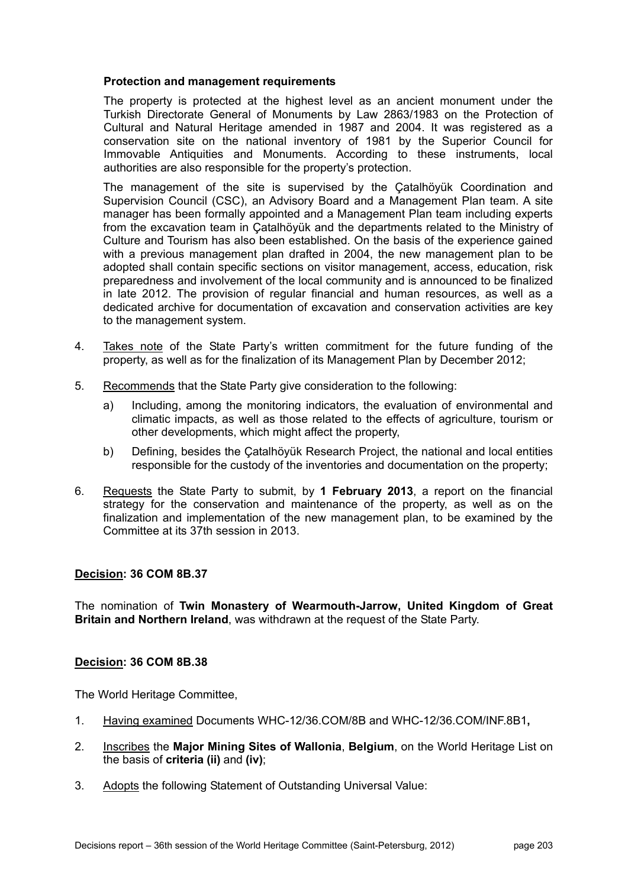## **Protection and management requirements**

The property is protected at the highest level as an ancient monument under the Turkish Directorate General of Monuments by Law 2863/1983 on the Protection of Cultural and Natural Heritage amended in 1987 and 2004. It was registered as a conservation site on the national inventory of 1981 by the Superior Council for Immovable Antiquities and Monuments. According to these instruments, local authorities are also responsible for the property's protection.

The management of the site is supervised by the Çatalhöyük Coordination and Supervision Council (CSC), an Advisory Board and a Management Plan team. A site manager has been formally appointed and a Management Plan team including experts from the excavation team in Çatalhöyük and the departments related to the Ministry of Culture and Tourism has also been established. On the basis of the experience gained with a previous management plan drafted in 2004, the new management plan to be adopted shall contain specific sections on visitor management, access, education, risk preparedness and involvement of the local community and is announced to be finalized in late 2012. The provision of regular financial and human resources, as well as a dedicated archive for documentation of excavation and conservation activities are key to the management system.

- 4. Takes note of the State Party's written commitment for the future funding of the property, as well as for the finalization of its Management Plan by December 2012;
- 5. Recommends that the State Party give consideration to the following:
	- a) Including, among the monitoring indicators, the evaluation of environmental and climatic impacts, as well as those related to the effects of agriculture, tourism or other developments, which might affect the property,
	- b) Defining, besides the Çatalhöyük Research Project, the national and local entities responsible for the custody of the inventories and documentation on the property;
- 6. Requests the State Party to submit, by **1 February 2013**, a report on the financial strategy for the conservation and maintenance of the property, as well as on the finalization and implementation of the new management plan, to be examined by the Committee at its 37th session in 2013.

# **Decision: 36 COM 8B.37**

The nomination of **Twin Monastery of Wearmouth-Jarrow, United Kingdom of Great Britain and Northern Ireland**, was withdrawn at the request of the State Party.

#### **Decision: 36 COM 8B.38**

The World Heritage Committee,

- 1. Having examined Documents WHC-12/36.COM/8B and WHC-12/36.COM/INF.8B1**,**
- 2. Inscribes the **Major Mining Sites of Wallonia**, **Belgium**, on the World Heritage List on the basis of **criteria (ii)** and **(iv)**;
- 3. Adopts the following Statement of Outstanding Universal Value: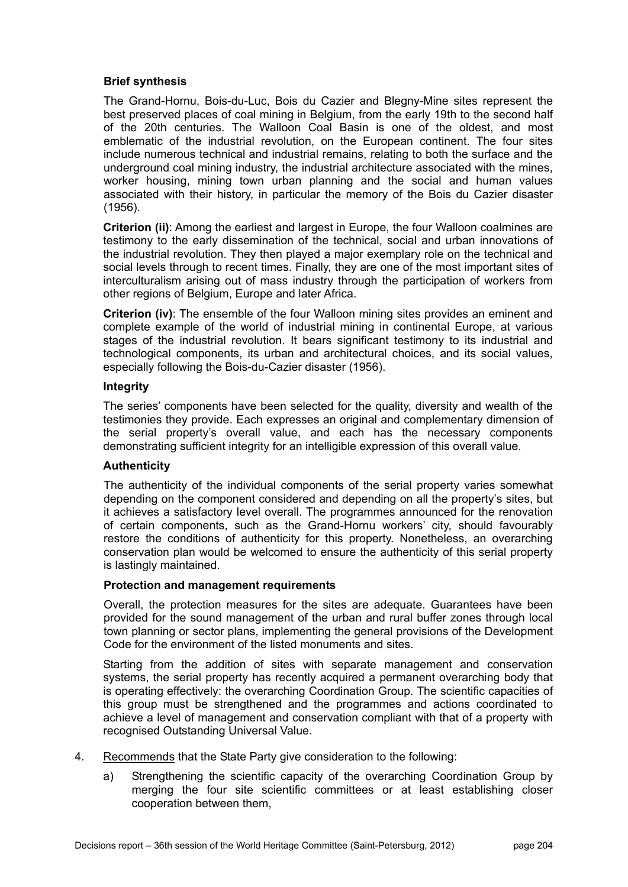# **Brief synthesis**

The Grand-Hornu, Bois-du-Luc, Bois du Cazier and Blegny-Mine sites represent the best preserved places of coal mining in Belgium, from the early 19th to the second half of the 20th centuries. The Walloon Coal Basin is one of the oldest, and most emblematic of the industrial revolution, on the European continent. The four sites include numerous technical and industrial remains, relating to both the surface and the underground coal mining industry, the industrial architecture associated with the mines, worker housing, mining town urban planning and the social and human values associated with their history, in particular the memory of the Bois du Cazier disaster (1956).

**Criterion (ii)**: Among the earliest and largest in Europe, the four Walloon coalmines are testimony to the early dissemination of the technical, social and urban innovations of the industrial revolution. They then played a major exemplary role on the technical and social levels through to recent times. Finally, they are one of the most important sites of interculturalism arising out of mass industry through the participation of workers from other regions of Belgium, Europe and later Africa.

**Criterion (iv)**: The ensemble of the four Walloon mining sites provides an eminent and complete example of the world of industrial mining in continental Europe, at various stages of the industrial revolution. It bears significant testimony to its industrial and technological components, its urban and architectural choices, and its social values, especially following the Bois-du-Cazier disaster (1956).

### **Integrity**

The series' components have been selected for the quality, diversity and wealth of the testimonies they provide. Each expresses an original and complementary dimension of the serial property's overall value, and each has the necessary components demonstrating sufficient integrity for an intelligible expression of this overall value.

# **Authenticity**

The authenticity of the individual components of the serial property varies somewhat depending on the component considered and depending on all the property's sites, but it achieves a satisfactory level overall. The programmes announced for the renovation of certain components, such as the Grand-Hornu workers' city, should favourably restore the conditions of authenticity for this property. Nonetheless, an overarching conservation plan would be welcomed to ensure the authenticity of this serial property is lastingly maintained.

#### **Protection and management requirements**

Overall, the protection measures for the sites are adequate. Guarantees have been provided for the sound management of the urban and rural buffer zones through local town planning or sector plans, implementing the general provisions of the Development Code for the environment of the listed monuments and sites.

Starting from the addition of sites with separate management and conservation systems, the serial property has recently acquired a permanent overarching body that is operating effectively: the overarching Coordination Group. The scientific capacities of this group must be strengthened and the programmes and actions coordinated to achieve a level of management and conservation compliant with that of a property with recognised Outstanding Universal Value.

- 4. Recommends that the State Party give consideration to the following:
	- a) Strengthening the scientific capacity of the overarching Coordination Group by merging the four site scientific committees or at least establishing closer cooperation between them,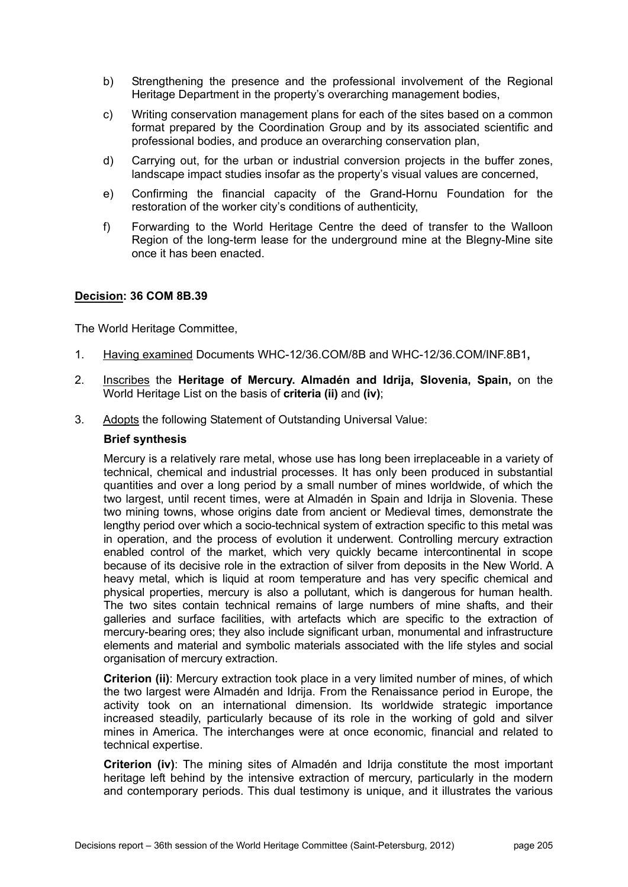- b) Strengthening the presence and the professional involvement of the Regional Heritage Department in the property's overarching management bodies,
- c) Writing conservation management plans for each of the sites based on a common format prepared by the Coordination Group and by its associated scientific and professional bodies, and produce an overarching conservation plan,
- d) Carrying out, for the urban or industrial conversion projects in the buffer zones, landscape impact studies insofar as the property's visual values are concerned,
- e) Confirming the financial capacity of the Grand-Hornu Foundation for the restoration of the worker city's conditions of authenticity,
- f) Forwarding to the World Heritage Centre the deed of transfer to the Walloon Region of the long-term lease for the underground mine at the Blegny-Mine site once it has been enacted.

The World Heritage Committee,

- 1. Having examined Documents WHC-12/36.COM/8B and WHC-12/36.COM/INF.8B1**,**
- 2. Inscribes the **Heritage of Mercury. Almadén and Idrija, Slovenia, Spain,** on the World Heritage List on the basis of **criteria (ii)** and **(iv)**;
- 3. Adopts the following Statement of Outstanding Universal Value:

### **Brief synthesis**

Mercury is a relatively rare metal, whose use has long been irreplaceable in a variety of technical, chemical and industrial processes. It has only been produced in substantial quantities and over a long period by a small number of mines worldwide, of which the two largest, until recent times, were at Almadén in Spain and Idrija in Slovenia. These two mining towns, whose origins date from ancient or Medieval times, demonstrate the lengthy period over which a socio-technical system of extraction specific to this metal was in operation, and the process of evolution it underwent. Controlling mercury extraction enabled control of the market, which very quickly became intercontinental in scope because of its decisive role in the extraction of silver from deposits in the New World. A heavy metal, which is liquid at room temperature and has very specific chemical and physical properties, mercury is also a pollutant, which is dangerous for human health. The two sites contain technical remains of large numbers of mine shafts, and their galleries and surface facilities, with artefacts which are specific to the extraction of mercury-bearing ores; they also include significant urban, monumental and infrastructure elements and material and symbolic materials associated with the life styles and social organisation of mercury extraction.

**Criterion (ii)**: Mercury extraction took place in a very limited number of mines, of which the two largest were Almadén and Idrija. From the Renaissance period in Europe, the activity took on an international dimension. Its worldwide strategic importance increased steadily, particularly because of its role in the working of gold and silver mines in America. The interchanges were at once economic, financial and related to technical expertise.

**Criterion (iv)**: The mining sites of Almadén and Idrija constitute the most important heritage left behind by the intensive extraction of mercury, particularly in the modern and contemporary periods. This dual testimony is unique, and it illustrates the various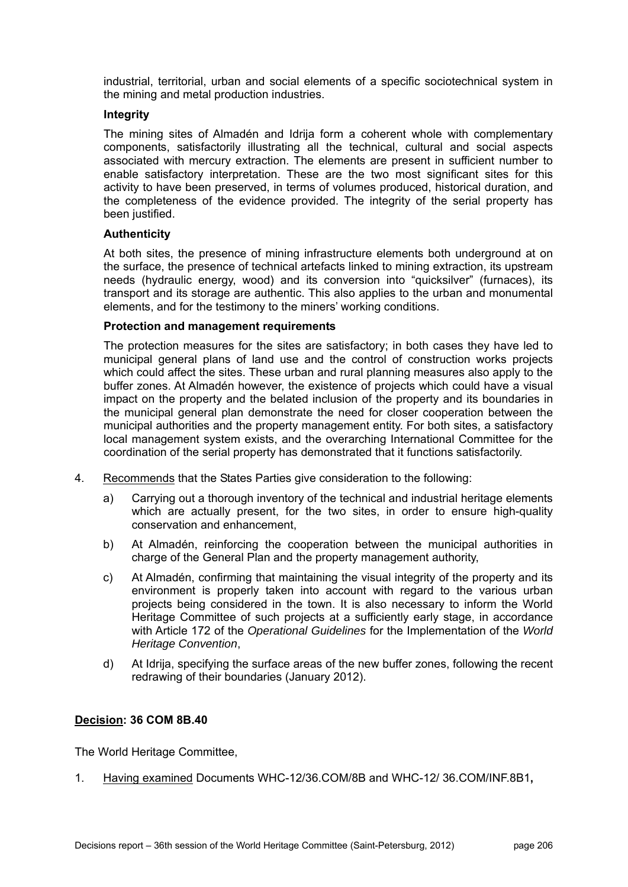industrial, territorial, urban and social elements of a specific sociotechnical system in the mining and metal production industries.

## **Integrity**

The mining sites of Almadén and Idrija form a coherent whole with complementary components, satisfactorily illustrating all the technical, cultural and social aspects associated with mercury extraction. The elements are present in sufficient number to enable satisfactory interpretation. These are the two most significant sites for this activity to have been preserved, in terms of volumes produced, historical duration, and the completeness of the evidence provided. The integrity of the serial property has been justified.

## **Authenticity**

At both sites, the presence of mining infrastructure elements both underground at on the surface, the presence of technical artefacts linked to mining extraction, its upstream needs (hydraulic energy, wood) and its conversion into "quicksilver" (furnaces), its transport and its storage are authentic. This also applies to the urban and monumental elements, and for the testimony to the miners' working conditions.

## **Protection and management requirements**

The protection measures for the sites are satisfactory; in both cases they have led to municipal general plans of land use and the control of construction works projects which could affect the sites. These urban and rural planning measures also apply to the buffer zones. At Almadén however, the existence of projects which could have a visual impact on the property and the belated inclusion of the property and its boundaries in the municipal general plan demonstrate the need for closer cooperation between the municipal authorities and the property management entity. For both sites, a satisfactory local management system exists, and the overarching International Committee for the coordination of the serial property has demonstrated that it functions satisfactorily.

- 4. Recommends that the States Parties give consideration to the following:
	- a) Carrying out a thorough inventory of the technical and industrial heritage elements which are actually present, for the two sites, in order to ensure high-quality conservation and enhancement,
	- b) At Almadén, reinforcing the cooperation between the municipal authorities in charge of the General Plan and the property management authority,
	- c) At Almadén, confirming that maintaining the visual integrity of the property and its environment is properly taken into account with regard to the various urban projects being considered in the town. It is also necessary to inform the World Heritage Committee of such projects at a sufficiently early stage, in accordance with Article 172 of the *Operational Guidelines* for the Implementation of the *World Heritage Convention*,
	- d) At Idrija, specifying the surface areas of the new buffer zones, following the recent redrawing of their boundaries (January 2012).

# **Decision: 36 COM 8B.40**

The World Heritage Committee,

1. Having examined Documents WHC-12/36.COM/8B and WHC-12/ 36.COM/INF.8B1**,**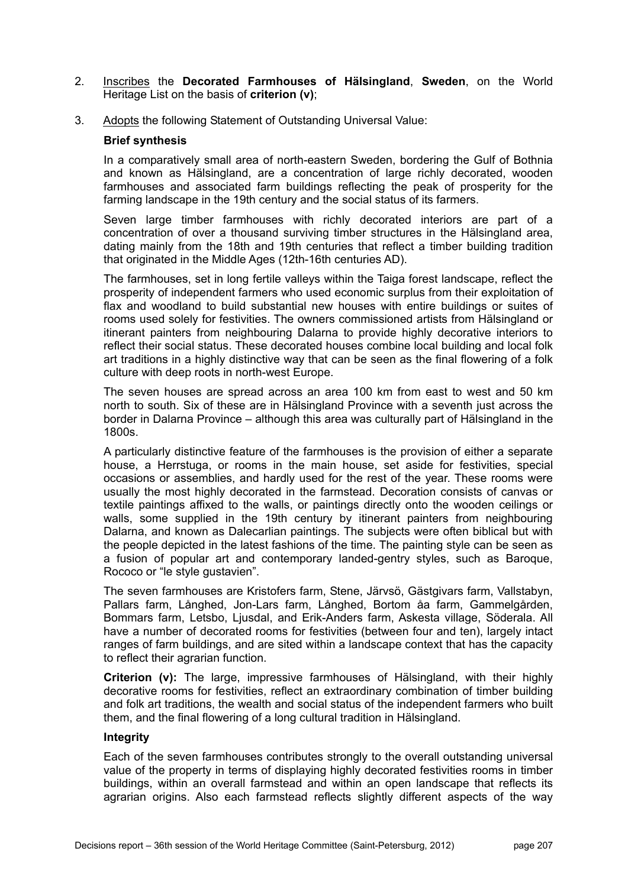- 2. Inscribes the **Decorated Farmhouses of Hälsingland**, **Sweden**, on the World Heritage List on the basis of **criterion (v)**;
- 3. Adopts the following Statement of Outstanding Universal Value:

### **Brief synthesis**

In a comparatively small area of north-eastern Sweden, bordering the Gulf of Bothnia and known as Hälsingland, are a concentration of large richly decorated, wooden farmhouses and associated farm buildings reflecting the peak of prosperity for the farming landscape in the 19th century and the social status of its farmers.

Seven large timber farmhouses with richly decorated interiors are part of a concentration of over a thousand surviving timber structures in the Hälsingland area, dating mainly from the 18th and 19th centuries that reflect a timber building tradition that originated in the Middle Ages (12th-16th centuries AD).

The farmhouses, set in long fertile valleys within the Taiga forest landscape, reflect the prosperity of independent farmers who used economic surplus from their exploitation of flax and woodland to build substantial new houses with entire buildings or suites of rooms used solely for festivities. The owners commissioned artists from Hälsingland or itinerant painters from neighbouring Dalarna to provide highly decorative interiors to reflect their social status. These decorated houses combine local building and local folk art traditions in a highly distinctive way that can be seen as the final flowering of a folk culture with deep roots in north-west Europe.

The seven houses are spread across an area 100 km from east to west and 50 km north to south. Six of these are in Hälsingland Province with a seventh just across the border in Dalarna Province – although this area was culturally part of Hälsingland in the 1800s.

A particularly distinctive feature of the farmhouses is the provision of either a separate house, a Herrstuga, or rooms in the main house, set aside for festivities, special occasions or assemblies, and hardly used for the rest of the year. These rooms were usually the most highly decorated in the farmstead. Decoration consists of canvas or textile paintings affixed to the walls, or paintings directly onto the wooden ceilings or walls, some supplied in the 19th century by itinerant painters from neighbouring Dalarna, and known as Dalecarlian paintings. The subjects were often biblical but with the people depicted in the latest fashions of the time. The painting style can be seen as a fusion of popular art and contemporary landed-gentry styles, such as Baroque, Rococo or "le style gustavien".

The seven farmhouses are Kristofers farm, Stene, Järvsö, Gästgivars farm, Vallstabyn, Pallars farm, Långhed, Jon-Lars farm, Långhed, Bortom åa farm, Gammelgården, Bommars farm, Letsbo, Ljusdal, and Erik-Anders farm, Askesta village, Söderala. All have a number of decorated rooms for festivities (between four and ten), largely intact ranges of farm buildings, and are sited within a landscape context that has the capacity to reflect their agrarian function.

**Criterion (v):** The large, impressive farmhouses of Hälsingland, with their highly decorative rooms for festivities, reflect an extraordinary combination of timber building and folk art traditions, the wealth and social status of the independent farmers who built them, and the final flowering of a long cultural tradition in Hälsingland.

### **Integrity**

Each of the seven farmhouses contributes strongly to the overall outstanding universal value of the property in terms of displaying highly decorated festivities rooms in timber buildings, within an overall farmstead and within an open landscape that reflects its agrarian origins. Also each farmstead reflects slightly different aspects of the way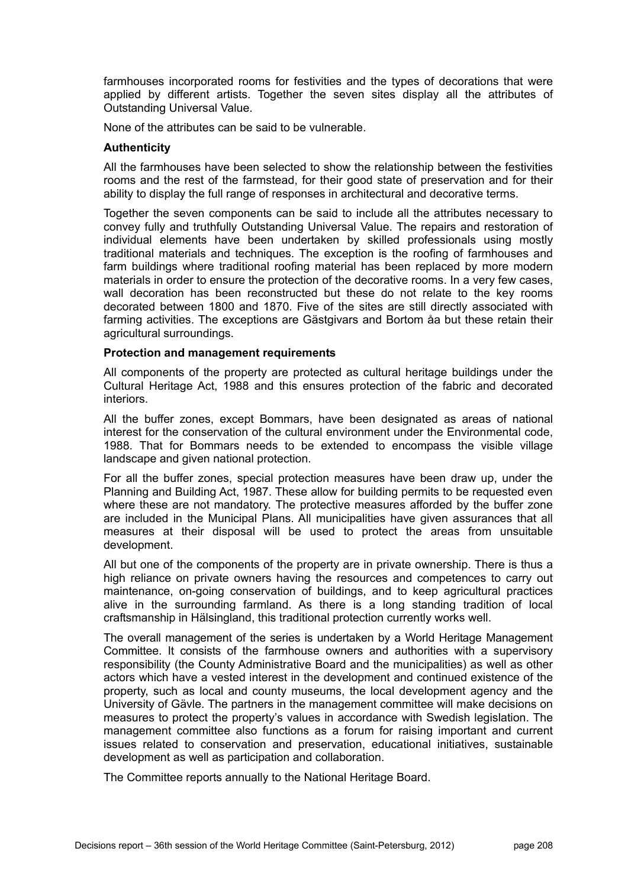farmhouses incorporated rooms for festivities and the types of decorations that were applied by different artists. Together the seven sites display all the attributes of Outstanding Universal Value.

None of the attributes can be said to be vulnerable.

#### **Authenticity**

All the farmhouses have been selected to show the relationship between the festivities rooms and the rest of the farmstead, for their good state of preservation and for their ability to display the full range of responses in architectural and decorative terms.

Together the seven components can be said to include all the attributes necessary to convey fully and truthfully Outstanding Universal Value. The repairs and restoration of individual elements have been undertaken by skilled professionals using mostly traditional materials and techniques. The exception is the roofing of farmhouses and farm buildings where traditional roofing material has been replaced by more modern materials in order to ensure the protection of the decorative rooms. In a very few cases, wall decoration has been reconstructed but these do not relate to the key rooms decorated between 1800 and 1870. Five of the sites are still directly associated with farming activities. The exceptions are Gästgivars and Bortom åa but these retain their agricultural surroundings.

#### **Protection and management requirements**

All components of the property are protected as cultural heritage buildings under the Cultural Heritage Act, 1988 and this ensures protection of the fabric and decorated interiors.

All the buffer zones, except Bommars, have been designated as areas of national interest for the conservation of the cultural environment under the Environmental code, 1988. That for Bommars needs to be extended to encompass the visible village landscape and given national protection.

For all the buffer zones, special protection measures have been draw up, under the Planning and Building Act, 1987. These allow for building permits to be requested even where these are not mandatory. The protective measures afforded by the buffer zone are included in the Municipal Plans. All municipalities have given assurances that all measures at their disposal will be used to protect the areas from unsuitable development.

All but one of the components of the property are in private ownership. There is thus a high reliance on private owners having the resources and competences to carry out maintenance, on-going conservation of buildings, and to keep agricultural practices alive in the surrounding farmland. As there is a long standing tradition of local craftsmanship in Hälsingland, this traditional protection currently works well.

The overall management of the series is undertaken by a World Heritage Management Committee. It consists of the farmhouse owners and authorities with a supervisory responsibility (the County Administrative Board and the municipalities) as well as other actors which have a vested interest in the development and continued existence of the property, such as local and county museums, the local development agency and the University of Gävle. The partners in the management committee will make decisions on measures to protect the property's values in accordance with Swedish legislation. The management committee also functions as a forum for raising important and current issues related to conservation and preservation, educational initiatives, sustainable development as well as participation and collaboration.

The Committee reports annually to the National Heritage Board.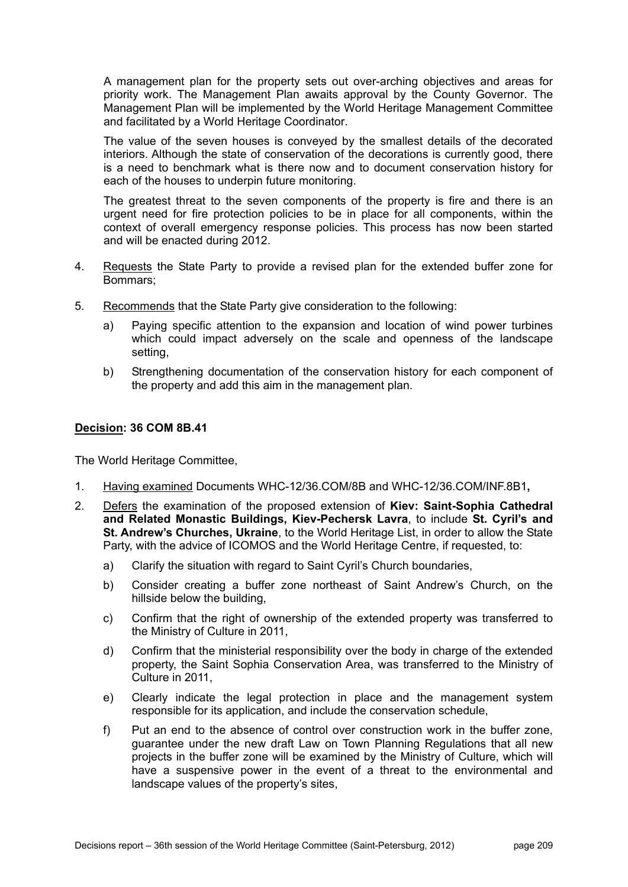A management plan for the property sets out over-arching objectives and areas for priority work. The Management Plan awaits approval by the County Governor. The Management Plan will be implemented by the World Heritage Management Committee and facilitated by a World Heritage Coordinator.

The value of the seven houses is conveyed by the smallest details of the decorated interiors. Although the state of conservation of the decorations is currently good, there is a need to benchmark what is there now and to document conservation history for each of the houses to underpin future monitoring.

The greatest threat to the seven components of the property is fire and there is an urgent need for fire protection policies to be in place for all components, within the context of overall emergency response policies. This process has now been started and will be enacted during 2012.

- 4. Requests the State Party to provide a revised plan for the extended buffer zone for Bommars;
- 5. Recommends that the State Party give consideration to the following:
	- a) Paying specific attention to the expansion and location of wind power turbines which could impact adversely on the scale and openness of the landscape setting,
	- b) Strengthening documentation of the conservation history for each component of the property and add this aim in the management plan.

## **Decision: 36 COM 8B.41**

The World Heritage Committee,

- 1. Having examined Documents WHC-12/36.COM/8B and WHC-12/36.COM/INF.8B1**,**
- 2. Defers the examination of the proposed extension of **Kiev: Saint-Sophia Cathedral and Related Monastic Buildings, Kiev-Pechersk Lavra**, to include **St. Cyril's and St. Andrew's Churches, Ukraine**, to the World Heritage List, in order to allow the State Party, with the advice of ICOMOS and the World Heritage Centre, if requested, to:
	- a) Clarify the situation with regard to Saint Cyril's Church boundaries,
	- b) Consider creating a buffer zone northeast of Saint Andrew's Church, on the hillside below the building,
	- c) Confirm that the right of ownership of the extended property was transferred to the Ministry of Culture in 2011,
	- d) Confirm that the ministerial responsibility over the body in charge of the extended property, the Saint Sophia Conservation Area, was transferred to the Ministry of Culture in 2011,
	- e) Clearly indicate the legal protection in place and the management system responsible for its application, and include the conservation schedule,
	- f) Put an end to the absence of control over construction work in the buffer zone, guarantee under the new draft Law on Town Planning Regulations that all new projects in the buffer zone will be examined by the Ministry of Culture, which will have a suspensive power in the event of a threat to the environmental and landscape values of the property's sites,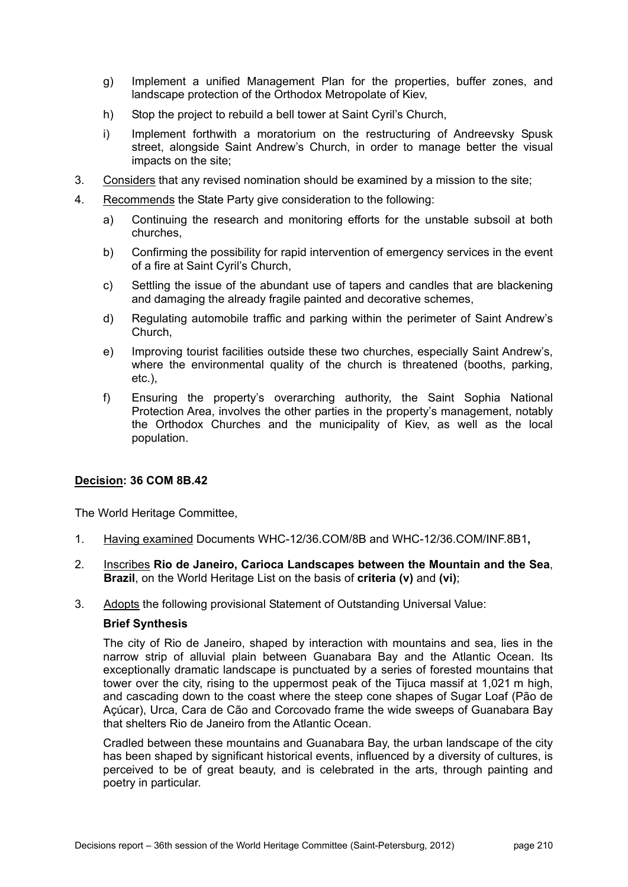- g) Implement a unified Management Plan for the properties, buffer zones, and landscape protection of the Orthodox Metropolate of Kiev,
- h) Stop the project to rebuild a bell tower at Saint Cyril's Church,
- i) Implement forthwith a moratorium on the restructuring of Andreevsky Spusk street, alongside Saint Andrew's Church, in order to manage better the visual impacts on the site;
- 3. Considers that any revised nomination should be examined by a mission to the site;
- 4. Recommends the State Party give consideration to the following:
	- a) Continuing the research and monitoring efforts for the unstable subsoil at both churches,
	- b) Confirming the possibility for rapid intervention of emergency services in the event of a fire at Saint Cyril's Church,
	- c) Settling the issue of the abundant use of tapers and candles that are blackening and damaging the already fragile painted and decorative schemes,
	- d) Regulating automobile traffic and parking within the perimeter of Saint Andrew's Church,
	- e) Improving tourist facilities outside these two churches, especially Saint Andrew's, where the environmental quality of the church is threatened (booths, parking, etc.),
	- f) Ensuring the property's overarching authority, the Saint Sophia National Protection Area, involves the other parties in the property's management, notably the Orthodox Churches and the municipality of Kiev, as well as the local population.

The World Heritage Committee,

- 1. Having examined Documents WHC-12/36.COM/8B and WHC-12/36.COM/INF.8B1**,**
- 2. Inscribes **Rio de Janeiro, Carioca Landscapes between the Mountain and the Sea**, **Brazil**, on the World Heritage List on the basis of **criteria (v)** and **(vi)**;
- 3. Adopts the following provisional Statement of Outstanding Universal Value:

#### **Brief Synthesis**

The city of Rio de Janeiro, shaped by interaction with mountains and sea, lies in the narrow strip of alluvial plain between Guanabara Bay and the Atlantic Ocean. Its exceptionally dramatic landscape is punctuated by a series of forested mountains that tower over the city, rising to the uppermost peak of the Tijuca massif at 1,021 m high, and cascading down to the coast where the steep cone shapes of Sugar Loaf (Pão de Açúcar), Urca, Cara de Cão and Corcovado frame the wide sweeps of Guanabara Bay that shelters Rio de Janeiro from the Atlantic Ocean.

Cradled between these mountains and Guanabara Bay, the urban landscape of the city has been shaped by significant historical events, influenced by a diversity of cultures, is perceived to be of great beauty, and is celebrated in the arts, through painting and poetry in particular.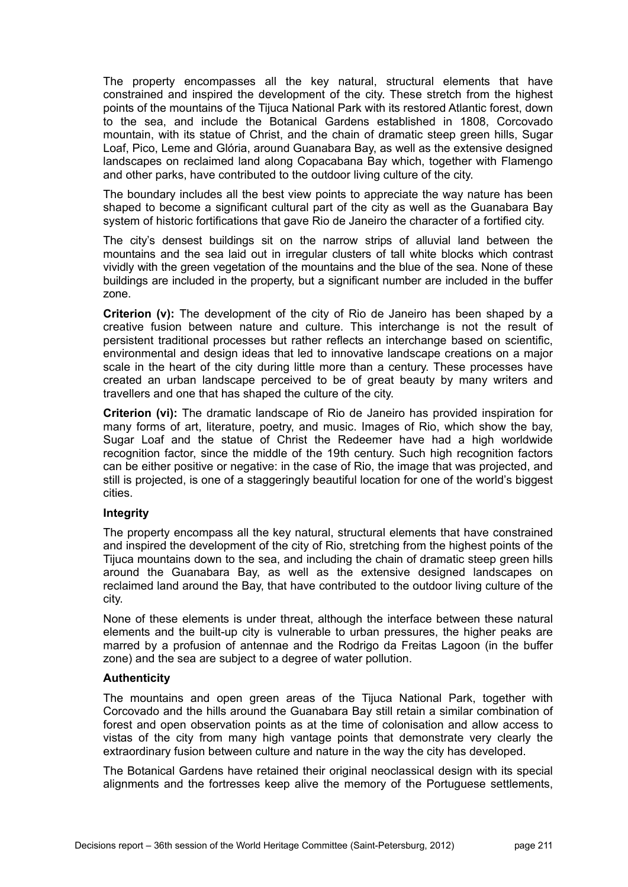The property encompasses all the key natural, structural elements that have constrained and inspired the development of the city. These stretch from the highest points of the mountains of the Tijuca National Park with its restored Atlantic forest, down to the sea, and include the Botanical Gardens established in 1808, Corcovado mountain, with its statue of Christ, and the chain of dramatic steep green hills, Sugar Loaf, Pico, Leme and Glória, around Guanabara Bay, as well as the extensive designed landscapes on reclaimed land along Copacabana Bay which, together with Flamengo and other parks, have contributed to the outdoor living culture of the city.

The boundary includes all the best view points to appreciate the way nature has been shaped to become a significant cultural part of the city as well as the Guanabara Bay system of historic fortifications that gave Rio de Janeiro the character of a fortified city.

The city's densest buildings sit on the narrow strips of alluvial land between the mountains and the sea laid out in irregular clusters of tall white blocks which contrast vividly with the green vegetation of the mountains and the blue of the sea. None of these buildings are included in the property, but a significant number are included in the buffer zone.

**Criterion (v):** The development of the city of Rio de Janeiro has been shaped by a creative fusion between nature and culture. This interchange is not the result of persistent traditional processes but rather reflects an interchange based on scientific, environmental and design ideas that led to innovative landscape creations on a major scale in the heart of the city during little more than a century. These processes have created an urban landscape perceived to be of great beauty by many writers and travellers and one that has shaped the culture of the city.

**Criterion (vi):** The dramatic landscape of Rio de Janeiro has provided inspiration for many forms of art, literature, poetry, and music. Images of Rio, which show the bay, Sugar Loaf and the statue of Christ the Redeemer have had a high worldwide recognition factor, since the middle of the 19th century. Such high recognition factors can be either positive or negative: in the case of Rio, the image that was projected, and still is projected, is one of a staggeringly beautiful location for one of the world's biggest cities.

# **Integrity**

The property encompass all the key natural, structural elements that have constrained and inspired the development of the city of Rio, stretching from the highest points of the Tijuca mountains down to the sea, and including the chain of dramatic steep green hills around the Guanabara Bay, as well as the extensive designed landscapes on reclaimed land around the Bay, that have contributed to the outdoor living culture of the city.

None of these elements is under threat, although the interface between these natural elements and the built-up city is vulnerable to urban pressures, the higher peaks are marred by a profusion of antennae and the Rodrigo da Freitas Lagoon (in the buffer zone) and the sea are subject to a degree of water pollution.

# **Authenticity**

The mountains and open green areas of the Tijuca National Park, together with Corcovado and the hills around the Guanabara Bay still retain a similar combination of forest and open observation points as at the time of colonisation and allow access to vistas of the city from many high vantage points that demonstrate very clearly the extraordinary fusion between culture and nature in the way the city has developed.

The Botanical Gardens have retained their original neoclassical design with its special alignments and the fortresses keep alive the memory of the Portuguese settlements,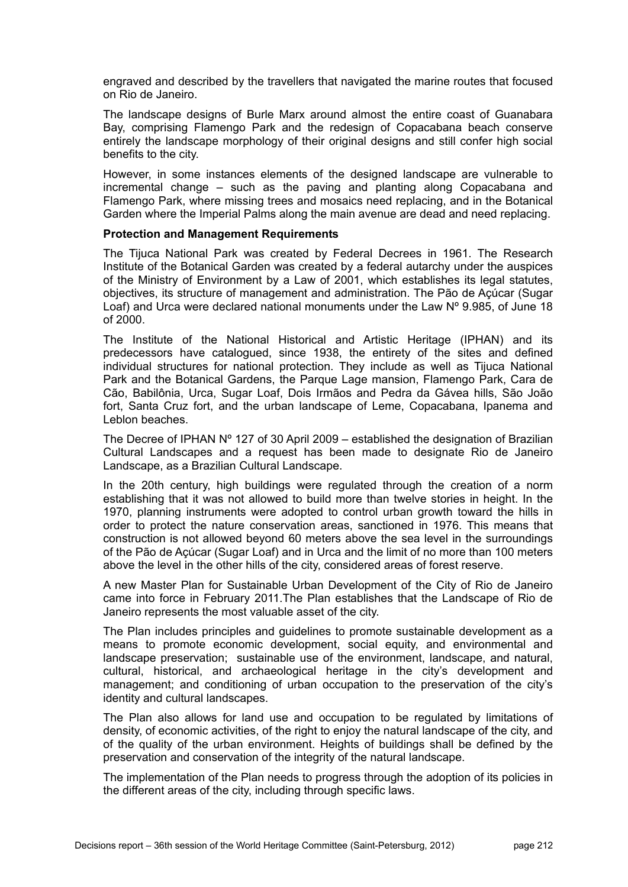engraved and described by the travellers that navigated the marine routes that focused on Rio de Janeiro.

The landscape designs of Burle Marx around almost the entire coast of Guanabara Bay, comprising Flamengo Park and the redesign of Copacabana beach conserve entirely the landscape morphology of their original designs and still confer high social benefits to the city.

However, in some instances elements of the designed landscape are vulnerable to incremental change – such as the paving and planting along Copacabana and Flamengo Park, where missing trees and mosaics need replacing, and in the Botanical Garden where the Imperial Palms along the main avenue are dead and need replacing.

## **Protection and Management Requirements**

The Tijuca National Park was created by Federal Decrees in 1961. The Research Institute of the Botanical Garden was created by a federal autarchy under the auspices of the Ministry of Environment by a Law of 2001, which establishes its legal statutes, objectives, its structure of management and administration. The Pão de Açúcar (Sugar Loaf) and Urca were declared national monuments under the Law N° 9.985, of June 18 of 2000.

The Institute of the National Historical and Artistic Heritage (IPHAN) and its predecessors have catalogued, since 1938, the entirety of the sites and defined individual structures for national protection. They include as well as Tijuca National Park and the Botanical Gardens, the Parque Lage mansion, Flamengo Park, Cara de Cão, Babilônia, Urca, Sugar Loaf, Dois Irmãos and Pedra da Gávea hills, São João fort, Santa Cruz fort, and the urban landscape of Leme, Copacabana, Ipanema and Leblon beaches.

The Decree of IPHAN  $N^{\circ}$  127 of 30 April 2009 – established the designation of Brazilian Cultural Landscapes and a request has been made to designate Rio de Janeiro Landscape, as a Brazilian Cultural Landscape.

In the 20th century, high buildings were regulated through the creation of a norm establishing that it was not allowed to build more than twelve stories in height. In the 1970, planning instruments were adopted to control urban growth toward the hills in order to protect the nature conservation areas, sanctioned in 1976. This means that construction is not allowed beyond 60 meters above the sea level in the surroundings of the Pão de Açúcar (Sugar Loaf) and in Urca and the limit of no more than 100 meters above the level in the other hills of the city, considered areas of forest reserve.

A new Master Plan for Sustainable Urban Development of the City of Rio de Janeiro came into force in February 2011.The Plan establishes that the Landscape of Rio de Janeiro represents the most valuable asset of the city.

The Plan includes principles and guidelines to promote sustainable development as a means to promote economic development, social equity, and environmental and landscape preservation; sustainable use of the environment, landscape, and natural, cultural, historical, and archaeological heritage in the city's development and management; and conditioning of urban occupation to the preservation of the city's identity and cultural landscapes.

The Plan also allows for land use and occupation to be regulated by limitations of density, of economic activities, of the right to enjoy the natural landscape of the city, and of the quality of the urban environment. Heights of buildings shall be defined by the preservation and conservation of the integrity of the natural landscape.

The implementation of the Plan needs to progress through the adoption of its policies in the different areas of the city, including through specific laws.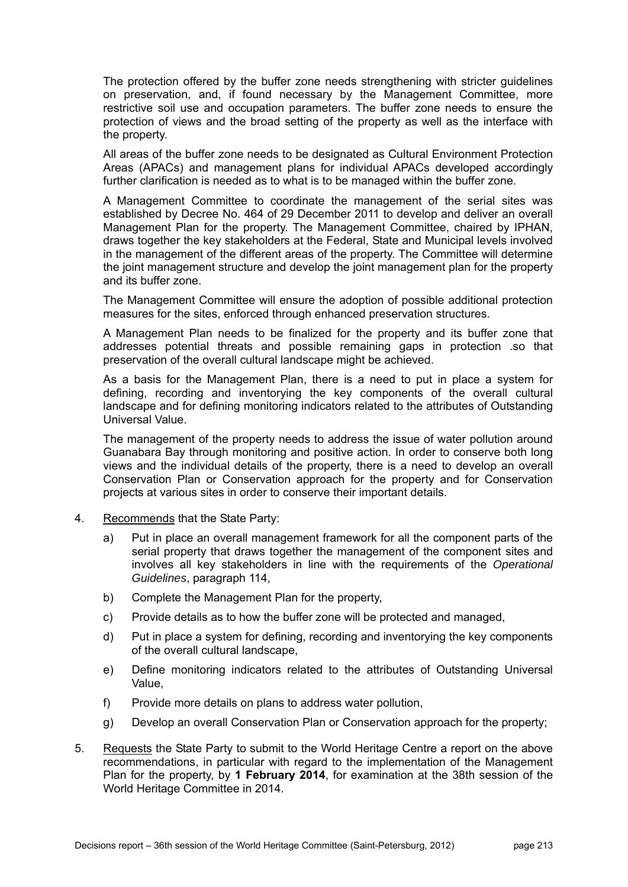The protection offered by the buffer zone needs strengthening with stricter guidelines on preservation, and, if found necessary by the Management Committee, more restrictive soil use and occupation parameters. The buffer zone needs to ensure the protection of views and the broad setting of the property as well as the interface with the property.

All areas of the buffer zone needs to be designated as Cultural Environment Protection Areas (APACs) and management plans for individual APACs developed accordingly further clarification is needed as to what is to be managed within the buffer zone.

A Management Committee to coordinate the management of the serial sites was established by Decree No. 464 of 29 December 2011 to develop and deliver an overall Management Plan for the property. The Management Committee, chaired by IPHAN, draws together the key stakeholders at the Federal, State and Municipal levels involved in the management of the different areas of the property. The Committee will determine the joint management structure and develop the joint management plan for the property and its buffer zone.

The Management Committee will ensure the adoption of possible additional protection measures for the sites, enforced through enhanced preservation structures.

A Management Plan needs to be finalized for the property and its buffer zone that addresses potential threats and possible remaining gaps in protection .so that preservation of the overall cultural landscape might be achieved.

As a basis for the Management Plan, there is a need to put in place a system for defining, recording and inventorying the key components of the overall cultural landscape and for defining monitoring indicators related to the attributes of Outstanding Universal Value.

The management of the property needs to address the issue of water pollution around Guanabara Bay through monitoring and positive action. In order to conserve both long views and the individual details of the property, there is a need to develop an overall Conservation Plan or Conservation approach for the property and for Conservation projects at various sites in order to conserve their important details.

- 4. Recommends that the State Party:
	- a) Put in place an overall management framework for all the component parts of the serial property that draws together the management of the component sites and involves all key stakeholders in line with the requirements of the *Operational Guidelines*, paragraph 114,
	- b) Complete the Management Plan for the property,
	- c) Provide details as to how the buffer zone will be protected and managed,
	- d) Put in place a system for defining, recording and inventorying the key components of the overall cultural landscape,
	- e) Define monitoring indicators related to the attributes of Outstanding Universal Value,
	- f) Provide more details on plans to address water pollution,
	- g) Develop an overall Conservation Plan or Conservation approach for the property;
- 5. Requests the State Party to submit to the World Heritage Centre a report on the above recommendations, in particular with regard to the implementation of the Management Plan for the property, by **1 February 2014**, for examination at the 38th session of the World Heritage Committee in 2014.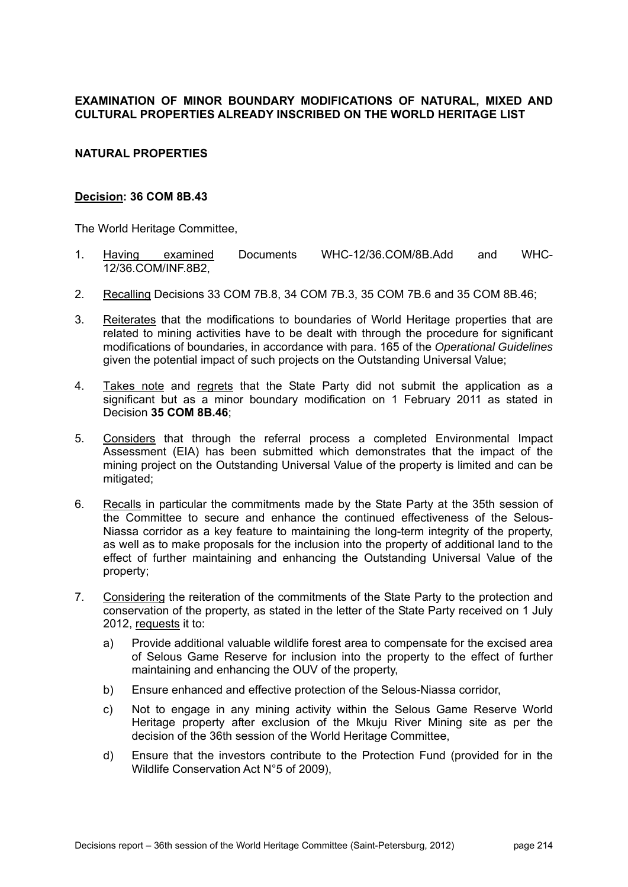# **EXAMINATION OF MINOR BOUNDARY MODIFICATIONS OF NATURAL, MIXED AND CULTURAL PROPERTIES ALREADY INSCRIBED ON THE WORLD HERITAGE LIST**

## **NATURAL PROPERTIES**

## **Decision: 36 COM 8B.43**

The World Heritage Committee,

- 1. Having examined Documents WHC-12/36.COM/8B.Add and WHC-12/36.COM/INF.8B2,
- 2. Recalling Decisions 33 COM 7B.8, 34 COM 7B.3, 35 COM 7B.6 and 35 COM 8B.46;
- 3. Reiterates that the modifications to boundaries of World Heritage properties that are related to mining activities have to be dealt with through the procedure for significant modifications of boundaries, in accordance with para. 165 of the *Operational Guidelines* given the potential impact of such projects on the Outstanding Universal Value;
- 4. Takes note and regrets that the State Party did not submit the application as a significant but as a minor boundary modification on 1 February 2011 as stated in Decision **35 COM 8B.46**;
- 5. Considers that through the referral process a completed Environmental Impact Assessment (EIA) has been submitted which demonstrates that the impact of the mining project on the Outstanding Universal Value of the property is limited and can be mitigated;
- 6. Recalls in particular the commitments made by the State Party at the 35th session of the Committee to secure and enhance the continued effectiveness of the Selous-Niassa corridor as a key feature to maintaining the long-term integrity of the property, as well as to make proposals for the inclusion into the property of additional land to the effect of further maintaining and enhancing the Outstanding Universal Value of the property;
- 7. Considering the reiteration of the commitments of the State Party to the protection and conservation of the property, as stated in the letter of the State Party received on 1 July 2012, requests it to:
	- a) Provide additional valuable wildlife forest area to compensate for the excised area of Selous Game Reserve for inclusion into the property to the effect of further maintaining and enhancing the OUV of the property,
	- b) Ensure enhanced and effective protection of the Selous-Niassa corridor,
	- c) Not to engage in any mining activity within the Selous Game Reserve World Heritage property after exclusion of the Mkuju River Mining site as per the decision of the 36th session of the World Heritage Committee,
	- d) Ensure that the investors contribute to the Protection Fund (provided for in the Wildlife Conservation Act N°5 of 2009),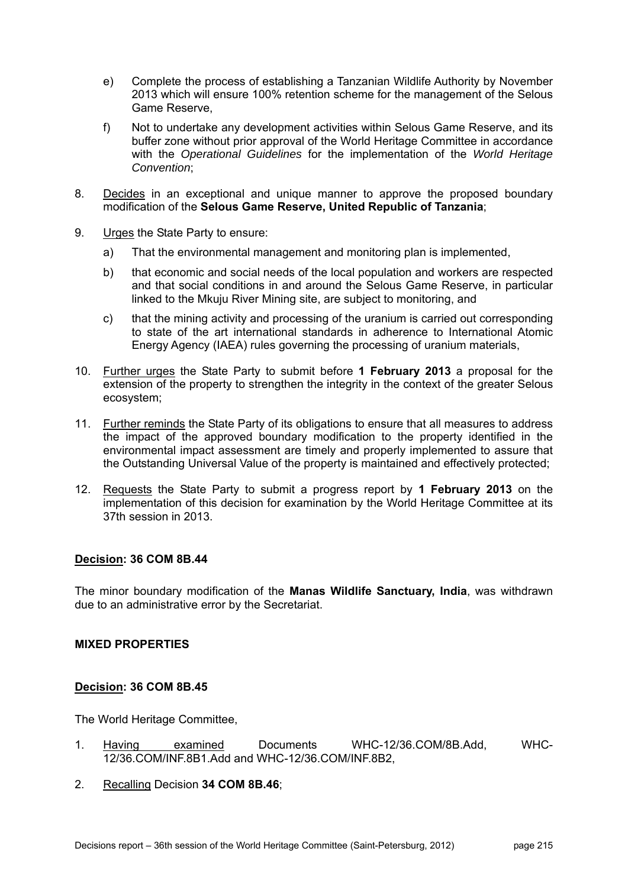- e) Complete the process of establishing a Tanzanian Wildlife Authority by November 2013 which will ensure 100% retention scheme for the management of the Selous Game Reserve,
- f) Not to undertake any development activities within Selous Game Reserve, and its buffer zone without prior approval of the World Heritage Committee in accordance with the *Operational Guidelines* for the implementation of the *World Heritage Convention*;
- 8. Decides in an exceptional and unique manner to approve the proposed boundary modification of the **Selous Game Reserve, United Republic of Tanzania**;
- 9. Urges the State Party to ensure:
	- a) That the environmental management and monitoring plan is implemented,
	- b) that economic and social needs of the local population and workers are respected and that social conditions in and around the Selous Game Reserve, in particular linked to the Mkuju River Mining site, are subject to monitoring, and
	- c) that the mining activity and processing of the uranium is carried out corresponding to state of the art international standards in adherence to International Atomic Energy Agency (IAEA) rules governing the processing of uranium materials,
- 10. Further urges the State Party to submit before **1 February 2013** a proposal for the extension of the property to strengthen the integrity in the context of the greater Selous ecosystem;
- 11. Further reminds the State Party of its obligations to ensure that all measures to address the impact of the approved boundary modification to the property identified in the environmental impact assessment are timely and properly implemented to assure that the Outstanding Universal Value of the property is maintained and effectively protected;
- 12. Requests the State Party to submit a progress report by **1 February 2013** on the implementation of this decision for examination by the World Heritage Committee at its 37th session in 2013.

The minor boundary modification of the **Manas Wildlife Sanctuary, India**, was withdrawn due to an administrative error by the Secretariat.

# **MIXED PROPERTIES**

#### **Decision: 36 COM 8B.45**

The World Heritage Committee,

- 1. Having examined Documents WHC-12/36.COM/8B.Add, WHC-12/36.COM/INF.8B1.Add and WHC-12/36.COM/INF.8B2,
- 2. Recalling Decision **34 COM 8B.46**;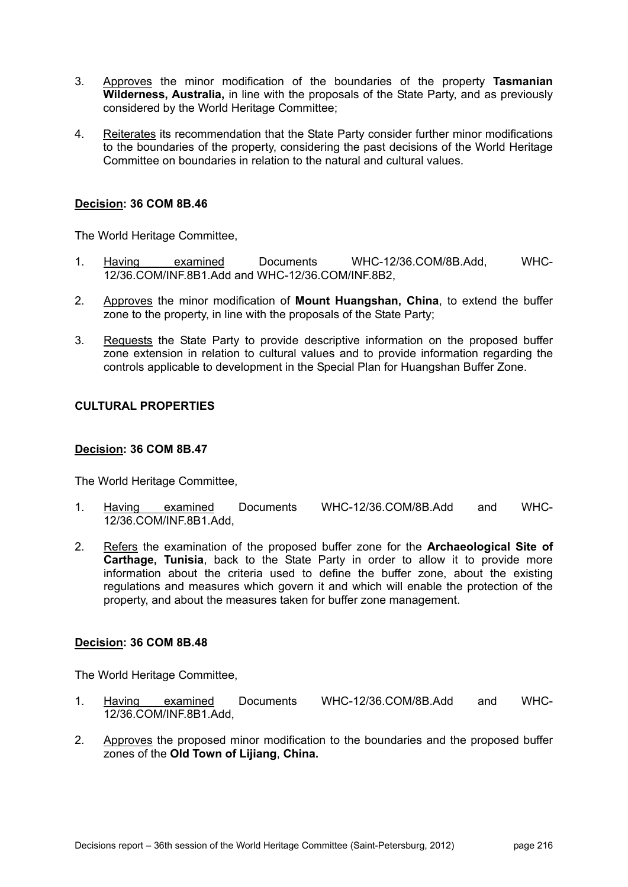- 3. Approves the minor modification of the boundaries of the property **Tasmanian Wilderness, Australia,** in line with the proposals of the State Party, and as previously considered by the World Heritage Committee;
- 4. Reiterates its recommendation that the State Party consider further minor modifications to the boundaries of the property, considering the past decisions of the World Heritage Committee on boundaries in relation to the natural and cultural values.

The World Heritage Committee,

- 1. Having examined Documents WHC-12/36.COM/8B.Add, WHC-12/36.COM/INF.8B1.Add and WHC-12/36.COM/INF.8B2,
- 2. Approves the minor modification of **Mount Huangshan, China**, to extend the buffer zone to the property, in line with the proposals of the State Party;
- 3. Requests the State Party to provide descriptive information on the proposed buffer zone extension in relation to cultural values and to provide information regarding the controls applicable to development in the Special Plan for Huangshan Buffer Zone.

# **CULTURAL PROPERTIES**

#### **Decision: 36 COM 8B.47**

The World Heritage Committee,

- 1. Having examined Documents WHC-12/36.COM/8B.Add and WHC-12/36.COM/INF.8B1.Add,
- 2. Refers the examination of the proposed buffer zone for the **Archaeological Site of Carthage, Tunisia**, back to the State Party in order to allow it to provide more information about the criteria used to define the buffer zone, about the existing regulations and measures which govern it and which will enable the protection of the property, and about the measures taken for buffer zone management.

# **Decision: 36 COM 8B.48**

- 1. Having examined Documents WHC-12/36.COM/8B.Add and WHC-12/36.COM/INF.8B1.Add,
- 2. Approves the proposed minor modification to the boundaries and the proposed buffer zones of the **Old Town of Lijiang**, **China.**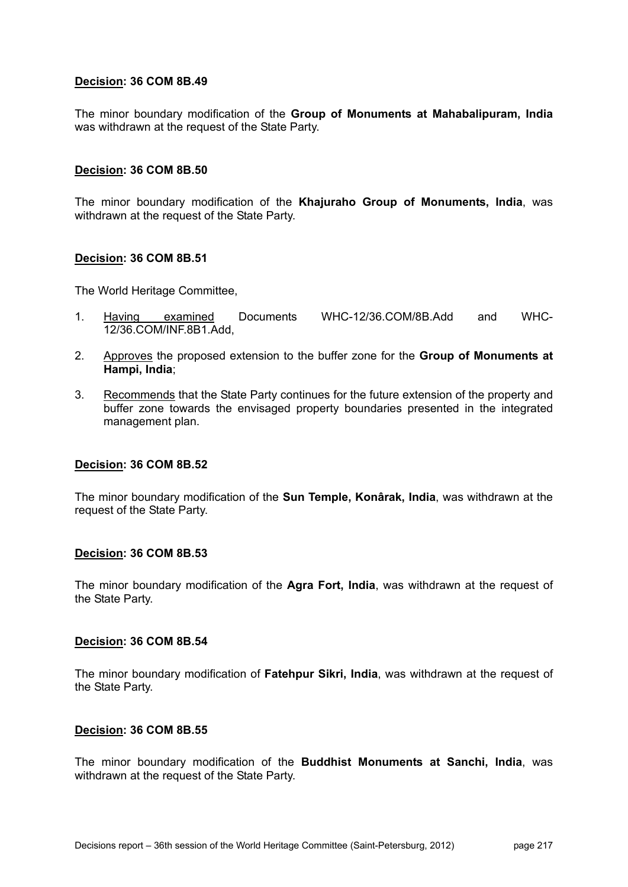The minor boundary modification of the **Group of Monuments at Mahabalipuram, India** was withdrawn at the request of the State Party.

#### **Decision: 36 COM 8B.50**

The minor boundary modification of the **Khajuraho Group of Monuments, India**, was withdrawn at the request of the State Party.

#### **Decision: 36 COM 8B.51**

The World Heritage Committee,

- 1. Having examined Documents WHC-12/36.COM/8B.Add and WHC-12/36.COM/INF.8B1.Add,
- 2. Approves the proposed extension to the buffer zone for the **Group of Monuments at Hampi, India**;
- 3. Recommends that the State Party continues for the future extension of the property and buffer zone towards the envisaged property boundaries presented in the integrated management plan.

#### **Decision: 36 COM 8B.52**

The minor boundary modification of the **Sun Temple, Konârak, India**, was withdrawn at the request of the State Party.

#### **Decision: 36 COM 8B.53**

The minor boundary modification of the **Agra Fort, India**, was withdrawn at the request of the State Party.

#### **Decision: 36 COM 8B.54**

The minor boundary modification of **Fatehpur Sikri, India**, was withdrawn at the request of the State Party.

#### **Decision: 36 COM 8B.55**

The minor boundary modification of the **Buddhist Monuments at Sanchi, India**, was withdrawn at the request of the State Party.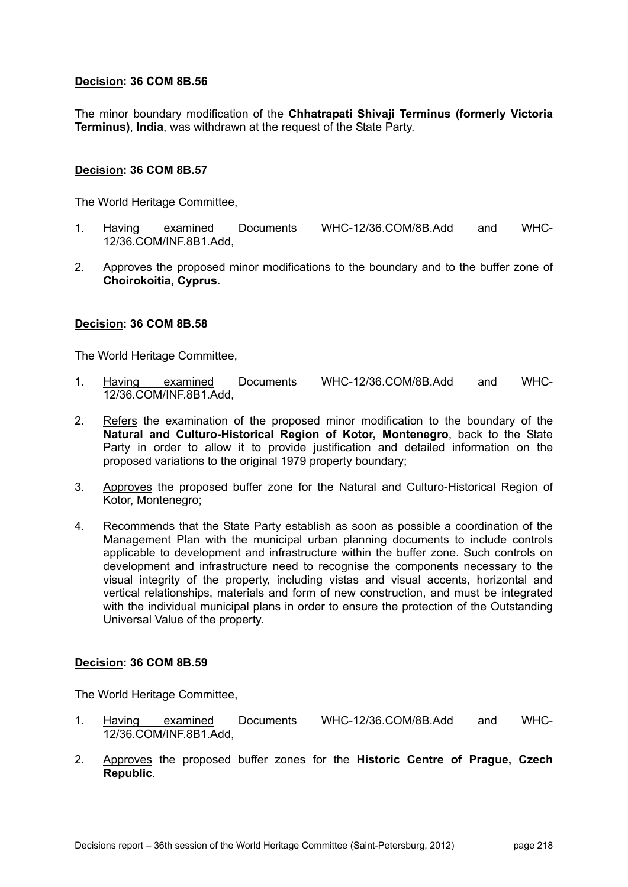The minor boundary modification of the **Chhatrapati Shivaji Terminus (formerly Victoria Terminus)**, **India**, was withdrawn at the request of the State Party.

#### **Decision: 36 COM 8B.57**

The World Heritage Committee,

- 1. Having examined Documents WHC-12/36.COM/8B.Add and WHC-12/36.COM/INF.8B1.Add,
- 2. Approves the proposed minor modifications to the boundary and to the buffer zone of **Choirokoitia, Cyprus**.

#### **Decision: 36 COM 8B.58**

The World Heritage Committee,

- 1. Having examined Documents WHC-12/36.COM/8B.Add and WHC-12/36.COM/INF.8B1.Add,
- 2. Refers the examination of the proposed minor modification to the boundary of the **Natural and Culturo-Historical Region of Kotor, Montenegro**, back to the State Party in order to allow it to provide justification and detailed information on the proposed variations to the original 1979 property boundary;
- 3. Approves the proposed buffer zone for the Natural and Culturo-Historical Region of Kotor, Montenegro;
- 4. Recommends that the State Party establish as soon as possible a coordination of the Management Plan with the municipal urban planning documents to include controls applicable to development and infrastructure within the buffer zone. Such controls on development and infrastructure need to recognise the components necessary to the visual integrity of the property, including vistas and visual accents, horizontal and vertical relationships, materials and form of new construction, and must be integrated with the individual municipal plans in order to ensure the protection of the Outstanding Universal Value of the property.

#### **Decision: 36 COM 8B.59**

- 1. Having examined Documents WHC-12/36.COM/8B.Add and WHC-12/36.COM/INF.8B1.Add,
- 2. Approves the proposed buffer zones for the **Historic Centre of Prague, Czech Republic**.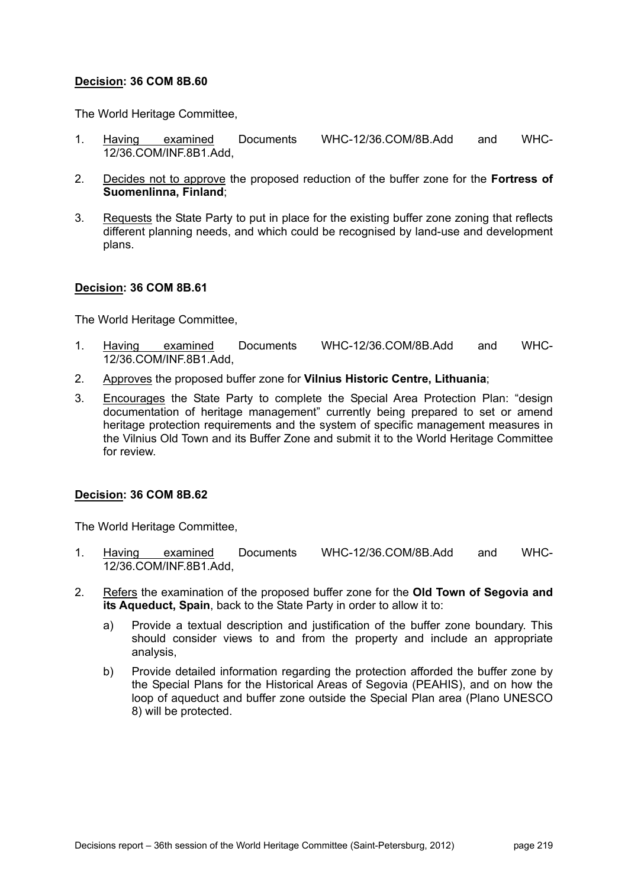The World Heritage Committee,

- 1. Having examined Documents WHC-12/36.COM/8B.Add and WHC-12/36.COM/INF.8B1.Add,
- 2. Decides not to approve the proposed reduction of the buffer zone for the **Fortress of Suomenlinna, Finland**;
- 3. Requests the State Party to put in place for the existing buffer zone zoning that reflects different planning needs, and which could be recognised by land-use and development plans.

#### **Decision: 36 COM 8B.61**

The World Heritage Committee,

- 1. Having examined Documents WHC-12/36.COM/8B.Add and WHC-12/36.COM/INF.8B1.Add,
- 2. Approves the proposed buffer zone for **Vilnius Historic Centre, Lithuania**;
- 3. Encourages the State Party to complete the Special Area Protection Plan: "design documentation of heritage management" currently being prepared to set or amend heritage protection requirements and the system of specific management measures in the Vilnius Old Town and its Buffer Zone and submit it to the World Heritage Committee for review.

#### **Decision: 36 COM 8B.62**

- 1. Having examined Documents WHC-12/36.COM/8B.Add and WHC-12/36.COM/INF.8B1.Add,
- 2. Refers the examination of the proposed buffer zone for the **Old Town of Segovia and its Aqueduct, Spain**, back to the State Party in order to allow it to:
	- a) Provide a textual description and justification of the buffer zone boundary. This should consider views to and from the property and include an appropriate analysis,
	- b) Provide detailed information regarding the protection afforded the buffer zone by the Special Plans for the Historical Areas of Segovia (PEAHIS), and on how the loop of aqueduct and buffer zone outside the Special Plan area (Plano UNESCO 8) will be protected.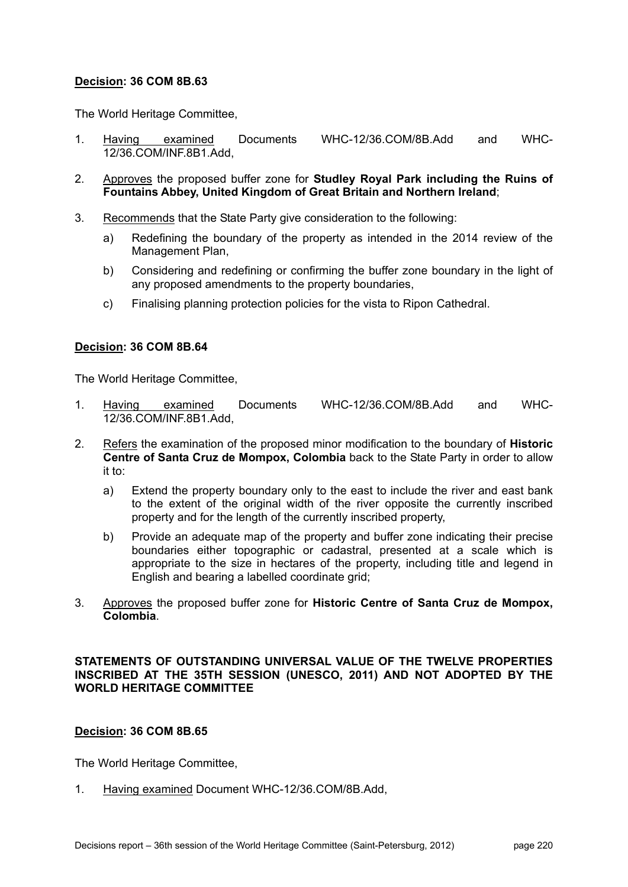The World Heritage Committee,

- 1. Having examined Documents WHC-12/36.COM/8B.Add and WHC-12/36.COM/INF.8B1.Add,
- 2. Approves the proposed buffer zone for **Studley Royal Park including the Ruins of Fountains Abbey, United Kingdom of Great Britain and Northern Ireland**;
- 3. Recommends that the State Party give consideration to the following:
	- a) Redefining the boundary of the property as intended in the 2014 review of the Management Plan,
	- b) Considering and redefining or confirming the buffer zone boundary in the light of any proposed amendments to the property boundaries,
	- c) Finalising planning protection policies for the vista to Ripon Cathedral.

# **Decision: 36 COM 8B.64**

The World Heritage Committee,

- 1. Having examined Documents WHC-12/36.COM/8B.Add and WHC-12/36.COM/INF.8B1.Add,
- 2. Refers the examination of the proposed minor modification to the boundary of **Historic Centre of Santa Cruz de Mompox, Colombia** back to the State Party in order to allow it to:
	- a) Extend the property boundary only to the east to include the river and east bank to the extent of the original width of the river opposite the currently inscribed property and for the length of the currently inscribed property,
	- b) Provide an adequate map of the property and buffer zone indicating their precise boundaries either topographic or cadastral, presented at a scale which is appropriate to the size in hectares of the property, including title and legend in English and bearing a labelled coordinate grid;
- 3. Approves the proposed buffer zone for **Historic Centre of Santa Cruz de Mompox, Colombia**.

# **STATEMENTS OF OUTSTANDING UNIVERSAL VALUE OF THE TWELVE PROPERTIES INSCRIBED AT THE 35TH SESSION (UNESCO, 2011) AND NOT ADOPTED BY THE WORLD HERITAGE COMMITTEE**

# **Decision: 36 COM 8B.65**

The World Heritage Committee,

1. Having examined Document WHC-12/36.COM/8B.Add,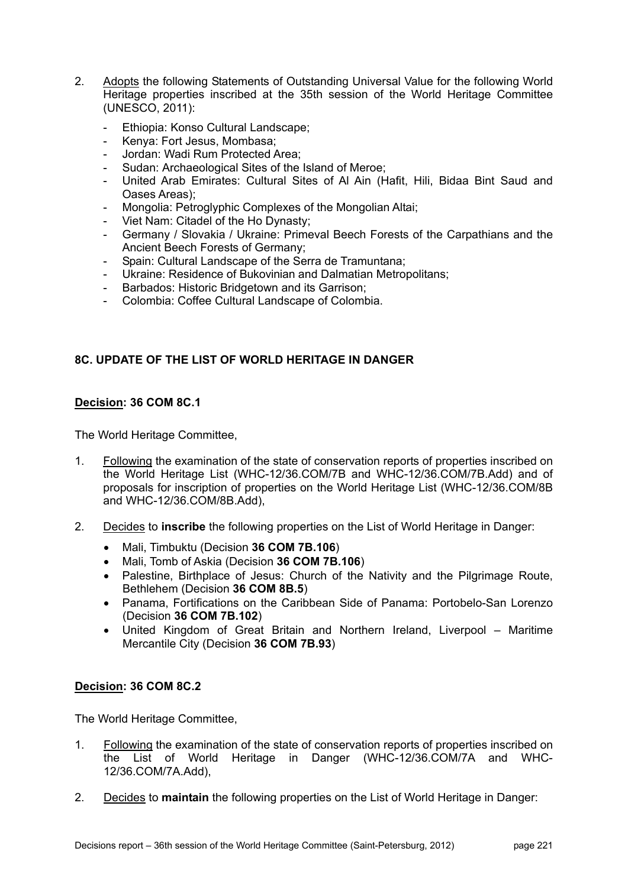- 2. Adopts the following Statements of Outstanding Universal Value for the following World Heritage properties inscribed at the 35th session of the World Heritage Committee (UNESCO, 2011):
	- Ethiopia: Konso Cultural Landscape;
	- Kenya: Fort Jesus, Mombasa;
	- Jordan: Wadi Rum Protected Area;
	- Sudan: Archaeological Sites of the Island of Meroe;
	- United Arab Emirates: Cultural Sites of Al Ain (Hafit, Hili, Bidaa Bint Saud and Oases Areas);
	- Mongolia: Petroglyphic Complexes of the Mongolian Altai;
	- Viet Nam: Citadel of the Ho Dynasty;
	- Germany / Slovakia / Ukraine: Primeval Beech Forests of the Carpathians and the Ancient Beech Forests of Germany;
	- Spain: Cultural Landscape of the Serra de Tramuntana;
	- Ukraine: Residence of Bukovinian and Dalmatian Metropolitans;
	- Barbados: Historic Bridgetown and its Garrison;
	- Colombia: Coffee Cultural Landscape of Colombia.

# **8C. UPDATE OF THE LIST OF WORLD HERITAGE IN DANGER**

# **Decision: 36 COM 8C.1**

The World Heritage Committee,

- 1. Following the examination of the state of conservation reports of properties inscribed on the World Heritage List (WHC-12/36.COM/7B and WHC-12/36.COM/7B.Add) and of proposals for inscription of properties on the World Heritage List (WHC-12/36.COM/8B and WHC-12/36.COM/8B.Add),
- 2. Decides to **inscribe** the following properties on the List of World Heritage in Danger:
	- Mali, Timbuktu (Decision **36 COM 7B.106**)
	- Mali, Tomb of Askia (Decision **36 COM 7B.106**)
	- Palestine, Birthplace of Jesus: Church of the Nativity and the Pilgrimage Route, Bethlehem (Decision **36 COM 8B.5**)
	- Panama, Fortifications on the Caribbean Side of Panama: Portobelo-San Lorenzo (Decision **36 COM 7B.102**)
	- United Kingdom of Great Britain and Northern Ireland, Liverpool Maritime Mercantile City (Decision **36 COM 7B.93**)

# **Decision: 36 COM 8C.2**

- 1. Following the examination of the state of conservation reports of properties inscribed on the List of World Heritage in Danger (WHC-12/36.COM/7A and WHC-12/36.COM/7A.Add),
- 2. Decides to **maintain** the following properties on the List of World Heritage in Danger: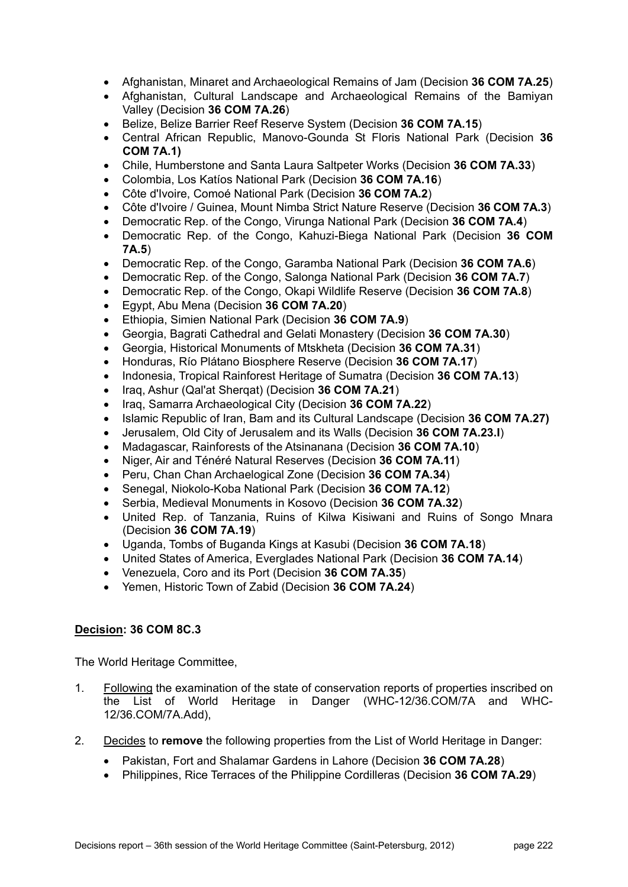- Afghanistan, Minaret and Archaeological Remains of Jam (Decision **36 COM 7A.25**)
- Afghanistan, Cultural Landscape and Archaeological Remains of the Bamiyan Valley (Decision **36 COM 7A.26**)
- Belize, Belize Barrier Reef Reserve System (Decision **36 COM 7A.15**)
- Central African Republic, Manovo-Gounda St Floris National Park (Decision **36 COM 7A.1)**
- Chile, Humberstone and Santa Laura Saltpeter Works (Decision **36 COM 7A.33**)
- Colombia, Los Katíos National Park (Decision **36 COM 7A.16**)
- Côte d'Ivoire, Comoé National Park (Decision **36 COM 7A.2**)
- Côte d'Ivoire / Guinea, Mount Nimba Strict Nature Reserve (Decision **36 COM 7A.3**)
- Democratic Rep. of the Congo, Virunga National Park (Decision **36 COM 7A.4**)
- Democratic Rep. of the Congo, Kahuzi-Biega National Park (Decision **36 COM 7A.5**)
- Democratic Rep. of the Congo, Garamba National Park (Decision **36 COM 7A.6**)
- Democratic Rep. of the Congo, Salonga National Park (Decision **36 COM 7A.7**)
- Democratic Rep. of the Congo, Okapi Wildlife Reserve (Decision **36 COM 7A.8**)
- Egypt, Abu Mena (Decision **36 COM 7A.20**)
- Ethiopia, Simien National Park (Decision **36 COM 7A.9**)
- Georgia, Bagrati Cathedral and Gelati Monastery (Decision **36 COM 7A.30**)
- Georgia, Historical Monuments of Mtskheta (Decision **36 COM 7A.31**)
- Honduras, Río Plátano Biosphere Reserve (Decision **36 COM 7A.17**)
- Indonesia, Tropical Rainforest Heritage of Sumatra (Decision **36 COM 7A.13**)
- Iraq, Ashur (Qal'at Sherqat) (Decision **36 COM 7A.21**)
- Iraq, Samarra Archaeological City (Decision **36 COM 7A.22**)
- Islamic Republic of Iran, Bam and its Cultural Landscape (Decision **36 COM 7A.27)**
- Jerusalem, Old City of Jerusalem and its Walls (Decision **36 COM 7A.23.I**)
- Madagascar, Rainforests of the Atsinanana (Decision **36 COM 7A.10**)
- Niger, Air and Ténéré Natural Reserves (Decision **36 COM 7A.11**)
- Peru, Chan Chan Archaelogical Zone (Decision **36 COM 7A.34**)
- Senegal, Niokolo-Koba National Park (Decision **36 COM 7A.12**)
- Serbia, Medieval Monuments in Kosovo (Decision **36 COM 7A.32**)
- United Rep. of Tanzania, Ruins of Kilwa Kisiwani and Ruins of Songo Mnara (Decision **36 COM 7A.19**)
- Uganda, Tombs of Buganda Kings at Kasubi (Decision **36 COM 7A.18**)
- United States of America, Everglades National Park (Decision **36 COM 7A.14**)
- Venezuela, Coro and its Port (Decision **36 COM 7A.35**)
- Yemen, Historic Town of Zabid (Decision **36 COM 7A.24**)

- 1. Following the examination of the state of conservation reports of properties inscribed on the List of World Heritage in Danger (WHC-12/36.COM/7A and WHC-12/36.COM/7A.Add),
- 2. Decides to **remove** the following properties from the List of World Heritage in Danger:
	- Pakistan, Fort and Shalamar Gardens in Lahore (Decision **36 COM 7A.28**)
	- Philippines, Rice Terraces of the Philippine Cordilleras (Decision **36 COM 7A.29**)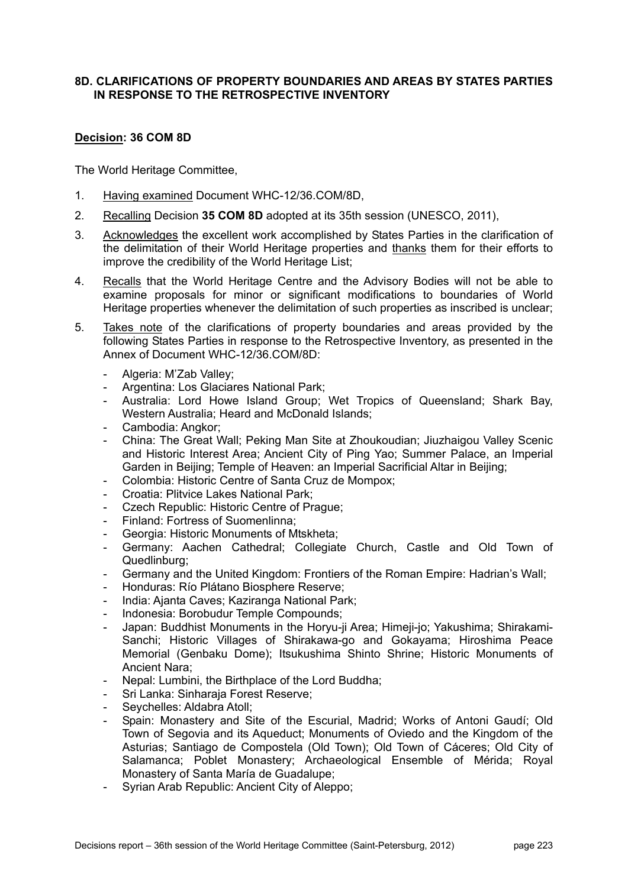#### **8D. CLARIFICATIONS OF PROPERTY BOUNDARIES AND AREAS BY STATES PARTIES IN RESPONSE TO THE RETROSPECTIVE INVENTORY**

# **Decision: 36 COM 8D**

- 1. Having examined Document WHC-12/36.COM/8D,
- 2. Recalling Decision **35 COM 8D** adopted at its 35th session (UNESCO, 2011),
- 3. Acknowledges the excellent work accomplished by States Parties in the clarification of the delimitation of their World Heritage properties and thanks them for their efforts to improve the credibility of the World Heritage List;
- 4. Recalls that the World Heritage Centre and the Advisory Bodies will not be able to examine proposals for minor or significant modifications to boundaries of World Heritage properties whenever the delimitation of such properties as inscribed is unclear;
- 5. Takes note of the clarifications of property boundaries and areas provided by the following States Parties in response to the Retrospective Inventory, as presented in the Annex of Document WHC-12/36.COM/8D:
	- Algeria: M'Zab Valley;
	- Argentina: Los Glaciares National Park;
	- Australia: Lord Howe Island Group; Wet Tropics of Queensland; Shark Bay, Western Australia; Heard and McDonald Islands;
	- Cambodia: Angkor;
	- China: The Great Wall; Peking Man Site at Zhoukoudian; Jiuzhaigou Valley Scenic and Historic Interest Area; Ancient City of Ping Yao; Summer Palace, an Imperial Garden in Beijing; Temple of Heaven: an Imperial Sacrificial Altar in Beijing;
	- Colombia: Historic Centre of Santa Cruz de Mompox;
	- Croatia: Plitvice Lakes National Park;
	- Czech Republic: Historic Centre of Prague;
	- Finland: Fortress of Suomenlinna;
	- Georgia: Historic Monuments of Mtskheta;
	- Germany: Aachen Cathedral; Collegiate Church, Castle and Old Town of Quedlinburg;
	- Germany and the United Kingdom: Frontiers of the Roman Empire: Hadrian's Wall;
	- Honduras: Río Plátano Biosphere Reserve;
	- India: Ajanta Caves; Kaziranga National Park;
	- Indonesia: Borobudur Temple Compounds;
	- Japan: Buddhist Monuments in the Horyu-ji Area; Himeji-jo; Yakushima; Shirakami-Sanchi; Historic Villages of Shirakawa-go and Gokayama; Hiroshima Peace Memorial (Genbaku Dome); Itsukushima Shinto Shrine; Historic Monuments of Ancient Nara;
	- Nepal: Lumbini, the Birthplace of the Lord Buddha;
	- Sri Lanka: Sinharaja Forest Reserve;
	- Seychelles: Aldabra Atoll;
	- Spain: Monastery and Site of the Escurial, Madrid; Works of Antoni Gaudí; Old Town of Segovia and its Aqueduct; Monuments of Oviedo and the Kingdom of the Asturias; Santiago de Compostela (Old Town); Old Town of Cáceres; Old City of Salamanca; Poblet Monastery; Archaeological Ensemble of Mérida; Royal Monastery of Santa María de Guadalupe;
	- Syrian Arab Republic: Ancient City of Aleppo;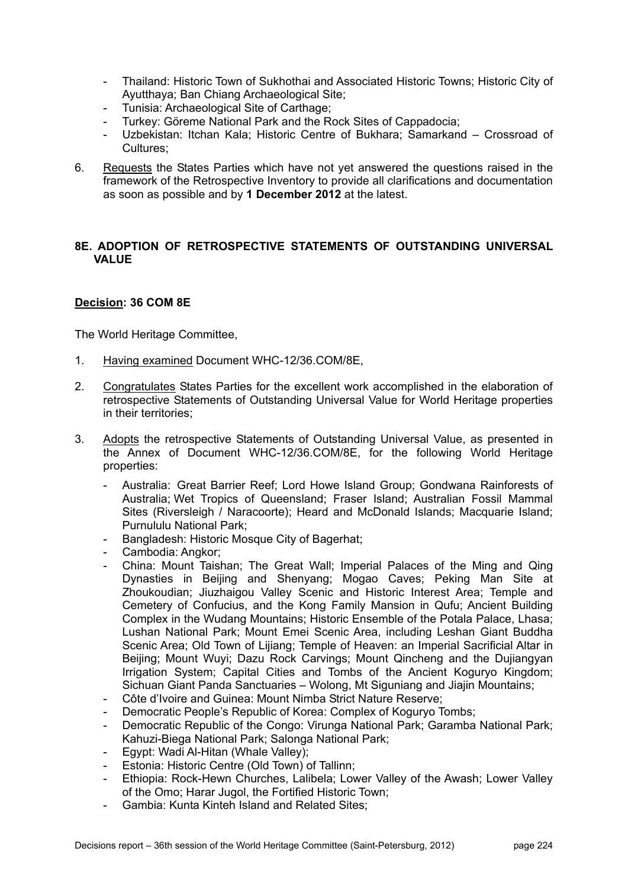- Thailand: Historic Town of Sukhothai and Associated Historic Towns; Historic City of Ayutthaya; Ban Chiang Archaeological Site;
- Tunisia: Archaeological Site of Carthage;
- Turkey: Göreme National Park and the Rock Sites of Cappadocia;
- Uzbekistan: Itchan Kala; Historic Centre of Bukhara; Samarkand Crossroad of Cultures;
- 6. Requests the States Parties which have not yet answered the questions raised in the framework of the Retrospective Inventory to provide all clarifications and documentation as soon as possible and by **1 December 2012** at the latest.

# **8E. ADOPTION OF RETROSPECTIVE STATEMENTS OF OUTSTANDING UNIVERSAL VALUE**

# **Decision: 36 COM 8E**

- 1. Having examined Document WHC-12/36.COM/8E,
- 2. Congratulates States Parties for the excellent work accomplished in the elaboration of retrospective Statements of Outstanding Universal Value for World Heritage properties in their territories;
- 3. Adopts the retrospective Statements of Outstanding Universal Value, as presented in the Annex of Document WHC-12/36.COM/8E, for the following World Heritage properties:
	- Australia: Great Barrier Reef; Lord Howe Island Group; Gondwana Rainforests of Australia; Wet Tropics of Queensland; Fraser Island; Australian Fossil Mammal Sites (Riversleigh / Naracoorte); Heard and McDonald Islands; Macquarie Island; Purnululu National Park;
	- Bangladesh: Historic Mosque City of Bagerhat;
	- Cambodia: Angkor;
	- China: Mount Taishan; The Great Wall; Imperial Palaces of the Ming and Qing Dynasties in Beijing and Shenyang; Mogao Caves; Peking Man Site at Zhoukoudian; Jiuzhaigou Valley Scenic and Historic Interest Area; Temple and Cemetery of Confucius, and the Kong Family Mansion in Qufu; Ancient Building Complex in the Wudang Mountains; Historic Ensemble of the Potala Palace, Lhasa; Lushan National Park; Mount Emei Scenic Area, including Leshan Giant Buddha Scenic Area; Old Town of Lijiang; Temple of Heaven: an Imperial Sacrificial Altar in Beijing; Mount Wuyi; Dazu Rock Carvings; Mount Qincheng and the Dujiangyan Irrigation System; Capital Cities and Tombs of the Ancient Koguryo Kingdom; Sichuan Giant Panda Sanctuaries – Wolong, Mt Siguniang and Jiajin Mountains;
	- Côte d'Ivoire and Guinea: Mount Nimba Strict Nature Reserve;
	- Democratic People's Republic of Korea: Complex of Koguryo Tombs:
	- Democratic Republic of the Congo: Virunga National Park; Garamba National Park; Kahuzi-Biega National Park; Salonga National Park;
	- Egypt: Wadi Al-Hitan (Whale Valley);
	- Estonia: Historic Centre (Old Town) of Tallinn;
	- Ethiopia: Rock-Hewn Churches, Lalibela; Lower Valley of the Awash; Lower Valley of the Omo; Harar Jugol, the Fortified Historic Town;
	- Gambia: Kunta Kinteh Island and Related Sites;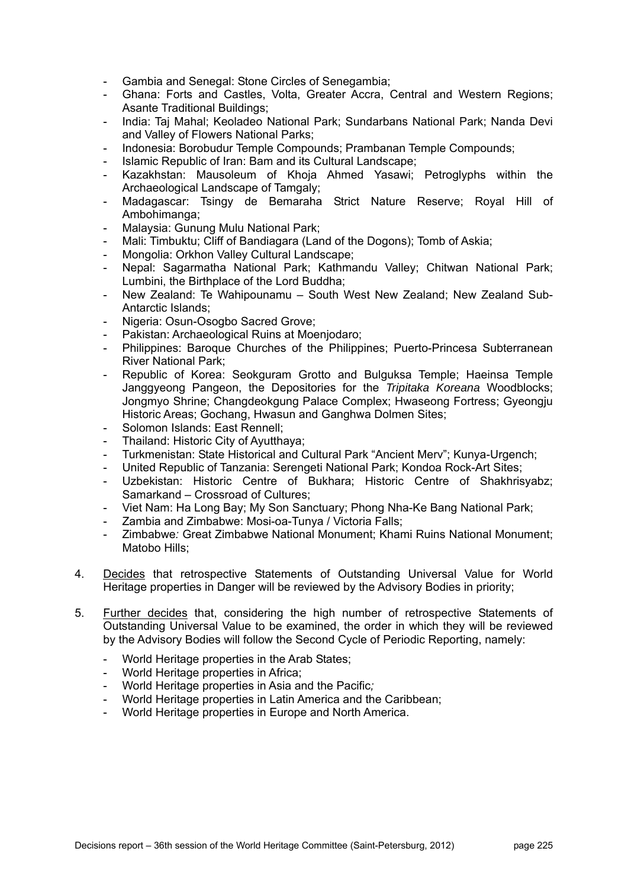- Gambia and Senegal: Stone Circles of Senegambia;
- Ghana: Forts and Castles, Volta, Greater Accra, Central and Western Regions; Asante Traditional Buildings;
- India: Taj Mahal; Keoladeo National Park; Sundarbans National Park; Nanda Devi and Valley of Flowers National Parks;
- Indonesia: Borobudur Temple Compounds; Prambanan Temple Compounds;
- Islamic Republic of Iran: Bam and its Cultural Landscape;
- Kazakhstan: Mausoleum of Khoja Ahmed Yasawi; Petroglyphs within the Archaeological Landscape of Tamgaly;
- Madagascar: Tsingy de Bemaraha Strict Nature Reserve; Royal Hill of Ambohimanga;
- Malaysia: Gunung Mulu National Park;
- Mali: Timbuktu; Cliff of Bandiagara (Land of the Dogons); Tomb of Askia;
- Mongolia: Orkhon Valley Cultural Landscape:
- Nepal: Sagarmatha National Park; Kathmandu Valley; Chitwan National Park; Lumbini, the Birthplace of the Lord Buddha;
- New Zealand: Te Wahipounamu South West New Zealand; New Zealand Sub-Antarctic Islands;
- Nigeria: Osun-Osogbo Sacred Grove;
- Pakistan: Archaeological Ruins at Moenjodaro;
- Philippines: Baroque Churches of the Philippines; Puerto-Princesa Subterranean River National Park;
- Republic of Korea: Seokguram Grotto and Bulguksa Temple; Haeinsa Temple Janggyeong Pangeon, the Depositories for the *Tripitaka Koreana* Woodblocks; Jongmyo Shrine; Changdeokgung Palace Complex; Hwaseong Fortress; Gyeongju Historic Areas; Gochang, Hwasun and Ganghwa Dolmen Sites;
- Solomon Islands: East Rennell;
- Thailand: Historic City of Ayutthaya;
- Turkmenistan: State Historical and Cultural Park "Ancient Merv"; Kunya-Urgench;
- United Republic of Tanzania: Serengeti National Park; Kondoa Rock-Art Sites;
- Uzbekistan: Historic Centre of Bukhara: Historic Centre of Shakhrisyabz: Samarkand – Crossroad of Cultures;
- Viet Nam: Ha Long Bay; My Son Sanctuary; Phong Nha-Ke Bang National Park;
- Zambia and Zimbabwe: Mosi-oa-Tunya / Victoria Falls;
- Zimbabwe*:* Great Zimbabwe National Monument; Khami Ruins National Monument; Matobo Hills;
- 4. Decides that retrospective Statements of Outstanding Universal Value for World Heritage properties in Danger will be reviewed by the Advisory Bodies in priority;
- 5. Further decides that, considering the high number of retrospective Statements of Outstanding Universal Value to be examined, the order in which they will be reviewed by the Advisory Bodies will follow the Second Cycle of Periodic Reporting, namely:
	- World Heritage properties in the Arab States;
	- World Heritage properties in Africa;
	- World Heritage properties in Asia and the Pacific*;*
	- World Heritage properties in Latin America and the Caribbean;
	- World Heritage properties in Europe and North America.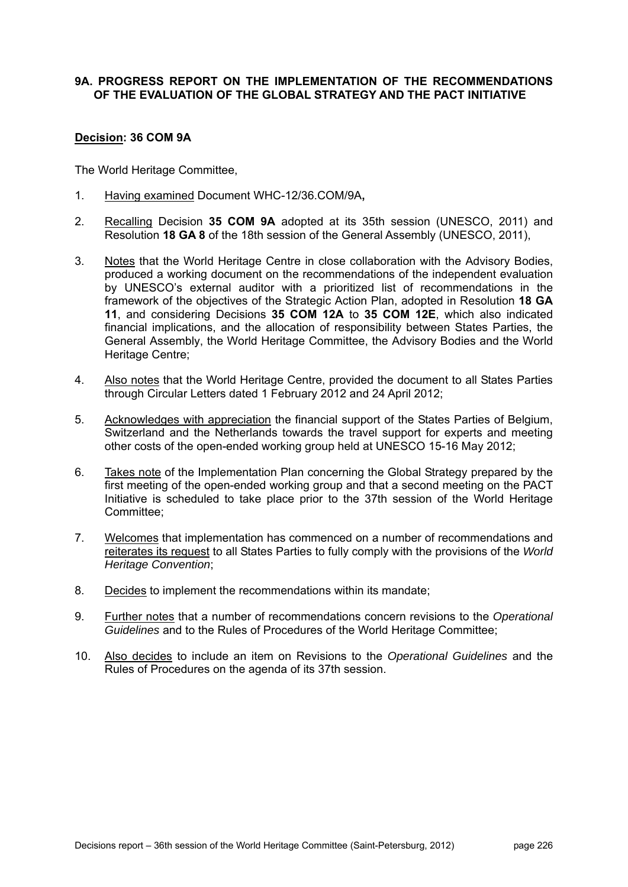#### **9A. PROGRESS REPORT ON THE IMPLEMENTATION OF THE RECOMMENDATIONS OF THE EVALUATION OF THE GLOBAL STRATEGY AND THE PACT INITIATIVE**

#### **Decision: 36 COM 9A**

- 1. Having examined Document WHC-12/36.COM/9A**,**
- 2. Recalling Decision **35 COM 9A** adopted at its 35th session (UNESCO, 2011) and Resolution **18 GA 8** of the 18th session of the General Assembly (UNESCO, 2011),
- 3. Notes that the World Heritage Centre in close collaboration with the Advisory Bodies, produced a working document on the recommendations of the independent evaluation by UNESCO's external auditor with a prioritized list of recommendations in the framework of the objectives of the Strategic Action Plan, adopted in Resolution **18 GA 11**, and considering Decisions **35 COM 12A** to **35 COM 12E**, which also indicated financial implications, and the allocation of responsibility between States Parties, the General Assembly, the World Heritage Committee, the Advisory Bodies and the World Heritage Centre;
- 4. Also notes that the World Heritage Centre, provided the document to all States Parties through Circular Letters dated 1 February 2012 and 24 April 2012;
- 5. Acknowledges with appreciation the financial support of the States Parties of Belgium. Switzerland and the Netherlands towards the travel support for experts and meeting other costs of the open-ended working group held at UNESCO 15-16 May 2012;
- 6. Takes note of the Implementation Plan concerning the Global Strategy prepared by the first meeting of the open-ended working group and that a second meeting on the PACT Initiative is scheduled to take place prior to the 37th session of the World Heritage Committee;
- 7. Welcomes that implementation has commenced on a number of recommendations and reiterates its request to all States Parties to fully comply with the provisions of the *World Heritage Convention*;
- 8. Decides to implement the recommendations within its mandate;
- 9. Further notes that a number of recommendations concern revisions to the *Operational Guidelines* and to the Rules of Procedures of the World Heritage Committee;
- 10. Also decides to include an item on Revisions to the *Operational Guidelines* and the Rules of Procedures on the agenda of its 37th session.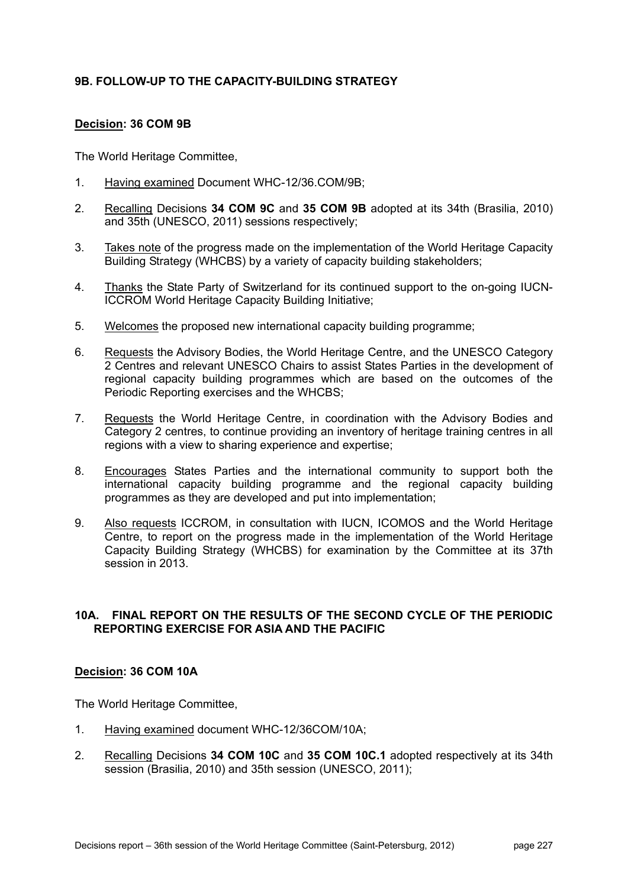# **9B. FOLLOW-UP TO THE CAPACITY-BUILDING STRATEGY**

# **Decision: 36 COM 9B**

The World Heritage Committee,

- 1. Having examined Document WHC-12/36.COM/9B;
- 2. Recalling Decisions **34 COM 9C** and **35 COM 9B** adopted at its 34th (Brasilia, 2010) and 35th (UNESCO, 2011) sessions respectively;
- 3. Takes note of the progress made on the implementation of the World Heritage Capacity Building Strategy (WHCBS) by a variety of capacity building stakeholders;
- 4. Thanks the State Party of Switzerland for its continued support to the on-going IUCN-ICCROM World Heritage Capacity Building Initiative;
- 5. Welcomes the proposed new international capacity building programme;
- 6. Requests the Advisory Bodies, the World Heritage Centre, and the UNESCO Category 2 Centres and relevant UNESCO Chairs to assist States Parties in the development of regional capacity building programmes which are based on the outcomes of the Periodic Reporting exercises and the WHCBS;
- 7. Requests the World Heritage Centre, in coordination with the Advisory Bodies and Category 2 centres, to continue providing an inventory of heritage training centres in all regions with a view to sharing experience and expertise;
- 8. Encourages States Parties and the international community to support both the international capacity building programme and the regional capacity building programmes as they are developed and put into implementation;
- 9. Also requests ICCROM, in consultation with IUCN, ICOMOS and the World Heritage Centre, to report on the progress made in the implementation of the World Heritage Capacity Building Strategy (WHCBS) for examination by the Committee at its 37th session in 2013.

# **10A. FINAL REPORT ON THE RESULTS OF THE SECOND CYCLE OF THE PERIODIC REPORTING EXERCISE FOR ASIA AND THE PACIFIC**

#### **Decision: 36 COM 10A**

- 1. Having examined document WHC-12/36COM/10A;
- 2. Recalling Decisions **34 COM 10C** and **35 COM 10C.1** adopted respectively at its 34th session (Brasilia, 2010) and 35th session (UNESCO, 2011);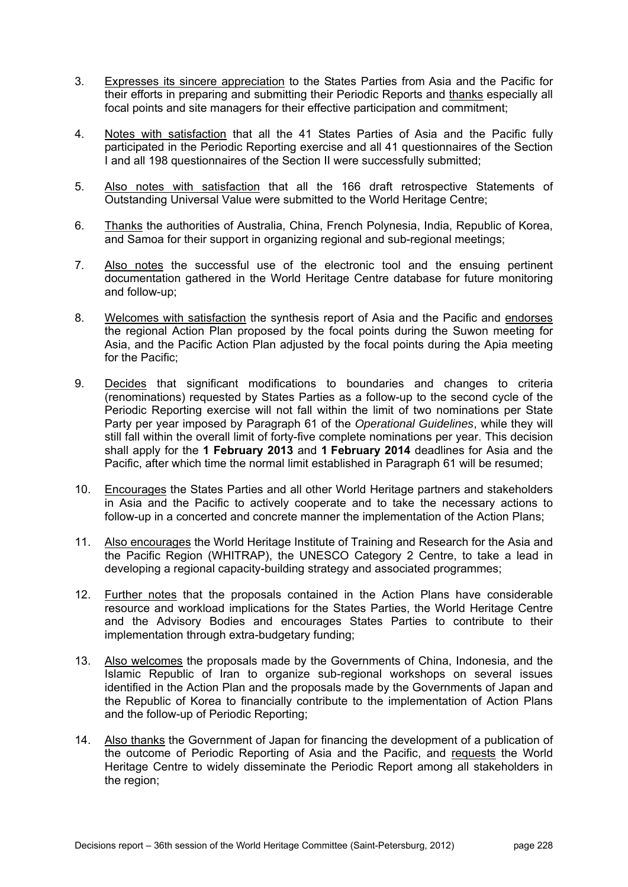- 3. Expresses its sincere appreciation to the States Parties from Asia and the Pacific for their efforts in preparing and submitting their Periodic Reports and thanks especially all focal points and site managers for their effective participation and commitment;
- 4. Notes with satisfaction that all the 41 States Parties of Asia and the Pacific fully participated in the Periodic Reporting exercise and all 41 questionnaires of the Section I and all 198 questionnaires of the Section II were successfully submitted;
- 5. Also notes with satisfaction that all the 166 draft retrospective Statements of Outstanding Universal Value were submitted to the World Heritage Centre;
- 6. Thanks the authorities of Australia, China, French Polynesia, India, Republic of Korea, and Samoa for their support in organizing regional and sub-regional meetings;
- 7. Also notes the successful use of the electronic tool and the ensuing pertinent documentation gathered in the World Heritage Centre database for future monitoring and follow-up;
- 8. Welcomes with satisfaction the synthesis report of Asia and the Pacific and endorses the regional Action Plan proposed by the focal points during the Suwon meeting for Asia, and the Pacific Action Plan adjusted by the focal points during the Apia meeting for the Pacific;
- 9. Decides that significant modifications to boundaries and changes to criteria (renominations) requested by States Parties as a follow-up to the second cycle of the Periodic Reporting exercise will not fall within the limit of two nominations per State Party per year imposed by Paragraph 61 of the *Operational Guidelines*, while they will still fall within the overall limit of forty-five complete nominations per year. This decision shall apply for the **1 February 2013** and **1 February 2014** deadlines for Asia and the Pacific, after which time the normal limit established in Paragraph 61 will be resumed;
- 10. Encourages the States Parties and all other World Heritage partners and stakeholders in Asia and the Pacific to actively cooperate and to take the necessary actions to follow-up in a concerted and concrete manner the implementation of the Action Plans;
- 11. Also encourages the World Heritage Institute of Training and Research for the Asia and the Pacific Region (WHITRAP), the UNESCO Category 2 Centre, to take a lead in developing a regional capacity-building strategy and associated programmes;
- 12. Further notes that the proposals contained in the Action Plans have considerable resource and workload implications for the States Parties, the World Heritage Centre and the Advisory Bodies and encourages States Parties to contribute to their implementation through extra-budgetary funding;
- 13. Also welcomes the proposals made by the Governments of China, Indonesia, and the Islamic Republic of Iran to organize sub-regional workshops on several issues identified in the Action Plan and the proposals made by the Governments of Japan and the Republic of Korea to financially contribute to the implementation of Action Plans and the follow-up of Periodic Reporting;
- 14. Also thanks the Government of Japan for financing the development of a publication of the outcome of Periodic Reporting of Asia and the Pacific, and requests the World Heritage Centre to widely disseminate the Periodic Report among all stakeholders in the region;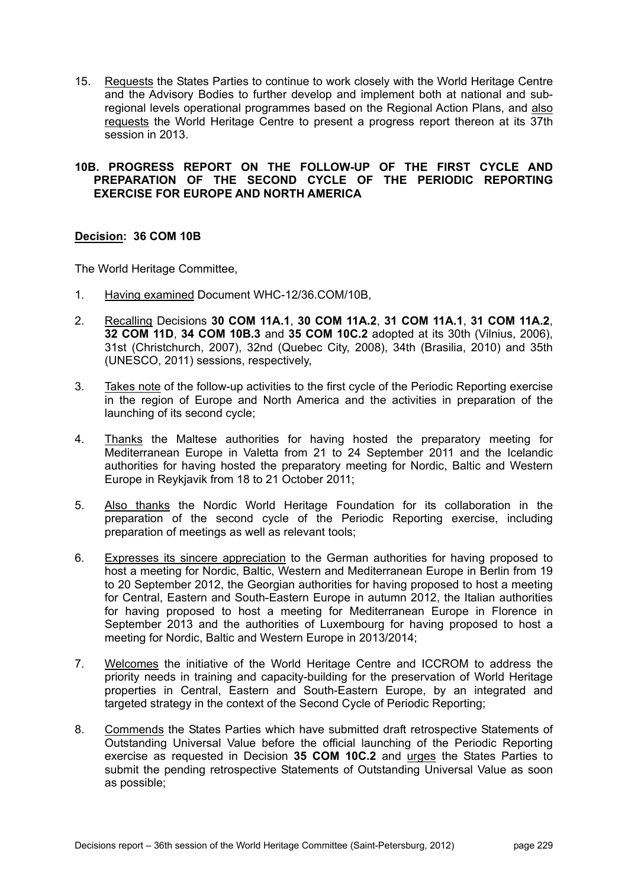15. Requests the States Parties to continue to work closely with the World Heritage Centre and the Advisory Bodies to further develop and implement both at national and subregional levels operational programmes based on the Regional Action Plans, and also requests the World Heritage Centre to present a progress report thereon at its 37th session in 2013.

#### **10B. PROGRESS REPORT ON THE FOLLOW-UP OF THE FIRST CYCLE AND PREPARATION OF THE SECOND CYCLE OF THE PERIODIC REPORTING EXERCISE FOR EUROPE AND NORTH AMERICA**

# **Decision: 36 COM 10B**

- 1. Having examined Document WHC-12/36.COM/10B,
- 2. Recalling Decisions **30 COM 11A.1**, **30 COM 11A.2**, **31 COM 11A.1**, **31 COM 11A.2**, **32 COM 11D**, **34 COM 10B.3** and **35 COM 10C.2** adopted at its 30th (Vilnius, 2006), 31st (Christchurch, 2007), 32nd (Quebec City, 2008), 34th (Brasilia, 2010) and 35th (UNESCO, 2011) sessions, respectively,
- 3. Takes note of the follow-up activities to the first cycle of the Periodic Reporting exercise in the region of Europe and North America and the activities in preparation of the launching of its second cycle;
- 4. Thanks the Maltese authorities for having hosted the preparatory meeting for Mediterranean Europe in Valetta from 21 to 24 September 2011 and the Icelandic authorities for having hosted the preparatory meeting for Nordic, Baltic and Western Europe in Reykjavik from 18 to 21 October 2011;
- 5. Also thanks the Nordic World Heritage Foundation for its collaboration in the preparation of the second cycle of the Periodic Reporting exercise, including preparation of meetings as well as relevant tools;
- 6. Expresses its sincere appreciation to the German authorities for having proposed to host a meeting for Nordic, Baltic, Western and Mediterranean Europe in Berlin from 19 to 20 September 2012, the Georgian authorities for having proposed to host a meeting for Central, Eastern and South-Eastern Europe in autumn 2012, the Italian authorities for having proposed to host a meeting for Mediterranean Europe in Florence in September 2013 and the authorities of Luxembourg for having proposed to host a meeting for Nordic, Baltic and Western Europe in 2013/2014;
- 7. Welcomes the initiative of the World Heritage Centre and ICCROM to address the priority needs in training and capacity-building for the preservation of World Heritage properties in Central, Eastern and South-Eastern Europe, by an integrated and targeted strategy in the context of the Second Cycle of Periodic Reporting;
- 8. Commends the States Parties which have submitted draft retrospective Statements of Outstanding Universal Value before the official launching of the Periodic Reporting exercise as requested in Decision **35 COM 10C.2** and urges the States Parties to submit the pending retrospective Statements of Outstanding Universal Value as soon as possible;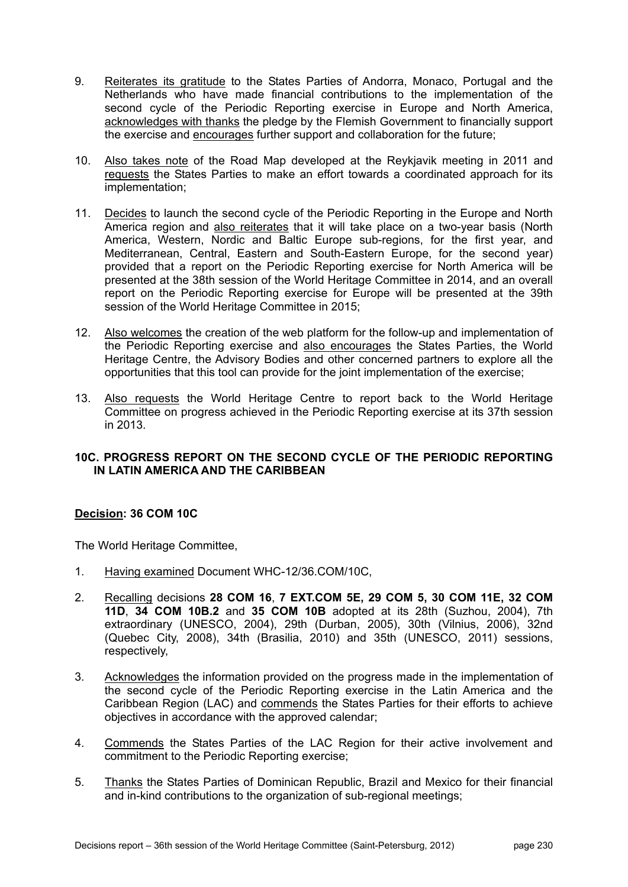- 9. Reiterates its gratitude to the States Parties of Andorra, Monaco, Portugal and the Netherlands who have made financial contributions to the implementation of the second cycle of the Periodic Reporting exercise in Europe and North America, acknowledges with thanks the pledge by the Flemish Government to financially support the exercise and encourages further support and collaboration for the future;
- 10. Also takes note of the Road Map developed at the Reykjavik meeting in 2011 and requests the States Parties to make an effort towards a coordinated approach for its implementation;
- 11. Decides to launch the second cycle of the Periodic Reporting in the Europe and North America region and also reiterates that it will take place on a two-year basis (North America, Western, Nordic and Baltic Europe sub-regions, for the first year, and Mediterranean, Central, Eastern and South-Eastern Europe, for the second year) provided that a report on the Periodic Reporting exercise for North America will be presented at the 38th session of the World Heritage Committee in 2014, and an overall report on the Periodic Reporting exercise for Europe will be presented at the 39th session of the World Heritage Committee in 2015;
- 12. Also welcomes the creation of the web platform for the follow-up and implementation of the Periodic Reporting exercise and also encourages the States Parties, the World Heritage Centre, the Advisory Bodies and other concerned partners to explore all the opportunities that this tool can provide for the joint implementation of the exercise;
- 13. Also requests the World Heritage Centre to report back to the World Heritage Committee on progress achieved in the Periodic Reporting exercise at its 37th session in 2013.

# **10C. PROGRESS REPORT ON THE SECOND CYCLE OF THE PERIODIC REPORTING IN LATIN AMERICA AND THE CARIBBEAN**

# **Decision: 36 COM 10C**

- 1. Having examined Document WHC-12/36.COM/10C,
- 2. Recalling decisions **28 COM 16**, **7 EXT.COM 5E, 29 COM 5, 30 COM 11E, 32 COM 11D**, **34 COM 10B.2** and **35 COM 10B** adopted at its 28th (Suzhou, 2004), 7th extraordinary (UNESCO, 2004), 29th (Durban, 2005), 30th (Vilnius, 2006), 32nd (Quebec City, 2008), 34th (Brasilia, 2010) and 35th (UNESCO, 2011) sessions, respectively,
- 3. Acknowledges the information provided on the progress made in the implementation of the second cycle of the Periodic Reporting exercise in the Latin America and the Caribbean Region (LAC) and commends the States Parties for their efforts to achieve objectives in accordance with the approved calendar;
- 4. Commends the States Parties of the LAC Region for their active involvement and commitment to the Periodic Reporting exercise;
- 5. Thanks the States Parties of Dominican Republic, Brazil and Mexico for their financial and in-kind contributions to the organization of sub-regional meetings;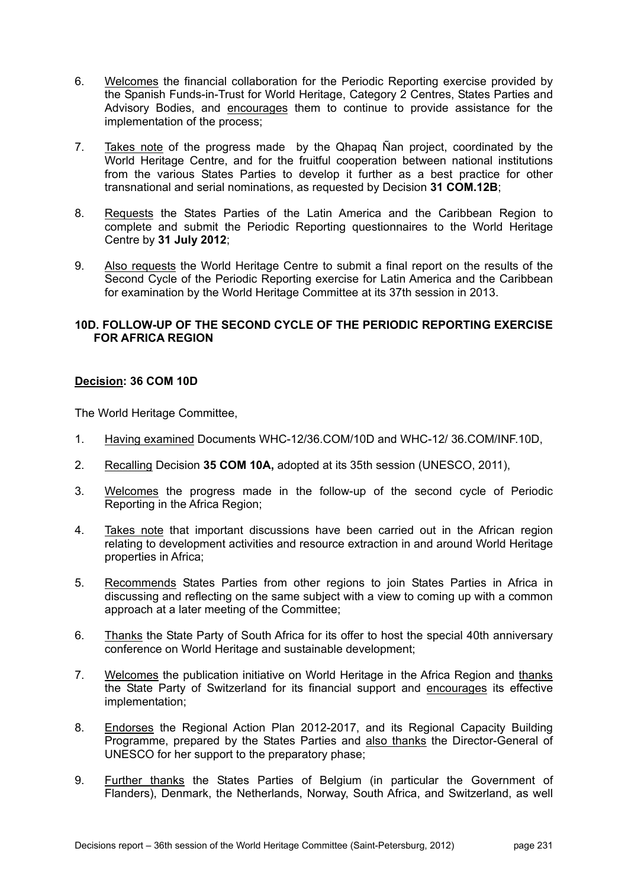- 6. Welcomes the financial collaboration for the Periodic Reporting exercise provided by the Spanish Funds-in-Trust for World Heritage, Category 2 Centres, States Parties and Advisory Bodies, and encourages them to continue to provide assistance for the implementation of the process;
- 7. Takes note of the progress made by the Qhapaq Ñan project, coordinated by the World Heritage Centre, and for the fruitful cooperation between national institutions from the various States Parties to develop it further as a best practice for other transnational and serial nominations, as requested by Decision **31 COM.12B**;
- 8. Requests the States Parties of the Latin America and the Caribbean Region to complete and submit the Periodic Reporting questionnaires to the World Heritage Centre by **31 July 2012**;
- 9. Also requests the World Heritage Centre to submit a final report on the results of the Second Cycle of the Periodic Reporting exercise for Latin America and the Caribbean for examination by the World Heritage Committee at its 37th session in 2013.

# **10D. FOLLOW-UP OF THE SECOND CYCLE OF THE PERIODIC REPORTING EXERCISE FOR AFRICA REGION**

# **Decision: 36 COM 10D**

- 1. Having examined Documents WHC-12/36.COM/10D and WHC-12/ 36.COM/INF.10D,
- 2. Recalling Decision **35 COM 10A,** adopted at its 35th session (UNESCO, 2011),
- 3. Welcomes the progress made in the follow-up of the second cycle of Periodic Reporting in the Africa Region;
- 4. Takes note that important discussions have been carried out in the African region relating to development activities and resource extraction in and around World Heritage properties in Africa;
- 5. Recommends States Parties from other regions to join States Parties in Africa in discussing and reflecting on the same subject with a view to coming up with a common approach at a later meeting of the Committee;
- 6. Thanks the State Party of South Africa for its offer to host the special 40th anniversary conference on World Heritage and sustainable development;
- 7. Welcomes the publication initiative on World Heritage in the Africa Region and thanks the State Party of Switzerland for its financial support and encourages its effective implementation;
- 8. Endorses the Regional Action Plan 2012-2017, and its Regional Capacity Building Programme, prepared by the States Parties and also thanks the Director-General of UNESCO for her support to the preparatory phase;
- 9. Further thanks the States Parties of Belgium (in particular the Government of Flanders), Denmark, the Netherlands, Norway, South Africa, and Switzerland, as well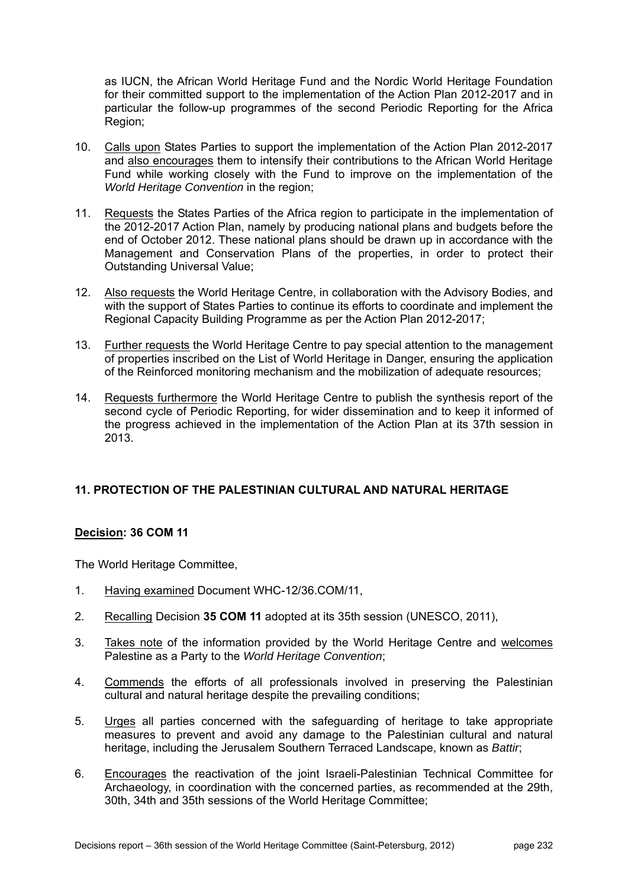as IUCN, the African World Heritage Fund and the Nordic World Heritage Foundation for their committed support to the implementation of the Action Plan 2012-2017 and in particular the follow-up programmes of the second Periodic Reporting for the Africa Region;

- 10. Calls upon States Parties to support the implementation of the Action Plan 2012-2017 and also encourages them to intensify their contributions to the African World Heritage Fund while working closely with the Fund to improve on the implementation of the *World Heritage Convention* in the region;
- 11. Requests the States Parties of the Africa region to participate in the implementation of the 2012-2017 Action Plan, namely by producing national plans and budgets before the end of October 2012. These national plans should be drawn up in accordance with the Management and Conservation Plans of the properties, in order to protect their Outstanding Universal Value;
- 12. Also requests the World Heritage Centre, in collaboration with the Advisory Bodies, and with the support of States Parties to continue its efforts to coordinate and implement the Regional Capacity Building Programme as per the Action Plan 2012-2017;
- 13. Further requests the World Heritage Centre to pay special attention to the management of properties inscribed on the List of World Heritage in Danger, ensuring the application of the Reinforced monitoring mechanism and the mobilization of adequate resources;
- 14. Requests furthermore the World Heritage Centre to publish the synthesis report of the second cycle of Periodic Reporting, for wider dissemination and to keep it informed of the progress achieved in the implementation of the Action Plan at its 37th session in 2013.

# **11. PROTECTION OF THE PALESTINIAN CULTURAL AND NATURAL HERITAGE**

# **Decision: 36 COM 11**

- 1. Having examined Document WHC-12/36.COM/11,
- 2. Recalling Decision **35 COM 11** adopted at its 35th session (UNESCO, 2011),
- 3. Takes note of the information provided by the World Heritage Centre and welcomes Palestine as a Party to the *World Heritage Convention*;
- 4. Commends the efforts of all professionals involved in preserving the Palestinian cultural and natural heritage despite the prevailing conditions;
- 5. Urges all parties concerned with the safeguarding of heritage to take appropriate measures to prevent and avoid any damage to the Palestinian cultural and natural heritage, including the Jerusalem Southern Terraced Landscape, known as *Battir*;
- 6. Encourages the reactivation of the joint Israeli-Palestinian Technical Committee for Archaeology, in coordination with the concerned parties, as recommended at the 29th, 30th, 34th and 35th sessions of the World Heritage Committee;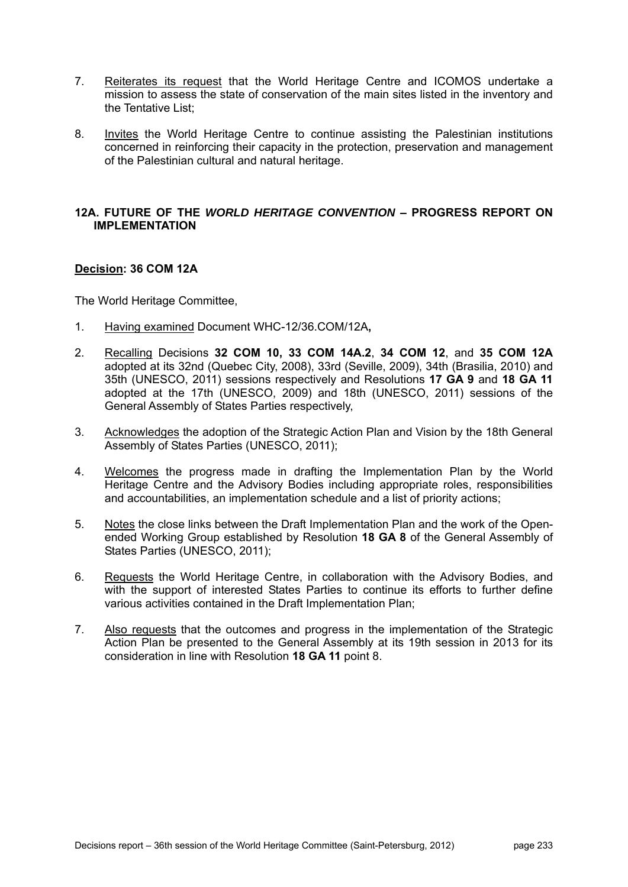- 7. Reiterates its request that the World Heritage Centre and ICOMOS undertake a mission to assess the state of conservation of the main sites listed in the inventory and the Tentative List;
- 8. Invites the World Heritage Centre to continue assisting the Palestinian institutions concerned in reinforcing their capacity in the protection, preservation and management of the Palestinian cultural and natural heritage.

#### **12A. FUTURE OF THE** *WORLD HERITAGE CONVENTION* **– PROGRESS REPORT ON IMPLEMENTATION**

# **Decision: 36 COM 12A**

- 1. Having examined Document WHC-12/36.COM/12A**,**
- 2. Recalling Decisions **32 COM 10, 33 COM 14A.2**, **34 COM 12**, and **35 COM 12A** adopted at its 32nd (Quebec City, 2008), 33rd (Seville, 2009), 34th (Brasilia, 2010) and 35th (UNESCO, 2011) sessions respectively and Resolutions **17 GA 9** and **18 GA 11** adopted at the 17th (UNESCO, 2009) and 18th (UNESCO, 2011) sessions of the General Assembly of States Parties respectively,
- 3. Acknowledges the adoption of the Strategic Action Plan and Vision by the 18th General Assembly of States Parties (UNESCO, 2011);
- 4. Welcomes the progress made in drafting the Implementation Plan by the World Heritage Centre and the Advisory Bodies including appropriate roles, responsibilities and accountabilities, an implementation schedule and a list of priority actions;
- 5. Notes the close links between the Draft Implementation Plan and the work of the Openended Working Group established by Resolution **18 GA 8** of the General Assembly of States Parties (UNESCO, 2011);
- 6. Requests the World Heritage Centre, in collaboration with the Advisory Bodies, and with the support of interested States Parties to continue its efforts to further define various activities contained in the Draft Implementation Plan;
- 7. Also requests that the outcomes and progress in the implementation of the Strategic Action Plan be presented to the General Assembly at its 19th session in 2013 for its consideration in line with Resolution **18 GA 11** point 8.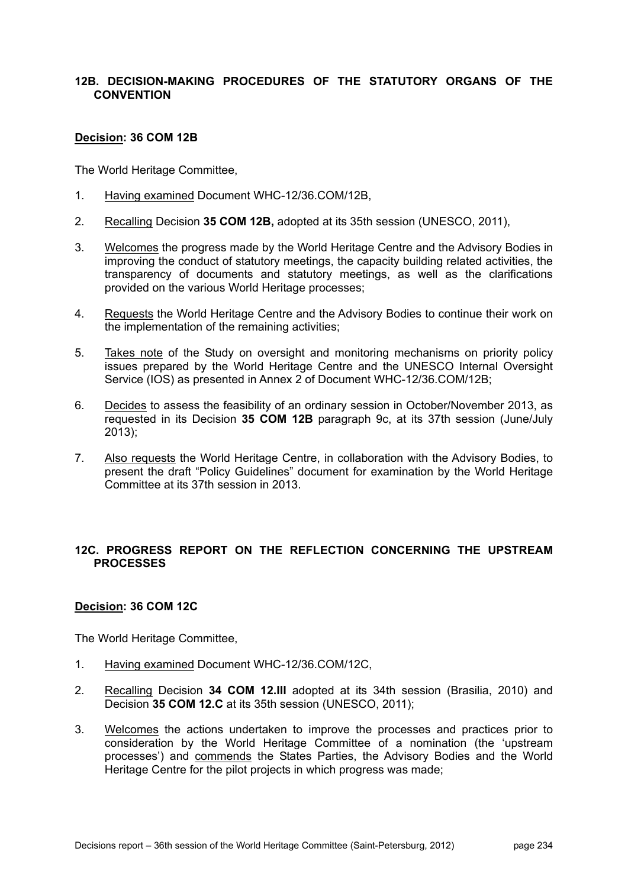## **12B. DECISION-MAKING PROCEDURES OF THE STATUTORY ORGANS OF THE CONVENTION**

#### **Decision: 36 COM 12B**

The World Heritage Committee,

- 1. Having examined Document WHC-12/36.COM/12B,
- 2. Recalling Decision **35 COM 12B,** adopted at its 35th session (UNESCO, 2011),
- 3. Welcomes the progress made by the World Heritage Centre and the Advisory Bodies in improving the conduct of statutory meetings, the capacity building related activities, the transparency of documents and statutory meetings, as well as the clarifications provided on the various World Heritage processes;
- 4. Requests the World Heritage Centre and the Advisory Bodies to continue their work on the implementation of the remaining activities;
- 5. Takes note of the Study on oversight and monitoring mechanisms on priority policy issues prepared by the World Heritage Centre and the UNESCO Internal Oversight Service (IOS) as presented in Annex 2 of Document WHC-12/36.COM/12B;
- 6. Decides to assess the feasibility of an ordinary session in October/November 2013, as requested in its Decision **35 COM 12B** paragraph 9c, at its 37th session (June/July 2013);
- 7. Also requests the World Heritage Centre, in collaboration with the Advisory Bodies, to present the draft "Policy Guidelines" document for examination by the World Heritage Committee at its 37th session in 2013.

# **12C. PROGRESS REPORT ON THE REFLECTION CONCERNING THE UPSTREAM PROCESSES**

# **Decision: 36 COM 12C**

- 1. Having examined Document WHC-12/36.COM/12C,
- 2. Recalling Decision **34 COM 12.III** adopted at its 34th session (Brasilia, 2010) and Decision **35 COM 12.C** at its 35th session (UNESCO, 2011);
- 3. Welcomes the actions undertaken to improve the processes and practices prior to consideration by the World Heritage Committee of a nomination (the 'upstream processes') and commends the States Parties, the Advisory Bodies and the World Heritage Centre for the pilot projects in which progress was made;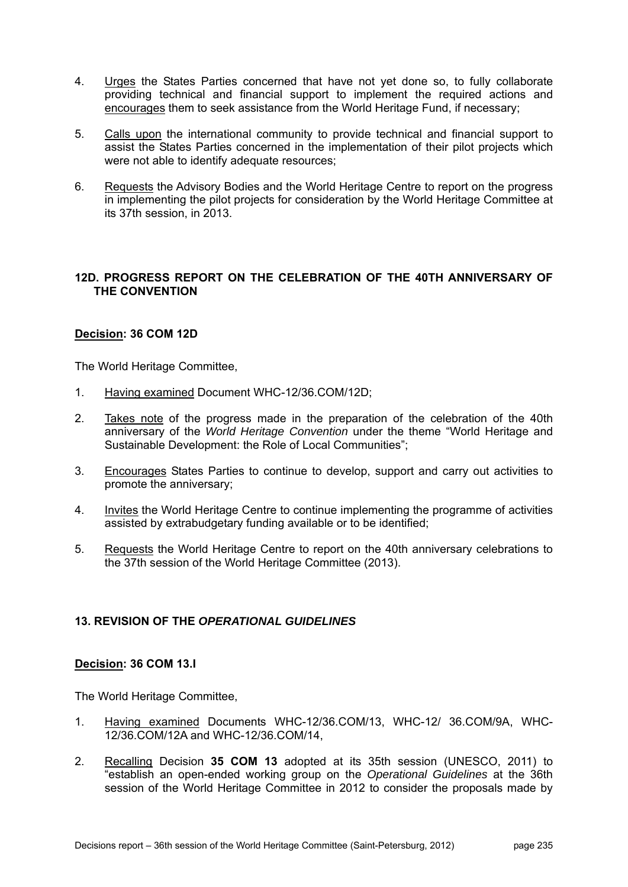- 4. Urges the States Parties concerned that have not yet done so, to fully collaborate providing technical and financial support to implement the required actions and encourages them to seek assistance from the World Heritage Fund, if necessary;
- 5. Calls upon the international community to provide technical and financial support to assist the States Parties concerned in the implementation of their pilot projects which were not able to identify adequate resources;
- 6. Requests the Advisory Bodies and the World Heritage Centre to report on the progress in implementing the pilot projects for consideration by the World Heritage Committee at its 37th session, in 2013.

# **12D. PROGRESS REPORT ON THE CELEBRATION OF THE 40TH ANNIVERSARY OF THE CONVENTION**

#### **Decision: 36 COM 12D**

The World Heritage Committee,

- 1. Having examined Document WHC-12/36.COM/12D;
- 2. Takes note of the progress made in the preparation of the celebration of the 40th anniversary of the *World Heritage Convention* under the theme "World Heritage and Sustainable Development: the Role of Local Communities";
- 3. Encourages States Parties to continue to develop, support and carry out activities to promote the anniversary;
- 4. Invites the World Heritage Centre to continue implementing the programme of activities assisted by extrabudgetary funding available or to be identified;
- 5. Requests the World Heritage Centre to report on the 40th anniversary celebrations to the 37th session of the World Heritage Committee (2013).

# **13. REVISION OF THE** *OPERATIONAL GUIDELINES*

#### **Decision: 36 COM 13.I**

- 1. Having examined Documents WHC-12/36.COM/13, WHC-12/ 36.COM/9A, WHC-12/36.COM/12A and WHC-12/36.COM/14,
- 2. Recalling Decision **35 COM 13** adopted at its 35th session (UNESCO, 2011) to "establish an open-ended working group on the *Operational Guidelines* at the 36th session of the World Heritage Committee in 2012 to consider the proposals made by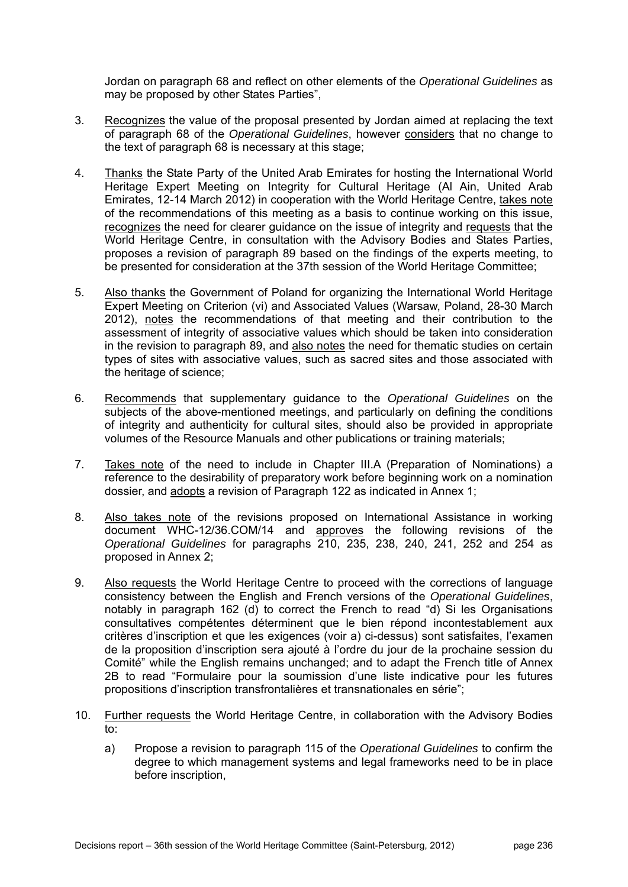Jordan on paragraph 68 and reflect on other elements of the *Operational Guidelines* as may be proposed by other States Parties",

- 3. Recognizes the value of the proposal presented by Jordan aimed at replacing the text of paragraph 68 of the *Operational Guidelines*, however considers that no change to the text of paragraph 68 is necessary at this stage;
- 4. Thanks the State Party of the United Arab Emirates for hosting the International World Heritage Expert Meeting on Integrity for Cultural Heritage (Al Ain, United Arab Emirates, 12-14 March 2012) in cooperation with the World Heritage Centre, takes note of the recommendations of this meeting as a basis to continue working on this issue, recognizes the need for clearer guidance on the issue of integrity and requests that the World Heritage Centre, in consultation with the Advisory Bodies and States Parties, proposes a revision of paragraph 89 based on the findings of the experts meeting, to be presented for consideration at the 37th session of the World Heritage Committee;
- 5. Also thanks the Government of Poland for organizing the International World Heritage Expert Meeting on Criterion (vi) and Associated Values (Warsaw, Poland, 28-30 March 2012), notes the recommendations of that meeting and their contribution to the assessment of integrity of associative values which should be taken into consideration in the revision to paragraph 89, and also notes the need for thematic studies on certain types of sites with associative values, such as sacred sites and those associated with the heritage of science;
- 6. Recommends that supplementary guidance to the *Operational Guidelines* on the subjects of the above-mentioned meetings, and particularly on defining the conditions of integrity and authenticity for cultural sites, should also be provided in appropriate volumes of the Resource Manuals and other publications or training materials;
- 7. Takes note of the need to include in Chapter III.A (Preparation of Nominations) a reference to the desirability of preparatory work before beginning work on a nomination dossier, and adopts a revision of Paragraph 122 as indicated in Annex 1;
- 8. Also takes note of the revisions proposed on International Assistance in working document WHC-12/36.COM/14 and approves the following revisions of the *Operational Guidelines* for paragraphs 210, 235, 238, 240, 241, 252 and 254 as proposed in Annex 2;
- 9. Also requests the World Heritage Centre to proceed with the corrections of language consistency between the English and French versions of the *Operational Guidelines*, notably in paragraph 162 (d) to correct the French to read "d) Si les Organisations consultatives compétentes déterminent que le bien répond incontestablement aux critères d'inscription et que les exigences (voir a) ci-dessus) sont satisfaites, l'examen de la proposition d'inscription sera ajouté à l'ordre du jour de la prochaine session du Comité" while the English remains unchanged; and to adapt the French title of Annex 2B to read "Formulaire pour la soumission d'une liste indicative pour les futures propositions d'inscription transfrontalières et transnationales en série";
- 10. Further requests the World Heritage Centre, in collaboration with the Advisory Bodies to:
	- a) Propose a revision to paragraph 115 of the *Operational Guidelines* to confirm the degree to which management systems and legal frameworks need to be in place before inscription,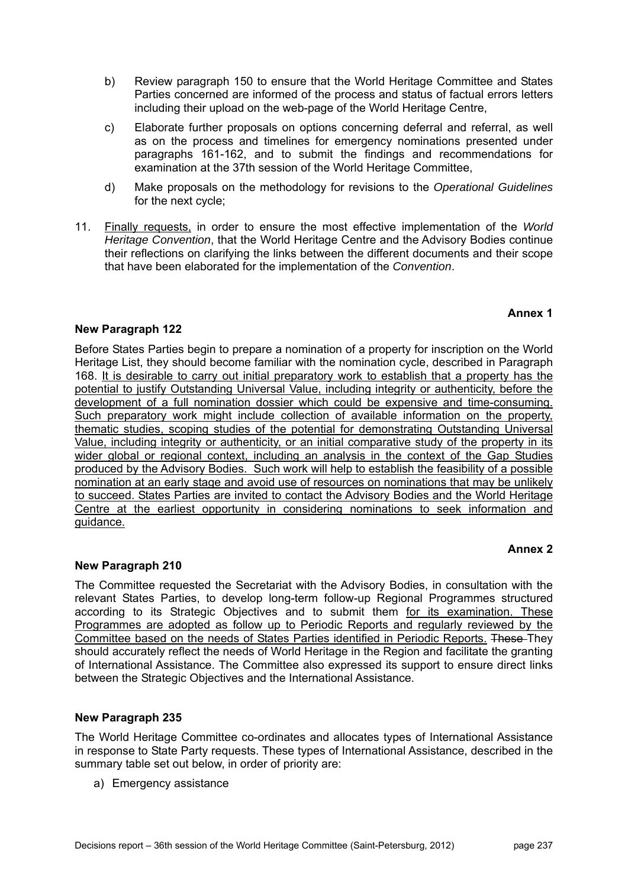Parties concerned are informed of the process and status of factual errors letters including their upload on the web-page of the World Heritage Centre,

b) Review paragraph 150 to ensure that the World Heritage Committee and States

- c) Elaborate further proposals on options concerning deferral and referral, as well as on the process and timelines for emergency nominations presented under paragraphs 161-162, and to submit the findings and recommendations for examination at the 37th session of the World Heritage Committee,
- d) Make proposals on the methodology for revisions to the *Operational Guidelines* for the next cycle;
- 11. Finally requests, in order to ensure the most effective implementation of the *World Heritage Convention*, that the World Heritage Centre and the Advisory Bodies continue their reflections on clarifying the links between the different documents and their scope that have been elaborated for the implementation of the *Convention*.

# **Annex 1**

# **New Paragraph 122**

Before States Parties begin to prepare a nomination of a property for inscription on the World Heritage List, they should become familiar with the nomination cycle, described in Paragraph 168. It is desirable to carry out initial preparatory work to establish that a property has the potential to justify Outstanding Universal Value, including integrity or authenticity, before the development of a full nomination dossier which could be expensive and time-consuming. Such preparatory work might include collection of available information on the property, thematic studies, scoping studies of the potential for demonstrating Outstanding Universal Value, including integrity or authenticity, or an initial comparative study of the property in its wider global or regional context, including an analysis in the context of the Gap Studies produced by the Advisory Bodies. Such work will help to establish the feasibility of a possible nomination at an early stage and avoid use of resources on nominations that may be unlikely to succeed. States Parties are invited to contact the Advisory Bodies and the World Heritage Centre at the earliest opportunity in considering nominations to seek information and guidance.

# **Annex 2**

# **New Paragraph 210**

The Committee requested the Secretariat with the Advisory Bodies, in consultation with the relevant States Parties, to develop long-term follow-up Regional Programmes structured according to its Strategic Objectives and to submit them for its examination. These Programmes are adopted as follow up to Periodic Reports and regularly reviewed by the Committee based on the needs of States Parties identified in Periodic Reports. These They should accurately reflect the needs of World Heritage in the Region and facilitate the granting of International Assistance. The Committee also expressed its support to ensure direct links between the Strategic Objectives and the International Assistance.

# **New Paragraph 235**

The World Heritage Committee co-ordinates and allocates types of International Assistance in response to State Party requests. These types of International Assistance, described in the summary table set out below, in order of priority are:

a) Emergency assistance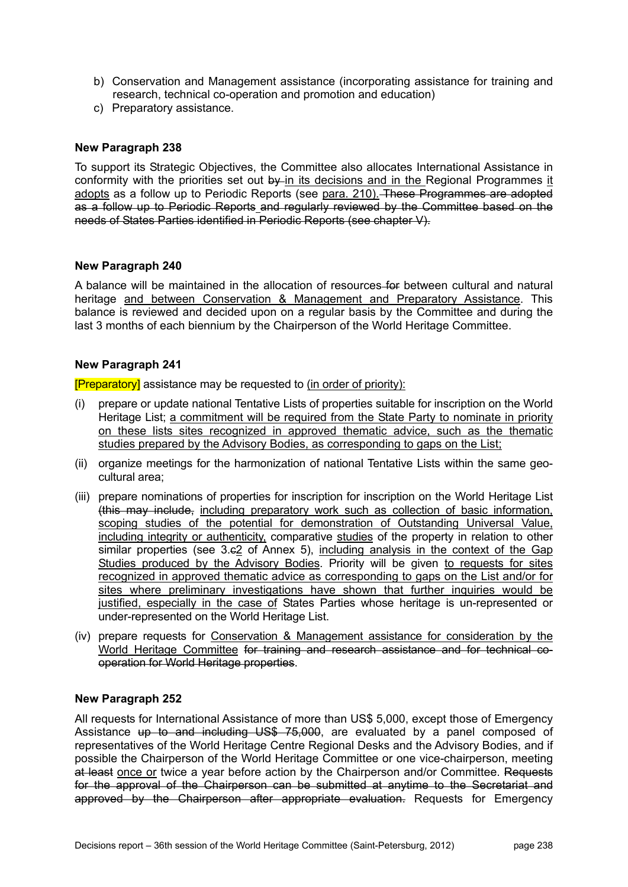- b) Conservation and Management assistance (incorporating assistance for training and research, technical co-operation and promotion and education)
- c) Preparatory assistance.

#### **New Paragraph 238**

To support its Strategic Objectives, the Committee also allocates International Assistance in conformity with the priorities set out  $b\mathsf{v}$ -in its decisions and in the Regional Programmes it adopts as a follow up to Periodic Reports (see para. 210). These Programmes are adopted as a follow up to Periodic Reports and regularly reviewed by the Committee based on the needs of States Parties identified in Periodic Reports (see chapter V).

#### **New Paragraph 240**

A balance will be maintained in the allocation of resources for between cultural and natural heritage and between Conservation & Management and Preparatory Assistance. This balance is reviewed and decided upon on a regular basis by the Committee and during the last 3 months of each biennium by the Chairperson of the World Heritage Committee.

#### **New Paragraph 241**

[Preparatory] assistance may be requested to (in order of priority):

- (i) prepare or update national Tentative Lists of properties suitable for inscription on the World Heritage List; a commitment will be required from the State Party to nominate in priority on these lists sites recognized in approved thematic advice, such as the thematic studies prepared by the Advisory Bodies, as corresponding to gaps on the List:
- (ii) organize meetings for the harmonization of national Tentative Lists within the same geocultural area;
- (iii) prepare nominations of properties for inscription for inscription on the World Heritage List (this may include, including preparatory work such as collection of basic information, scoping studies of the potential for demonstration of Outstanding Universal Value, including integrity or authenticity, comparative studies of the property in relation to other similar properties (see 3.e2 of Annex 5), including analysis in the context of the Gap Studies produced by the Advisory Bodies. Priority will be given to requests for sites recognized in approved thematic advice as corresponding to gaps on the List and/or for sites where preliminary investigations have shown that further inquiries would be justified, especially in the case of States Parties whose heritage is un-represented or under-represented on the World Heritage List.
- (iv) prepare requests for Conservation & Management assistance for consideration by the World Heritage Committee for training and research assistance and for technical cooperation for World Heritage properties.

#### **New Paragraph 252**

All requests for International Assistance of more than US\$ 5,000, except those of Emergency Assistance up to and including US\$ 75,000, are evaluated by a panel composed of representatives of the World Heritage Centre Regional Desks and the Advisory Bodies, and if possible the Chairperson of the World Heritage Committee or one vice-chairperson, meeting at least once or twice a year before action by the Chairperson and/or Committee. Requests for the approval of the Chairperson can be submitted at anytime to the Secretariat and approved by the Chairperson after appropriate evaluation. Requests for Emergency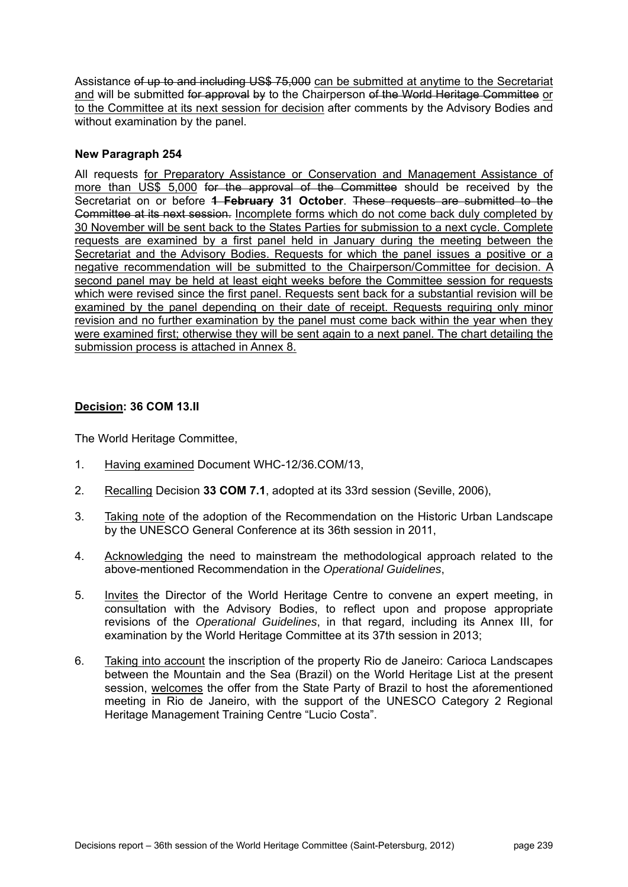Assistance of up to and including US\$ 75,000 can be submitted at anytime to the Secretariat and will be submitted for approval by to the Chairperson of the World Heritage Committee or to the Committee at its next session for decision after comments by the Advisory Bodies and without examination by the panel.

# **New Paragraph 254**

All requests for Preparatory Assistance or Conservation and Management Assistance of more than US\$ 5,000 for the approval of the Committee should be received by the Secretariat on or before **1 February 31 October**. These requests are submitted to the Committee at its next session. Incomplete forms which do not come back duly completed by 30 November will be sent back to the States Parties for submission to a next cycle. Complete requests are examined by a first panel held in January during the meeting between the Secretariat and the Advisory Bodies. Requests for which the panel issues a positive or a negative recommendation will be submitted to the Chairperson/Committee for decision. A second panel may be held at least eight weeks before the Committee session for requests which were revised since the first panel. Requests sent back for a substantial revision will be examined by the panel depending on their date of receipt. Requests requiring only minor revision and no further examination by the panel must come back within the year when they were examined first; otherwise they will be sent again to a next panel. The chart detailing the submission process is attached in Annex 8.

# **Decision: 36 COM 13.II**

- 1. Having examined Document WHC-12/36.COM/13,
- 2. Recalling Decision **33 COM 7.1**, adopted at its 33rd session (Seville, 2006),
- 3. Taking note of the adoption of the Recommendation on the Historic Urban Landscape by the UNESCO General Conference at its 36th session in 2011,
- 4. Acknowledging the need to mainstream the methodological approach related to the above-mentioned Recommendation in the *Operational Guidelines*,
- 5. Invites the Director of the World Heritage Centre to convene an expert meeting, in consultation with the Advisory Bodies, to reflect upon and propose appropriate revisions of the *Operational Guidelines*, in that regard, including its Annex III, for examination by the World Heritage Committee at its 37th session in 2013;
- 6. Taking into account the inscription of the property Rio de Janeiro: Carioca Landscapes between the Mountain and the Sea (Brazil) on the World Heritage List at the present session, welcomes the offer from the State Party of Brazil to host the aforementioned meeting in Rio de Janeiro, with the support of the UNESCO Category 2 Regional Heritage Management Training Centre "Lucio Costa".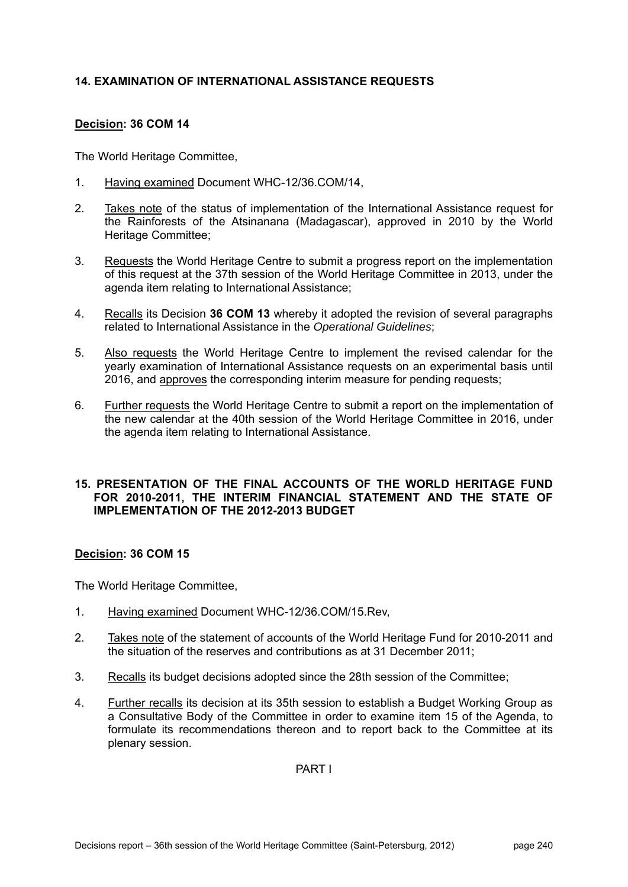# **14. EXAMINATION OF INTERNATIONAL ASSISTANCE REQUESTS**

# **Decision: 36 COM 14**

The World Heritage Committee,

- 1. Having examined Document WHC-12/36.COM/14,
- 2. Takes note of the status of implementation of the International Assistance request for the Rainforests of the Atsinanana (Madagascar), approved in 2010 by the World Heritage Committee;
- 3. Requests the World Heritage Centre to submit a progress report on the implementation of this request at the 37th session of the World Heritage Committee in 2013, under the agenda item relating to International Assistance;
- 4. Recalls its Decision **36 COM 13** whereby it adopted the revision of several paragraphs related to International Assistance in the *Operational Guidelines*;
- 5. Also requests the World Heritage Centre to implement the revised calendar for the yearly examination of International Assistance requests on an experimental basis until 2016, and approves the corresponding interim measure for pending requests;
- 6. Further requests the World Heritage Centre to submit a report on the implementation of the new calendar at the 40th session of the World Heritage Committee in 2016, under the agenda item relating to International Assistance.

#### **15. PRESENTATION OF THE FINAL ACCOUNTS OF THE WORLD HERITAGE FUND FOR 2010-2011, THE INTERIM FINANCIAL STATEMENT AND THE STATE OF IMPLEMENTATION OF THE 2012-2013 BUDGET**

# **Decision: 36 COM 15**

The World Heritage Committee,

- 1. Having examined Document WHC-12/36.COM/15.Rev,
- 2. Takes note of the statement of accounts of the World Heritage Fund for 2010-2011 and the situation of the reserves and contributions as at 31 December 2011;
- 3. Recalls its budget decisions adopted since the 28th session of the Committee;
- 4. Further recalls its decision at its 35th session to establish a Budget Working Group as a Consultative Body of the Committee in order to examine item 15 of the Agenda, to formulate its recommendations thereon and to report back to the Committee at its plenary session.

PART I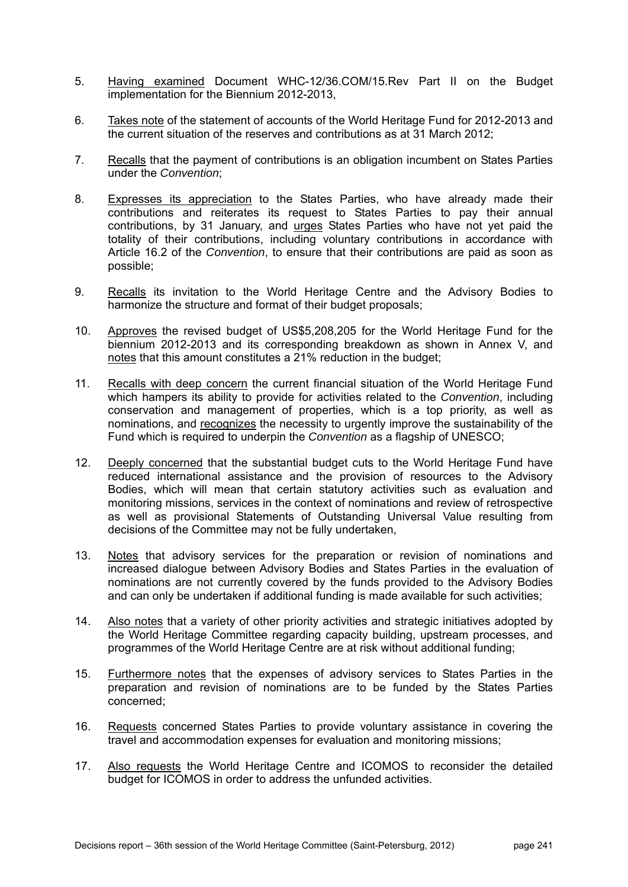- 5. Having examined Document WHC-12/36.COM/15.Rev Part II on the Budget implementation for the Biennium 2012-2013,
- 6. Takes note of the statement of accounts of the World Heritage Fund for 2012-2013 and the current situation of the reserves and contributions as at 31 March 2012;
- 7. Recalls that the payment of contributions is an obligation incumbent on States Parties under the *Convention*;
- 8. Expresses its appreciation to the States Parties, who have already made their contributions and reiterates its request to States Parties to pay their annual contributions, by 31 January, and urges States Parties who have not yet paid the totality of their contributions, including voluntary contributions in accordance with Article 16.2 of the *Convention*, to ensure that their contributions are paid as soon as possible;
- 9. Recalls its invitation to the World Heritage Centre and the Advisory Bodies to harmonize the structure and format of their budget proposals;
- 10. Approves the revised budget of US\$5,208,205 for the World Heritage Fund for the biennium 2012-2013 and its corresponding breakdown as shown in Annex V, and notes that this amount constitutes a 21% reduction in the budget;
- 11. Recalls with deep concern the current financial situation of the World Heritage Fund which hampers its ability to provide for activities related to the *Convention*, including conservation and management of properties, which is a top priority, as well as nominations, and recognizes the necessity to urgently improve the sustainability of the Fund which is required to underpin the *Convention* as a flagship of UNESCO;
- 12. Deeply concerned that the substantial budget cuts to the World Heritage Fund have reduced international assistance and the provision of resources to the Advisory Bodies, which will mean that certain statutory activities such as evaluation and monitoring missions, services in the context of nominations and review of retrospective as well as provisional Statements of Outstanding Universal Value resulting from decisions of the Committee may not be fully undertaken,
- 13. Notes that advisory services for the preparation or revision of nominations and increased dialogue between Advisory Bodies and States Parties in the evaluation of nominations are not currently covered by the funds provided to the Advisory Bodies and can only be undertaken if additional funding is made available for such activities;
- 14. Also notes that a variety of other priority activities and strategic initiatives adopted by the World Heritage Committee regarding capacity building, upstream processes, and programmes of the World Heritage Centre are at risk without additional funding;
- 15. Furthermore notes that the expenses of advisory services to States Parties in the preparation and revision of nominations are to be funded by the States Parties concerned;
- 16. Requests concerned States Parties to provide voluntary assistance in covering the travel and accommodation expenses for evaluation and monitoring missions;
- 17. Also requests the World Heritage Centre and ICOMOS to reconsider the detailed budget for ICOMOS in order to address the unfunded activities.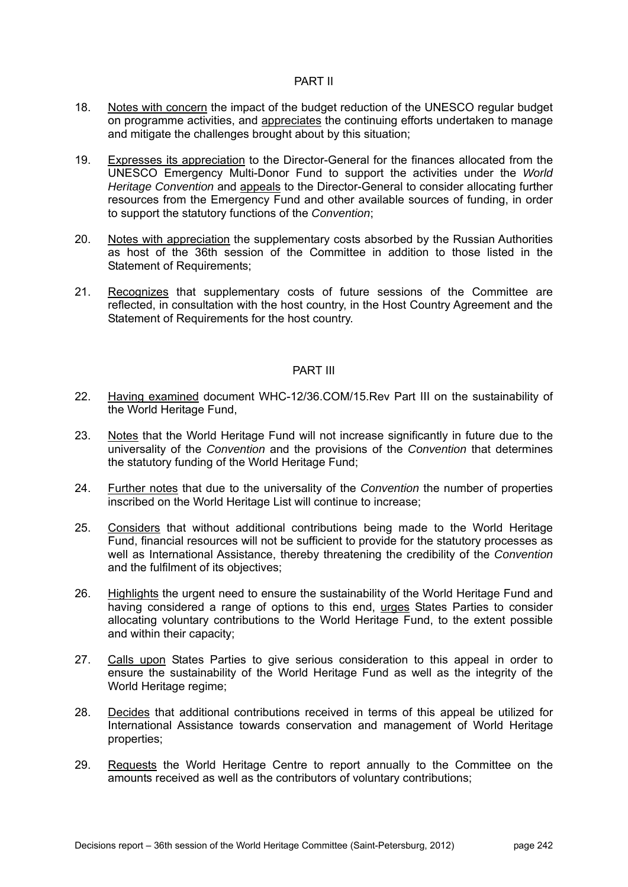#### PART II

- 18. Notes with concern the impact of the budget reduction of the UNESCO regular budget on programme activities, and appreciates the continuing efforts undertaken to manage and mitigate the challenges brought about by this situation;
- 19. Expresses its appreciation to the Director-General for the finances allocated from the UNESCO Emergency Multi-Donor Fund to support the activities under the *World Heritage Convention* and appeals to the Director-General to consider allocating further resources from the Emergency Fund and other available sources of funding, in order to support the statutory functions of the *Convention*;
- 20. Notes with appreciation the supplementary costs absorbed by the Russian Authorities as host of the 36th session of the Committee in addition to those listed in the Statement of Requirements:
- 21. Recognizes that supplementary costs of future sessions of the Committee are reflected, in consultation with the host country, in the Host Country Agreement and the Statement of Requirements for the host country.

#### PART III

- 22. Having examined document WHC-12/36.COM/15.Rev Part III on the sustainability of the World Heritage Fund,
- 23. Notes that the World Heritage Fund will not increase significantly in future due to the universality of the *Convention* and the provisions of the *Convention* that determines the statutory funding of the World Heritage Fund;
- 24. Further notes that due to the universality of the *Convention* the number of properties inscribed on the World Heritage List will continue to increase;
- 25. Considers that without additional contributions being made to the World Heritage Fund, financial resources will not be sufficient to provide for the statutory processes as well as International Assistance, thereby threatening the credibility of the *Convention*  and the fulfilment of its objectives;
- 26. Highlights the urgent need to ensure the sustainability of the World Heritage Fund and having considered a range of options to this end, urges States Parties to consider allocating voluntary contributions to the World Heritage Fund, to the extent possible and within their capacity;
- 27. Calls upon States Parties to give serious consideration to this appeal in order to ensure the sustainability of the World Heritage Fund as well as the integrity of the World Heritage regime;
- 28. Decides that additional contributions received in terms of this appeal be utilized for International Assistance towards conservation and management of World Heritage properties;
- 29. Requests the World Heritage Centre to report annually to the Committee on the amounts received as well as the contributors of voluntary contributions;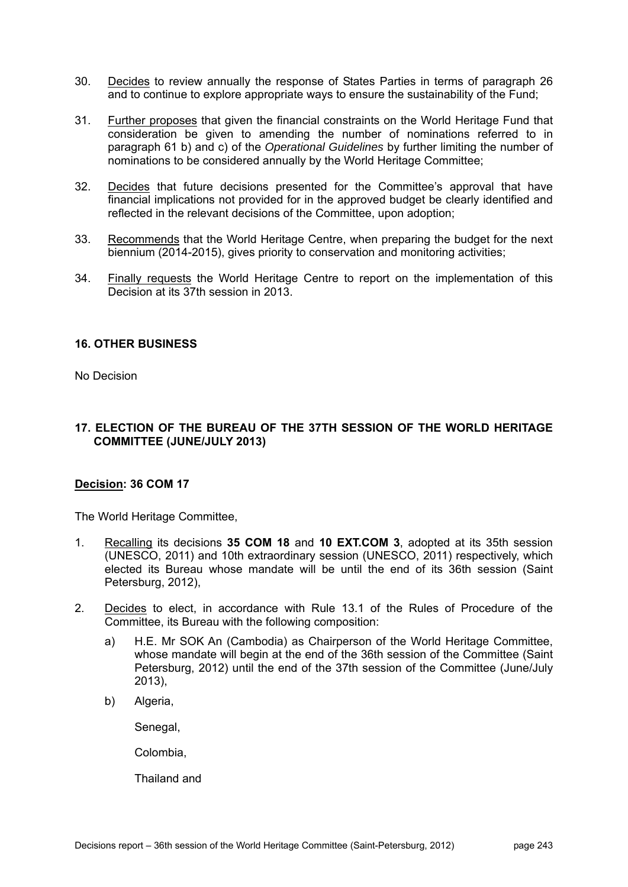- 30. Decides to review annually the response of States Parties in terms of paragraph 26 and to continue to explore appropriate ways to ensure the sustainability of the Fund;
- 31. Further proposes that given the financial constraints on the World Heritage Fund that consideration be given to amending the number of nominations referred to in paragraph 61 b) and c) of the *Operational Guidelines* by further limiting the number of nominations to be considered annually by the World Heritage Committee;
- 32. Decides that future decisions presented for the Committee's approval that have financial implications not provided for in the approved budget be clearly identified and reflected in the relevant decisions of the Committee, upon adoption;
- 33. Recommends that the World Heritage Centre, when preparing the budget for the next biennium (2014-2015), gives priority to conservation and monitoring activities;
- 34. Finally requests the World Heritage Centre to report on the implementation of this Decision at its 37th session in 2013.

# **16. OTHER BUSINESS**

No Decision

# **17. ELECTION OF THE BUREAU OF THE 37TH SESSION OF THE WORLD HERITAGE COMMITTEE (JUNE/JULY 2013)**

# **Decision: 36 COM 17**

The World Heritage Committee,

- 1. Recalling its decisions **35 COM 18** and **10 EXT.COM 3**, adopted at its 35th session (UNESCO, 2011) and 10th extraordinary session (UNESCO, 2011) respectively, which elected its Bureau whose mandate will be until the end of its 36th session (Saint Petersburg, 2012),
- 2. Decides to elect, in accordance with Rule 13.1 of the Rules of Procedure of the Committee, its Bureau with the following composition:
	- a) H.E. Mr SOK An (Cambodia) as Chairperson of the World Heritage Committee, whose mandate will begin at the end of the 36th session of the Committee (Saint Petersburg, 2012) until the end of the 37th session of the Committee (June/July 2013),
	- b) Algeria,

Senegal,

Colombia,

Thailand and